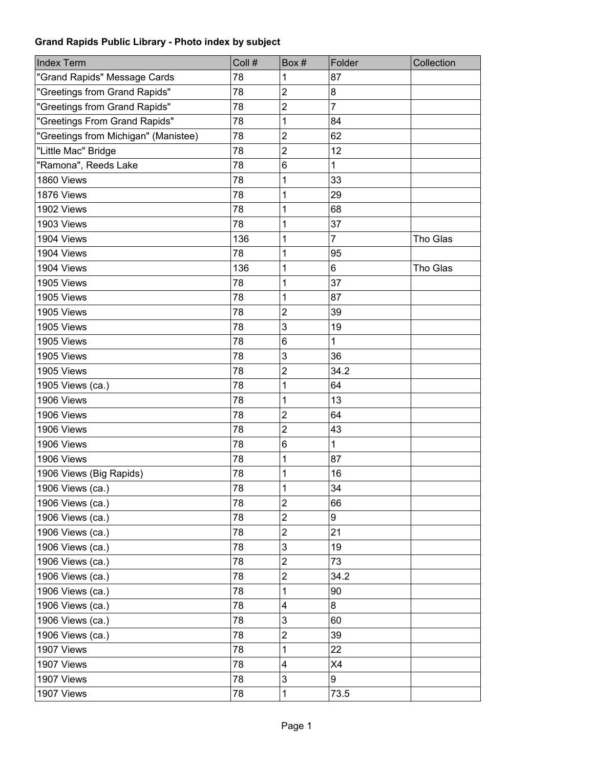| <b>Index Term</b>                    | Coll # | Box#                    | Folder         | Collection |
|--------------------------------------|--------|-------------------------|----------------|------------|
| "Grand Rapids" Message Cards         | 78     | 1                       | 87             |            |
| "Greetings from Grand Rapids"        | 78     | $\overline{2}$          | 8              |            |
| "Greetings from Grand Rapids"        | 78     | $\overline{2}$          | $\overline{7}$ |            |
| "Greetings From Grand Rapids"        | 78     | 1                       | 84             |            |
| "Greetings from Michigan" (Manistee) | 78     | $\overline{c}$          | 62             |            |
| "Little Mac" Bridge                  | 78     | $\overline{c}$          | 12             |            |
| "Ramona", Reeds Lake                 | 78     | 6                       | 1              |            |
| 1860 Views                           | 78     | 1                       | 33             |            |
| 1876 Views                           | 78     | 1                       | 29             |            |
| 1902 Views                           | 78     | 1                       | 68             |            |
| 1903 Views                           | 78     | 1                       | 37             |            |
| 1904 Views                           | 136    | 1                       | $\overline{7}$ | Tho Glas   |
| 1904 Views                           | 78     | 1                       | 95             |            |
| 1904 Views                           | 136    | 1                       | 6              | Tho Glas   |
| 1905 Views                           | 78     | 1                       | 37             |            |
| 1905 Views                           | 78     | 1                       | 87             |            |
| 1905 Views                           | 78     | $\overline{\mathbf{c}}$ | 39             |            |
| 1905 Views                           | 78     | 3                       | 19             |            |
| 1905 Views                           | 78     | 6                       | 1              |            |
| 1905 Views                           | 78     | 3                       | 36             |            |
| 1905 Views                           | 78     | $\overline{c}$          | 34.2           |            |
| 1905 Views (ca.)                     | 78     | 1                       | 64             |            |
| 1906 Views                           | 78     | 1                       | 13             |            |
| 1906 Views                           | 78     | $\overline{c}$          | 64             |            |
| 1906 Views                           | 78     | $\overline{c}$          | 43             |            |
| 1906 Views                           | 78     | 6                       | 1              |            |
| 1906 Views                           | 78     | 1                       | 87             |            |
| 1906 Views (Big Rapids)              | 78     | 1                       | 16             |            |
| 1906 Views (ca.)                     | 78     | 1                       | 34             |            |
| 1906 Views (ca.)                     | 78     | $\overline{2}$          | 66             |            |
| 1906 Views (ca.)                     | 78     | $\overline{2}$          | 9              |            |
| 1906 Views (ca.)                     | 78     | $\overline{\mathbf{c}}$ | 21             |            |
| 1906 Views (ca.)                     | 78     | 3                       | 19             |            |
| 1906 Views (ca.)                     | 78     | $\overline{\mathbf{c}}$ | 73             |            |
| 1906 Views (ca.)                     | 78     | $\overline{\mathbf{c}}$ | 34.2           |            |
| 1906 Views (ca.)                     | 78     | 1                       | 90             |            |
| 1906 Views (ca.)                     | 78     | 4                       | 8              |            |
| 1906 Views (ca.)                     | 78     | 3                       | 60             |            |
| 1906 Views (ca.)                     | 78     | $\overline{\mathbf{c}}$ | 39             |            |
| 1907 Views                           | 78     | 1                       | 22             |            |
| 1907 Views                           | 78     | 4                       | X4             |            |
| 1907 Views                           | 78     | 3                       | 9              |            |
| 1907 Views                           | 78     | 1                       | 73.5           |            |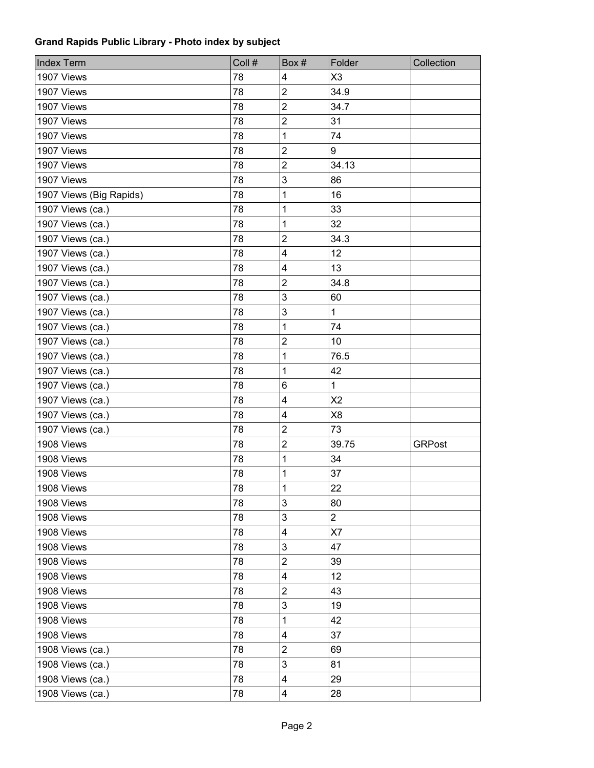| <b>Index Term</b>       | Coll # | Box#                    | Folder         | Collection    |
|-------------------------|--------|-------------------------|----------------|---------------|
| 1907 Views              | 78     | 4                       | X3             |               |
| 1907 Views              | 78     | $\overline{2}$          | 34.9           |               |
| 1907 Views              | 78     | $\overline{2}$          | 34.7           |               |
| 1907 Views              | 78     | $\overline{2}$          | 31             |               |
| 1907 Views              | 78     | 1                       | 74             |               |
| 1907 Views              | 78     | $\overline{2}$          | 9              |               |
| 1907 Views              | 78     | $\overline{2}$          | 34.13          |               |
| 1907 Views              | 78     | 3                       | 86             |               |
| 1907 Views (Big Rapids) | 78     | 1                       | 16             |               |
| 1907 Views (ca.)        | 78     | 1                       | 33             |               |
| 1907 Views (ca.)        | 78     | 1                       | 32             |               |
| 1907 Views (ca.)        | 78     | $\overline{\mathbf{c}}$ | 34.3           |               |
| 1907 Views (ca.)        | 78     | $\overline{\mathbf{4}}$ | 12             |               |
| 1907 Views (ca.)        | 78     | 4                       | 13             |               |
| 1907 Views (ca.)        | 78     | $\overline{c}$          | 34.8           |               |
| 1907 Views (ca.)        | 78     | 3                       | 60             |               |
| 1907 Views (ca.)        | 78     | 3                       | $\mathbf 1$    |               |
| 1907 Views (ca.)        | 78     | 1                       | 74             |               |
| 1907 Views (ca.)        | 78     | $\overline{c}$          | 10             |               |
| 1907 Views (ca.)        | 78     | 1                       | 76.5           |               |
| 1907 Views (ca.)        | 78     | 1                       | 42             |               |
| 1907 Views (ca.)        | 78     | 6                       | 1              |               |
| 1907 Views (ca.)        | 78     | 4                       | X <sub>2</sub> |               |
| 1907 Views (ca.)        | 78     | $\overline{\mathbf{4}}$ | X <sub>8</sub> |               |
| 1907 Views (ca.)        | 78     | $\overline{2}$          | 73             |               |
| 1908 Views              | 78     | $\overline{2}$          | 39.75          | <b>GRPost</b> |
| 1908 Views              | 78     | 1                       | 34             |               |
| 1908 Views              | 78     | 1                       | 37             |               |
| 1908 Views              | 78     | 1                       | 22             |               |
| 1908 Views              | 78     | 3                       | 80             |               |
| 1908 Views              | 78     | 3                       | $\overline{2}$ |               |
| 1908 Views              | 78     | 4                       | X7             |               |
| 1908 Views              | 78     | 3                       | 47             |               |
| 1908 Views              | 78     | $\overline{\mathbf{c}}$ | 39             |               |
| 1908 Views              | 78     | 4                       | 12             |               |
| 1908 Views              | 78     | $\overline{c}$          | 43             |               |
| 1908 Views              | 78     | 3                       | 19             |               |
| 1908 Views              | 78     | 1                       | 42             |               |
| 1908 Views              | 78     | 4                       | 37             |               |
| 1908 Views (ca.)        | 78     | $\overline{c}$          | 69             |               |
| 1908 Views (ca.)        | 78     | 3                       | 81             |               |
| 1908 Views (ca.)        | 78     | 4                       | 29             |               |
| 1908 Views (ca.)        | 78     | 4                       | 28             |               |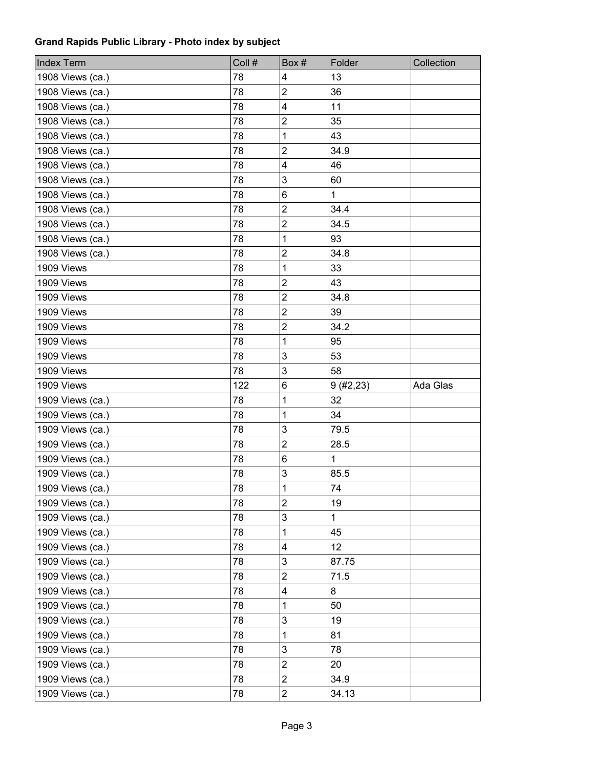| 1908 Views (ca.)<br>78<br>13<br>4<br>$\overline{2}$<br>78<br>36<br>1908 Views (ca.)<br>1908 Views (ca.)<br>78<br>$\overline{\mathbf{4}}$<br>11<br>$\boldsymbol{2}$<br>1908 Views (ca.)<br>78<br>35<br>1<br>43<br>1908 Views (ca.)<br>78<br>$\overline{2}$<br>34.9<br>1908 Views (ca.)<br>78<br>4<br>46<br>1908 Views (ca.)<br>78<br>3<br>60<br>1908 Views (ca.)<br>78<br>$\mathbf{1}$<br>1908 Views (ca.)<br>78<br>6<br>$\overline{2}$<br>1908 Views (ca.)<br>78<br>34.4<br>$\overline{2}$<br>78<br>34.5<br>1908 Views (ca.)<br>1<br>93<br>1908 Views (ca.)<br>78<br>$\mathbf 2$<br>34.8<br>1908 Views (ca.)<br>78<br>1909 Views<br>1<br>33<br>78<br>$\overline{2}$<br>43<br>1909 Views<br>78<br>$\overline{c}$<br>34.8<br>1909 Views<br>78<br>$\overline{2}$<br>39<br>1909 Views<br>78<br>$\overline{2}$<br>1909 Views<br>78<br>34.2<br>78<br>1<br>95<br>1909 Views<br>1909 Views<br>3<br>78<br>53<br>3<br>78<br>58<br>1909 Views<br>6<br>Ada Glas<br>1909 Views<br>122<br>9(#2, 23)<br>1<br>32<br>1909 Views (ca.)<br>78<br>1909 Views (ca.)<br>1<br>34<br>78<br>$\mathbf{3}$<br>1909 Views (ca.)<br>79.5<br>78<br>$\overline{2}$<br>28.5<br>1909 Views (ca.)<br>78<br>1909 Views (ca.)<br>6<br>$\mathbf{1}$<br>78 |
|----------------------------------------------------------------------------------------------------------------------------------------------------------------------------------------------------------------------------------------------------------------------------------------------------------------------------------------------------------------------------------------------------------------------------------------------------------------------------------------------------------------------------------------------------------------------------------------------------------------------------------------------------------------------------------------------------------------------------------------------------------------------------------------------------------------------------------------------------------------------------------------------------------------------------------------------------------------------------------------------------------------------------------------------------------------------------------------------------------------------------------------------------------------------------------------------------------------------|
|                                                                                                                                                                                                                                                                                                                                                                                                                                                                                                                                                                                                                                                                                                                                                                                                                                                                                                                                                                                                                                                                                                                                                                                                                      |
|                                                                                                                                                                                                                                                                                                                                                                                                                                                                                                                                                                                                                                                                                                                                                                                                                                                                                                                                                                                                                                                                                                                                                                                                                      |
|                                                                                                                                                                                                                                                                                                                                                                                                                                                                                                                                                                                                                                                                                                                                                                                                                                                                                                                                                                                                                                                                                                                                                                                                                      |
|                                                                                                                                                                                                                                                                                                                                                                                                                                                                                                                                                                                                                                                                                                                                                                                                                                                                                                                                                                                                                                                                                                                                                                                                                      |
|                                                                                                                                                                                                                                                                                                                                                                                                                                                                                                                                                                                                                                                                                                                                                                                                                                                                                                                                                                                                                                                                                                                                                                                                                      |
|                                                                                                                                                                                                                                                                                                                                                                                                                                                                                                                                                                                                                                                                                                                                                                                                                                                                                                                                                                                                                                                                                                                                                                                                                      |
|                                                                                                                                                                                                                                                                                                                                                                                                                                                                                                                                                                                                                                                                                                                                                                                                                                                                                                                                                                                                                                                                                                                                                                                                                      |
|                                                                                                                                                                                                                                                                                                                                                                                                                                                                                                                                                                                                                                                                                                                                                                                                                                                                                                                                                                                                                                                                                                                                                                                                                      |
|                                                                                                                                                                                                                                                                                                                                                                                                                                                                                                                                                                                                                                                                                                                                                                                                                                                                                                                                                                                                                                                                                                                                                                                                                      |
|                                                                                                                                                                                                                                                                                                                                                                                                                                                                                                                                                                                                                                                                                                                                                                                                                                                                                                                                                                                                                                                                                                                                                                                                                      |
|                                                                                                                                                                                                                                                                                                                                                                                                                                                                                                                                                                                                                                                                                                                                                                                                                                                                                                                                                                                                                                                                                                                                                                                                                      |
|                                                                                                                                                                                                                                                                                                                                                                                                                                                                                                                                                                                                                                                                                                                                                                                                                                                                                                                                                                                                                                                                                                                                                                                                                      |
|                                                                                                                                                                                                                                                                                                                                                                                                                                                                                                                                                                                                                                                                                                                                                                                                                                                                                                                                                                                                                                                                                                                                                                                                                      |
|                                                                                                                                                                                                                                                                                                                                                                                                                                                                                                                                                                                                                                                                                                                                                                                                                                                                                                                                                                                                                                                                                                                                                                                                                      |
|                                                                                                                                                                                                                                                                                                                                                                                                                                                                                                                                                                                                                                                                                                                                                                                                                                                                                                                                                                                                                                                                                                                                                                                                                      |
|                                                                                                                                                                                                                                                                                                                                                                                                                                                                                                                                                                                                                                                                                                                                                                                                                                                                                                                                                                                                                                                                                                                                                                                                                      |
|                                                                                                                                                                                                                                                                                                                                                                                                                                                                                                                                                                                                                                                                                                                                                                                                                                                                                                                                                                                                                                                                                                                                                                                                                      |
|                                                                                                                                                                                                                                                                                                                                                                                                                                                                                                                                                                                                                                                                                                                                                                                                                                                                                                                                                                                                                                                                                                                                                                                                                      |
|                                                                                                                                                                                                                                                                                                                                                                                                                                                                                                                                                                                                                                                                                                                                                                                                                                                                                                                                                                                                                                                                                                                                                                                                                      |
|                                                                                                                                                                                                                                                                                                                                                                                                                                                                                                                                                                                                                                                                                                                                                                                                                                                                                                                                                                                                                                                                                                                                                                                                                      |
|                                                                                                                                                                                                                                                                                                                                                                                                                                                                                                                                                                                                                                                                                                                                                                                                                                                                                                                                                                                                                                                                                                                                                                                                                      |
|                                                                                                                                                                                                                                                                                                                                                                                                                                                                                                                                                                                                                                                                                                                                                                                                                                                                                                                                                                                                                                                                                                                                                                                                                      |
|                                                                                                                                                                                                                                                                                                                                                                                                                                                                                                                                                                                                                                                                                                                                                                                                                                                                                                                                                                                                                                                                                                                                                                                                                      |
|                                                                                                                                                                                                                                                                                                                                                                                                                                                                                                                                                                                                                                                                                                                                                                                                                                                                                                                                                                                                                                                                                                                                                                                                                      |
|                                                                                                                                                                                                                                                                                                                                                                                                                                                                                                                                                                                                                                                                                                                                                                                                                                                                                                                                                                                                                                                                                                                                                                                                                      |
|                                                                                                                                                                                                                                                                                                                                                                                                                                                                                                                                                                                                                                                                                                                                                                                                                                                                                                                                                                                                                                                                                                                                                                                                                      |
|                                                                                                                                                                                                                                                                                                                                                                                                                                                                                                                                                                                                                                                                                                                                                                                                                                                                                                                                                                                                                                                                                                                                                                                                                      |
| 3<br>1909 Views (ca.)<br>85.5<br>78                                                                                                                                                                                                                                                                                                                                                                                                                                                                                                                                                                                                                                                                                                                                                                                                                                                                                                                                                                                                                                                                                                                                                                                  |
| 1<br>74<br>1909 Views (ca.)<br>78                                                                                                                                                                                                                                                                                                                                                                                                                                                                                                                                                                                                                                                                                                                                                                                                                                                                                                                                                                                                                                                                                                                                                                                    |
| $\overline{2}$<br>19<br>78<br>1909 Views (ca.)                                                                                                                                                                                                                                                                                                                                                                                                                                                                                                                                                                                                                                                                                                                                                                                                                                                                                                                                                                                                                                                                                                                                                                       |
| 3<br>1909 Views (ca.)<br>78<br>$\mathbf{1}$                                                                                                                                                                                                                                                                                                                                                                                                                                                                                                                                                                                                                                                                                                                                                                                                                                                                                                                                                                                                                                                                                                                                                                          |
| 1<br>1909 Views (ca.)<br>78<br>45                                                                                                                                                                                                                                                                                                                                                                                                                                                                                                                                                                                                                                                                                                                                                                                                                                                                                                                                                                                                                                                                                                                                                                                    |
| 12<br>1909 Views (ca.)<br>78<br>4                                                                                                                                                                                                                                                                                                                                                                                                                                                                                                                                                                                                                                                                                                                                                                                                                                                                                                                                                                                                                                                                                                                                                                                    |
| 3<br>1909 Views (ca.)<br>78<br>87.75                                                                                                                                                                                                                                                                                                                                                                                                                                                                                                                                                                                                                                                                                                                                                                                                                                                                                                                                                                                                                                                                                                                                                                                 |
| $\overline{2}$<br>1909 Views (ca.)<br>71.5<br>78                                                                                                                                                                                                                                                                                                                                                                                                                                                                                                                                                                                                                                                                                                                                                                                                                                                                                                                                                                                                                                                                                                                                                                     |
| $\overline{\mathbf{4}}$<br>8<br>1909 Views (ca.)<br>78                                                                                                                                                                                                                                                                                                                                                                                                                                                                                                                                                                                                                                                                                                                                                                                                                                                                                                                                                                                                                                                                                                                                                               |
| 1909 Views (ca.)<br>78<br>50<br>1                                                                                                                                                                                                                                                                                                                                                                                                                                                                                                                                                                                                                                                                                                                                                                                                                                                                                                                                                                                                                                                                                                                                                                                    |
| 3<br>19<br>1909 Views (ca.)<br>78                                                                                                                                                                                                                                                                                                                                                                                                                                                                                                                                                                                                                                                                                                                                                                                                                                                                                                                                                                                                                                                                                                                                                                                    |
| 1909 Views (ca.)<br>78<br>81<br>1                                                                                                                                                                                                                                                                                                                                                                                                                                                                                                                                                                                                                                                                                                                                                                                                                                                                                                                                                                                                                                                                                                                                                                                    |
| 3<br>1909 Views (ca.)<br>78<br>78                                                                                                                                                                                                                                                                                                                                                                                                                                                                                                                                                                                                                                                                                                                                                                                                                                                                                                                                                                                                                                                                                                                                                                                    |
| 1909 Views (ca.)<br>$\overline{c}$<br>78<br>20                                                                                                                                                                                                                                                                                                                                                                                                                                                                                                                                                                                                                                                                                                                                                                                                                                                                                                                                                                                                                                                                                                                                                                       |
|                                                                                                                                                                                                                                                                                                                                                                                                                                                                                                                                                                                                                                                                                                                                                                                                                                                                                                                                                                                                                                                                                                                                                                                                                      |
| $\overline{c}$<br>34.9<br>1909 Views (ca.)<br>78                                                                                                                                                                                                                                                                                                                                                                                                                                                                                                                                                                                                                                                                                                                                                                                                                                                                                                                                                                                                                                                                                                                                                                     |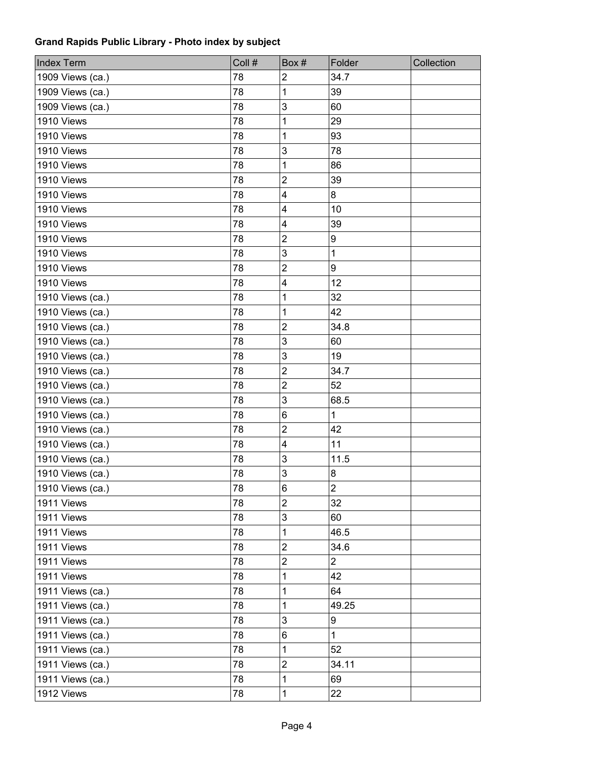| <b>Index Term</b> | Coll # | Box#                    | Folder         | Collection |
|-------------------|--------|-------------------------|----------------|------------|
| 1909 Views (ca.)  | 78     | $\overline{2}$          | 34.7           |            |
| 1909 Views (ca.)  | 78     | 1                       | 39             |            |
| 1909 Views (ca.)  | 78     | 3                       | 60             |            |
| 1910 Views        | 78     | 1                       | 29             |            |
| 1910 Views        | 78     | 1                       | 93             |            |
| 1910 Views        | 78     | 3                       | 78             |            |
| 1910 Views        | 78     | 1                       | 86             |            |
| 1910 Views        | 78     | $\overline{c}$          | 39             |            |
| 1910 Views        | 78     | 4                       | 8              |            |
| 1910 Views        | 78     | 4                       | 10             |            |
| 1910 Views        | 78     | $\overline{\mathbf{4}}$ | 39             |            |
| 1910 Views        | 78     | $\overline{2}$          | 9              |            |
| 1910 Views        | 78     | 3                       | $\mathbf{1}$   |            |
| 1910 Views        | 78     | $\overline{2}$          | 9              |            |
| 1910 Views        | 78     | $\overline{\mathbf{4}}$ | 12             |            |
| 1910 Views (ca.)  | 78     | 1                       | 32             |            |
| 1910 Views (ca.)  | 78     | 1                       | 42             |            |
| 1910 Views (ca.)  | 78     | $\overline{2}$          | 34.8           |            |
| 1910 Views (ca.)  | 78     | 3                       | 60             |            |
| 1910 Views (ca.)  | 78     | 3                       | 19             |            |
| 1910 Views (ca.)  | 78     | $\overline{2}$          | 34.7           |            |
| 1910 Views (ca.)  | 78     | $\overline{2}$          | 52             |            |
| 1910 Views (ca.)  | 78     | 3                       | 68.5           |            |
| 1910 Views (ca.)  | 78     | 6                       | $\mathbf{1}$   |            |
| 1910 Views (ca.)  | 78     | $\overline{2}$          | 42             |            |
| 1910 Views (ca.)  | 78     | 4                       | 11             |            |
| 1910 Views (ca.)  | 78     | 3                       | 11.5           |            |
| 1910 Views (ca.)  | 78     | 3                       | 8              |            |
| 1910 Views (ca.)  | 78     | 6                       | $\overline{2}$ |            |
| 1911 Views        | 78     | $\overline{c}$          | 32             |            |
| 1911 Views        | 78     | 3                       | 60             |            |
| 1911 Views        | 78     | 1                       | 46.5           |            |
| 1911 Views        | 78     | $\overline{2}$          | 34.6           |            |
| 1911 Views        | 78     | $\overline{\mathbf{c}}$ | $\overline{2}$ |            |
| 1911 Views        | 78     | 1                       | 42             |            |
| 1911 Views (ca.)  | 78     | 1                       | 64             |            |
| 1911 Views (ca.)  | 78     | 1                       | 49.25          |            |
| 1911 Views (ca.)  | 78     | 3                       | 9              |            |
| 1911 Views (ca.)  | 78     | 6                       | $\mathbf{1}$   |            |
| 1911 Views (ca.)  | 78     | 1                       | 52             |            |
| 1911 Views (ca.)  | 78     | 2                       | 34.11          |            |
| 1911 Views (ca.)  | 78     | 1                       | 69             |            |
| 1912 Views        | 78     | 1                       | 22             |            |
|                   |        |                         |                |            |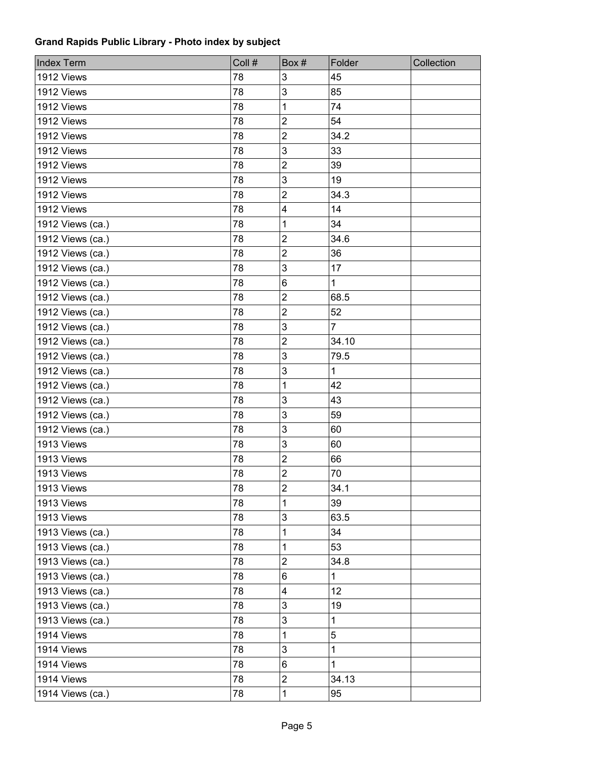| <b>Index Term</b> | Coll # | Box#                    | Folder         | Collection |
|-------------------|--------|-------------------------|----------------|------------|
| 1912 Views        | 78     | 3                       | 45             |            |
| 1912 Views        | 78     | 3                       | 85             |            |
| 1912 Views        | 78     | 1                       | 74             |            |
| 1912 Views        | 78     | $\overline{c}$          | 54             |            |
| 1912 Views        | 78     | $\overline{c}$          | 34.2           |            |
| 1912 Views        | 78     | 3                       | 33             |            |
| 1912 Views        | 78     | $\overline{c}$          | 39             |            |
| 1912 Views        | 78     | 3                       | 19             |            |
| 1912 Views        | 78     | $\overline{c}$          | 34.3           |            |
| 1912 Views        | 78     | 4                       | 14             |            |
| 1912 Views (ca.)  | 78     | 1                       | 34             |            |
| 1912 Views (ca.)  | 78     | $\overline{2}$          | 34.6           |            |
| 1912 Views (ca.)  | 78     | $\overline{c}$          | 36             |            |
| 1912 Views (ca.)  | 78     | 3                       | 17             |            |
| 1912 Views (ca.)  | 78     | 6                       | $\mathbf 1$    |            |
| 1912 Views (ca.)  | 78     | 2                       | 68.5           |            |
| 1912 Views (ca.)  | 78     | $\overline{\mathbf{c}}$ | 52             |            |
| 1912 Views (ca.)  | 78     | 3                       | $\overline{7}$ |            |
| 1912 Views (ca.)  | 78     | $\overline{c}$          | 34.10          |            |
| 1912 Views (ca.)  | 78     | 3                       | 79.5           |            |
| 1912 Views (ca.)  | 78     | 3                       | $\mathbf 1$    |            |
| 1912 Views (ca.)  | 78     | 1                       | 42             |            |
| 1912 Views (ca.)  | 78     | 3                       | 43             |            |
| 1912 Views (ca.)  | 78     | 3                       | 59             |            |
| 1912 Views (ca.)  | 78     | 3                       | 60             |            |
| 1913 Views        | 78     | 3                       | 60             |            |
| 1913 Views        | 78     | $\overline{c}$          | 66             |            |
| 1913 Views        | 78     | $\overline{\mathbf{c}}$ | 70             |            |
| 1913 Views        | 78     | $\overline{2}$          | 34.1           |            |
| 1913 Views        | 78     | 1                       | 39             |            |
| 1913 Views        | 78     | 3                       | 63.5           |            |
| 1913 Views (ca.)  | 78     | 1                       | 34             |            |
| 1913 Views (ca.)  | 78     | 1                       | 53             |            |
| 1913 Views (ca.)  | 78     | $\overline{c}$          | 34.8           |            |
| 1913 Views (ca.)  | 78     | 6                       | $\mathbf{1}$   |            |
| 1913 Views (ca.)  | 78     | 4                       | 12             |            |
| 1913 Views (ca.)  | 78     | 3                       | 19             |            |
| 1913 Views (ca.)  | 78     | 3                       | 1              |            |
| 1914 Views        | 78     | 1                       | 5              |            |
| 1914 Views        | 78     | 3                       | $\mathbf 1$    |            |
| 1914 Views        | 78     | 6                       | $\mathbf 1$    |            |
| 1914 Views        | 78     | $\overline{\mathbf{c}}$ | 34.13          |            |
| 1914 Views (ca.)  | 78     | 1                       | 95             |            |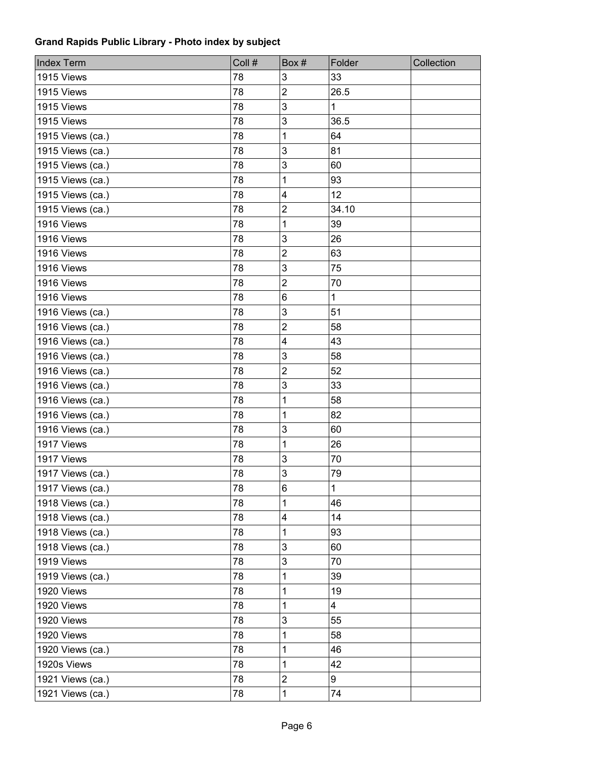| <b>Index Term</b> | Coll # | Box#                    | Folder       | Collection |
|-------------------|--------|-------------------------|--------------|------------|
| 1915 Views        | 78     | 3                       | 33           |            |
| 1915 Views        | 78     | $\overline{2}$          | 26.5         |            |
| 1915 Views        | 78     | 3                       | $\mathbf{1}$ |            |
| 1915 Views        | 78     | 3                       | 36.5         |            |
| 1915 Views (ca.)  | 78     | 1                       | 64           |            |
| 1915 Views (ca.)  | 78     | 3                       | 81           |            |
| 1915 Views (ca.)  | 78     | 3                       | 60           |            |
| 1915 Views (ca.)  | 78     | 1                       | 93           |            |
| 1915 Views (ca.)  | 78     | $\overline{\mathbf{4}}$ | 12           |            |
| 1915 Views (ca.)  | 78     | $\overline{2}$          | 34.10        |            |
| 1916 Views        | 78     | 1                       | 39           |            |
| 1916 Views        | 78     | 3                       | 26           |            |
| 1916 Views        | 78     | $\overline{2}$          | 63           |            |
| 1916 Views        | 78     | 3                       | 75           |            |
| 1916 Views        | 78     | $\overline{2}$          | 70           |            |
| 1916 Views        | 78     | 6                       | $\mathbf 1$  |            |
| 1916 Views (ca.)  | 78     | 3                       | 51           |            |
| 1916 Views (ca.)  | 78     | 2                       | 58           |            |
| 1916 Views (ca.)  | 78     | $\overline{\mathbf{4}}$ | 43           |            |
| 1916 Views (ca.)  | 78     | 3                       | 58           |            |
| 1916 Views (ca.)  | 78     | $\overline{2}$          | 52           |            |
| 1916 Views (ca.)  | 78     | 3                       | 33           |            |
| 1916 Views (ca.)  | 78     | 1                       | 58           |            |
| 1916 Views (ca.)  | 78     | 1                       | 82           |            |
| 1916 Views (ca.)  | 78     | 3                       | 60           |            |
| 1917 Views        | 78     | 1                       | 26           |            |
| 1917 Views        | 78     | 3                       | 70           |            |
| 1917 Views (ca.)  | 78     | 3                       | 79           |            |
| 1917 Views (ca.)  | 78     | 6                       | $\mathbf{1}$ |            |
| 1918 Views (ca.)  | 78     | 1                       | 46           |            |
| 1918 Views (ca.)  | 78     | 4                       | 14           |            |
| 1918 Views (ca.)  | 78     | 1                       | 93           |            |
| 1918 Views (ca.)  | 78     | 3                       | 60           |            |
| 1919 Views        | 78     | 3                       | 70           |            |
| 1919 Views (ca.)  | 78     | 1                       | 39           |            |
| 1920 Views        | 78     | 1                       | 19           |            |
| 1920 Views        | 78     | 1                       | 4            |            |
| 1920 Views        | 78     | 3                       | 55           |            |
| 1920 Views        | 78     | 1                       | 58           |            |
| 1920 Views (ca.)  | 78     | 1                       | 46           |            |
| 1920s Views       | 78     | 1                       | 42           |            |
| 1921 Views (ca.)  | 78     | $\overline{c}$          | 9            |            |
| 1921 Views (ca.)  | 78     | 1                       | 74           |            |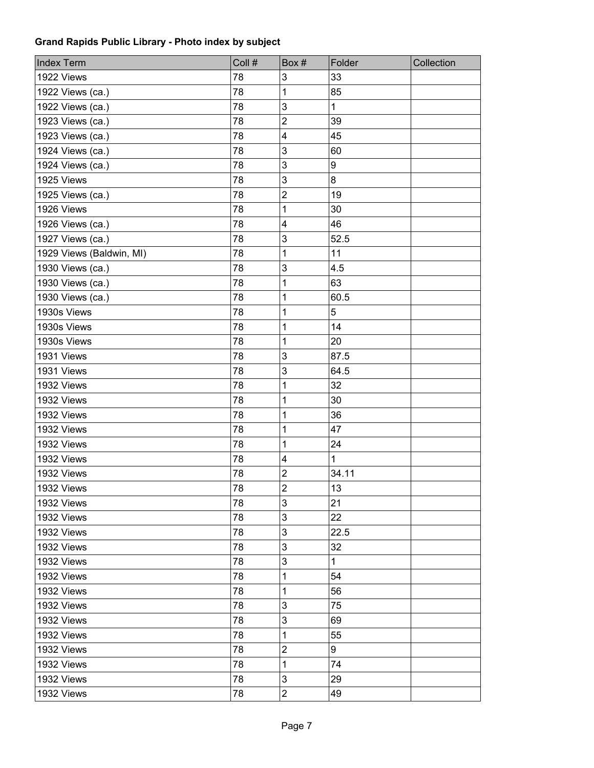| <b>Index Term</b>        | Coll # | Box#                    | Folder           | Collection |
|--------------------------|--------|-------------------------|------------------|------------|
| 1922 Views               | 78     | 3                       | 33               |            |
| 1922 Views (ca.)         | 78     | 1                       | 85               |            |
| 1922 Views (ca.)         | 78     | 3                       | $\mathbf 1$      |            |
| 1923 Views (ca.)         | 78     | $\overline{c}$          | 39               |            |
| 1923 Views (ca.)         | 78     | 4                       | 45               |            |
| 1924 Views (ca.)         | 78     | 3                       | 60               |            |
| 1924 Views (ca.)         | 78     | 3                       | $\boldsymbol{9}$ |            |
| 1925 Views               | 78     | 3                       | 8                |            |
| 1925 Views (ca.)         | 78     | $\overline{c}$          | 19               |            |
| 1926 Views               | 78     | 1                       | 30               |            |
| 1926 Views (ca.)         | 78     | $\overline{\mathbf{4}}$ | 46               |            |
| 1927 Views (ca.)         | 78     | 3                       | 52.5             |            |
| 1929 Views (Baldwin, MI) | 78     | 1                       | 11               |            |
| 1930 Views (ca.)         | 78     | 3                       | 4.5              |            |
| 1930 Views (ca.)         | 78     | 1                       | 63               |            |
| 1930 Views (ca.)         | 78     | 1                       | 60.5             |            |
| 1930s Views              | 78     | 1                       | 5                |            |
| 1930s Views              | 78     | 1                       | 14               |            |
| 1930s Views              | 78     | 1                       | 20               |            |
| 1931 Views               | 78     | 3                       | 87.5             |            |
| 1931 Views               | 78     | 3                       | 64.5             |            |
| 1932 Views               | 78     | 1                       | 32               |            |
| 1932 Views               | 78     | 1                       | 30               |            |
| 1932 Views               | 78     | 1                       | 36               |            |
| 1932 Views               | 78     | 1                       | 47               |            |
| 1932 Views               | 78     | 1                       | 24               |            |
| 1932 Views               | 78     | 4                       | $\mathbf{1}$     |            |
| 1932 Views               | 78     | $\overline{\mathbf{c}}$ | 34.11            |            |
| 1932 Views               | 78     | $\overline{2}$          | 13               |            |
| 1932 Views               | 78     | 3                       | 21               |            |
| 1932 Views               | 78     | 3                       | 22               |            |
| 1932 Views               | 78     | 3                       | 22.5             |            |
| 1932 Views               | 78     | 3                       | 32               |            |
| 1932 Views               | 78     | 3                       | $\mathbf{1}$     |            |
| 1932 Views               | 78     | 1                       | 54               |            |
| 1932 Views               | 78     | 1                       | 56               |            |
| 1932 Views               | 78     | 3                       | 75               |            |
| 1932 Views               | 78     | 3                       | 69               |            |
| 1932 Views               | 78     | 1                       | 55               |            |
| 1932 Views               | 78     | $\overline{2}$          | 9                |            |
| 1932 Views               | 78     | 1                       | 74               |            |
| 1932 Views               | 78     | 3                       | 29               |            |
| 1932 Views               | 78     | $\overline{c}$          | 49               |            |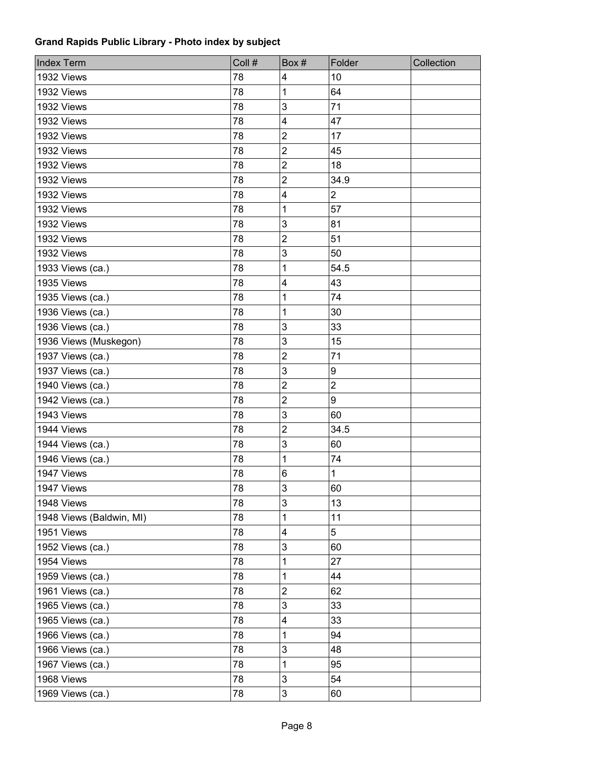| <b>Index Term</b>        | Coll # | Box#                    | Folder           | Collection |
|--------------------------|--------|-------------------------|------------------|------------|
| 1932 Views               | 78     | 4                       | 10               |            |
| 1932 Views               | 78     | 1                       | 64               |            |
| 1932 Views               | 78     | 3                       | 71               |            |
| 1932 Views               | 78     | 4                       | 47               |            |
| 1932 Views               | 78     | $\overline{2}$          | 17               |            |
| 1932 Views               | 78     | $\overline{c}$          | 45               |            |
| 1932 Views               | 78     | $\overline{c}$          | 18               |            |
| 1932 Views               | 78     | $\overline{2}$          | 34.9             |            |
| 1932 Views               | 78     | 4                       | $\mathbf 2$      |            |
| 1932 Views               | 78     | 1                       | 57               |            |
| 1932 Views               | 78     | 3                       | 81               |            |
| 1932 Views               | 78     | $\overline{2}$          | 51               |            |
| 1932 Views               | 78     | 3                       | 50               |            |
| 1933 Views (ca.)         | 78     | 1                       | 54.5             |            |
| 1935 Views               | 78     | $\overline{\mathbf{4}}$ | 43               |            |
| 1935 Views (ca.)         | 78     | 1                       | 74               |            |
| 1936 Views (ca.)         | 78     | 1                       | 30               |            |
| 1936 Views (ca.)         | 78     | 3                       | 33               |            |
| 1936 Views (Muskegon)    | 78     | 3                       | 15               |            |
| 1937 Views (ca.)         | 78     | $\overline{2}$          | 71               |            |
| 1937 Views (ca.)         | 78     | 3                       | 9                |            |
| 1940 Views (ca.)         | 78     | $\overline{2}$          | $\overline{2}$   |            |
| 1942 Views (ca.)         | 78     | $\overline{2}$          | $\boldsymbol{9}$ |            |
| 1943 Views               | 78     | 3                       | 60               |            |
| 1944 Views               | 78     | $\overline{2}$          | 34.5             |            |
| 1944 Views (ca.)         | 78     | 3                       | 60               |            |
| 1946 Views (ca.)         | 78     | 1                       | 74               |            |
| 1947 Views               | 78     | 6                       | 1                |            |
| 1947 Views               | 78     | 3                       | 60               |            |
| 1948 Views               | 78     | 3                       | 13               |            |
| 1948 Views (Baldwin, MI) | 78     | 1                       | 11               |            |
| 1951 Views               | 78     | $\overline{\mathbf{4}}$ | 5                |            |
| 1952 Views (ca.)         | 78     | 3                       | 60               |            |
| 1954 Views               | 78     | 1                       | 27               |            |
| 1959 Views (ca.)         | 78     | 1                       | 44               |            |
| 1961 Views (ca.)         | 78     | 2                       | 62               |            |
| 1965 Views (ca.)         | 78     | 3                       | 33               |            |
| 1965 Views (ca.)         | 78     | 4                       | 33               |            |
| 1966 Views (ca.)         | 78     | 1                       | 94               |            |
| 1966 Views (ca.)         | 78     | 3                       | 48               |            |
| 1967 Views (ca.)         | 78     | 1                       | 95               |            |
| 1968 Views               | 78     | 3                       | 54               |            |
| 1969 Views (ca.)         | 78     | 3                       | 60               |            |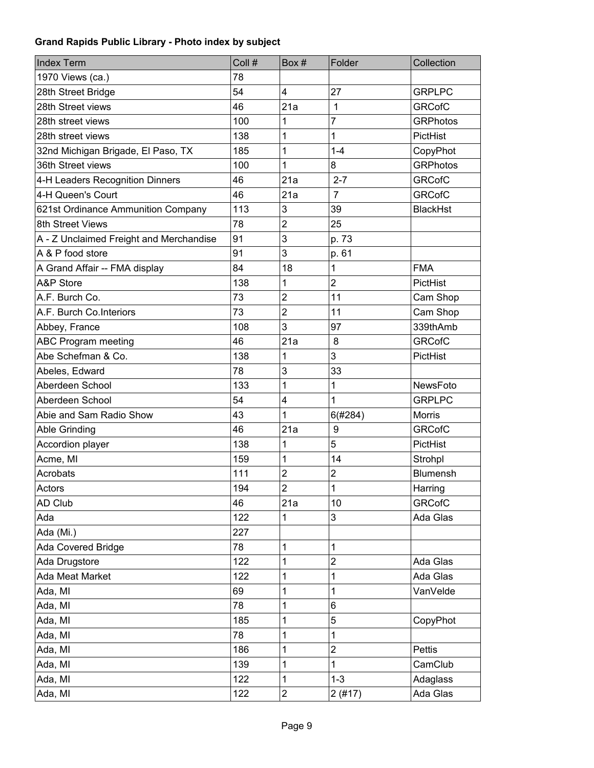| <b>Index Term</b>                       | Coll # | Box #                   | Folder                  | Collection      |
|-----------------------------------------|--------|-------------------------|-------------------------|-----------------|
| 1970 Views (ca.)                        | 78     |                         |                         |                 |
| 28th Street Bridge                      | 54     | $\overline{4}$          | 27                      | <b>GRPLPC</b>   |
| 28th Street views                       | 46     | 21a                     | $\mathbf{1}$            | <b>GRCofC</b>   |
| 28th street views                       | 100    | 1                       | 7                       | <b>GRPhotos</b> |
| 28th street views                       | 138    | 1                       | 1                       | PictHist        |
| 32nd Michigan Brigade, El Paso, TX      | 185    | 1                       | $1 - 4$                 | CopyPhot        |
| 36th Street views                       | 100    | 1                       | 8                       | <b>GRPhotos</b> |
| 4-H Leaders Recognition Dinners         | 46     | 21a                     | $2 - 7$                 | <b>GRCofC</b>   |
| 4-H Queen's Court                       | 46     | 21a                     | $\overline{7}$          | <b>GRCofC</b>   |
| 621st Ordinance Ammunition Company      | 113    | 3                       | 39                      | <b>BlackHst</b> |
| 8th Street Views                        | 78     | $\overline{2}$          | 25                      |                 |
| A - Z Unclaimed Freight and Merchandise | 91     | 3                       | p. 73                   |                 |
| A & P food store                        | 91     | 3                       | p. 61                   |                 |
| A Grand Affair -- FMA display           | 84     | 18                      | 1                       | <b>FMA</b>      |
| A&P Store                               | 138    | 1                       | $\overline{2}$          | PictHist        |
| A.F. Burch Co.                          | 73     | $\overline{2}$          | 11                      | Cam Shop        |
| A.F. Burch Co.Interiors                 | 73     | $\overline{2}$          | 11                      | Cam Shop        |
| Abbey, France                           | 108    | 3                       | 97                      | 339thAmb        |
| <b>ABC Program meeting</b>              | 46     | 21a                     | 8                       | <b>GRCofC</b>   |
| Abe Schefman & Co.                      | 138    | 1                       | 3                       | PictHist        |
| Abeles, Edward                          | 78     | 3                       | 33                      |                 |
| Aberdeen School                         | 133    | 1                       | 1                       | NewsFoto        |
| Aberdeen School                         | 54     | 4                       | 1                       | <b>GRPLPC</b>   |
| Abie and Sam Radio Show                 | 43     | 1                       | 6(#284)                 | <b>Morris</b>   |
| Able Grinding                           | 46     | 21a                     | 9                       | <b>GRCofC</b>   |
| Accordion player                        | 138    | 1                       | 5                       | PictHist        |
| Acme, MI                                | 159    | 1                       | 14                      | Strohpl         |
| Acrobats                                | 111    | $\overline{2}$          | $\overline{2}$          | Blumensh        |
| Actors                                  | 194    | $\overline{c}$          | 1                       | Harring         |
| AD Club                                 | 46     | 21a                     | 10                      | <b>GRCofC</b>   |
| Ada                                     | 122    | 1                       | 3                       | Ada Glas        |
| Ada (Mi.)                               | 227    |                         |                         |                 |
| Ada Covered Bridge                      | 78     | 1                       | 1                       |                 |
| Ada Drugstore                           | 122    | 1                       | $\overline{2}$          | Ada Glas        |
| Ada Meat Market                         | 122    | 1                       | 1                       | Ada Glas        |
| Ada, MI                                 | 69     | 1                       | 1                       | VanVelde        |
| Ada, MI                                 | 78     | 1                       | 6                       |                 |
| Ada, MI                                 | 185    | 1                       | 5                       | CopyPhot        |
| Ada, MI                                 | 78     | 1                       | 1                       |                 |
| Ada, MI                                 | 186    | 1                       | $\overline{\mathbf{c}}$ | Pettis          |
| Ada, MI                                 | 139    | 1                       | 1                       | CamClub         |
| Ada, MI                                 | 122    | 1                       | $1 - 3$                 | Adaglass        |
| Ada, MI                                 | 122    | $\overline{\mathbf{c}}$ | 2(#17)                  | Ada Glas        |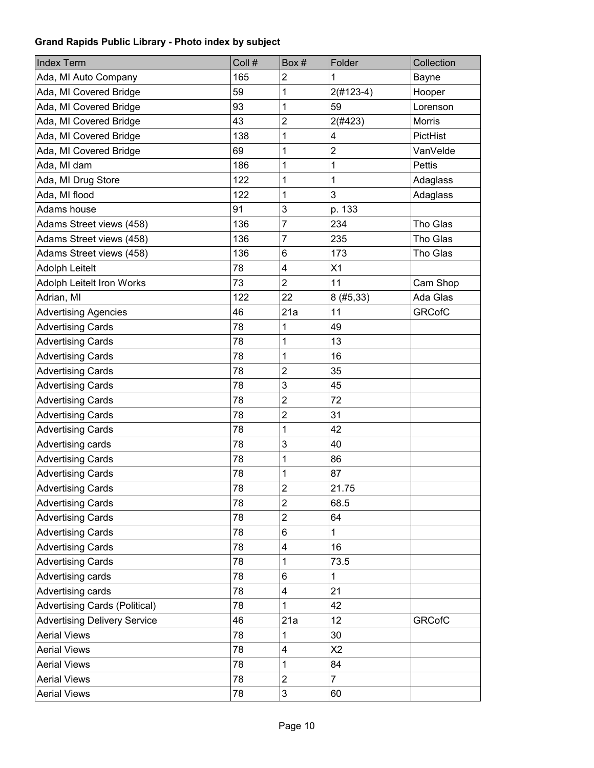| <b>Index Term</b>                    | Coll # | Box#                    | Folder         | Collection    |
|--------------------------------------|--------|-------------------------|----------------|---------------|
| Ada, MI Auto Company                 | 165    | $\overline{2}$          | 1              | Bayne         |
| Ada, MI Covered Bridge               | 59     | 1                       | $2(#123-4)$    | Hooper        |
| Ada, MI Covered Bridge               | 93     | 1                       | 59             | Lorenson      |
| Ada, MI Covered Bridge               | 43     | $\overline{2}$          | 2(#423)        | <b>Morris</b> |
| Ada, MI Covered Bridge               | 138    | 1                       | 4              | PictHist      |
| Ada, MI Covered Bridge               | 69     | 1                       | $\mathbf 2$    | VanVelde      |
| Ada, MI dam                          | 186    | 1                       | $\mathbf 1$    | <b>Pettis</b> |
| Ada, MI Drug Store                   | 122    | 1                       | 1              | Adaglass      |
| Ada, MI flood                        | 122    | 1                       | 3              | Adaglass      |
| Adams house                          | 91     | 3                       | p. 133         |               |
| Adams Street views (458)             | 136    | $\overline{7}$          | 234            | Tho Glas      |
| Adams Street views (458)             | 136    | $\overline{7}$          | 235            | Tho Glas      |
| Adams Street views (458)             | 136    | 6                       | 173            | Tho Glas      |
| <b>Adolph Leitelt</b>                | 78     | $\overline{\mathbf{4}}$ | X1             |               |
| Adolph Leitelt Iron Works            | 73     | $\overline{2}$          | 11             | Cam Shop      |
| Adrian, MI                           | 122    | 22                      | 8(#5, 33)      | Ada Glas      |
| <b>Advertising Agencies</b>          | 46     | 21a                     | 11             | <b>GRCofC</b> |
| <b>Advertising Cards</b>             | 78     | 1                       | 49             |               |
| <b>Advertising Cards</b>             | 78     | 1                       | 13             |               |
| <b>Advertising Cards</b>             | 78     | 1                       | 16             |               |
| <b>Advertising Cards</b>             | 78     | $\overline{c}$          | 35             |               |
| <b>Advertising Cards</b>             | 78     | 3                       | 45             |               |
| <b>Advertising Cards</b>             | 78     | $\overline{2}$          | 72             |               |
| <b>Advertising Cards</b>             | 78     | $\overline{2}$          | 31             |               |
| <b>Advertising Cards</b>             | 78     | 1                       | 42             |               |
| Advertising cards                    | 78     | 3                       | 40             |               |
| <b>Advertising Cards</b>             | 78     | 1                       | 86             |               |
| <b>Advertising Cards</b>             | 78     | 1                       | 87             |               |
| <b>Advertising Cards</b>             | 78     | $\overline{c}$          | 21.75          |               |
| <b>Advertising Cards</b>             | 78     | $\overline{2}$          | 68.5           |               |
| <b>Advertising Cards</b>             | 78     | $\overline{c}$          | 64             |               |
| <b>Advertising Cards</b>             | 78     | 6                       | $\mathbf{1}$   |               |
| <b>Advertising Cards</b>             | 78     | $\overline{\mathbf{4}}$ | 16             |               |
| <b>Advertising Cards</b>             | 78     | 1                       | 73.5           |               |
| Advertising cards                    | 78     | 6                       | $\mathbf{1}$   |               |
| Advertising cards                    | 78     | 4                       | 21             |               |
| <b>Advertising Cards (Political)</b> | 78     | 1                       | 42             |               |
| <b>Advertising Delivery Service</b>  | 46     | 21a                     | 12             | <b>GRCofC</b> |
| <b>Aerial Views</b>                  | 78     | 1                       | 30             |               |
| <b>Aerial Views</b>                  | 78     | 4                       | X <sub>2</sub> |               |
| <b>Aerial Views</b>                  | 78     | 1                       | 84             |               |
| <b>Aerial Views</b>                  | 78     | $\overline{2}$          | $\overline{7}$ |               |
| <b>Aerial Views</b>                  | 78     | 3                       | 60             |               |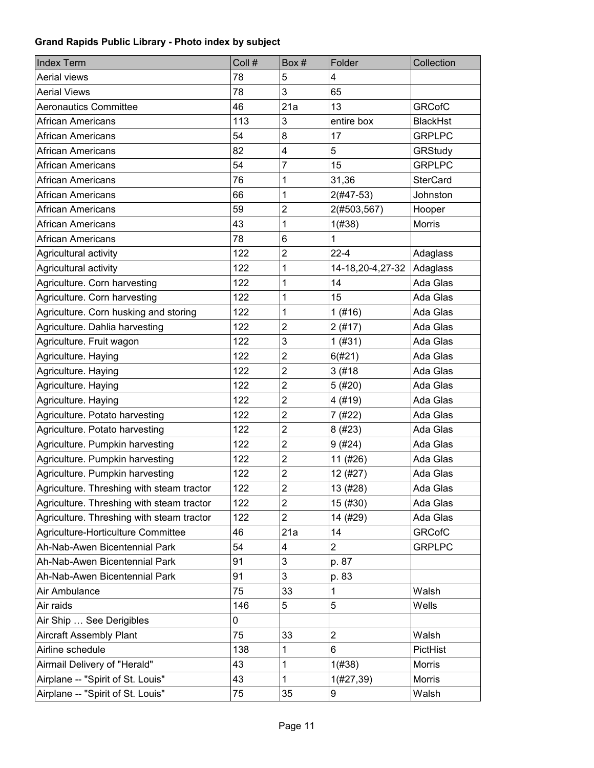| <b>Index Term</b>                         | Coll # | Box#                    | Folder           | Collection      |
|-------------------------------------------|--------|-------------------------|------------------|-----------------|
| Aerial views                              | 78     | 5                       | 4                |                 |
| <b>Aerial Views</b>                       | 78     | 3                       | 65               |                 |
| <b>Aeronautics Committee</b>              | 46     | 21a                     | 13               | <b>GRCofC</b>   |
| African Americans                         | 113    | 3                       | entire box       | <b>BlackHst</b> |
| African Americans                         | 54     | 8                       | 17               | <b>GRPLPC</b>   |
| <b>African Americans</b>                  | 82     | 4                       | 5                | GRStudy         |
| African Americans                         | 54     | $\overline{7}$          | 15               | <b>GRPLPC</b>   |
| <b>African Americans</b>                  | 76     | 1                       | 31,36            | <b>SterCard</b> |
| African Americans                         | 66     | 1                       | $2($ #47-53)     | Johnston        |
| African Americans                         | 59     | $\overline{c}$          | 2(#503,567)      | Hooper          |
| African Americans                         | 43     | 1                       | 1(#38)           | Morris          |
| African Americans                         | 78     | 6                       | 1                |                 |
| Agricultural activity                     | 122    | $\mathbf 2$             | $22 - 4$         | Adaglass        |
| Agricultural activity                     | 122    | 1                       | 14-18,20-4,27-32 | Adaglass        |
| Agriculture. Corn harvesting              | 122    | 1                       | 14               | Ada Glas        |
| Agriculture. Corn harvesting              | 122    | 1                       | 15               | Ada Glas        |
| Agriculture. Corn husking and storing     | 122    | 1                       | 1(#16)           | Ada Glas        |
| Agriculture. Dahlia harvesting            | 122    | $\overline{2}$          | 2(#17)           | Ada Glas        |
| Agriculture. Fruit wagon                  | 122    | 3                       | 1(#31)           | Ada Glas        |
| Agriculture. Haying                       | 122    | $\overline{2}$          | 6(#21)           | Ada Glas        |
| Agriculture. Haying                       | 122    | $\overline{2}$          | 3(#18)           | Ada Glas        |
| Agriculture. Haying                       | 122    | $\overline{2}$          | 5(#20)           | Ada Glas        |
| Agriculture. Haying                       | 122    | $\overline{2}$          | 4 (#19)          | Ada Glas        |
| Agriculture. Potato harvesting            | 122    | $\mathbf 2$             | 7(#22)           | Ada Glas        |
| Agriculture. Potato harvesting            | 122    | $\overline{2}$          | 8(#23)           | Ada Glas        |
| Agriculture. Pumpkin harvesting           | 122    | $\overline{2}$          | 9(#24)           | Ada Glas        |
| Agriculture. Pumpkin harvesting           | 122    | $\overline{2}$          | 11 (#26)         | Ada Glas        |
| Agriculture. Pumpkin harvesting           | 122    | $\overline{2}$          | 12 (#27)         | Ada Glas        |
| Agriculture. Threshing with steam tractor | 122    | $\overline{\mathbf{c}}$ | 13 (#28)         | Ada Glas        |
| Agriculture. Threshing with steam tractor | 122    | $\overline{\mathbf{c}}$ | 15 (#30)         | Ada Glas        |
| Agriculture. Threshing with steam tractor | 122    | $\overline{2}$          | 14 (#29)         | Ada Glas        |
| Agriculture-Horticulture Committee        | 46     | 21a                     | 14               | <b>GRCofC</b>   |
| Ah-Nab-Awen Bicentennial Park             | 54     | 4                       | $\overline{2}$   | <b>GRPLPC</b>   |
| Ah-Nab-Awen Bicentennial Park             | 91     | 3                       | p. 87            |                 |
| Ah-Nab-Awen Bicentennial Park             | 91     | 3                       | p. 83            |                 |
| Air Ambulance                             | 75     | 33                      | 1                | Walsh           |
| Air raids                                 | 146    | 5                       | 5                | Wells           |
| Air Ship  See Derigibles                  | 0      |                         |                  |                 |
| <b>Aircraft Assembly Plant</b>            | 75     | 33                      | $\overline{2}$   | Walsh           |
| Airline schedule                          | 138    | 1                       | 6                | PictHist        |
| Airmail Delivery of "Herald"              | 43     | 1                       | 1(#38)           | <b>Morris</b>   |
| Airplane -- "Spirit of St. Louis"         | 43     | 1                       | $1(\#27,39)$     | <b>Morris</b>   |
| Airplane -- "Spirit of St. Louis"         | 75     | 35                      | 9                | Walsh           |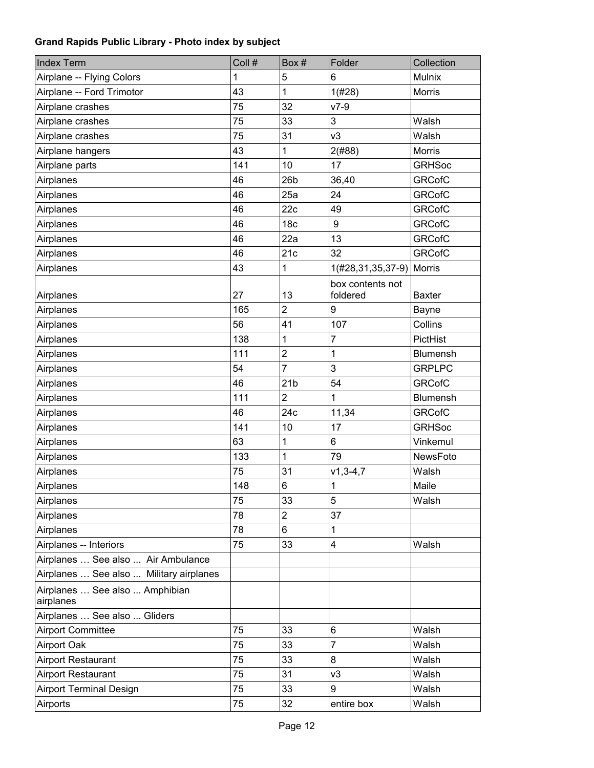| <b>Index Term</b>                           | Coll # | Box#            | Folder                       | Collection    |
|---------------------------------------------|--------|-----------------|------------------------------|---------------|
| Airplane -- Flying Colors                   |        | 5               | 6                            | Mulnix        |
| Airplane -- Ford Trimotor                   | 43     | 1               | 1(#28)                       | <b>Morris</b> |
| Airplane crashes                            | 75     | 32              | $v7-9$                       |               |
| Airplane crashes                            | 75     | 33              | 3                            | Walsh         |
| Airplane crashes                            | 75     | 31              | v3                           | Walsh         |
| Airplane hangers                            | 43     | 1               | 2(#88)                       | <b>Morris</b> |
| Airplane parts                              | 141    | 10              | 17                           | <b>GRHSoc</b> |
| Airplanes                                   | 46     | 26 <sub>b</sub> | 36,40                        | <b>GRCofC</b> |
| Airplanes                                   | 46     | 25a             | 24                           | <b>GRCofC</b> |
| Airplanes                                   | 46     | 22c             | 49                           | <b>GRCofC</b> |
| Airplanes                                   | 46     | 18 <sub>c</sub> | 9                            | <b>GRCofC</b> |
| Airplanes                                   | 46     | 22a             | 13                           | <b>GRCofC</b> |
| Airplanes                                   | 46     | 21c             | 32                           | <b>GRCofC</b> |
| Airplanes                                   | 43     | 1               | 1(#28,31,35,37-9)            | Morris        |
| Airplanes                                   | 27     | 13              | box contents not<br>foldered | <b>Baxter</b> |
| Airplanes                                   | 165    | $\overline{2}$  | 9                            | Bayne         |
| Airplanes                                   | 56     | 41              | 107                          | Collins       |
| Airplanes                                   | 138    | 1               | $\overline{7}$               | PictHist      |
| Airplanes                                   | 111    | $\overline{2}$  | $\mathbf 1$                  | Blumensh      |
| Airplanes                                   | 54     | 7               | 3                            | <b>GRPLPC</b> |
| Airplanes                                   | 46     | 21 <sub>b</sub> | 54                           | <b>GRCofC</b> |
| Airplanes                                   | 111    | $\overline{2}$  | 1                            | Blumensh      |
| Airplanes                                   | 46     | 24c             | 11,34                        | <b>GRCofC</b> |
| Airplanes                                   | 141    | 10              | 17                           | <b>GRHSoc</b> |
| Airplanes                                   | 63     | 1               | 6                            | Vinkemul      |
| Airplanes                                   | 133    | 1               | 79                           | NewsFoto      |
| Airplanes                                   | 75     | 31              | $v1, 3 - 4, 7$               | Walsh         |
| Airplanes                                   | 148    | 6               | $\mathbf{1}$                 | Maile         |
| Airplanes                                   | 75     | 33              | 5                            | Walsh         |
| Airplanes                                   | 78     | $\overline{2}$  | 37                           |               |
| Airplanes                                   | 78     | 6               | 1                            |               |
| Airplanes -- Interiors                      | 75     | 33              | 4                            | Walsh         |
| Airplanes  See also  Air Ambulance          |        |                 |                              |               |
| Airplanes  See also  Military airplanes     |        |                 |                              |               |
| Airplanes  See also  Amphibian<br>airplanes |        |                 |                              |               |
| Airplanes  See also  Gliders                |        |                 |                              |               |
| <b>Airport Committee</b>                    | 75     | 33              | 6                            | Walsh         |
| <b>Airport Oak</b>                          | 75     | 33              | $\overline{7}$               | Walsh         |
| Airport Restaurant                          | 75     | 33              | 8                            | Walsh         |
| <b>Airport Restaurant</b>                   | 75     | 31              | v3                           | Walsh         |
| <b>Airport Terminal Design</b>              | 75     | 33              | 9                            | Walsh         |
| Airports                                    | 75     | 32              | entire box                   | Walsh         |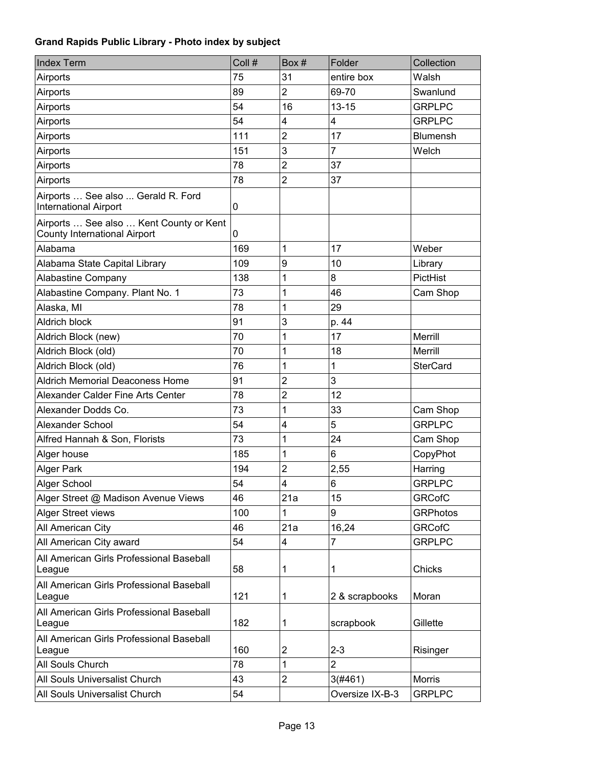| <b>Index Term</b>                                                       | Coll #       | Box#           | Folder          | Collection      |
|-------------------------------------------------------------------------|--------------|----------------|-----------------|-----------------|
| Airports                                                                | 75           | 31             | entire box      | Walsh           |
| Airports                                                                | 89           | $\overline{2}$ | 69-70           | Swanlund        |
| Airports                                                                | 54           | 16             | $13 - 15$       | <b>GRPLPC</b>   |
| Airports                                                                | 54           | $\overline{4}$ | 4               | <b>GRPLPC</b>   |
| Airports                                                                | 111          | $\overline{2}$ | 17              | <b>Blumensh</b> |
| Airports                                                                | 151          | 3              | $\overline{7}$  | Welch           |
| Airports                                                                | 78           | $\overline{2}$ | 37              |                 |
| Airports                                                                | 78           | 2              | 37              |                 |
| Airports  See also  Gerald R. Ford<br><b>International Airport</b>      | 0            |                |                 |                 |
| Airports  See also  Kent County or Kent<br>County International Airport | $\mathbf{0}$ |                |                 |                 |
| Alabama                                                                 | 169          | 1              | 17              | Weber           |
| Alabama State Capital Library                                           | 109          | 9              | 10              | Library         |
| Alabastine Company                                                      | 138          | 1              | 8               | <b>PictHist</b> |
| Alabastine Company. Plant No. 1                                         | 73           | 1              | 46              | Cam Shop        |
| Alaska, MI                                                              | 78           | 1              | 29              |                 |
| <b>Aldrich block</b>                                                    | 91           | 3              | p. 44           |                 |
| Aldrich Block (new)                                                     | 70           | 1              | 17              | Merrill         |
| Aldrich Block (old)                                                     | 70           | 1              | 18              | Merrill         |
| Aldrich Block (old)                                                     | 76           | 1              | 1               | <b>SterCard</b> |
| <b>Aldrich Memorial Deaconess Home</b>                                  | 91           | $\overline{2}$ | 3               |                 |
| Alexander Calder Fine Arts Center                                       | 78           | $\overline{2}$ | 12              |                 |
| Alexander Dodds Co.                                                     | 73           | 1              | 33              | Cam Shop        |
| Alexander School                                                        | 54           | 4              | 5               | <b>GRPLPC</b>   |
| Alfred Hannah & Son, Florists                                           | 73           | 1              | 24              | Cam Shop        |
| Alger house                                                             | 185          | 1              | 6               | CopyPhot        |
| <b>Alger Park</b>                                                       | 194          | $\overline{2}$ | 2,55            | Harring         |
| Alger School                                                            | 54           | 4              | 6               | <b>GRPLPC</b>   |
| Alger Street @ Madison Avenue Views                                     | 46           | 21a            | 15              | <b>GRCofC</b>   |
| Alger Street views                                                      | 100          | 1              | 9               | <b>GRPhotos</b> |
| All American City                                                       | 46           | 21a            | 16,24           | <b>GRCofC</b>   |
| All American City award                                                 | 54           | 4              | $\overline{7}$  | <b>GRPLPC</b>   |
| All American Girls Professional Baseball<br>League                      | 58           | 1              | 1               | Chicks          |
| All American Girls Professional Baseball<br>League                      | 121          | 1              | 2 & scrapbooks  | Moran           |
| All American Girls Professional Baseball<br>League                      | 182          | 1              | scrapbook       | Gillette        |
| All American Girls Professional Baseball<br>League                      | 160          | 2              | $2 - 3$         | Risinger        |
| All Souls Church                                                        | 78           | 1              | $\overline{2}$  |                 |
| All Souls Universalist Church                                           | 43           | $\overline{2}$ | 3(#461)         | <b>Morris</b>   |
| All Souls Universalist Church                                           | 54           |                | Oversize IX-B-3 | <b>GRPLPC</b>   |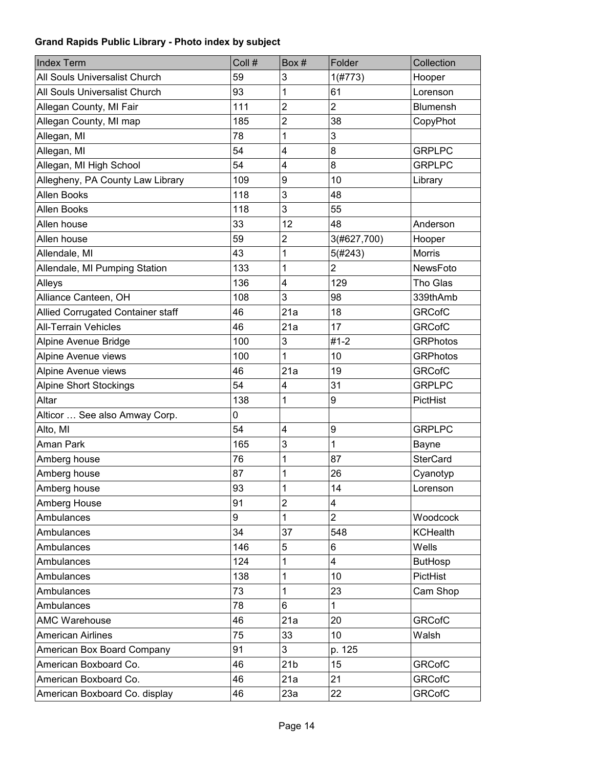| <b>Index Term</b>                 | Coll # | Box#                    | Folder         | Collection      |
|-----------------------------------|--------|-------------------------|----------------|-----------------|
| All Souls Universalist Church     | 59     | 3                       | 1(#773)        | Hooper          |
| All Souls Universalist Church     | 93     | 1                       | 61             | Lorenson        |
| Allegan County, MI Fair           | 111    | $\overline{2}$          | $\overline{2}$ | <b>Blumensh</b> |
| Allegan County, MI map            | 185    | $\overline{2}$          | 38             | CopyPhot        |
| Allegan, MI                       | 78     | 1                       | 3              |                 |
| Allegan, MI                       | 54     | 4                       | 8              | <b>GRPLPC</b>   |
| Allegan, MI High School           | 54     | 4                       | 8              | <b>GRPLPC</b>   |
| Allegheny, PA County Law Library  | 109    | 9                       | 10             | Library         |
| Allen Books                       | 118    | 3                       | 48             |                 |
| Allen Books                       | 118    | 3                       | 55             |                 |
| Allen house                       | 33     | 12                      | 48             | Anderson        |
| Allen house                       | 59     | $\overline{2}$          | 3(#627,700)    | Hooper          |
| Allendale, MI                     | 43     | 1                       | 5(#243)        | <b>Morris</b>   |
| Allendale, MI Pumping Station     | 133    | 1                       | $\overline{2}$ | <b>NewsFoto</b> |
| Alleys                            | 136    | 4                       | 129            | Tho Glas        |
| Alliance Canteen, OH              | 108    | 3                       | 98             | 339thAmb        |
| Allied Corrugated Container staff | 46     | 21a                     | 18             | <b>GRCofC</b>   |
| <b>All-Terrain Vehicles</b>       | 46     | 21a                     | 17             | <b>GRCofC</b>   |
| Alpine Avenue Bridge              | 100    | 3                       | $#1 - 2$       | <b>GRPhotos</b> |
| Alpine Avenue views               | 100    | 1                       | 10             | <b>GRPhotos</b> |
| Alpine Avenue views               | 46     | 21a                     | 19             | <b>GRCofC</b>   |
| <b>Alpine Short Stockings</b>     | 54     | 4                       | 31             | <b>GRPLPC</b>   |
| Altar                             | 138    | 1                       | 9              | PictHist        |
| Alticor  See also Amway Corp.     | 0      |                         |                |                 |
| Alto, MI                          | 54     | $\overline{\mathbf{4}}$ | 9              | <b>GRPLPC</b>   |
| Aman Park                         | 165    | 3                       | $\mathbf{1}$   | <b>Bayne</b>    |
| Amberg house                      | 76     | 1                       | 87             | <b>SterCard</b> |
| Amberg house                      | 87     | 1                       | 26             | Cyanotyp        |
| Amberg house                      | 93     | 1                       | 14             | Lorenson        |
| Amberg House                      | 91     | $\overline{2}$          | 4              |                 |
| Ambulances                        | 9      | 1                       | $\overline{2}$ | Woodcock        |
| Ambulances                        | 34     | 37                      | 548            | <b>KCHealth</b> |
| Ambulances                        | 146    | 5                       | 6              | Wells           |
| Ambulances                        | 124    | $\mathbf{1}$            | 4              | <b>ButHosp</b>  |
| Ambulances                        | 138    | 1                       | 10             | PictHist        |
| Ambulances                        | 73     | 1                       | 23             | Cam Shop        |
| Ambulances                        | 78     | 6                       | $\mathbf 1$    |                 |
| <b>AMC Warehouse</b>              | 46     | 21a                     | 20             | <b>GRCofC</b>   |
| <b>American Airlines</b>          | 75     | 33                      | 10             | Walsh           |
| American Box Board Company        | 91     | 3                       | p. 125         |                 |
| American Boxboard Co.             | 46     | 21 <sub>b</sub>         | 15             | <b>GRCofC</b>   |
| American Boxboard Co.             | 46     | 21a                     | 21             | <b>GRCofC</b>   |
| American Boxboard Co. display     | 46     | 23a                     | 22             | <b>GRCofC</b>   |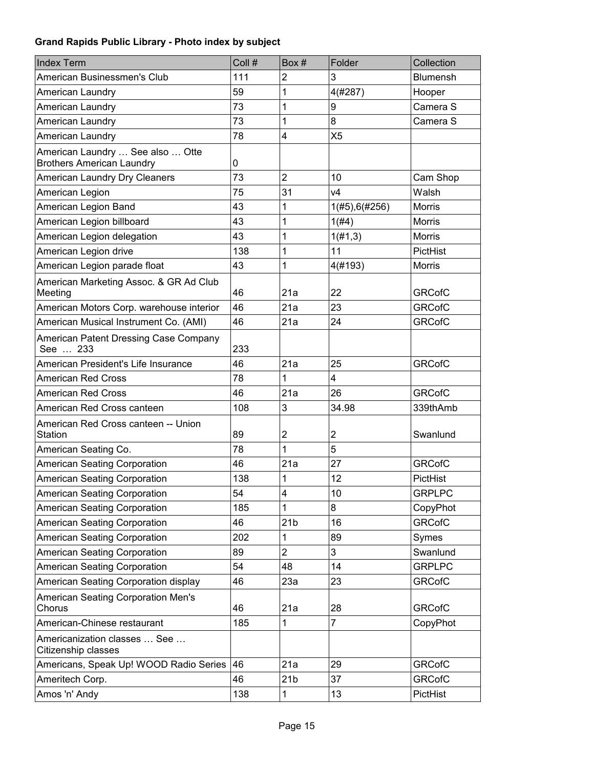| <b>Index Term</b>                                                    | Coll # | Box#                    | Folder         | Collection      |
|----------------------------------------------------------------------|--------|-------------------------|----------------|-----------------|
| American Businessmen's Club                                          | 111    | $\overline{2}$          | 3              | <b>Blumensh</b> |
| American Laundry                                                     | 59     | 1                       | 4(#287)        | Hooper          |
| American Laundry                                                     | 73     | 1                       | 9              | Camera S        |
| American Laundry                                                     | 73     | 1                       | 8              | Camera S        |
| American Laundry                                                     | 78     | $\overline{\mathbf{4}}$ | X <sub>5</sub> |                 |
| American Laundry  See also  Otte<br><b>Brothers American Laundry</b> | 0      |                         |                |                 |
| American Laundry Dry Cleaners                                        | 73     | $\overline{2}$          | 10             | Cam Shop        |
| American Legion                                                      | 75     | 31                      | V <sub>4</sub> | Walsh           |
| American Legion Band                                                 | 43     | 1                       | 1(#5),6(#256)  | Morris          |
| American Legion billboard                                            | 43     | 1                       | 1(H4)          | <b>Morris</b>   |
| American Legion delegation                                           | 43     | 1                       | 1(f#1,3)       | <b>Morris</b>   |
| American Legion drive                                                | 138    | 1                       | 11             | PictHist        |
| American Legion parade float                                         | 43     | 1                       | 4(#193)        | <b>Morris</b>   |
| American Marketing Assoc. & GR Ad Club<br>Meeting                    | 46     | 21a                     | 22             | <b>GRCofC</b>   |
| American Motors Corp. warehouse interior                             | 46     | 21a                     | 23             | <b>GRCofC</b>   |
| American Musical Instrument Co. (AMI)                                | 46     | 21a                     | 24             | <b>GRCofC</b>   |
| American Patent Dressing Case Company<br>See  233                    | 233    |                         |                |                 |
| American President's Life Insurance                                  | 46     | 21a                     | 25             | <b>GRCofC</b>   |
| <b>American Red Cross</b>                                            | 78     | 1                       | 4              |                 |
| <b>American Red Cross</b>                                            | 46     | 21a                     | 26             | <b>GRCofC</b>   |
| American Red Cross canteen                                           | 108    | 3                       | 34.98          | 339thAmb        |
| American Red Cross canteen -- Union<br>Station                       | 89     | $\overline{2}$          | $\overline{2}$ | Swanlund        |
| American Seating Co.                                                 | 78     | 1                       | 5              |                 |
| <b>American Seating Corporation</b>                                  | 46     | 21a                     | 27             | <b>GRCofC</b>   |
| American Seating Corporation                                         | 138    | 1                       | 12             | PictHist        |
| American Seating Corporation                                         | 54     | 4                       | 10             | <b>GRPLPC</b>   |
| American Seating Corporation                                         | 185    | 1                       | 8              | CopyPhot        |
| American Seating Corporation                                         | 46     | 21 <sub>b</sub>         | 16             | <b>GRCofC</b>   |
| American Seating Corporation                                         | 202    | 1                       | 89             | Symes           |
| <b>American Seating Corporation</b>                                  | 89     | $\overline{2}$          | 3              | Swanlund        |
| American Seating Corporation                                         | 54     | 48                      | 14             | <b>GRPLPC</b>   |
| American Seating Corporation display                                 | 46     | 23a                     | 23             | <b>GRCofC</b>   |
| American Seating Corporation Men's<br>Chorus                         | 46     | 21a                     | 28             | <b>GRCofC</b>   |
| American-Chinese restaurant                                          | 185    | 1                       | 7              | CopyPhot        |
| Americanization classes  See<br>Citizenship classes                  |        |                         |                |                 |
| Americans, Speak Up! WOOD Radio Series                               | 46     | 21a                     | 29             | <b>GRCofC</b>   |
| Ameritech Corp.                                                      | 46     | 21 <sub>b</sub>         | 37             | <b>GRCofC</b>   |
| Amos 'n' Andy                                                        | 138    | 1                       | 13             | PictHist        |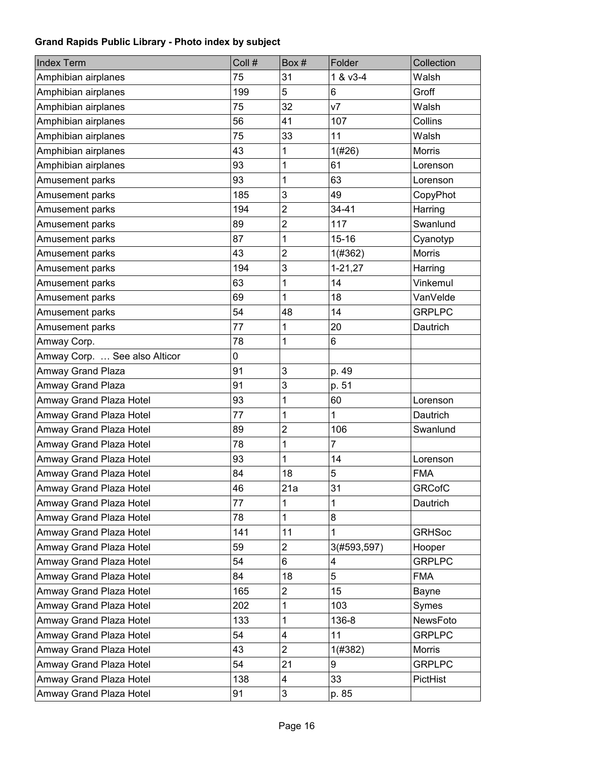| <b>Index Term</b>             | Coll # | Box#           | Folder         | Collection    |
|-------------------------------|--------|----------------|----------------|---------------|
| Amphibian airplanes           | 75     | 31             | 1 & v3-4       | Walsh         |
| Amphibian airplanes           | 199    | 5              | 6              | Groff         |
| Amphibian airplanes           | 75     | 32             | V <sub>7</sub> | Walsh         |
| Amphibian airplanes           | 56     | 41             | 107            | Collins       |
| Amphibian airplanes           | 75     | 33             | 11             | Walsh         |
| Amphibian airplanes           | 43     | 1              | 1(#26)         | <b>Morris</b> |
| Amphibian airplanes           | 93     | 1              | 61             | Lorenson      |
| Amusement parks               | 93     | 1              | 63             | Lorenson      |
| Amusement parks               | 185    | 3              | 49             | CopyPhot      |
| Amusement parks               | 194    | $\overline{2}$ | 34-41          | Harring       |
| Amusement parks               | 89     | $\overline{2}$ | 117            | Swanlund      |
| Amusement parks               | 87     | 1              | $15 - 16$      | Cyanotyp      |
| Amusement parks               | 43     | $\overline{2}$ | 1(#362)        | <b>Morris</b> |
| Amusement parks               | 194    | 3              | $1 - 21, 27$   | Harring       |
| Amusement parks               | 63     | 1              | 14             | Vinkemul      |
| Amusement parks               | 69     | 1              | 18             | VanVelde      |
| Amusement parks               | 54     | 48             | 14             | <b>GRPLPC</b> |
| Amusement parks               | 77     | 1              | 20             | Dautrich      |
| Amway Corp.                   | 78     | 1              | 6              |               |
| Amway Corp.  See also Alticor | 0      |                |                |               |
| Amway Grand Plaza             | 91     | 3              | p. 49          |               |
| Amway Grand Plaza             | 91     | 3              | p. 51          |               |
| Amway Grand Plaza Hotel       | 93     | 1              | 60             | Lorenson      |
| Amway Grand Plaza Hotel       | 77     | 1              | 1              | Dautrich      |
| Amway Grand Plaza Hotel       | 89     | $\overline{2}$ | 106            | Swanlund      |
| Amway Grand Plaza Hotel       | 78     | 1              | 7              |               |
| Amway Grand Plaza Hotel       | 93     | 1              | 14             | Lorenson      |
| Amway Grand Plaza Hotel       | 84     | 18             | 5              | <b>FMA</b>    |
| Amway Grand Plaza Hotel       | 46     | 21a            | 31             | <b>GRCofC</b> |
| Amway Grand Plaza Hotel       | 77     | 1              | 1              | Dautrich      |
| Amway Grand Plaza Hotel       | 78     | 1              | 8              |               |
| Amway Grand Plaza Hotel       | 141    | 11             | 1              | <b>GRHSoc</b> |
| Amway Grand Plaza Hotel       | 59     | 2              | 3(#593,597)    | Hooper        |
| Amway Grand Plaza Hotel       | 54     | 6              | 4              | <b>GRPLPC</b> |
| Amway Grand Plaza Hotel       | 84     | 18             | 5              | <b>FMA</b>    |
| Amway Grand Plaza Hotel       | 165    | $\overline{2}$ | 15             | Bayne         |
| Amway Grand Plaza Hotel       | 202    | 1              | 103            | Symes         |
| Amway Grand Plaza Hotel       | 133    | 1              | 136-8          | NewsFoto      |
| Amway Grand Plaza Hotel       | 54     | 4              | 11             | <b>GRPLPC</b> |
| Amway Grand Plaza Hotel       | 43     | $\overline{2}$ | 1(#382)        | Morris        |
| Amway Grand Plaza Hotel       | 54     | 21             | 9              | <b>GRPLPC</b> |
| Amway Grand Plaza Hotel       | 138    | 4              | 33             | PictHist      |
| Amway Grand Plaza Hotel       | 91     | 3              | p. 85          |               |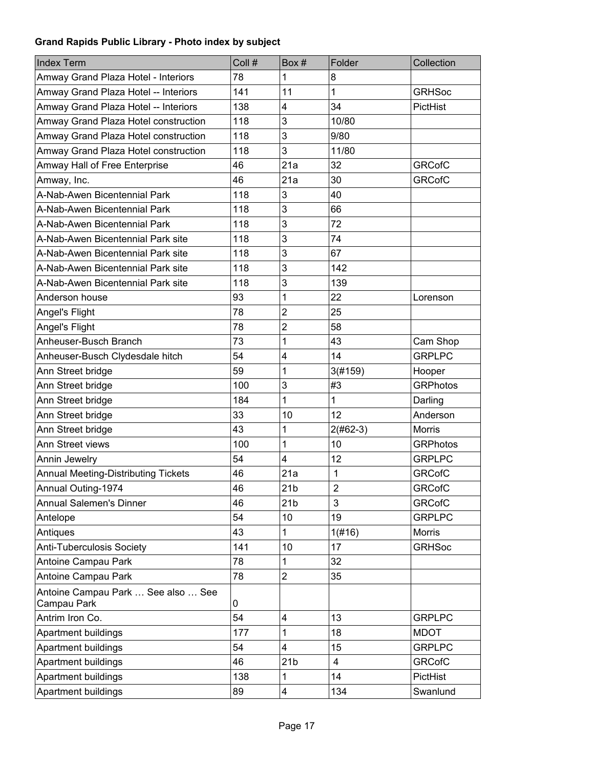| <b>Index Term</b>                                 | Coll #       | Box#                    | Folder         | Collection      |
|---------------------------------------------------|--------------|-------------------------|----------------|-----------------|
| Amway Grand Plaza Hotel - Interiors               | 78           | 1                       | 8              |                 |
| Amway Grand Plaza Hotel -- Interiors              | 141          | 11                      | 1              | <b>GRHSoc</b>   |
| Amway Grand Plaza Hotel -- Interiors              | 138          | $\overline{\mathbf{4}}$ | 34             | PictHist        |
| Amway Grand Plaza Hotel construction              | 118          | 3                       | 10/80          |                 |
| Amway Grand Plaza Hotel construction              | 118          | 3                       | 9/80           |                 |
| Amway Grand Plaza Hotel construction              | 118          | 3                       | 11/80          |                 |
| Amway Hall of Free Enterprise                     | 46           | 21a                     | 32             | <b>GRCofC</b>   |
| Amway, Inc.                                       | 46           | 21a                     | 30             | <b>GRCofC</b>   |
| A-Nab-Awen Bicentennial Park                      | 118          | 3                       | 40             |                 |
| A-Nab-Awen Bicentennial Park                      | 118          | 3                       | 66             |                 |
| A-Nab-Awen Bicentennial Park                      | 118          | 3                       | 72             |                 |
| A-Nab-Awen Bicentennial Park site                 | 118          | 3                       | 74             |                 |
| A-Nab-Awen Bicentennial Park site                 | 118          | 3                       | 67             |                 |
| A-Nab-Awen Bicentennial Park site                 | 118          | 3                       | 142            |                 |
| A-Nab-Awen Bicentennial Park site                 | 118          | 3                       | 139            |                 |
| Anderson house                                    | 93           | 1                       | 22             | Lorenson        |
| Angel's Flight                                    | 78           | $\overline{2}$          | 25             |                 |
| Angel's Flight                                    | 78           | $\overline{2}$          | 58             |                 |
| Anheuser-Busch Branch                             | 73           | 1                       | 43             | Cam Shop        |
| Anheuser-Busch Clydesdale hitch                   | 54           | 4                       | 14             | <b>GRPLPC</b>   |
| Ann Street bridge                                 | 59           | 1                       | 3(#159)        | Hooper          |
| Ann Street bridge                                 | 100          | 3                       | #3             | <b>GRPhotos</b> |
| Ann Street bridge                                 | 184          | 1                       | 1              | Darling         |
| Ann Street bridge                                 | 33           | 10                      | 12             | Anderson        |
| Ann Street bridge                                 | 43           | 1                       | $2(#62-3)$     | <b>Morris</b>   |
| Ann Street views                                  | 100          | 1                       | 10             | <b>GRPhotos</b> |
| Annin Jewelry                                     | 54           | $\overline{4}$          | 12             | <b>GRPLPC</b>   |
| <b>Annual Meeting-Distributing Tickets</b>        | 46           | 21a                     | $\mathbf{1}$   | <b>GRCofC</b>   |
| Annual Outing-1974                                | 46           | 21 <sub>b</sub>         | $\overline{2}$ | <b>GRCofC</b>   |
| <b>Annual Salemen's Dinner</b>                    | 46           | 21 <sub>b</sub>         | 3              | <b>GRCofC</b>   |
| Antelope                                          | 54           | 10                      | 19             | <b>GRPLPC</b>   |
| Antiques                                          | 43           | 1                       | 1(#16)         | <b>Morris</b>   |
| <b>Anti-Tuberculosis Society</b>                  | 141          | 10                      | 17             | <b>GRHSoc</b>   |
| Antoine Campau Park                               | 78           | 1                       | 32             |                 |
| Antoine Campau Park                               | 78           | $\overline{2}$          | 35             |                 |
| Antoine Campau Park  See also  See<br>Campau Park | $\mathbf{0}$ |                         |                |                 |
| Antrim Iron Co.                                   | 54           | 4                       | 13             | <b>GRPLPC</b>   |
| Apartment buildings                               | 177          | 1                       | 18             | <b>MDOT</b>     |
| Apartment buildings                               | 54           | $\overline{\mathbf{4}}$ | 15             | <b>GRPLPC</b>   |
| Apartment buildings                               | 46           | 21 <sub>b</sub>         | $\overline{4}$ | <b>GRCofC</b>   |
| Apartment buildings                               | 138          | 1                       | 14             | PictHist        |
| Apartment buildings                               | 89           | 4                       | 134            | Swanlund        |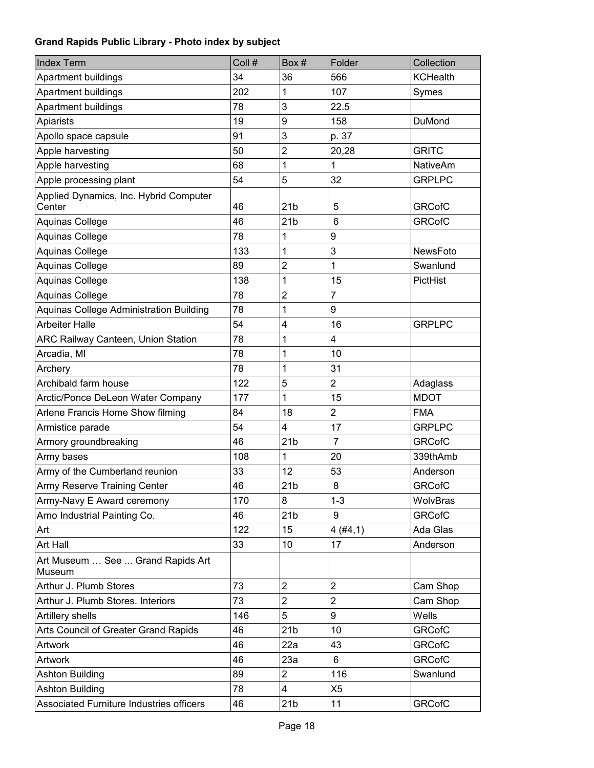| <b>Index Term</b>                              | Coll # | Box#            | Folder         | Collection      |
|------------------------------------------------|--------|-----------------|----------------|-----------------|
| Apartment buildings                            | 34     | 36              | 566            | <b>KCHealth</b> |
| Apartment buildings                            | 202    | 1               | 107            | Symes           |
| Apartment buildings                            | 78     | 3               | 22.5           |                 |
| Apiarists                                      | 19     | 9               | 158            | DuMond          |
| Apollo space capsule                           | 91     | 3               | p. 37          |                 |
| Apple harvesting                               | 50     | $\overline{2}$  | 20,28          | <b>GRITC</b>    |
| Apple harvesting                               | 68     | 1               | 1              | <b>NativeAm</b> |
| Apple processing plant                         | 54     | 5               | 32             | <b>GRPLPC</b>   |
| Applied Dynamics, Inc. Hybrid Computer         |        |                 |                |                 |
| Center                                         | 46     | 21 <sub>b</sub> | 5<br>6         | <b>GRCofC</b>   |
| Aquinas College                                | 46     | 21 <sub>b</sub> |                | <b>GRCofC</b>   |
| Aquinas College                                | 78     | 1               | 9              |                 |
| Aquinas College                                | 133    | 1               | 3              | NewsFoto        |
| Aquinas College                                | 89     | $\overline{2}$  | 1              | Swanlund        |
| Aquinas College                                | 138    | 1               | 15             | PictHist        |
| Aquinas College                                | 78     | $\overline{2}$  | 7              |                 |
| <b>Aquinas College Administration Building</b> | 78     | 1               | 9              |                 |
| <b>Arbeiter Halle</b>                          | 54     | 4               | 16             | <b>GRPLPC</b>   |
| ARC Railway Canteen, Union Station             | 78     | 1               | 4              |                 |
| Arcadia, MI                                    | 78     | 1               | 10             |                 |
| Archery                                        | 78     | 1               | 31             |                 |
| Archibald farm house                           | 122    | 5               | $\overline{2}$ | Adaglass        |
| Arctic/Ponce DeLeon Water Company              | 177    | 1               | 15             | <b>MDOT</b>     |
| Arlene Francis Home Show filming               | 84     | 18              | $\overline{2}$ | <b>FMA</b>      |
| Armistice parade                               | 54     | 4               | 17             | <b>GRPLPC</b>   |
| Armory groundbreaking                          | 46     | 21 <sub>b</sub> | $\overline{7}$ | <b>GRCofC</b>   |
| Army bases                                     | 108    | 1               | 20             | 339thAmb        |
| Army of the Cumberland reunion                 | 33     | 12              | 53             | Anderson        |
| Army Reserve Training Center                   | 46     | 21 <sub>b</sub> | 8              | <b>GRCofC</b>   |
| Army-Navy E Award ceremony                     | 170    | 8               | $1 - 3$        | WolvBras        |
| Arno Industrial Painting Co.                   | 46     | 21 <sub>b</sub> | 9              | <b>GRCofC</b>   |
| Art                                            | 122    | 15              | 4(#4,1)        | Ada Glas        |
| Art Hall                                       | 33     | 10              | 17             | Anderson        |
| Art Museum  See  Grand Rapids Art<br>Museum    |        |                 |                |                 |
| Arthur J. Plumb Stores                         | 73     | $\overline{2}$  | $\overline{2}$ | Cam Shop        |
| Arthur J. Plumb Stores. Interiors              | 73     | $\overline{c}$  | $\overline{2}$ | Cam Shop        |
| Artillery shells                               | 146    | 5               | 9              | Wells           |
| Arts Council of Greater Grand Rapids           | 46     | 21 <sub>b</sub> | 10             | <b>GRCofC</b>   |
| Artwork                                        | 46     | 22a             | 43             | <b>GRCofC</b>   |
| Artwork                                        | 46     | 23a             | 6              | <b>GRCofC</b>   |
| Ashton Building                                | 89     | $\overline{2}$  | 116            | Swanlund        |
| Ashton Building                                | 78     | 4               | X <sub>5</sub> |                 |
| Associated Furniture Industries officers       | 46     | 21 <sub>b</sub> | 11             | <b>GRCofC</b>   |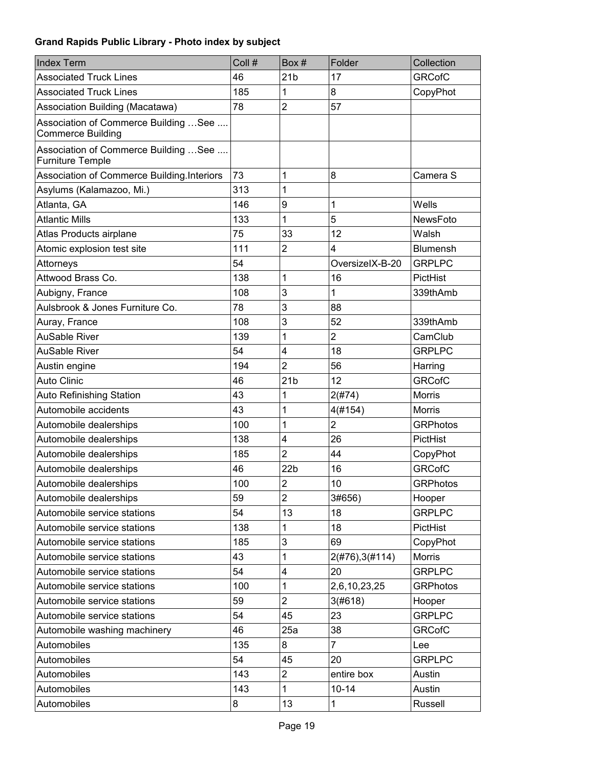| <b>Index Term</b>                                                 | Coll # | Box#            | Folder          | Collection      |
|-------------------------------------------------------------------|--------|-----------------|-----------------|-----------------|
| <b>Associated Truck Lines</b>                                     | 46     | 21 <sub>b</sub> | 17              | <b>GRCofC</b>   |
| <b>Associated Truck Lines</b>                                     | 185    | 1               | 8               | CopyPhot        |
| Association Building (Macatawa)                                   | 78     | $\overline{2}$  | 57              |                 |
| Association of Commerce Building  See<br><b>Commerce Building</b> |        |                 |                 |                 |
| Association of Commerce Building  See<br><b>Furniture Temple</b>  |        |                 |                 |                 |
| Association of Commerce Building.Interiors                        | 73     | 1               | 8               | Camera S        |
| Asylums (Kalamazoo, Mi.)                                          | 313    | 1               |                 |                 |
| Atlanta, GA                                                       | 146    | 9               | 1               | Wells           |
| <b>Atlantic Mills</b>                                             | 133    | 1               | 5               | NewsFoto        |
| Atlas Products airplane                                           | 75     | 33              | 12              | Walsh           |
| Atomic explosion test site                                        | 111    | $\overline{2}$  | 4               | <b>Blumensh</b> |
| Attorneys                                                         | 54     |                 | OversizelX-B-20 | <b>GRPLPC</b>   |
| Attwood Brass Co.                                                 | 138    | 1               | 16              | PictHist        |
| Aubigny, France                                                   | 108    | 3               | 1               | 339thAmb        |
| Aulsbrook & Jones Furniture Co.                                   | 78     | 3               | 88              |                 |
| Auray, France                                                     | 108    | 3               | 52              | 339thAmb        |
| <b>AuSable River</b>                                              | 139    | 1               | $\overline{2}$  | CamClub         |
| <b>AuSable River</b>                                              | 54     | 4               | 18              | <b>GRPLPC</b>   |
| Austin engine                                                     | 194    | $\overline{2}$  | 56              | Harring         |
| <b>Auto Clinic</b>                                                | 46     | 21 <sub>b</sub> | 12              | <b>GRCofC</b>   |
| <b>Auto Refinishing Station</b>                                   | 43     | 1               | 2(#74)          | <b>Morris</b>   |
| Automobile accidents                                              | 43     | 1               | 4(#154)         | <b>Morris</b>   |
| Automobile dealerships                                            | 100    | 1               | $\overline{2}$  | <b>GRPhotos</b> |
| Automobile dealerships                                            | 138    | 4               | 26              | PictHist        |
| Automobile dealerships                                            | 185    | $\overline{2}$  | 44              | CopyPhot        |
| Automobile dealerships                                            | 46     | 22 <sub>b</sub> | 16              | <b>GRCofC</b>   |
| Automobile dealerships                                            | 100    | $\overline{c}$  | 10              | <b>GRPhotos</b> |
| Automobile dealerships                                            | 59     | $\overline{2}$  | 3#656)          | Hooper          |
| Automobile service stations                                       | 54     | 13              | 18              | <b>GRPLPC</b>   |
| Automobile service stations                                       | 138    | 1               | 18              | PictHist        |
| Automobile service stations                                       | 185    | 3               | 69              | CopyPhot        |
| Automobile service stations                                       | 43     | 1               | 2(#76), 3(#114) | <b>Morris</b>   |
| Automobile service stations                                       | 54     | 4               | 20              | <b>GRPLPC</b>   |
| Automobile service stations                                       | 100    | 1               | 2,6,10,23,25    | <b>GRPhotos</b> |
| Automobile service stations                                       | 59     | $\overline{2}$  | 3(#618)         | Hooper          |
| Automobile service stations                                       | 54     | 45              | 23              | <b>GRPLPC</b>   |
| Automobile washing machinery                                      | 46     | 25a             | 38              | <b>GRCofC</b>   |
| Automobiles                                                       | 135    | 8               | $\overline{7}$  | Lee             |
| Automobiles                                                       | 54     | 45              | 20              | <b>GRPLPC</b>   |
| Automobiles                                                       | 143    | $\overline{c}$  | entire box      | Austin          |
| Automobiles                                                       | 143    | 1               | $10 - 14$       | Austin          |
| Automobiles                                                       | 8      | 13              | 1               | Russell         |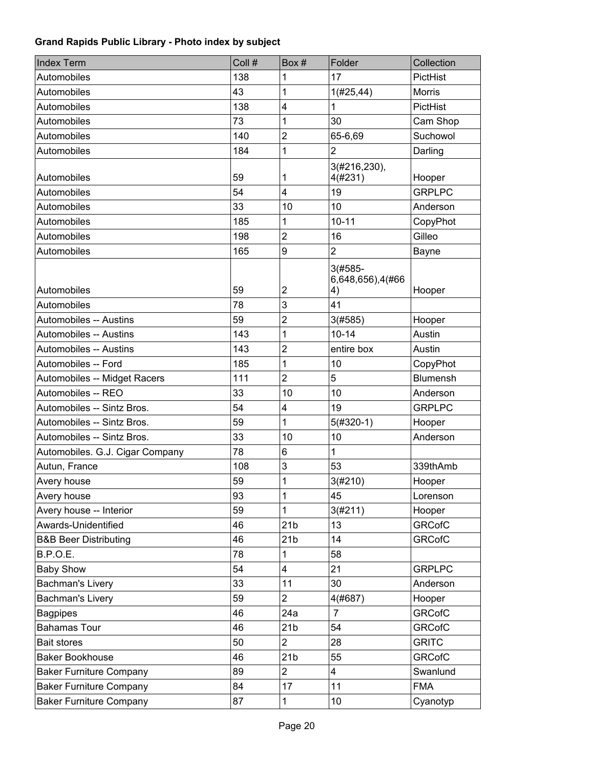| <b>Index Term</b>                | Coll # | Box #                   | Folder                               | Collection      |
|----------------------------------|--------|-------------------------|--------------------------------------|-----------------|
| Automobiles                      | 138    | 1                       | 17                                   | PictHist        |
| Automobiles                      | 43     | 1                       | 1(#25, 44)                           | <b>Morris</b>   |
| Automobiles                      | 138    | 4                       | 1                                    | PictHist        |
| Automobiles                      | 73     | 1                       | 30                                   | Cam Shop        |
| Automobiles                      | 140    | $\overline{2}$          | 65-6,69                              | Suchowol        |
| Automobiles                      | 184    | 1                       | $\overline{2}$                       | Darling         |
| Automobiles                      | 59     | 1                       | 3(#216,230),<br>4(#231)              | Hooper          |
| Automobiles                      | 54     | $\overline{4}$          | 19                                   | <b>GRPLPC</b>   |
| Automobiles                      | 33     | 10                      | 10                                   | Anderson        |
| Automobiles                      | 185    | 1                       | $10 - 11$                            | CopyPhot        |
| Automobiles                      | 198    | $\overline{2}$          | 16                                   | Gilleo          |
| Automobiles                      | 165    | 9                       | $\overline{2}$                       | Bayne           |
| Automobiles                      | 59     | $\overline{\mathbf{c}}$ | $3(#585 -$<br>6,648,656),4(#66<br>4) | Hooper          |
| Automobiles                      | 78     | 3                       | 41                                   |                 |
| Automobiles -- Austins           | 59     | $\overline{2}$          | 3(#585)                              | Hooper          |
| Automobiles -- Austins           | 143    | 1                       | $10 - 14$                            | Austin          |
| Automobiles -- Austins           | 143    | $\overline{2}$          | entire box                           | Austin          |
| Automobiles -- Ford              | 185    | 1                       | 10                                   | CopyPhot        |
| Automobiles -- Midget Racers     | 111    | $\overline{2}$          | 5                                    | <b>Blumensh</b> |
| Automobiles -- REO               | 33     | 10                      | 10                                   | Anderson        |
| Automobiles -- Sintz Bros.       | 54     | 4                       | 19                                   | <b>GRPLPC</b>   |
| Automobiles -- Sintz Bros.       | 59     | 1                       | $5(#320-1)$                          | Hooper          |
| Automobiles -- Sintz Bros.       | 33     | 10                      | 10                                   | Anderson        |
| Automobiles. G.J. Cigar Company  | 78     | 6                       | 1                                    |                 |
| Autun, France                    | 108    | 3                       | 53                                   | 339thAmb        |
| Avery house                      | 59     | 1                       | 3(#210)                              | Hooper          |
| Avery house                      | 93     | 1                       | 45                                   | Lorenson        |
| Avery house -- Interior          | 59     | 1                       | 3(#211)                              | Hooper          |
| Awards-Unidentified              | 46     | 21 <sub>b</sub>         | 13                                   | <b>GRCofC</b>   |
| <b>B&amp;B Beer Distributing</b> | 46     | 21 <sub>b</sub>         | 14                                   | <b>GRCofC</b>   |
| <b>B.P.O.E.</b>                  | 78     | 1                       | 58                                   |                 |
| <b>Baby Show</b>                 | 54     | 4                       | 21                                   | <b>GRPLPC</b>   |
| Bachman's Livery                 | 33     | 11                      | 30                                   | Anderson        |
| Bachman's Livery                 | 59     | $\overline{2}$          | 4(#687)                              | Hooper          |
| <b>Bagpipes</b>                  | 46     | 24a                     | $\overline{7}$                       | <b>GRCofC</b>   |
| <b>Bahamas Tour</b>              | 46     | 21 <sub>b</sub>         | 54                                   | <b>GRCofC</b>   |
| <b>Bait stores</b>               | 50     | $\overline{2}$          | 28                                   | <b>GRITC</b>    |
| <b>Baker Bookhouse</b>           | 46     | 21 <sub>b</sub>         | 55                                   | <b>GRCofC</b>   |
| <b>Baker Furniture Company</b>   | 89     | $\overline{2}$          | 4                                    | Swanlund        |
| <b>Baker Furniture Company</b>   | 84     | 17                      | 11                                   | <b>FMA</b>      |
| <b>Baker Furniture Company</b>   | 87     | 1                       | 10                                   | Cyanotyp        |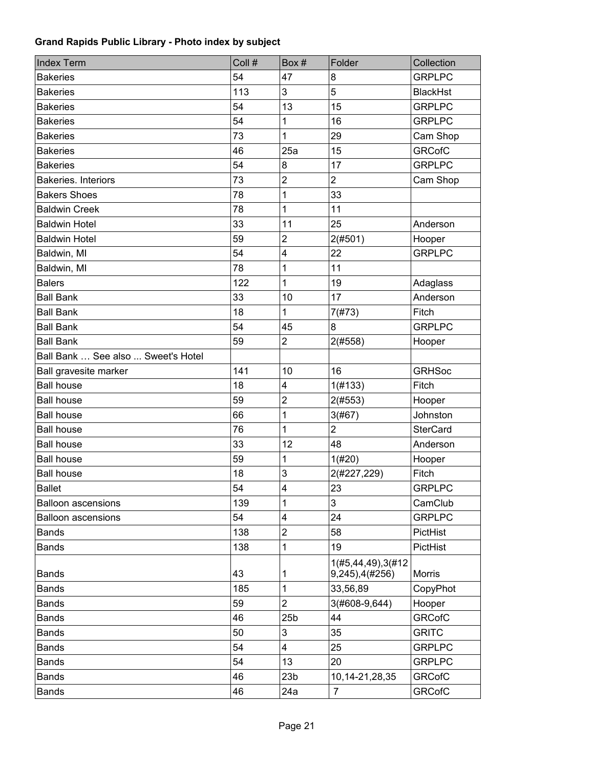| <b>Index Term</b>                  | Coll # | Box#                    | Folder                                    | Collection      |
|------------------------------------|--------|-------------------------|-------------------------------------------|-----------------|
| <b>Bakeries</b>                    | 54     | 47                      | 8                                         | <b>GRPLPC</b>   |
| <b>Bakeries</b>                    | 113    | 3                       | 5                                         | <b>BlackHst</b> |
| <b>Bakeries</b>                    | 54     | 13                      | 15                                        | <b>GRPLPC</b>   |
| <b>Bakeries</b>                    | 54     | 1                       | 16                                        | <b>GRPLPC</b>   |
| <b>Bakeries</b>                    | 73     | $\overline{1}$          | 29                                        | Cam Shop        |
| <b>Bakeries</b>                    | 46     | 25a                     | 15                                        | <b>GRCofC</b>   |
| <b>Bakeries</b>                    | 54     | 8                       | 17                                        | <b>GRPLPC</b>   |
| <b>Bakeries. Interiors</b>         | 73     | $\overline{2}$          | $\overline{2}$                            | Cam Shop        |
| <b>Bakers Shoes</b>                | 78     | $\mathbf 1$             | 33                                        |                 |
| <b>Baldwin Creek</b>               | 78     | 1                       | 11                                        |                 |
| <b>Baldwin Hotel</b>               | 33     | 11                      | 25                                        | Anderson        |
| <b>Baldwin Hotel</b>               | 59     | $\overline{c}$          | 2(#501)                                   | Hooper          |
| Baldwin, MI                        | 54     | $\overline{\mathbf{4}}$ | 22                                        | <b>GRPLPC</b>   |
| Baldwin, MI                        | 78     | 1                       | 11                                        |                 |
| <b>Balers</b>                      | 122    | $\mathbf{1}$            | 19                                        | Adaglass        |
| <b>Ball Bank</b>                   | 33     | 10                      | 17                                        | Anderson        |
| <b>Ball Bank</b>                   | 18     | 1                       | 7(#73)                                    | Fitch           |
| <b>Ball Bank</b>                   | 54     | 45                      | 8                                         | <b>GRPLPC</b>   |
| <b>Ball Bank</b>                   | 59     | $\overline{2}$          | 2(#558)                                   | Hooper          |
| Ball Bank  See also  Sweet's Hotel |        |                         |                                           |                 |
| Ball gravesite marker              | 141    | 10                      | 16                                        | <b>GRHSoc</b>   |
| <b>Ball house</b>                  | 18     | 4                       | 1(#133)                                   | Fitch           |
| <b>Ball house</b>                  | 59     | $\overline{c}$          | 2(#553)                                   | Hooper          |
| <b>Ball house</b>                  | 66     | $\mathbf 1$             | 3(#67)                                    | Johnston        |
| <b>Ball house</b>                  | 76     | 1                       | $\overline{2}$                            | <b>SterCard</b> |
| <b>Ball house</b>                  | 33     | 12                      | 48                                        | Anderson        |
| <b>Ball house</b>                  | 59     | 1                       | 1(#20)                                    | Hooper          |
| <b>Ball house</b>                  | 18     | 3                       | 2(#227,229)                               | Fitch           |
| <b>Ballet</b>                      | 54     | 4                       | 23                                        | <b>GRPLPC</b>   |
| <b>Balloon ascensions</b>          | 139    | 1                       | 3                                         | CamClub         |
| <b>Balloon ascensions</b>          | 54     | 4                       | 24                                        | <b>GRPLPC</b>   |
| <b>Bands</b>                       | 138    | $\overline{c}$          | 58                                        | PictHist        |
| <b>Bands</b>                       | 138    | 1                       | 19                                        | PictHist        |
| <b>Bands</b>                       | 43     | 1                       | 1(#5,44,49),3(#12<br>$9,245$ , $4$ (#256) | Morris          |
| <b>Bands</b>                       | 185    | 1                       | 33,56,89                                  | CopyPhot        |
| <b>Bands</b>                       | 59     | $\overline{2}$          | 3(#608-9,644)                             | Hooper          |
| <b>Bands</b>                       | 46     | 25 <sub>b</sub>         | 44                                        | <b>GRCofC</b>   |
| <b>Bands</b>                       | 50     | 3                       | 35                                        | <b>GRITC</b>    |
| <b>Bands</b>                       | 54     | 4                       | 25                                        | <b>GRPLPC</b>   |
| <b>Bands</b>                       | 54     | 13                      | 20                                        | <b>GRPLPC</b>   |
| <b>Bands</b>                       | 46     | 23 <sub>b</sub>         | 10,14-21,28,35                            | <b>GRCofC</b>   |
| <b>Bands</b>                       | 46     | 24a                     | $\overline{7}$                            | <b>GRCofC</b>   |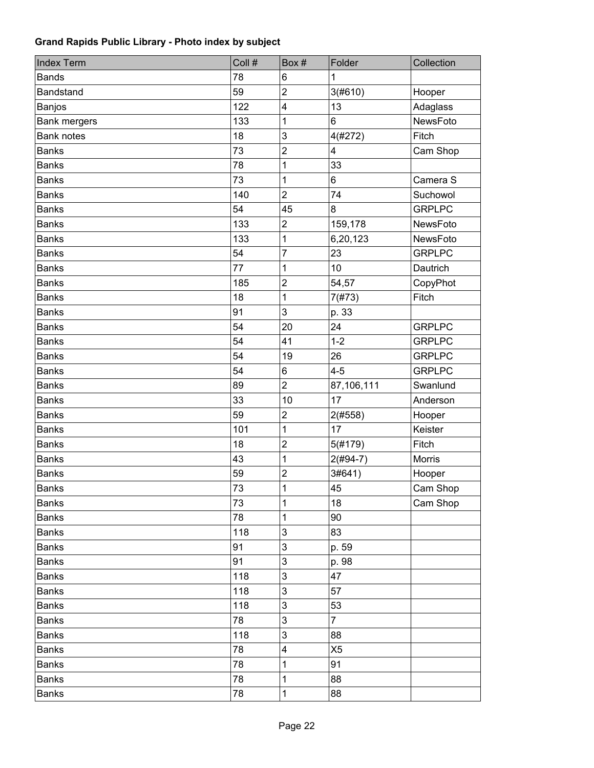| <b>Index Term</b>   | Coll # | Box #                     | Folder         | Collection    |
|---------------------|--------|---------------------------|----------------|---------------|
| <b>Bands</b>        | 78     | 6                         | 1              |               |
| Bandstand           | 59     | $\overline{c}$            | 3(#610)        | Hooper        |
| Banjos              | 122    | 4                         | 13             | Adaglass      |
| <b>Bank mergers</b> | 133    | 1                         | 6              | NewsFoto      |
| <b>Bank notes</b>   | 18     | 3                         | 4(#272)        | Fitch         |
| <b>Banks</b>        | 73     | $\overline{2}$            | 4              | Cam Shop      |
| <b>Banks</b>        | 78     | $\mathbf 1$               | 33             |               |
| <b>Banks</b>        | 73     | 1                         | 6              | Camera S      |
| <b>Banks</b>        | 140    | $\overline{2}$            | 74             | Suchowol      |
| <b>Banks</b>        | 54     | 45                        | 8              | <b>GRPLPC</b> |
| <b>Banks</b>        | 133    | $\boldsymbol{2}$          | 159,178        | NewsFoto      |
| <b>Banks</b>        | 133    | 1                         | 6,20,123       | NewsFoto      |
| <b>Banks</b>        | 54     | 7                         | 23             | <b>GRPLPC</b> |
| <b>Banks</b>        | 77     | 1                         | 10             | Dautrich      |
| <b>Banks</b>        | 185    | $\overline{c}$            | 54,57          | CopyPhot      |
| <b>Banks</b>        | 18     | 1                         | 7(#73)         | Fitch         |
| <b>Banks</b>        | 91     | 3                         | p. 33          |               |
| <b>Banks</b>        | 54     | 20                        | 24             | <b>GRPLPC</b> |
| <b>Banks</b>        | 54     | 41                        | $1 - 2$        | <b>GRPLPC</b> |
| <b>Banks</b>        | 54     | 19                        | 26             | <b>GRPLPC</b> |
| <b>Banks</b>        | 54     | 6                         | $4 - 5$        | <b>GRPLPC</b> |
| <b>Banks</b>        | 89     | $\overline{2}$            | 87,106,111     | Swanlund      |
| <b>Banks</b>        | 33     | 10                        | 17             | Anderson      |
| <b>Banks</b>        | 59     | $\overline{\mathbf{c}}$   | 2(#558)        | Hooper        |
| <b>Banks</b>        | 101    | 1                         | 17             | Keister       |
| <b>Banks</b>        | 18     | $\overline{c}$            | 5(#179)        | Fitch         |
| <b>Banks</b>        | 43     | 1                         | $2(#94-7)$     | Morris        |
| <b>Banks</b>        | 59     | $\overline{2}$            | 3#641)         | Hooper        |
| <b>Banks</b>        | 73     | $\mathbf 1$               | 45             | Cam Shop      |
| <b>Banks</b>        | 73     | 1                         | 18             | Cam Shop      |
| <b>Banks</b>        | 78     | 1                         | 90             |               |
| <b>Banks</b>        | 118    | 3                         | 83             |               |
| <b>Banks</b>        | 91     | 3                         | p. 59          |               |
| <b>Banks</b>        | 91     | $\ensuremath{\mathsf{3}}$ | p. 98          |               |
| <b>Banks</b>        | 118    | $\mathsf 3$               | 47             |               |
| <b>Banks</b>        | 118    | $\ensuremath{\mathsf{3}}$ | 57             |               |
| <b>Banks</b>        | 118    | $\ensuremath{\mathsf{3}}$ | 53             |               |
| <b>Banks</b>        | 78     | $\ensuremath{\mathsf{3}}$ | $\overline{7}$ |               |
| <b>Banks</b>        | 118    | 3                         | 88             |               |
| <b>Banks</b>        | 78     | 4                         | X <sub>5</sub> |               |
| <b>Banks</b>        | 78     | 1                         | 91             |               |
| <b>Banks</b>        | 78     | 1                         | 88             |               |
| <b>Banks</b>        | 78     | 1                         | 88             |               |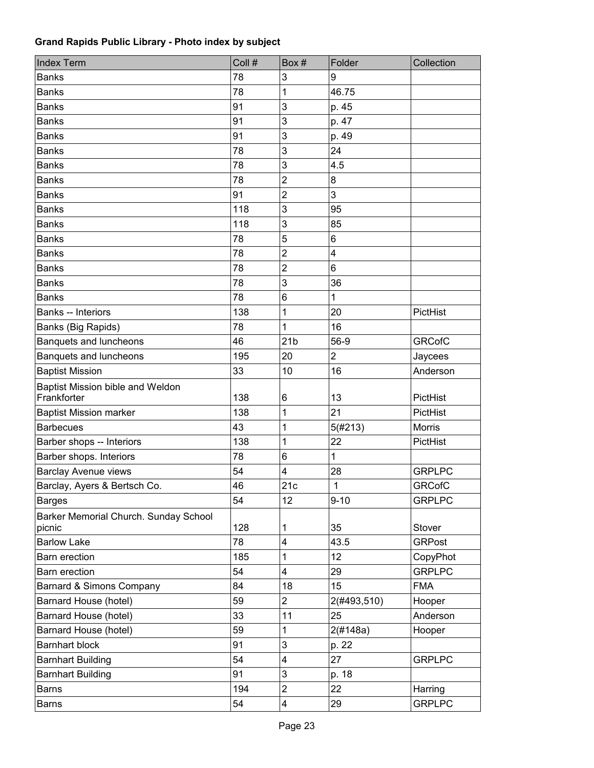| <b>Index Term</b>                               | Coll # | Box#                    | Folder         | Collection    |
|-------------------------------------------------|--------|-------------------------|----------------|---------------|
| <b>Banks</b>                                    | 78     | 3                       | 9              |               |
| <b>Banks</b>                                    | 78     | 1                       | 46.75          |               |
| <b>Banks</b>                                    | 91     | 3                       | p. 45          |               |
| <b>Banks</b>                                    | 91     | 3                       | p. 47          |               |
| <b>Banks</b>                                    | 91     | 3                       | p. 49          |               |
| <b>Banks</b>                                    | 78     | 3                       | 24             |               |
| <b>Banks</b>                                    | 78     | 3                       | 4.5            |               |
| <b>Banks</b>                                    | 78     | $\overline{2}$          | 8              |               |
| <b>Banks</b>                                    | 91     | $\overline{2}$          | 3              |               |
| <b>Banks</b>                                    | 118    | 3                       | 95             |               |
| <b>Banks</b>                                    | 118    | 3                       | 85             |               |
| <b>Banks</b>                                    | 78     | 5                       | 6              |               |
| <b>Banks</b>                                    | 78     | $\overline{2}$          | 4              |               |
| <b>Banks</b>                                    | 78     | $\overline{2}$          | 6              |               |
| <b>Banks</b>                                    | 78     | 3                       | 36             |               |
| <b>Banks</b>                                    | 78     | 6                       | $\mathbf{1}$   |               |
| Banks -- Interiors                              | 138    | 1                       | 20             | PictHist      |
| Banks (Big Rapids)                              | 78     | 1                       | 16             |               |
| Banquets and luncheons                          | 46     | 21 <sub>b</sub>         | 56-9           | <b>GRCofC</b> |
| Banquets and luncheons                          | 195    | 20                      | $\overline{2}$ | Jaycees       |
| <b>Baptist Mission</b>                          | 33     | 10                      | 16             | Anderson      |
| Baptist Mission bible and Weldon<br>Frankforter | 138    | 6                       | 13             | PictHist      |
| <b>Baptist Mission marker</b>                   | 138    | 1                       | 21             | PictHist      |
| <b>Barbecues</b>                                | 43     | 1                       | 5(#213)        | <b>Morris</b> |
| Barber shops -- Interiors                       | 138    | 1                       | 22             | PictHist      |
| Barber shops. Interiors                         | 78     | 6                       | 1              |               |
| <b>Barclay Avenue views</b>                     | 54     | 4                       | 28             | <b>GRPLPC</b> |
| Barclay, Ayers & Bertsch Co.                    | 46     | 21c                     | 1              | <b>GRCofC</b> |
| <b>Barges</b>                                   | 54     | 12                      | $9 - 10$       | <b>GRPLPC</b> |
| Barker Memorial Church. Sunday School<br>picnic | 128    | 1                       | 35             | Stover        |
| <b>Barlow Lake</b>                              | 78     | $\overline{\mathbf{4}}$ | 43.5           | <b>GRPost</b> |
| Barn erection                                   | 185    | 1                       | 12             | CopyPhot      |
| Barn erection                                   | 54     | $\overline{\mathbf{4}}$ | 29             | <b>GRPLPC</b> |
| Barnard & Simons Company                        | 84     | 18                      | 15             | <b>FMA</b>    |
| Barnard House (hotel)                           | 59     | $\overline{2}$          | 2(#493,510)    | Hooper        |
| Barnard House (hotel)                           | 33     | 11                      | 25             | Anderson      |
| Barnard House (hotel)                           | 59     | 1                       | 2(H148a)       | Hooper        |
| <b>Barnhart block</b>                           | 91     | 3                       | p. 22          |               |
| <b>Barnhart Building</b>                        | 54     | $\overline{\mathbf{4}}$ | 27             | <b>GRPLPC</b> |
| <b>Barnhart Building</b>                        | 91     | $\mathsf 3$             | p. 18          |               |
| <b>Barns</b>                                    | 194    | $\overline{2}$          | 22             | Harring       |
| <b>Barns</b>                                    | 54     | $\overline{\mathbf{4}}$ | 29             | <b>GRPLPC</b> |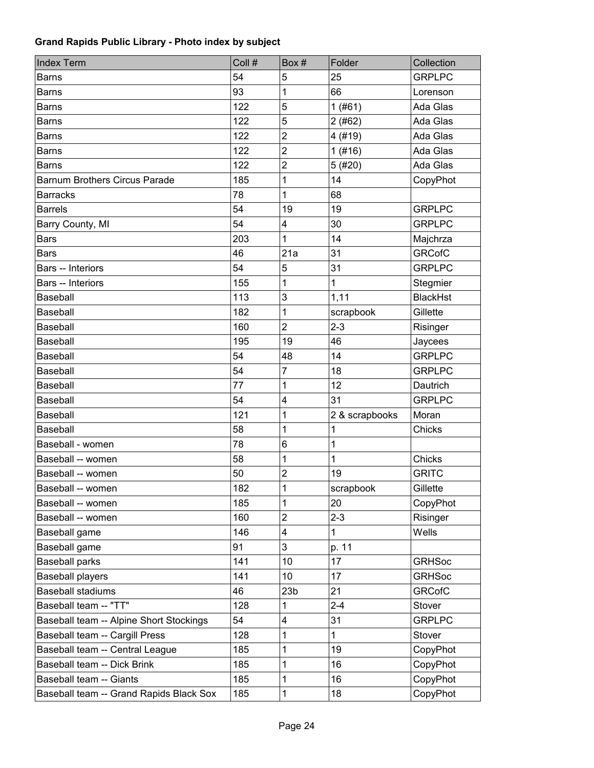| <b>Index Term</b>                       | Coll # | Box#            | Folder         | Collection      |
|-----------------------------------------|--------|-----------------|----------------|-----------------|
| <b>Barns</b>                            | 54     | 5               | 25             | <b>GRPLPC</b>   |
| <b>Barns</b>                            | 93     | 1               | 66             | Lorenson        |
| <b>Barns</b>                            | 122    | 5               | 1(#61)         | Ada Glas        |
| <b>Barns</b>                            | 122    | 5               | 2(#62)         | Ada Glas        |
| <b>Barns</b>                            | 122    | $\overline{2}$  | 4 (#19)        | Ada Glas        |
| <b>Barns</b>                            | 122    | $\overline{2}$  | 1(#16)         | Ada Glas        |
| <b>Barns</b>                            | 122    | $\overline{2}$  | 5(#20)         | Ada Glas        |
| <b>Barnum Brothers Circus Parade</b>    | 185    | 1               | 14             | CopyPhot        |
| <b>Barracks</b>                         | 78     | 1               | 68             |                 |
| <b>Barrels</b>                          | 54     | 19              | 19             | <b>GRPLPC</b>   |
| Barry County, MI                        | 54     | 4               | 30             | <b>GRPLPC</b>   |
| <b>Bars</b>                             | 203    | 1               | 14             | Majchrza        |
| <b>Bars</b>                             | 46     | 21a             | 31             | <b>GRCofC</b>   |
| <b>Bars</b> -- Interiors                | 54     | 5               | 31             | <b>GRPLPC</b>   |
| Bars -- Interiors                       | 155    | 1               | $\mathbf{1}$   | Stegmier        |
| Baseball                                | 113    | 3               | 1,11           | <b>BlackHst</b> |
| Baseball                                | 182    | 1               | scrapbook      | Gillette        |
| Baseball                                | 160    | $\overline{2}$  | $2 - 3$        | Risinger        |
| Baseball                                | 195    | 19              | 46             | Jaycees         |
| Baseball                                | 54     | 48              | 14             | <b>GRPLPC</b>   |
| Baseball                                | 54     | $\overline{7}$  | 18             | <b>GRPLPC</b>   |
| Baseball                                | 77     | 1               | 12             | Dautrich        |
| Baseball                                | 54     | 4               | 31             | <b>GRPLPC</b>   |
| Baseball                                | 121    | 1               | 2 & scrapbooks | Moran           |
| Baseball                                | 58     | 1               | 1              | Chicks          |
| Baseball - women                        | 78     | 6               | $\mathbf{1}$   |                 |
| Baseball -- women                       | 58     | 1               | 1              | Chicks          |
| Baseball -- women                       | 50     | $\overline{2}$  | 19             | <b>GRITC</b>    |
| Baseball -- women                       | 182    | 1               | scrapbook      | Gillette        |
| Baseball -- women                       | 185    | 1               | 20             | CopyPhot        |
| Baseball -- women                       | 160    | $\overline{2}$  | $2 - 3$        | Risinger        |
| Baseball game                           | 146    | 4               | $\mathbf{1}$   | Wells           |
| Baseball game                           | 91     | 3               | p. 11          |                 |
| <b>Baseball parks</b>                   | 141    | 10              | 17             | <b>GRHSoc</b>   |
| <b>Baseball players</b>                 | 141    | 10              | 17             | <b>GRHSoc</b>   |
| <b>Baseball stadiums</b>                | 46     | 23 <sub>b</sub> | 21             | <b>GRCofC</b>   |
| Baseball team -- "TT"                   | 128    | 1               | $2 - 4$        | Stover          |
| Baseball team -- Alpine Short Stockings | 54     | 4               | 31             | <b>GRPLPC</b>   |
| Baseball team -- Cargill Press          | 128    | 1               | $\mathbf{1}$   | Stover          |
| Baseball team -- Central League         | 185    | 1               | 19             | CopyPhot        |
| Baseball team -- Dick Brink             | 185    | 1               | 16             | CopyPhot        |
| Baseball team -- Giants                 | 185    | 1               | 16             | CopyPhot        |
| Baseball team -- Grand Rapids Black Sox | 185    | 1               | 18             | CopyPhot        |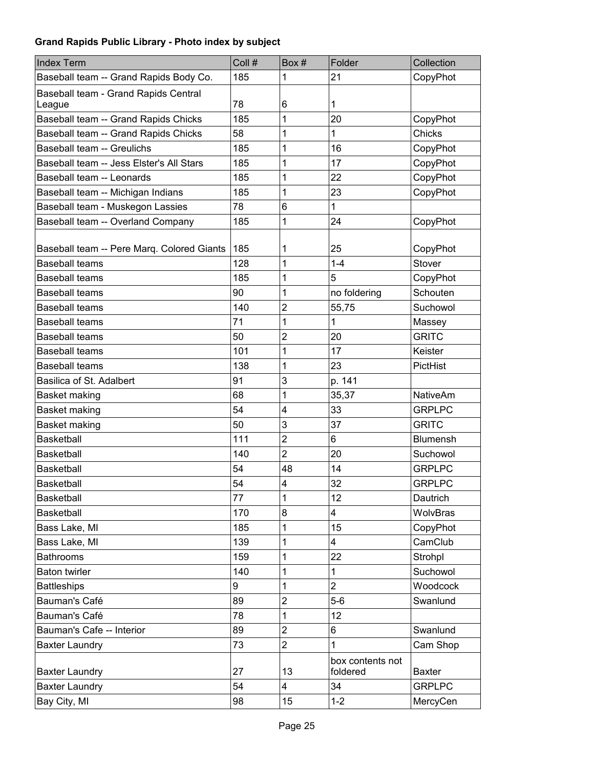| <b>Index Term</b>                              | Coll # | Box#           | Folder                       | Collection      |
|------------------------------------------------|--------|----------------|------------------------------|-----------------|
| Baseball team -- Grand Rapids Body Co.         | 185    | 1              | 21                           | CopyPhot        |
| Baseball team - Grand Rapids Central<br>League | 78     | 6              | 1                            |                 |
| Baseball team -- Grand Rapids Chicks           | 185    | 1              | 20                           | CopyPhot        |
| Baseball team -- Grand Rapids Chicks           | 58     | 1              | 1                            | Chicks          |
| Baseball team -- Greulichs                     | 185    | 1              | 16                           | CopyPhot        |
| Baseball team -- Jess Elster's All Stars       | 185    | 1              | 17                           | CopyPhot        |
| Baseball team -- Leonards                      | 185    | 1              | 22                           | CopyPhot        |
| Baseball team -- Michigan Indians              | 185    | 1              | 23                           | CopyPhot        |
| Baseball team - Muskegon Lassies               | 78     | 6              | 1                            |                 |
| Baseball team -- Overland Company              | 185    | 1              | 24                           | CopyPhot        |
|                                                |        |                |                              |                 |
| Baseball team -- Pere Marq. Colored Giants     | 185    | 1              | 25                           | CopyPhot        |
| <b>Baseball teams</b>                          | 128    | 1              | $1 - 4$                      | Stover          |
| <b>Baseball teams</b>                          | 185    | 1              | 5                            | CopyPhot        |
| <b>Baseball teams</b>                          | 90     | 1              | no foldering                 | Schouten        |
| <b>Baseball teams</b>                          | 140    | 2              | 55,75                        | Suchowol        |
| <b>Baseball teams</b>                          | 71     | 1              | 1                            | Massey          |
| <b>Baseball teams</b>                          | 50     | $\overline{2}$ | 20                           | <b>GRITC</b>    |
| <b>Baseball teams</b>                          | 101    | 1              | 17                           | Keister         |
| <b>Baseball teams</b>                          | 138    | 1              | 23                           | PictHist        |
| Basilica of St. Adalbert                       | 91     | 3              | p. 141                       |                 |
| Basket making                                  | 68     | 1              | 35,37                        | <b>NativeAm</b> |
| Basket making                                  | 54     | 4              | 33                           | <b>GRPLPC</b>   |
| <b>Basket making</b>                           | 50     | 3              | 37                           | <b>GRITC</b>    |
| <b>Basketball</b>                              | 111    | $\overline{2}$ | 6                            | <b>Blumensh</b> |
| <b>Basketball</b>                              | 140    | 2              | 20                           | Suchowol        |
| <b>Basketball</b>                              | 54     | 48             | 14                           | <b>GRPLPC</b>   |
| <b>Basketball</b>                              | 54     | 4              | 32                           | <b>GRPLPC</b>   |
| <b>Basketball</b>                              | 77     | 1              | 12                           | Dautrich        |
| <b>Basketball</b>                              | 170    | 8              | 4                            | WolvBras        |
| Bass Lake, MI                                  | 185    | 1              | 15                           | CopyPhot        |
| Bass Lake, MI                                  | 139    | 1              | 4                            | CamClub         |
| <b>Bathrooms</b>                               | 159    | 1              | 22                           | Strohpl         |
| <b>Baton twirler</b>                           | 140    | 1              | 1                            | Suchowol        |
| <b>Battleships</b>                             | 9      | 1              | $\overline{2}$               | Woodcock        |
| Bauman's Café                                  | 89     | 2              | $5-6$                        | Swanlund        |
| Bauman's Café                                  | 78     | 1              | 12                           |                 |
| Bauman's Cafe -- Interior                      | 89     | 2              | 6                            | Swanlund        |
| <b>Baxter Laundry</b>                          | 73     | $\overline{2}$ | 1                            | Cam Shop        |
| <b>Baxter Laundry</b>                          | 27     | 13             | box contents not<br>foldered | <b>Baxter</b>   |
| <b>Baxter Laundry</b>                          | 54     | 4              | 34                           | <b>GRPLPC</b>   |
| Bay City, MI                                   | 98     | 15             | $1 - 2$                      | MercyCen        |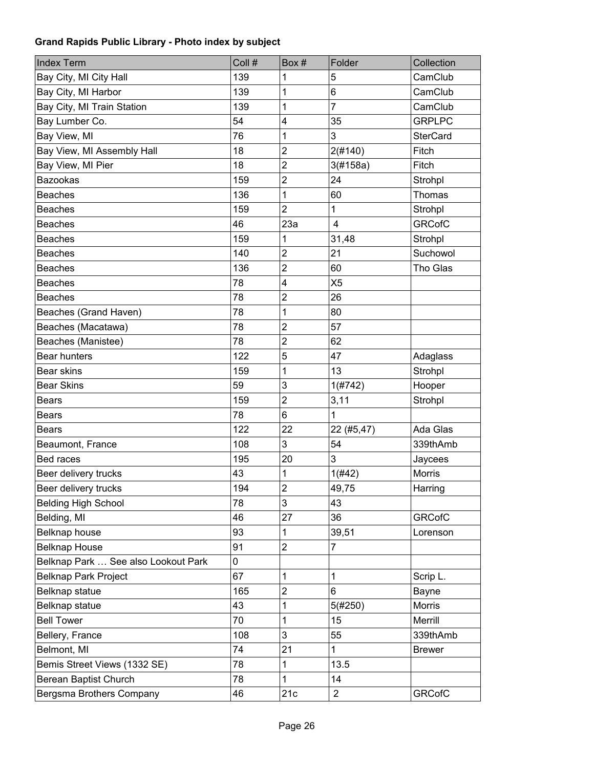| <b>Index Term</b>                   | Coll # | Box#                    | Folder           | Collection      |
|-------------------------------------|--------|-------------------------|------------------|-----------------|
| Bay City, MI City Hall              | 139    | 1                       | 5                | CamClub         |
| Bay City, MI Harbor                 | 139    | 1                       | 6                | CamClub         |
| Bay City, MI Train Station          | 139    | 1                       | $\overline{7}$   | CamClub         |
| Bay Lumber Co.                      | 54     | 4                       | 35               | <b>GRPLPC</b>   |
| Bay View, MI                        | 76     | 1                       | 3                | <b>SterCard</b> |
| Bay View, MI Assembly Hall          | 18     | $\overline{2}$          | 2(#140)          | Fitch           |
| Bay View, MI Pier                   | 18     | $\overline{2}$          | 3(#158a)         | Fitch           |
| <b>Bazookas</b>                     | 159    | $\overline{2}$          | 24               | Strohpl         |
| <b>Beaches</b>                      | 136    | 1                       | 60               | <b>Thomas</b>   |
| <b>Beaches</b>                      | 159    | $\overline{2}$          | $\mathbf{1}$     | Strohpl         |
| <b>Beaches</b>                      | 46     | 23a                     | $\overline{4}$   | <b>GRCofC</b>   |
| <b>Beaches</b>                      | 159    | 1                       | 31,48            | Strohpl         |
| <b>Beaches</b>                      | 140    | $\overline{2}$          | 21               | Suchowol        |
| <b>Beaches</b>                      | 136    | $\overline{2}$          | 60               | Tho Glas        |
| <b>Beaches</b>                      | 78     | 4                       | X <sub>5</sub>   |                 |
| <b>Beaches</b>                      | 78     | $\overline{2}$          | 26               |                 |
| Beaches (Grand Haven)               | 78     | 1                       | 80               |                 |
| Beaches (Macatawa)                  | 78     | $\overline{2}$          | 57               |                 |
| Beaches (Manistee)                  | 78     | $\overline{2}$          | 62               |                 |
| <b>Bear hunters</b>                 | 122    | 5                       | 47               | Adaglass        |
| Bear skins                          | 159    | 1                       | 13               | Strohpl         |
| <b>Bear Skins</b>                   | 59     | 3                       | 1(#742)          | Hooper          |
| <b>Bears</b>                        | 159    | $\overline{2}$          | 3,11             | Strohpl         |
| <b>Bears</b>                        | 78     | 6                       | 1                |                 |
| <b>Bears</b>                        | 122    | 22                      | 22 (#5,47)       | Ada Glas        |
| Beaumont, France                    | 108    | 3                       | 54               | 339thAmb        |
| Bed races                           | 195    | 20                      | 3                | Jaycees         |
| Beer delivery trucks                | 43     | 1                       | 1(#42)           | <b>Morris</b>   |
| Beer delivery trucks                | 194    | $\overline{\mathbf{c}}$ | 49,75            | Harring         |
| <b>Belding High School</b>          | 78     | 3                       | 43               |                 |
| Belding, MI                         | 46     | 27                      | 36               | <b>GRCofC</b>   |
| Belknap house                       | 93     | 1                       | 39,51            | Lorenson        |
| <b>Belknap House</b>                | 91     | $\overline{2}$          | $\overline{7}$   |                 |
| Belknap Park  See also Lookout Park | 0      |                         |                  |                 |
| <b>Belknap Park Project</b>         | 67     | 1                       | 1                | Scrip L.        |
| Belknap statue                      | 165    | $\overline{2}$          | 6                | Bayne           |
| Belknap statue                      | 43     | 1                       | 5(#250)          | Morris          |
| <b>Bell Tower</b>                   | 70     | 1                       | 15               | Merrill         |
| Bellery, France                     | 108    | 3                       | 55               | 339thAmb        |
| Belmont, MI                         | 74     | 21                      | 1                | <b>Brewer</b>   |
| Bemis Street Views (1332 SE)        | 78     | 1                       | 13.5             |                 |
| Berean Baptist Church               | 78     | 1                       | 14               |                 |
| Bergsma Brothers Company            | 46     | 21c                     | $\boldsymbol{2}$ | <b>GRCofC</b>   |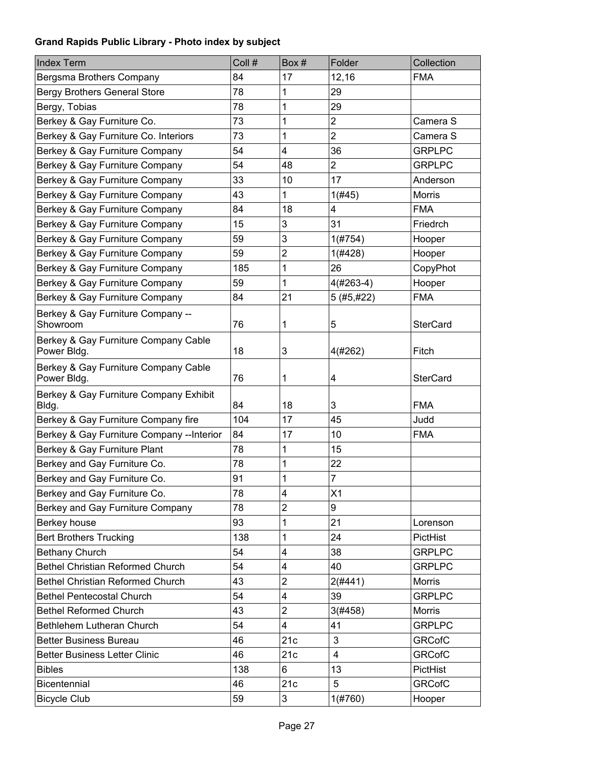| <b>Index Term</b>                                   | Coll # | Box#           | Folder         | Collection      |
|-----------------------------------------------------|--------|----------------|----------------|-----------------|
| Bergsma Brothers Company                            | 84     | 17             | 12,16          | <b>FMA</b>      |
| <b>Bergy Brothers General Store</b>                 | 78     | 1              | 29             |                 |
| Bergy, Tobias                                       | 78     | 1              | 29             |                 |
| Berkey & Gay Furniture Co.                          | 73     | 1              | $\overline{2}$ | Camera S        |
| Berkey & Gay Furniture Co. Interiors                | 73     | 1              | $\overline{2}$ | Camera S        |
| Berkey & Gay Furniture Company                      | 54     | 4              | 36             | <b>GRPLPC</b>   |
| Berkey & Gay Furniture Company                      | 54     | 48             | $\overline{2}$ | <b>GRPLPC</b>   |
| Berkey & Gay Furniture Company                      | 33     | 10             | 17             | Anderson        |
| Berkey & Gay Furniture Company                      | 43     | 1              | 1(#45)         | <b>Morris</b>   |
| Berkey & Gay Furniture Company                      | 84     | 18             | 4              | <b>FMA</b>      |
| Berkey & Gay Furniture Company                      | 15     | 3              | 31             | Friedrch        |
| Berkey & Gay Furniture Company                      | 59     | 3              | 1(#754)        | Hooper          |
| Berkey & Gay Furniture Company                      | 59     | $\overline{c}$ | 1(#428)        | Hooper          |
| Berkey & Gay Furniture Company                      | 185    | 1              | 26             | CopyPhot        |
| Berkey & Gay Furniture Company                      | 59     | 1              | $4(#263-4)$    | Hooper          |
| Berkey & Gay Furniture Company                      | 84     | 21             | 5 (#5,#22)     | <b>FMA</b>      |
| Berkey & Gay Furniture Company --<br>Showroom       | 76     | 1              | 5              | <b>SterCard</b> |
| Berkey & Gay Furniture Company Cable<br>Power Bldg. | 18     | 3              | 4(#262)        | Fitch           |
| Berkey & Gay Furniture Company Cable<br>Power Bldg. | 76     | 1              | 4              | <b>SterCard</b> |
| Berkey & Gay Furniture Company Exhibit<br>Bldg.     | 84     | 18             | 3              | <b>FMA</b>      |
| Berkey & Gay Furniture Company fire                 | 104    | 17             | 45             | Judd            |
| Berkey & Gay Furniture Company -- Interior          | 84     | 17             | 10             | <b>FMA</b>      |
| Berkey & Gay Furniture Plant                        | 78     | 1              | 15             |                 |
| Berkey and Gay Furniture Co.                        | 78     | 1              | 22             |                 |
| Berkey and Gay Furniture Co.                        | 91     | 1              | $\overline{7}$ |                 |
| Berkey and Gay Furniture Co.                        | 78     | 4              | X1             |                 |
| Berkey and Gay Furniture Company                    | 78     | $\overline{2}$ | 9              |                 |
| Berkey house                                        | 93     | 1              | 21             | Lorenson        |
| <b>Bert Brothers Trucking</b>                       | 138    | 1              | 24             | PictHist        |
| <b>Bethany Church</b>                               | 54     | 4              | 38             | <b>GRPLPC</b>   |
| <b>Bethel Christian Reformed Church</b>             | 54     | 4              | 40             | <b>GRPLPC</b>   |
| <b>Bethel Christian Reformed Church</b>             | 43     | $\overline{2}$ | $2($ #441)     | <b>Morris</b>   |
| <b>Bethel Pentecostal Church</b>                    | 54     | 4              | 39             | <b>GRPLPC</b>   |
| <b>Bethel Reformed Church</b>                       | 43     | $\overline{2}$ | 3(#458)        | <b>Morris</b>   |
| Bethlehem Lutheran Church                           | 54     | 4              | 41             | <b>GRPLPC</b>   |
| <b>Better Business Bureau</b>                       | 46     | 21c            | 3              | <b>GRCofC</b>   |
| <b>Better Business Letter Clinic</b>                | 46     | 21c            | $\overline{4}$ | <b>GRCofC</b>   |
| <b>Bibles</b>                                       | 138    | 6              | 13             | PictHist        |
| Bicentennial                                        | 46     | 21c            | 5              | <b>GRCofC</b>   |
| <b>Bicycle Club</b>                                 | 59     | 3              | 1(#760)        | Hooper          |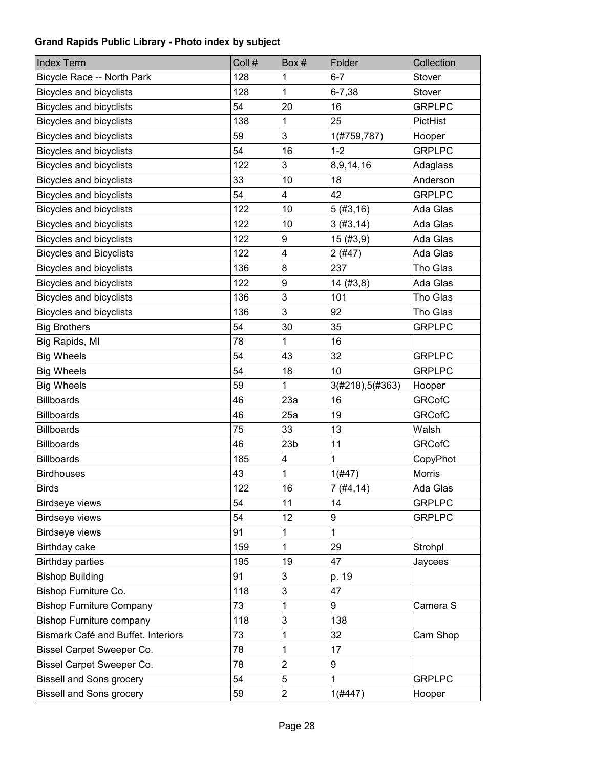| <b>Index Term</b>                  | Coll # | Box#                    | Folder          | Collection    |
|------------------------------------|--------|-------------------------|-----------------|---------------|
| Bicycle Race -- North Park         | 128    | 1                       | $6 - 7$         | Stover        |
| <b>Bicycles and bicyclists</b>     | 128    | 1                       | $6 - 7,38$      | Stover        |
| <b>Bicycles and bicyclists</b>     | 54     | 20                      | 16              | <b>GRPLPC</b> |
| <b>Bicycles and bicyclists</b>     | 138    | 1                       | 25              | PictHist      |
| <b>Bicycles and bicyclists</b>     | 59     | 3                       | 1(#759,787)     | Hooper        |
| Bicycles and bicyclists            | 54     | 16                      | $1 - 2$         | <b>GRPLPC</b> |
| <b>Bicycles and bicyclists</b>     | 122    | 3                       | 8,9,14,16       | Adaglass      |
| <b>Bicycles and bicyclists</b>     | 33     | 10                      | 18              | Anderson      |
| <b>Bicycles and bicyclists</b>     | 54     | 4                       | 42              | <b>GRPLPC</b> |
| <b>Bicycles and bicyclists</b>     | 122    | 10                      | 5(#3, 16)       | Ada Glas      |
| <b>Bicycles and bicyclists</b>     | 122    | 10                      | 3(#3, 14)       | Ada Glas      |
| <b>Bicycles and bicyclists</b>     | 122    | 9                       | 15(#3,9)        | Ada Glas      |
| <b>Bicycles and Bicyclists</b>     | 122    | 4                       | 2(#47)          | Ada Glas      |
| <b>Bicycles and bicyclists</b>     | 136    | 8                       | 237             | Tho Glas      |
| <b>Bicycles and bicyclists</b>     | 122    | 9                       | 14(#3, 8)       | Ada Glas      |
| <b>Bicycles and bicyclists</b>     | 136    | 3                       | 101             | Tho Glas      |
| <b>Bicycles and bicyclists</b>     | 136    | 3                       | 92              | Tho Glas      |
| <b>Big Brothers</b>                | 54     | 30                      | 35              | <b>GRPLPC</b> |
| Big Rapids, MI                     | 78     | 1                       | 16              |               |
| <b>Big Wheels</b>                  | 54     | 43                      | 32              | <b>GRPLPC</b> |
| <b>Big Wheels</b>                  | 54     | 18                      | 10              | <b>GRPLPC</b> |
| <b>Big Wheels</b>                  | 59     | 1                       | 3(#218),5(#363) | Hooper        |
| <b>Billboards</b>                  | 46     | 23a                     | 16              | <b>GRCofC</b> |
| <b>Billboards</b>                  | 46     | 25a                     | 19              | <b>GRCofC</b> |
| <b>Billboards</b>                  | 75     | 33                      | 13              | Walsh         |
| <b>Billboards</b>                  | 46     | 23 <sub>b</sub>         | 11              | <b>GRCofC</b> |
| <b>Billboards</b>                  | 185    | 4                       | 1               | CopyPhot      |
| <b>Birdhouses</b>                  | 43     | 1                       | 1(#47)          | <b>Morris</b> |
| <b>Birds</b>                       | 122    | 16                      | 7 (#4,14)       | Ada Glas      |
| Birdseye views                     | 54     | 11                      | 14              | <b>GRPLPC</b> |
| Birdseye views                     | 54     | 12                      | 9               | <b>GRPLPC</b> |
| <b>Birdseye views</b>              | 91     | 1                       | 1               |               |
| Birthday cake                      | 159    | 1                       | 29              | Strohpl       |
| <b>Birthday parties</b>            | 195    | 19                      | 47              | Jaycees       |
| <b>Bishop Building</b>             | 91     | 3                       | p. 19           |               |
| Bishop Furniture Co.               | 118    | 3                       | 47              |               |
| <b>Bishop Furniture Company</b>    | 73     | 1                       | 9               | Camera S      |
| <b>Bishop Furniture company</b>    | 118    | 3                       | 138             |               |
| Bismark Café and Buffet. Interiors | 73     | 1                       | 32              | Cam Shop      |
| Bissel Carpet Sweeper Co.          | 78     | 1                       | 17              |               |
| Bissel Carpet Sweeper Co.          | 78     | $\overline{2}$          | 9               |               |
| <b>Bissell and Sons grocery</b>    | 54     | 5                       | 1               | <b>GRPLPC</b> |
| <b>Bissell and Sons grocery</b>    | 59     | $\overline{\mathbf{c}}$ | $1($ #447)      | Hooper        |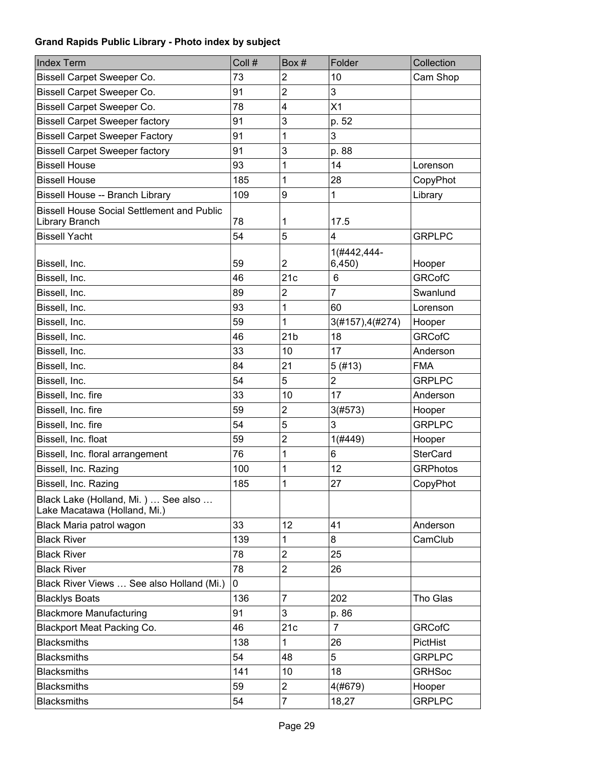| <b>Index Term</b>                                                   | Coll # | Box#                    | Folder           | Collection      |
|---------------------------------------------------------------------|--------|-------------------------|------------------|-----------------|
| <b>Bissell Carpet Sweeper Co.</b>                                   | 73     | $\overline{c}$          | 10               | Cam Shop        |
| Bissell Carpet Sweeper Co.                                          | 91     | $\overline{2}$          | 3                |                 |
| <b>Bissell Carpet Sweeper Co.</b>                                   | 78     | $\overline{\mathbf{4}}$ | X1               |                 |
| <b>Bissell Carpet Sweeper factory</b>                               | 91     | 3                       | p. 52            |                 |
| <b>Bissell Carpet Sweeper Factory</b>                               | 91     | 1                       | 3                |                 |
| <b>Bissell Carpet Sweeper factory</b>                               | 91     | 3                       | p. 88            |                 |
| <b>Bissell House</b>                                                | 93     | 1                       | 14               | Lorenson        |
| <b>Bissell House</b>                                                | 185    | 1                       | 28               | CopyPhot        |
| Bissell House -- Branch Library                                     | 109    | 9                       | 1                | Library         |
| <b>Bissell House Social Settlement and Public</b>                   |        |                         |                  |                 |
| Library Branch                                                      | 78     | 1                       | 17.5             |                 |
| <b>Bissell Yacht</b>                                                | 54     | 5                       | 4                | <b>GRPLPC</b>   |
|                                                                     |        |                         | 1(#442,444-      |                 |
| Bissell, Inc.                                                       | 59     | $\overline{2}$          | 6,450)           | Hooper          |
| Bissell, Inc.                                                       | 46     | 21c                     | 6                | <b>GRCofC</b>   |
| Bissell, Inc.                                                       | 89     | $\overline{\mathbf{c}}$ | 7                | Swanlund        |
| Bissell, Inc.                                                       | 93     | 1                       | 60               | Lorenson        |
| Bissell, Inc.                                                       | 59     | 1                       | 3(#157), 4(#274) | Hooper          |
| Bissell, Inc.                                                       | 46     | 21 <sub>b</sub>         | 18               | <b>GRCofC</b>   |
| Bissell, Inc.                                                       | 33     | 10                      | 17               | Anderson        |
| Bissell, Inc.                                                       | 84     | 21                      | 5(#13)           | <b>FMA</b>      |
| Bissell, Inc.                                                       | 54     | 5                       | $\overline{2}$   | <b>GRPLPC</b>   |
| Bissell, Inc. fire                                                  | 33     | 10                      | 17               | Anderson        |
| Bissell, Inc. fire                                                  | 59     | $\overline{2}$          | 3(#573)          | Hooper          |
| Bissell, Inc. fire                                                  | 54     | 5                       | 3                | <b>GRPLPC</b>   |
| Bissell, Inc. float                                                 | 59     | $\overline{\mathbf{c}}$ | 1(#449)          | Hooper          |
| Bissell, Inc. floral arrangement                                    | 76     | 1                       | 6                | <b>SterCard</b> |
| Bissell, Inc. Razing                                                | 100    | 1                       | 12               | <b>GRPhotos</b> |
| Bissell, Inc. Razing                                                | 185    | 1                       | 27               | CopyPhot        |
| Black Lake (Holland, Mi.)  See also<br>Lake Macatawa (Holland, Mi.) |        |                         |                  |                 |
| Black Maria patrol wagon                                            | 33     | 12                      | 41               | Anderson        |
| <b>Black River</b>                                                  | 139    | 1                       | 8                | CamClub         |
| <b>Black River</b>                                                  | 78     | $\overline{c}$          | 25               |                 |
| <b>Black River</b>                                                  | 78     | $\overline{2}$          | 26               |                 |
| Black River Views  See also Holland (Mi.)                           | 0      |                         |                  |                 |
| <b>Blacklys Boats</b>                                               | 136    | $\overline{7}$          | 202              | Tho Glas        |
| <b>Blackmore Manufacturing</b>                                      | 91     | 3                       | p. 86            |                 |
| <b>Blackport Meat Packing Co.</b>                                   | 46     | 21c                     | $\overline{7}$   | <b>GRCofC</b>   |
| <b>Blacksmiths</b>                                                  | 138    | 1                       | 26               | PictHist        |
| <b>Blacksmiths</b>                                                  | 54     | 48                      | 5                | <b>GRPLPC</b>   |
| <b>Blacksmiths</b>                                                  | 141    | 10                      | 18               | <b>GRHSoc</b>   |
| <b>Blacksmiths</b>                                                  | 59     | 2                       | 4(#679)          | Hooper          |
| <b>Blacksmiths</b>                                                  | 54     | $\overline{7}$          | 18,27            | <b>GRPLPC</b>   |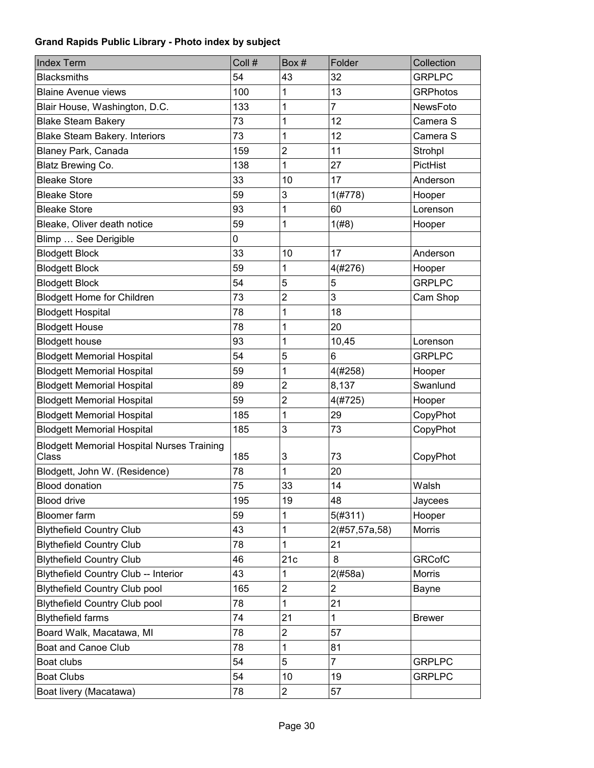| <b>Index Term</b>                                          | Coll # | Box#           | Folder         | Collection      |
|------------------------------------------------------------|--------|----------------|----------------|-----------------|
| <b>Blacksmiths</b>                                         | 54     | 43             | 32             | <b>GRPLPC</b>   |
| <b>Blaine Avenue views</b>                                 | 100    | 1              | 13             | <b>GRPhotos</b> |
| Blair House, Washington, D.C.                              | 133    | 1              | 7              | NewsFoto        |
| <b>Blake Steam Bakery</b>                                  | 73     | 1              | 12             | Camera S        |
| <b>Blake Steam Bakery. Interiors</b>                       | 73     | 1              | 12             | Camera S        |
| <b>Blaney Park, Canada</b>                                 | 159    | $\overline{2}$ | 11             | Strohpl         |
| <b>Blatz Brewing Co.</b>                                   | 138    | 1              | 27             | PictHist        |
| <b>Bleake Store</b>                                        | 33     | 10             | 17             | Anderson        |
| <b>Bleake Store</b>                                        | 59     | 3              | 1(#778)        | Hooper          |
| <b>Bleake Store</b>                                        | 93     | 1              | 60             | Lorenson        |
| Bleake, Oliver death notice                                | 59     | 1              | 1(#8)          | Hooper          |
| Blimp  See Derigible                                       | 0      |                |                |                 |
| <b>Blodgett Block</b>                                      | 33     | 10             | 17             | Anderson        |
| <b>Blodgett Block</b>                                      | 59     | 1              | 4(#276)        | Hooper          |
| <b>Blodgett Block</b>                                      | 54     | 5              | 5              | <b>GRPLPC</b>   |
| <b>Blodgett Home for Children</b>                          | 73     | $\overline{2}$ | 3              | Cam Shop        |
| <b>Blodgett Hospital</b>                                   | 78     | 1              | 18             |                 |
| <b>Blodgett House</b>                                      | 78     | 1              | 20             |                 |
| <b>Blodgett house</b>                                      | 93     | 1              | 10,45          | Lorenson        |
| <b>Blodgett Memorial Hospital</b>                          | 54     | 5              | 6              | <b>GRPLPC</b>   |
| <b>Blodgett Memorial Hospital</b>                          | 59     | 1              | 4(#258)        | Hooper          |
| <b>Blodgett Memorial Hospital</b>                          | 89     | $\overline{2}$ | 8,137          | Swanlund        |
| <b>Blodgett Memorial Hospital</b>                          | 59     | $\overline{2}$ | 4(#725)        | Hooper          |
| <b>Blodgett Memorial Hospital</b>                          | 185    | 1              | 29             | CopyPhot        |
| <b>Blodgett Memorial Hospital</b>                          | 185    | 3              | 73             | CopyPhot        |
| <b>Blodgett Memorial Hospital Nurses Training</b><br>Class | 185    | 3              | 73             | CopyPhot        |
| Blodgett, John W. (Residence)                              | 78     | 1              | 20             |                 |
| <b>Blood donation</b>                                      | 75     | 33             | 14             | Walsh           |
| <b>Blood drive</b>                                         | 195    | 19             | 48             | Jaycees         |
| <b>Bloomer</b> farm                                        | 59     | 1              | 5(#311)        | Hooper          |
| <b>Blythefield Country Club</b>                            | 43     | 1              | 2(#57,57a,58)  | Morris          |
| <b>Blythefield Country Club</b>                            | 78     | 1              | 21             |                 |
| <b>Blythefield Country Club</b>                            | 46     | 21c            | 8              | <b>GRCofC</b>   |
| <b>Blythefield Country Club -- Interior</b>                | 43     | 1              | 2(#58a)        | Morris          |
| <b>Blythefield Country Club pool</b>                       | 165    | $\overline{2}$ | $\overline{2}$ | Bayne           |
| <b>Blythefield Country Club pool</b>                       | 78     | 1              | 21             |                 |
| <b>Blythefield farms</b>                                   | 74     | 21             | 1              | <b>Brewer</b>   |
| Board Walk, Macatawa, MI                                   | 78     | 2              | 57             |                 |
| Boat and Canoe Club                                        | 78     | 1              | 81             |                 |
| Boat clubs                                                 | 54     | 5              | $\overline{7}$ | <b>GRPLPC</b>   |
| <b>Boat Clubs</b>                                          | 54     | 10             | 19             | <b>GRPLPC</b>   |
| Boat livery (Macatawa)                                     | 78     | $\overline{c}$ | 57             |                 |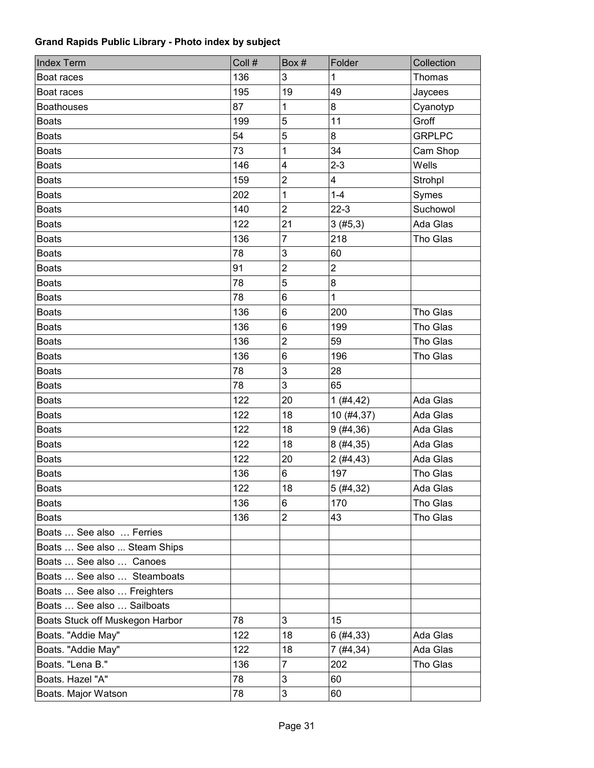| <b>Index Term</b>               | Coll # | Box#                    | Folder         | Collection    |
|---------------------------------|--------|-------------------------|----------------|---------------|
| Boat races                      | 136    | 3                       | 1              | Thomas        |
| Boat races                      | 195    | 19                      | 49             | Jaycees       |
| <b>Boathouses</b>               | 87     | 1                       | 8              | Cyanotyp      |
| <b>Boats</b>                    | 199    | 5                       | 11             | Groff         |
| <b>Boats</b>                    | 54     | 5                       | 8              | <b>GRPLPC</b> |
| <b>Boats</b>                    | 73     | 1                       | 34             | Cam Shop      |
| <b>Boats</b>                    | 146    | $\overline{\mathbf{4}}$ | $2 - 3$        | Wells         |
| <b>Boats</b>                    | 159    | $\overline{c}$          | 4              | Strohpl       |
| <b>Boats</b>                    | 202    | 1                       | $1 - 4$        | Symes         |
| <b>Boats</b>                    | 140    | $\overline{2}$          | $22-3$         | Suchowol      |
| <b>Boats</b>                    | 122    | 21                      | 3(#5,3)        | Ada Glas      |
| <b>Boats</b>                    | 136    | $\overline{7}$          | 218            | Tho Glas      |
| <b>Boats</b>                    | 78     | $\mathfrak{S}$          | 60             |               |
| <b>Boats</b>                    | 91     | $\overline{2}$          | $\overline{2}$ |               |
| <b>Boats</b>                    | 78     | $\sqrt{5}$              | 8              |               |
| <b>Boats</b>                    | 78     | 6                       | $\mathbf{1}$   |               |
| <b>Boats</b>                    | 136    | 6                       | 200            | Tho Glas      |
| <b>Boats</b>                    | 136    | 6                       | 199            | Tho Glas      |
| <b>Boats</b>                    | 136    | $\overline{2}$          | 59             | Tho Glas      |
| <b>Boats</b>                    | 136    | 6                       | 196            | Tho Glas      |
| <b>Boats</b>                    | 78     | 3                       | 28             |               |
| <b>Boats</b>                    | 78     | 3                       | 65             |               |
| <b>Boats</b>                    | 122    | 20                      | 1(#4, 42)      | Ada Glas      |
| <b>Boats</b>                    | 122    | 18                      | 10 (#4,37)     | Ada Glas      |
| <b>Boats</b>                    | 122    | 18                      | 9(#4, 36)      | Ada Glas      |
| <b>Boats</b>                    | 122    | 18                      | 8(#4, 35)      | Ada Glas      |
| <b>Boats</b>                    | 122    | 20                      | 2(#4, 43)      | Ada Glas      |
| <b>Boats</b>                    | 136    | 6                       | 197            | Tho Glas      |
| <b>Boats</b>                    | 122    | 18                      | 5(#4, 32)      | Ada Glas      |
| Boats                           | 136    | 6                       | 170            | Tho Glas      |
| <b>Boats</b>                    | 136    | $\overline{2}$          | 43             | Tho Glas      |
| Boats  See also  Ferries        |        |                         |                |               |
| Boats  See also  Steam Ships    |        |                         |                |               |
| Boats  See also  Canoes         |        |                         |                |               |
| Boats  See also  Steamboats     |        |                         |                |               |
| Boats  See also  Freighters     |        |                         |                |               |
| Boats  See also  Sailboats      |        |                         |                |               |
| Boats Stuck off Muskegon Harbor | 78     | 3                       | 15             |               |
| Boats. "Addie May"              | 122    | 18                      | 6(#4, 33)      | Ada Glas      |
| Boats. "Addie May"              | 122    | 18                      | 7(#4, 34)      | Ada Glas      |
| Boats. "Lena B."                | 136    | $\overline{7}$          | 202            | Tho Glas      |
| Boats. Hazel "A"                | 78     | 3                       | 60             |               |
| Boats. Major Watson             | 78     | $\mathsf 3$             | 60             |               |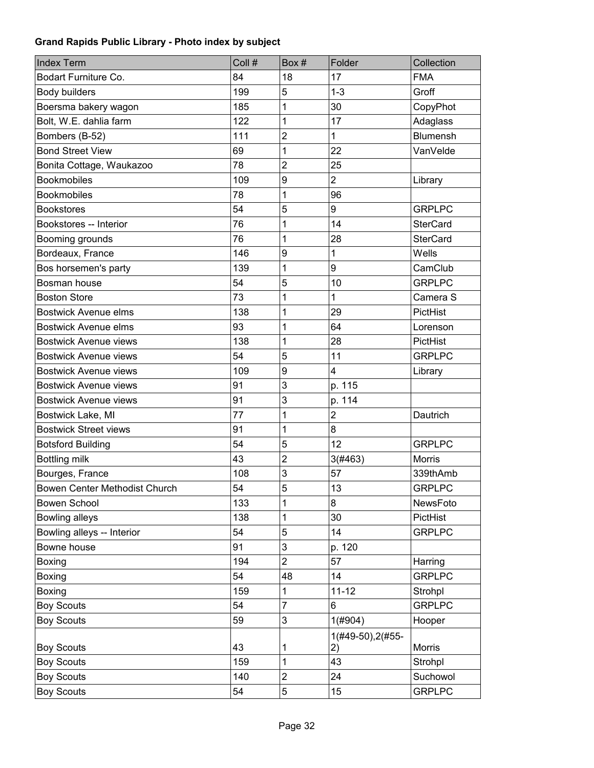| Coll #<br>Box#<br>Folder<br><b>Index Term</b>                   | Collection      |
|-----------------------------------------------------------------|-----------------|
| Bodart Furniture Co.<br>84<br>18<br>17                          | <b>FMA</b>      |
| 199<br>5<br>$1 - 3$<br>Body builders                            | Groff           |
| 1<br>30<br>Boersma bakery wagon<br>185                          | CopyPhot        |
| Bolt, W.E. dahlia farm<br>122<br>1<br>17                        | Adaglass        |
| $\overline{2}$<br>$\mathbf 1$<br>111<br>Bombers (B-52)          | <b>Blumensh</b> |
| 1<br>22<br><b>Bond Street View</b><br>69                        | VanVelde        |
| $\overline{2}$<br>25<br>78<br>Bonita Cottage, Waukazoo          |                 |
| $\overline{2}$<br><b>Bookmobiles</b><br>109<br>9                | Library         |
| <b>Bookmobiles</b><br>78<br>1<br>96                             |                 |
| 54<br>5<br><b>Bookstores</b><br>9                               | <b>GRPLPC</b>   |
| 76<br>1<br>14<br>Bookstores -- Interior                         | <b>SterCard</b> |
| 76<br>28<br>1<br>Booming grounds                                | <b>SterCard</b> |
| Bordeaux, France<br>9<br>1<br>146                               | Wells           |
| 9<br>139<br>1<br>Bos horsemen's party                           | CamClub         |
| 5<br>10<br>Bosman house<br>54                                   | <b>GRPLPC</b>   |
| 1<br><b>Boston Store</b><br>73<br>$\mathbf{1}$                  | Camera S        |
| 1<br><b>Bostwick Avenue elms</b><br>138<br>29                   | PictHist        |
| 1<br>64<br>93<br><b>Bostwick Avenue elms</b>                    | Lorenson        |
| 28<br>138<br>1<br><b>Bostwick Avenue views</b>                  | PictHist        |
| 5<br>54<br>11<br><b>Bostwick Avenue views</b>                   | <b>GRPLPC</b>   |
| 9<br>4<br><b>Bostwick Avenue views</b><br>109                   | Library         |
| 3<br>91<br>p. 115<br><b>Bostwick Avenue views</b>               |                 |
| 3<br>p. 114<br>91<br><b>Bostwick Avenue views</b>               |                 |
| $\overline{c}$<br>1<br>77<br>Bostwick Lake, MI                  | Dautrich        |
| 1<br><b>Bostwick Street views</b><br>91<br>8                    |                 |
| 5<br>54<br>12<br><b>Botsford Building</b>                       | <b>GRPLPC</b>   |
| $\overline{2}$<br><b>Bottling milk</b><br>43<br>3(#463)         | <b>Morris</b>   |
| 3<br>57<br>Bourges, France<br>108                               | 339thAmb        |
| 5<br>54<br>13<br>Bowen Center Methodist Church                  | <b>GRPLPC</b>   |
| 133<br>1<br>Bowen School<br>8                                   | NewsFoto        |
| <b>Bowling alleys</b><br>138<br>1<br>30                         | PictHist        |
| Bowling alleys -- Interior<br>54<br>5<br>14                     | <b>GRPLPC</b>   |
| Bowne house<br>3<br>p. 120<br>91                                |                 |
| $\overline{2}$<br>194<br>57<br>Boxing                           | Harring         |
| 54<br>14<br>48<br>Boxing                                        | <b>GRPLPC</b>   |
| $11 - 12$<br>159<br>Boxing<br>1                                 | Strohpl         |
| $\overline{7}$<br><b>Boy Scouts</b><br>54<br>6                  | <b>GRPLPC</b>   |
| <b>Boy Scouts</b><br>59<br>$\ensuremath{\mathsf{3}}$<br>1(#904) | Hooper          |
| 1(#49-50), 2(#55-<br>43<br><b>Boy Scouts</b><br>1<br>2)         | Morris          |
| <b>Boy Scouts</b><br>43<br>159<br>1                             | Strohpl         |
| <b>Boy Scouts</b><br>$\boldsymbol{2}$<br>24<br>140              | Suchowol        |
| <b>Boy Scouts</b><br>5<br>54<br>15                              | <b>GRPLPC</b>   |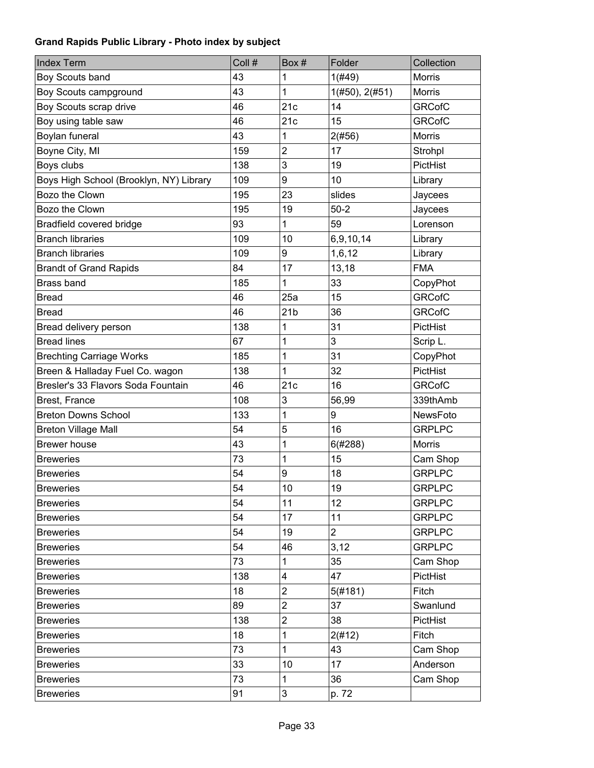| <b>Index Term</b>                       | Coll # | Box#                      | Folder         | Collection    |
|-----------------------------------------|--------|---------------------------|----------------|---------------|
| Boy Scouts band                         | 43     | 1                         | 1(#49)         | Morris        |
| Boy Scouts campground                   | 43     | 1                         | 1(H50), 2(H51) | Morris        |
| Boy Scouts scrap drive                  | 46     | 21c                       | 14             | <b>GRCofC</b> |
| Boy using table saw                     | 46     | 21c                       | 15             | <b>GRCofC</b> |
| Boylan funeral                          | 43     | 1                         | 2(#56)         | Morris        |
| Boyne City, MI                          | 159    | 2                         | 17             | Strohpl       |
| Boys clubs                              | 138    | 3                         | 19             | PictHist      |
| Boys High School (Brooklyn, NY) Library | 109    | 9                         | 10             | Library       |
| Bozo the Clown                          | 195    | 23                        | slides         | Jaycees       |
| Bozo the Clown                          | 195    | 19                        | $50-2$         | Jaycees       |
| Bradfield covered bridge                | 93     | 1                         | 59             | Lorenson      |
| <b>Branch libraries</b>                 | 109    | 10                        | 6,9,10,14      | Library       |
| <b>Branch libraries</b>                 | 109    | 9                         | 1,6,12         | Library       |
| <b>Brandt of Grand Rapids</b>           | 84     | 17                        | 13,18          | <b>FMA</b>    |
| Brass band                              | 185    | 1                         | 33             | CopyPhot      |
| <b>Bread</b>                            | 46     | 25a                       | 15             | <b>GRCofC</b> |
| <b>Bread</b>                            | 46     | 21 <sub>b</sub>           | 36             | <b>GRCofC</b> |
| Bread delivery person                   | 138    | 1                         | 31             | PictHist      |
| <b>Bread lines</b>                      | 67     | 1                         | 3              | Scrip L.      |
| <b>Brechting Carriage Works</b>         | 185    | 1                         | 31             | CopyPhot      |
| Breen & Halladay Fuel Co. wagon         | 138    | 1                         | 32             | PictHist      |
| Bresler's 33 Flavors Soda Fountain      | 46     | 21c                       | 16             | <b>GRCofC</b> |
| Brest, France                           | 108    | 3                         | 56,99          | 339thAmb      |
| <b>Breton Downs School</b>              | 133    | 1                         | 9              | NewsFoto      |
| <b>Breton Village Mall</b>              | 54     | 5                         | 16             | <b>GRPLPC</b> |
| <b>Brewer house</b>                     | 43     | 1                         | 6(#288)        | <b>Morris</b> |
| <b>Breweries</b>                        | 73     | 1                         | 15             | Cam Shop      |
| <b>Breweries</b>                        | 54     | 9                         | 18             | <b>GRPLPC</b> |
| <b>Breweries</b>                        | 54     | 10                        | 19             | <b>GRPLPC</b> |
| <b>Breweries</b>                        | 54     | 11                        | 12             | <b>GRPLPC</b> |
| <b>Breweries</b>                        | 54     | 17                        | 11             | <b>GRPLPC</b> |
| <b>Breweries</b>                        | 54     | 19                        | $\overline{2}$ | <b>GRPLPC</b> |
| <b>Breweries</b>                        | 54     | 46                        | 3,12           | <b>GRPLPC</b> |
| <b>Breweries</b>                        | 73     | 1                         | 35             | Cam Shop      |
| <b>Breweries</b>                        | 138    | 4                         | 47             | PictHist      |
| <b>Breweries</b>                        | 18     | $\overline{2}$            | 5(#181)        | Fitch         |
| <b>Breweries</b>                        | 89     | $\overline{2}$            | 37             | Swanlund      |
| <b>Breweries</b>                        | 138    | $\overline{c}$            | 38             | PictHist      |
| <b>Breweries</b>                        | 18     | 1                         | 2(#12)         | Fitch         |
| <b>Breweries</b>                        | 73     | 1                         | 43             | Cam Shop      |
| <b>Breweries</b>                        | 33     | 10                        | 17             | Anderson      |
| <b>Breweries</b>                        | 73     | 1                         | 36             | Cam Shop      |
| <b>Breweries</b>                        | 91     | $\ensuremath{\mathsf{3}}$ | p. 72          |               |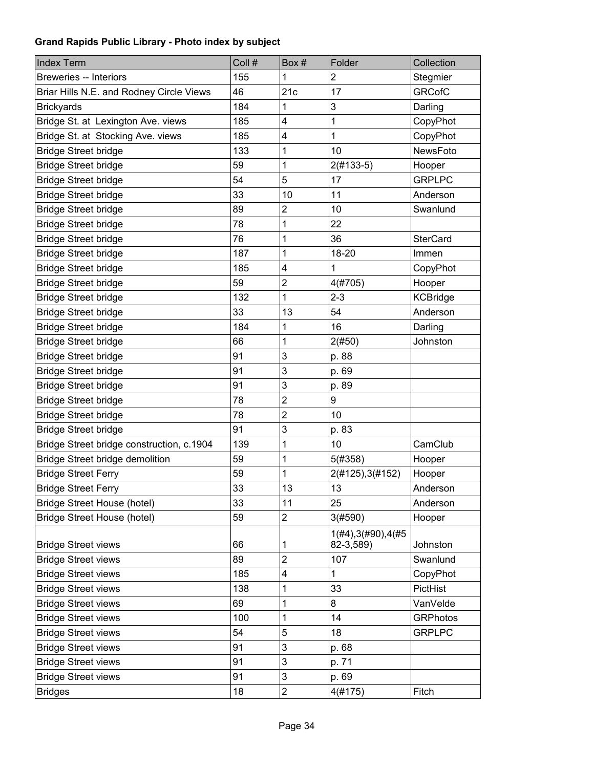| <b>Index Term</b>                         | Coll # | Box#           | Folder               | Collection      |
|-------------------------------------------|--------|----------------|----------------------|-----------------|
| Breweries -- Interiors                    | 155    | 1              | 2                    | Stegmier        |
| Briar Hills N.E. and Rodney Circle Views  | 46     | 21c            | 17                   | <b>GRCofC</b>   |
| <b>Brickyards</b>                         | 184    | 1              | 3                    | Darling         |
| Bridge St. at Lexington Ave. views        | 185    | 4              | 1                    | CopyPhot        |
| Bridge St. at Stocking Ave. views         | 185    | 4              | 1                    | CopyPhot        |
| <b>Bridge Street bridge</b>               | 133    | 1              | 10                   | NewsFoto        |
| <b>Bridge Street bridge</b>               | 59     | 1              | $2(#133-5)$          | Hooper          |
| <b>Bridge Street bridge</b>               | 54     | 5              | 17                   | <b>GRPLPC</b>   |
| <b>Bridge Street bridge</b>               | 33     | 10             | 11                   | Anderson        |
| <b>Bridge Street bridge</b>               | 89     | 2              | 10                   | Swanlund        |
| <b>Bridge Street bridge</b>               | 78     | 1              | 22                   |                 |
| <b>Bridge Street bridge</b>               | 76     | 1              | 36                   | <b>SterCard</b> |
| <b>Bridge Street bridge</b>               | 187    | 1              | 18-20                | Immen           |
| <b>Bridge Street bridge</b>               | 185    | 4              | 1                    | CopyPhot        |
| <b>Bridge Street bridge</b>               | 59     | $\overline{c}$ | 4(#705)              | Hooper          |
| <b>Bridge Street bridge</b>               | 132    | 1              | $2 - 3$              | <b>KCBridge</b> |
| <b>Bridge Street bridge</b>               | 33     | 13             | 54                   | Anderson        |
| <b>Bridge Street bridge</b>               | 184    | 1              | 16                   | Darling         |
| <b>Bridge Street bridge</b>               | 66     | 1              | 2(#50)               | Johnston        |
| <b>Bridge Street bridge</b>               | 91     | 3              | p. 88                |                 |
| <b>Bridge Street bridge</b>               | 91     | 3              | p. 69                |                 |
| <b>Bridge Street bridge</b>               | 91     | 3              | p. 89                |                 |
| <b>Bridge Street bridge</b>               | 78     | $\overline{c}$ | 9                    |                 |
| <b>Bridge Street bridge</b>               | 78     | $\overline{c}$ | 10                   |                 |
| <b>Bridge Street bridge</b>               | 91     | 3              | p. 83                |                 |
| Bridge Street bridge construction, c.1904 | 139    | 1              | 10                   | CamClub         |
| Bridge Street bridge demolition           | 59     | 1              | 5(#358)              | Hooper          |
| <b>Bridge Street Ferry</b>                | 59     | 1              | 2(#125), 3(#152)     | Hooper          |
| <b>Bridge Street Ferry</b>                | 33     | 13             | 13                   | Anderson        |
| <b>Bridge Street House (hotel)</b>        | 33     | 11             | 25                   | Anderson        |
| <b>Bridge Street House (hotel)</b>        | 59     | $\overline{2}$ | 3(#590)              | Hooper          |
|                                           |        |                | 1(H4), 3(H90), 4(H5) |                 |
| <b>Bridge Street views</b>                | 66     | 1              | 82-3,589)            | Johnston        |
| <b>Bridge Street views</b>                | 89     | 2              | 107                  | Swanlund        |
| <b>Bridge Street views</b>                | 185    | 4              | 1                    | CopyPhot        |
| <b>Bridge Street views</b>                | 138    | 1              | 33                   | PictHist        |
| <b>Bridge Street views</b>                | 69     | 1              | 8                    | VanVelde        |
| <b>Bridge Street views</b>                | 100    | 1              | 14                   | <b>GRPhotos</b> |
| <b>Bridge Street views</b>                | 54     | 5              | 18                   | <b>GRPLPC</b>   |
| <b>Bridge Street views</b>                | 91     | 3              | p. 68                |                 |
| <b>Bridge Street views</b>                | 91     | 3              | p. 71                |                 |
| <b>Bridge Street views</b>                | 91     | 3              | p. 69                |                 |
| <b>Bridges</b>                            | 18     | $\overline{c}$ | 4(#175)              | Fitch           |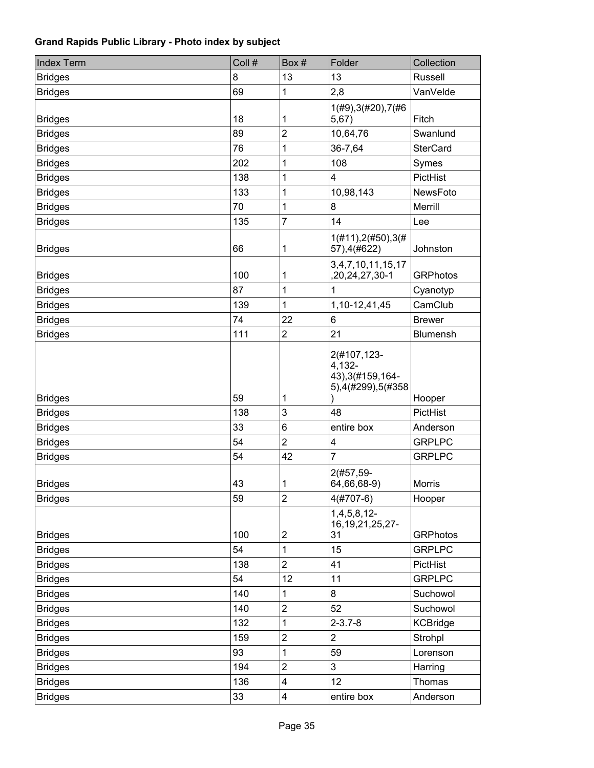| <b>Index Term</b> | Coll # | Box#                    | Folder                                                          | Collection      |
|-------------------|--------|-------------------------|-----------------------------------------------------------------|-----------------|
| <b>Bridges</b>    | 8      | 13                      | 13                                                              | Russell         |
| <b>Bridges</b>    | 69     | 1                       | 2,8                                                             | VanVelde        |
| <b>Bridges</b>    | 18     | 1                       | 1(#9), 3(#20), 7(#6<br>5,67)                                    | Fitch           |
| <b>Bridges</b>    | 89     | 2                       | 10,64,76                                                        | Swanlund        |
| <b>Bridges</b>    | 76     | 1                       | 36-7,64                                                         | <b>SterCard</b> |
| <b>Bridges</b>    | 202    | 1                       | 108                                                             | Symes           |
| <b>Bridges</b>    | 138    | 1                       | 4                                                               | PictHist        |
| <b>Bridges</b>    | 133    | 1                       | 10,98,143                                                       | NewsFoto        |
| <b>Bridges</b>    | 70     | 1                       | 8                                                               | Merrill         |
| <b>Bridges</b>    | 135    | $\overline{7}$          | 14                                                              | Lee             |
| <b>Bridges</b>    | 66     | 1                       | 1(#11), 2(#50), 3(#<br>57), 4(#622)                             | Johnston        |
| <b>Bridges</b>    | 100    | 1                       | 3,4,7,10,11,15,17<br>,20,24,27,30-1                             | <b>GRPhotos</b> |
| <b>Bridges</b>    | 87     | 1                       | 1                                                               | Cyanotyp        |
| <b>Bridges</b>    | 139    | 1                       | 1, 10-12, 41, 45                                                | CamClub         |
| <b>Bridges</b>    | 74     | 22                      | 6                                                               | <b>Brewer</b>   |
| <b>Bridges</b>    | 111    | $\overline{c}$          | 21                                                              | Blumensh        |
| <b>Bridges</b>    | 59     | 1                       | 2(#107,123-<br>4,132-<br>43), 3(#159, 164-<br>5),4(#299),5(#358 | Hooper          |
| <b>Bridges</b>    | 138    | 3                       | 48                                                              | PictHist        |
| <b>Bridges</b>    | 33     | 6                       | entire box                                                      | Anderson        |
| <b>Bridges</b>    | 54     | $\overline{2}$          | 4                                                               | <b>GRPLPC</b>   |
| <b>Bridges</b>    | 54     | 42                      | $\overline{7}$                                                  | <b>GRPLPC</b>   |
| <b>Bridges</b>    | 43     | 1                       | 2(#57,59-<br>64,66,68-9)                                        | <b>Morris</b>   |
| <b>Bridges</b>    | 59     | $\overline{2}$          | $4(#707-6)$                                                     | Hooper          |
| <b>Bridges</b>    | 100    | 2                       | $1,4,5,8,12-$<br>16, 19, 21, 25, 27-<br>31                      | <b>GRPhotos</b> |
| <b>Bridges</b>    | 54     | 1                       | 15                                                              | <b>GRPLPC</b>   |
| <b>Bridges</b>    | 138    | $\overline{2}$          | 41                                                              | PictHist        |
| <b>Bridges</b>    | 54     | 12                      | 11                                                              | <b>GRPLPC</b>   |
| <b>Bridges</b>    | 140    | 1                       | 8                                                               | Suchowol        |
| <b>Bridges</b>    | 140    | $\overline{\mathbf{c}}$ | 52                                                              | Suchowol        |
| <b>Bridges</b>    | 132    | 1                       | $2 - 3.7 - 8$                                                   | <b>KCBridge</b> |
| <b>Bridges</b>    | 159    | $\overline{2}$          | $\overline{2}$                                                  | Strohpl         |
| <b>Bridges</b>    | 93     | 1                       | 59                                                              | Lorenson        |
| <b>Bridges</b>    | 194    | $\overline{c}$          | 3                                                               | Harring         |
| <b>Bridges</b>    | 136    | 4                       | 12                                                              | Thomas          |
| <b>Bridges</b>    | 33     | 4                       | entire box                                                      | Anderson        |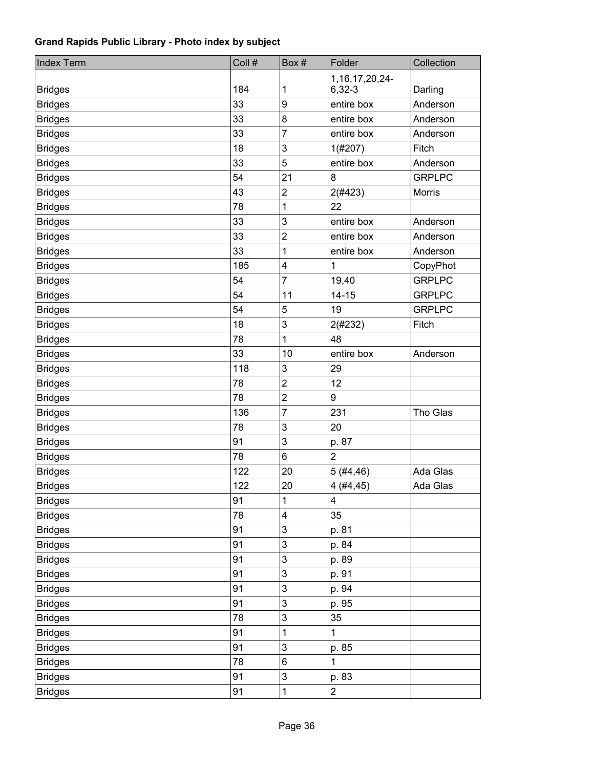| <b>Index Term</b> | Coll # | Box#                    | Folder                         | Collection    |
|-------------------|--------|-------------------------|--------------------------------|---------------|
| <b>Bridges</b>    | 184    | 1                       | 1, 16, 17, 20, 24-<br>$6,32-3$ | Darling       |
| <b>Bridges</b>    | 33     | 9                       | entire box                     | Anderson      |
| <b>Bridges</b>    | 33     | 8                       | entire box                     | Anderson      |
| <b>Bridges</b>    | 33     | 7                       | entire box                     | Anderson      |
| <b>Bridges</b>    | 18     | 3                       | 1(#207)                        | Fitch         |
| <b>Bridges</b>    | 33     | 5                       | entire box                     | Anderson      |
| <b>Bridges</b>    | 54     | 21                      | 8                              | <b>GRPLPC</b> |
| <b>Bridges</b>    | 43     | 2                       | 2(#423)                        | Morris        |
| <b>Bridges</b>    | 78     | 1                       | 22                             |               |
| <b>Bridges</b>    | 33     | 3                       | entire box                     | Anderson      |
| <b>Bridges</b>    | 33     | $\overline{2}$          | entire box                     | Anderson      |
| <b>Bridges</b>    | 33     | 1                       | entire box                     | Anderson      |
| <b>Bridges</b>    | 185    | $\overline{\mathbf{4}}$ | $\mathbf{1}$                   | CopyPhot      |
| <b>Bridges</b>    | 54     | $\overline{7}$          | 19,40                          | <b>GRPLPC</b> |
| <b>Bridges</b>    | 54     | 11                      | $14 - 15$                      | <b>GRPLPC</b> |
| <b>Bridges</b>    | 54     | 5                       | 19                             | <b>GRPLPC</b> |
| <b>Bridges</b>    | 18     | 3                       | 2(#232)                        | Fitch         |
| <b>Bridges</b>    | 78     | 1                       | 48                             |               |
| <b>Bridges</b>    | 33     | 10                      | entire box                     | Anderson      |
| <b>Bridges</b>    | 118    | 3                       | 29                             |               |
| <b>Bridges</b>    | 78     | $\overline{2}$          | 12                             |               |
| <b>Bridges</b>    | 78     | $\overline{2}$          | 9                              |               |
| <b>Bridges</b>    | 136    | 7                       | 231                            | Tho Glas      |
| <b>Bridges</b>    | 78     | 3                       | 20                             |               |
| <b>Bridges</b>    | 91     | 3                       | p. 87                          |               |
| <b>Bridges</b>    | 78     | 6                       | $\overline{2}$                 |               |
| <b>Bridges</b>    | 122    | 20                      | 5(#4,46)                       | Ada Glas      |
| <b>Bridges</b>    | 122    | 20                      | 4(#4, 45)                      | Ada Glas      |
| <b>Bridges</b>    | 91     | 1                       | 4                              |               |
| <b>Bridges</b>    | 78     | $\overline{\mathbf{4}}$ | 35                             |               |
| <b>Bridges</b>    | 91     | 3                       | p. 81                          |               |
| <b>Bridges</b>    | 91     | 3                       | p. 84                          |               |
| <b>Bridges</b>    | 91     | 3                       | p. 89                          |               |
| <b>Bridges</b>    | 91     | $\mathsf 3$             | p. 91                          |               |
| <b>Bridges</b>    | 91     | $\mathfrak{S}$          | p. 94                          |               |
| <b>Bridges</b>    | 91     | $\mathsf 3$             | p. 95                          |               |
| <b>Bridges</b>    | 78     | 3                       | 35                             |               |
| <b>Bridges</b>    | 91     | 1                       | $\mathbf{1}$                   |               |
| <b>Bridges</b>    | 91     | 3                       | p. 85                          |               |
| <b>Bridges</b>    | 78     | 6                       | 1                              |               |
| <b>Bridges</b>    | 91     | 3                       | p. 83                          |               |
| <b>Bridges</b>    | 91     | 1                       | $\overline{c}$                 |               |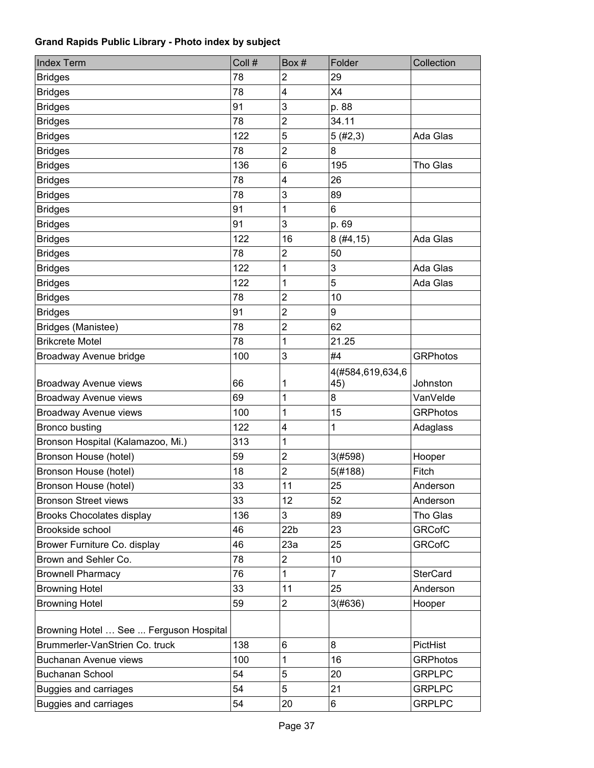| <b>Index Term</b>                      | Coll # | Box#                    | Folder                  | Collection      |
|----------------------------------------|--------|-------------------------|-------------------------|-----------------|
| <b>Bridges</b>                         | 78     | 2                       | 29                      |                 |
| <b>Bridges</b>                         | 78     | $\overline{\mathbf{4}}$ | X4                      |                 |
| <b>Bridges</b>                         | 91     | 3                       | p. 88                   |                 |
| <b>Bridges</b>                         | 78     | $\overline{2}$          | 34.11                   |                 |
| <b>Bridges</b>                         | 122    | 5                       | 5(#2,3)                 | Ada Glas        |
| <b>Bridges</b>                         | 78     | $\overline{2}$          | 8                       |                 |
| <b>Bridges</b>                         | 136    | 6                       | 195                     | Tho Glas        |
| <b>Bridges</b>                         | 78     | 4                       | 26                      |                 |
| <b>Bridges</b>                         | 78     | 3                       | 89                      |                 |
| <b>Bridges</b>                         | 91     | 1                       | 6                       |                 |
| <b>Bridges</b>                         | 91     | 3                       | p. 69                   |                 |
| <b>Bridges</b>                         | 122    | 16                      | 8(#4, 15)               | Ada Glas        |
| <b>Bridges</b>                         | 78     | $\mathbf 2$             | 50                      |                 |
| <b>Bridges</b>                         | 122    | 1                       | 3                       | Ada Glas        |
| <b>Bridges</b>                         | 122    | 1                       | 5                       | Ada Glas        |
| <b>Bridges</b>                         | 78     | $\overline{2}$          | 10                      |                 |
| <b>Bridges</b>                         | 91     | $\overline{2}$          | 9                       |                 |
| Bridges (Manistee)                     | 78     | $\overline{2}$          | 62                      |                 |
| <b>Brikcrete Motel</b>                 | 78     | 1                       | 21.25                   |                 |
| Broadway Avenue bridge                 | 100    | 3                       | #4                      | <b>GRPhotos</b> |
| Broadway Avenue views                  | 66     | 1                       | 4(#584,619,634,6<br>45) | Johnston        |
| Broadway Avenue views                  | 69     | 1                       | 8                       | VanVelde        |
| Broadway Avenue views                  | 100    | 1                       | 15                      | <b>GRPhotos</b> |
| <b>Bronco busting</b>                  | 122    | $\overline{\mathbf{4}}$ | $\mathbf 1$             | Adaglass        |
| Bronson Hospital (Kalamazoo, Mi.)      | 313    | 1                       |                         |                 |
| Bronson House (hotel)                  | 59     | $\overline{2}$          | 3(#598)                 | Hooper          |
| Bronson House (hotel)                  | 18     | 2                       | 5(#188)                 | Fitch           |
| Bronson House (hotel)                  | 33     | 11                      | 25                      | Anderson        |
| <b>Bronson Street views</b>            | 33     | 12                      | 52                      | Anderson        |
| <b>Brooks Chocolates display</b>       | 136    | 3                       | 89                      | Tho Glas        |
| Brookside school                       | 46     | 22 <sub>b</sub>         | 23                      | <b>GRCofC</b>   |
| Brower Furniture Co. display           | 46     | 23a                     | 25                      | <b>GRCofC</b>   |
| Brown and Sehler Co.                   | 78     | $\overline{2}$          | 10                      |                 |
| <b>Brownell Pharmacy</b>               | 76     | 1                       | $\overline{7}$          | <b>SterCard</b> |
| <b>Browning Hotel</b>                  | 33     | 11                      | 25                      | Anderson        |
| <b>Browning Hotel</b>                  | 59     | $\overline{2}$          | 3(#636)                 | Hooper          |
|                                        |        |                         |                         |                 |
| Browning Hotel  See  Ferguson Hospital |        |                         |                         |                 |
| Brummerler-VanStrien Co. truck         | 138    | 6                       | 8                       | PictHist        |
| Buchanan Avenue views                  | 100    | 1                       | 16                      | <b>GRPhotos</b> |
| <b>Buchanan School</b>                 | 54     | 5                       | 20                      | <b>GRPLPC</b>   |
| <b>Buggies and carriages</b>           | 54     | 5                       | 21                      | <b>GRPLPC</b>   |
| <b>Buggies and carriages</b>           | 54     | 20                      | 6                       | <b>GRPLPC</b>   |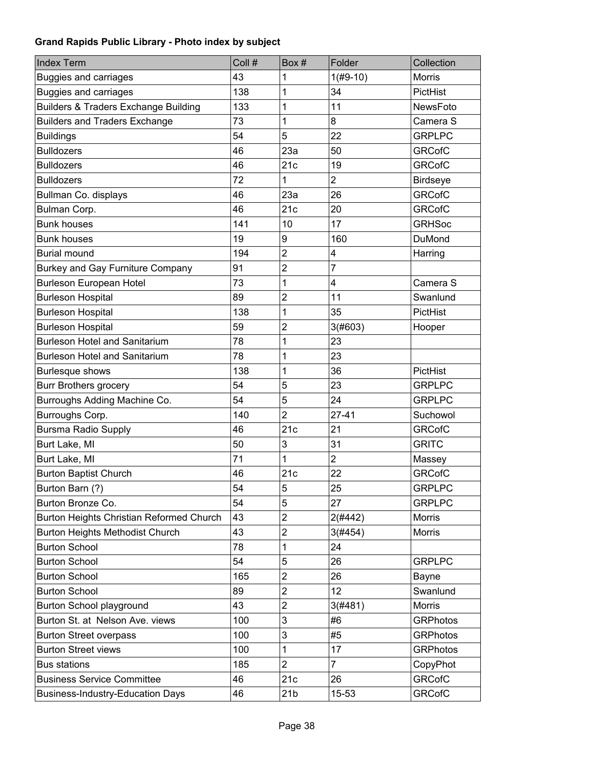| <b>Index Term</b>                               | Coll # | Box #           | Folder         | Collection      |
|-------------------------------------------------|--------|-----------------|----------------|-----------------|
| Buggies and carriages                           | 43     | 1               | $1(H9-10)$     | <b>Morris</b>   |
| <b>Buggies and carriages</b>                    | 138    | 1               | 34             | PictHist        |
| <b>Builders &amp; Traders Exchange Building</b> | 133    | 1               | 11             | NewsFoto        |
| <b>Builders and Traders Exchange</b>            | 73     | 1               | 8              | Camera S        |
| <b>Buildings</b>                                | 54     | 5               | 22             | <b>GRPLPC</b>   |
| <b>Bulldozers</b>                               | 46     | 23a             | 50             | <b>GRCofC</b>   |
| <b>Bulldozers</b>                               | 46     | 21c             | 19             | <b>GRCofC</b>   |
| <b>Bulldozers</b>                               | 72     | 1               | $\overline{2}$ | <b>Birdseye</b> |
| Bullman Co. displays                            | 46     | 23a             | 26             | <b>GRCofC</b>   |
| Bulman Corp.                                    | 46     | 21c             | 20             | <b>GRCofC</b>   |
| <b>Bunk houses</b>                              | 141    | 10              | 17             | <b>GRHSoc</b>   |
| <b>Bunk houses</b>                              | 19     | 9               | 160            | DuMond          |
| <b>Burial mound</b>                             | 194    | $\overline{2}$  | 4              | Harring         |
| Burkey and Gay Furniture Company                | 91     | $\overline{2}$  | 7              |                 |
| <b>Burleson European Hotel</b>                  | 73     | 1               | 4              | Camera S        |
| <b>Burleson Hospital</b>                        | 89     | $\overline{2}$  | 11             | Swanlund        |
| <b>Burleson Hospital</b>                        | 138    | 1               | 35             | PictHist        |
| <b>Burleson Hospital</b>                        | 59     | $\overline{2}$  | 3(#603)        | Hooper          |
| <b>Burleson Hotel and Sanitarium</b>            | 78     | 1               | 23             |                 |
| <b>Burleson Hotel and Sanitarium</b>            | 78     | 1               | 23             |                 |
| <b>Burlesque shows</b>                          | 138    | 1               | 36             | PictHist        |
| <b>Burr Brothers grocery</b>                    | 54     | 5               | 23             | <b>GRPLPC</b>   |
| Burroughs Adding Machine Co.                    | 54     | 5               | 24             | <b>GRPLPC</b>   |
| Burroughs Corp.                                 | 140    | $\overline{2}$  | $27 - 41$      | Suchowol        |
| <b>Bursma Radio Supply</b>                      | 46     | 21c             | 21             | <b>GRCofC</b>   |
| Burt Lake, MI                                   | 50     | 3               | 31             | <b>GRITC</b>    |
| Burt Lake, MI                                   | 71     | 1               | $\overline{2}$ | Massey          |
| <b>Burton Baptist Church</b>                    | 46     | 21c             | 22             | <b>GRCofC</b>   |
| Burton Barn (?)                                 | 54     | 5               | 25             | <b>GRPLPC</b>   |
| Burton Bronze Co.                               | 54     | 5               | 27             | <b>GRPLPC</b>   |
| Burton Heights Christian Reformed Church        | 43     | $\overline{2}$  | 2(#442)        | Morris          |
| Burton Heights Methodist Church                 | 43     | $\overline{c}$  | 3(#454)        | Morris          |
| <b>Burton School</b>                            | 78     | 1               | 24             |                 |
| <b>Burton School</b>                            | 54     | 5               | 26             | <b>GRPLPC</b>   |
| <b>Burton School</b>                            | 165    | $\overline{2}$  | 26             | Bayne           |
| <b>Burton School</b>                            | 89     | $\overline{c}$  | 12             | Swanlund        |
| Burton School playground                        | 43     | $\overline{2}$  | 3(#481)        | <b>Morris</b>   |
| Burton St. at Nelson Ave. views                 | 100    | $\mathsf 3$     | #6             | <b>GRPhotos</b> |
| <b>Burton Street overpass</b>                   | 100    | 3               | #5             | <b>GRPhotos</b> |
| <b>Burton Street views</b>                      | 100    | 1               | 17             | <b>GRPhotos</b> |
| <b>Bus stations</b>                             | 185    | $\overline{2}$  | $\overline{7}$ | CopyPhot        |
| <b>Business Service Committee</b>               | 46     | 21c             | 26             | <b>GRCofC</b>   |
| <b>Business-Industry-Education Days</b>         | 46     | 21 <sub>b</sub> | 15-53          | <b>GRCofC</b>   |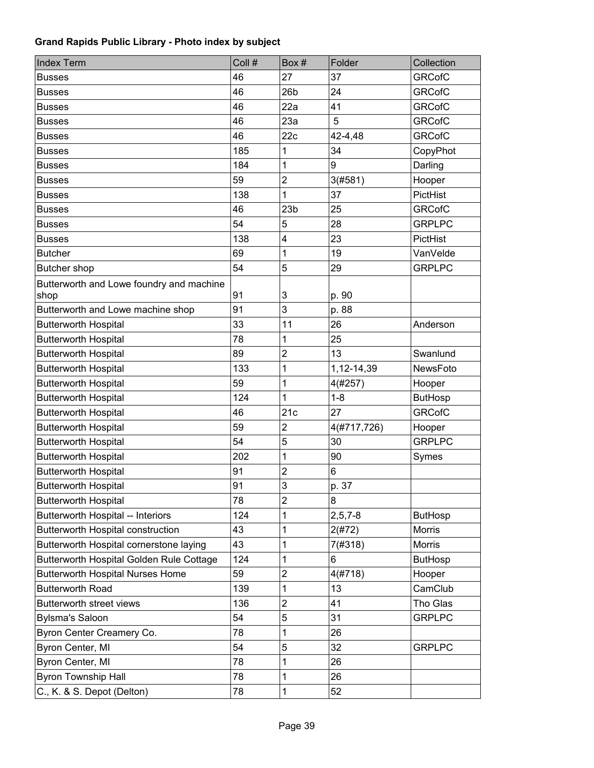| <b>Index Term</b>                                | Coll # | Box#            | Folder        | Collection     |
|--------------------------------------------------|--------|-----------------|---------------|----------------|
| <b>Busses</b>                                    | 46     | 27              | 37            | <b>GRCofC</b>  |
| <b>Busses</b>                                    | 46     | 26 <sub>b</sub> | 24            | <b>GRCofC</b>  |
| <b>Busses</b>                                    | 46     | 22a             | 41            | <b>GRCofC</b>  |
| <b>Busses</b>                                    | 46     | 23a             | 5             | <b>GRCofC</b>  |
| <b>Busses</b>                                    | 46     | 22c             | 42-4,48       | <b>GRCofC</b>  |
| <b>Busses</b>                                    | 185    | 1               | 34            | CopyPhot       |
| <b>Busses</b>                                    | 184    | 1               | 9             | Darling        |
| <b>Busses</b>                                    | 59     | $\overline{c}$  | 3(#581)       | Hooper         |
| <b>Busses</b>                                    | 138    | 1               | 37            | PictHist       |
| <b>Busses</b>                                    | 46     | 23 <sub>b</sub> | 25            | <b>GRCofC</b>  |
| <b>Busses</b>                                    | 54     | 5               | 28            | <b>GRPLPC</b>  |
| <b>Busses</b>                                    | 138    | 4               | 23            | PictHist       |
| <b>Butcher</b>                                   | 69     | 1               | 19            | VanVelde       |
| Butcher shop                                     | 54     | 5               | 29            | <b>GRPLPC</b>  |
| Butterworth and Lowe foundry and machine<br>shop | 91     | 3               | p. 90         |                |
| Butterworth and Lowe machine shop                | 91     | 3               | p. 88         |                |
| <b>Butterworth Hospital</b>                      | 33     | 11              | 26            | Anderson       |
| <b>Butterworth Hospital</b>                      | 78     | 1               | 25            |                |
| <b>Butterworth Hospital</b>                      | 89     | $\overline{2}$  | 13            | Swanlund       |
| <b>Butterworth Hospital</b>                      | 133    | 1               | 1,12-14,39    | NewsFoto       |
| <b>Butterworth Hospital</b>                      | 59     | 1               | 4(#257)       | Hooper         |
| <b>Butterworth Hospital</b>                      | 124    | 1               | $1 - 8$       | <b>ButHosp</b> |
| <b>Butterworth Hospital</b>                      | 46     | 21c             | 27            | <b>GRCofC</b>  |
| <b>Butterworth Hospital</b>                      | 59     | $\overline{c}$  | 4(#717,726)   | Hooper         |
| <b>Butterworth Hospital</b>                      | 54     | 5               | 30            | <b>GRPLPC</b>  |
| <b>Butterworth Hospital</b>                      | 202    | 1               | 90            | Symes          |
| <b>Butterworth Hospital</b>                      | 91     | $\overline{c}$  | 6             |                |
| <b>Butterworth Hospital</b>                      | 91     | 3               | p. 37         |                |
| <b>Butterworth Hospital</b>                      | 78     | $\overline{2}$  | 8             |                |
| Butterworth Hospital -- Interiors                | 124    | 1               | $2, 5, 7 - 8$ | <b>ButHosp</b> |
| Butterworth Hospital construction                | 43     | 1               | 2(#72)        | Morris         |
| Butterworth Hospital cornerstone laying          | 43     | 1               | 7(#318)       | <b>Morris</b>  |
| Butterworth Hospital Golden Rule Cottage         | 124    | 1               | 6             | <b>ButHosp</b> |
| <b>Butterworth Hospital Nurses Home</b>          | 59     | $\overline{c}$  | 4(#718)       | Hooper         |
| <b>Butterworth Road</b>                          | 139    | 1               | 13            | CamClub        |
| Butterworth street views                         | 136    | $\overline{c}$  | 41            | Tho Glas       |
| <b>Bylsma's Saloon</b>                           | 54     | 5               | 31            | <b>GRPLPC</b>  |
|                                                  | 78     | 1               | 26            |                |
| Byron Center Creamery Co.<br>Byron Center, MI    | 54     | 5               | 32            | <b>GRPLPC</b>  |
| Byron Center, MI                                 | 78     | 1               | 26            |                |
|                                                  |        |                 |               |                |
| <b>Byron Township Hall</b>                       | 78     | 1               | 26            |                |
| C., K. & S. Depot (Delton)                       | 78     | 1               | 52            |                |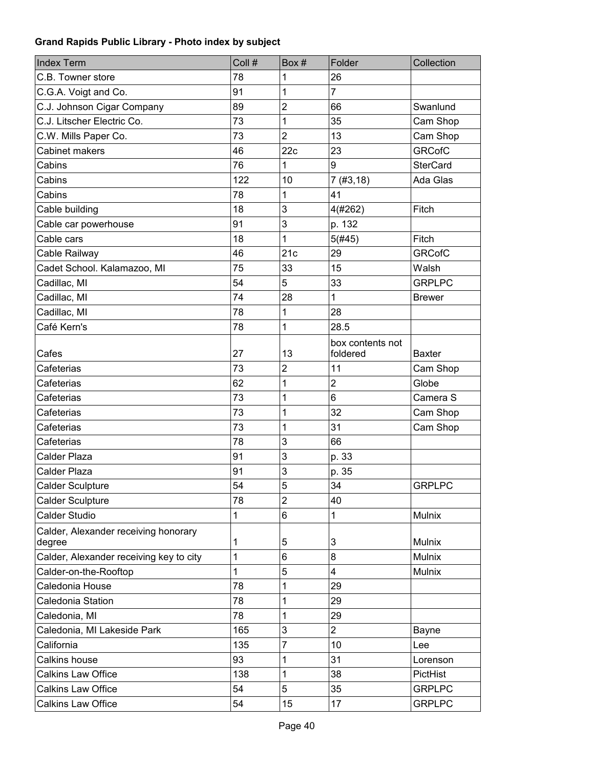| <b>Index Term</b>                              | Coll # | Box #                   | Folder                       | Collection      |
|------------------------------------------------|--------|-------------------------|------------------------------|-----------------|
| C.B. Towner store                              | 78     | 1                       | 26                           |                 |
| C.G.A. Voigt and Co.                           | 91     | 1                       | $\overline{7}$               |                 |
| C.J. Johnson Cigar Company                     | 89     | $\overline{c}$          | 66                           | Swanlund        |
| C.J. Litscher Electric Co.                     | 73     | 1                       | 35                           | Cam Shop        |
| C.W. Mills Paper Co.                           | 73     | $\overline{2}$          | 13                           | Cam Shop        |
| Cabinet makers                                 | 46     | 22c                     | 23                           | <b>GRCofC</b>   |
| Cabins                                         | 76     | 1                       | 9                            | <b>SterCard</b> |
| Cabins                                         | 122    | 10                      | 7(#3, 18)                    | Ada Glas        |
| Cabins                                         | 78     | 1                       | 41                           |                 |
| Cable building                                 | 18     | 3                       | 4(#262)                      | Fitch           |
| Cable car powerhouse                           | 91     | 3                       | p. 132                       |                 |
| Cable cars                                     | 18     | 1                       | 5(#45)                       | Fitch           |
| Cable Railway                                  | 46     | 21c                     | 29                           | <b>GRCofC</b>   |
| Cadet School. Kalamazoo, MI                    | 75     | 33                      | 15                           | Walsh           |
| Cadillac, MI                                   | 54     | 5                       | 33                           | <b>GRPLPC</b>   |
| Cadillac, MI                                   | 74     | 28                      | $\mathbf{1}$                 | <b>Brewer</b>   |
| Cadillac, MI                                   | 78     | 1                       | 28                           |                 |
| Café Kern's                                    | 78     | 1                       | 28.5                         |                 |
| Cafes                                          | 27     | 13                      | box contents not<br>foldered | <b>Baxter</b>   |
| Cafeterias                                     | 73     | $\overline{\mathbf{c}}$ | 11                           | Cam Shop        |
| Cafeterias                                     | 62     | 1                       | $\overline{2}$               | Globe           |
| Cafeterias                                     | 73     | 1                       | 6                            | Camera S        |
| Cafeterias                                     | 73     | 1                       | 32                           | Cam Shop        |
| Cafeterias                                     | 73     | 1                       | 31                           | Cam Shop        |
| Cafeterias                                     | 78     | 3                       | 66                           |                 |
| <b>Calder Plaza</b>                            | 91     | 3                       | p. 33                        |                 |
| <b>Calder Plaza</b>                            | 91     | 3                       | p. 35                        |                 |
| <b>Calder Sculpture</b>                        | 54     | 5                       | 34                           | <b>GRPLPC</b>   |
| <b>Calder Sculpture</b>                        | 78     | $\overline{2}$          | 40                           |                 |
| <b>Calder Studio</b>                           | 1      | 6                       | $\mathbf{1}$                 | Mulnix          |
| Calder, Alexander receiving honorary<br>degree | 1      | 5                       | 3                            | <b>Mulnix</b>   |
| Calder, Alexander receiving key to city        | 1      | 6                       | 8                            | <b>Mulnix</b>   |
| Calder-on-the-Rooftop                          | 1      | 5                       | $\overline{\mathbf{4}}$      | Mulnix          |
| Caledonia House                                | 78     | 1                       | 29                           |                 |
| Caledonia Station                              | 78     | 1                       | 29                           |                 |
| Caledonia, MI                                  | 78     | 1                       | 29                           |                 |
| Caledonia, MI Lakeside Park                    | 165    | 3                       | $\overline{2}$               | Bayne           |
| California                                     | 135    | $\overline{7}$          | 10                           | Lee             |
| Calkins house                                  | 93     | 1                       | 31                           | Lorenson        |
| <b>Calkins Law Office</b>                      | 138    | 1                       | 38                           | PictHist        |
| <b>Calkins Law Office</b>                      | 54     | 5                       | 35                           | <b>GRPLPC</b>   |
| <b>Calkins Law Office</b>                      | 54     | 15                      | 17                           | <b>GRPLPC</b>   |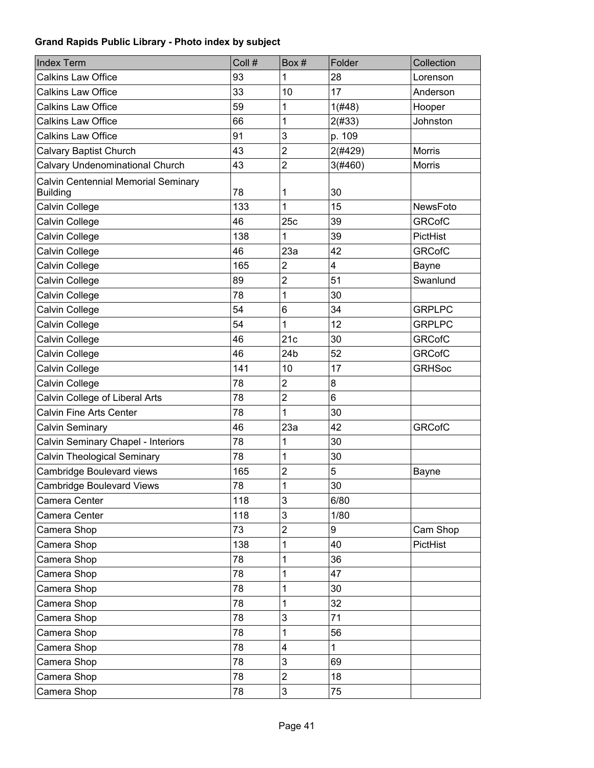| <b>Index Term</b>                                      | Coll # | Box#            | Folder       | Collection      |
|--------------------------------------------------------|--------|-----------------|--------------|-----------------|
| <b>Calkins Law Office</b>                              | 93     | 1               | 28           | Lorenson        |
| <b>Calkins Law Office</b>                              | 33     | 10              | 17           | Anderson        |
| <b>Calkins Law Office</b>                              | 59     | 1               | 1(#48)       | Hooper          |
| <b>Calkins Law Office</b>                              | 66     | 1               | 2(#33)       | Johnston        |
| <b>Calkins Law Office</b>                              | 91     | 3               | p. 109       |                 |
| Calvary Baptist Church                                 | 43     | $\overline{2}$  | 2(#429)      | <b>Morris</b>   |
| <b>Calvary Undenominational Church</b>                 | 43     | $\overline{2}$  | 3(#460)      | <b>Morris</b>   |
| Calvin Centennial Memorial Seminary<br><b>Building</b> | 78     | 1               | 30           |                 |
| Calvin College                                         | 133    | 1               | 15           | NewsFoto        |
| Calvin College                                         | 46     | 25c             | 39           | <b>GRCofC</b>   |
| Calvin College                                         | 138    | 1               | 39           | <b>PictHist</b> |
| Calvin College                                         | 46     | 23a             | 42           | <b>GRCofC</b>   |
| <b>Calvin College</b>                                  | 165    | $\overline{2}$  | 4            | Bayne           |
| Calvin College                                         | 89     | $\overline{2}$  | 51           | Swanlund        |
| Calvin College                                         | 78     | 1               | 30           |                 |
| Calvin College                                         | 54     | 6               | 34           | <b>GRPLPC</b>   |
| Calvin College                                         | 54     | 1               | 12           | <b>GRPLPC</b>   |
| Calvin College                                         | 46     | 21c             | 30           | <b>GRCofC</b>   |
| Calvin College                                         | 46     | 24 <sub>b</sub> | 52           | <b>GRCofC</b>   |
| Calvin College                                         | 141    | 10              | 17           | <b>GRHSoc</b>   |
| Calvin College                                         | 78     | $\overline{2}$  | 8            |                 |
| Calvin College of Liberal Arts                         | 78     | $\overline{2}$  | 6            |                 |
| <b>Calvin Fine Arts Center</b>                         | 78     | 1               | 30           |                 |
| Calvin Seminary                                        | 46     | 23a             | 42           | <b>GRCofC</b>   |
| Calvin Seminary Chapel - Interiors                     | 78     | 1               | 30           |                 |
| Calvin Theological Seminary                            | 78     | 1               | 30           |                 |
| Cambridge Boulevard views                              | 165    | 2               | 5            | Bayne           |
| <b>Cambridge Boulevard Views</b>                       | 78     | 1               | 30           |                 |
| Camera Center                                          | 118    | 3               | 6/80         |                 |
| Camera Center                                          | 118    | 3               | 1/80         |                 |
| Camera Shop                                            | 73     | $\overline{2}$  | 9            | Cam Shop        |
| Camera Shop                                            | 138    | 1               | 40           | PictHist        |
| Camera Shop                                            | 78     | 1               | 36           |                 |
| Camera Shop                                            | 78     | 1               | 47           |                 |
| Camera Shop                                            | 78     | 1               | 30           |                 |
| Camera Shop                                            | 78     | 1               | 32           |                 |
| Camera Shop                                            | 78     | 3               | 71           |                 |
| Camera Shop                                            | 78     | 1               | 56           |                 |
| Camera Shop                                            | 78     | 4               | $\mathbf{1}$ |                 |
| Camera Shop                                            | 78     | 3               | 69           |                 |
| Camera Shop                                            | 78     | $\overline{c}$  | 18           |                 |
| Camera Shop                                            | 78     | 3               | 75           |                 |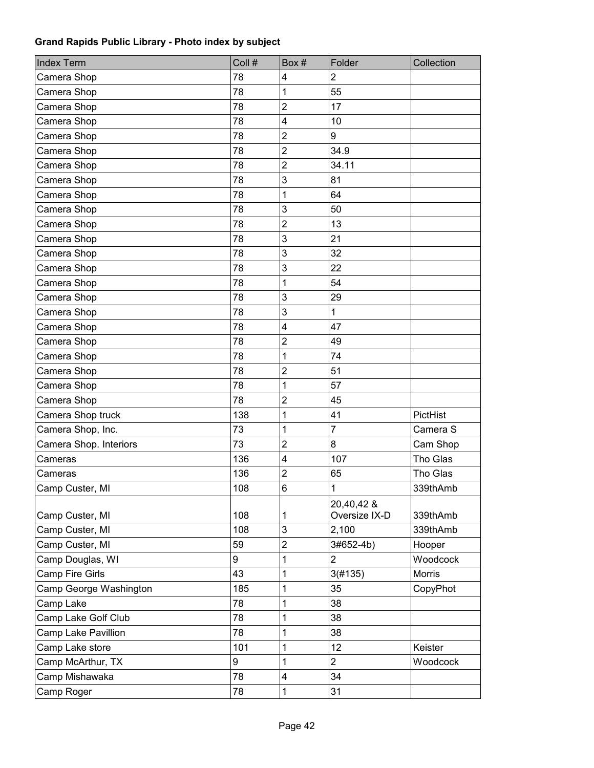| <b>Index Term</b>      | Coll # | Box#                    | Folder         | Collection    |
|------------------------|--------|-------------------------|----------------|---------------|
| Camera Shop            | 78     | 4                       | $\overline{2}$ |               |
| Camera Shop            | 78     | 1                       | 55             |               |
| Camera Shop            | 78     | $\overline{2}$          | 17             |               |
| Camera Shop            | 78     | $\overline{\mathbf{4}}$ | 10             |               |
| Camera Shop            | 78     | $\overline{2}$          | 9              |               |
| Camera Shop            | 78     | $\overline{2}$          | 34.9           |               |
| Camera Shop            | 78     | $\overline{2}$          | 34.11          |               |
| Camera Shop            | 78     | 3                       | 81             |               |
| Camera Shop            | 78     | 1                       | 64             |               |
| Camera Shop            | 78     | 3                       | 50             |               |
| Camera Shop            | 78     | $\overline{2}$          | 13             |               |
| Camera Shop            | 78     | 3                       | 21             |               |
| Camera Shop            | 78     | 3                       | 32             |               |
| Camera Shop            | 78     | 3                       | 22             |               |
| Camera Shop            | 78     | 1                       | 54             |               |
| Camera Shop            | 78     | 3                       | 29             |               |
| Camera Shop            | 78     | 3                       | 1              |               |
| Camera Shop            | 78     | 4                       | 47             |               |
| Camera Shop            | 78     | $\overline{2}$          | 49             |               |
| Camera Shop            | 78     | 1                       | 74             |               |
| Camera Shop            | 78     | $\overline{2}$          | 51             |               |
| Camera Shop            | 78     | 1                       | 57             |               |
| Camera Shop            | 78     | $\overline{2}$          | 45             |               |
| Camera Shop truck      | 138    | 1                       | 41             | PictHist      |
| Camera Shop, Inc.      | 73     | 1                       | $\overline{7}$ | Camera S      |
| Camera Shop. Interiors | 73     | $\overline{2}$          | 8              | Cam Shop      |
| Cameras                | 136    | 4                       | 107            | Tho Glas      |
| Cameras                | 136    | $\overline{2}$          | 65             | Tho Glas      |
| Camp Custer, MI        | 108    | 6                       | $\mathbf{1}$   | 339thAmb      |
|                        |        |                         | 20,40,42 &     |               |
| Camp Custer, MI        | 108    | 1                       | Oversize IX-D  | 339thAmb      |
| Camp Custer, MI        | 108    | 3                       | 2,100          | 339thAmb      |
| Camp Custer, MI        | 59     | $\overline{c}$          | 3#652-4b)      | Hooper        |
| Camp Douglas, WI       | 9      | 1                       | $\overline{2}$ | Woodcock      |
| Camp Fire Girls        | 43     | 1                       | 3(#135)        | <b>Morris</b> |
| Camp George Washington | 185    | 1                       | 35             | CopyPhot      |
| Camp Lake              | 78     | 1                       | 38             |               |
| Camp Lake Golf Club    | 78     | 1                       | 38             |               |
| Camp Lake Pavillion    | 78     | 1                       | 38             |               |
| Camp Lake store        | 101    | 1                       | 12             | Keister       |
| Camp McArthur, TX      | 9      | 1                       | $\overline{2}$ | Woodcock      |
| Camp Mishawaka         | 78     | $\overline{\mathbf{4}}$ | 34             |               |
| Camp Roger             | 78     | $\mathbf{1}$            | 31             |               |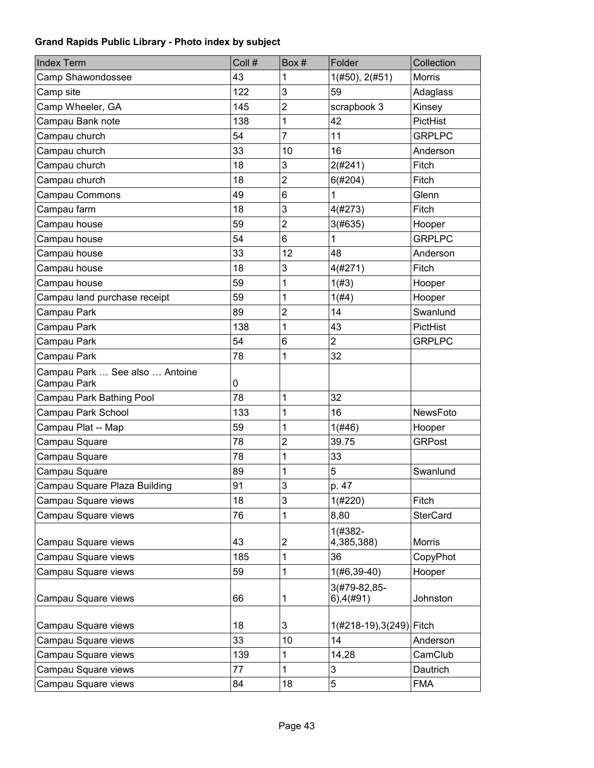| <b>Index Term</b>                             | Coll # | Box#                    | Folder                        | Collection      |
|-----------------------------------------------|--------|-------------------------|-------------------------------|-----------------|
| Camp Shawondossee                             | 43     | 1                       | 1(#50), 2(#51)                | <b>Morris</b>   |
| Camp site                                     | 122    | 3                       | 59                            | Adaglass        |
| Camp Wheeler, GA                              | 145    | $\overline{2}$          | scrapbook 3                   | Kinsey          |
| Campau Bank note                              | 138    | 1                       | 42                            | PictHist        |
| Campau church                                 | 54     | 7                       | 11                            | <b>GRPLPC</b>   |
| Campau church                                 | 33     | 10                      | 16                            | Anderson        |
| Campau church                                 | 18     | 3                       | 2(#241)                       | Fitch           |
| Campau church                                 | 18     | $\overline{2}$          | 6(#204)                       | <b>Fitch</b>    |
| Campau Commons                                | 49     | 6                       | 1                             | Glenn           |
| Campau farm                                   | 18     | 3                       | 4(#273)                       | Fitch           |
| Campau house                                  | 59     | $\overline{c}$          | 3(#635)                       | Hooper          |
| Campau house                                  | 54     | 6                       | $\mathbf{1}$                  | <b>GRPLPC</b>   |
| Campau house                                  | 33     | 12                      | 48                            | Anderson        |
| Campau house                                  | 18     | 3                       | 4(#271)                       | Fitch           |
| Campau house                                  | 59     | 1                       | 1(H3)                         | Hooper          |
| Campau land purchase receipt                  | 59     | 1                       | 1(H4)                         | Hooper          |
| Campau Park                                   | 89     | $\overline{2}$          | 14                            | Swanlund        |
| Campau Park                                   | 138    | 1                       | 43                            | PictHist        |
| Campau Park                                   | 54     | 6                       | $\overline{2}$                | <b>GRPLPC</b>   |
| Campau Park                                   | 78     | 1                       | 32                            |                 |
| Campau Park  See also  Antoine<br>Campau Park | 0      |                         |                               |                 |
| Campau Park Bathing Pool                      | 78     | 1                       | 32                            |                 |
| Campau Park School                            | 133    | 1                       | 16                            | NewsFoto        |
| Campau Plat -- Map                            | 59     | 1                       | 1(#46)                        | Hooper          |
| Campau Square                                 | 78     | $\overline{c}$          | 39.75                         | <b>GRPost</b>   |
| Campau Square                                 | 78     | 1                       | 33                            |                 |
| Campau Square                                 | 89     | 1                       | 5                             | Swanlund        |
| Campau Square Plaza Building                  | 91     | 3                       | p. 47                         |                 |
| Campau Square views                           | 18     | 3                       | 1(#220)                       | Fitch           |
| Campau Square views                           | 76     | 1                       | 8,80                          | <b>SterCard</b> |
| Campau Square views                           | 43     | $\overline{\mathbf{c}}$ | 1(#382-<br>4,385,388)         | <b>Morris</b>   |
| Campau Square views                           | 185    | 1                       | 36                            | CopyPhot        |
| Campau Square views                           | 59     | 1                       | $1(#6, 39-40)$                | Hooper          |
| Campau Square views                           | 66     | 1                       | 3(#79-82,85-<br>$6)$ , 4(#91) | Johnston        |
| Campau Square views                           | 18     | 3                       | 1(#218-19), 3(249) Fitch      |                 |
| Campau Square views                           | 33     | 10                      | 14                            | Anderson        |
| Campau Square views                           | 139    | 1                       | 14,28                         | CamClub         |
| Campau Square views                           | 77     | 1                       | 3                             | Dautrich        |
| Campau Square views                           | 84     | 18                      | 5                             | <b>FMA</b>      |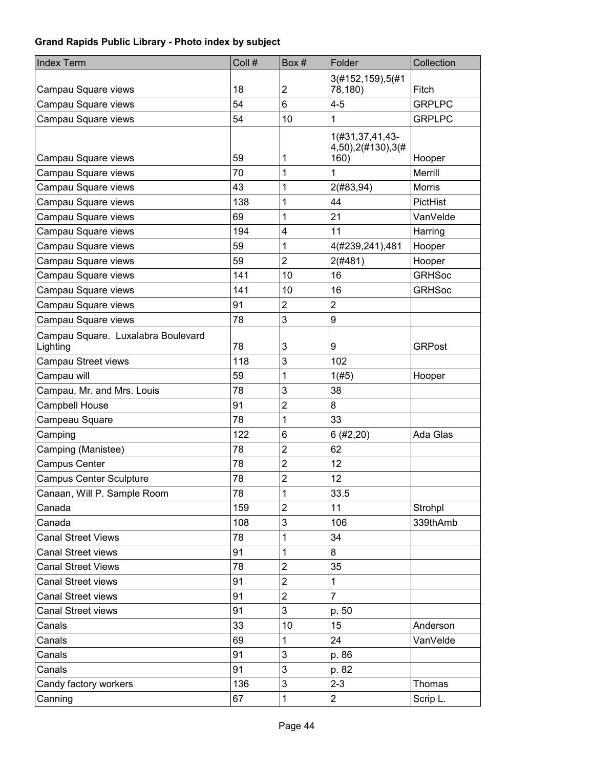| <b>Index Term</b>                              | Coll # | Box#                    | Folder                               | Collection    |
|------------------------------------------------|--------|-------------------------|--------------------------------------|---------------|
|                                                |        |                         | 3(#152,159),5(#1                     |               |
| Campau Square views                            | 18     | 2                       | 78,180)                              | Fitch         |
| Campau Square views                            | 54     | 6                       | $4 - 5$                              | <b>GRPLPC</b> |
| Campau Square views                            | 54     | 10                      | 1                                    | <b>GRPLPC</b> |
|                                                |        |                         | 1(#31,37,41,43-<br>4,50),2(#130),3(# |               |
| Campau Square views                            | 59     | 1                       | 160)                                 | Hooper        |
| Campau Square views                            | 70     | 1                       | 1                                    | Merrill       |
| Campau Square views                            | 43     | 1                       | 2(#83,94)                            | Morris        |
| Campau Square views                            | 138    | 1                       | 44                                   | PictHist      |
| Campau Square views                            | 69     | 1                       | 21                                   | VanVelde      |
| Campau Square views                            | 194    | 4                       | 11                                   | Harring       |
| Campau Square views                            | 59     | 1                       | 4(#239,241),481                      | Hooper        |
| Campau Square views                            | 59     | $\overline{2}$          | 2(#481)                              | Hooper        |
| Campau Square views                            | 141    | 10                      | 16                                   | <b>GRHSoc</b> |
| Campau Square views                            | 141    | 10                      | 16                                   | <b>GRHSoc</b> |
| Campau Square views                            | 91     | $\overline{2}$          | $\overline{2}$                       |               |
| Campau Square views                            | 78     | 3                       | 9                                    |               |
| Campau Square. Luxalabra Boulevard<br>Lighting | 78     | 3                       | 9                                    | <b>GRPost</b> |
| Campau Street views                            | 118    | 3                       | 102                                  |               |
| Campau will                                    | 59     | 1                       | 1(#5)                                | Hooper        |
| Campau, Mr. and Mrs. Louis                     | 78     | 3                       | 38                                   |               |
| Campbell House                                 | 91     | $\overline{2}$          | 8                                    |               |
| Campeau Square                                 | 78     | 1                       | 33                                   |               |
| Camping                                        | 122    | 6                       | 6(#2,20)                             | Ada Glas      |
| Camping (Manistee)                             | 78     | $\overline{c}$          | 62                                   |               |
| Campus Center                                  | 78     | $\overline{\mathbf{c}}$ | 12                                   |               |
| <b>Campus Center Sculpture</b>                 | 78     | $\overline{c}$          | 12                                   |               |
| Canaan, Will P. Sample Room                    | 78     | 1                       | 33.5                                 |               |
| Canada                                         | 159    | $\overline{c}$          | 11                                   | Strohpl       |
| Canada                                         | 108    | 3                       | 106                                  | 339thAmb      |
| <b>Canal Street Views</b>                      | 78     | 1                       | 34                                   |               |
| <b>Canal Street views</b>                      | 91     | 1                       | 8                                    |               |
| <b>Canal Street Views</b>                      | 78     | $\overline{c}$          | 35                                   |               |
| <b>Canal Street views</b>                      | 91     | $\overline{2}$          | $\mathbf{1}$                         |               |
| <b>Canal Street views</b>                      | 91     | $\overline{2}$          | $\overline{7}$                       |               |
| <b>Canal Street views</b>                      | 91     | 3                       | p. 50                                |               |
| Canals                                         | 33     | 10                      | 15                                   | Anderson      |
| Canals                                         | 69     | 1                       | 24                                   | VanVelde      |
| Canals                                         | 91     | 3                       | p. 86                                |               |
| Canals                                         | 91     | 3                       | p. 82                                |               |
| Candy factory workers                          | 136    | 3                       | $2 - 3$                              | Thomas        |
| Canning                                        | 67     | 1                       | $\overline{2}$                       | Scrip L.      |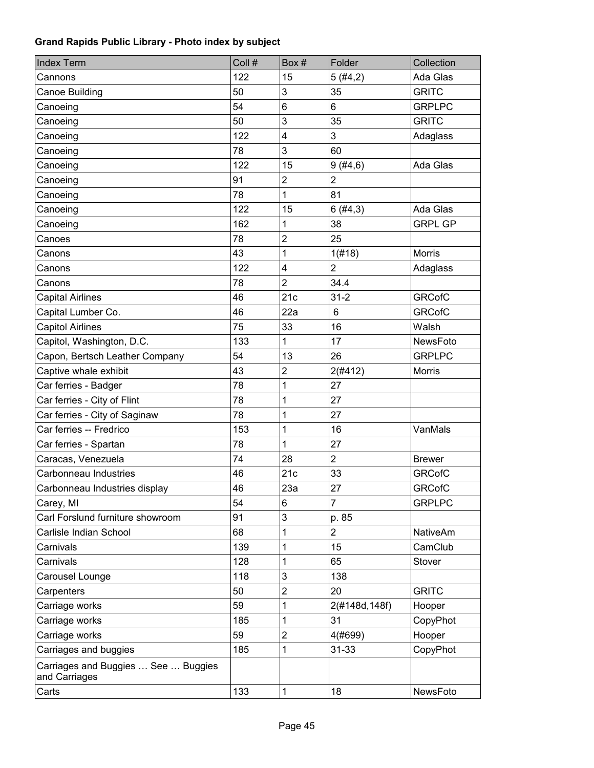| <b>Index Term</b>                                    | Coll # | Box#                    | Folder         | Collection      |
|------------------------------------------------------|--------|-------------------------|----------------|-----------------|
| Cannons                                              | 122    | 15                      | 5(#4,2)        | Ada Glas        |
| Canoe Building                                       | 50     | 3                       | 35             | <b>GRITC</b>    |
| Canoeing                                             | 54     | 6                       | 6              | <b>GRPLPC</b>   |
| Canoeing                                             | 50     | 3                       | 35             | <b>GRITC</b>    |
| Canoeing                                             | 122    | $\overline{\mathbf{4}}$ | 3              | Adaglass        |
| Canoeing                                             | 78     | 3                       | 60             |                 |
| Canoeing                                             | 122    | 15                      | 9(#4, 6)       | Ada Glas        |
| Canoeing                                             | 91     | $\overline{2}$          | $\overline{2}$ |                 |
| Canoeing                                             | 78     | 1                       | 81             |                 |
| Canoeing                                             | 122    | 15                      | 6(#4,3)        | Ada Glas        |
| Canoeing                                             | 162    | 1                       | 38             | <b>GRPL GP</b>  |
| Canoes                                               | 78     | $\overline{c}$          | 25             |                 |
| Canons                                               | 43     | 1                       | 1(#18)         | <b>Morris</b>   |
| Canons                                               | 122    | $\overline{\mathbf{4}}$ | $\overline{2}$ | Adaglass        |
| Canons                                               | 78     | $\overline{2}$          | 34.4           |                 |
| <b>Capital Airlines</b>                              | 46     | 21c                     | $31 - 2$       | <b>GRCofC</b>   |
| Capital Lumber Co.                                   | 46     | 22a                     | 6              | <b>GRCofC</b>   |
| <b>Capitol Airlines</b>                              | 75     | 33                      | 16             | Walsh           |
| Capitol, Washington, D.C.                            | 133    | 1                       | 17             | NewsFoto        |
| Capon, Bertsch Leather Company                       | 54     | 13                      | 26             | <b>GRPLPC</b>   |
| Captive whale exhibit                                | 43     | $\overline{c}$          | 2(#412)        | <b>Morris</b>   |
| Car ferries - Badger                                 | 78     | 1                       | 27             |                 |
| Car ferries - City of Flint                          | 78     | 1                       | 27             |                 |
| Car ferries - City of Saginaw                        | 78     | 1                       | 27             |                 |
| Car ferries -- Fredrico                              | 153    | 1                       | 16             | VanMals         |
| Car ferries - Spartan                                | 78     | 1                       | 27             |                 |
| Caracas, Venezuela                                   | 74     | 28                      | $\overline{2}$ | <b>Brewer</b>   |
| Carbonneau Industries                                | 46     | 21c                     | 33             | <b>GRCofC</b>   |
| Carbonneau Industries display                        | 46     | 23a                     | 27             | <b>GRCofC</b>   |
| Carey, MI                                            | 54     | 6                       | $\overline{7}$ | <b>GRPLPC</b>   |
| Carl Forslund furniture showroom                     | 91     | 3                       | p. 85          |                 |
| Carlisle Indian School                               | 68     | 1                       | $\overline{2}$ | <b>NativeAm</b> |
| Carnivals                                            | 139    | 1                       | 15             | CamClub         |
| Carnivals                                            | 128    | 1                       | 65             | <b>Stover</b>   |
| Carousel Lounge                                      | 118    | 3                       | 138            |                 |
| Carpenters                                           | 50     | $\overline{\mathbf{c}}$ | 20             | <b>GRITC</b>    |
| Carriage works                                       | 59     | 1                       | 2(#148d, 148f) | Hooper          |
| Carriage works                                       | 185    | 1                       | 31             | CopyPhot        |
| Carriage works                                       | 59     | $\overline{\mathbf{c}}$ | 4(#699)        | Hooper          |
| Carriages and buggies                                | 185    | 1                       | $31 - 33$      | CopyPhot        |
| Carriages and Buggies  See  Buggies<br>and Carriages |        |                         |                |                 |
| Carts                                                | 133    | 1                       | 18             | NewsFoto        |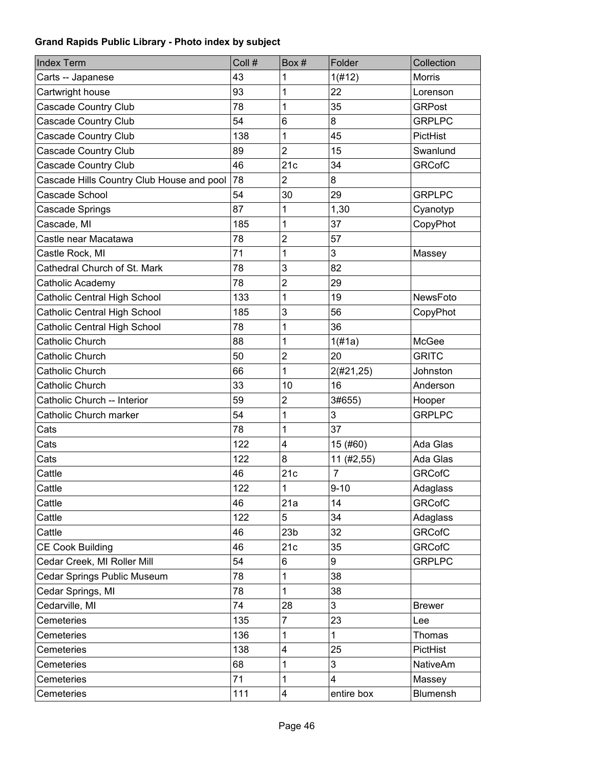| <b>Index Term</b>                         | Coll # | Box#                    | Folder         | Collection      |
|-------------------------------------------|--------|-------------------------|----------------|-----------------|
| Carts -- Japanese                         | 43     | 1                       | 1(H12)         | <b>Morris</b>   |
| Cartwright house                          | 93     | 1                       | 22             | Lorenson        |
| <b>Cascade Country Club</b>               | 78     | 1                       | 35             | <b>GRPost</b>   |
| Cascade Country Club                      | 54     | 6                       | 8              | <b>GRPLPC</b>   |
| Cascade Country Club                      | 138    | 1                       | 45             | PictHist        |
| Cascade Country Club                      | 89     | $\overline{2}$          | 15             | Swanlund        |
| Cascade Country Club                      | 46     | 21c                     | 34             | <b>GRCofC</b>   |
| Cascade Hills Country Club House and pool | 78     | $\overline{2}$          | 8              |                 |
| Cascade School                            | 54     | 30                      | 29             | <b>GRPLPC</b>   |
| Cascade Springs                           | 87     | 1                       | 1,30           | Cyanotyp        |
| Cascade, MI                               | 185    | 1                       | 37             | CopyPhot        |
| Castle near Macatawa                      | 78     | $\overline{2}$          | 57             |                 |
| Castle Rock, MI                           | 71     | 1                       | 3              | Massey          |
| Cathedral Church of St. Mark              | 78     | 3                       | 82             |                 |
| Catholic Academy                          | 78     | $\overline{2}$          | 29             |                 |
| <b>Catholic Central High School</b>       | 133    | 1                       | 19             | NewsFoto        |
| Catholic Central High School              | 185    | 3                       | 56             | CopyPhot        |
| <b>Catholic Central High School</b>       | 78     | 1                       | 36             |                 |
| Catholic Church                           | 88     | 1                       | 1(f#1a)        | McGee           |
| Catholic Church                           | 50     | $\overline{c}$          | 20             | <b>GRITC</b>    |
| Catholic Church                           | 66     | 1                       | 2(#21,25)      | Johnston        |
| Catholic Church                           | 33     | 10                      | 16             | Anderson        |
| Catholic Church -- Interior               | 59     | $\overline{\mathbf{c}}$ | 3#655)         | Hooper          |
| Catholic Church marker                    | 54     | 1                       | 3              | <b>GRPLPC</b>   |
| Cats                                      | 78     | 1                       | 37             |                 |
| Cats                                      | 122    | 4                       | 15 (#60)       | Ada Glas        |
| Cats                                      | 122    | 8                       | 11 (#2,55)     | Ada Glas        |
| Cattle                                    | 46     | 21c                     | $\overline{7}$ | <b>GRCofC</b>   |
| Cattle                                    | 122    | $\mathbf 1$             | $9 - 10$       | Adaglass        |
| Cattle                                    | 46     | 21a                     | 14             | <b>GRCofC</b>   |
| Cattle                                    | 122    | 5                       | 34             | Adaglass        |
| Cattle                                    | 46     | 23 <sub>b</sub>         | 32             | <b>GRCofC</b>   |
| <b>CE Cook Building</b>                   | 46     | 21c                     | 35             | <b>GRCofC</b>   |
| Cedar Creek, MI Roller Mill               | 54     | 6                       | 9              | <b>GRPLPC</b>   |
| Cedar Springs Public Museum               | 78     | 1                       | 38             |                 |
| Cedar Springs, MI                         | 78     | 1                       | 38             |                 |
| Cedarville, MI                            | 74     | 28                      | 3              | <b>Brewer</b>   |
| Cemeteries                                | 135    | $\overline{7}$          | 23             | Lee             |
| Cemeteries                                | 136    | 1                       | $\mathbf{1}$   | Thomas          |
| Cemeteries                                | 138    | 4                       | 25             | PictHist        |
| Cemeteries                                | 68     | 1                       | 3              | <b>NativeAm</b> |
| Cemeteries                                | 71     | 1                       | 4              | Massey          |
| Cemeteries                                | 111    | 4                       | entire box     | <b>Blumensh</b> |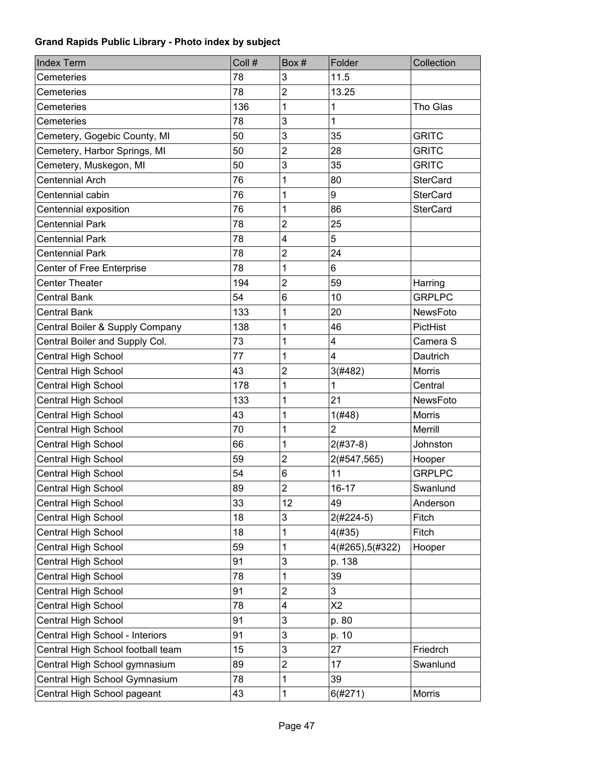| <b>Index Term</b>                 | Coll # | Box#           | Folder           | Collection      |
|-----------------------------------|--------|----------------|------------------|-----------------|
| Cemeteries                        | 78     | 3              | 11.5             |                 |
| Cemeteries                        | 78     | $\overline{2}$ | 13.25            |                 |
| Cemeteries                        | 136    | 1              | 1                | Tho Glas        |
| Cemeteries                        | 78     | 3              | $\mathbf{1}$     |                 |
| Cemetery, Gogebic County, MI      | 50     | 3              | 35               | <b>GRITC</b>    |
| Cemetery, Harbor Springs, MI      | 50     | $\overline{2}$ | 28               | <b>GRITC</b>    |
| Cemetery, Muskegon, MI            | 50     | 3              | 35               | <b>GRITC</b>    |
| <b>Centennial Arch</b>            | 76     | 1              | 80               | <b>SterCard</b> |
| Centennial cabin                  | 76     | 1              | 9                | <b>SterCard</b> |
| Centennial exposition             | 76     | 1              | 86               | <b>SterCard</b> |
| <b>Centennial Park</b>            | 78     | $\overline{2}$ | 25               |                 |
| <b>Centennial Park</b>            | 78     | 4              | 5                |                 |
| <b>Centennial Park</b>            | 78     | $\overline{c}$ | 24               |                 |
| Center of Free Enterprise         | 78     | 1              | 6                |                 |
| <b>Center Theater</b>             | 194    | $\overline{2}$ | 59               | Harring         |
| <b>Central Bank</b>               | 54     | 6              | 10               | <b>GRPLPC</b>   |
| <b>Central Bank</b>               | 133    | 1              | 20               | <b>NewsFoto</b> |
| Central Boiler & Supply Company   | 138    | 1              | 46               | PictHist        |
| Central Boiler and Supply Col.    | 73     | 1              | 4                | Camera S        |
| Central High School               | 77     | 1              | 4                | Dautrich        |
| Central High School               | 43     | $\overline{c}$ | 3(#482)          | <b>Morris</b>   |
| Central High School               | 178    | 1              | 1                | Central         |
| Central High School               | 133    | 1              | 21               | NewsFoto        |
| Central High School               | 43     | 1              | 1(#48)           | <b>Morris</b>   |
| Central High School               | 70     | 1              | $\overline{2}$   | Merrill         |
| Central High School               | 66     | 1              | $2(#37-8)$       | Johnston        |
| Central High School               | 59     | $\overline{2}$ | 2(#547,565)      | Hooper          |
| Central High School               | 54     | 6              | 11               | <b>GRPLPC</b>   |
| Central High School               | 89     | $\overline{c}$ | $16 - 17$        | Swanlund        |
| Central High School               | 33     | 12             | 49               | Anderson        |
| Central High School               | 18     | 3              | $2(#224-5)$      | Fitch           |
| Central High School               | 18     | 1              | 4(#35)           | Fitch           |
| Central High School               | 59     | 1              | 4(#265), 5(#322) | Hooper          |
| Central High School               | 91     | 3              | p. 138           |                 |
| <b>Central High School</b>        | 78     | 1              | 39               |                 |
| Central High School               | 91     | $\overline{c}$ | 3                |                 |
| Central High School               | 78     | 4              | X <sub>2</sub>   |                 |
| Central High School               | 91     | 3              | p. 80            |                 |
| Central High School - Interiors   | 91     | 3              | p. 10            |                 |
| Central High School football team | 15     | 3              | 27               | Friedrch        |
| Central High School gymnasium     | 89     | $\overline{c}$ | 17               | Swanlund        |
| Central High School Gymnasium     | 78     | 1              | 39               |                 |
| Central High School pageant       | 43     | 1              | 6(#271)          | Morris          |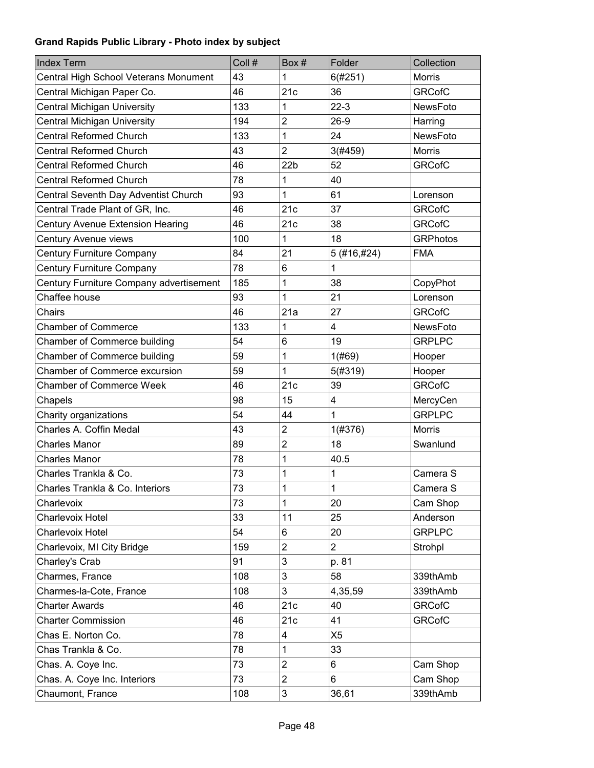| <b>Index Term</b>                       | Coll # | Box#            | Folder                  | Collection      |
|-----------------------------------------|--------|-----------------|-------------------------|-----------------|
| Central High School Veterans Monument   | 43     | 1               | 6(#251)                 | Morris          |
| Central Michigan Paper Co.              | 46     | 21c             | 36                      | <b>GRCofC</b>   |
| <b>Central Michigan University</b>      | 133    | 1               | $22-3$                  | <b>NewsFoto</b> |
| <b>Central Michigan University</b>      | 194    | $\overline{2}$  | $26-9$                  | Harring         |
| <b>Central Reformed Church</b>          | 133    | 1               | 24                      | NewsFoto        |
| <b>Central Reformed Church</b>          | 43     | $\overline{2}$  | 3(#459)                 | <b>Morris</b>   |
| <b>Central Reformed Church</b>          | 46     | 22 <sub>b</sub> | 52                      | <b>GRCofC</b>   |
| <b>Central Reformed Church</b>          | 78     | 1               | 40                      |                 |
| Central Seventh Day Adventist Church    | 93     | 1               | 61                      | Lorenson        |
| Central Trade Plant of GR, Inc.         | 46     | 21c             | 37                      | <b>GRCofC</b>   |
| <b>Century Avenue Extension Hearing</b> | 46     | 21c             | 38                      | <b>GRCofC</b>   |
| Century Avenue views                    | 100    | 1               | 18                      | <b>GRPhotos</b> |
| Century Furniture Company               | 84     | 21              | 5 (#16,#24)             | <b>FMA</b>      |
| <b>Century Furniture Company</b>        | 78     | 6               | 1                       |                 |
| Century Furniture Company advertisement | 185    | 1               | 38                      | CopyPhot        |
| Chaffee house                           | 93     | 1               | 21                      | Lorenson        |
| Chairs                                  | 46     | 21a             | 27                      | <b>GRCofC</b>   |
| <b>Chamber of Commerce</b>              | 133    | 1               | $\overline{\mathbf{4}}$ | NewsFoto        |
| Chamber of Commerce building            | 54     | 6               | 19                      | <b>GRPLPC</b>   |
| Chamber of Commerce building            | 59     | 1               | 1(#69)                  | Hooper          |
| <b>Chamber of Commerce excursion</b>    | 59     | 1               | 5(#319)                 | Hooper          |
| <b>Chamber of Commerce Week</b>         | 46     | 21c             | 39                      | <b>GRCofC</b>   |
| Chapels                                 | 98     | 15              | 4                       | MercyCen        |
| Charity organizations                   | 54     | 44              | 1                       | <b>GRPLPC</b>   |
| Charles A. Coffin Medal                 | 43     | $\overline{2}$  | 1(#376)                 | <b>Morris</b>   |
| <b>Charles Manor</b>                    | 89     | $\overline{2}$  | 18                      | Swanlund        |
| <b>Charles Manor</b>                    | 78     | 1               | 40.5                    |                 |
| Charles Trankla & Co.                   | 73     | 1               | 1                       | Camera S        |
| Charles Trankla & Co. Interiors         | 73     | $\mathbf{1}$    | $\mathbf 1$             | Camera S        |
| Charlevoix                              | 73     | 1               | 20                      | Cam Shop        |
| Charlevoix Hotel                        | 33     | 11              | 25                      | Anderson        |
| Charlevoix Hotel                        | 54     | 6               | 20                      | <b>GRPLPC</b>   |
| Charlevoix, MI City Bridge              | 159    | $\overline{2}$  | $\overline{2}$          | Strohpl         |
| Charley's Crab                          | 91     | 3               | p. 81                   |                 |
| Charmes, France                         | 108    | 3               | 58                      | 339thAmb        |
| Charmes-la-Cote, France                 | 108    | 3               | 4,35,59                 | 339thAmb        |
| <b>Charter Awards</b>                   | 46     | 21c             | 40                      | <b>GRCofC</b>   |
| <b>Charter Commission</b>               | 46     | 21c             | 41                      | <b>GRCofC</b>   |
| Chas E. Norton Co.                      | 78     | 4               | X <sub>5</sub>          |                 |
| Chas Trankla & Co.                      | 78     | 1               | 33                      |                 |
| Chas. A. Coye Inc.                      | 73     | $\overline{c}$  | 6                       | Cam Shop        |
| Chas. A. Coye Inc. Interiors            | 73     | $\overline{2}$  | 6                       | Cam Shop        |
| Chaumont, France                        | 108    | 3               | 36,61                   | 339thAmb        |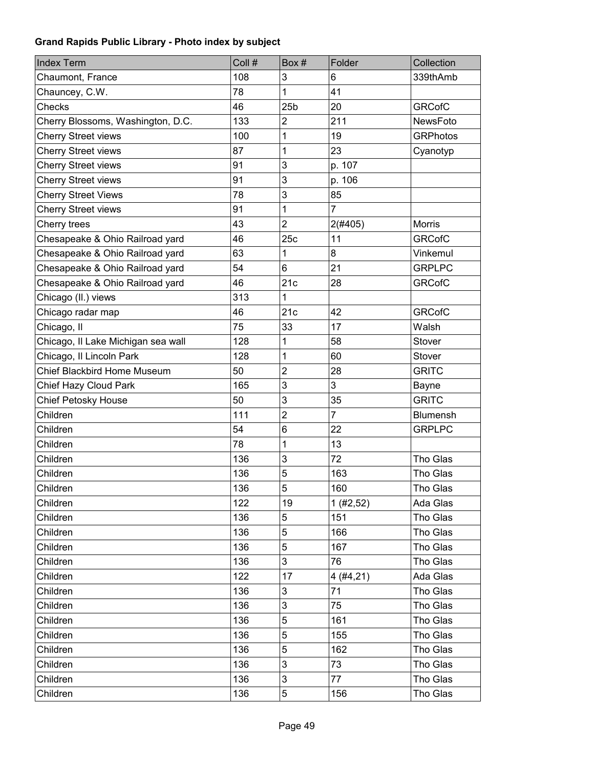| <b>Index Term</b>                  | Coll # | Box#            | Folder         | Collection      |
|------------------------------------|--------|-----------------|----------------|-----------------|
| Chaumont, France                   | 108    | 3               | 6              | 339thAmb        |
| Chauncey, C.W.                     | 78     | 1               | 41             |                 |
| Checks                             | 46     | 25 <sub>b</sub> | 20             | <b>GRCofC</b>   |
| Cherry Blossoms, Washington, D.C.  | 133    | $\overline{c}$  | 211            | <b>NewsFoto</b> |
| <b>Cherry Street views</b>         | 100    | 1               | 19             | <b>GRPhotos</b> |
| <b>Cherry Street views</b>         | 87     | 1               | 23             | Cyanotyp        |
| <b>Cherry Street views</b>         | 91     | 3               | p. 107         |                 |
| <b>Cherry Street views</b>         | 91     | 3               | p. 106         |                 |
| <b>Cherry Street Views</b>         | 78     | 3               | 85             |                 |
| <b>Cherry Street views</b>         | 91     | 1               | $\overline{7}$ |                 |
| Cherry trees                       | 43     | $\overline{2}$  | 2(#405)        | <b>Morris</b>   |
| Chesapeake & Ohio Railroad yard    | 46     | 25c             | 11             | <b>GRCofC</b>   |
| Chesapeake & Ohio Railroad yard    | 63     | 1               | 8              | Vinkemul        |
| Chesapeake & Ohio Railroad yard    | 54     | 6               | 21             | <b>GRPLPC</b>   |
| Chesapeake & Ohio Railroad yard    | 46     | 21c             | 28             | <b>GRCofC</b>   |
| Chicago (II.) views                | 313    | 1               |                |                 |
| Chicago radar map                  | 46     | 21c             | 42             | <b>GRCofC</b>   |
| Chicago, II                        | 75     | 33              | 17             | Walsh           |
| Chicago, Il Lake Michigan sea wall | 128    | 1               | 58             | Stover          |
| Chicago, Il Lincoln Park           | 128    | 1               | 60             | Stover          |
| Chief Blackbird Home Museum        | 50     | $\overline{2}$  | 28             | <b>GRITC</b>    |
| Chief Hazy Cloud Park              | 165    | 3               | 3              | Bayne           |
| <b>Chief Petosky House</b>         | 50     | 3               | 35             | <b>GRITC</b>    |
| Children                           | 111    | $\overline{2}$  | $\overline{7}$ | Blumensh        |
| Children                           | 54     | 6               | 22             | <b>GRPLPC</b>   |
| Children                           | 78     | 1               | 13             |                 |
| Children                           | 136    | 3               | 72             | Tho Glas        |
| Children                           | 136    | 5               | 163            | Tho Glas        |
| Children                           | 136    | 5               | 160            | Tho Glas        |
| Children                           | 122    | 19              | 1(#2, 52)      | Ada Glas        |
| Children                           | 136    | 5               | 151            | Tho Glas        |
| Children                           | 136    | 5               | 166            | Tho Glas        |
| Children                           | 136    | 5               | 167            | Tho Glas        |
| Children                           | 136    | 3               | 76             | Tho Glas        |
| Children                           | 122    | 17              | 4(#4, 21)      | Ada Glas        |
| Children                           | 136    | 3               | 71             | Tho Glas        |
| Children                           | 136    | 3               | 75             | Tho Glas        |
| Children                           | 136    | 5               | 161            | Tho Glas        |
| Children                           | 136    | 5               | 155            | Tho Glas        |
| Children                           | 136    | 5               | 162            | Tho Glas        |
| Children                           | 136    | 3               | 73             | Tho Glas        |
| Children                           | 136    | 3               | 77             | Tho Glas        |
| Children                           | 136    | 5               | 156            | Tho Glas        |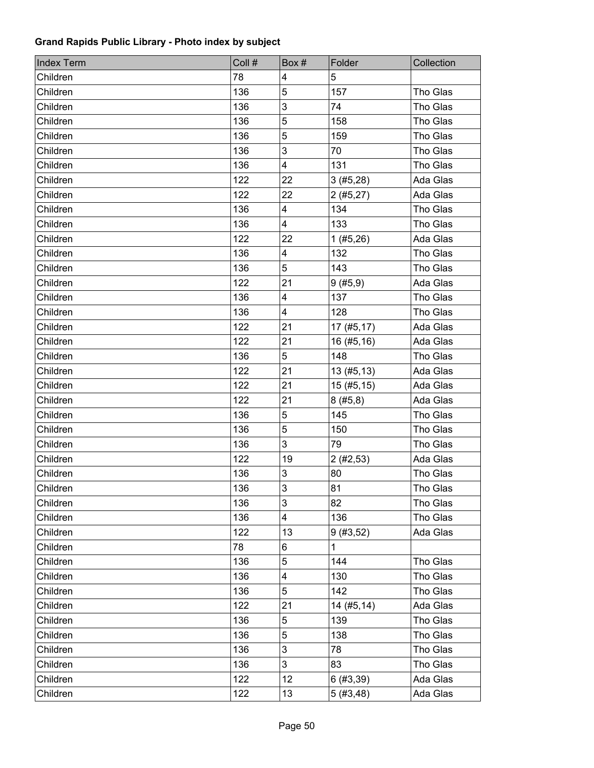| <b>Index Term</b> | Coll # | Box#                    | Folder       | Collection |
|-------------------|--------|-------------------------|--------------|------------|
| Children          | 78     | 4                       | 5            |            |
| Children          | 136    | 5                       | 157          | Tho Glas   |
| Children          | 136    | 3                       | 74           | Tho Glas   |
| Children          | 136    | 5                       | 158          | Tho Glas   |
| Children          | 136    | 5                       | 159          | Tho Glas   |
| Children          | 136    | 3                       | 70           | Tho Glas   |
| Children          | 136    | $\overline{\mathbf{4}}$ | 131          | Tho Glas   |
| Children          | 122    | 22                      | 3(#5,28)     | Ada Glas   |
| Children          | 122    | 22                      | 2(#5,27)     | Ada Glas   |
| Children          | 136    | 4                       | 134          | Tho Glas   |
| Children          | 136    | 4                       | 133          | Tho Glas   |
| Children          | 122    | 22                      | 1(#5,26)     | Ada Glas   |
| Children          | 136    | 4                       | 132          | Tho Glas   |
| Children          | 136    | 5                       | 143          | Tho Glas   |
| Children          | 122    | 21                      | 9(#5, 9)     | Ada Glas   |
| Children          | 136    | $\overline{\mathbf{4}}$ | 137          | Tho Glas   |
| Children          | 136    | 4                       | 128          | Tho Glas   |
| Children          | 122    | 21                      | 17(#5, 17)   | Ada Glas   |
| Children          | 122    | 21                      | 16(#5, 16)   | Ada Glas   |
| Children          | 136    | 5                       | 148          | Tho Glas   |
| Children          | 122    | 21                      | 13(#5, 13)   | Ada Glas   |
| Children          | 122    | 21                      | 15(#5, 15)   | Ada Glas   |
| Children          | 122    | 21                      | 8(#5, 8)     | Ada Glas   |
| Children          | 136    | 5                       | 145          | Tho Glas   |
| Children          | 136    | 5                       | 150          | Tho Glas   |
| Children          | 136    | 3                       | 79           | Tho Glas   |
| Children          | 122    | 19                      | 2(#2, 53)    | Ada Glas   |
| Children          | 136    | 3                       | 80           | Tho Glas   |
| Children          | 136    | $\overline{3}$          | 81           | Tho Glas   |
| Children          | 136    | 3                       | 82           | Tho Glas   |
| Children          | 136    | 4                       | 136          | Tho Glas   |
| Children          | 122    | 13                      | 9(#3, 52)    | Ada Glas   |
| Children          | 78     | 6                       | $\mathbf{1}$ |            |
| Children          | 136    | 5                       | 144          | Tho Glas   |
| Children          | 136    | 4                       | 130          | Tho Glas   |
| Children          | 136    | 5                       | 142          | Tho Glas   |
| Children          | 122    | 21                      | 14(#5, 14)   | Ada Glas   |
| Children          | 136    | 5                       | 139          | Tho Glas   |
| Children          | 136    | 5                       | 138          | Tho Glas   |
| Children          | 136    | 3                       | 78           | Tho Glas   |
| Children          | 136    | 3                       | 83           | Tho Glas   |
| Children          | 122    | 12                      | 6(#3, 39)    | Ada Glas   |
| Children          | 122    | 13                      | 5(#3,48)     | Ada Glas   |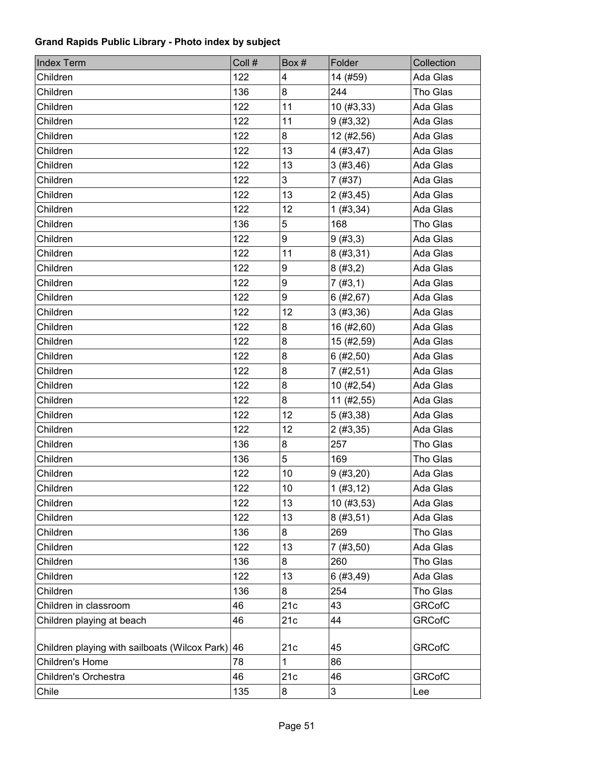| <b>Index Term</b>                             | Coll # | Box# | Folder       | Collection    |
|-----------------------------------------------|--------|------|--------------|---------------|
| Children                                      | 122    | 4    | 14 (#59)     | Ada Glas      |
| Children                                      | 136    | 8    | 244          | Tho Glas      |
| Children                                      | 122    | 11   | 10(#3, 33)   | Ada Glas      |
| Children                                      | 122    | 11   | 9(#3, 32)    | Ada Glas      |
| Children                                      | 122    | 8    | 12 (#2,56)   | Ada Glas      |
| Children                                      | 122    | 13   | 4(#3, 47)    | Ada Glas      |
| Children                                      | 122    | 13   | 3(#3,46)     | Ada Glas      |
| Children                                      | 122    | 3    | 7(#37)       | Ada Glas      |
| Children                                      | 122    | 13   | 2(#3,45)     | Ada Glas      |
| Children                                      | 122    | 12   | 1 (#3, 34)   | Ada Glas      |
| Children                                      | 136    | 5    | 168          | Tho Glas      |
| Children                                      | 122    | 9    | 9(#3,3)      | Ada Glas      |
| Children                                      | 122    | 11   | 8(#3, 31)    | Ada Glas      |
| Children                                      | 122    | 9    | 8(#3,2)      | Ada Glas      |
| Children                                      | 122    | 9    | 7(#3,1)      | Ada Glas      |
| Children                                      | 122    | 9    | 6(#2, 67)    | Ada Glas      |
| Children                                      | 122    | 12   | 3(#3, 36)    | Ada Glas      |
| Children                                      | 122    | 8    | 16 (#2,60)   | Ada Glas      |
| Children                                      | 122    | 8    | 15 (#2,59)   | Ada Glas      |
| Children                                      | 122    | 8    | 6(#2, 50)    | Ada Glas      |
| Children                                      | 122    | 8    | 7(#2, 51)    | Ada Glas      |
| Children                                      | 122    | 8    | 10(#2, 54)   | Ada Glas      |
| Children                                      | 122    | 8    | $11$ (#2,55) | Ada Glas      |
| Children                                      | 122    | 12   | 5(#3, 38)    | Ada Glas      |
| Children                                      | 122    | 12   | 2(#3, 35)    | Ada Glas      |
| Children                                      | 136    | 8    | 257          | Tho Glas      |
| Children                                      | 136    | 5    | 169          | Tho Glas      |
| Children                                      | 122    | 10   | 9(#3, 20)    | Ada Glas      |
| Children                                      | 122    | $10$ | 1 (#3, 12)   | Ada Glas      |
| Children                                      | 122    | 13   | 10(#3, 53)   | Ada Glas      |
| Children                                      | 122    | 13   | 8(#3, 51)    | Ada Glas      |
| Children                                      | 136    | 8    | 269          | Tho Glas      |
| Children                                      | 122    | 13   | 7(#3, 50)    | Ada Glas      |
| Children                                      | 136    | 8    | 260          | Tho Glas      |
| Children                                      | 122    | 13   | 6(#3,49)     | Ada Glas      |
| Children                                      | 136    | 8    | 254          | Tho Glas      |
| Children in classroom                         | 46     | 21c  | 43           | <b>GRCofC</b> |
| Children playing at beach                     | 46     | 21c  | 44           | <b>GRCofC</b> |
|                                               |        |      |              |               |
| Children playing with sailboats (Wilcox Park) | 46     | 21c  | 45           | <b>GRCofC</b> |
| Children's Home                               | 78     | 1    | 86           |               |
| Children's Orchestra                          | 46     | 21c  | 46           | <b>GRCofC</b> |
| Chile                                         | 135    | 8    | 3            | Lee           |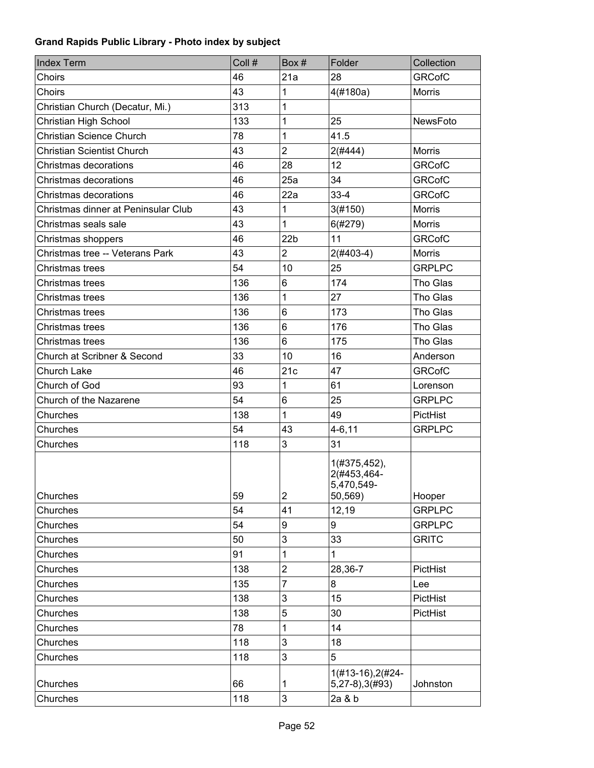| Index Term                          | Coll # | Box #           | Folder                                               | Collection      |
|-------------------------------------|--------|-----------------|------------------------------------------------------|-----------------|
| Choirs                              | 46     | 21a             | 28                                                   | <b>GRCofC</b>   |
| Choirs                              | 43     | 1               | 4(#180a)                                             | <b>Morris</b>   |
| Christian Church (Decatur, Mi.)     | 313    | 1               |                                                      |                 |
| Christian High School               | 133    | 1               | 25                                                   | NewsFoto        |
| Christian Science Church            | 78     | 1               | 41.5                                                 |                 |
| <b>Christian Scientist Church</b>   | 43     | $\overline{2}$  | $2($ #444 $)$                                        | <b>Morris</b>   |
| Christmas decorations               | 46     | 28              | 12                                                   | <b>GRCofC</b>   |
| Christmas decorations               | 46     | 25a             | 34                                                   | <b>GRCofC</b>   |
| Christmas decorations               | 46     | 22a             | $33 - 4$                                             | <b>GRCofC</b>   |
| Christmas dinner at Peninsular Club | 43     | 1               | 3(#150)                                              | <b>Morris</b>   |
| Christmas seals sale                | 43     | 1               | 6(#279)                                              | <b>Morris</b>   |
| Christmas shoppers                  | 46     | 22 <sub>b</sub> | 11                                                   | <b>GRCofC</b>   |
| Christmas tree -- Veterans Park     | 43     | $\overline{2}$  | $2($ #403-4)                                         | <b>Morris</b>   |
| Christmas trees                     | 54     | 10              | 25                                                   | <b>GRPLPC</b>   |
| Christmas trees                     | 136    | 6               | 174                                                  | Tho Glas        |
| Christmas trees                     | 136    | 1               | 27                                                   | Tho Glas        |
| Christmas trees                     | 136    | 6               | 173                                                  | Tho Glas        |
| Christmas trees                     | 136    | 6               | 176                                                  | Tho Glas        |
| Christmas trees                     | 136    | 6               | 175                                                  | Tho Glas        |
| Church at Scribner & Second         | 33     | 10              | 16                                                   | Anderson        |
| Church Lake                         | 46     | 21c             | 47                                                   | <b>GRCofC</b>   |
| Church of God                       | 93     | 1               | 61                                                   | Lorenson        |
| Church of the Nazarene              | 54     | 6               | 25                                                   | <b>GRPLPC</b>   |
| Churches                            | 138    | 1               | 49                                                   | <b>PictHist</b> |
| Churches                            | 54     | 43              | $4 - 6, 11$                                          | <b>GRPLPC</b>   |
| Churches                            | 118    | 3               | 31                                                   |                 |
| Churches                            | 59     | $\overline{c}$  | 1(#375,452),<br>2(#453,464-<br>5,470,549-<br>50,569) | Hooper          |
| Churches                            | 54     | 41              | 12,19                                                | <b>GRPLPC</b>   |
| Churches                            | 54     | 9               | 9                                                    | <b>GRPLPC</b>   |
| Churches                            | 50     | 3               | 33                                                   | <b>GRITC</b>    |
| Churches                            | 91     | 1               | $\mathbf{1}$                                         |                 |
| Churches                            | 138    | $\overline{2}$  | 28,36-7                                              | PictHist        |
| Churches                            | 135    | $\overline{7}$  | 8                                                    | Lee             |
| Churches                            | 138    | 3               | 15                                                   | PictHist        |
| Churches                            | 138    | 5               | 30                                                   | PictHist        |
| Churches                            | 78     | 1               | 14                                                   |                 |
| Churches                            | 118    | 3               | 18                                                   |                 |
| Churches                            | 118    | 3               | 5                                                    |                 |
| Churches                            | 66     | 1               | 1(#13-16), 2(#24-<br>$5,27-8$ , $3(#93)$             | Johnston        |
| Churches                            | 118    | 3               | 2a & b                                               |                 |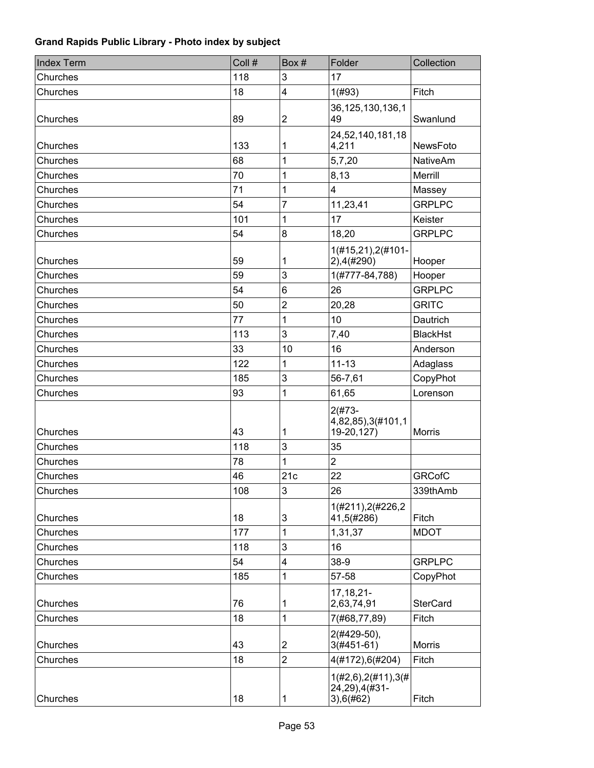| <b>Index Term</b> | Coll # | Box#                    | Folder                                                  | Collection      |
|-------------------|--------|-------------------------|---------------------------------------------------------|-----------------|
| Churches          | 118    | 3                       | 17                                                      |                 |
| Churches          | 18     | $\overline{4}$          | 1(#93)                                                  | Fitch           |
| Churches          | 89     | $\overline{\mathbf{c}}$ | 36, 125, 130, 136, 1<br>49                              | Swanlund        |
| Churches          | 133    | 1                       | 24,52,140,181,18<br>4,211                               | NewsFoto        |
| Churches          | 68     | 1                       | 5,7,20                                                  | <b>NativeAm</b> |
| Churches          | 70     | 1                       | 8,13                                                    | Merrill         |
| Churches          | 71     | 1                       | $\overline{4}$                                          | Massey          |
| Churches          | 54     | $\overline{7}$          | 11,23,41                                                | <b>GRPLPC</b>   |
| Churches          | 101    | 1                       | 17                                                      | Keister         |
| Churches          | 54     | 8                       | 18,20                                                   | <b>GRPLPC</b>   |
| Churches          | 59     | 1                       | 1(#15,21),2(#101-<br>$2)$ , 4(#290)                     | Hooper          |
| Churches          | 59     | 3                       | 1(#777-84,788)                                          | Hooper          |
| Churches          | 54     | $6\phantom{1}6$         | 26                                                      | <b>GRPLPC</b>   |
| Churches          | 50     | $\overline{2}$          | 20,28                                                   | <b>GRITC</b>    |
| Churches          | 77     | 1                       | 10                                                      | Dautrich        |
| Churches          | 113    | 3                       | 7,40                                                    | <b>BlackHst</b> |
| Churches          | 33     | 10                      | 16                                                      | Anderson        |
| Churches          | 122    | 1                       | $11 - 13$                                               | Adaglass        |
| Churches          | 185    | 3                       | 56-7,61                                                 | CopyPhot        |
| Churches          | 93     | 1                       | 61,65                                                   | Lorenson        |
| Churches          | 43     | 1                       | $2(#73 -$<br>4,82,85),3(#101,1<br>19-20,127)            | <b>Morris</b>   |
| Churches          | 118    | 3                       | 35                                                      |                 |
| Churches          | 78     | 1                       | $\overline{2}$                                          |                 |
| Churches          | 46     | 21c                     | 22                                                      | <b>GRCofC</b>   |
| Churches          | 108    | 3                       | 26                                                      | 339thAmb        |
| Churches          | 18     | 3                       | 1(#211), 2(#226, 2<br>41,5(#286)                        | Fitch           |
| Churches          | 177    | 1                       | 1,31,37                                                 | <b>MDOT</b>     |
| Churches          | 118    | 3                       | 16                                                      |                 |
| Churches          | 54     | $\overline{4}$          | 38-9                                                    | <b>GRPLPC</b>   |
| Churches          | 185    | 1                       | 57-58                                                   | CopyPhot        |
| Churches          | 76     | 1                       | 17, 18, 21-<br>2,63,74,91                               | <b>SterCard</b> |
| Churches          | 18     | 1                       | 7(#68,77,89)                                            | Fitch           |
| Churches          | 43     | $\overline{2}$          | $2(#429-50),$<br>$3(#451-61)$                           | Morris          |
| Churches          | 18     | $\overline{2}$          | 4(#172),6(#204)                                         | Fitch           |
| Churches          | 18     | 1                       | $1(\#2,6), 2(\#11), 3(\#$<br>24,29),4(#31-<br>3),6(#62) | Fitch           |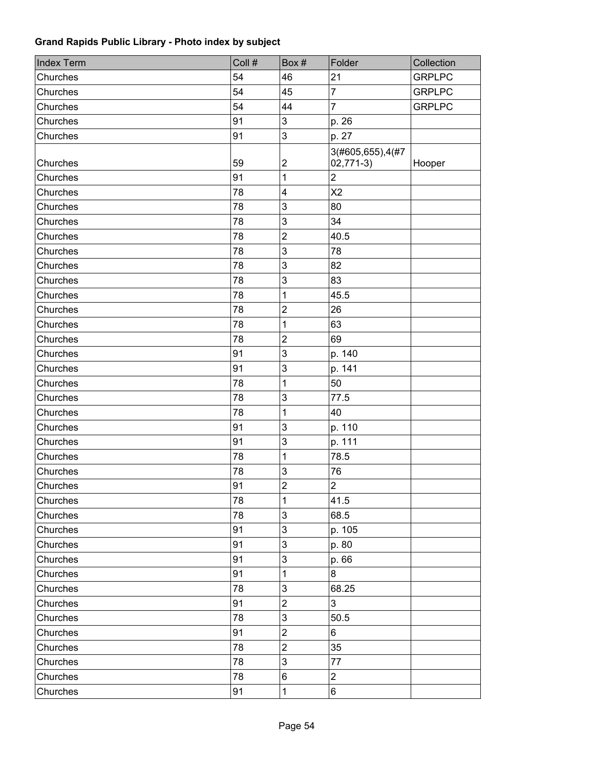| <b>Index Term</b> | Coll # | Box#                    | Folder           | Collection    |
|-------------------|--------|-------------------------|------------------|---------------|
| Churches          | 54     | 46                      | 21               | <b>GRPLPC</b> |
| Churches          | 54     | 45                      | $\overline{7}$   | <b>GRPLPC</b> |
| Churches          | 54     | 44                      | $\overline{7}$   | <b>GRPLPC</b> |
| Churches          | 91     | 3                       | p. 26            |               |
| Churches          | 91     | 3                       | p. 27            |               |
|                   |        |                         | 3(#605,655),4(#7 |               |
| Churches          | 59     | $\boldsymbol{2}$        | $02,771-3)$      | Hooper        |
| Churches          | 91     | $\mathbf 1$             | $\overline{2}$   |               |
| Churches          | 78     | $\overline{\mathbf{4}}$ | X <sub>2</sub>   |               |
| Churches          | 78     | 3                       | 80               |               |
| Churches          | 78     | 3                       | 34               |               |
| Churches          | 78     | $\mathbf 2$             | 40.5             |               |
| Churches          | 78     | 3                       | 78               |               |
| Churches          | 78     | 3                       | 82               |               |
| Churches          | 78     | 3                       | 83               |               |
| Churches          | 78     | 1                       | 45.5             |               |
| Churches          | 78     | $\overline{2}$          | 26               |               |
| Churches          | 78     | 1                       | 63               |               |
| Churches          | 78     | $\overline{c}$          | 69               |               |
| Churches          | 91     | 3                       | p. 140           |               |
| Churches          | 91     | 3                       | p. 141           |               |
| Churches          | 78     | 1                       | 50               |               |
| Churches          | 78     | 3                       | 77.5             |               |
| Churches          | 78     | 1                       | 40               |               |
| Churches          | 91     | 3                       | p. 110           |               |
| Churches          | 91     | 3                       | p. 111           |               |
| Churches          | 78     | 1                       | 78.5             |               |
| Churches          | 78     | 3                       | 76               |               |
| Churches          | 91     | $\overline{c}$          | $\overline{c}$   |               |
| Churches          | 78     | 1                       | 41.5             |               |
| Churches          | 78     | $\mathfrak{S}$          | 68.5             |               |
| Churches          | 91     | $\mathsf 3$             | p. 105           |               |
| Churches          | 91     | $\mathfrak{S}$          | p. 80            |               |
| Churches          | 91     | $\mathsf 3$             | p. 66            |               |
| Churches          | 91     | 1                       | 8                |               |
| Churches          | 78     | 3                       | 68.25            |               |
| Churches          | 91     | $\overline{2}$          | 3                |               |
| Churches          | 78     | 3                       | 50.5             |               |
| Churches          | 91     | $\overline{c}$          | 6                |               |
| Churches          | 78     | $\overline{c}$          | 35               |               |
| Churches          | 78     | 3                       | 77               |               |
| Churches          | 78     | 6                       | $\overline{2}$   |               |
| Churches          | 91     | 1                       | 6                |               |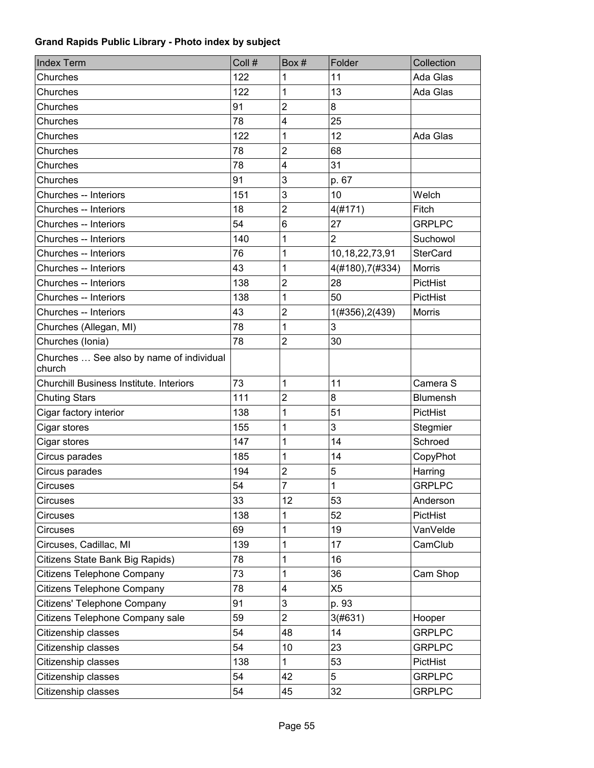| <b>Index Term</b>                                  | Coll # | Box#                    | Folder           | Collection      |
|----------------------------------------------------|--------|-------------------------|------------------|-----------------|
| Churches                                           | 122    | 1                       | 11               | Ada Glas        |
| Churches                                           | 122    | 1                       | 13               | Ada Glas        |
| Churches                                           | 91     | $\overline{c}$          | 8                |                 |
| Churches                                           | 78     | 4                       | 25               |                 |
| Churches                                           | 122    | 1                       | 12               | Ada Glas        |
| Churches                                           | 78     | $\overline{2}$          | 68               |                 |
| Churches                                           | 78     | $\overline{\mathbf{4}}$ | 31               |                 |
| Churches                                           | 91     | 3                       | p. 67            |                 |
| Churches -- Interiors                              | 151    | 3                       | 10               | Welch           |
| Churches -- Interiors                              | 18     | $\overline{2}$          | 4(#171)          | Fitch           |
| Churches -- Interiors                              | 54     | 6                       | 27               | <b>GRPLPC</b>   |
| Churches -- Interiors                              | 140    | 1                       | $\overline{2}$   | Suchowol        |
| Churches -- Interiors                              | 76     | 1                       | 10,18,22,73,91   | <b>SterCard</b> |
| Churches -- Interiors                              | 43     | 1                       | 4(#180), 7(#334) | Morris          |
| Churches -- Interiors                              | 138    | $\overline{2}$          | 28               | PictHist        |
| Churches -- Interiors                              | 138    | 1                       | 50               | PictHist        |
| Churches -- Interiors                              | 43     | $\overline{2}$          | 1(#356), 2(439)  | <b>Morris</b>   |
| Churches (Allegan, MI)                             | 78     | 1                       | 3                |                 |
| Churches (Ionia)                                   | 78     | $\overline{2}$          | 30               |                 |
| Churches  See also by name of individual<br>church |        |                         |                  |                 |
| <b>Churchill Business Institute. Interiors</b>     | 73     | 1                       | 11               | Camera S        |
| <b>Chuting Stars</b>                               | 111    | $\overline{2}$          | 8                | <b>Blumensh</b> |
| Cigar factory interior                             | 138    | 1                       | 51               | PictHist        |
| Cigar stores                                       | 155    | 1                       | 3                | Stegmier        |
| Cigar stores                                       | 147    | 1                       | 14               | Schroed         |
| Circus parades                                     | 185    | 1                       | 14               | CopyPhot        |
| Circus parades                                     | 194    | $\overline{2}$          | 5                | Harring         |
| Circuses                                           | 54     | $\overline{7}$          | $\mathbf 1$      | <b>GRPLPC</b>   |
| Circuses                                           | 33     | 12                      | 53               | Anderson        |
| <b>Circuses</b>                                    | 138    | 1                       | 52               | PictHist        |
| <b>Circuses</b>                                    | 69     | 1                       | 19               | VanVelde        |
| Circuses, Cadillac, MI                             | 139    | 1                       | 17               | CamClub         |
| Citizens State Bank Big Rapids)                    | 78     | 1                       | 16               |                 |
| Citizens Telephone Company                         | 73     | 1                       | 36               | Cam Shop        |
| Citizens Telephone Company                         | 78     | 4                       | X <sub>5</sub>   |                 |
| Citizens' Telephone Company                        | 91     | 3                       | p. 93            |                 |
| Citizens Telephone Company sale                    | 59     | $\overline{2}$          | 3(#631)          | Hooper          |
| Citizenship classes                                | 54     | 48                      | 14               | <b>GRPLPC</b>   |
| Citizenship classes                                | 54     | 10                      | 23               | <b>GRPLPC</b>   |
| Citizenship classes                                | 138    | $\mathbf{1}$            | 53               | PictHist        |
| Citizenship classes                                | 54     | 42                      | 5                | <b>GRPLPC</b>   |
| Citizenship classes                                | 54     | 45                      | 32               | <b>GRPLPC</b>   |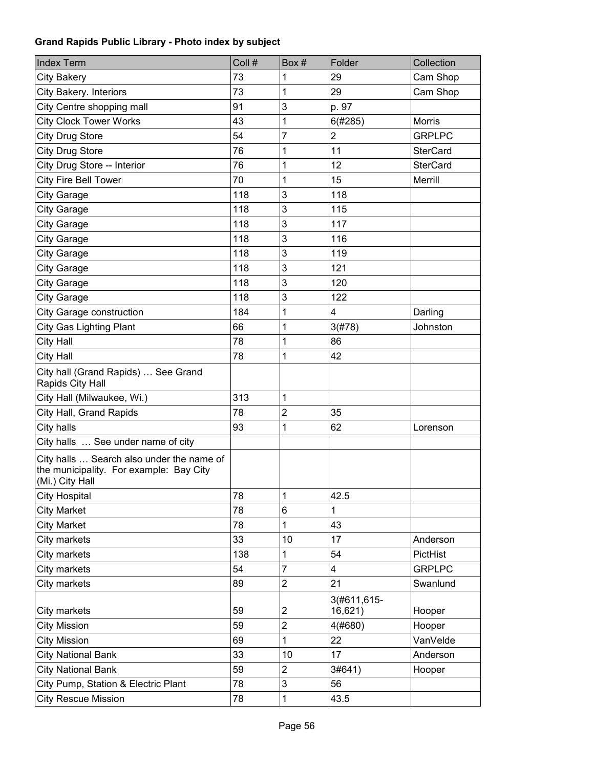| <b>Index Term</b>                                                                                       | Coll # | Box#           | Folder                  | Collection      |
|---------------------------------------------------------------------------------------------------------|--------|----------------|-------------------------|-----------------|
| <b>City Bakery</b>                                                                                      | 73     | 1              | 29                      | Cam Shop        |
| City Bakery. Interiors                                                                                  | 73     | 1              | 29                      | Cam Shop        |
| City Centre shopping mall                                                                               | 91     | 3              | p. 97                   |                 |
| <b>City Clock Tower Works</b>                                                                           | 43     | 1              | 6(#285)                 | <b>Morris</b>   |
| <b>City Drug Store</b>                                                                                  | 54     | $\overline{7}$ | $\overline{\mathbf{c}}$ | <b>GRPLPC</b>   |
| <b>City Drug Store</b>                                                                                  | 76     | 1              | 11                      | <b>SterCard</b> |
| City Drug Store -- Interior                                                                             | 76     | 1              | 12                      | <b>SterCard</b> |
| City Fire Bell Tower                                                                                    | 70     | 1              | 15                      | Merrill         |
| <b>City Garage</b>                                                                                      | 118    | 3              | 118                     |                 |
| City Garage                                                                                             | 118    | 3              | 115                     |                 |
| <b>City Garage</b>                                                                                      | 118    | 3              | 117                     |                 |
| City Garage                                                                                             | 118    | 3              | 116                     |                 |
| <b>City Garage</b>                                                                                      | 118    | 3              | 119                     |                 |
| <b>City Garage</b>                                                                                      | 118    | 3              | 121                     |                 |
| <b>City Garage</b>                                                                                      | 118    | 3              | 120                     |                 |
| City Garage                                                                                             | 118    | 3              | 122                     |                 |
| City Garage construction                                                                                | 184    | 1              | 4                       | Darling         |
| <b>City Gas Lighting Plant</b>                                                                          | 66     | 1              | 3(#78)                  | Johnston        |
| City Hall                                                                                               | 78     | 1              | 86                      |                 |
| City Hall                                                                                               | 78     | 1              | 42                      |                 |
| City hall (Grand Rapids)  See Grand<br>Rapids City Hall                                                 |        |                |                         |                 |
| City Hall (Milwaukee, Wi.)                                                                              | 313    | 1              |                         |                 |
| City Hall, Grand Rapids                                                                                 | 78     | $\overline{2}$ | 35                      |                 |
| City halls                                                                                              | 93     | 1              | 62                      | Lorenson        |
| City halls  See under name of city                                                                      |        |                |                         |                 |
| City halls  Search also under the name of<br>the municipality. For example: Bay City<br>(Mi.) City Hall |        |                |                         |                 |
| <b>City Hospital</b>                                                                                    | 78     | 1              | 42.5                    |                 |
| <b>City Market</b>                                                                                      | 78     | 6              | 1                       |                 |
| <b>City Market</b>                                                                                      | 78     | 1              | 43                      |                 |
| City markets                                                                                            | 33     | 10             | 17                      | Anderson        |
| City markets                                                                                            | 138    | 1              | 54                      | PictHist        |
| City markets                                                                                            | 54     | $\overline{7}$ | 4                       | <b>GRPLPC</b>   |
| City markets                                                                                            | 89     | $\overline{c}$ | 21                      | Swanlund        |
| City markets                                                                                            | 59     | 2              | 3(#611,615-<br>16,621)  | Hooper          |
| <b>City Mission</b>                                                                                     | 59     | $\overline{2}$ | 4(#680)                 | Hooper          |
| <b>City Mission</b>                                                                                     | 69     | 1              | 22                      | VanVelde        |
| <b>City National Bank</b>                                                                               | 33     | 10             | 17                      | Anderson        |
| <b>City National Bank</b>                                                                               | 59     | $\overline{c}$ | 3#641)                  | Hooper          |
| City Pump, Station & Electric Plant                                                                     | 78     | 3              | 56                      |                 |
| <b>City Rescue Mission</b>                                                                              | 78     | 1              | 43.5                    |                 |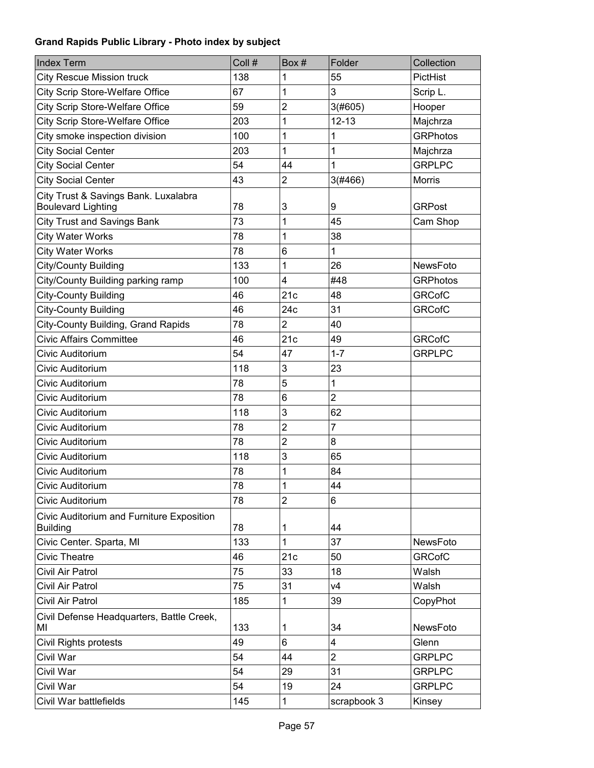| <b>Index Term</b>                                                 | Coll # | Box#           | Folder                  | Collection      |
|-------------------------------------------------------------------|--------|----------------|-------------------------|-----------------|
| <b>City Rescue Mission truck</b>                                  | 138    | 1              | 55                      | PictHist        |
| City Scrip Store-Welfare Office                                   | 67     | 1              | 3                       | Scrip L.        |
| City Scrip Store-Welfare Office                                   | 59     | $\overline{c}$ | 3(#605)                 | Hooper          |
| City Scrip Store-Welfare Office                                   | 203    | 1              | $12 - 13$               | Majchrza        |
| City smoke inspection division                                    | 100    | 1              | 1                       | <b>GRPhotos</b> |
| <b>City Social Center</b>                                         | 203    | 1              | 1                       | Majchrza        |
| <b>City Social Center</b>                                         | 54     | 44             | 1                       | <b>GRPLPC</b>   |
| <b>City Social Center</b>                                         | 43     | $\overline{c}$ | 3(#466)                 | Morris          |
| City Trust & Savings Bank. Luxalabra<br><b>Boulevard Lighting</b> | 78     | 3              | 9                       | <b>GRPost</b>   |
| <b>City Trust and Savings Bank</b>                                | 73     | 1              | 45                      |                 |
|                                                                   | 78     | 1              | 38                      | Cam Shop        |
| <b>City Water Works</b>                                           |        |                |                         |                 |
| <b>City Water Works</b>                                           | 78     | 6              | 1                       |                 |
| City/County Building                                              | 133    | 1              | 26                      | <b>NewsFoto</b> |
| City/County Building parking ramp                                 | 100    | 4              | #48                     | <b>GRPhotos</b> |
| <b>City-County Building</b>                                       | 46     | 21c            | 48                      | <b>GRCofC</b>   |
| <b>City-County Building</b>                                       | 46     | 24c            | 31                      | <b>GRCofC</b>   |
| City-County Building, Grand Rapids                                | 78     | $\overline{2}$ | 40                      |                 |
| <b>Civic Affairs Committee</b>                                    | 46     | 21c            | 49                      | <b>GRCofC</b>   |
| Civic Auditorium                                                  | 54     | 47             | $1 - 7$                 | <b>GRPLPC</b>   |
| Civic Auditorium                                                  | 118    | 3              | 23                      |                 |
| Civic Auditorium                                                  | 78     | 5              | 1                       |                 |
| Civic Auditorium                                                  | 78     | 6              | $\overline{2}$          |                 |
| Civic Auditorium                                                  | 118    | 3              | 62                      |                 |
| Civic Auditorium                                                  | 78     | $\overline{c}$ | 7                       |                 |
| Civic Auditorium                                                  | 78     | 2              | 8                       |                 |
| Civic Auditorium                                                  | 118    | 3              | 65                      |                 |
| Civic Auditorium                                                  | 78     | 1              | 84                      |                 |
| Civic Auditorium                                                  | 78     | 1              | 44                      |                 |
| Civic Auditorium                                                  | 78     | 2              | 6                       |                 |
| Civic Auditorium and Furniture Exposition<br><b>Building</b>      | 78     | 1              | 44                      |                 |
| Civic Center. Sparta, MI                                          | 133    | 1              | 37                      | NewsFoto        |
| <b>Civic Theatre</b>                                              | 46     | 21c            | 50                      | <b>GRCofC</b>   |
| Civil Air Patrol                                                  | 75     | 33             | 18                      | Walsh           |
| Civil Air Patrol                                                  | 75     | 31             | V <sub>4</sub>          | Walsh           |
| Civil Air Patrol                                                  | 185    | 1              | 39                      | CopyPhot        |
| Civil Defense Headquarters, Battle Creek,<br>MI                   | 133    | 1              | 34                      | NewsFoto        |
| Civil Rights protests                                             | 49     | 6              | $\overline{\mathbf{4}}$ | Glenn           |
| Civil War                                                         | 54     | 44             | $\overline{2}$          | <b>GRPLPC</b>   |
| Civil War                                                         | 54     | 29             | 31                      | <b>GRPLPC</b>   |
| Civil War                                                         | 54     | 19             | 24                      | <b>GRPLPC</b>   |
| Civil War battlefields                                            | 145    | 1              | scrapbook 3             | Kinsey          |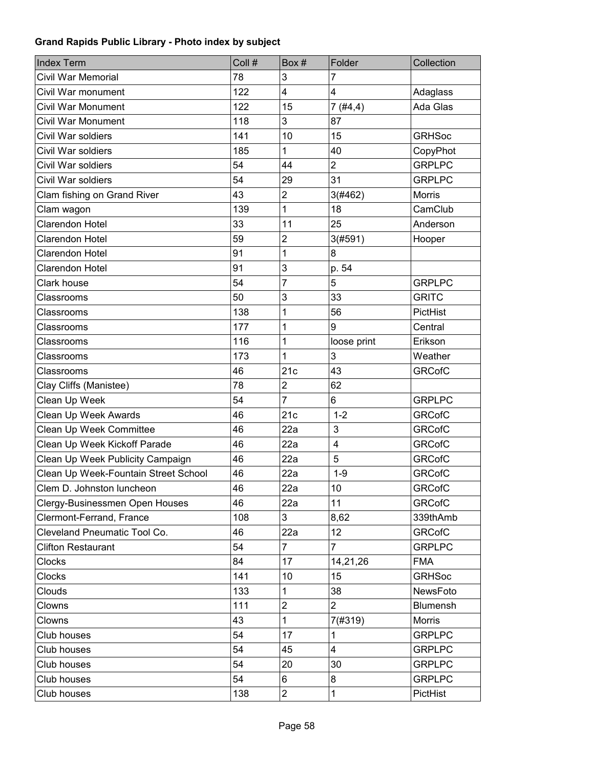| <b>Index Term</b>                    | Coll # | Box#             | Folder         | Collection    |
|--------------------------------------|--------|------------------|----------------|---------------|
| Civil War Memorial                   | 78     | 3                | 7              |               |
| Civil War monument                   | 122    | $\overline{4}$   | 4              | Adaglass      |
| <b>Civil War Monument</b>            | 122    | 15               | 7(#4,4)        | Ada Glas      |
| <b>Civil War Monument</b>            | 118    | 3                | 87             |               |
| Civil War soldiers                   | 141    | 10               | 15             | <b>GRHSoc</b> |
| Civil War soldiers                   | 185    | 1                | 40             | CopyPhot      |
| Civil War soldiers                   | 54     | 44               | $\overline{2}$ | <b>GRPLPC</b> |
| Civil War soldiers                   | 54     | 29               | 31             | <b>GRPLPC</b> |
| Clam fishing on Grand River          | 43     | $\overline{2}$   | 3(#462)        | <b>Morris</b> |
| Clam wagon                           | 139    | 1                | 18             | CamClub       |
| Clarendon Hotel                      | 33     | 11               | 25             | Anderson      |
| Clarendon Hotel                      | 59     | $\overline{2}$   | 3(#591)        | Hooper        |
| Clarendon Hotel                      | 91     | 1                | 8              |               |
| Clarendon Hotel                      | 91     | 3                | p. 54          |               |
| <b>Clark house</b>                   | 54     | $\overline{7}$   | 5              | <b>GRPLPC</b> |
| Classrooms                           | 50     | 3                | 33             | <b>GRITC</b>  |
| Classrooms                           | 138    | 1                | 56             | PictHist      |
| Classrooms                           | 177    | 1                | 9              | Central       |
| Classrooms                           | 116    | 1                | loose print    | Erikson       |
| Classrooms                           | 173    | 1                | 3              | Weather       |
| Classrooms                           | 46     | 21c              | 43             | <b>GRCofC</b> |
| Clay Cliffs (Manistee)               | 78     | $\boldsymbol{2}$ | 62             |               |
| Clean Up Week                        | 54     | $\overline{7}$   | 6              | <b>GRPLPC</b> |
| <b>Clean Up Week Awards</b>          | 46     | 21c              | $1 - 2$        | <b>GRCofC</b> |
| Clean Up Week Committee              | 46     | 22a              | 3              | <b>GRCofC</b> |
| Clean Up Week Kickoff Parade         | 46     | 22a              | $\overline{4}$ | <b>GRCofC</b> |
| Clean Up Week Publicity Campaign     | 46     | 22a              | 5              | <b>GRCofC</b> |
| Clean Up Week-Fountain Street School | 46     | 22a              | $1 - 9$        | <b>GRCofC</b> |
| Clem D. Johnston luncheon            | 46     | 22a              | 10             | <b>GRCofC</b> |
| Clergy-Businessmen Open Houses       | 46     | 22a              | 11             | <b>GRCofC</b> |
| Clermont-Ferrand, France             | 108    | 3                | 8,62           | 339thAmb      |
| Cleveland Pneumatic Tool Co.         | 46     | 22a              | 12             | <b>GRCofC</b> |
| <b>Clifton Restaurant</b>            | 54     | $\overline{7}$   | $\overline{7}$ | <b>GRPLPC</b> |
| Clocks                               | 84     | 17               | 14,21,26       | <b>FMA</b>    |
| Clocks                               | 141    | 10               | 15             | <b>GRHSoc</b> |
| Clouds                               | 133    | 1                | 38             | NewsFoto      |
| Clowns                               | 111    | $\overline{2}$   | $\overline{2}$ | Blumensh      |
| Clowns                               | 43     | 1                | 7(#319)        | Morris        |
| Club houses                          | 54     | 17               | 1              | <b>GRPLPC</b> |
| Club houses                          | 54     | 45               | 4              | <b>GRPLPC</b> |
| Club houses                          | 54     | 20               | 30             | <b>GRPLPC</b> |
| Club houses                          | 54     | 6                | 8              | <b>GRPLPC</b> |
| Club houses                          | 138    | $\overline{c}$   | $\mathbf 1$    | PictHist      |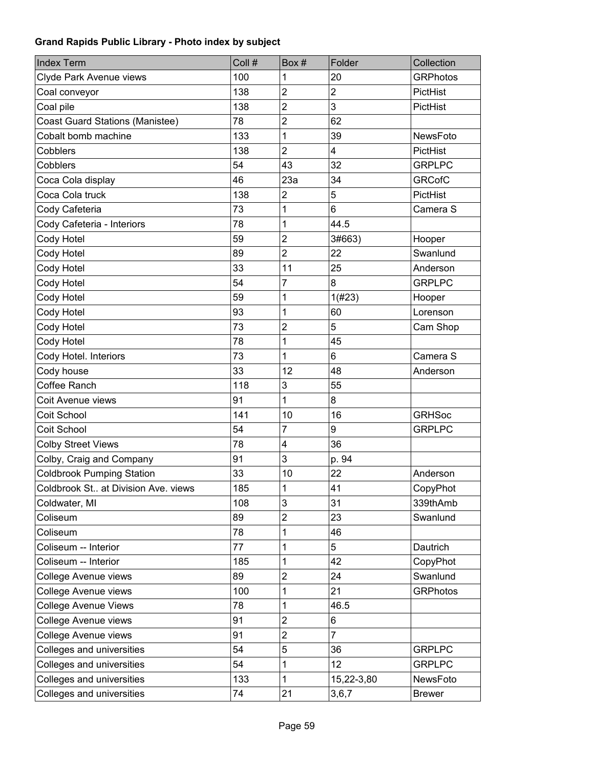| <b>Index Term</b>                      | Coll # | Box#                    | Folder                  | Collection      |
|----------------------------------------|--------|-------------------------|-------------------------|-----------------|
| Clyde Park Avenue views                | 100    | 1                       | 20                      | <b>GRPhotos</b> |
| Coal conveyor                          | 138    | $\overline{c}$          | $\overline{\mathbf{c}}$ | PictHist        |
| Coal pile                              | 138    | $\overline{c}$          | 3                       | PictHist        |
| <b>Coast Guard Stations (Manistee)</b> | 78     | $\overline{2}$          | 62                      |                 |
| Cobalt bomb machine                    | 133    | 1                       | 39                      | NewsFoto        |
| Cobblers                               | 138    | $\overline{2}$          | 4                       | PictHist        |
| Cobblers                               | 54     | 43                      | 32                      | <b>GRPLPC</b>   |
| Coca Cola display                      | 46     | 23a                     | 34                      | <b>GRCofC</b>   |
| Coca Cola truck                        | 138    | $\overline{\mathbf{c}}$ | 5                       | PictHist        |
| Cody Cafeteria                         | 73     | 1                       | 6                       | Camera S        |
| Cody Cafeteria - Interiors             | 78     | 1                       | 44.5                    |                 |
| Cody Hotel                             | 59     | $\overline{c}$          | 3#663)                  | Hooper          |
| Cody Hotel                             | 89     | $\overline{c}$          | 22                      | Swanlund        |
| Cody Hotel                             | 33     | 11                      | 25                      | Anderson        |
| Cody Hotel                             | 54     | 7                       | 8                       | <b>GRPLPC</b>   |
| Cody Hotel                             | 59     | 1                       | 1(#23)                  | Hooper          |
| Cody Hotel                             | 93     | 1                       | 60                      | Lorenson        |
| Cody Hotel                             | 73     | $\overline{2}$          | 5                       | Cam Shop        |
| Cody Hotel                             | 78     | 1                       | 45                      |                 |
| Cody Hotel. Interiors                  | 73     | 1                       | 6                       | Camera S        |
| Cody house                             | 33     | 12                      | 48                      | Anderson        |
| Coffee Ranch                           | 118    | 3                       | 55                      |                 |
| Coit Avenue views                      | 91     | 1                       | 8                       |                 |
| Coit School                            | 141    | 10                      | 16                      | <b>GRHSoc</b>   |
| Coit School                            | 54     | $\overline{7}$          | 9                       | <b>GRPLPC</b>   |
| <b>Colby Street Views</b>              | 78     | 4                       | 36                      |                 |
| Colby, Craig and Company               | 91     | 3                       | p. 94                   |                 |
| <b>Coldbrook Pumping Station</b>       | 33     | 10                      | 22                      | Anderson        |
| Coldbrook St at Division Ave. views    | 185    | $\mathbf{1}$            | 41                      | CopyPhot        |
| Coldwater, MI                          | 108    | 3                       | 31                      | 339thAmb        |
| Coliseum                               | 89     | $\overline{c}$          | 23                      | Swanlund        |
| Coliseum                               | 78     | 1                       | 46                      |                 |
| Coliseum -- Interior                   | 77     | 1                       | 5                       | Dautrich        |
| Coliseum -- Interior                   | 185    | 1                       | 42                      | CopyPhot        |
| College Avenue views                   | 89     | $\overline{2}$          | 24                      | Swanlund        |
| College Avenue views                   | 100    | 1                       | 21                      | <b>GRPhotos</b> |
| <b>College Avenue Views</b>            | 78     | 1                       | 46.5                    |                 |
| College Avenue views                   | 91     | $\overline{c}$          | 6                       |                 |
| College Avenue views                   | 91     | $\overline{2}$          | $\overline{7}$          |                 |
| Colleges and universities              | 54     | 5                       | 36                      | <b>GRPLPC</b>   |
| Colleges and universities              | 54     | 1                       | 12                      | <b>GRPLPC</b>   |
| Colleges and universities              | 133    | 1                       | 15,22-3,80              | NewsFoto        |
| Colleges and universities              | 74     | 21                      | 3,6,7                   | <b>Brewer</b>   |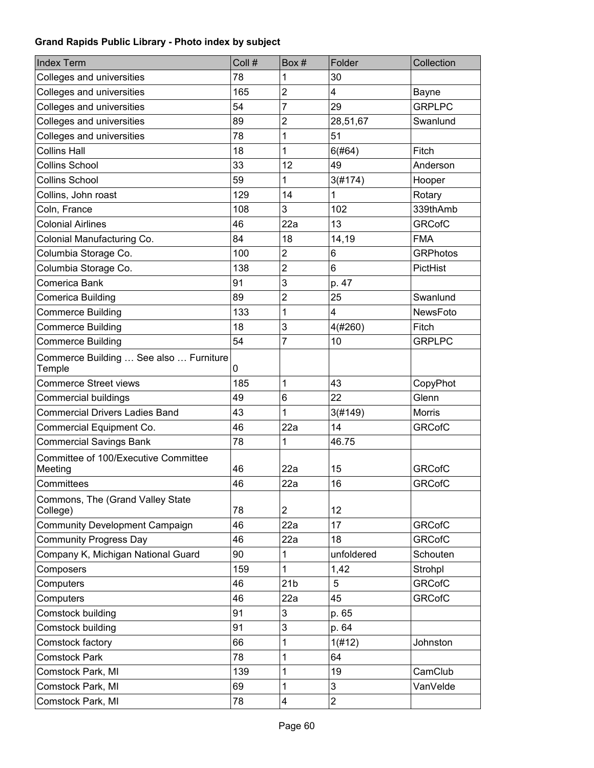| <b>Index Term</b>                                | Coll # | Box #                   | Folder         | Collection      |
|--------------------------------------------------|--------|-------------------------|----------------|-----------------|
| Colleges and universities                        | 78     | 1                       | 30             |                 |
| Colleges and universities                        | 165    | $\overline{2}$          | 4              | Bayne           |
| Colleges and universities                        | 54     | 7                       | 29             | <b>GRPLPC</b>   |
| Colleges and universities                        | 89     | $\overline{\mathbf{c}}$ | 28,51,67       | Swanlund        |
| Colleges and universities                        | 78     | 1                       | 51             |                 |
| <b>Collins Hall</b>                              | 18     | 1                       | 6(#64)         | Fitch           |
| <b>Collins School</b>                            | 33     | 12                      | 49             | Anderson        |
| <b>Collins School</b>                            | 59     | 1                       | 3(#174)        | Hooper          |
| Collins, John roast                              | 129    | 14                      | 1              | Rotary          |
| Coln, France                                     | 108    | 3                       | 102            | 339thAmb        |
| <b>Colonial Airlines</b>                         | 46     | 22a                     | 13             | <b>GRCofC</b>   |
| Colonial Manufacturing Co.                       | 84     | 18                      | 14,19          | <b>FMA</b>      |
| Columbia Storage Co.                             | 100    | $\overline{2}$          | 6              | <b>GRPhotos</b> |
| Columbia Storage Co.                             | 138    | $\overline{2}$          | 6              | PictHist        |
| Comerica Bank                                    | 91     | 3                       | p. 47          |                 |
| Comerica Building                                | 89     | $\overline{2}$          | 25             | Swanlund        |
| <b>Commerce Building</b>                         | 133    | 1                       | 4              | <b>NewsFoto</b> |
| <b>Commerce Building</b>                         | 18     | 3                       | 4(#260)        | Fitch           |
| <b>Commerce Building</b>                         | 54     | 7                       | 10             | <b>GRPLPC</b>   |
| Commerce Building  See also  Furniture<br>Temple | 0      |                         |                |                 |
| <b>Commerce Street views</b>                     | 185    | 1                       | 43             | CopyPhot        |
| Commercial buildings                             | 49     | 6                       | 22             | Glenn           |
| <b>Commercial Drivers Ladies Band</b>            | 43     | 1                       | 3(#149)        | <b>Morris</b>   |
| Commercial Equipment Co.                         | 46     | 22a                     | 14             | <b>GRCofC</b>   |
| <b>Commercial Savings Bank</b>                   | 78     | 1                       | 46.75          |                 |
| Committee of 100/Executive Committee<br>Meeting  | 46     | 22a                     | 15             | <b>GRCofC</b>   |
| Committees                                       | 46     | 22a                     | 16             | <b>GRCofC</b>   |
| Commons, The (Grand Valley State                 |        |                         |                |                 |
| College)                                         | 78     | $\overline{2}$          | 12             |                 |
| <b>Community Development Campaign</b>            | 46     | 22a                     | 17             | <b>GRCofC</b>   |
| <b>Community Progress Day</b>                    | 46     | 22a                     | 18             | <b>GRCofC</b>   |
| Company K, Michigan National Guard               | 90     | 1                       | unfoldered     | Schouten        |
| Composers                                        | 159    | 1                       | 1,42           | Strohpl         |
| Computers                                        | 46     | 21 <sub>b</sub>         | 5              | <b>GRCofC</b>   |
| Computers                                        | 46     | 22a                     | 45             | <b>GRCofC</b>   |
| Comstock building                                | 91     | 3                       | p. 65          |                 |
| Comstock building                                | 91     | 3                       | p. 64          |                 |
| Comstock factory                                 | 66     | $\mathbf{1}$            | 1(H12)         | Johnston        |
| <b>Comstock Park</b>                             | 78     | 1                       | 64             |                 |
| Comstock Park, MI                                | 139    | 1                       | 19             | CamClub         |
| Comstock Park, MI                                | 69     | 1                       | $\mathfrak{S}$ | VanVelde        |
| Comstock Park, MI                                | 78     | 4                       | $\overline{2}$ |                 |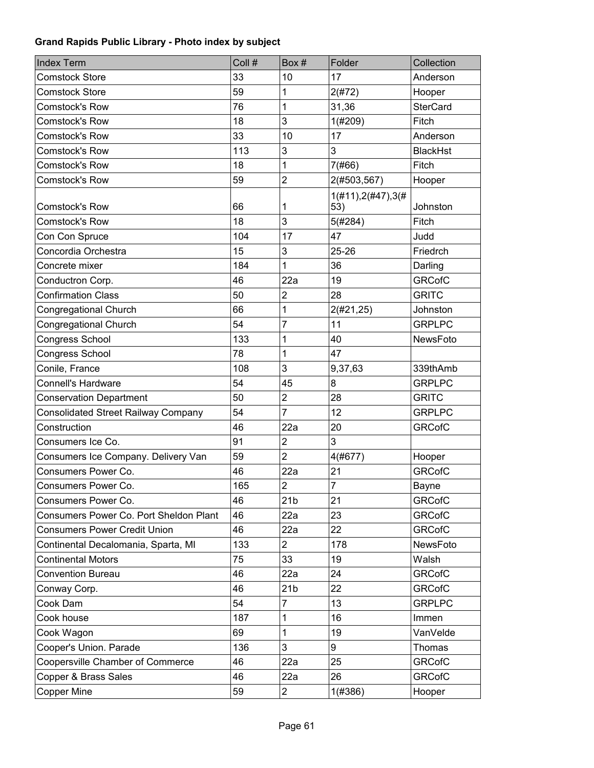| <b>Index Term</b>                          | Coll # | Box#                    | Folder                   | Collection      |
|--------------------------------------------|--------|-------------------------|--------------------------|-----------------|
| <b>Comstock Store</b>                      | 33     | 10                      | 17                       | Anderson        |
| <b>Comstock Store</b>                      | 59     | 1                       | 2(#72)                   | Hooper          |
| <b>Comstock's Row</b>                      | 76     | 1                       | 31,36                    | <b>SterCard</b> |
| <b>Comstock's Row</b>                      | 18     | 3                       | 1(#209)                  | Fitch           |
| Comstock's Row                             | 33     | 10                      | 17                       | Anderson        |
| <b>Comstock's Row</b>                      | 113    | 3                       | 3                        | <b>BlackHst</b> |
| <b>Comstock's Row</b>                      | 18     | 1                       | 7(#66)                   | Fitch           |
| Comstock's Row                             | 59     | $\overline{c}$          | 2(#503,567)              | Hooper          |
|                                            |        |                         | $1(\#11), 2(\#47), 3(\#$ |                 |
| <b>Comstock's Row</b>                      | 66     | 1                       | 53)                      | Johnston        |
| <b>Comstock's Row</b>                      | 18     | 3                       | 5(#284)                  | Fitch           |
| Con Con Spruce                             | 104    | 17                      | 47                       | Judd            |
| Concordia Orchestra                        | 15     | 3                       | 25-26                    | Friedrch        |
| Concrete mixer                             | 184    | 1                       | 36                       | Darling         |
| Conductron Corp.                           | 46     | 22a                     | 19                       | <b>GRCofC</b>   |
| <b>Confirmation Class</b>                  | 50     | $\overline{2}$          | 28                       | <b>GRITC</b>    |
| Congregational Church                      | 66     | 1                       | 2(#21, 25)               | Johnston        |
| Congregational Church                      | 54     | $\overline{7}$          | 11                       | <b>GRPLPC</b>   |
| Congress School                            | 133    | 1                       | 40                       | NewsFoto        |
| Congress School                            | 78     | 1                       | 47                       |                 |
| Conile, France                             | 108    | 3                       | 9,37,63                  | 339thAmb        |
| Connell's Hardware                         | 54     | 45                      | 8                        | <b>GRPLPC</b>   |
| <b>Conservation Department</b>             | 50     | $\overline{c}$          | 28                       | <b>GRITC</b>    |
| <b>Consolidated Street Railway Company</b> | 54     | $\overline{7}$          | 12                       | <b>GRPLPC</b>   |
| Construction                               | 46     | 22a                     | 20                       | <b>GRCofC</b>   |
| Consumers Ice Co.                          | 91     | $\overline{c}$          | 3                        |                 |
| Consumers Ice Company. Delivery Van        | 59     | $\overline{c}$          | 4(#677)                  | Hooper          |
| Consumers Power Co.                        | 46     | 22a                     | 21                       | <b>GRCofC</b>   |
| Consumers Power Co.                        | 165    | $\overline{2}$          | $\overline{7}$           | Bayne           |
| Consumers Power Co.                        | 46     | 21 <sub>b</sub>         | 21                       | <b>GRCofC</b>   |
| Consumers Power Co. Port Sheldon Plant     | 46     | 22a                     | 23                       | <b>GRCofC</b>   |
| <b>Consumers Power Credit Union</b>        | 46     | 22a                     | 22                       | <b>GRCofC</b>   |
| Continental Decalomania, Sparta, MI        | 133    | $\overline{2}$          | 178                      | NewsFoto        |
| <b>Continental Motors</b>                  | 75     | 33                      | 19                       | Walsh           |
| <b>Convention Bureau</b>                   | 46     | 22a                     | 24                       | <b>GRCofC</b>   |
| Conway Corp.                               | 46     | 21 <sub>b</sub>         | 22                       | <b>GRCofC</b>   |
| Cook Dam                                   | 54     | $\overline{7}$          | 13                       | <b>GRPLPC</b>   |
| Cook house                                 | 187    | 1                       | 16                       | Immen           |
| Cook Wagon                                 | 69     | 1                       | 19                       | VanVelde        |
| Cooper's Union. Parade                     | 136    | 3                       | 9                        | Thomas          |
| Coopersville Chamber of Commerce           | 46     | 22a                     | 25                       | <b>GRCofC</b>   |
| Copper & Brass Sales                       | 46     | 22a                     | 26                       | <b>GRCofC</b>   |
| Copper Mine                                | 59     | $\overline{\mathbf{c}}$ | 1(#386)                  | Hooper          |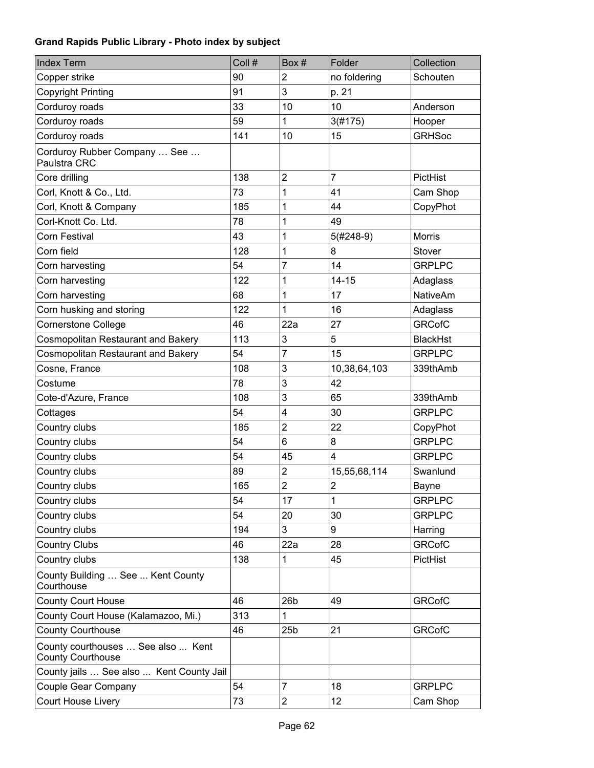| <b>Index Term</b>                                              | Coll # | Box#                    | Folder                  | Collection      |
|----------------------------------------------------------------|--------|-------------------------|-------------------------|-----------------|
| Copper strike                                                  | 90     | $\overline{c}$          | no foldering            | Schouten        |
| <b>Copyright Printing</b>                                      | 91     | 3                       | p. 21                   |                 |
| Corduroy roads                                                 | 33     | 10                      | 10                      | Anderson        |
| Corduroy roads                                                 | 59     | 1                       | 3(#175)                 | Hooper          |
| Corduroy roads                                                 | 141    | 10                      | 15                      | <b>GRHSoc</b>   |
| Corduroy Rubber Company  See<br>Paulstra CRC                   |        |                         |                         |                 |
| Core drilling                                                  | 138    | $\overline{\mathbf{c}}$ | $\overline{7}$          | PictHist        |
| Corl, Knott & Co., Ltd.                                        | 73     | 1                       | 41                      | Cam Shop        |
| Corl, Knott & Company                                          | 185    | 1                       | 44                      | CopyPhot        |
| Corl-Knott Co. Ltd.                                            | 78     | 1                       | 49                      |                 |
| Corn Festival                                                  | 43     | 1                       | $5(#248-9)$             | <b>Morris</b>   |
| Corn field                                                     | 128    | 1                       | 8                       | Stover          |
| Corn harvesting                                                | 54     | 7                       | 14                      | <b>GRPLPC</b>   |
| Corn harvesting                                                | 122    | 1                       | $14 - 15$               | Adaglass        |
| Corn harvesting                                                | 68     | 1                       | 17                      | <b>NativeAm</b> |
| Corn husking and storing                                       | 122    | 1                       | 16                      | Adaglass        |
| <b>Cornerstone College</b>                                     | 46     | 22a                     | 27                      | <b>GRCofC</b>   |
| Cosmopolitan Restaurant and Bakery                             | 113    | 3                       | 5                       | <b>BlackHst</b> |
| <b>Cosmopolitan Restaurant and Bakery</b>                      | 54     | 7                       | 15                      | <b>GRPLPC</b>   |
| Cosne, France                                                  | 108    | 3                       | 10,38,64,103            | 339thAmb        |
| Costume                                                        | 78     | 3                       | 42                      |                 |
| Cote-d'Azure, France                                           | 108    | 3                       | 65                      | 339thAmb        |
| Cottages                                                       | 54     | 4                       | 30                      | <b>GRPLPC</b>   |
| Country clubs                                                  | 185    | $\overline{c}$          | 22                      | CopyPhot        |
| Country clubs                                                  | 54     | 6                       | 8                       | <b>GRPLPC</b>   |
| Country clubs                                                  | 54     | 45                      | $\overline{4}$          | <b>GRPLPC</b>   |
| Country clubs                                                  | 89     | 2                       | 15,55,68,114            | Swanlund        |
| Country clubs                                                  | 165    | $\overline{\mathbf{c}}$ | $\overline{\mathbf{c}}$ | Bayne           |
| Country clubs                                                  | 54     | 17                      | 1                       | <b>GRPLPC</b>   |
| Country clubs                                                  | 54     | 20                      | 30                      | <b>GRPLPC</b>   |
| Country clubs                                                  | 194    | 3                       | 9                       | Harring         |
| <b>Country Clubs</b>                                           | 46     | 22a                     | 28                      | <b>GRCofC</b>   |
| Country clubs                                                  | 138    | 1                       | 45                      | PictHist        |
| County Building  See  Kent County<br>Courthouse                |        |                         |                         |                 |
| <b>County Court House</b>                                      | 46     | 26 <sub>b</sub>         | 49                      | <b>GRCofC</b>   |
| County Court House (Kalamazoo, Mi.)                            | 313    | 1                       |                         |                 |
| <b>County Courthouse</b>                                       | 46     | 25 <sub>b</sub>         | 21                      | <b>GRCofC</b>   |
| County courthouses  See also  Kent<br><b>County Courthouse</b> |        |                         |                         |                 |
| County jails  See also  Kent County Jail                       |        |                         |                         |                 |
| Couple Gear Company                                            | 54     | 7                       | 18                      | <b>GRPLPC</b>   |
| Court House Livery                                             | 73     | 2                       | 12                      | Cam Shop        |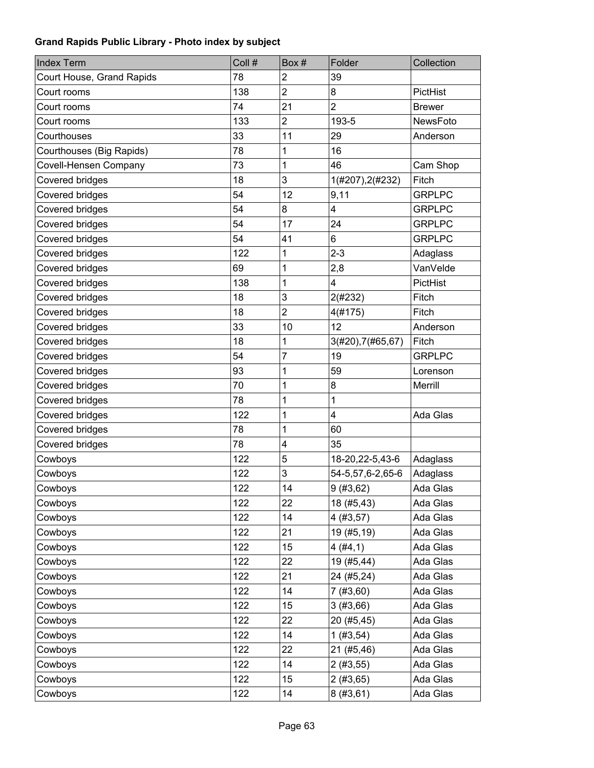| <b>Index Term</b>         | Coll # | Box #          | Folder             | Collection      |
|---------------------------|--------|----------------|--------------------|-----------------|
| Court House, Grand Rapids | 78     | $\overline{2}$ | 39                 |                 |
| Court rooms               | 138    | $\overline{2}$ | 8                  | PictHist        |
| Court rooms               | 74     | 21             | $\overline{2}$     | <b>Brewer</b>   |
| Court rooms               | 133    | $\overline{2}$ | 193-5              | <b>NewsFoto</b> |
| Courthouses               | 33     | 11             | 29                 | Anderson        |
| Courthouses (Big Rapids)  | 78     | 1              | 16                 |                 |
| Covell-Hensen Company     | 73     | 1              | 46                 | Cam Shop        |
| Covered bridges           | 18     | 3              | 1(#207), 2(#232)   | Fitch           |
| Covered bridges           | 54     | 12             | 9,11               | <b>GRPLPC</b>   |
| Covered bridges           | 54     | 8              | 4                  | <b>GRPLPC</b>   |
| Covered bridges           | 54     | 17             | 24                 | <b>GRPLPC</b>   |
| Covered bridges           | 54     | 41             | 6                  | <b>GRPLPC</b>   |
| Covered bridges           | 122    | 1              | $2 - 3$            | Adaglass        |
| Covered bridges           | 69     | 1              | 2,8                | VanVelde        |
| Covered bridges           | 138    | 1              | 4                  | PictHist        |
| Covered bridges           | 18     | 3              | 2(#232)            | Fitch           |
| Covered bridges           | 18     | $\overline{c}$ | 4(#175)            | Fitch           |
| Covered bridges           | 33     | 10             | 12                 | Anderson        |
| Covered bridges           | 18     | 1              | 3(#20), 7(#65, 67) | Fitch           |
| Covered bridges           | 54     | 7              | 19                 | <b>GRPLPC</b>   |
| Covered bridges           | 93     | 1              | 59                 | Lorenson        |
| Covered bridges           | 70     | 1              | 8                  | Merrill         |
| Covered bridges           | 78     | 1              | 1                  |                 |
| Covered bridges           | 122    | 1              | 4                  | Ada Glas        |
| Covered bridges           | 78     | 1              | 60                 |                 |
| Covered bridges           | 78     | 4              | 35                 |                 |
| Cowboys                   | 122    | 5              | 18-20, 22-5, 43-6  | Adaglass        |
| Cowboys                   | 122    | 3              | 54-5,57,6-2,65-6   | Adaglass        |
| Cowboys                   | 122    | 14             | 9(#3, 62)          | Ada Glas        |
| Cowboys                   | 122    | 22             | 18 (#5,43)         | Ada Glas        |
| Cowboys                   | 122    | 14             | 4(#3, 57)          | Ada Glas        |
| Cowboys                   | 122    | 21             | 19 (#5,19)         | Ada Glas        |
| Cowboys                   | 122    | 15             | 4(#4,1)            | Ada Glas        |
| Cowboys                   | 122    | 22             | 19 (#5,44)         | Ada Glas        |
| Cowboys                   | 122    | 21             | 24 (#5,24)         | Ada Glas        |
| Cowboys                   | 122    | 14             | 7(#3,60)           | Ada Glas        |
| Cowboys                   | 122    | 15             | 3(#3,66)           | Ada Glas        |
| Cowboys                   | 122    | 22             | 20 (#5,45)         | Ada Glas        |
| Cowboys                   | 122    | 14             | 1(#3, 54)          | Ada Glas        |
| Cowboys                   | 122    | 22             | 21 (#5,46)         | Ada Glas        |
| Cowboys                   | 122    | 14             | 2(#3, 55)          | Ada Glas        |
| Cowboys                   | 122    | 15             | 2(#3, 65)          | Ada Glas        |
| Cowboys                   | 122    | 14             | 8(#3, 61)          | Ada Glas        |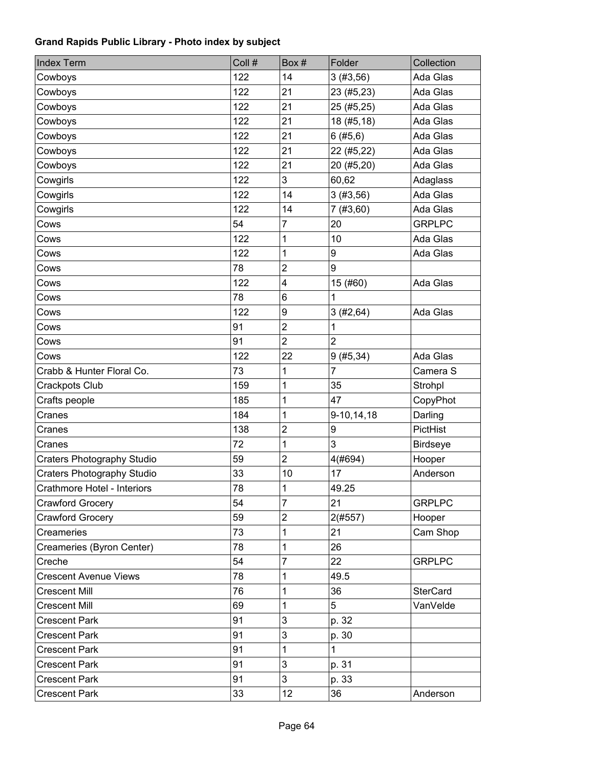| <b>Index Term</b>                 | Coll # | Box#           | Folder         | Collection      |
|-----------------------------------|--------|----------------|----------------|-----------------|
| Cowboys                           | 122    | 14             | 3(#3,56)       | Ada Glas        |
| Cowboys                           | 122    | 21             | 23 (#5,23)     | Ada Glas        |
| Cowboys                           | 122    | 21             | 25 (#5,25)     | Ada Glas        |
| Cowboys                           | 122    | 21             | 18 (#5,18)     | Ada Glas        |
| Cowboys                           | 122    | 21             | 6(#5, 6)       | Ada Glas        |
| Cowboys                           | 122    | 21             | 22 (#5,22)     | Ada Glas        |
| Cowboys                           | 122    | 21             | 20 (#5,20)     | Ada Glas        |
| Cowgirls                          | 122    | 3              | 60,62          | Adaglass        |
| Cowgirls                          | 122    | 14             | 3(#3,56)       | Ada Glas        |
| Cowgirls                          | 122    | 14             | 7(#3,60)       | Ada Glas        |
| Cows                              | 54     | 7              | 20             | <b>GRPLPC</b>   |
| Cows                              | 122    | 1              | 10             | Ada Glas        |
| Cows                              | 122    | 1              | 9              | Ada Glas        |
| Cows                              | 78     | $\overline{2}$ | 9              |                 |
| Cows                              | 122    | 4              | 15 (#60)       | Ada Glas        |
| Cows                              | 78     | 6              | 1              |                 |
| Cows                              | 122    | 9              | 3(#2, 64)      | Ada Glas        |
| Cows                              | 91     | $\overline{2}$ | 1              |                 |
| Cows                              | 91     | $\overline{2}$ | $\overline{2}$ |                 |
| Cows                              | 122    | 22             | 9(#5, 34)      | Ada Glas        |
| Crabb & Hunter Floral Co.         | 73     | 1              | $\overline{7}$ | Camera S        |
| Crackpots Club                    | 159    | 1              | 35             | Strohpl         |
| Crafts people                     | 185    | 1              | 47             | CopyPhot        |
| Cranes                            | 184    | 1              | 9-10,14,18     | Darling         |
| Cranes                            | 138    | $\overline{2}$ | 9              | PictHist        |
| Cranes                            | 72     | 1              | 3              | <b>Birdseye</b> |
| <b>Craters Photography Studio</b> | 59     | $\overline{c}$ | 4(#694)        | Hooper          |
| <b>Craters Photography Studio</b> | 33     | 10             | 17             | Anderson        |
| Crathmore Hotel - Interiors       | 78     | 1              | 49.25          |                 |
| <b>Crawford Grocery</b>           | 54     | $\overline{7}$ | 21             | <b>GRPLPC</b>   |
| <b>Crawford Grocery</b>           | 59     | $\overline{c}$ | 2(#557)        | Hooper          |
| Creameries                        | 73     | 1              | 21             | Cam Shop        |
| Creameries (Byron Center)         | 78     | 1              | 26             |                 |
| Creche                            | 54     | $\overline{7}$ | 22             | <b>GRPLPC</b>   |
| <b>Crescent Avenue Views</b>      | 78     | 1              | 49.5           |                 |
| <b>Crescent Mill</b>              | 76     | 1              | 36             | <b>SterCard</b> |
| <b>Crescent Mill</b>              | 69     | 1              | 5              | VanVelde        |
| <b>Crescent Park</b>              | 91     | 3              | p. 32          |                 |
| <b>Crescent Park</b>              | 91     | 3              | p. 30          |                 |
| <b>Crescent Park</b>              | 91     | 1              | 1              |                 |
| <b>Crescent Park</b>              | 91     | 3              | p. 31          |                 |
| <b>Crescent Park</b>              | 91     | 3              | p. 33          |                 |
| <b>Crescent Park</b>              | 33     | 12             | 36             | Anderson        |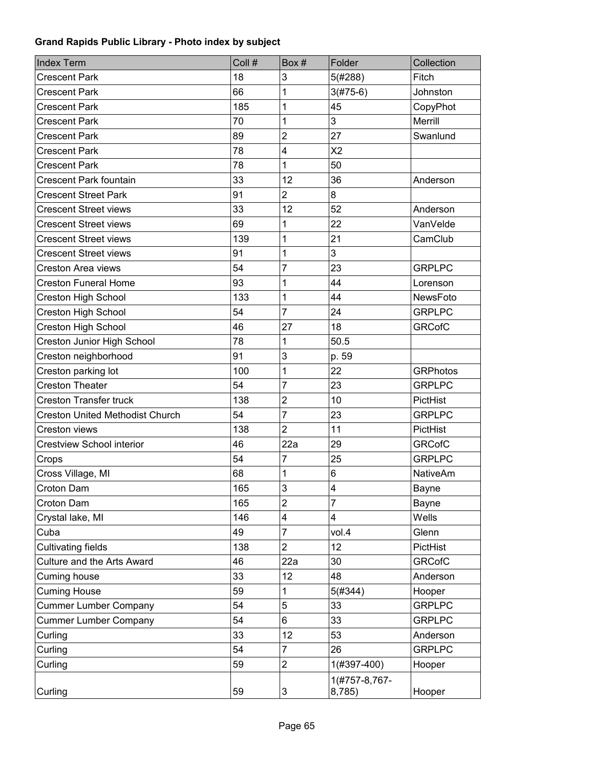| <b>Index Term</b>                      | Coll # | Box#                    | Folder                  | Collection      |
|----------------------------------------|--------|-------------------------|-------------------------|-----------------|
| <b>Crescent Park</b>                   | 18     | 3                       | 5(#288)                 | Fitch           |
| <b>Crescent Park</b>                   | 66     | 1                       | $3(#75-6)$              | Johnston        |
| <b>Crescent Park</b>                   | 185    | $\mathbf 1$             | 45                      | CopyPhot        |
| <b>Crescent Park</b>                   | 70     | 1                       | 3                       | Merrill         |
| <b>Crescent Park</b>                   | 89     | $\overline{2}$          | 27                      | Swanlund        |
| <b>Crescent Park</b>                   | 78     | 4                       | X <sub>2</sub>          |                 |
| Crescent Park                          | 78     | 1                       | 50                      |                 |
| <b>Crescent Park fountain</b>          | 33     | 12                      | 36                      | Anderson        |
| <b>Crescent Street Park</b>            | 91     | $\overline{c}$          | 8                       |                 |
| <b>Crescent Street views</b>           | 33     | 12                      | 52                      | Anderson        |
| <b>Crescent Street views</b>           | 69     | 1                       | 22                      | VanVelde        |
| <b>Crescent Street views</b>           | 139    | 1                       | 21                      | CamClub         |
| <b>Crescent Street views</b>           | 91     | $\mathbf 1$             | 3                       |                 |
| <b>Creston Area views</b>              | 54     | $\overline{7}$          | 23                      | <b>GRPLPC</b>   |
| <b>Creston Funeral Home</b>            | 93     | 1                       | 44                      | Lorenson        |
| Creston High School                    | 133    | 1                       | 44                      | NewsFoto        |
| Creston High School                    | 54     | $\overline{7}$          | 24                      | <b>GRPLPC</b>   |
| <b>Creston High School</b>             | 46     | 27                      | 18                      | <b>GRCofC</b>   |
| Creston Junior High School             | 78     | 1                       | 50.5                    |                 |
| Creston neighborhood                   | 91     | 3                       | p. 59                   |                 |
| Creston parking lot                    | 100    | 1                       | 22                      | <b>GRPhotos</b> |
| <b>Creston Theater</b>                 | 54     | $\overline{7}$          | 23                      | <b>GRPLPC</b>   |
| <b>Creston Transfer truck</b>          | 138    | $\overline{2}$          | 10                      | PictHist        |
| <b>Creston United Methodist Church</b> | 54     | $\overline{7}$          | 23                      | <b>GRPLPC</b>   |
| Creston views                          | 138    | $\overline{2}$          | 11                      | PictHist        |
| Crestview School interior              | 46     | 22a                     | 29                      | <b>GRCofC</b>   |
| Crops                                  | 54     | $\overline{7}$          | 25                      | <b>GRPLPC</b>   |
| Cross Village, MI                      | 68     | 1                       | 6                       | <b>NativeAm</b> |
| Croton Dam                             | 165    | 3                       | 4                       | Bayne           |
| Croton Dam                             | 165    | $\overline{2}$          | $\overline{7}$          | <b>Bayne</b>    |
| Crystal lake, MI                       | 146    | $\overline{\mathbf{4}}$ | 4                       | Wells           |
| Cuba                                   | 49     | 7                       | vol.4                   | Glenn           |
| <b>Cultivating fields</b>              | 138    | $\overline{2}$          | 12                      | PictHist        |
| Culture and the Arts Award             | 46     | 22a                     | 30                      | <b>GRCofC</b>   |
| Cuming house                           | 33     | 12                      | 48                      | Anderson        |
| <b>Cuming House</b>                    | 59     | 1                       | 5(#344)                 | Hooper          |
| <b>Cummer Lumber Company</b>           | 54     | 5                       | 33                      | <b>GRPLPC</b>   |
| <b>Cummer Lumber Company</b>           | 54     | 6                       | 33                      | <b>GRPLPC</b>   |
| Curling                                | 33     | 12                      | 53                      | Anderson        |
| Curling                                | 54     | $\overline{7}$          | 26                      | <b>GRPLPC</b>   |
| Curling                                | 59     | $\overline{c}$          | 1(#397-400)             | Hooper          |
| Curling                                | 59     | 3                       | 1(#757-8,767-<br>8,785) | Hooper          |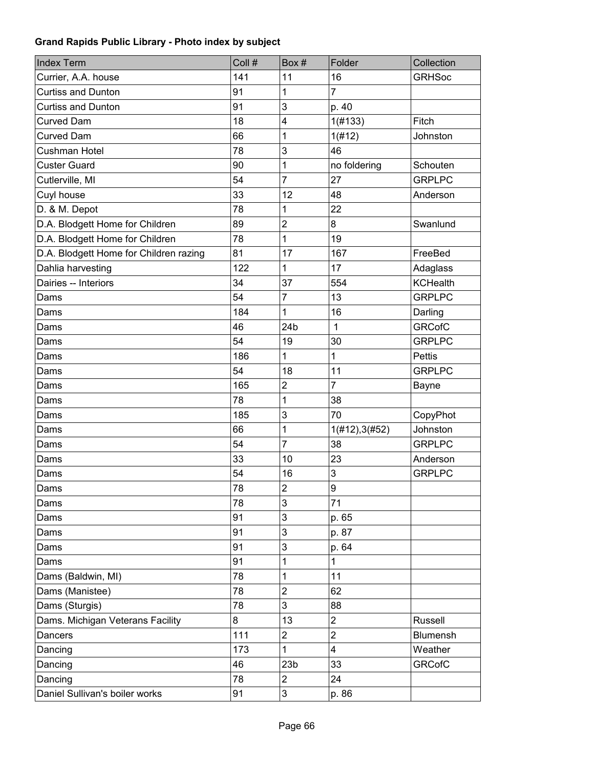| <b>Index Term</b>                      | Coll # | Box#             | Folder                  | Collection      |
|----------------------------------------|--------|------------------|-------------------------|-----------------|
| Currier, A.A. house                    | 141    | 11               | 16                      | <b>GRHSoc</b>   |
| <b>Curtiss and Dunton</b>              | 91     | 1                | $\overline{7}$          |                 |
| <b>Curtiss and Dunton</b>              | 91     | 3                | p. 40                   |                 |
| <b>Curved Dam</b>                      | 18     | 4                | 1(H133)                 | Fitch           |
| <b>Curved Dam</b>                      | 66     | 1                | 1(#12)                  | Johnston        |
| Cushman Hotel                          | 78     | 3                | 46                      |                 |
| <b>Custer Guard</b>                    | 90     | 1                | no foldering            | Schouten        |
| Cutlerville, MI                        | 54     | $\overline{7}$   | 27                      | <b>GRPLPC</b>   |
| Cuyl house                             | 33     | 12               | 48                      | Anderson        |
| D. & M. Depot                          | 78     | 1                | 22                      |                 |
| D.A. Blodgett Home for Children        | 89     | $\overline{c}$   | 8                       | Swanlund        |
| D.A. Blodgett Home for Children        | 78     | 1                | 19                      |                 |
| D.A. Blodgett Home for Children razing | 81     | 17               | 167                     | FreeBed         |
| Dahlia harvesting                      | 122    | 1                | 17                      | Adaglass        |
| Dairies -- Interiors                   | 34     | 37               | 554                     | <b>KCHealth</b> |
| Dams                                   | 54     | $\overline{7}$   | 13                      | <b>GRPLPC</b>   |
| Dams                                   | 184    | 1                | 16                      | Darling         |
| Dams                                   | 46     | 24 <sub>b</sub>  | $\mathbf{1}$            | <b>GRCofC</b>   |
| Dams                                   | 54     | 19               | 30                      | <b>GRPLPC</b>   |
| Dams                                   | 186    | 1                | $\mathbf 1$             | <b>Pettis</b>   |
| Dams                                   | 54     | 18               | 11                      | <b>GRPLPC</b>   |
| Dams                                   | 165    | $\boldsymbol{2}$ | $\overline{7}$          | Bayne           |
| Dams                                   | 78     | 1                | 38                      |                 |
| Dams                                   | 185    | 3                | 70                      | CopyPhot        |
| Dams                                   | 66     | 1                | 1(#12), 3(#52)          | Johnston        |
| Dams                                   | 54     | $\overline{7}$   | 38                      | <b>GRPLPC</b>   |
| Dams                                   | 33     | 10               | 23                      | Anderson        |
| Dams                                   | 54     | 16               | 3                       | <b>GRPLPC</b>   |
| Dams                                   | 78     | $\overline{c}$   | 9                       |                 |
| Dams                                   | 78     | 3                | 71                      |                 |
| Dams                                   | 91     | 3                | p. 65                   |                 |
| Dams                                   | 91     | $\mathbf{3}$     | p. 87                   |                 |
| Dams                                   | 91     | $\mathbf{3}$     | p. 64                   |                 |
| Dams                                   | 91     | 1                | 1                       |                 |
| Dams (Baldwin, MI)                     | 78     | 1                | 11                      |                 |
| Dams (Manistee)                        | 78     | $\overline{2}$   | 62                      |                 |
| Dams (Sturgis)                         | 78     | 3                | 88                      |                 |
| Dams. Michigan Veterans Facility       | 8      | 13               | $\overline{\mathbf{c}}$ | Russell         |
| Dancers                                | 111    | $\overline{c}$   | $\overline{\mathbf{c}}$ | Blumensh        |
| Dancing                                | 173    | $\mathbf{1}$     | 4                       | Weather         |
| Dancing                                | 46     | 23 <sub>b</sub>  | 33                      | <b>GRCofC</b>   |
| Dancing                                | 78     | $\overline{c}$   | 24                      |                 |
| Daniel Sullivan's boiler works         | 91     | $\mathsf 3$      | p. 86                   |                 |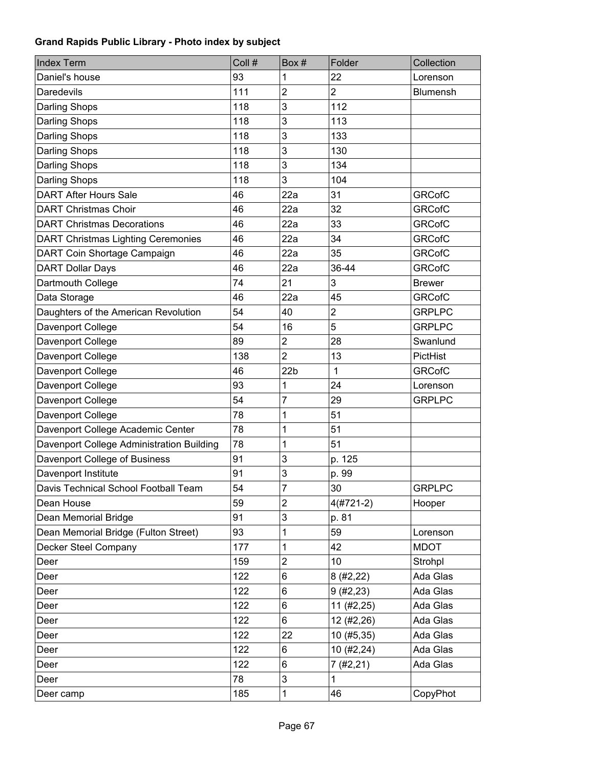| <b>Index Term</b>                         | Coll # | Box#            | Folder                  | Collection    |
|-------------------------------------------|--------|-----------------|-------------------------|---------------|
| Daniel's house                            | 93     | 1               | 22                      | Lorenson      |
| Daredevils                                | 111    | $\overline{2}$  | $\overline{2}$          | Blumensh      |
| Darling Shops                             | 118    | 3               | 112                     |               |
| <b>Darling Shops</b>                      | 118    | 3               | 113                     |               |
| <b>Darling Shops</b>                      | 118    | 3               | 133                     |               |
| <b>Darling Shops</b>                      | 118    | 3               | 130                     |               |
| <b>Darling Shops</b>                      | 118    | 3               | 134                     |               |
| <b>Darling Shops</b>                      | 118    | 3               | 104                     |               |
| <b>DART After Hours Sale</b>              | 46     | 22a             | 31                      | <b>GRCofC</b> |
| <b>DART Christmas Choir</b>               | 46     | 22a             | 32                      | <b>GRCofC</b> |
| <b>DART Christmas Decorations</b>         | 46     | 22a             | 33                      | <b>GRCofC</b> |
| <b>DART Christmas Lighting Ceremonies</b> | 46     | 22a             | 34                      | <b>GRCofC</b> |
| DART Coin Shortage Campaign               | 46     | 22a             | 35                      | <b>GRCofC</b> |
| <b>DART Dollar Days</b>                   | 46     | 22a             | 36-44                   | <b>GRCofC</b> |
| Dartmouth College                         | 74     | 21              | 3                       | <b>Brewer</b> |
| Data Storage                              | 46     | 22a             | 45                      | <b>GRCofC</b> |
| Daughters of the American Revolution      | 54     | 40              | $\overline{\mathbf{c}}$ | <b>GRPLPC</b> |
| Davenport College                         | 54     | 16              | 5                       | <b>GRPLPC</b> |
| Davenport College                         | 89     | $\overline{c}$  | 28                      | Swanlund      |
| Davenport College                         | 138    | $\overline{2}$  | 13                      | PictHist      |
| Davenport College                         | 46     | 22 <sub>b</sub> | $\mathbf{1}$            | <b>GRCofC</b> |
| Davenport College                         | 93     | 1               | 24                      | Lorenson      |
| Davenport College                         | 54     | 7               | 29                      | <b>GRPLPC</b> |
| Davenport College                         | 78     | 1               | 51                      |               |
| Davenport College Academic Center         | 78     | 1               | 51                      |               |
| Davenport College Administration Building | 78     | 1               | 51                      |               |
| Davenport College of Business             | 91     | 3               | p. 125                  |               |
| Davenport Institute                       | 91     | 3               | p. 99                   |               |
| Davis Technical School Football Team      | 54     | $\overline{7}$  | 30                      | <b>GRPLPC</b> |
| Dean House                                | 59     | $\overline{2}$  | $4(#721-2)$             | Hooper        |
| Dean Memorial Bridge                      | 91     | 3               | p. 81                   |               |
| Dean Memorial Bridge (Fulton Street)      | 93     | 1               | 59                      | Lorenson      |
| Decker Steel Company                      | 177    | 1               | 42                      | <b>MDOT</b>   |
| Deer                                      | 159    | $\overline{2}$  | 10                      | Strohpl       |
| Deer                                      | 122    | 6               | 8(#2,22)                | Ada Glas      |
| Deer                                      | 122    | 6               | 9(#2, 23)               | Ada Glas      |
| Deer                                      | 122    | 6               | 11 (#2, 25)             | Ada Glas      |
| Deer                                      | 122    | 6               | 12 (#2,26)              | Ada Glas      |
| Deer                                      | 122    | 22              | 10 (#5,35)              | Ada Glas      |
| Deer                                      | 122    | 6               | 10(#2, 24)              | Ada Glas      |
| Deer                                      | 122    | 6               | 7(#2,21)                | Ada Glas      |
| Deer                                      | 78     | 3               | $\mathbf{1}$            |               |
| Deer camp                                 | 185    | 1               | 46                      | CopyPhot      |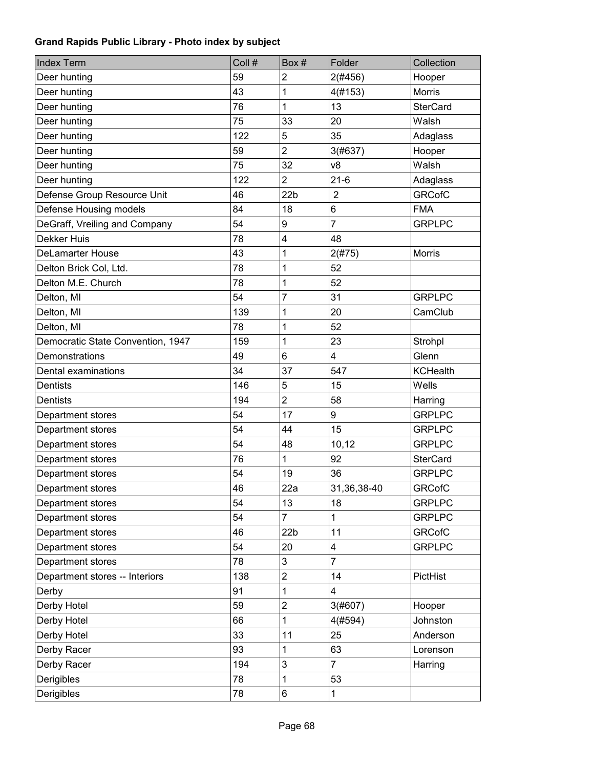| <b>Index Term</b>                 | Coll # | Box#                    | Folder         | Collection      |
|-----------------------------------|--------|-------------------------|----------------|-----------------|
| Deer hunting                      | 59     | $\overline{c}$          | 2(#456)        | Hooper          |
| Deer hunting                      | 43     | 1                       | 4(#153)        | <b>Morris</b>   |
| Deer hunting                      | 76     | 1                       | 13             | <b>SterCard</b> |
| Deer hunting                      | 75     | 33                      | 20             | Walsh           |
| Deer hunting                      | 122    | 5                       | 35             | Adaglass        |
| Deer hunting                      | 59     | $\overline{2}$          | 3(#637)        | Hooper          |
| Deer hunting                      | 75     | 32                      | v8             | Walsh           |
| Deer hunting                      | 122    | $\overline{2}$          | $21-6$         | Adaglass        |
| Defense Group Resource Unit       | 46     | 22 <sub>b</sub>         | $\overline{2}$ | <b>GRCofC</b>   |
| Defense Housing models            | 84     | 18                      | 6              | <b>FMA</b>      |
| DeGraff, Vreiling and Company     | 54     | 9                       | $\overline{7}$ | <b>GRPLPC</b>   |
| Dekker Huis                       | 78     | $\overline{\mathbf{4}}$ | 48             |                 |
| <b>DeLamarter House</b>           | 43     | 1                       | 2(#75)         | <b>Morris</b>   |
| Delton Brick Col, Ltd.            | 78     | 1                       | 52             |                 |
| Delton M.E. Church                | 78     | 1                       | 52             |                 |
| Delton, MI                        | 54     | $\overline{7}$          | 31             | <b>GRPLPC</b>   |
| Delton, MI                        | 139    | 1                       | 20             | CamClub         |
| Delton, MI                        | 78     | 1                       | 52             |                 |
| Democratic State Convention, 1947 | 159    | 1                       | 23             | Strohpl         |
| Demonstrations                    | 49     | $6\phantom{1}$          | 4              | Glenn           |
| Dental examinations               | 34     | 37                      | 547            | <b>KCHealth</b> |
| Dentists                          | 146    | 5                       | 15             | Wells           |
| <b>Dentists</b>                   | 194    | $\overline{2}$          | 58             | Harring         |
| Department stores                 | 54     | 17                      | 9              | <b>GRPLPC</b>   |
| Department stores                 | 54     | 44                      | 15             | <b>GRPLPC</b>   |
| Department stores                 | 54     | 48                      | 10, 12         | <b>GRPLPC</b>   |
| Department stores                 | 76     | 1                       | 92             | <b>SterCard</b> |
| Department stores                 | 54     | 19                      | 36             | <b>GRPLPC</b>   |
| Department stores                 | 46     | 22a                     | 31,36,38-40    | <b>GRCofC</b>   |
| Department stores                 | 54     | 13                      | 18             | <b>GRPLPC</b>   |
| Department stores                 | 54     | $\overline{7}$          | $\mathbf{1}$   | <b>GRPLPC</b>   |
| Department stores                 | 46     | 22 <sub>b</sub>         | 11             | <b>GRCofC</b>   |
| Department stores                 | 54     | 20                      | 4              | <b>GRPLPC</b>   |
| Department stores                 | 78     | 3                       | $\overline{7}$ |                 |
| Department stores -- Interiors    | 138    | $\overline{2}$          | 14             | PictHist        |
| Derby                             | 91     | 1                       | 4              |                 |
| Derby Hotel                       | 59     | $\overline{c}$          | 3(#607)        | Hooper          |
| Derby Hotel                       | 66     | 1                       | 4(#594)        | Johnston        |
| Derby Hotel                       | 33     | 11                      | 25             | Anderson        |
| Derby Racer                       | 93     | 1                       | 63             | Lorenson        |
| Derby Racer                       | 194    | 3                       | $\overline{7}$ | Harring         |
| Derigibles                        | 78     | 1                       | 53             |                 |
| Derigibles                        | 78     | 6                       | 1              |                 |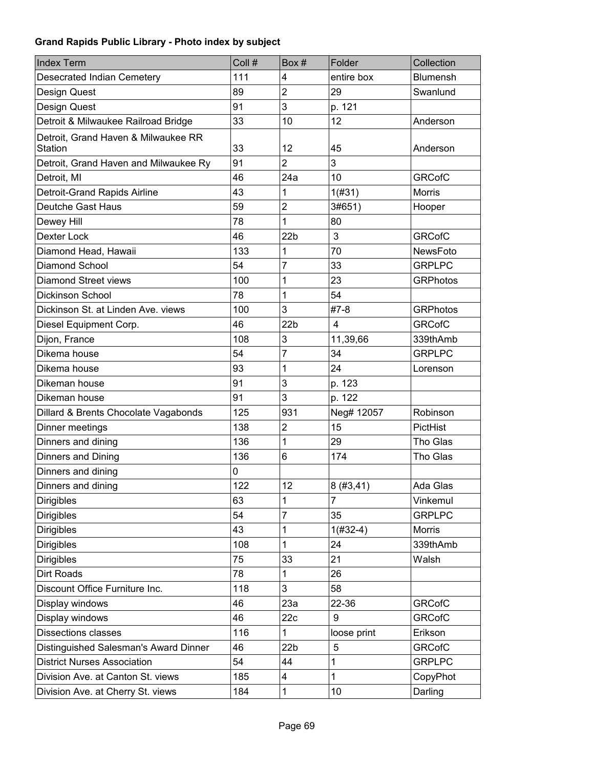| <b>Index Term</b>                              | Coll # | Box#            | Folder         | Collection      |
|------------------------------------------------|--------|-----------------|----------------|-----------------|
| Desecrated Indian Cemetery                     | 111    | 4               | entire box     | <b>Blumensh</b> |
| Design Quest                                   | 89     | $\overline{2}$  | 29             | Swanlund        |
| Design Quest                                   | 91     | 3               | p. 121         |                 |
| Detroit & Milwaukee Railroad Bridge            | 33     | 10              | 12             | Anderson        |
| Detroit, Grand Haven & Milwaukee RR<br>Station | 33     | 12              | 45             | Anderson        |
| Detroit, Grand Haven and Milwaukee Ry          | 91     | $\overline{2}$  | 3              |                 |
| Detroit, MI                                    | 46     | 24a             | 10             | <b>GRCofC</b>   |
| Detroit-Grand Rapids Airline                   | 43     | 1               | 1(#31)         | <b>Morris</b>   |
| Deutche Gast Haus                              | 59     | $\overline{2}$  | 3#651)         | Hooper          |
| Dewey Hill                                     | 78     | 1               | 80             |                 |
| Dexter Lock                                    | 46     | 22 <sub>b</sub> | 3              | <b>GRCofC</b>   |
| Diamond Head, Hawaii                           | 133    | 1               | 70             | NewsFoto        |
| <b>Diamond School</b>                          | 54     | 7               | 33             | <b>GRPLPC</b>   |
| Diamond Street views                           | 100    | 1               | 23             | <b>GRPhotos</b> |
| Dickinson School                               | 78     | 1               | 54             |                 |
| Dickinson St. at Linden Ave. views             | 100    | 3               | $#7-8$         | <b>GRPhotos</b> |
| Diesel Equipment Corp.                         | 46     | 22 <sub>b</sub> | $\overline{4}$ | <b>GRCofC</b>   |
| Dijon, France                                  | 108    | 3               | 11,39,66       | 339thAmb        |
| Dikema house                                   | 54     | $\overline{7}$  | 34             | <b>GRPLPC</b>   |
| Dikema house                                   | 93     | 1               | 24             | Lorenson        |
| Dikeman house                                  | 91     | 3               | p. 123         |                 |
| Dikeman house                                  | 91     | 3               | p. 122         |                 |
| Dillard & Brents Chocolate Vagabonds           | 125    | 931             | Neg# 12057     | Robinson        |
| Dinner meetings                                | 138    | $\overline{c}$  | 15             | PictHist        |
| Dinners and dining                             | 136    | 1               | 29             | Tho Glas        |
| Dinners and Dining                             | 136    | 6               | 174            | Tho Glas        |
| Dinners and dining                             | 0      |                 |                |                 |
| Dinners and dining                             | 122    | 12              | 8(#3, 41)      | Ada Glas        |
| <b>Dirigibles</b>                              | 63     | 1               | 7              | Vinkemul        |
| <b>Dirigibles</b>                              | 54     | 7               | 35             | <b>GRPLPC</b>   |
| <b>Dirigibles</b>                              | 43     | 1               | $1(H32-4)$     | <b>Morris</b>   |
| <b>Dirigibles</b>                              | 108    | 1               | 24             | 339thAmb        |
| Dirigibles                                     | 75     | 33              | 21             | Walsh           |
| Dirt Roads                                     | 78     | 1               | 26             |                 |
| Discount Office Furniture Inc.                 | 118    | 3               | 58             |                 |
| Display windows                                | 46     | 23a             | 22-36          | <b>GRCofC</b>   |
| Display windows                                | 46     | 22c             | 9              | <b>GRCofC</b>   |
| <b>Dissections classes</b>                     | 116    | 1               | loose print    | Erikson         |
| Distinguished Salesman's Award Dinner          | 46     | 22 <sub>b</sub> | 5              | <b>GRCofC</b>   |
| <b>District Nurses Association</b>             | 54     | 44              | 1              | <b>GRPLPC</b>   |
| Division Ave. at Canton St. views              | 185    | 4               | 1              | CopyPhot        |
| Division Ave. at Cherry St. views              | 184    | 1               | 10             | Darling         |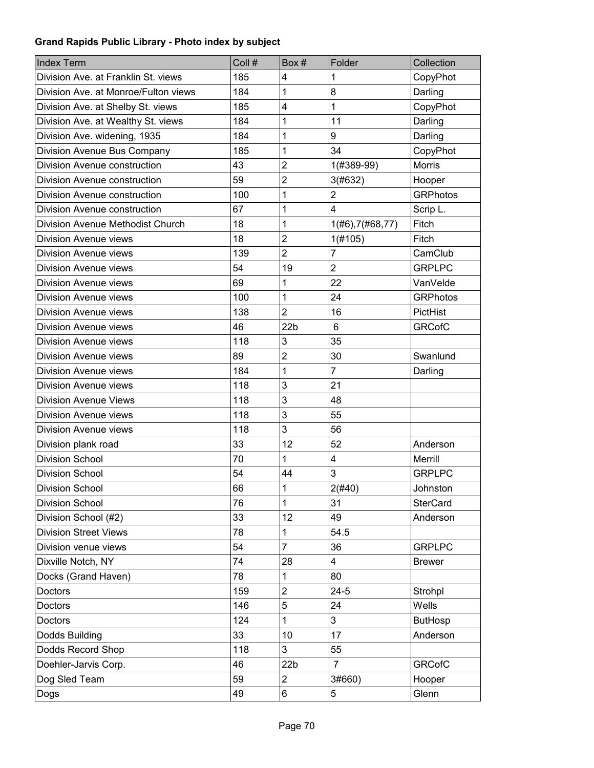| <b>Index Term</b>                    | Coll # | Box#            | Folder                    | Collection      |
|--------------------------------------|--------|-----------------|---------------------------|-----------------|
| Division Ave. at Franklin St. views  | 185    | 4               | 1                         | CopyPhot        |
| Division Ave. at Monroe/Fulton views | 184    | 1               | 8                         | Darling         |
| Division Ave. at Shelby St. views    | 185    | 4               | 1                         | CopyPhot        |
| Division Ave. at Wealthy St. views   | 184    | 1               | 11                        | Darling         |
| Division Ave. widening, 1935         | 184    | 1               | 9                         | Darling         |
| Division Avenue Bus Company          | 185    | 1               | 34                        | CopyPhot        |
| Division Avenue construction         | 43     | $\overline{c}$  | 1(#389-99)                | <b>Morris</b>   |
| Division Avenue construction         | 59     | $\overline{2}$  | 3(#632)                   | Hooper          |
| Division Avenue construction         | 100    | 1               | $\overline{2}$            | <b>GRPhotos</b> |
| Division Avenue construction         | 67     | 1               | $\overline{4}$            | Scrip L.        |
| Division Avenue Methodist Church     | 18     | 1               | $1($ #6), $7($ #68, $77)$ | Fitch           |
| Division Avenue views                | 18     | $\overline{2}$  | 1(#105)                   | Fitch           |
| Division Avenue views                | 139    | $\overline{2}$  | 7                         | CamClub         |
| <b>Division Avenue views</b>         | 54     | 19              | $\overline{2}$            | <b>GRPLPC</b>   |
| Division Avenue views                | 69     | 1               | 22                        | VanVelde        |
| <b>Division Avenue views</b>         | 100    | 1               | 24                        | <b>GRPhotos</b> |
| <b>Division Avenue views</b>         | 138    | $\overline{2}$  | 16                        | PictHist        |
| Division Avenue views                | 46     | 22 <sub>b</sub> | $6\phantom{1}$            | <b>GRCofC</b>   |
| <b>Division Avenue views</b>         | 118    | 3               | 35                        |                 |
| Division Avenue views                | 89     | $\overline{c}$  | 30                        | Swanlund        |
| <b>Division Avenue views</b>         | 184    | 1               | 7                         | Darling         |
| Division Avenue views                | 118    | 3               | 21                        |                 |
| <b>Division Avenue Views</b>         | 118    | 3               | 48                        |                 |
| Division Avenue views                | 118    | 3               | 55                        |                 |
| <b>Division Avenue views</b>         | 118    | 3               | 56                        |                 |
| Division plank road                  | 33     | 12              | 52                        | Anderson        |
| <b>Division School</b>               | 70     | 1               | $\overline{\mathbf{4}}$   | Merrill         |
| <b>Division School</b>               | 54     | 44              | 3                         | <b>GRPLPC</b>   |
| <b>Division School</b>               | 66     | $\mathbf{1}$    | 2(#40)                    | Johnston        |
| Division School                      | 76     | 1               | 31                        | <b>SterCard</b> |
| Division School (#2)                 | 33     | 12              | 49                        | Anderson        |
| <b>Division Street Views</b>         | 78     | 1               | 54.5                      |                 |
| Division venue views                 | 54     | $\overline{7}$  | 36                        | <b>GRPLPC</b>   |
| Dixville Notch, NY                   | 74     | 28              | $\overline{\mathbf{4}}$   | <b>Brewer</b>   |
| Docks (Grand Haven)                  | 78     | 1               | 80                        |                 |
| Doctors                              | 159    | $\overline{c}$  | $24 - 5$                  | Strohpl         |
| Doctors                              | 146    | 5               | 24                        | Wells           |
| Doctors                              | 124    | 1               | 3                         | <b>ButHosp</b>  |
| Dodds Building                       | 33     | 10              | 17                        | Anderson        |
| Dodds Record Shop                    | 118    | 3               | 55                        |                 |
| Doehler-Jarvis Corp.                 | 46     | 22 <sub>b</sub> | $\overline{7}$            | <b>GRCofC</b>   |
| Dog Sled Team                        | 59     | $\overline{c}$  | 3#660)                    | Hooper          |
| Dogs                                 | 49     | 6               | 5                         | Glenn           |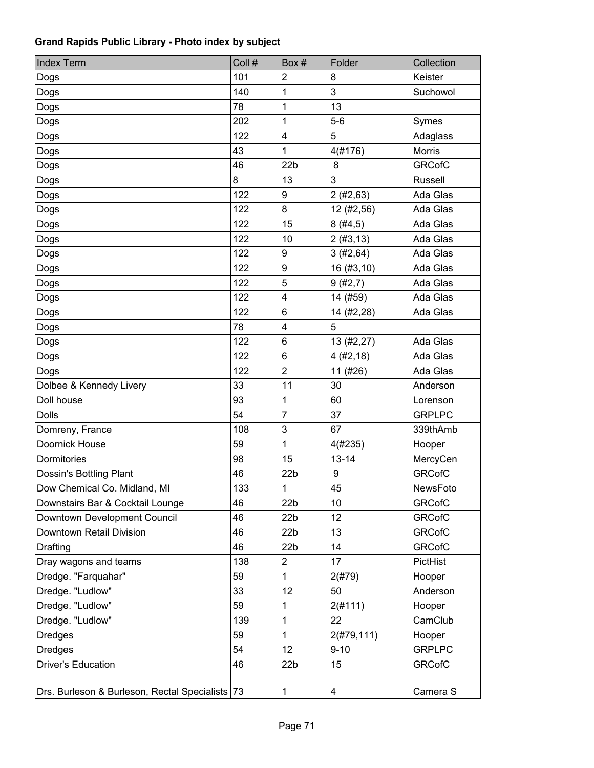| <b>Index Term</b>                               | Coll # | Box#                    | Folder      | Collection     |
|-------------------------------------------------|--------|-------------------------|-------------|----------------|
| Dogs                                            | 101    | $\overline{2}$          | 8           | Keister        |
| Dogs                                            | 140    | 1                       | 3           | Suchowol       |
| Dogs                                            | 78     | 1                       | 13          |                |
| Dogs                                            | 202    | 1                       | $5-6$       | Symes          |
| Dogs                                            | 122    | $\overline{\mathbf{4}}$ | 5           | Adaglass       |
| Dogs                                            | 43     | 1                       | 4(#176)     | Morris         |
| Dogs                                            | 46     | 22 <sub>b</sub>         | 8           | <b>GRCofC</b>  |
| Dogs                                            | 8      | 13                      | 3           | <b>Russell</b> |
| Dogs                                            | 122    | 9                       | 2(#2, 63)   | Ada Glas       |
| Dogs                                            | 122    | 8                       | 12 (#2,56)  | Ada Glas       |
| Dogs                                            | 122    | 15                      | 8(#4, 5)    | Ada Glas       |
| Dogs                                            | 122    | 10                      | 2(#3, 13)   | Ada Glas       |
| Dogs                                            | 122    | 9                       | 3(#2, 64)   | Ada Glas       |
| Dogs                                            | 122    | 9                       | 16 (#3,10)  | Ada Glas       |
| Dogs                                            | 122    | 5                       | 9(#2,7)     | Ada Glas       |
| Dogs                                            | 122    | 4                       | 14 (#59)    | Ada Glas       |
| Dogs                                            | 122    | 6                       | 14 (#2,28)  | Ada Glas       |
| Dogs                                            | 78     | 4                       | 5           |                |
| Dogs                                            | 122    | 6                       | 13 (#2,27)  | Ada Glas       |
| Dogs                                            | 122    | 6                       | 4(#2, 18)   | Ada Glas       |
| Dogs                                            | 122    | $\overline{2}$          | 11 (#26)    | Ada Glas       |
| Dolbee & Kennedy Livery                         | 33     | 11                      | 30          | Anderson       |
| Doll house                                      | 93     | 1                       | 60          | Lorenson       |
| <b>Dolls</b>                                    | 54     | $\overline{7}$          | 37          | <b>GRPLPC</b>  |
| Domreny, France                                 | 108    | 3                       | 67          | 339thAmb       |
| Doornick House                                  | 59     | 1                       | 4(#235)     | Hooper         |
| Dormitories                                     | 98     | 15                      | $13 - 14$   | MercyCen       |
| Dossin's Bottling Plant                         | 46     | 22 <sub>b</sub>         | 9           | <b>GRCofC</b>  |
| Dow Chemical Co. Midland, MI                    | 133    | $\overline{1}$          | 45          | NewsFoto       |
| Downstairs Bar & Cocktail Lounge                | 46     | 22 <sub>b</sub>         | 10          | <b>GRCofC</b>  |
| Downtown Development Council                    | 46     | 22 <sub>b</sub>         | 12          | <b>GRCofC</b>  |
| Downtown Retail Division                        | 46     | 22 <sub>b</sub>         | 13          | <b>GRCofC</b>  |
| Drafting                                        | 46     | 22 <sub>b</sub>         | 14          | <b>GRCofC</b>  |
| Dray wagons and teams                           | 138    | 2                       | 17          | PictHist       |
| Dredge. "Farquahar"                             | 59     | 1                       | 2(#79)      | Hooper         |
| Dredge. "Ludlow"                                | 33     | 12                      | 50          | Anderson       |
| Dredge. "Ludlow"                                | 59     | 1                       | 2(#111)     | Hooper         |
| Dredge. "Ludlow"                                | 139    | 1                       | 22          | CamClub        |
| Dredges                                         | 59     | 1                       | 2(#79, 111) | Hooper         |
| <b>Dredges</b>                                  | 54     | 12                      | $9 - 10$    | <b>GRPLPC</b>  |
| <b>Driver's Education</b>                       | 46     | 22 <sub>b</sub>         | 15          | <b>GRCofC</b>  |
| Drs. Burleson & Burleson, Rectal Specialists 73 |        | 1                       | 4           | Camera S       |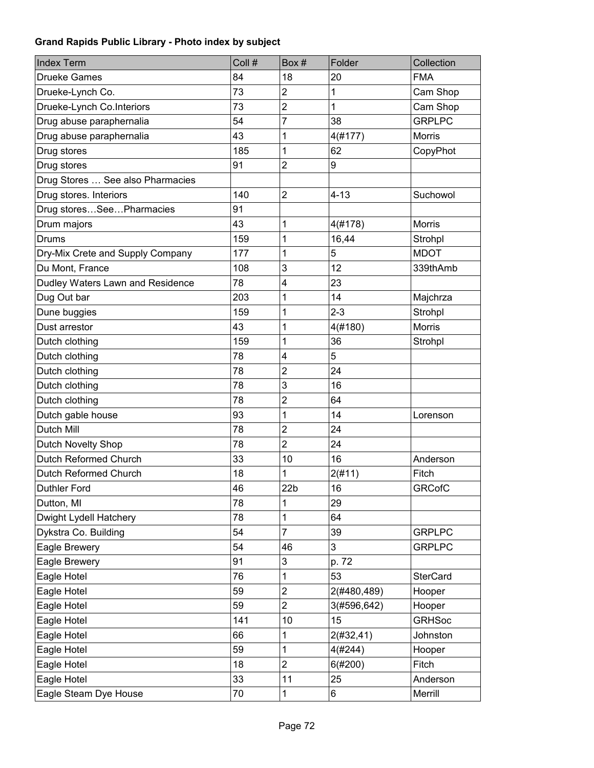| <b>Index Term</b>                | Coll # | Box#                    | Folder      | Collection      |
|----------------------------------|--------|-------------------------|-------------|-----------------|
| <b>Drueke Games</b>              | 84     | 18                      | 20          | <b>FMA</b>      |
| Drueke-Lynch Co.                 | 73     | $\overline{\mathbf{c}}$ | 1           | Cam Shop        |
| Drueke-Lynch Co.Interiors        | 73     | $\overline{c}$          | 1           | Cam Shop        |
| Drug abuse paraphernalia         | 54     | $\overline{7}$          | 38          | <b>GRPLPC</b>   |
| Drug abuse paraphernalia         | 43     | 1                       | 4(#177)     | <b>Morris</b>   |
| Drug stores                      | 185    | 1                       | 62          | CopyPhot        |
| Drug stores                      | 91     | 2                       | 9           |                 |
| Drug Stores  See also Pharmacies |        |                         |             |                 |
| Drug stores. Interiors           | 140    | $\overline{2}$          | $4 - 13$    | Suchowol        |
| Drug storesSeePharmacies         | 91     |                         |             |                 |
| Drum majors                      | 43     | 1                       | 4(#178)     | <b>Morris</b>   |
| <b>Drums</b>                     | 159    | 1                       | 16,44       | Strohpl         |
| Dry-Mix Crete and Supply Company | 177    | 1                       | 5           | <b>MDOT</b>     |
| Du Mont, France                  | 108    | 3                       | 12          | 339thAmb        |
| Dudley Waters Lawn and Residence | 78     | 4                       | 23          |                 |
| Dug Out bar                      | 203    | 1                       | 14          | Majchrza        |
| Dune buggies                     | 159    | 1                       | $2 - 3$     | Strohpl         |
| Dust arrestor                    | 43     | 1                       | 4(#180)     | Morris          |
| Dutch clothing                   | 159    | 1                       | 36          | Strohpl         |
| Dutch clothing                   | 78     | 4                       | 5           |                 |
| Dutch clothing                   | 78     | $\overline{\mathbf{c}}$ | 24          |                 |
| Dutch clothing                   | 78     | 3                       | 16          |                 |
| Dutch clothing                   | 78     | $\overline{2}$          | 64          |                 |
| Dutch gable house                | 93     | 1                       | 14          | Lorenson        |
| Dutch Mill                       | 78     | $\overline{\mathbf{c}}$ | 24          |                 |
| Dutch Novelty Shop               | 78     | $\overline{2}$          | 24          |                 |
| Dutch Reformed Church            | 33     | 10                      | 16          | Anderson        |
| Dutch Reformed Church            | 18     | 1                       | 2(#11)      | Fitch           |
| Duthler Ford                     | 46     | 22 <sub>b</sub>         | 16          | <b>GRCofC</b>   |
| Dutton, MI                       | 78     | 1                       | 29          |                 |
| Dwight Lydell Hatchery           | 78     | 1                       | 64          |                 |
| Dykstra Co. Building             | 54     | $\overline{7}$          | 39          | <b>GRPLPC</b>   |
| Eagle Brewery                    | 54     | 46                      | 3           | <b>GRPLPC</b>   |
| Eagle Brewery                    | 91     | 3                       | p. 72       |                 |
| Eagle Hotel                      | 76     | 1                       | 53          | <b>SterCard</b> |
| Eagle Hotel                      | 59     | $\overline{c}$          | 2(#480,489) | Hooper          |
| Eagle Hotel                      | 59     | $\overline{c}$          | 3(#596,642) | Hooper          |
| Eagle Hotel                      | 141    | 10                      | 15          | <b>GRHSoc</b>   |
| Eagle Hotel                      | 66     | 1                       | 2(#32, 41)  | Johnston        |
| Eagle Hotel                      | 59     | 1                       | 4(#244)     | Hooper          |
| Eagle Hotel                      | 18     | $\overline{2}$          | 6(#200)     | Fitch           |
| Eagle Hotel                      | 33     | 11                      | 25          | Anderson        |
| Eagle Steam Dye House            | 70     | 1                       | 6           | Merrill         |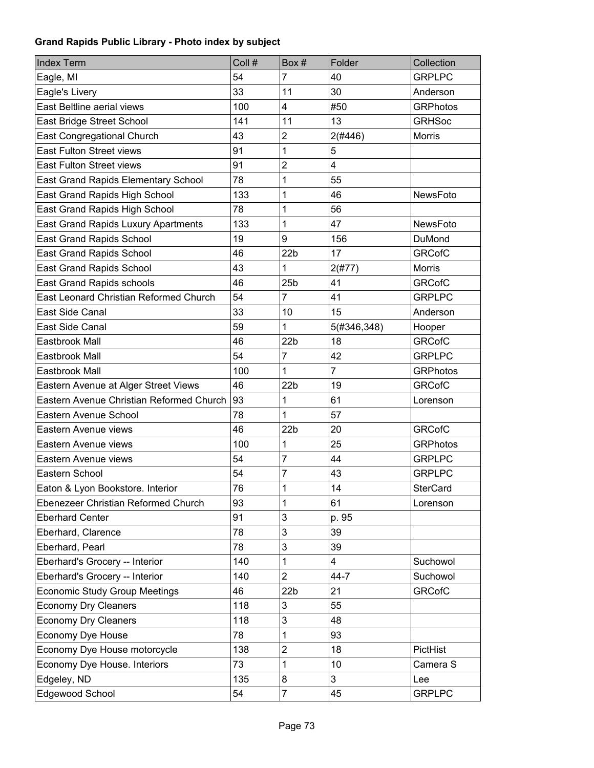| <b>Index Term</b>                          | Coll # | Box#                    | Folder         | Collection      |
|--------------------------------------------|--------|-------------------------|----------------|-----------------|
| Eagle, MI                                  | 54     | 7                       | 40             | <b>GRPLPC</b>   |
| Eagle's Livery                             | 33     | 11                      | 30             | Anderson        |
| East Beltline aerial views                 | 100    | 4                       | #50            | <b>GRPhotos</b> |
| East Bridge Street School                  | 141    | 11                      | 13             | <b>GRHSoc</b>   |
| <b>East Congregational Church</b>          | 43     | $\overline{\mathbf{c}}$ | 2(#446)        | <b>Morris</b>   |
| <b>East Fulton Street views</b>            | 91     | 1                       | 5              |                 |
| <b>East Fulton Street views</b>            | 91     | $\overline{2}$          | 4              |                 |
| <b>East Grand Rapids Elementary School</b> | 78     | 1                       | 55             |                 |
| East Grand Rapids High School              | 133    | 1                       | 46             | NewsFoto        |
| East Grand Rapids High School              | 78     | 1                       | 56             |                 |
| East Grand Rapids Luxury Apartments        | 133    | 1                       | 47             | NewsFoto        |
| <b>East Grand Rapids School</b>            | 19     | 9                       | 156            | DuMond          |
| <b>East Grand Rapids School</b>            | 46     | 22 <sub>b</sub>         | 17             | <b>GRCofC</b>   |
| East Grand Rapids School                   | 43     | 1                       | 2(#77)         | Morris          |
| East Grand Rapids schools                  | 46     | 25 <sub>b</sub>         | 41             | <b>GRCofC</b>   |
| East Leonard Christian Reformed Church     | 54     | $\overline{7}$          | 41             | <b>GRPLPC</b>   |
| East Side Canal                            | 33     | 10                      | 15             | Anderson        |
| East Side Canal                            | 59     | 1                       | 5(#346,348)    | Hooper          |
| Eastbrook Mall                             | 46     | 22 <sub>b</sub>         | 18             | <b>GRCofC</b>   |
| Eastbrook Mall                             | 54     | $\overline{7}$          | 42             | <b>GRPLPC</b>   |
| Eastbrook Mall                             | 100    | 1                       | $\overline{7}$ | <b>GRPhotos</b> |
| Eastern Avenue at Alger Street Views       | 46     | 22 <sub>b</sub>         | 19             | <b>GRCofC</b>   |
| Eastern Avenue Christian Reformed Church   | 93     | 1                       | 61             | Lorenson        |
| Eastern Avenue School                      | 78     | 1                       | 57             |                 |
| Eastern Avenue views                       | 46     | 22 <sub>b</sub>         | 20             | <b>GRCofC</b>   |
| Eastern Avenue views                       | 100    | 1                       | 25             | <b>GRPhotos</b> |
| Eastern Avenue views                       | 54     | 7                       | 44             | <b>GRPLPC</b>   |
| Eastern School                             | 54     | 7                       | 43             | <b>GRPLPC</b>   |
| Eaton & Lyon Bookstore. Interior           | 76     | $\overline{1}$          | 14             | <b>SterCard</b> |
| Ebenezeer Christian Reformed Church        | 93     | 1                       | 61             | Lorenson        |
| <b>Eberhard Center</b>                     | 91     | 3                       | p. 95          |                 |
| Eberhard, Clarence                         | 78     | 3                       | 39             |                 |
| Eberhard, Pearl                            | 78     | 3                       | 39             |                 |
| Eberhard's Grocery -- Interior             | 140    | 1                       | 4              | Suchowol        |
| Eberhard's Grocery -- Interior             | 140    | $\overline{c}$          | $44 - 7$       | Suchowol        |
| <b>Economic Study Group Meetings</b>       | 46     | 22 <sub>b</sub>         | 21             | <b>GRCofC</b>   |
| <b>Economy Dry Cleaners</b>                | 118    | 3                       | 55             |                 |
| <b>Economy Dry Cleaners</b>                | 118    | 3                       | 48             |                 |
| Economy Dye House                          | 78     | 1                       | 93             |                 |
| Economy Dye House motorcycle               | 138    | $\overline{2}$          | 18             | PictHist        |
| Economy Dye House. Interiors               | 73     | 1                       | 10             | Camera S        |
| Edgeley, ND                                | 135    | 8                       | 3              | Lee             |
| Edgewood School                            | 54     | $\overline{7}$          | 45             | <b>GRPLPC</b>   |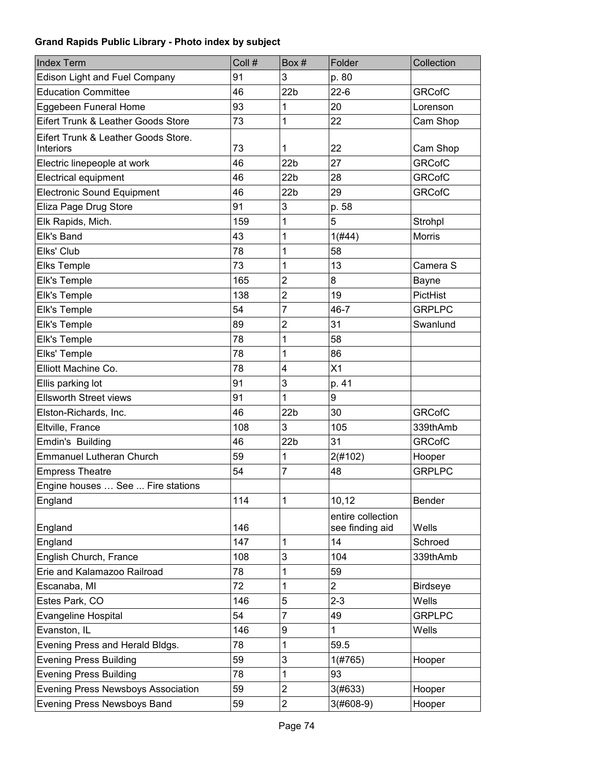| <b>Index Term</b>                         | Coll # | Box#            | Folder            | Collection      |
|-------------------------------------------|--------|-----------------|-------------------|-----------------|
| <b>Edison Light and Fuel Company</b>      | 91     | 3               | p. 80             |                 |
| <b>Education Committee</b>                | 46     | 22 <sub>b</sub> | $22-6$            | <b>GRCofC</b>   |
| Eggebeen Funeral Home                     | 93     | 1               | 20                | Lorenson        |
| Eifert Trunk & Leather Goods Store        | 73     | 1               | 22                | Cam Shop        |
| Eifert Trunk & Leather Goods Store.       |        |                 |                   |                 |
| Interiors                                 | 73     | 1               | 22                | Cam Shop        |
| Electric linepeople at work               | 46     | 22 <sub>b</sub> | 27                | <b>GRCofC</b>   |
| Electrical equipment                      | 46     | 22 <sub>b</sub> | 28                | <b>GRCofC</b>   |
| <b>Electronic Sound Equipment</b>         | 46     | 22 <sub>b</sub> | 29                | <b>GRCofC</b>   |
| Eliza Page Drug Store                     | 91     | 3               | p. 58             |                 |
| Elk Rapids, Mich.                         | 159    | 1               | 5                 | Strohpl         |
| Elk's Band                                | 43     | 1               | 1(H44)            | Morris          |
| Elks' Club                                | 78     | 1               | 58                |                 |
| <b>Elks Temple</b>                        | 73     | 1               | 13                | Camera S        |
| Elk's Temple                              | 165    | $\overline{2}$  | 8                 | Bayne           |
| Elk's Temple                              | 138    | $\overline{2}$  | 19                | PictHist        |
| Elk's Temple                              | 54     | $\overline{7}$  | $46 - 7$          | <b>GRPLPC</b>   |
| Elk's Temple                              | 89     | $\overline{c}$  | 31                | Swanlund        |
| Elk's Temple                              | 78     | 1               | 58                |                 |
| Elks' Temple                              | 78     | 1               | 86                |                 |
| Elliott Machine Co.                       | 78     | 4               | X1                |                 |
| Ellis parking lot                         | 91     | 3               | p. 41             |                 |
| <b>Ellsworth Street views</b>             | 91     | 1               | 9                 |                 |
| Elston-Richards, Inc.                     | 46     | 22 <sub>b</sub> | 30                | <b>GRCofC</b>   |
| Eltville, France                          | 108    | 3               | 105               | 339thAmb        |
| Emdin's Building                          | 46     | 22 <sub>b</sub> | 31                | <b>GRCofC</b>   |
| <b>Emmanuel Lutheran Church</b>           | 59     | 1               | 2(#102)           | Hooper          |
| <b>Empress Theatre</b>                    | 54     | 7               | 48                | <b>GRPLPC</b>   |
| Engine houses  See  Fire stations         |        |                 |                   |                 |
| England                                   | 114    | 1               | 10,12             | Bender          |
|                                           |        |                 | entire collection |                 |
| England                                   | 146    |                 | see finding aid   | Wells           |
| England                                   | 147    | 1               | 14                | Schroed         |
| English Church, France                    | 108    | 3               | 104               | 339thAmb        |
| Erie and Kalamazoo Railroad               | 78     | 1               | 59                |                 |
| Escanaba, MI                              | 72     | 1               | $\overline{2}$    | <b>Birdseye</b> |
| Estes Park, CO                            | 146    | 5               | $2 - 3$           | Wells           |
| Evangeline Hospital                       | 54     | $\overline{7}$  | 49                | <b>GRPLPC</b>   |
| Evanston, IL                              | 146    | 9               | 1                 | Wells           |
| Evening Press and Herald Bldgs.           | 78     | 1               | 59.5              |                 |
| <b>Evening Press Building</b>             | 59     | 3               | 1(#765)           | Hooper          |
| <b>Evening Press Building</b>             | 78     | 1               | 93                |                 |
| <b>Evening Press Newsboys Association</b> | 59     | $\overline{c}$  | 3(#633)           | Hooper          |
| Evening Press Newsboys Band               | 59     | $\overline{c}$  | $3(#608-9)$       | Hooper          |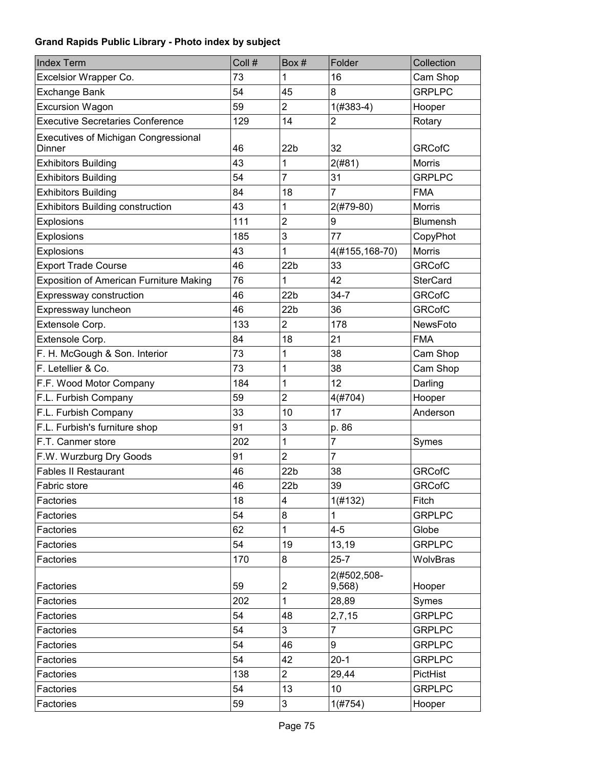| <b>Index Term</b>                                     | Coll # | Box#            | Folder                | Collection      |
|-------------------------------------------------------|--------|-----------------|-----------------------|-----------------|
| Excelsior Wrapper Co.                                 | 73     | 1               | 16                    | Cam Shop        |
| <b>Exchange Bank</b>                                  | 54     | 45              | 8                     | <b>GRPLPC</b>   |
| <b>Excursion Wagon</b>                                | 59     | $\overline{2}$  | $1(#383-4)$           | Hooper          |
| <b>Executive Secretaries Conference</b>               | 129    | 14              | $\overline{2}$        | Rotary          |
| <b>Executives of Michigan Congressional</b><br>Dinner | 46     | 22 <sub>b</sub> | 32                    | <b>GRCofC</b>   |
| <b>Exhibitors Building</b>                            | 43     | 1               | 2(#81)                | Morris          |
| <b>Exhibitors Building</b>                            | 54     | $\overline{7}$  | 31                    | <b>GRPLPC</b>   |
| <b>Exhibitors Building</b>                            | 84     | 18              | 7                     | <b>FMA</b>      |
| <b>Exhibitors Building construction</b>               | 43     | 1               | $2($ #79-80)          | Morris          |
| Explosions                                            | 111    | $\overline{2}$  | $\boldsymbol{9}$      | Blumensh        |
| Explosions                                            | 185    | 3               | 77                    | CopyPhot        |
| Explosions                                            | 43     | 1               | 4(#155,168-70)        | Morris          |
| <b>Export Trade Course</b>                            | 46     | 22 <sub>b</sub> | 33                    | <b>GRCofC</b>   |
| <b>Exposition of American Furniture Making</b>        | 76     | 1               | 42                    | <b>SterCard</b> |
| Expressway construction                               | 46     | 22 <sub>b</sub> | $34 - 7$              | <b>GRCofC</b>   |
| Expressway luncheon                                   | 46     | 22 <sub>b</sub> | 36                    | <b>GRCofC</b>   |
| Extensole Corp.                                       | 133    | $\overline{2}$  | 178                   | NewsFoto        |
| Extensole Corp.                                       | 84     | 18              | 21                    | <b>FMA</b>      |
| F. H. McGough & Son. Interior                         | 73     | 1               | 38                    | Cam Shop        |
| F. Letellier & Co.                                    | 73     | 1               | 38                    | Cam Shop        |
| F.F. Wood Motor Company                               | 184    | 1               | 12                    | Darling         |
| F.L. Furbish Company                                  | 59     | $\overline{2}$  | 4(#704)               | Hooper          |
| F.L. Furbish Company                                  | 33     | 10              | 17                    | Anderson        |
| F.L. Furbish's furniture shop                         | 91     | 3               | p. 86                 |                 |
| F.T. Canmer store                                     | 202    | 1               | 7                     | Symes           |
| F.W. Wurzburg Dry Goods                               | 91     | $\overline{2}$  | 7                     |                 |
| <b>Fables II Restaurant</b>                           | 46     | 22 <sub>b</sub> | 38                    | <b>GRCofC</b>   |
| Fabric store                                          | 46     | 22b             | 39                    | <b>GRCofC</b>   |
| Factories                                             | 18     | 4               | 1(H132)               | Fitch           |
| Factories                                             | 54     | 8               | 1                     | <b>GRPLPC</b>   |
| Factories                                             | 62     | 1               | $4 - 5$               | Globe           |
| Factories                                             | 54     | 19              | 13,19                 | <b>GRPLPC</b>   |
| Factories                                             | 170    | 8               | $25 - 7$              | WolvBras        |
| Factories                                             | 59     | 2               | 2(#502,508-<br>9,568) | Hooper          |
| Factories                                             | 202    | 1               | 28,89                 | Symes           |
| Factories                                             | 54     | 48              | 2,7,15                | <b>GRPLPC</b>   |
| Factories                                             | 54     | 3               | 7                     | <b>GRPLPC</b>   |
| Factories                                             | 54     | 46              | 9                     | <b>GRPLPC</b>   |
| Factories                                             | 54     | 42              | $20-1$                | <b>GRPLPC</b>   |
| Factories                                             | 138    | $\overline{2}$  | 29,44                 | PictHist        |
| Factories                                             | 54     | 13              | 10                    | <b>GRPLPC</b>   |
| Factories                                             | 59     | 3               | 1(#754)               | Hooper          |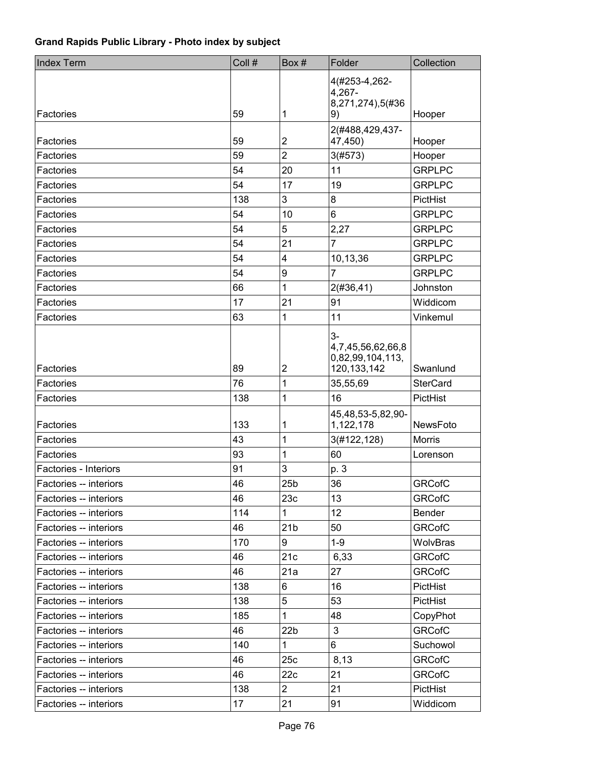| <b>Index Term</b>      | Coll # | Box#                    | Folder                                                         | Collection      |
|------------------------|--------|-------------------------|----------------------------------------------------------------|-----------------|
| Factories              | 59     | 1                       | 4(#253-4,262-<br>4,267-<br>8,271,274),5(#36<br>9)              | Hooper          |
|                        |        |                         | 2(#488,429,437-                                                |                 |
| Factories              | 59     | $\mathbf 2$             | 47,450)                                                        | Hooper          |
| Factories              | 59     | $\overline{2}$          | 3(#573)                                                        | Hooper          |
| Factories              | 54     | 20                      | 11                                                             | <b>GRPLPC</b>   |
| Factories              | 54     | 17                      | 19                                                             | <b>GRPLPC</b>   |
| Factories              | 138    | 3                       | 8                                                              | PictHist        |
| Factories              | 54     | 10                      | 6                                                              | <b>GRPLPC</b>   |
| Factories              | 54     | 5                       | 2,27                                                           | <b>GRPLPC</b>   |
| Factories              | 54     | 21                      | $\overline{7}$                                                 | <b>GRPLPC</b>   |
| Factories              | 54     | $\overline{\mathbf{4}}$ | 10,13,36                                                       | <b>GRPLPC</b>   |
| Factories              | 54     | 9                       | 7                                                              | <b>GRPLPC</b>   |
| Factories              | 66     | 1                       | 2(#36, 41)                                                     | Johnston        |
| Factories              | 17     | 21                      | 91                                                             | Widdicom        |
| Factories              | 63     | 1                       | 11                                                             | Vinkemul        |
| Factories              | 89     | $\overline{2}$          | $3-$<br>4,7,45,56,62,66,8<br>0,82,99,104,113,<br>120, 133, 142 | Swanlund        |
| Factories              | 76     | 1                       | 35,55,69                                                       | <b>SterCard</b> |
| Factories              | 138    | 1                       | 16                                                             | PictHist        |
| Factories              | 133    | 1                       | 45,48,53-5,82,90-<br>1,122,178                                 | <b>NewsFoto</b> |
| Factories              | 43     | 1                       | 3(#122,128)                                                    | <b>Morris</b>   |
| Factories              | 93     | 1                       | 60                                                             | Lorenson        |
| Factories - Interiors  | 91     | 3                       | p. 3                                                           |                 |
| Factories -- interiors | 46     | 25 <sub>b</sub>         | 36                                                             | <b>GRCofC</b>   |
| Factories -- interiors | 46     | 23c                     | 13                                                             | <b>GRCofC</b>   |
| Factories -- interiors | 114    | 1                       | 12                                                             | Bender          |
| Factories -- interiors | 46     | 21 <sub>b</sub>         | 50                                                             | <b>GRCofC</b>   |
| Factories -- interiors | 170    | 9                       | $1-9$                                                          | WolvBras        |
| Factories -- interiors | 46     | 21c                     | 6,33                                                           | <b>GRCofC</b>   |
| Factories -- interiors | 46     | 21a                     | 27                                                             | <b>GRCofC</b>   |
| Factories -- interiors | 138    | 6                       | 16                                                             | PictHist        |
| Factories -- interiors | 138    | 5                       | 53                                                             | PictHist        |
| Factories -- interiors | 185    | 1                       | 48                                                             | CopyPhot        |
| Factories -- interiors | 46     | 22 <sub>b</sub>         | $\mathfrak{Z}$                                                 | <b>GRCofC</b>   |
| Factories -- interiors | 140    | $\mathbf{1}$            | 6                                                              | Suchowol        |
| Factories -- interiors | 46     | 25c                     | 8,13                                                           | <b>GRCofC</b>   |
| Factories -- interiors | 46     | 22c                     | 21                                                             | <b>GRCofC</b>   |
| Factories -- interiors | 138    | $\overline{2}$          | 21                                                             | PictHist        |
| Factories -- interiors | 17     | 21                      | 91                                                             | Widdicom        |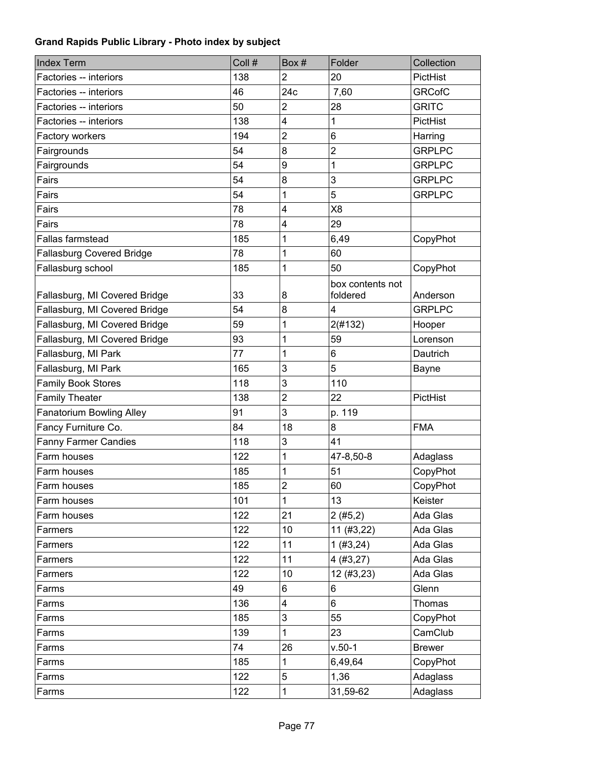| <b>Index Term</b>                | Coll # | Box#                    | Folder                       | Collection    |
|----------------------------------|--------|-------------------------|------------------------------|---------------|
| Factories -- interiors           | 138    | $\overline{2}$          | 20                           | PictHist      |
| Factories -- interiors           | 46     | 24c                     | 7,60                         | <b>GRCofC</b> |
| Factories -- interiors           | 50     | $\overline{2}$          | 28                           | <b>GRITC</b>  |
| Factories -- interiors           | 138    | 4                       | 1                            | PictHist      |
| Factory workers                  | 194    | $\overline{c}$          | 6                            | Harring       |
| Fairgrounds                      | 54     | 8                       | $\overline{2}$               | <b>GRPLPC</b> |
| Fairgrounds                      | 54     | 9                       | 1                            | <b>GRPLPC</b> |
| Fairs                            | 54     | 8                       | 3                            | <b>GRPLPC</b> |
| Fairs                            | 54     | 1                       | 5                            | <b>GRPLPC</b> |
| Fairs                            | 78     | 4                       | X <sub>8</sub>               |               |
| Fairs                            | 78     | 4                       | 29                           |               |
| <b>Fallas farmstead</b>          | 185    | 1                       | 6,49                         | CopyPhot      |
| <b>Fallasburg Covered Bridge</b> | 78     | 1                       | 60                           |               |
| Fallasburg school                | 185    | 1                       | 50                           | CopyPhot      |
| Fallasburg, MI Covered Bridge    | 33     | 8                       | box contents not<br>foldered | Anderson      |
| Fallasburg, MI Covered Bridge    | 54     | 8                       | 4                            | <b>GRPLPC</b> |
| Fallasburg, MI Covered Bridge    | 59     | 1                       | 2(#132)                      | Hooper        |
| Fallasburg, MI Covered Bridge    | 93     | 1                       | 59                           | Lorenson      |
| Fallasburg, MI Park              | 77     | 1                       | 6                            | Dautrich      |
| Fallasburg, MI Park              | 165    | 3                       | 5                            | <b>Bayne</b>  |
| <b>Family Book Stores</b>        | 118    | 3                       | 110                          |               |
| <b>Family Theater</b>            | 138    | $\overline{c}$          | 22                           | PictHist      |
| <b>Fanatorium Bowling Alley</b>  | 91     | 3                       | p. 119                       |               |
| Fancy Furniture Co.              | 84     | 18                      | 8                            | <b>FMA</b>    |
| <b>Fanny Farmer Candies</b>      | 118    | 3                       | 41                           |               |
| Farm houses                      | 122    | 1                       | 47-8,50-8                    | Adaglass      |
| Farm houses                      | 185    | 1                       | 51                           | CopyPhot      |
| Farm houses                      | 185    | $\overline{\mathbf{c}}$ | 60                           | CopyPhot      |
| Farm houses                      | 101    | 1                       | 13                           | Keister       |
| Farm houses                      | 122    | 21                      | 2(#5,2)                      | Ada Glas      |
| Farmers                          | 122    | 10                      | 11 (#3,22)                   | Ada Glas      |
| Farmers                          | 122    | 11                      | 1(#3, 24)                    | Ada Glas      |
| Farmers                          | 122    | 11                      | 4(#3,27)                     | Ada Glas      |
| Farmers                          | 122    | 10                      | 12(#3, 23)                   | Ada Glas      |
| Farms                            | 49     | 6                       | 6                            | Glenn         |
| Farms                            | 136    | 4                       | 6                            | <b>Thomas</b> |
| Farms                            | 185    | 3                       | 55                           | CopyPhot      |
| Farms                            | 139    | 1                       | 23                           | CamClub       |
| Farms                            | 74     | 26                      | $v.50-1$                     | <b>Brewer</b> |
| Farms                            | 185    | 1                       | 6,49,64                      | CopyPhot      |
| Farms                            | 122    | 5                       | 1,36                         | Adaglass      |
| Farms                            | 122    | $\mathbf{1}$            | 31,59-62                     | Adaglass      |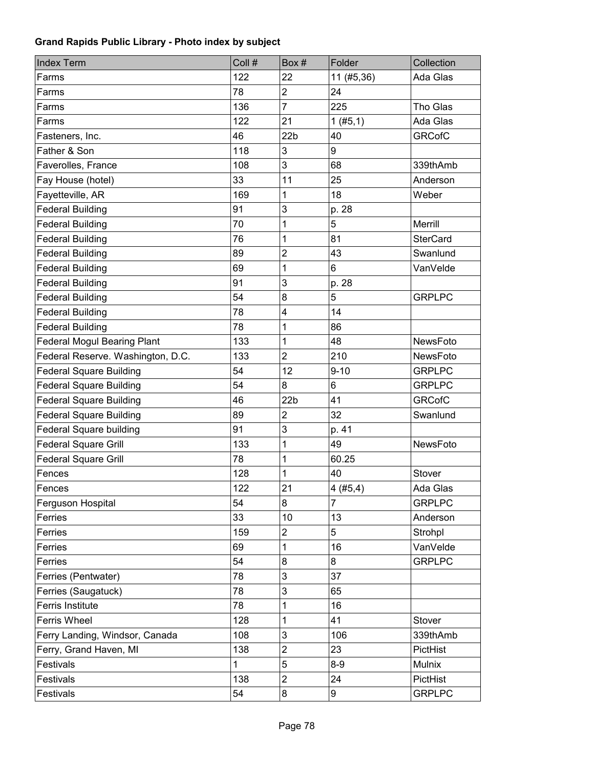| 122<br>22<br>11 (#5,36)<br>Ada Glas<br>Farms<br>$\overline{c}$<br>24<br>Farms<br>78<br>$\overline{7}$<br>225<br>Tho Glas<br>136<br>Farms<br>122<br>21<br>Ada Glas<br>Farms<br>1(#5,1)<br>22 <sub>b</sub><br><b>GRCofC</b><br>46<br>40<br>Fasteners, Inc.<br>Father & Son<br>118<br>3<br>9<br>3<br>68<br>Faverolles, France<br>108<br>339thAmb<br>25<br>Fay House (hotel)<br>33<br>11<br>Anderson<br>Fayetteville, AR<br>169<br>18<br>1<br>Weber<br>3<br><b>Federal Building</b><br>91<br>p. 28<br>1<br>5<br><b>Federal Building</b><br>Merrill<br>70 |
|------------------------------------------------------------------------------------------------------------------------------------------------------------------------------------------------------------------------------------------------------------------------------------------------------------------------------------------------------------------------------------------------------------------------------------------------------------------------------------------------------------------------------------------------------|
|                                                                                                                                                                                                                                                                                                                                                                                                                                                                                                                                                      |
|                                                                                                                                                                                                                                                                                                                                                                                                                                                                                                                                                      |
|                                                                                                                                                                                                                                                                                                                                                                                                                                                                                                                                                      |
|                                                                                                                                                                                                                                                                                                                                                                                                                                                                                                                                                      |
|                                                                                                                                                                                                                                                                                                                                                                                                                                                                                                                                                      |
|                                                                                                                                                                                                                                                                                                                                                                                                                                                                                                                                                      |
|                                                                                                                                                                                                                                                                                                                                                                                                                                                                                                                                                      |
|                                                                                                                                                                                                                                                                                                                                                                                                                                                                                                                                                      |
|                                                                                                                                                                                                                                                                                                                                                                                                                                                                                                                                                      |
|                                                                                                                                                                                                                                                                                                                                                                                                                                                                                                                                                      |
|                                                                                                                                                                                                                                                                                                                                                                                                                                                                                                                                                      |
| 1<br><b>Federal Building</b><br>81<br><b>SterCard</b><br>76                                                                                                                                                                                                                                                                                                                                                                                                                                                                                          |
| $\overline{2}$<br><b>Federal Building</b><br>89<br>43<br>Swanlund                                                                                                                                                                                                                                                                                                                                                                                                                                                                                    |
| 1<br>6<br><b>Federal Building</b><br>69<br>VanVelde                                                                                                                                                                                                                                                                                                                                                                                                                                                                                                  |
| 3<br><b>Federal Building</b><br>91<br>p. 28                                                                                                                                                                                                                                                                                                                                                                                                                                                                                                          |
| 5<br>8<br><b>Federal Building</b><br>54<br><b>GRPLPC</b>                                                                                                                                                                                                                                                                                                                                                                                                                                                                                             |
| <b>Federal Building</b><br>78<br>4<br>14                                                                                                                                                                                                                                                                                                                                                                                                                                                                                                             |
| 1<br><b>Federal Building</b><br>78<br>86                                                                                                                                                                                                                                                                                                                                                                                                                                                                                                             |
| <b>Federal Mogul Bearing Plant</b><br>133<br>1<br>48<br>NewsFoto                                                                                                                                                                                                                                                                                                                                                                                                                                                                                     |
| $\overline{2}$<br>210<br>Federal Reserve. Washington, D.C.<br>133<br>NewsFoto                                                                                                                                                                                                                                                                                                                                                                                                                                                                        |
| <b>Federal Square Building</b><br>54<br>12<br>$9 - 10$<br><b>GRPLPC</b>                                                                                                                                                                                                                                                                                                                                                                                                                                                                              |
| 8<br><b>Federal Square Building</b><br>54<br>6<br><b>GRPLPC</b>                                                                                                                                                                                                                                                                                                                                                                                                                                                                                      |
| <b>Federal Square Building</b><br>46<br>22 <sub>b</sub><br>41<br><b>GRCofC</b>                                                                                                                                                                                                                                                                                                                                                                                                                                                                       |
| $\overline{2}$<br>32<br><b>Federal Square Building</b><br>89<br>Swanlund                                                                                                                                                                                                                                                                                                                                                                                                                                                                             |
| 3<br><b>Federal Square building</b><br>91<br>p. 41                                                                                                                                                                                                                                                                                                                                                                                                                                                                                                   |
| 1<br>NewsFoto<br><b>Federal Square Grill</b><br>133<br>49                                                                                                                                                                                                                                                                                                                                                                                                                                                                                            |
| <b>Federal Square Grill</b><br>78<br>1<br>60.25                                                                                                                                                                                                                                                                                                                                                                                                                                                                                                      |
| 1<br>128<br>40<br>Stover<br>Fences                                                                                                                                                                                                                                                                                                                                                                                                                                                                                                                   |
| 21<br>4(#5,4)<br>122<br>Ada Glas<br>Fences                                                                                                                                                                                                                                                                                                                                                                                                                                                                                                           |
| 7<br>54<br>8<br><b>GRPLPC</b><br>Ferguson Hospital                                                                                                                                                                                                                                                                                                                                                                                                                                                                                                   |
| Ferries<br>33<br>13<br>10<br>Anderson                                                                                                                                                                                                                                                                                                                                                                                                                                                                                                                |
| $\overline{c}$<br>5<br>159<br>Ferries<br>Strohpl                                                                                                                                                                                                                                                                                                                                                                                                                                                                                                     |
| 1<br>16<br>Ferries<br>69<br>VanVelde                                                                                                                                                                                                                                                                                                                                                                                                                                                                                                                 |
| 54<br><b>GRPLPC</b><br>Ferries<br>8<br>8                                                                                                                                                                                                                                                                                                                                                                                                                                                                                                             |
| 3<br>37<br>78<br>Ferries (Pentwater)                                                                                                                                                                                                                                                                                                                                                                                                                                                                                                                 |
| 3<br>Ferries (Saugatuck)<br>78<br>65                                                                                                                                                                                                                                                                                                                                                                                                                                                                                                                 |
| 78<br>16<br>Ferris Institute<br>1                                                                                                                                                                                                                                                                                                                                                                                                                                                                                                                    |
| <b>Ferris Wheel</b><br>128<br>41<br>1<br>Stover                                                                                                                                                                                                                                                                                                                                                                                                                                                                                                      |
| 3<br>Ferry Landing, Windsor, Canada<br>108<br>106<br>339thAmb                                                                                                                                                                                                                                                                                                                                                                                                                                                                                        |
| Ferry, Grand Haven, MI<br>$\overline{2}$<br>23<br>138<br>PictHist                                                                                                                                                                                                                                                                                                                                                                                                                                                                                    |
| 5<br>$8-9$<br>Festivals<br>1<br>Mulnix                                                                                                                                                                                                                                                                                                                                                                                                                                                                                                               |
| $\overline{2}$<br>138<br>24<br>Festivals<br>PictHist                                                                                                                                                                                                                                                                                                                                                                                                                                                                                                 |
| 8<br>9<br><b>GRPLPC</b><br>Festivals<br>54                                                                                                                                                                                                                                                                                                                                                                                                                                                                                                           |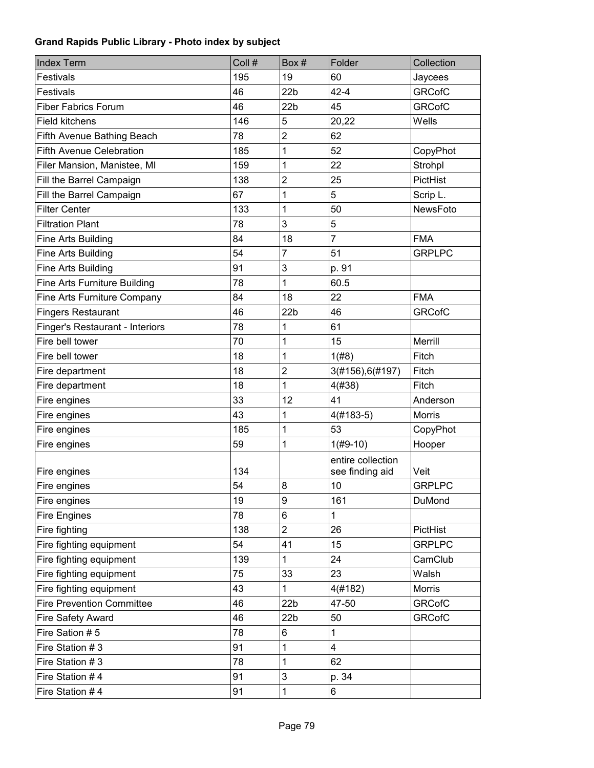| <b>Index Term</b>                | Coll # | Box #           | Folder                               | Collection    |
|----------------------------------|--------|-----------------|--------------------------------------|---------------|
| Festivals                        | 195    | 19              | 60                                   | Jaycees       |
| Festivals                        | 46     | 22 <sub>b</sub> | $42 - 4$                             | <b>GRCofC</b> |
| <b>Fiber Fabrics Forum</b>       | 46     | 22 <sub>b</sub> | 45                                   | <b>GRCofC</b> |
| <b>Field kitchens</b>            | 146    | 5               | 20,22                                | Wells         |
| Fifth Avenue Bathing Beach       | 78     | $\overline{2}$  | 62                                   |               |
| <b>Fifth Avenue Celebration</b>  | 185    | 1               | 52                                   | CopyPhot      |
| Filer Mansion, Manistee, MI      | 159    | 1               | 22                                   | Strohpl       |
| Fill the Barrel Campaign         | 138    | $\overline{c}$  | 25                                   | PictHist      |
| Fill the Barrel Campaign         | 67     | 1               | 5                                    | Scrip L.      |
| <b>Filter Center</b>             | 133    | 1               | 50                                   | NewsFoto      |
| <b>Filtration Plant</b>          | 78     | 3               | 5                                    |               |
| Fine Arts Building               | 84     | 18              | $\overline{7}$                       | <b>FMA</b>    |
| Fine Arts Building               | 54     | 7               | 51                                   | <b>GRPLPC</b> |
| Fine Arts Building               | 91     | 3               | p. 91                                |               |
| Fine Arts Furniture Building     | 78     | 1               | 60.5                                 |               |
| Fine Arts Furniture Company      | 84     | 18              | 22                                   | <b>FMA</b>    |
| <b>Fingers Restaurant</b>        | 46     | 22 <sub>b</sub> | 46                                   | <b>GRCofC</b> |
| Finger's Restaurant - Interiors  | 78     | 1               | 61                                   |               |
| Fire bell tower                  | 70     | 1               | 15                                   | Merrill       |
| Fire bell tower                  | 18     | 1               | 1(#8)                                | Fitch         |
| Fire department                  | 18     | $\overline{2}$  | 3(#156), 6(#197)                     | Fitch         |
| Fire department                  | 18     | 1               | 4(#38)                               | Fitch         |
| Fire engines                     | 33     | 12              | 41                                   | Anderson      |
| Fire engines                     | 43     | 1               | $4(#183-5)$                          | Morris        |
| Fire engines                     | 185    | 1               | 53                                   | CopyPhot      |
| Fire engines                     | 59     | 1               | $1(H9-10)$                           | Hooper        |
| Fire engines                     | 134    |                 | entire collection<br>see finding aid | Veit          |
| Fire engines                     | 54     | 8               | 10                                   | <b>GRPLPC</b> |
| Fire engines                     | 19     | 9               | 161                                  | DuMond        |
| <b>Fire Engines</b>              | 78     | 6               | 1                                    |               |
| Fire fighting                    | 138    | $\overline{2}$  | 26                                   | PictHist      |
| Fire fighting equipment          | 54     | 41              | 15                                   | <b>GRPLPC</b> |
| Fire fighting equipment          | 139    | 1               | 24                                   | CamClub       |
| Fire fighting equipment          | 75     | 33              | 23                                   | Walsh         |
| Fire fighting equipment          | 43     | 1               | 4(#182)                              | Morris        |
| <b>Fire Prevention Committee</b> | 46     | 22 <sub>b</sub> | 47-50                                | <b>GRCofC</b> |
| Fire Safety Award                | 46     | 22b             | 50                                   | <b>GRCofC</b> |
| Fire Sation #5                   | 78     | 6               | 1                                    |               |
| Fire Station #3                  | 91     | 1               | $\overline{\mathbf{4}}$              |               |
| Fire Station #3                  | 78     | 1               | 62                                   |               |
| Fire Station #4                  | 91     | 3               | p. 34                                |               |
| Fire Station #4                  | 91     | 1               | 6                                    |               |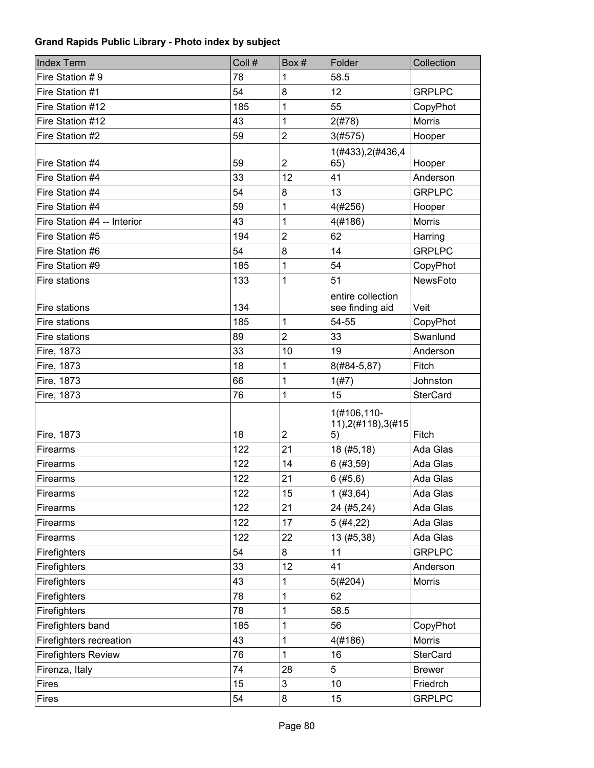| <b>Index Term</b>           | Coll # | Box#             | Folder                                   | Collection      |
|-----------------------------|--------|------------------|------------------------------------------|-----------------|
| Fire Station #9             | 78     | 1                | 58.5                                     |                 |
| Fire Station #1             | 54     | 8                | 12                                       | <b>GRPLPC</b>   |
| Fire Station #12            | 185    | 1                | 55                                       | CopyPhot        |
| Fire Station #12            | 43     | 1                | 2(#78)                                   | <b>Morris</b>   |
| Fire Station #2             | 59     | $\overline{c}$   | 3(#575)                                  | Hooper          |
| Fire Station #4             | 59     | $\boldsymbol{2}$ | 1(#433), 2(#436, 4<br>65)                | Hooper          |
| Fire Station #4             | 33     | 12               | 41                                       | Anderson        |
| Fire Station #4             | 54     | 8                | 13                                       | <b>GRPLPC</b>   |
| Fire Station #4             | 59     | 1                | 4(#256)                                  | Hooper          |
| Fire Station #4 -- Interior | 43     | 1                | 4(#186)                                  | <b>Morris</b>   |
| Fire Station #5             | 194    | $\overline{2}$   | 62                                       | Harring         |
| Fire Station #6             | 54     | 8                | 14                                       | <b>GRPLPC</b>   |
| Fire Station #9             | 185    | 1                | 54                                       | CopyPhot        |
| Fire stations               | 133    | 1                | 51                                       | NewsFoto        |
| Fire stations               | 134    |                  | entire collection<br>see finding aid     | Veit            |
| Fire stations               | 185    | 1                | 54-55                                    | CopyPhot        |
| Fire stations               | 89     | 2                | 33                                       | Swanlund        |
| Fire, 1873                  | 33     | 10               | 19                                       | Anderson        |
| Fire, 1873                  | 18     | 1                | 8(#84-5,87)                              | Fitch           |
| Fire, 1873                  | 66     | 1                | 1(#7)                                    | Johnston        |
| Fire, 1873                  | 76     | 1                | 15                                       | <b>SterCard</b> |
| Fire, 1873                  | 18     | $\overline{2}$   | 1(#106,110-<br>11), 2(#118), 3(#15<br>5) | Fitch           |
| Firearms                    | 122    | 21               | 18 (#5,18)                               | Ada Glas        |
| Firearms                    | 122    | 14               | 6(#3, 59)                                | Ada Glas        |
| Firearms                    | 122    | 21               | 6(#5,6)                                  | Ada Glas        |
| Firearms                    | 122    | 15               | 1(#3, 64)                                | Ada Glas        |
| Firearms                    | 122    | 21               | 24 (#5,24)                               | Ada Glas        |
| Firearms                    | 122    | 17               | 5(#4, 22)                                | Ada Glas        |
| Firearms                    | 122    | 22               | 13 (#5,38)                               | Ada Glas        |
| Firefighters                | 54     | 8                | 11                                       | <b>GRPLPC</b>   |
| Firefighters                | 33     | 12               | 41                                       | Anderson        |
| Firefighters                | 43     | 1                | 5(#204)                                  | <b>Morris</b>   |
| Firefighters                | 78     | 1                | 62                                       |                 |
| Firefighters                | 78     | 1                | 58.5                                     |                 |
| Firefighters band           | 185    | 1                | 56                                       | CopyPhot        |
| Firefighters recreation     | 43     | 1                | 4(#186)                                  | Morris          |
| <b>Firefighters Review</b>  | 76     | 1                | 16                                       | <b>SterCard</b> |
| Firenza, Italy              | 74     | 28               | 5                                        | <b>Brewer</b>   |
| <b>Fires</b>                | 15     | 3                | 10                                       | Friedrch        |
| Fires                       | 54     | 8                | 15                                       | <b>GRPLPC</b>   |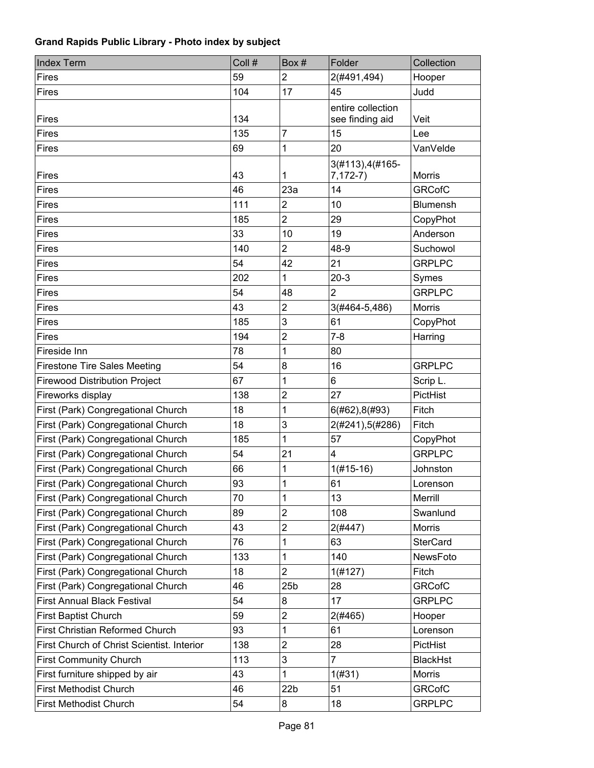| <b>Index Term</b>                          | Coll # | Box#            | Folder                               | Collection      |
|--------------------------------------------|--------|-----------------|--------------------------------------|-----------------|
| Fires                                      | 59     | $\overline{2}$  | 2(#491,494)                          | Hooper          |
| <b>Fires</b>                               | 104    | 17              | 45                                   | Judd            |
| <b>Fires</b>                               | 134    |                 | entire collection<br>see finding aid | Veit            |
| <b>Fires</b>                               | 135    | 7               | 15                                   | Lee             |
| <b>Fires</b>                               | 69     | 1               | 20                                   | VanVelde        |
| <b>Fires</b>                               | 43     | 1               | 3(#113), 4(#165-<br>$7, 172-7)$      | <b>Morris</b>   |
| <b>Fires</b>                               | 46     | 23a             | 14                                   | <b>GRCofC</b>   |
| Fires                                      | 111    | $\overline{2}$  | 10                                   | <b>Blumensh</b> |
| <b>Fires</b>                               | 185    | $\overline{2}$  | 29                                   | CopyPhot        |
| Fires                                      | 33     | 10              | 19                                   | Anderson        |
| <b>Fires</b>                               | 140    | $\overline{2}$  | 48-9                                 | Suchowol        |
| Fires                                      | 54     | 42              | 21                                   | <b>GRPLPC</b>   |
| Fires                                      | 202    | 1               | $20-3$                               | Symes           |
| Fires                                      | 54     | 48              | $\overline{2}$                       | <b>GRPLPC</b>   |
| Fires                                      | 43     | $\overline{2}$  | 3(#464-5,486)                        | <b>Morris</b>   |
| Fires                                      | 185    | 3               | 61                                   | CopyPhot        |
| <b>Fires</b>                               | 194    | $\overline{2}$  | $7 - 8$                              | Harring         |
| Fireside Inn                               | 78     | 1               | 80                                   |                 |
| <b>Firestone Tire Sales Meeting</b>        | 54     | 8               | 16                                   | <b>GRPLPC</b>   |
| <b>Firewood Distribution Project</b>       | 67     | 1               | 6                                    | Scrip L.        |
| Fireworks display                          | 138    | 2               | 27                                   | PictHist        |
| First (Park) Congregational Church         | 18     | 1               | 6(#62), 8(#93)                       | Fitch           |
| First (Park) Congregational Church         | 18     | 3               | 2(#241),5(#286)                      | Fitch           |
| First (Park) Congregational Church         | 185    | 1               | 57                                   | CopyPhot        |
| First (Park) Congregational Church         | 54     | 21              | 4                                    | <b>GRPLPC</b>   |
| First (Park) Congregational Church         | 66     | 1               | $1(#15-16)$                          | Johnston        |
| First (Park) Congregational Church         | 93     | 1               | 61                                   | Lorenson        |
| First (Park) Congregational Church         | 70     | 1               | 13                                   | Merrill         |
| First (Park) Congregational Church         | 89     | $\overline{2}$  | 108                                  | Swanlund        |
| First (Park) Congregational Church         | 43     | $\overline{c}$  | 2(#447)                              | <b>Morris</b>   |
| First (Park) Congregational Church         | 76     | 1               | 63                                   | <b>SterCard</b> |
| First (Park) Congregational Church         | 133    | 1               | 140                                  | NewsFoto        |
| First (Park) Congregational Church         | 18     | $\overline{2}$  | 1(#127)                              | Fitch           |
| First (Park) Congregational Church         | 46     | 25 <sub>b</sub> | 28                                   | <b>GRCofC</b>   |
| <b>First Annual Black Festival</b>         | 54     | 8               | 17                                   | <b>GRPLPC</b>   |
| <b>First Baptist Church</b>                | 59     | $\overline{c}$  | 2(#465)                              | Hooper          |
| <b>First Christian Reformed Church</b>     | 93     | 1               | 61                                   | Lorenson        |
| First Church of Christ Scientist. Interior | 138    | $\overline{c}$  | 28                                   | PictHist        |
| <b>First Community Church</b>              | 113    | 3               | 7                                    | <b>BlackHst</b> |
| First furniture shipped by air             | 43     | 1               | 1(#31)                               | <b>Morris</b>   |
| <b>First Methodist Church</b>              | 46     | 22 <sub>b</sub> | 51                                   | <b>GRCofC</b>   |
| <b>First Methodist Church</b>              | 54     | 8               | 18                                   | <b>GRPLPC</b>   |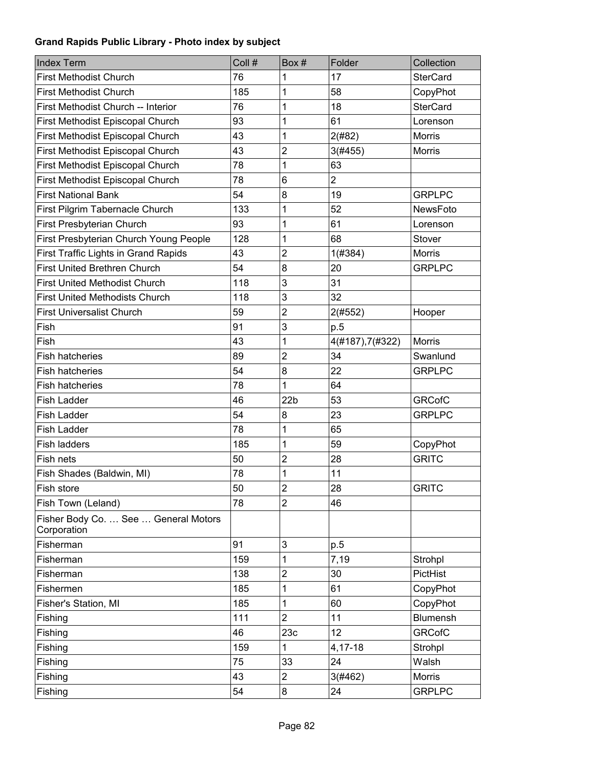| Index Term                                          | Coll # | Box#                    | Folder           | Collection      |
|-----------------------------------------------------|--------|-------------------------|------------------|-----------------|
| <b>First Methodist Church</b>                       | 76     | 1                       | 17               | <b>SterCard</b> |
| <b>First Methodist Church</b>                       | 185    | 1                       | 58               | CopyPhot        |
| First Methodist Church -- Interior                  | 76     | 1                       | 18               | <b>SterCard</b> |
| First Methodist Episcopal Church                    | 93     | 1                       | 61               | Lorenson        |
| First Methodist Episcopal Church                    | 43     | 1                       | 2(#82)           | <b>Morris</b>   |
| First Methodist Episcopal Church                    | 43     | $\overline{c}$          | 3(#455)          | <b>Morris</b>   |
| First Methodist Episcopal Church                    | 78     | 1                       | 63               |                 |
| First Methodist Episcopal Church                    | 78     | 6                       | $\overline{2}$   |                 |
| <b>First National Bank</b>                          | 54     | 8                       | 19               | <b>GRPLPC</b>   |
| First Pilgrim Tabernacle Church                     | 133    | 1                       | 52               | <b>NewsFoto</b> |
| First Presbyterian Church                           | 93     | 1                       | 61               | Lorenson        |
| First Presbyterian Church Young People              | 128    | 1                       | 68               | Stover          |
| First Traffic Lights in Grand Rapids                | 43     | $\overline{\mathbf{c}}$ | 1(#384)          | <b>Morris</b>   |
| First United Brethren Church                        | 54     | 8                       | 20               | <b>GRPLPC</b>   |
| <b>First United Methodist Church</b>                | 118    | 3                       | 31               |                 |
| <b>First United Methodists Church</b>               | 118    | 3                       | 32               |                 |
| <b>First Universalist Church</b>                    | 59     | $\overline{2}$          | 2(#552)          | Hooper          |
| Fish                                                | 91     | 3                       | p.5              |                 |
| Fish                                                | 43     | 1                       | 4(#187), 7(#322) | <b>Morris</b>   |
| <b>Fish hatcheries</b>                              | 89     | $\overline{c}$          | 34               | Swanlund        |
| <b>Fish hatcheries</b>                              | 54     | 8                       | 22               | <b>GRPLPC</b>   |
| <b>Fish hatcheries</b>                              | 78     | 1                       | 64               |                 |
| <b>Fish Ladder</b>                                  | 46     | 22 <sub>b</sub>         | 53               | <b>GRCofC</b>   |
| <b>Fish Ladder</b>                                  | 54     | 8                       | 23               | <b>GRPLPC</b>   |
| <b>Fish Ladder</b>                                  | 78     | 1                       | 65               |                 |
| Fish ladders                                        | 185    | 1                       | 59               | CopyPhot        |
| Fish nets                                           | 50     | $\overline{c}$          | 28               | <b>GRITC</b>    |
| Fish Shades (Baldwin, MI)                           | 78     | 1                       | 11               |                 |
| Fish store                                          | 50     | $\overline{\mathbf{c}}$ | 28               | <b>GRITC</b>    |
| Fish Town (Leland)                                  | 78     | 2                       | 46               |                 |
| Fisher Body Co.  See  General Motors<br>Corporation |        |                         |                  |                 |
| Fisherman                                           | 91     | 3                       | p.5              |                 |
| Fisherman                                           | 159    | 1                       | 7,19             | Strohpl         |
| Fisherman                                           | 138    | $\overline{2}$          | 30               | PictHist        |
| Fishermen                                           | 185    | 1                       | 61               | CopyPhot        |
| Fisher's Station, MI                                | 185    | 1                       | 60               | CopyPhot        |
| Fishing                                             | 111    | $\overline{2}$          | 11               | <b>Blumensh</b> |
| Fishing                                             | 46     | 23c                     | 12               | <b>GRCofC</b>   |
| Fishing                                             | 159    | 1                       | 4,17-18          | Strohpl         |
| Fishing                                             | 75     | 33                      | 24               | Walsh           |
| Fishing                                             | 43     | $\overline{\mathbf{c}}$ | 3(#462)          | Morris          |
| Fishing                                             | 54     | 8                       | 24               | <b>GRPLPC</b>   |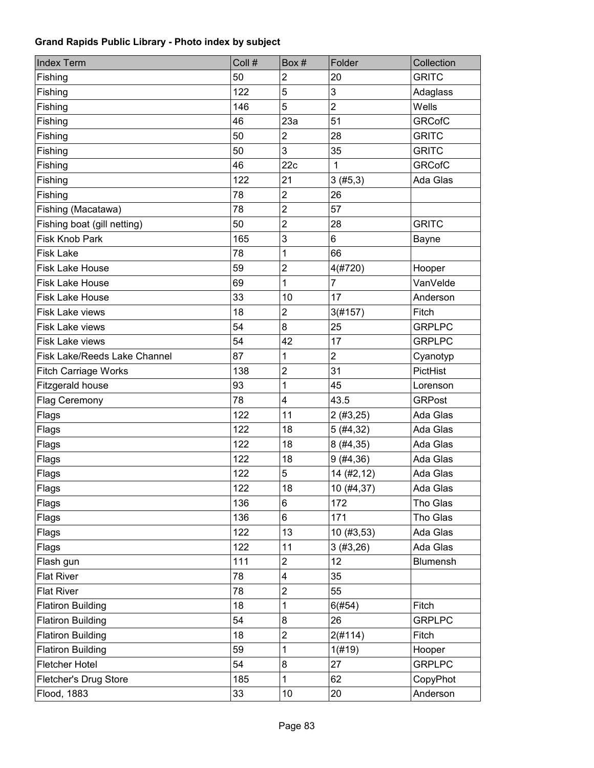| <b>Index Term</b>            | Coll # | Box #                   | Folder         | Collection      |
|------------------------------|--------|-------------------------|----------------|-----------------|
| Fishing                      | 50     | $\overline{2}$          | 20             | <b>GRITC</b>    |
| Fishing                      | 122    | 5                       | 3              | Adaglass        |
| Fishing                      | 146    | 5                       | $\overline{2}$ | Wells           |
| Fishing                      | 46     | 23a                     | 51             | <b>GRCofC</b>   |
| Fishing                      | 50     | $\overline{c}$          | 28             | <b>GRITC</b>    |
| Fishing                      | 50     | 3                       | 35             | <b>GRITC</b>    |
| Fishing                      | 46     | 22c                     | $\mathbf{1}$   | <b>GRCofC</b>   |
| Fishing                      | 122    | 21                      | 3(#5,3)        | Ada Glas        |
| Fishing                      | 78     | $\overline{\mathbf{c}}$ | 26             |                 |
| Fishing (Macatawa)           | 78     | $\overline{c}$          | 57             |                 |
| Fishing boat (gill netting)  | 50     | $\overline{2}$          | 28             | <b>GRITC</b>    |
| <b>Fisk Knob Park</b>        | 165    | 3                       | 6              | Bayne           |
| <b>Fisk Lake</b>             | 78     | 1                       | 66             |                 |
| <b>Fisk Lake House</b>       | 59     | $\overline{2}$          | 4(#720)        | Hooper          |
| <b>Fisk Lake House</b>       | 69     | 1                       | $\overline{7}$ | VanVelde        |
| <b>Fisk Lake House</b>       | 33     | 10                      | 17             | Anderson        |
| Fisk Lake views              | 18     | $\overline{c}$          | 3(#157)        | Fitch           |
| Fisk Lake views              | 54     | 8                       | 25             | <b>GRPLPC</b>   |
| <b>Fisk Lake views</b>       | 54     | 42                      | 17             | <b>GRPLPC</b>   |
| Fisk Lake/Reeds Lake Channel | 87     | 1                       | $\overline{c}$ | Cyanotyp        |
| <b>Fitch Carriage Works</b>  | 138    | $\overline{2}$          | 31             | PictHist        |
| Fitzgerald house             | 93     | 1                       | 45             | Lorenson        |
| Flag Ceremony                | 78     | 4                       | 43.5           | <b>GRPost</b>   |
| Flags                        | 122    | 11                      | 2(#3,25)       | Ada Glas        |
| Flags                        | 122    | 18                      | 5(#4, 32)      | Ada Glas        |
| Flags                        | 122    | 18                      | 8(#4, 35)      | Ada Glas        |
| Flags                        | 122    | 18                      | 9(#4, 36)      | Ada Glas        |
| Flags                        | 122    | 5                       | 14 (#2,12)     | Ada Glas        |
| Flags                        | 122    | 18                      | 10 (#4,37)     | Ada Glas        |
| Flags                        | 136    | 6                       | 172            | Tho Glas        |
| Flags                        | 136    | 6                       | 171            | Tho Glas        |
| Flags                        | 122    | 13                      | 10 (#3,53)     | Ada Glas        |
| Flags                        | 122    | 11                      | 3(#3,26)       | Ada Glas        |
| Flash gun                    | 111    | $\overline{c}$          | 12             | <b>Blumensh</b> |
| <b>Flat River</b>            | 78     | 4                       | 35             |                 |
| <b>Flat River</b>            | 78     | $\overline{c}$          | 55             |                 |
| <b>Flatiron Building</b>     | 18     | 1                       | 6(#54)         | Fitch           |
| <b>Flatiron Building</b>     | 54     | 8                       | 26             | <b>GRPLPC</b>   |
| <b>Flatiron Building</b>     | 18     | $\overline{c}$          | 2(#114)        | Fitch           |
| <b>Flatiron Building</b>     | 59     | 1                       | 1(f#19)        | Hooper          |
| <b>Fletcher Hotel</b>        | 54     | 8                       | 27             | <b>GRPLPC</b>   |
| Fletcher's Drug Store        | 185    | $\mathbf{1}$            | 62             | CopyPhot        |
| Flood, 1883                  | 33     | 10                      | 20             | Anderson        |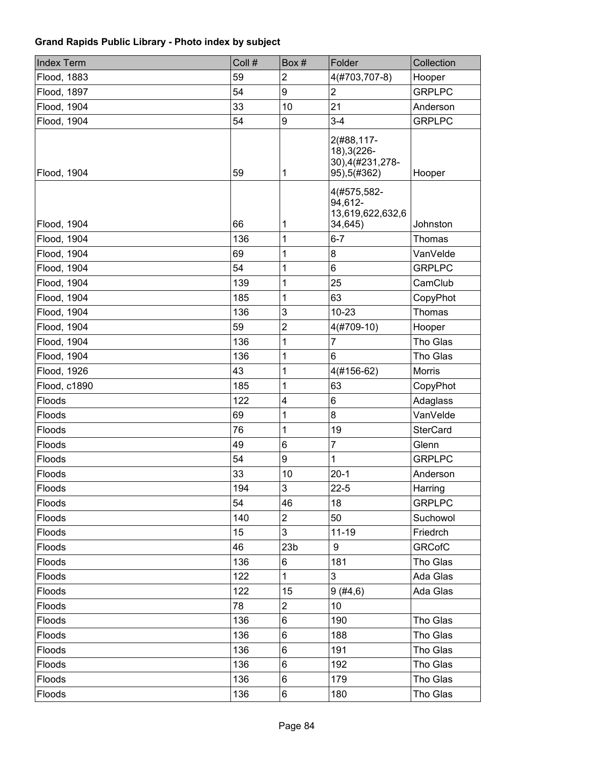| <b>Index Term</b> | Coll # | Box#            | Folder                                                         | Collection      |
|-------------------|--------|-----------------|----------------------------------------------------------------|-----------------|
| Flood, 1883       | 59     | 2               | 4(#703,707-8)                                                  | Hooper          |
| Flood, 1897       | 54     | 9               | $\overline{2}$                                                 | <b>GRPLPC</b>   |
| Flood, 1904       | 33     | 10              | 21                                                             | Anderson        |
| Flood, 1904       | 54     | 9               | $3 - 4$                                                        | <b>GRPLPC</b>   |
| Flood, 1904       | 59     | 1               | 2(#88,117-<br>18), 3(226-<br>30), 4(#231, 278-<br>95), 5(#362) | Hooper          |
| Flood, 1904       | 66     | 1               | 4(#575,582-<br>94,612-<br>13,619,622,632,6<br>34,645)          | Johnston        |
| Flood, 1904       | 136    | 1               | $6 - 7$                                                        | <b>Thomas</b>   |
| Flood, 1904       | 69     | 1               | 8                                                              | VanVelde        |
| Flood, 1904       | 54     | 1               | 6                                                              | <b>GRPLPC</b>   |
| Flood, 1904       | 139    | 1               | 25                                                             | CamClub         |
| Flood, 1904       | 185    | 1               | 63                                                             | CopyPhot        |
| Flood, 1904       | 136    | 3               | $10 - 23$                                                      | <b>Thomas</b>   |
| Flood, 1904       | 59     | $\overline{2}$  | 4(#709-10)                                                     | Hooper          |
| Flood, 1904       | 136    | 1               | 7                                                              | Tho Glas        |
| Flood, 1904       | 136    | 1               | 6                                                              | Tho Glas        |
| Flood, 1926       | 43     | 1               | 4(#156-62)                                                     | Morris          |
| Flood, c1890      | 185    | 1               | 63                                                             | CopyPhot        |
| Floods            | 122    | 4               | 6                                                              | Adaglass        |
| Floods            | 69     | 1               | 8                                                              | VanVelde        |
| Floods            | 76     | 1               | 19                                                             | <b>SterCard</b> |
| Floods            | 49     | 6               | $\overline{7}$                                                 | Glenn           |
| Floods            | 54     | 9               | 1                                                              | <b>GRPLPC</b>   |
| Floods            | 33     | 10              | $20-1$                                                         | Anderson        |
| Floods            | 194    | 3               | $22 - 5$                                                       | Harring         |
| Floods            | 54     | 46              | 18                                                             | <b>GRPLPC</b>   |
| Floods            | 140    | $\overline{2}$  | 50                                                             | Suchowol        |
| Floods            | 15     | 3               | $11 - 19$                                                      | Friedrch        |
| Floods            | 46     | 23 <sub>b</sub> | 9                                                              | <b>GRCofC</b>   |
| Floods            | 136    | 6               | 181                                                            | Tho Glas        |
| Floods            | 122    | $\mathbf{1}$    | 3                                                              | Ada Glas        |
| Floods            | 122    | 15              | 9(#4, 6)                                                       | Ada Glas        |
| Floods            | 78     | $\overline{2}$  | 10                                                             |                 |
| Floods            | 136    | 6               | 190                                                            | Tho Glas        |
| Floods            | 136    | 6               | 188                                                            | Tho Glas        |
| Floods            | 136    | 6               | 191                                                            | Tho Glas        |
| Floods            | 136    | 6               | 192                                                            | Tho Glas        |
| Floods            | 136    | 6               | 179                                                            | Tho Glas        |
| Floods            | 136    | 6               | 180                                                            | Tho Glas        |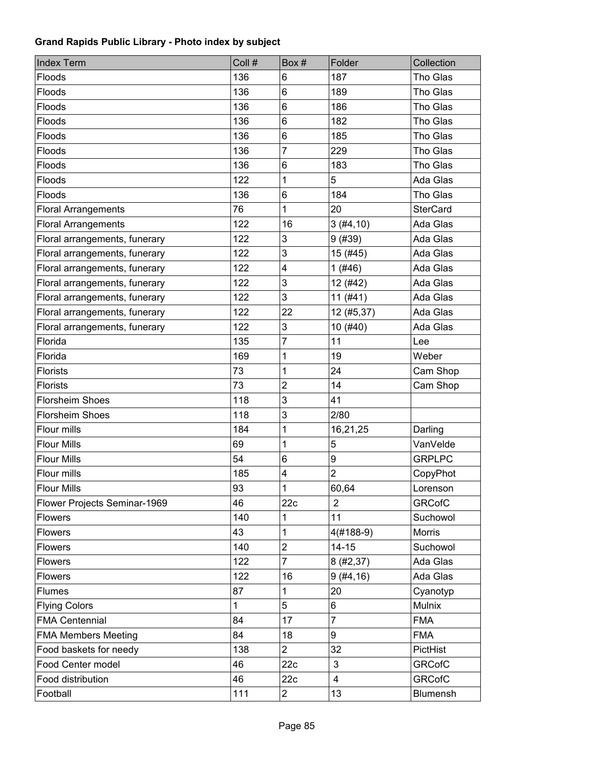| <b>Index Term</b>             | Coll # | Box#                      | Folder         | Collection      |
|-------------------------------|--------|---------------------------|----------------|-----------------|
| Floods                        | 136    | 6                         | 187            | Tho Glas        |
| Floods                        | 136    | 6                         | 189            | Tho Glas        |
| Floods                        | 136    | 6                         | 186            | Tho Glas        |
| Floods                        | 136    | 6                         | 182            | Tho Glas        |
| Floods                        | 136    | 6                         | 185            | Tho Glas        |
| Floods                        | 136    | 7                         | 229            | Tho Glas        |
| Floods                        | 136    | 6                         | 183            | Tho Glas        |
| Floods                        | 122    | 1                         | 5              | Ada Glas        |
| Floods                        | 136    | 6                         | 184            | Tho Glas        |
| <b>Floral Arrangements</b>    | 76     | 1                         | 20             | <b>SterCard</b> |
| <b>Floral Arrangements</b>    | 122    | 16                        | 3(#4, 10)      | Ada Glas        |
| Floral arrangements, funerary | 122    | 3                         | 9(#39)         | Ada Glas        |
| Floral arrangements, funerary | 122    | 3                         | 15 (#45)       | Ada Glas        |
| Floral arrangements, funerary | 122    | $\overline{\mathbf{4}}$   | 1(#46)         | Ada Glas        |
| Floral arrangements, funerary | 122    | $\ensuremath{\mathsf{3}}$ | 12 (#42)       | Ada Glas        |
| Floral arrangements, funerary | 122    | 3                         | 11(#41)        | Ada Glas        |
| Floral arrangements, funerary | 122    | 22                        | 12 (#5,37)     | Ada Glas        |
| Floral arrangements, funerary | 122    | 3                         | 10(#40)        | Ada Glas        |
| Florida                       | 135    | $\overline{7}$            | 11             | Lee             |
| Florida                       | 169    | 1                         | 19             | Weber           |
| <b>Florists</b>               | 73     | 1                         | 24             | Cam Shop        |
| <b>Florists</b>               | 73     | $\overline{2}$            | 14             | Cam Shop        |
| <b>Florsheim Shoes</b>        | 118    | 3                         | 41             |                 |
| <b>Florsheim Shoes</b>        | 118    | 3                         | 2/80           |                 |
| Flour mills                   | 184    | 1                         | 16,21,25       | Darling         |
| <b>Flour Mills</b>            | 69     | 1                         | 5              | VanVelde        |
| <b>Flour Mills</b>            | 54     | 6                         | 9              | <b>GRPLPC</b>   |
| Flour mills                   | 185    | $\overline{\mathbf{4}}$   | $\overline{2}$ | CopyPhot        |
| <b>Flour Mills</b>            | 93     | 1                         | 60,64          | Lorenson        |
| Flower Projects Seminar-1969  | 46     | 22c                       | $\overline{2}$ | <b>GRCofC</b>   |
| <b>Flowers</b>                | 140    | 1                         | 11             | Suchowol        |
| Flowers                       | 43     | 1                         | 4(#188-9)      | Morris          |
| Flowers                       | 140    | $\overline{c}$            | $14 - 15$      | Suchowol        |
| Flowers                       | 122    | $\overline{7}$            | 8(#2, 37)      | Ada Glas        |
| Flowers                       | 122    | 16                        | 9(#4, 16)      | Ada Glas        |
| <b>Flumes</b>                 | 87     | 1                         | 20             | Cyanotyp        |
| <b>Flying Colors</b>          | 1      | 5                         | 6              | Mulnix          |
| <b>FMA Centennial</b>         | 84     | 17                        | $\overline{7}$ | <b>FMA</b>      |
| <b>FMA Members Meeting</b>    | 84     | 18                        | 9              | <b>FMA</b>      |
| Food baskets for needy        | 138    | $\overline{2}$            | 32             | PictHist        |
| Food Center model             | 46     | 22c                       | $\mathbf{3}$   | <b>GRCofC</b>   |
| Food distribution             | 46     | 22c                       | $\overline{4}$ | <b>GRCofC</b>   |
| Football                      | 111    | $\overline{c}$            | 13             | Blumensh        |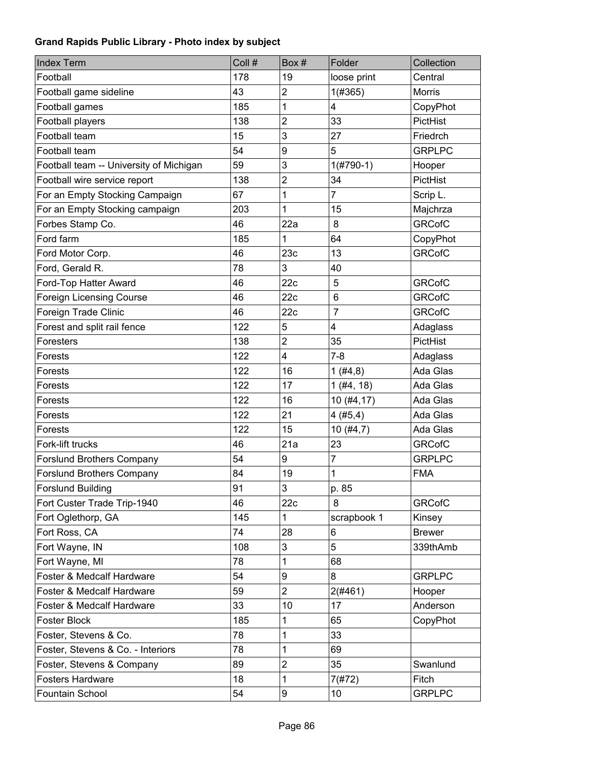| <b>Index Term</b>                       | Coll # | Box#                    | Folder          | Collection    |
|-----------------------------------------|--------|-------------------------|-----------------|---------------|
| Football                                | 178    | 19                      | loose print     | Central       |
| Football game sideline                  | 43     | $\overline{2}$          | 1(#365)         | <b>Morris</b> |
| Football games                          | 185    | 1                       | 4               | CopyPhot      |
| Football players                        | 138    | $\overline{2}$          | 33              | PictHist      |
| Football team                           | 15     | 3                       | 27              | Friedrch      |
| Football team                           | 54     | 9                       | 5               | <b>GRPLPC</b> |
| Football team -- University of Michigan | 59     | 3                       | $1($ #790-1)    | Hooper        |
| Football wire service report            | 138    | 2                       | 34              | PictHist      |
| For an Empty Stocking Campaign          | 67     | 1                       | $\overline{7}$  | Scrip L.      |
| For an Empty Stocking campaign          | 203    | 1                       | 15              | Majchrza      |
| Forbes Stamp Co.                        | 46     | 22a                     | 8               | <b>GRCofC</b> |
| Ford farm                               | 185    | 1                       | 64              | CopyPhot      |
| Ford Motor Corp.                        | 46     | 23c                     | 13              | <b>GRCofC</b> |
| Ford, Gerald R.                         | 78     | 3                       | 40              |               |
| Ford-Top Hatter Award                   | 46     | 22c                     | $\overline{5}$  | <b>GRCofC</b> |
| <b>Foreign Licensing Course</b>         | 46     | 22c                     | $6\phantom{1}6$ | <b>GRCofC</b> |
| Foreign Trade Clinic                    | 46     | 22c                     | $\overline{7}$  | <b>GRCofC</b> |
| Forest and split rail fence             | 122    | 5                       | 4               | Adaglass      |
| Foresters                               | 138    | $\overline{2}$          | 35              | PictHist      |
| Forests                                 | 122    | $\overline{\mathbf{4}}$ | $7 - 8$         | Adaglass      |
| Forests                                 | 122    | 16                      | 1(#4, 8)        | Ada Glas      |
| Forests                                 | 122    | 17                      | $1$ (#4, 18)    | Ada Glas      |
| Forests                                 | 122    | 16                      | 10 (#4,17)      | Ada Glas      |
| Forests                                 | 122    | 21                      | 4(#5,4)         | Ada Glas      |
| Forests                                 | 122    | 15                      | 10(#4,7)        | Ada Glas      |
| Fork-lift trucks                        | 46     | 21a                     | 23              | <b>GRCofC</b> |
| <b>Forslund Brothers Company</b>        | 54     | 9                       | $\overline{7}$  | <b>GRPLPC</b> |
| <b>Forslund Brothers Company</b>        | 84     | 19                      | $\mathbf 1$     | <b>FMA</b>    |
| <b>Forslund Building</b>                | 91     | 3                       | p. 85           |               |
| Fort Custer Trade Trip-1940             | 46     | 22c                     | 8               | <b>GRCofC</b> |
| Fort Oglethorp, GA                      | 145    | 1                       | scrapbook 1     | Kinsey        |
| Fort Ross, CA                           | 74     | 28                      | 6               | <b>Brewer</b> |
| Fort Wayne, IN                          | 108    | 3                       | 5               | 339thAmb      |
| Fort Wayne, MI                          | 78     | 1                       | 68              |               |
| Foster & Medcalf Hardware               | 54     | 9                       | 8               | <b>GRPLPC</b> |
| Foster & Medcalf Hardware               | 59     | $\overline{2}$          | 2(#461)         | Hooper        |
| Foster & Medcalf Hardware               | 33     | 10                      | 17              | Anderson      |
| <b>Foster Block</b>                     | 185    | 1                       | 65              | CopyPhot      |
| Foster, Stevens & Co.                   | 78     | 1                       | 33              |               |
| Foster, Stevens & Co. - Interiors       | 78     | 1                       | 69              |               |
| Foster, Stevens & Company               | 89     | $\mathbf 2$             | 35              | Swanlund      |
| <b>Fosters Hardware</b>                 | 18     | 1                       | 7(#72)          | Fitch         |
| Fountain School                         | 54     | 9                       | 10              | <b>GRPLPC</b> |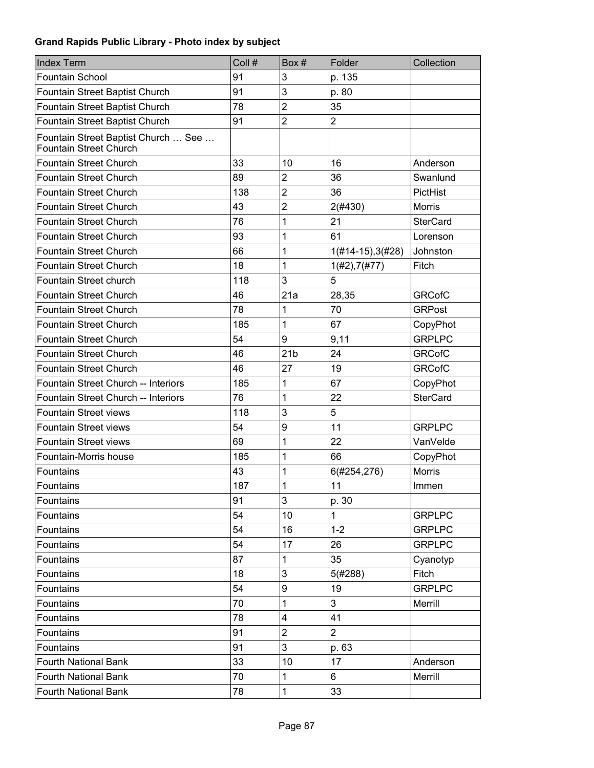| <b>Index Term</b>                                                    | Coll # | Box#             | Folder              | Collection      |
|----------------------------------------------------------------------|--------|------------------|---------------------|-----------------|
| <b>Fountain School</b>                                               | 91     | 3                | p. 135              |                 |
| Fountain Street Baptist Church                                       | 91     | 3                | p. 80               |                 |
| Fountain Street Baptist Church                                       | 78     | $\overline{2}$   | 35                  |                 |
| Fountain Street Baptist Church                                       | 91     | $\overline{2}$   | $\overline{2}$      |                 |
| Fountain Street Baptist Church  See<br><b>Fountain Street Church</b> |        |                  |                     |                 |
| <b>Fountain Street Church</b>                                        | 33     | 10               | 16                  | Anderson        |
| <b>Fountain Street Church</b>                                        | 89     | $\overline{2}$   | 36                  | Swanlund        |
| <b>Fountain Street Church</b>                                        | 138    | $\overline{2}$   | 36                  | PictHist        |
| <b>Fountain Street Church</b>                                        | 43     | $\overline{2}$   | 2(#430)             | <b>Morris</b>   |
| <b>Fountain Street Church</b>                                        | 76     | 1                | 21                  | <b>SterCard</b> |
| <b>Fountain Street Church</b>                                        | 93     | 1                | 61                  | Lorenson        |
| <b>Fountain Street Church</b>                                        | 66     | 1                | $1(#14-15), 3(#28)$ | Johnston        |
| <b>Fountain Street Church</b>                                        | 18     | 1                | $1(\#2), 7(\#77)$   | Fitch           |
| Fountain Street church                                               | 118    | 3                | 5                   |                 |
| <b>Fountain Street Church</b>                                        | 46     | 21a              | 28,35               | <b>GRCofC</b>   |
| <b>Fountain Street Church</b>                                        | 78     | 1                | 70                  | <b>GRPost</b>   |
| <b>Fountain Street Church</b>                                        | 185    | 1                | 67                  | CopyPhot        |
| <b>Fountain Street Church</b>                                        | 54     | 9                | 9,11                | <b>GRPLPC</b>   |
| <b>Fountain Street Church</b>                                        | 46     | 21 <sub>b</sub>  | 24                  | <b>GRCofC</b>   |
| <b>Fountain Street Church</b>                                        | 46     | 27               | 19                  | <b>GRCofC</b>   |
| Fountain Street Church -- Interiors                                  | 185    | 1                | 67                  | CopyPhot        |
| Fountain Street Church -- Interiors                                  | 76     | 1                | 22                  | <b>SterCard</b> |
| <b>Fountain Street views</b>                                         | 118    | 3                | 5                   |                 |
| <b>Fountain Street views</b>                                         | 54     | 9                | 11                  | <b>GRPLPC</b>   |
| <b>Fountain Street views</b>                                         | 69     | 1                | 22                  | VanVelde        |
| Fountain-Morris house                                                | 185    | 1                | 66                  | CopyPhot        |
| Fountains                                                            | 43     | 1                | 6(#254,276)         | <b>Morris</b>   |
| Fountains                                                            | 187    | 1                | 11                  | Immen           |
| Fountains                                                            | 91     | 3                | p. 30               |                 |
| Fountains                                                            | 54     | 10               | 1                   | <b>GRPLPC</b>   |
| Fountains                                                            | 54     | 16               | $1 - 2$             | <b>GRPLPC</b>   |
| Fountains                                                            | 54     | 17               | 26                  | <b>GRPLPC</b>   |
| Fountains                                                            | 87     | 1                | 35                  | Cyanotyp        |
| Fountains                                                            | 18     | 3                | 5(#288)             | Fitch           |
| Fountains                                                            | 54     | $\boldsymbol{9}$ | 19                  | <b>GRPLPC</b>   |
| Fountains                                                            | 70     | 1                | 3                   | Merrill         |
| Fountains                                                            | 78     | 4                | 41                  |                 |
| Fountains                                                            | 91     | $\overline{2}$   | $\overline{2}$      |                 |
| Fountains                                                            | 91     | 3                | p. 63               |                 |
| <b>Fourth National Bank</b>                                          | 33     | 10               | 17                  | Anderson        |
| <b>Fourth National Bank</b>                                          | 70     | 1                | 6                   | Merrill         |
| <b>Fourth National Bank</b>                                          | 78     | 1                | 33                  |                 |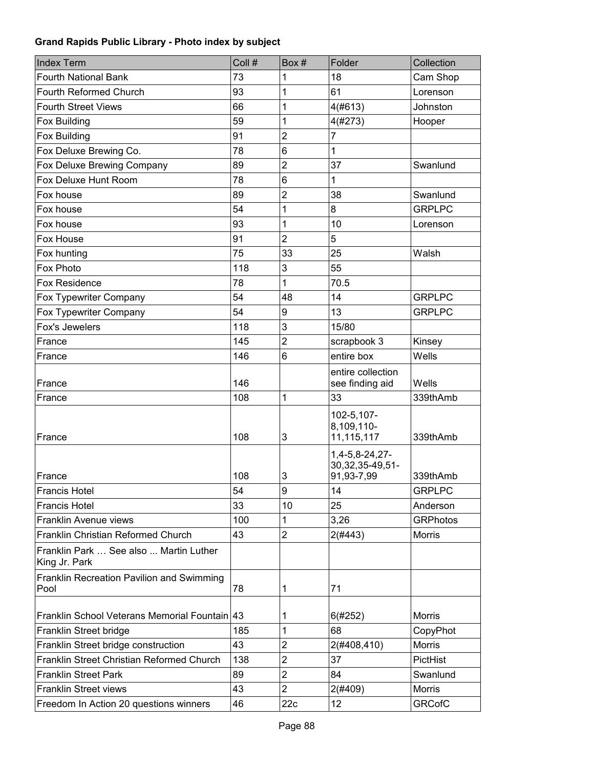| <b>Index Term</b>                                       | Coll # | Box#                    | Folder                                             | Collection      |
|---------------------------------------------------------|--------|-------------------------|----------------------------------------------------|-----------------|
| <b>Fourth National Bank</b>                             | 73     | 1                       | 18                                                 | Cam Shop        |
| Fourth Reformed Church                                  | 93     | 1                       | 61                                                 | Lorenson        |
| <b>Fourth Street Views</b>                              | 66     | 1                       | 4(#613)                                            | Johnston        |
| Fox Building                                            | 59     | 1                       | 4(#273)                                            | Hooper          |
| Fox Building                                            | 91     | $\overline{2}$          | 7                                                  |                 |
| Fox Deluxe Brewing Co.                                  | 78     | 6                       | 1                                                  |                 |
| Fox Deluxe Brewing Company                              | 89     | $\overline{2}$          | 37                                                 | Swanlund        |
| Fox Deluxe Hunt Room                                    | 78     | 6                       | 1                                                  |                 |
| Fox house                                               | 89     | $\overline{\mathbf{c}}$ | 38                                                 | Swanlund        |
| Fox house                                               | 54     | 1                       | 8                                                  | <b>GRPLPC</b>   |
| Fox house                                               | 93     | 1                       | 10                                                 | Lorenson        |
| Fox House                                               | 91     | $\overline{2}$          | 5                                                  |                 |
| Fox hunting                                             | 75     | 33                      | 25                                                 | Walsh           |
| Fox Photo                                               | 118    | 3                       | 55                                                 |                 |
| <b>Fox Residence</b>                                    | 78     | 1                       | 70.5                                               |                 |
| Fox Typewriter Company                                  | 54     | 48                      | 14                                                 | <b>GRPLPC</b>   |
| Fox Typewriter Company                                  | 54     | 9                       | 13                                                 | <b>GRPLPC</b>   |
| Fox's Jewelers                                          | 118    | 3                       | 15/80                                              |                 |
| France                                                  | 145    | $\overline{2}$          | scrapbook 3                                        | Kinsey          |
| France                                                  | 146    | 6                       | entire box                                         | Wells           |
| France                                                  | 146    |                         | entire collection<br>see finding aid               | Wells           |
| France                                                  | 108    | 1                       | 33                                                 | 339thAmb        |
| France                                                  | 108    | 3                       | 102-5,107-<br>8,109,110-<br>11,115,117             | 339thAmb        |
| France                                                  | 108    | 3                       | 1,4-5,8-24,27-<br>30, 32, 35-49, 51-<br>91,93-7,99 | 339thAmb        |
| Francis Hotel                                           | 54     | 9                       | 14                                                 | <b>GRPLPC</b>   |
| <b>Francis Hotel</b>                                    | 33     | 10                      | 25                                                 | Anderson        |
| Franklin Avenue views                                   | 100    | 1                       | 3,26                                               | <b>GRPhotos</b> |
| Franklin Christian Reformed Church                      | 43     | $\overline{c}$          | 2(#443)                                            | Morris          |
| Franklin Park  See also  Martin Luther<br>King Jr. Park |        |                         |                                                    |                 |
| Franklin Recreation Pavilion and Swimming<br>Pool       | 78     | 1                       | 71                                                 |                 |
| Franklin School Veterans Memorial Fountain              | 43     | 1                       | 6(#252)                                            | <b>Morris</b>   |
| Franklin Street bridge                                  | 185    | 1                       | 68                                                 | CopyPhot        |
| Franklin Street bridge construction                     | 43     | $\overline{\mathbf{c}}$ | 2(#408,410)                                        | <b>Morris</b>   |
| Franklin Street Christian Reformed Church               | 138    | $\overline{c}$          | 37                                                 | PictHist        |
| <b>Franklin Street Park</b>                             | 89     | $\overline{2}$          | 84                                                 | Swanlund        |
| <b>Franklin Street views</b>                            | 43     | $\overline{2}$          | 2(#409)                                            | <b>Morris</b>   |
| Freedom In Action 20 questions winners                  | 46     | 22c                     | 12                                                 | <b>GRCofC</b>   |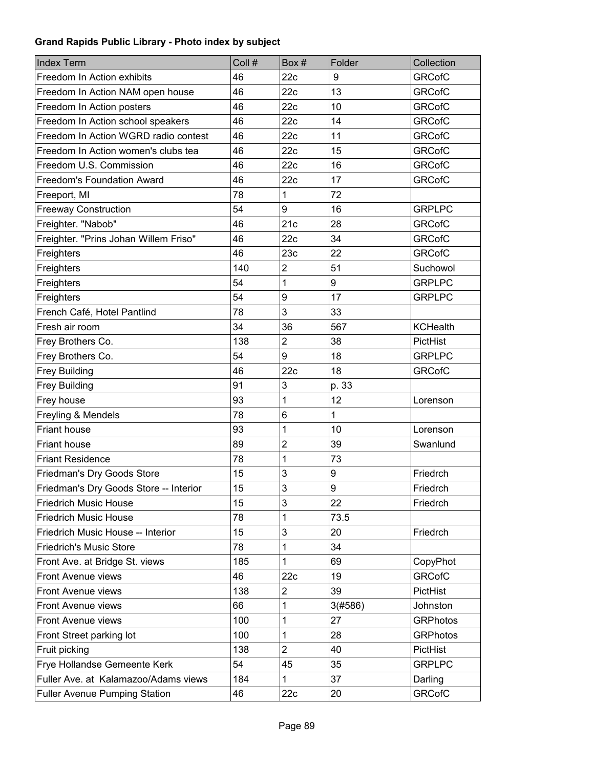| <b>Index Term</b>                      | Coll # | Box #                   | Folder  | Collection      |
|----------------------------------------|--------|-------------------------|---------|-----------------|
| Freedom In Action exhibits             | 46     | 22c                     | 9       | <b>GRCofC</b>   |
| Freedom In Action NAM open house       | 46     | 22c                     | 13      | <b>GRCofC</b>   |
| Freedom In Action posters              | 46     | 22c                     | 10      | <b>GRCofC</b>   |
| Freedom In Action school speakers      | 46     | 22c                     | 14      | <b>GRCofC</b>   |
| Freedom In Action WGRD radio contest   | 46     | 22c                     | 11      | <b>GRCofC</b>   |
| Freedom In Action women's clubs tea    | 46     | 22c                     | 15      | <b>GRCofC</b>   |
| Freedom U.S. Commission                | 46     | 22c                     | 16      | <b>GRCofC</b>   |
| <b>Freedom's Foundation Award</b>      | 46     | 22c                     | 17      | <b>GRCofC</b>   |
| Freeport, MI                           | 78     | 1                       | 72      |                 |
| <b>Freeway Construction</b>            | 54     | 9                       | 16      | <b>GRPLPC</b>   |
| Freighter. "Nabob"                     | 46     | 21c                     | 28      | <b>GRCofC</b>   |
| Freighter. "Prins Johan Willem Friso"  | 46     | 22c                     | 34      | <b>GRCofC</b>   |
| Freighters                             | 46     | 23c                     | 22      | <b>GRCofC</b>   |
| Freighters                             | 140    | $\overline{\mathbf{c}}$ | 51      | Suchowol        |
| Freighters                             | 54     | 1                       | 9       | <b>GRPLPC</b>   |
| Freighters                             | 54     | 9                       | 17      | <b>GRPLPC</b>   |
| French Café, Hotel Pantlind            | 78     | 3                       | 33      |                 |
| Fresh air room                         | 34     | 36                      | 567     | <b>KCHealth</b> |
| Frey Brothers Co.                      | 138    | $\overline{c}$          | 38      | PictHist        |
| Frey Brothers Co.                      | 54     | 9                       | 18      | <b>GRPLPC</b>   |
| <b>Frey Building</b>                   | 46     | 22c                     | 18      | <b>GRCofC</b>   |
| <b>Frey Building</b>                   | 91     | 3                       | p. 33   |                 |
| Frey house                             | 93     | 1                       | 12      | Lorenson        |
| Freyling & Mendels                     | 78     | 6                       | 1       |                 |
| Friant house                           | 93     | 1                       | 10      | Lorenson        |
| <b>Friant house</b>                    | 89     | $\overline{c}$          | 39      | Swanlund        |
| <b>Friant Residence</b>                | 78     | 1                       | 73      |                 |
| Friedman's Dry Goods Store             | 15     | 3                       | 9       | Friedrch        |
| Friedman's Dry Goods Store -- Interior | 15     | 3                       | 9       | Friedrch        |
| <b>Friedrich Music House</b>           | 15     | 3                       | 22      | Friedrch        |
| <b>Friedrich Music House</b>           | 78     | 1                       | 73.5    |                 |
| Friedrich Music House -- Interior      | 15     | 3                       | 20      | Friedrch        |
| <b>Friedrich's Music Store</b>         | 78     | 1                       | 34      |                 |
| Front Ave. at Bridge St. views         | 185    | 1                       | 69      | CopyPhot        |
| Front Avenue views                     | 46     | 22c                     | 19      | <b>GRCofC</b>   |
| Front Avenue views                     | 138    | 2                       | 39      | PictHist        |
| Front Avenue views                     | 66     | 1                       | 3(#586) | Johnston        |
| Front Avenue views                     | 100    | 1                       | 27      | <b>GRPhotos</b> |
| Front Street parking lot               | 100    | 1                       | 28      | <b>GRPhotos</b> |
| Fruit picking                          | 138    | $\overline{2}$          | 40      | PictHist        |
| Frye Hollandse Gemeente Kerk           | 54     | 45                      | 35      | <b>GRPLPC</b>   |
| Fuller Ave. at Kalamazoo/Adams views   | 184    | 1                       | 37      | Darling         |
| <b>Fuller Avenue Pumping Station</b>   | 46     | 22c                     | 20      | <b>GRCofC</b>   |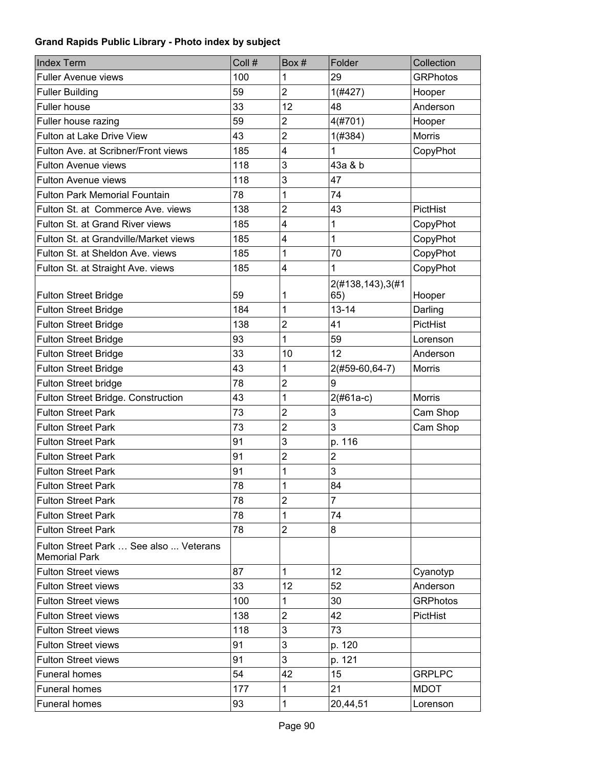| <b>Index Term</b>                                              | Coll # | Box#                    | Folder                  | Collection      |
|----------------------------------------------------------------|--------|-------------------------|-------------------------|-----------------|
| <b>Fuller Avenue views</b>                                     | 100    | 1                       | 29                      | <b>GRPhotos</b> |
| <b>Fuller Building</b>                                         | 59     | $\overline{2}$          | 1(#427)                 | Hooper          |
| Fuller house                                                   | 33     | 12                      | 48                      | Anderson        |
| Fuller house razing                                            | 59     | $\overline{2}$          | 4(#701)                 | Hooper          |
| Fulton at Lake Drive View                                      | 43     | $\overline{2}$          | 1(#384)                 | <b>Morris</b>   |
| Fulton Ave. at Scribner/Front views                            | 185    | 4                       | 1                       | CopyPhot        |
| <b>Fulton Avenue views</b>                                     | 118    | 3                       | 43a & b                 |                 |
| <b>Fulton Avenue views</b>                                     | 118    | 3                       | 47                      |                 |
| <b>Fulton Park Memorial Fountain</b>                           | 78     | 1                       | 74                      |                 |
| Fulton St. at Commerce Ave. views                              | 138    | $\overline{2}$          | 43                      | PictHist        |
| Fulton St. at Grand River views                                | 185    | 4                       | 1                       | CopyPhot        |
| Fulton St. at Grandville/Market views                          | 185    | 4                       | 1                       | CopyPhot        |
| Fulton St. at Sheldon Ave. views                               | 185    | 1                       | 70                      | CopyPhot        |
| Fulton St. at Straight Ave. views                              | 185    | 4                       | 1                       | CopyPhot        |
| <b>Fulton Street Bridge</b>                                    | 59     | 1                       | 2(#138,143),3(#1<br>65) | Hooper          |
| <b>Fulton Street Bridge</b>                                    | 184    | 1                       | $13 - 14$               | Darling         |
| <b>Fulton Street Bridge</b>                                    | 138    | $\overline{2}$          | 41                      | PictHist        |
| <b>Fulton Street Bridge</b>                                    | 93     | 1                       | 59                      | Lorenson        |
| <b>Fulton Street Bridge</b>                                    | 33     | 10                      | 12                      | Anderson        |
| <b>Fulton Street Bridge</b>                                    | 43     | 1                       | 2(#59-60,64-7)          | Morris          |
| Fulton Street bridge                                           | 78     | $\overline{2}$          | 9                       |                 |
| Fulton Street Bridge. Construction                             | 43     | 1                       | $2(#61a-c)$             | <b>Morris</b>   |
| <b>Fulton Street Park</b>                                      | 73     | 2                       | 3                       | Cam Shop        |
| <b>Fulton Street Park</b>                                      | 73     | $\overline{\mathbf{c}}$ | 3                       | Cam Shop        |
| <b>Fulton Street Park</b>                                      | 91     | 3                       | p. 116                  |                 |
| <b>Fulton Street Park</b>                                      | 91     | 2                       | $\overline{2}$          |                 |
| <b>Fulton Street Park</b>                                      | 91     | 1                       | 3                       |                 |
| <b>Fulton Street Park</b>                                      | 78     | 1                       | 84                      |                 |
| <b>Fulton Street Park</b>                                      | 78     | $\overline{2}$          | 7                       |                 |
| <b>Fulton Street Park</b>                                      | 78     | 1                       | 74                      |                 |
| <b>Fulton Street Park</b>                                      | 78     | $\overline{2}$          | 8                       |                 |
| Fulton Street Park  See also  Veterans<br><b>Memorial Park</b> |        |                         |                         |                 |
| <b>Fulton Street views</b>                                     | 87     | 1                       | 12                      | Cyanotyp        |
| <b>Fulton Street views</b>                                     | 33     | 12 <sup>2</sup>         | 52                      | Anderson        |
| <b>Fulton Street views</b>                                     | 100    | 1                       | 30                      | <b>GRPhotos</b> |
| <b>Fulton Street views</b>                                     | 138    | $\overline{2}$          | 42                      | PictHist        |
| <b>Fulton Street views</b>                                     | 118    | 3                       | 73                      |                 |
| <b>Fulton Street views</b>                                     | 91     | 3                       | p. 120                  |                 |
| <b>Fulton Street views</b>                                     | 91     | 3                       | p. 121                  |                 |
| Funeral homes                                                  | 54     | 42                      | 15                      | <b>GRPLPC</b>   |
| Funeral homes                                                  | 177    | 1                       | 21                      | <b>MDOT</b>     |
| Funeral homes                                                  | 93     | 1                       | 20,44,51                | Lorenson        |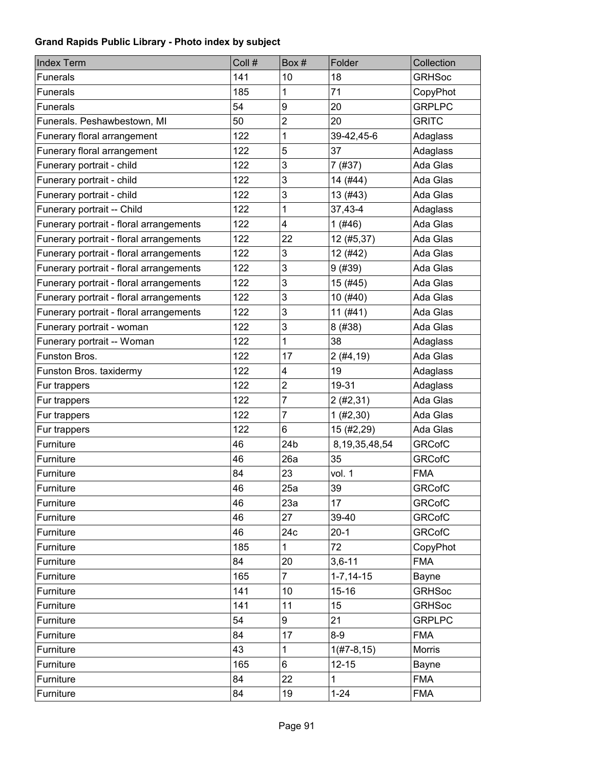| <b>Index Term</b>                       | Coll # | Box#           | Folder            | Collection    |
|-----------------------------------------|--------|----------------|-------------------|---------------|
| <b>Funerals</b>                         | 141    | 10             | 18                | <b>GRHSoc</b> |
| <b>Funerals</b>                         | 185    | 1              | 71                | CopyPhot      |
| <b>Funerals</b>                         | 54     | 9              | 20                | <b>GRPLPC</b> |
| Funerals. Peshawbestown, MI             | 50     | 2              | 20                | <b>GRITC</b>  |
| Funerary floral arrangement             | 122    | 1              | 39-42,45-6        | Adaglass      |
| Funerary floral arrangement             | 122    | 5              | 37                | Adaglass      |
| Funerary portrait - child               | 122    | 3              | 7(#37)            | Ada Glas      |
| Funerary portrait - child               | 122    | 3              | 14 (#44)          | Ada Glas      |
| Funerary portrait - child               | 122    | 3              | 13(#43)           | Ada Glas      |
| Funerary portrait -- Child              | 122    | 1              | 37,43-4           | Adaglass      |
| Funerary portrait - floral arrangements | 122    | 4              | 1(#46)            | Ada Glas      |
| Funerary portrait - floral arrangements | 122    | 22             | 12 (#5,37)        | Ada Glas      |
| Funerary portrait - floral arrangements | 122    | 3              | 12 (#42)          | Ada Glas      |
| Funerary portrait - floral arrangements | 122    | 3              | 9(#39)            | Ada Glas      |
| Funerary portrait - floral arrangements | 122    | 3              | 15 (#45)          | Ada Glas      |
| Funerary portrait - floral arrangements | 122    | 3              | 10 (#40)          | Ada Glas      |
| Funerary portrait - floral arrangements | 122    | 3              | $11($ #41)        | Ada Glas      |
| Funerary portrait - woman               | 122    | 3              | 8 (#38)           | Ada Glas      |
| Funerary portrait -- Woman              | 122    | 1              | 38                | Adaglass      |
| Funston Bros.                           | 122    | 17             | 2(#4, 19)         | Ada Glas      |
| Funston Bros. taxidermy                 | 122    | 4              | 19                | Adaglass      |
| Fur trappers                            | 122    | $\overline{c}$ | 19-31             | Adaglass      |
| Fur trappers                            | 122    | $\overline{7}$ | 2(#2, 31)         | Ada Glas      |
| Fur trappers                            | 122    | 7              | 1 (#2, 30)        | Ada Glas      |
| Fur trappers                            | 122    | 6              | 15 (#2,29)        | Ada Glas      |
| Furniture                               | 46     | 24b            | 8, 19, 35, 48, 54 | <b>GRCofC</b> |
| Furniture                               | 46     | 26a            | 35                | <b>GRCofC</b> |
| Furniture                               | 84     | 23             | vol. 1            | <b>FMA</b>    |
| Furniture                               | 46     | 25a            | 39                | <b>GRCofC</b> |
| Furniture                               | 46     | 23a            | 17                | <b>GRCofC</b> |
| Furniture                               | 46     | 27             | 39-40             | <b>GRCofC</b> |
| Furniture                               | 46     | 24c            | $20-1$            | <b>GRCofC</b> |
| Furniture                               | 185    | $\mathbf{1}$   | 72                | CopyPhot      |
| Furniture                               | 84     | 20             | $3,6 - 11$        | <b>FMA</b>    |
| Furniture                               | 165    | $\overline{7}$ | $1 - 7, 14 - 15$  | Bayne         |
| Furniture                               | 141    | 10             | $15 - 16$         | <b>GRHSoc</b> |
| Furniture                               | 141    | 11             | 15                | <b>GRHSoc</b> |
| Furniture                               | 54     | 9              | 21                | <b>GRPLPC</b> |
| Furniture                               | 84     | 17             | $8-9$             | <b>FMA</b>    |
| Furniture                               | 43     | $\mathbf{1}$   | $1(H7-8, 15)$     | <b>Morris</b> |
| Furniture                               | 165    | 6              | $12 - 15$         | Bayne         |
| Furniture                               | 84     | 22             | 1                 | <b>FMA</b>    |
| Furniture                               | 84     | 19             | $1 - 24$          | <b>FMA</b>    |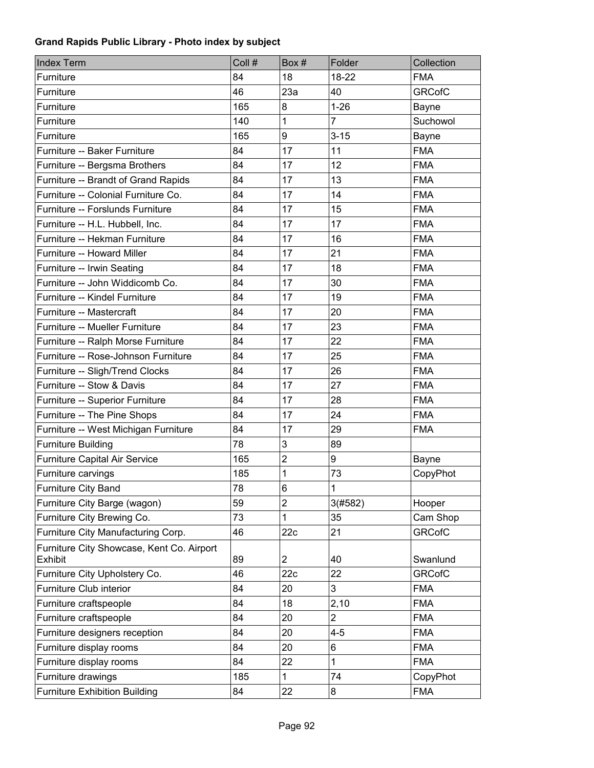| <b>Index Term</b>                                    | Coll # | Box #          | Folder         | Collection    |
|------------------------------------------------------|--------|----------------|----------------|---------------|
| Furniture                                            | 84     | 18             | 18-22          | <b>FMA</b>    |
| Furniture                                            | 46     | 23a            | 40             | <b>GRCofC</b> |
| Furniture                                            | 165    | 8              | $1 - 26$       | Bayne         |
| Furniture                                            | 140    | 1              | 7              | Suchowol      |
| Furniture                                            | 165    | 9              | $3 - 15$       | Bayne         |
| Furniture -- Baker Furniture                         | 84     | 17             | 11             | <b>FMA</b>    |
| Furniture -- Bergsma Brothers                        | 84     | 17             | 12             | <b>FMA</b>    |
| Furniture -- Brandt of Grand Rapids                  | 84     | 17             | 13             | <b>FMA</b>    |
| Furniture -- Colonial Furniture Co.                  | 84     | 17             | 14             | <b>FMA</b>    |
| Furniture -- Forslunds Furniture                     | 84     | 17             | 15             | <b>FMA</b>    |
| Furniture -- H.L. Hubbell, Inc.                      | 84     | 17             | 17             | <b>FMA</b>    |
| Furniture -- Hekman Furniture                        | 84     | 17             | 16             | <b>FMA</b>    |
| Furniture -- Howard Miller                           | 84     | 17             | 21             | <b>FMA</b>    |
| Furniture -- Irwin Seating                           | 84     | 17             | 18             | <b>FMA</b>    |
| Furniture -- John Widdicomb Co.                      | 84     | 17             | 30             | <b>FMA</b>    |
| Furniture -- Kindel Furniture                        | 84     | 17             | 19             | <b>FMA</b>    |
| Furniture -- Mastercraft                             | 84     | 17             | 20             | <b>FMA</b>    |
| Furniture -- Mueller Furniture                       | 84     | 17             | 23             | <b>FMA</b>    |
| Furniture -- Ralph Morse Furniture                   | 84     | 17             | 22             | <b>FMA</b>    |
| Furniture -- Rose-Johnson Furniture                  | 84     | 17             | 25             | <b>FMA</b>    |
| Furniture -- Sligh/Trend Clocks                      | 84     | 17             | 26             | <b>FMA</b>    |
| Furniture -- Stow & Davis                            | 84     | 17             | 27             | <b>FMA</b>    |
| Furniture -- Superior Furniture                      | 84     | 17             | 28             | <b>FMA</b>    |
| Furniture -- The Pine Shops                          | 84     | 17             | 24             | <b>FMA</b>    |
| Furniture -- West Michigan Furniture                 | 84     | 17             | 29             | <b>FMA</b>    |
| <b>Furniture Building</b>                            | 78     | 3              | 89             |               |
| Furniture Capital Air Service                        | 165    | $\overline{2}$ | 9              | Bayne         |
| Furniture carvings                                   | 185    | 1              | 73             | CopyPhot      |
| Furniture City Band                                  | 78     | 6              | $\mathbf{1}$   |               |
| Furniture City Barge (wagon)                         | 59     | $\overline{c}$ | 3(#582)        | Hooper        |
| Furniture City Brewing Co.                           | 73     | 1              | 35             | Cam Shop      |
| Furniture City Manufacturing Corp.                   | 46     | 22c            | 21             | <b>GRCofC</b> |
| Furniture City Showcase, Kent Co. Airport<br>Exhibit | 89     | $\overline{c}$ | 40             | Swanlund      |
| Furniture City Upholstery Co.                        | 46     | 22c            | 22             | <b>GRCofC</b> |
| Furniture Club interior                              | 84     | 20             | 3              | <b>FMA</b>    |
| Furniture craftspeople                               | 84     | 18             | 2,10           | <b>FMA</b>    |
| Furniture craftspeople                               | 84     | 20             | $\overline{2}$ | <b>FMA</b>    |
| Furniture designers reception                        | 84     | 20             | 4-5            | <b>FMA</b>    |
| Furniture display rooms                              | 84     | 20             | 6              | <b>FMA</b>    |
| Furniture display rooms                              | 84     | 22             | 1              | <b>FMA</b>    |
| Furniture drawings                                   | 185    | $\mathbf{1}$   | 74             | CopyPhot      |
| <b>Furniture Exhibition Building</b>                 | 84     | 22             | 8              | <b>FMA</b>    |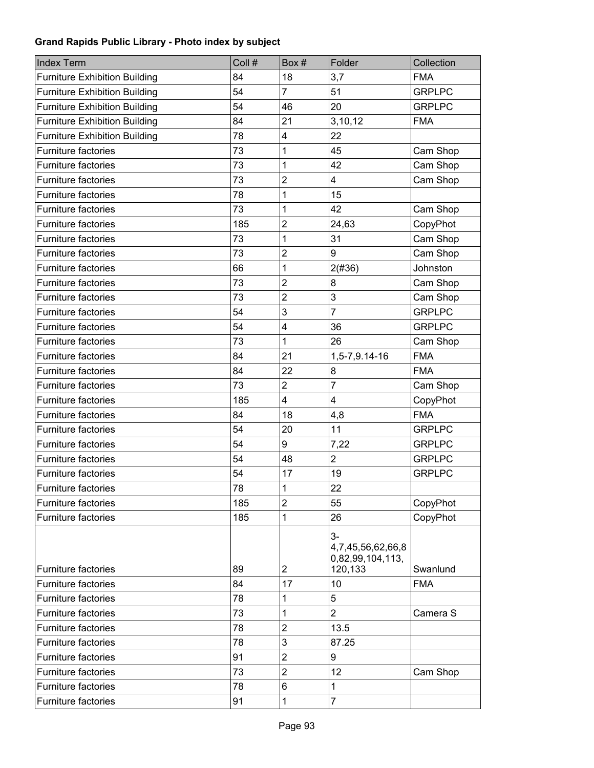| <b>Index Term</b>                    | Coll # | Box#                    | Folder                                        | Collection    |
|--------------------------------------|--------|-------------------------|-----------------------------------------------|---------------|
| <b>Furniture Exhibition Building</b> | 84     | 18                      | 3,7                                           | <b>FMA</b>    |
| <b>Furniture Exhibition Building</b> | 54     | $\overline{7}$          | 51                                            | <b>GRPLPC</b> |
| <b>Furniture Exhibition Building</b> | 54     | 46                      | 20                                            | <b>GRPLPC</b> |
| <b>Furniture Exhibition Building</b> | 84     | 21                      | 3,10,12                                       | <b>FMA</b>    |
| <b>Furniture Exhibition Building</b> | 78     | $\overline{\mathbf{4}}$ | 22                                            |               |
| <b>Furniture factories</b>           | 73     | 1                       | 45                                            | Cam Shop      |
| <b>Furniture factories</b>           | 73     | 1                       | 42                                            | Cam Shop      |
| Furniture factories                  | 73     | $\overline{2}$          | 4                                             | Cam Shop      |
| <b>Furniture factories</b>           | 78     | 1                       | 15                                            |               |
| Furniture factories                  | 73     | 1                       | 42                                            | Cam Shop      |
| <b>Furniture factories</b>           | 185    | $\overline{2}$          | 24,63                                         | CopyPhot      |
| Furniture factories                  | 73     | 1                       | 31                                            | Cam Shop      |
| <b>Furniture factories</b>           | 73     | $\overline{2}$          | 9                                             | Cam Shop      |
| Furniture factories                  | 66     | 1                       | 2(#36)                                        | Johnston      |
| <b>Furniture factories</b>           | 73     | $\overline{2}$          | 8                                             | Cam Shop      |
| <b>Furniture factories</b>           | 73     | $\overline{2}$          | 3                                             | Cam Shop      |
| <b>Furniture factories</b>           | 54     | 3                       | $\overline{7}$                                | <b>GRPLPC</b> |
| Furniture factories                  | 54     | $\overline{\mathbf{4}}$ | 36                                            | <b>GRPLPC</b> |
| <b>Furniture factories</b>           | 73     | 1                       | 26                                            | Cam Shop      |
| Furniture factories                  | 84     | 21                      | 1,5-7,9.14-16                                 | <b>FMA</b>    |
| <b>Furniture factories</b>           | 84     | 22                      | 8                                             | <b>FMA</b>    |
| Furniture factories                  | 73     | $\overline{2}$          | $\overline{7}$                                | Cam Shop      |
| <b>Furniture factories</b>           | 185    | 4                       | 4                                             | CopyPhot      |
| <b>Furniture factories</b>           | 84     | 18                      | 4,8                                           | <b>FMA</b>    |
| <b>Furniture factories</b>           | 54     | 20                      | 11                                            | <b>GRPLPC</b> |
| <b>Furniture factories</b>           | 54     | 9                       | 7,22                                          | <b>GRPLPC</b> |
| Furniture factories                  | 54     | 48                      | $\overline{2}$                                | <b>GRPLPC</b> |
| <b>Furniture factories</b>           | 54     | 17                      | 19                                            | <b>GRPLPC</b> |
| <b>Furniture factories</b>           | 78     | $\mathbf{1}$            | 22                                            |               |
| <b>Furniture factories</b>           | 185    | $\overline{2}$          | 55                                            | CopyPhot      |
| Furniture factories                  | 185    | 1                       | 26                                            | CopyPhot      |
|                                      |        |                         | $3-$<br>4,7,45,56,62,66,8<br>0,82,99,104,113, |               |
| Furniture factories                  | 89     | $\overline{2}$          | 120,133                                       | Swanlund      |
| Furniture factories                  | 84     | 17                      | 10                                            | <b>FMA</b>    |
| Furniture factories                  | 78     | 1                       | 5                                             |               |
| Furniture factories                  | 73     | 1                       | $\overline{2}$                                | Camera S      |
| Furniture factories                  | 78     | $\overline{2}$          | 13.5                                          |               |
| Furniture factories                  | 78     | 3                       | 87.25                                         |               |
| Furniture factories                  | 91     | $\overline{2}$          | 9                                             |               |
| Furniture factories                  | 73     | $\overline{2}$          | 12                                            | Cam Shop      |
| Furniture factories                  | 78     | 6                       | 1                                             |               |
| Furniture factories                  | 91     | 1                       | $\overline{7}$                                |               |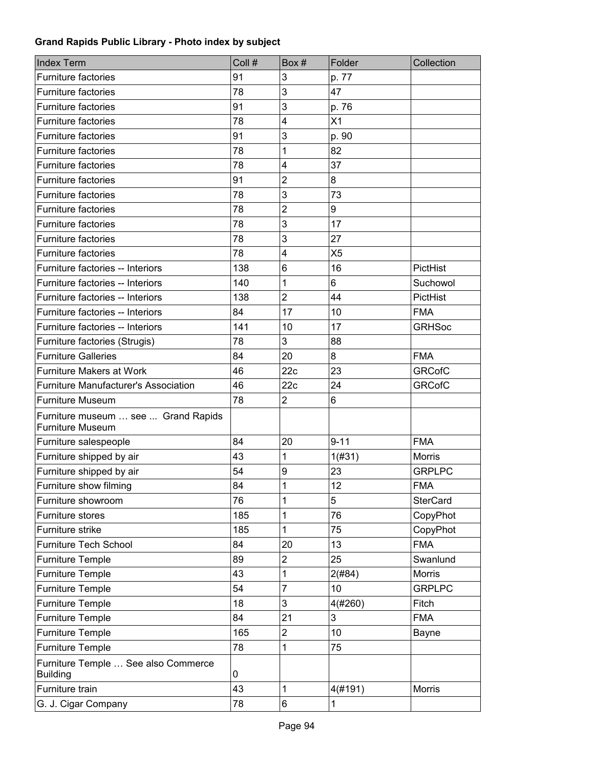| <b>Index Term</b>                                              | Coll # | Box#                    | Folder         | Collection      |
|----------------------------------------------------------------|--------|-------------------------|----------------|-----------------|
| Furniture factories                                            | 91     | 3                       | p. 77          |                 |
| <b>Furniture factories</b>                                     | 78     | 3                       | 47             |                 |
| <b>Furniture factories</b>                                     | 91     | 3                       | p. 76          |                 |
| <b>Furniture factories</b>                                     | 78     | $\overline{\mathbf{4}}$ | X1             |                 |
| <b>Furniture factories</b>                                     | 91     | 3                       | p. 90          |                 |
| <b>Furniture factories</b>                                     | 78     | 1                       | 82             |                 |
| <b>Furniture factories</b>                                     | 78     | $\overline{\mathbf{4}}$ | 37             |                 |
| <b>Furniture factories</b>                                     | 91     | 2                       | 8              |                 |
| <b>Furniture factories</b>                                     | 78     | 3                       | 73             |                 |
| <b>Furniture factories</b>                                     | 78     | $\overline{2}$          | 9              |                 |
| <b>Furniture factories</b>                                     | 78     | 3                       | 17             |                 |
| Furniture factories                                            | 78     | 3                       | 27             |                 |
| <b>Furniture factories</b>                                     | 78     | $\overline{\mathbf{4}}$ | X <sub>5</sub> |                 |
| Furniture factories -- Interiors                               | 138    | 6                       | 16             | PictHist        |
| Furniture factories -- Interiors                               | 140    | 1                       | 6              | Suchowol        |
| Furniture factories -- Interiors                               | 138    | $\overline{2}$          | 44             | PictHist        |
| Furniture factories -- Interiors                               | 84     | 17                      | 10             | <b>FMA</b>      |
| Furniture factories -- Interiors                               | 141    | 10                      | 17             | <b>GRHSoc</b>   |
| Furniture factories (Strugis)                                  | 78     | 3                       | 88             |                 |
| <b>Furniture Galleries</b>                                     | 84     | 20                      | 8              | <b>FMA</b>      |
| <b>Furniture Makers at Work</b>                                | 46     | 22c                     | 23             | <b>GRCofC</b>   |
| <b>Furniture Manufacturer's Association</b>                    | 46     | 22c                     | 24             | <b>GRCofC</b>   |
| <b>Furniture Museum</b>                                        | 78     | $\overline{2}$          | 6              |                 |
| Furniture museum  see  Grand Rapids<br><b>Furniture Museum</b> |        |                         |                |                 |
| Furniture salespeople                                          | 84     | 20                      | $9 - 11$       | <b>FMA</b>      |
| Furniture shipped by air                                       | 43     | 1                       | 1(#31)         | <b>Morris</b>   |
| Furniture shipped by air                                       | 54     | 9                       | 23             | <b>GRPLPC</b>   |
| Furniture show filming                                         | 84     | 1                       | 12             | <b>FMA</b>      |
| Furniture showroom                                             | 76     | 1                       | 5              | <b>SterCard</b> |
| Furniture stores                                               | 185    | 1                       | 76             | CopyPhot        |
| Furniture strike                                               | 185    | 1                       | 75             | CopyPhot        |
| <b>Furniture Tech School</b>                                   | 84     | 20                      | 13             | <b>FMA</b>      |
| <b>Furniture Temple</b>                                        | 89     | $\overline{2}$          | 25             | Swanlund        |
| <b>Furniture Temple</b>                                        | 43     | 1                       | 2(#84)         | <b>Morris</b>   |
| <b>Furniture Temple</b>                                        | 54     | $\overline{7}$          | 10             | <b>GRPLPC</b>   |
| <b>Furniture Temple</b>                                        | 18     | 3                       | 4(#260)        | Fitch           |
| <b>Furniture Temple</b>                                        | 84     | 21                      | 3              | <b>FMA</b>      |
| <b>Furniture Temple</b>                                        | 165    | $\overline{c}$          | 10             | Bayne           |
| <b>Furniture Temple</b>                                        | 78     | 1                       | 75             |                 |
| Furniture Temple  See also Commerce<br><b>Building</b>         | 0      |                         |                |                 |
| Furniture train                                                | 43     | 1                       | 4(#191)        | Morris          |
| G. J. Cigar Company                                            | 78     | 6                       | 1              |                 |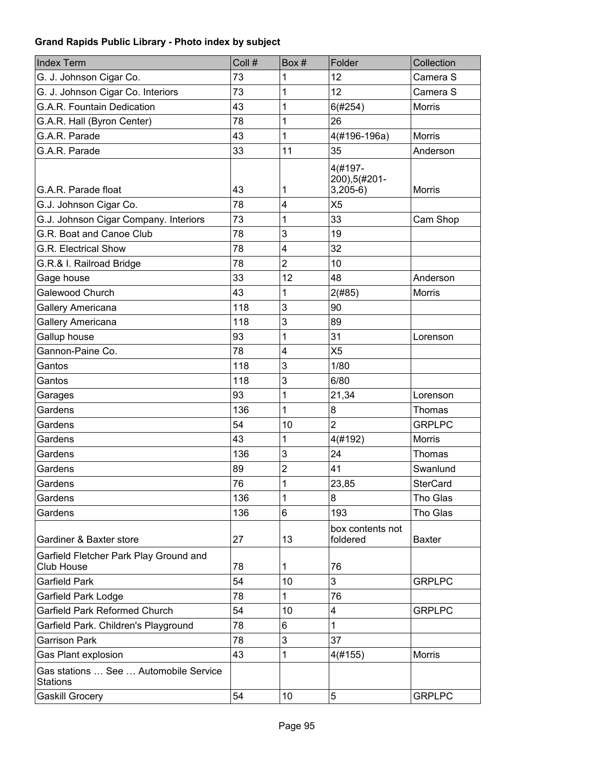| <b>Index Term</b>                                           | Coll # | Box#           | Folder                                 | Collection      |
|-------------------------------------------------------------|--------|----------------|----------------------------------------|-----------------|
| G. J. Johnson Cigar Co.                                     | 73     | 1              | 12                                     | Camera S        |
| G. J. Johnson Cigar Co. Interiors                           | 73     | 1              | 12                                     | Camera S        |
| G.A.R. Fountain Dedication                                  | 43     | 1              | 6(#254)                                | <b>Morris</b>   |
| G.A.R. Hall (Byron Center)                                  | 78     | 1              | 26                                     |                 |
| G.A.R. Parade                                               | 43     | 1              | 4(#196-196a)                           | <b>Morris</b>   |
| G.A.R. Parade                                               | 33     | 11             | 35                                     | Anderson        |
| G.A.R. Parade float                                         | 43     | 1              | 4(#197-<br>200), 5(#201-<br>$3,205-6)$ | <b>Morris</b>   |
| G.J. Johnson Cigar Co.                                      | 78     | 4              | X <sub>5</sub>                         |                 |
| G.J. Johnson Cigar Company. Interiors                       | 73     | 1              | 33                                     | Cam Shop        |
| G.R. Boat and Canoe Club                                    | 78     | 3              | 19                                     |                 |
| <b>G.R. Electrical Show</b>                                 | 78     | 4              | 32                                     |                 |
| G.R.& I. Railroad Bridge                                    | 78     | $\overline{2}$ | 10                                     |                 |
| Gage house                                                  | 33     | 12             | 48                                     | Anderson        |
| Galewood Church                                             | 43     | 1              | 2(#85)                                 | <b>Morris</b>   |
| Gallery Americana                                           | 118    | 3              | 90                                     |                 |
| Gallery Americana                                           | 118    | 3              | 89                                     |                 |
| Gallup house                                                | 93     | 1              | 31                                     | Lorenson        |
| Gannon-Paine Co.                                            | 78     | 4              | X <sub>5</sub>                         |                 |
| Gantos                                                      | 118    | 3              | 1/80                                   |                 |
| Gantos                                                      | 118    | 3              | 6/80                                   |                 |
| Garages                                                     | 93     | 1              | 21,34                                  | Lorenson        |
| Gardens                                                     | 136    | 1              | 8                                      | Thomas          |
| Gardens                                                     | 54     | 10             | $\overline{2}$                         | <b>GRPLPC</b>   |
| Gardens                                                     | 43     | 1              | 4(#192)                                | <b>Morris</b>   |
| Gardens                                                     | 136    | 3              | 24                                     | Thomas          |
| Gardens                                                     | 89     | $\overline{2}$ | 41                                     | Swanlund        |
| Gardens                                                     | 76     | 1              | 23,85                                  | <b>SterCard</b> |
| Gardens                                                     | 136    | 1              | 8                                      | Tho Glas        |
| Gardens                                                     | 136    | 6              | 193                                    | Tho Glas        |
| Gardiner & Baxter store                                     | 27     | 13             | box contents not<br>foldered           | <b>Baxter</b>   |
| Garfield Fletcher Park Play Ground and<br><b>Club House</b> | 78     | 1              | 76                                     |                 |
| Garfield Park                                               | 54     | 10             | 3                                      | <b>GRPLPC</b>   |
| Garfield Park Lodge                                         | 78     | 1              | 76                                     |                 |
| Garfield Park Reformed Church                               | 54     | 10             | 4                                      | <b>GRPLPC</b>   |
| Garfield Park. Children's Playground                        | 78     | 6              | 1                                      |                 |
| <b>Garrison Park</b>                                        | 78     | 3              | 37                                     |                 |
| Gas Plant explosion                                         | 43     | 1              | 4(#155)                                | <b>Morris</b>   |
| Gas stations  See  Automobile Service<br>Stations           |        |                |                                        |                 |
| <b>Gaskill Grocery</b>                                      | 54     | 10             | 5                                      | <b>GRPLPC</b>   |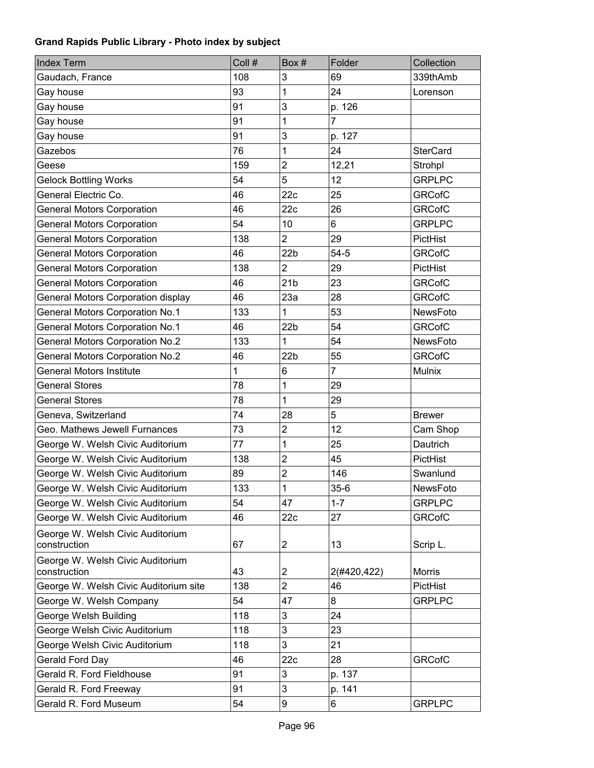| <b>Index Term</b>                                | Coll # | Box#            | Folder         | Collection      |
|--------------------------------------------------|--------|-----------------|----------------|-----------------|
| Gaudach, France                                  | 108    | 3               | 69             | 339thAmb        |
| Gay house                                        | 93     | 1               | 24             | Lorenson        |
| Gay house                                        | 91     | 3               | p. 126         |                 |
| Gay house                                        | 91     | 1               | $\overline{7}$ |                 |
| Gay house                                        | 91     | $\mathbf{3}$    | p. 127         |                 |
| Gazebos                                          | 76     | 1               | 24             | <b>SterCard</b> |
| Geese                                            | 159    | $\overline{2}$  | 12,21          | Strohpl         |
| <b>Gelock Bottling Works</b>                     | 54     | 5               | 12             | <b>GRPLPC</b>   |
| General Electric Co.                             | 46     | 22c             | 25             | <b>GRCofC</b>   |
| <b>General Motors Corporation</b>                | 46     | 22c             | 26             | <b>GRCofC</b>   |
| <b>General Motors Corporation</b>                | 54     | 10              | 6              | <b>GRPLPC</b>   |
| <b>General Motors Corporation</b>                | 138    | $\overline{2}$  | 29             | PictHist        |
| <b>General Motors Corporation</b>                | 46     | 22 <sub>b</sub> | $54 - 5$       | <b>GRCofC</b>   |
| <b>General Motors Corporation</b>                | 138    | $\overline{2}$  | 29             | PictHist        |
| <b>General Motors Corporation</b>                | 46     | 21 <sub>b</sub> | 23             | <b>GRCofC</b>   |
| <b>General Motors Corporation display</b>        | 46     | 23a             | 28             | <b>GRCofC</b>   |
| <b>General Motors Corporation No.1</b>           | 133    | 1               | 53             | NewsFoto        |
| <b>General Motors Corporation No.1</b>           | 46     | 22 <sub>b</sub> | 54             | <b>GRCofC</b>   |
| <b>General Motors Corporation No.2</b>           | 133    | 1               | 54             | NewsFoto        |
| <b>General Motors Corporation No.2</b>           | 46     | 22 <sub>b</sub> | 55             | <b>GRCofC</b>   |
| <b>General Motors Institute</b>                  | 1      | 6               | $\overline{7}$ | <b>Mulnix</b>   |
| <b>General Stores</b>                            | 78     | 1               | 29             |                 |
| <b>General Stores</b>                            | 78     | 1               | 29             |                 |
| Geneva, Switzerland                              | 74     | 28              | 5              | <b>Brewer</b>   |
| Geo. Mathews Jewell Furnances                    | 73     | $\mathbf 2$     | 12             | Cam Shop        |
| George W. Welsh Civic Auditorium                 | 77     | 1               | 25             | Dautrich        |
| George W. Welsh Civic Auditorium                 | 138    | $\mathbf 2$     | 45             | PictHist        |
| George W. Welsh Civic Auditorium                 | 89     | $\overline{2}$  | 146            | Swanlund        |
| George W. Welsh Civic Auditorium                 | 133    | 1               | $35 - 6$       | NewsFoto        |
| George W. Welsh Civic Auditorium                 | 54     | 47              | $1 - 7$        | <b>GRPLPC</b>   |
| George W. Welsh Civic Auditorium                 | 46     | 22c             | 27             | <b>GRCofC</b>   |
| George W. Welsh Civic Auditorium<br>construction | 67     | 2               | 13             | Scrip L.        |
| George W. Welsh Civic Auditorium<br>construction | 43     | $\overline{c}$  | 2(#420,422)    | <b>Morris</b>   |
| George W. Welsh Civic Auditorium site            | 138    | $\overline{2}$  | 46             | <b>PictHist</b> |
| George W. Welsh Company                          | 54     | 47              | 8              | <b>GRPLPC</b>   |
| George Welsh Building                            | 118    | 3               | 24             |                 |
| George Welsh Civic Auditorium                    | 118    | 3               | 23             |                 |
| George Welsh Civic Auditorium                    | 118    | 3               | 21             |                 |
| Gerald Ford Day                                  | 46     | 22c             | 28             | <b>GRCofC</b>   |
| Gerald R. Ford Fieldhouse                        | 91     | 3               | p. 137         |                 |
| Gerald R. Ford Freeway                           | 91     | 3               | p. 141         |                 |
| Gerald R. Ford Museum                            | 54     | 9               | 6              | <b>GRPLPC</b>   |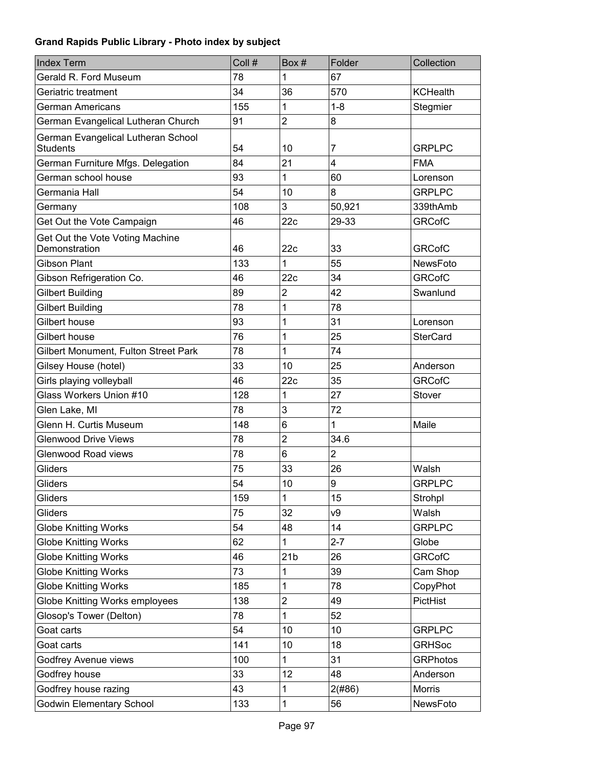| <b>Index Term</b>                                     | Coll # | Box #           | Folder         | Collection      |
|-------------------------------------------------------|--------|-----------------|----------------|-----------------|
| Gerald R. Ford Museum                                 | 78     | 1               | 67             |                 |
| Geriatric treatment                                   | 34     | 36              | 570            | <b>KCHealth</b> |
| German Americans                                      | 155    | 1               | $1 - 8$        | Stegmier        |
| German Evangelical Lutheran Church                    | 91     | $\overline{2}$  | 8              |                 |
| German Evangelical Lutheran School<br><b>Students</b> | 54     | 10              | 7              | <b>GRPLPC</b>   |
| German Furniture Mfgs. Delegation                     | 84     | 21              | 4              | <b>FMA</b>      |
| German school house                                   | 93     | 1               | 60             | Lorenson        |
| Germania Hall                                         | 54     | 10              | 8              | <b>GRPLPC</b>   |
| Germany                                               | 108    | 3               | 50,921         | 339thAmb        |
| Get Out the Vote Campaign                             | 46     | 22c             | 29-33          | <b>GRCofC</b>   |
| Get Out the Vote Voting Machine<br>Demonstration      | 46     | 22c             | 33             | <b>GRCofC</b>   |
| <b>Gibson Plant</b>                                   | 133    | 1               | 55             | NewsFoto        |
| Gibson Refrigeration Co.                              | 46     | 22c             | 34             | <b>GRCofC</b>   |
| <b>Gilbert Building</b>                               | 89     | $\overline{2}$  | 42             | Swanlund        |
| Gilbert Building                                      | 78     | 1               | 78             |                 |
| Gilbert house                                         | 93     | 1               | 31             | Lorenson        |
| Gilbert house                                         | 76     | 1               | 25             | <b>SterCard</b> |
| Gilbert Monument, Fulton Street Park                  | 78     | 1               | 74             |                 |
| Gilsey House (hotel)                                  | 33     | 10              | 25             | Anderson        |
| Girls playing volleyball                              | 46     | 22c             | 35             | <b>GRCofC</b>   |
| Glass Workers Union #10                               | 128    | 1               | 27             | Stover          |
| Glen Lake, MI                                         | 78     | 3               | 72             |                 |
| Glenn H. Curtis Museum                                | 148    | 6               | $\mathbf{1}$   | Maile           |
| <b>Glenwood Drive Views</b>                           | 78     | $\mathbf 2$     | 34.6           |                 |
| <b>Glenwood Road views</b>                            | 78     | 6               | $\overline{2}$ |                 |
| Gliders                                               | 75     | 33              | 26             | Walsh           |
| Gliders                                               | 54     | 10              | 9              | <b>GRPLPC</b>   |
| Gliders                                               | 159    | 1               | 15             | Strohpl         |
| Gliders                                               | 75     | 32              | ν9             | Walsh           |
| <b>Globe Knitting Works</b>                           | 54     | 48              | 14             | <b>GRPLPC</b>   |
| <b>Globe Knitting Works</b>                           | 62     | 1               | $2 - 7$        | Globe           |
| <b>Globe Knitting Works</b>                           | 46     | 21 <sub>b</sub> | 26             | <b>GRCofC</b>   |
| <b>Globe Knitting Works</b>                           | 73     | 1               | 39             | Cam Shop        |
| <b>Globe Knitting Works</b>                           | 185    | 1               | 78             | CopyPhot        |
| Globe Knitting Works employees                        | 138    | $\mathbf 2$     | 49             | PictHist        |
| Glosop's Tower (Delton)                               | 78     | 1               | 52             |                 |
| Goat carts                                            | 54     | 10              | 10             | <b>GRPLPC</b>   |
| Goat carts                                            | 141    | 10              | 18             | <b>GRHSoc</b>   |
| Godfrey Avenue views                                  | 100    | 1               | 31             | <b>GRPhotos</b> |
| Godfrey house                                         | 33     | 12              | 48             | Anderson        |
| Godfrey house razing                                  | 43     | 1               | 2(#86)         | Morris          |
| Godwin Elementary School                              | 133    | 1               | 56             | NewsFoto        |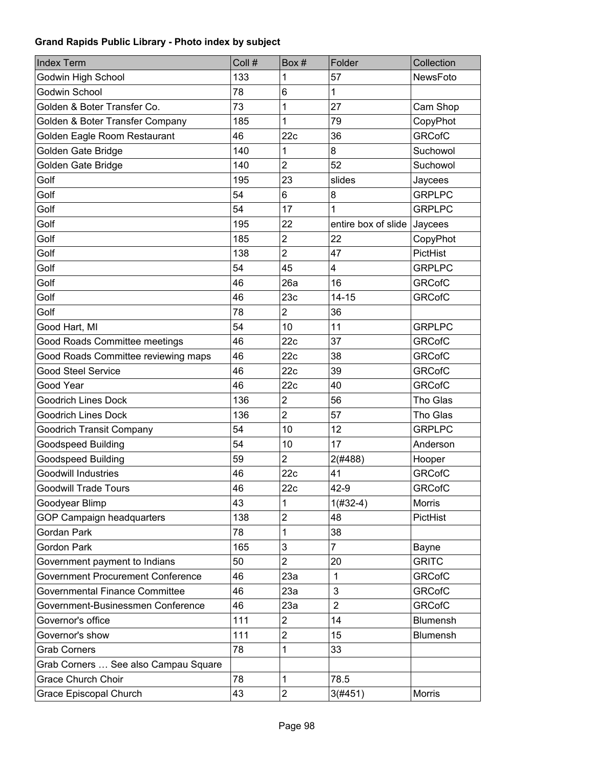| <b>Index Term</b>                        | Coll # | Box#                    | Folder              | Collection    |
|------------------------------------------|--------|-------------------------|---------------------|---------------|
| Godwin High School                       | 133    | 1                       | 57                  | NewsFoto      |
| Godwin School                            | 78     | 6                       | 1                   |               |
| Golden & Boter Transfer Co.              | 73     | 1                       | 27                  | Cam Shop      |
| Golden & Boter Transfer Company          | 185    | 1                       | 79                  | CopyPhot      |
| Golden Eagle Room Restaurant             | 46     | 22c                     | 36                  | <b>GRCofC</b> |
| Golden Gate Bridge                       | 140    | 1                       | 8                   | Suchowol      |
| Golden Gate Bridge                       | 140    | $\overline{2}$          | 52                  | Suchowol      |
| Golf                                     | 195    | 23                      | slides              | Jaycees       |
| Golf                                     | 54     | 6                       | 8                   | <b>GRPLPC</b> |
| Golf                                     | 54     | 17                      | 1                   | <b>GRPLPC</b> |
| Golf                                     | 195    | 22                      | entire box of slide | Jaycees       |
| Golf                                     | 185    | $\overline{\mathbf{c}}$ | 22                  | CopyPhot      |
| Golf                                     | 138    | $\overline{2}$          | 47                  | PictHist      |
| Golf                                     | 54     | 45                      | 4                   | <b>GRPLPC</b> |
| Golf                                     | 46     | 26a                     | 16                  | <b>GRCofC</b> |
| Golf                                     | 46     | 23c                     | $14 - 15$           | <b>GRCofC</b> |
| Golf                                     | 78     | $\overline{2}$          | 36                  |               |
| Good Hart, MI                            | 54     | 10                      | 11                  | <b>GRPLPC</b> |
| Good Roads Committee meetings            | 46     | 22c                     | 37                  | <b>GRCofC</b> |
| Good Roads Committee reviewing maps      | 46     | 22c                     | 38                  | <b>GRCofC</b> |
| <b>Good Steel Service</b>                | 46     | 22c                     | 39                  | <b>GRCofC</b> |
| Good Year                                | 46     | 22c                     | 40                  | <b>GRCofC</b> |
| <b>Goodrich Lines Dock</b>               | 136    | $\overline{c}$          | 56                  | Tho Glas      |
| <b>Goodrich Lines Dock</b>               | 136    | $\overline{2}$          | 57                  | Tho Glas      |
| <b>Goodrich Transit Company</b>          | 54     | 10                      | 12                  | <b>GRPLPC</b> |
| <b>Goodspeed Building</b>                | 54     | 10                      | 17                  | Anderson      |
| Goodspeed Building                       | 59     | $\overline{2}$          | 2(#488)             | Hooper        |
| <b>Goodwill Industries</b>               | 46     | 22c                     | 41                  | <b>GRCofC</b> |
| <b>Goodwill Trade Tours</b>              | 46     | 22c                     | 42-9                | <b>GRCofC</b> |
| Goodyear Blimp                           | 43     | 1                       | $1(#32-4)$          | Morris        |
| GOP Campaign headquarters                | 138    | $\overline{\mathbf{c}}$ | 48                  | PictHist      |
| Gordan Park                              | 78     | 1                       | 38                  |               |
| Gordon Park                              | 165    | 3                       | $\overline{7}$      | Bayne         |
| Government payment to Indians            | 50     | $\overline{2}$          | 20                  | <b>GRITC</b>  |
| <b>Government Procurement Conference</b> | 46     | 23a                     | $\mathbf{1}$        | <b>GRCofC</b> |
| <b>Governmental Finance Committee</b>    | 46     | 23a                     | 3                   | <b>GRCofC</b> |
| Government-Businessmen Conference        | 46     | 23a                     | $\overline{2}$      | <b>GRCofC</b> |
| Governor's office                        | 111    | $\overline{c}$          | 14                  | Blumensh      |
| Governor's show                          | 111    | $\overline{\mathbf{c}}$ | 15                  | Blumensh      |
| <b>Grab Corners</b>                      | 78     | 1                       | 33                  |               |
| Grab Corners  See also Campau Square     |        |                         |                     |               |
| <b>Grace Church Choir</b>                | 78     | 1                       | 78.5                |               |
| Grace Episcopal Church                   | 43     | $\overline{\mathbf{c}}$ | 3(#451)             | Morris        |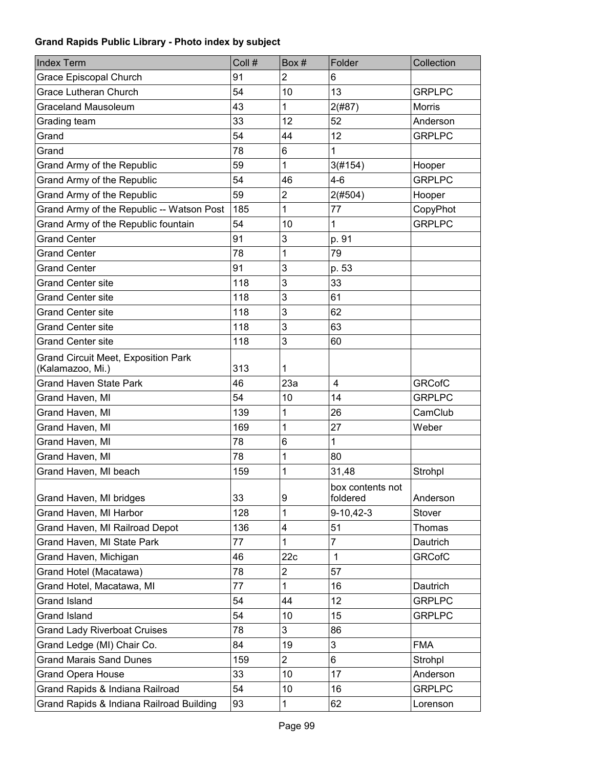| <b>Index Term</b>                                              | Coll # | Box#                    | Folder                       | Collection    |
|----------------------------------------------------------------|--------|-------------------------|------------------------------|---------------|
| Grace Episcopal Church                                         | 91     | $\overline{2}$          | 6                            |               |
| <b>Grace Lutheran Church</b>                                   | 54     | 10                      | 13                           | <b>GRPLPC</b> |
| <b>Graceland Mausoleum</b>                                     | 43     | 1                       | 2(#87)                       | <b>Morris</b> |
| Grading team                                                   | 33     | 12                      | 52                           | Anderson      |
| Grand                                                          | 54     | 44                      | 12                           | <b>GRPLPC</b> |
| Grand                                                          | 78     | 6                       | 1                            |               |
| Grand Army of the Republic                                     | 59     | 1                       | 3(#154)                      | Hooper        |
| Grand Army of the Republic                                     | 54     | 46                      | $4 - 6$                      | <b>GRPLPC</b> |
| Grand Army of the Republic                                     | 59     | $\overline{\mathbf{c}}$ | 2(#504)                      | Hooper        |
| Grand Army of the Republic -- Watson Post                      | 185    | 1                       | 77                           | CopyPhot      |
| Grand Army of the Republic fountain                            | 54     | 10                      | 1                            | <b>GRPLPC</b> |
| <b>Grand Center</b>                                            | 91     | 3                       | p. 91                        |               |
| <b>Grand Center</b>                                            | 78     | 1                       | 79                           |               |
| <b>Grand Center</b>                                            | 91     | 3                       | p. 53                        |               |
| <b>Grand Center site</b>                                       | 118    | 3                       | 33                           |               |
| <b>Grand Center site</b>                                       | 118    | 3                       | 61                           |               |
| <b>Grand Center site</b>                                       | 118    | 3                       | 62                           |               |
| <b>Grand Center site</b>                                       | 118    | 3                       | 63                           |               |
| <b>Grand Center site</b>                                       | 118    | 3                       | 60                           |               |
| <b>Grand Circuit Meet, Exposition Park</b><br>(Kalamazoo, Mi.) | 313    | 1                       |                              |               |
| <b>Grand Haven State Park</b>                                  | 46     | 23a                     | $\overline{4}$               | <b>GRCofC</b> |
| Grand Haven, MI                                                | 54     | 10                      | 14                           | <b>GRPLPC</b> |
| Grand Haven, MI                                                | 139    | 1                       | 26                           | CamClub       |
| Grand Haven, MI                                                | 169    | 1                       | 27                           | Weber         |
| Grand Haven, MI                                                | 78     | 6                       | 1                            |               |
| Grand Haven, MI                                                | 78     | 1                       | 80                           |               |
| Grand Haven, MI beach                                          | 159    | 1                       | 31,48                        | Strohpl       |
| Grand Haven, MI bridges                                        | 33     | 9                       | box contents not<br>foldered | Anderson      |
| Grand Haven, MI Harbor                                         | 128    | 1                       | $9-10,42-3$                  | Stover        |
| Grand Haven, MI Railroad Depot                                 | 136    | 4                       | 51                           | Thomas        |
| Grand Haven, MI State Park                                     | 77     | 1                       | 7                            | Dautrich      |
| Grand Haven, Michigan                                          | 46     | 22c                     | $\mathbf{1}$                 | <b>GRCofC</b> |
| Grand Hotel (Macatawa)                                         | 78     | $\overline{\mathbf{c}}$ | 57                           |               |
| Grand Hotel, Macatawa, MI                                      | 77     | 1                       | 16                           | Dautrich      |
| <b>Grand Island</b>                                            | 54     | 44                      | 12                           | <b>GRPLPC</b> |
| <b>Grand Island</b>                                            | 54     | 10                      | 15                           | <b>GRPLPC</b> |
| <b>Grand Lady Riverboat Cruises</b>                            | 78     | 3                       | 86                           |               |
| Grand Ledge (MI) Chair Co.                                     | 84     | 19                      | 3                            | <b>FMA</b>    |
| <b>Grand Marais Sand Dunes</b>                                 | 159    | $\overline{2}$          | 6                            | Strohpl       |
| <b>Grand Opera House</b>                                       | 33     | 10                      | 17                           | Anderson      |
| Grand Rapids & Indiana Railroad                                | 54     | 10                      | 16                           | <b>GRPLPC</b> |
| Grand Rapids & Indiana Railroad Building                       | 93     | 1                       | 62                           | Lorenson      |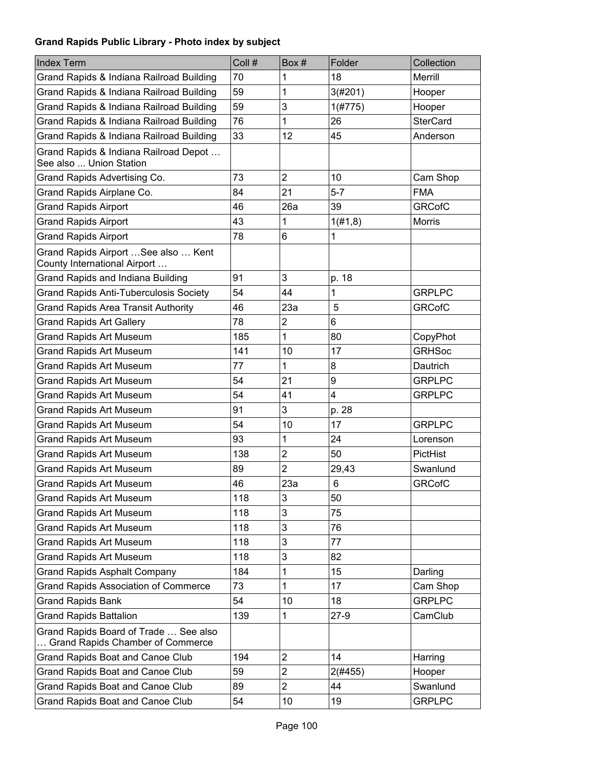| <b>Index Term</b>                                                         | Coll # | Box#             | Folder         | Collection      |
|---------------------------------------------------------------------------|--------|------------------|----------------|-----------------|
| Grand Rapids & Indiana Railroad Building                                  | 70     | 1                | 18             | Merrill         |
| Grand Rapids & Indiana Railroad Building                                  | 59     | 1                | 3(#201)        | Hooper          |
| Grand Rapids & Indiana Railroad Building                                  | 59     | 3                | 1(#775)        | Hooper          |
| Grand Rapids & Indiana Railroad Building                                  | 76     | 1                | 26             | <b>SterCard</b> |
| Grand Rapids & Indiana Railroad Building                                  | 33     | 12               | 45             | Anderson        |
| Grand Rapids & Indiana Railroad Depot<br>See also  Union Station          |        |                  |                |                 |
| Grand Rapids Advertising Co.                                              | 73     | $\overline{2}$   | 10             | Cam Shop        |
| Grand Rapids Airplane Co.                                                 | 84     | 21               | $5-7$          | <b>FMA</b>      |
| <b>Grand Rapids Airport</b>                                               | 46     | 26a              | 39             | <b>GRCofC</b>   |
| <b>Grand Rapids Airport</b>                                               | 43     | 1                | 1(#1, 8)       | <b>Morris</b>   |
| <b>Grand Rapids Airport</b>                                               | 78     | 6                | 1              |                 |
| Grand Rapids Airport  See also  Kent<br>County International Airport      |        |                  |                |                 |
| Grand Rapids and Indiana Building                                         | 91     | 3                | p. 18          |                 |
| <b>Grand Rapids Anti-Tuberculosis Society</b>                             | 54     | 44               | 1              | <b>GRPLPC</b>   |
| <b>Grand Rapids Area Transit Authority</b>                                | 46     | 23a              | 5              | <b>GRCofC</b>   |
| <b>Grand Rapids Art Gallery</b>                                           | 78     | $\boldsymbol{2}$ | 6              |                 |
| <b>Grand Rapids Art Museum</b>                                            | 185    | 1                | 80             | CopyPhot        |
| <b>Grand Rapids Art Museum</b>                                            | 141    | 10               | 17             | <b>GRHSoc</b>   |
| <b>Grand Rapids Art Museum</b>                                            | 77     | 1                | 8              | Dautrich        |
| <b>Grand Rapids Art Museum</b>                                            | 54     | 21               | 9              | <b>GRPLPC</b>   |
| <b>Grand Rapids Art Museum</b>                                            | 54     | 41               | $\overline{4}$ | <b>GRPLPC</b>   |
| <b>Grand Rapids Art Museum</b>                                            | 91     | 3                | p. 28          |                 |
| <b>Grand Rapids Art Museum</b>                                            | 54     | 10               | 17             | <b>GRPLPC</b>   |
| <b>Grand Rapids Art Museum</b>                                            | 93     | 1                | 24             | Lorenson        |
| <b>Grand Rapids Art Museum</b>                                            | 138    | $\overline{2}$   | 50             | PictHist        |
| <b>Grand Rapids Art Museum</b>                                            | 89     | $\overline{2}$   | 29,43          | Swanlund        |
| <b>Grand Rapids Art Museum</b>                                            | 46     | 23a              | 6              | <b>GRCofC</b>   |
| <b>Grand Rapids Art Museum</b>                                            | 118    | 3                | 50             |                 |
| <b>Grand Rapids Art Museum</b>                                            | 118    | 3                | 75             |                 |
| <b>Grand Rapids Art Museum</b>                                            | 118    | 3                | 76             |                 |
| <b>Grand Rapids Art Museum</b>                                            | 118    | 3                | 77             |                 |
| <b>Grand Rapids Art Museum</b>                                            | 118    | 3                | 82             |                 |
| <b>Grand Rapids Asphalt Company</b>                                       | 184    | 1                | 15             | Darling         |
| <b>Grand Rapids Association of Commerce</b>                               | 73     | 1                | 17             | Cam Shop        |
| <b>Grand Rapids Bank</b>                                                  | 54     | 10               | 18             | <b>GRPLPC</b>   |
| <b>Grand Rapids Battalion</b>                                             | 139    | 1                | $27-9$         | CamClub         |
| Grand Rapids Board of Trade  See also<br>Grand Rapids Chamber of Commerce |        |                  |                |                 |
| Grand Rapids Boat and Canoe Club                                          | 194    | $\overline{2}$   | 14             | Harring         |
| Grand Rapids Boat and Canoe Club                                          | 59     | $\overline{2}$   | 2(#455)        | Hooper          |
| Grand Rapids Boat and Canoe Club                                          | 89     | $\overline{2}$   | 44             | Swanlund        |
| Grand Rapids Boat and Canoe Club                                          | 54     | 10               | 19             | <b>GRPLPC</b>   |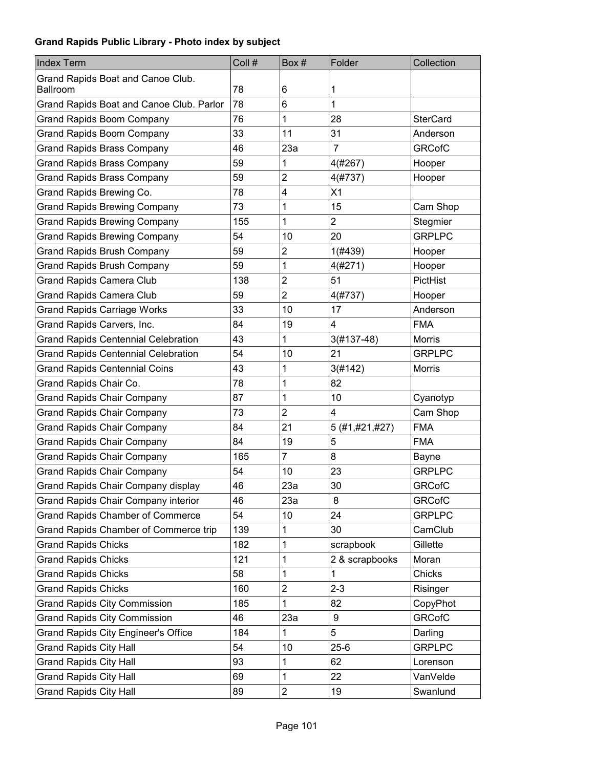| <b>Index Term</b>                          | Coll # | Box#           | Folder         | Collection      |
|--------------------------------------------|--------|----------------|----------------|-----------------|
| Grand Rapids Boat and Canoe Club.          |        |                |                |                 |
| Ballroom                                   | 78     | 6              | 1              |                 |
| Grand Rapids Boat and Canoe Club. Parlor   | 78     | 6              | 1              |                 |
| <b>Grand Rapids Boom Company</b>           | 76     | 1              | 28             | <b>SterCard</b> |
| <b>Grand Rapids Boom Company</b>           | 33     | 11             | 31             | Anderson        |
| <b>Grand Rapids Brass Company</b>          | 46     | 23a            | $\overline{7}$ | <b>GRCofC</b>   |
| <b>Grand Rapids Brass Company</b>          | 59     | 1              | 4(#267)        | Hooper          |
| <b>Grand Rapids Brass Company</b>          | 59     | 2              | 4(#737)        | Hooper          |
| Grand Rapids Brewing Co.                   | 78     | 4              | X1             |                 |
| <b>Grand Rapids Brewing Company</b>        | 73     | 1              | 15             | Cam Shop        |
| <b>Grand Rapids Brewing Company</b>        | 155    | 1              | $\overline{2}$ | Stegmier        |
| <b>Grand Rapids Brewing Company</b>        | 54     | 10             | 20             | <b>GRPLPC</b>   |
| <b>Grand Rapids Brush Company</b>          | 59     | 2              | 1(#439)        | Hooper          |
| <b>Grand Rapids Brush Company</b>          | 59     | 1              | 4(#271)        | Hooper          |
| <b>Grand Rapids Camera Club</b>            | 138    | $\overline{2}$ | 51             | PictHist        |
| <b>Grand Rapids Camera Club</b>            | 59     | $\overline{2}$ | 4(#737)        | Hooper          |
| <b>Grand Rapids Carriage Works</b>         | 33     | 10             | 17             | Anderson        |
| Grand Rapids Carvers, Inc.                 | 84     | 19             | 4              | <b>FMA</b>      |
| <b>Grand Rapids Centennial Celebration</b> | 43     | 1              | 3(#137-48)     | <b>Morris</b>   |
| <b>Grand Rapids Centennial Celebration</b> | 54     | 10             | 21             | <b>GRPLPC</b>   |
| <b>Grand Rapids Centennial Coins</b>       | 43     | 1              | 3(#142)        | <b>Morris</b>   |
| Grand Rapids Chair Co.                     | 78     | 1              | 82             |                 |
| <b>Grand Rapids Chair Company</b>          | 87     | 1              | 10             | Cyanotyp        |
| <b>Grand Rapids Chair Company</b>          | 73     | $\overline{2}$ | 4              | Cam Shop        |
| <b>Grand Rapids Chair Company</b>          | 84     | 21             | 5 (#1,#21,#27) | <b>FMA</b>      |
| <b>Grand Rapids Chair Company</b>          | 84     | 19             | 5              | <b>FMA</b>      |
| <b>Grand Rapids Chair Company</b>          | 165    | $\overline{7}$ | 8              | Bayne           |
| <b>Grand Rapids Chair Company</b>          | 54     | 10             | 23             | <b>GRPLPC</b>   |
| Grand Rapids Chair Company display         | 46     | 23a            | 30             | <b>GRCofC</b>   |
| Grand Rapids Chair Company interior        | 46     | 23a            | 8              | <b>GRCofC</b>   |
| <b>Grand Rapids Chamber of Commerce</b>    | 54     | 10             | 24             | <b>GRPLPC</b>   |
| Grand Rapids Chamber of Commerce trip      | 139    | 1              | 30             | CamClub         |
| <b>Grand Rapids Chicks</b>                 | 182    | 1              | scrapbook      | Gillette        |
| <b>Grand Rapids Chicks</b>                 | 121    | 1              | 2 & scrapbooks | Moran           |
| <b>Grand Rapids Chicks</b>                 | 58     | 1              | 1              | Chicks          |
| <b>Grand Rapids Chicks</b>                 | 160    | $\overline{2}$ | $2 - 3$        | Risinger        |
| <b>Grand Rapids City Commission</b>        | 185    | 1              | 82             | CopyPhot        |
| <b>Grand Rapids City Commission</b>        | 46     | 23a            | 9              | <b>GRCofC</b>   |
| <b>Grand Rapids City Engineer's Office</b> | 184    | 1              | 5              | Darling         |
| <b>Grand Rapids City Hall</b>              | 54     | 10             | $25 - 6$       | <b>GRPLPC</b>   |
| <b>Grand Rapids City Hall</b>              | 93     | 1              | 62             | Lorenson        |
| <b>Grand Rapids City Hall</b>              | 69     | 1              | 22             | VanVelde        |
| <b>Grand Rapids City Hall</b>              | 89     | $\overline{c}$ | 19             | Swanlund        |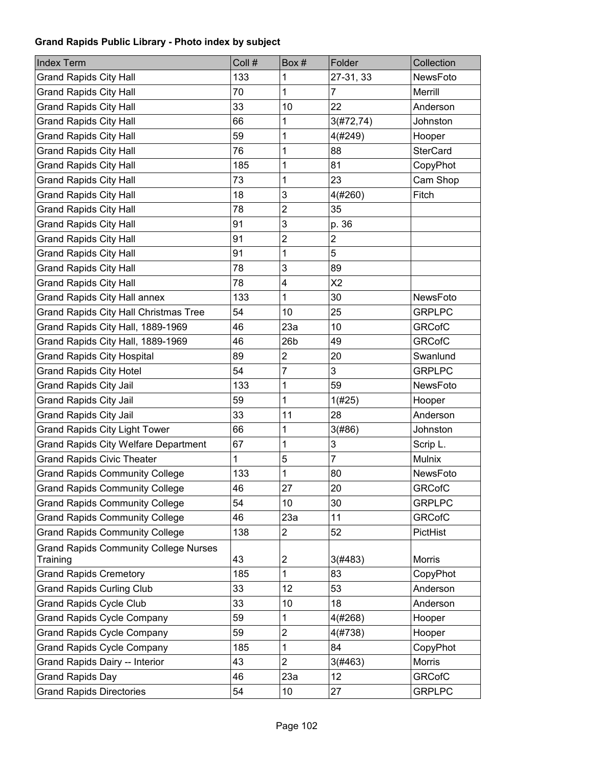| <b>Index Term</b>                                        | Coll # | Box #          | Folder         | Collection      |
|----------------------------------------------------------|--------|----------------|----------------|-----------------|
| <b>Grand Rapids City Hall</b>                            | 133    | 1              | 27-31, 33      | NewsFoto        |
| <b>Grand Rapids City Hall</b>                            | 70     | 1              | 7              | Merrill         |
| <b>Grand Rapids City Hall</b>                            | 33     | 10             | 22             | Anderson        |
| <b>Grand Rapids City Hall</b>                            | 66     | 1              | 3(#72, 74)     | Johnston        |
| <b>Grand Rapids City Hall</b>                            | 59     | 1              | 4(#249)        | Hooper          |
| <b>Grand Rapids City Hall</b>                            | 76     | 1              | 88             | <b>SterCard</b> |
| <b>Grand Rapids City Hall</b>                            | 185    | 1              | 81             | CopyPhot        |
| <b>Grand Rapids City Hall</b>                            | 73     | 1              | 23             | Cam Shop        |
| <b>Grand Rapids City Hall</b>                            | 18     | 3              | 4(#260)        | Fitch           |
| <b>Grand Rapids City Hall</b>                            | 78     | 2              | 35             |                 |
| <b>Grand Rapids City Hall</b>                            | 91     | 3              | p. 36          |                 |
| <b>Grand Rapids City Hall</b>                            | 91     | 2              | $\overline{2}$ |                 |
| <b>Grand Rapids City Hall</b>                            | 91     | 1              | 5              |                 |
| <b>Grand Rapids City Hall</b>                            | 78     | 3              | 89             |                 |
| <b>Grand Rapids City Hall</b>                            | 78     | 4              | X <sub>2</sub> |                 |
| <b>Grand Rapids City Hall annex</b>                      | 133    | 1              | 30             | NewsFoto        |
| Grand Rapids City Hall Christmas Tree                    | 54     | 10             | 25             | <b>GRPLPC</b>   |
| Grand Rapids City Hall, 1889-1969                        | 46     | 23a            | 10             | <b>GRCofC</b>   |
| Grand Rapids City Hall, 1889-1969                        | 46     | 26b            | 49             | <b>GRCofC</b>   |
| <b>Grand Rapids City Hospital</b>                        | 89     | $\overline{c}$ | 20             | Swanlund        |
| <b>Grand Rapids City Hotel</b>                           | 54     | 7              | 3              | <b>GRPLPC</b>   |
| <b>Grand Rapids City Jail</b>                            | 133    | 1              | 59             | NewsFoto        |
| <b>Grand Rapids City Jail</b>                            | 59     | 1              | 1(#25)         | Hooper          |
| <b>Grand Rapids City Jail</b>                            | 33     | 11             | 28             | Anderson        |
| <b>Grand Rapids City Light Tower</b>                     | 66     | 1              | 3(#86)         | Johnston        |
| <b>Grand Rapids City Welfare Department</b>              | 67     | 1              | 3              | Scrip L.        |
| <b>Grand Rapids Civic Theater</b>                        | 1      | 5              | 7              | <b>Mulnix</b>   |
| <b>Grand Rapids Community College</b>                    | 133    | 1              | 80             | <b>NewsFoto</b> |
| <b>Grand Rapids Community College</b>                    | 46     | 27             | 20             | <b>GRCofC</b>   |
| <b>Grand Rapids Community College</b>                    | 54     | 10             | 30             | <b>GRPLPC</b>   |
| <b>Grand Rapids Community College</b>                    | 46     | 23a            | 11             | <b>GRCofC</b>   |
| <b>Grand Rapids Community College</b>                    | 138    | 2              | 52             | PictHist        |
| <b>Grand Rapids Community College Nurses</b><br>Training | 43     | 2              | 3(#483)        | <b>Morris</b>   |
| <b>Grand Rapids Cremetory</b>                            | 185    | 1              | 83             | CopyPhot        |
| <b>Grand Rapids Curling Club</b>                         | 33     | 12             | 53             | Anderson        |
| <b>Grand Rapids Cycle Club</b>                           | 33     | 10             | 18             | Anderson        |
| <b>Grand Rapids Cycle Company</b>                        | 59     | 1              | 4(#268)        | Hooper          |
| <b>Grand Rapids Cycle Company</b>                        | 59     | $\overline{c}$ | 4(#738)        | Hooper          |
| <b>Grand Rapids Cycle Company</b>                        | 185    | 1              | 84             | CopyPhot        |
| Grand Rapids Dairy -- Interior                           | 43     | $\overline{2}$ | 3(#463)        | Morris          |
| <b>Grand Rapids Day</b>                                  | 46     | 23a            | 12             | <b>GRCofC</b>   |
|                                                          |        |                |                |                 |
| <b>Grand Rapids Directories</b>                          | 54     | 10             | 27             | <b>GRPLPC</b>   |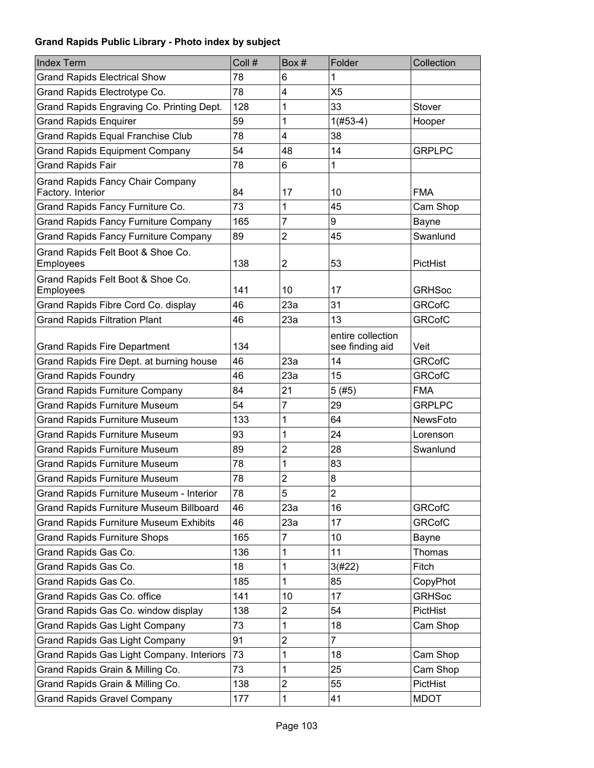| <b>Index Term</b>                              | Coll # | Box#           | Folder            | Collection      |
|------------------------------------------------|--------|----------------|-------------------|-----------------|
| <b>Grand Rapids Electrical Show</b>            | 78     | 6              | 1                 |                 |
| Grand Rapids Electrotype Co.                   | 78     | 4              | X <sub>5</sub>    |                 |
| Grand Rapids Engraving Co. Printing Dept.      | 128    | 1              | 33                | Stover          |
| <b>Grand Rapids Enquirer</b>                   | 59     | 1              | $1(#53-4)$        | Hooper          |
| <b>Grand Rapids Equal Franchise Club</b>       | 78     | 4              | 38                |                 |
| <b>Grand Rapids Equipment Company</b>          | 54     | 48             | 14                | <b>GRPLPC</b>   |
| <b>Grand Rapids Fair</b>                       | 78     | 6              | 1                 |                 |
| <b>Grand Rapids Fancy Chair Company</b>        |        |                |                   |                 |
| Factory. Interior                              | 84     | 17             | 10                | <b>FMA</b>      |
| Grand Rapids Fancy Furniture Co.               | 73     | 1              | 45                | Cam Shop        |
| <b>Grand Rapids Fancy Furniture Company</b>    | 165    | $\overline{7}$ | 9                 | Bayne           |
| <b>Grand Rapids Fancy Furniture Company</b>    | 89     | $\overline{2}$ | 45                | Swanlund        |
| Grand Rapids Felt Boot & Shoe Co.<br>Employees | 138    | $\overline{2}$ | 53                | PictHist        |
| Grand Rapids Felt Boot & Shoe Co.              |        |                |                   |                 |
| Employees                                      | 141    | 10             | 17                | <b>GRHSoc</b>   |
| Grand Rapids Fibre Cord Co. display            | 46     | 23a            | 31                | <b>GRCofC</b>   |
| <b>Grand Rapids Filtration Plant</b>           | 46     | 23a            | 13                | <b>GRCofC</b>   |
|                                                |        |                | entire collection |                 |
| <b>Grand Rapids Fire Department</b>            | 134    |                | see finding aid   | Veit            |
| Grand Rapids Fire Dept. at burning house       | 46     | 23a            | 14                | <b>GRCofC</b>   |
| <b>Grand Rapids Foundry</b>                    | 46     | 23a            | 15                | <b>GRCofC</b>   |
| <b>Grand Rapids Furniture Company</b>          | 84     | 21             | 5(#5)             | <b>FMA</b>      |
| <b>Grand Rapids Furniture Museum</b>           | 54     | $\overline{7}$ | 29                | <b>GRPLPC</b>   |
| <b>Grand Rapids Furniture Museum</b>           | 133    | 1              | 64                | <b>NewsFoto</b> |
| <b>Grand Rapids Furniture Museum</b>           | 93     | 1              | 24                | Lorenson        |
| <b>Grand Rapids Furniture Museum</b>           | 89     | $\overline{2}$ | 28                | Swanlund        |
| <b>Grand Rapids Furniture Museum</b>           | 78     | 1              | 83                |                 |
| <b>Grand Rapids Furniture Museum</b>           | 78     | $\overline{2}$ | 8                 |                 |
| Grand Rapids Furniture Museum - Interior       | 78     | 5              | 2                 |                 |
| <b>Grand Rapids Furniture Museum Billboard</b> | 46     | 23a            | 16                | <b>GRCofC</b>   |
| <b>Grand Rapids Furniture Museum Exhibits</b>  | 46     | 23a            | 17                | <b>GRCofC</b>   |
| <b>Grand Rapids Furniture Shops</b>            | 165    | $\overline{7}$ | 10                | Bayne           |
| Grand Rapids Gas Co.                           | 136    | 1              | 11                | Thomas          |
| Grand Rapids Gas Co.                           | 18     | 1              | 3(#22)            | Fitch           |
| Grand Rapids Gas Co.                           | 185    | 1              | 85                | CopyPhot        |
| Grand Rapids Gas Co. office                    | 141    | 10             | 17                | <b>GRHSoc</b>   |
| Grand Rapids Gas Co. window display            | 138    | 2              | 54                | PictHist        |
| <b>Grand Rapids Gas Light Company</b>          | 73     | 1              | 18                | Cam Shop        |
| <b>Grand Rapids Gas Light Company</b>          | 91     | $\overline{2}$ | $\overline{7}$    |                 |
| Grand Rapids Gas Light Company. Interiors      | 73     | 1              | 18                | Cam Shop        |
| Grand Rapids Grain & Milling Co.               | 73     | 1              | 25                | Cam Shop        |
| Grand Rapids Grain & Milling Co.               | 138    | 2              | 55                | PictHist        |
| <b>Grand Rapids Gravel Company</b>             | 177    | 1              | 41                | <b>MDOT</b>     |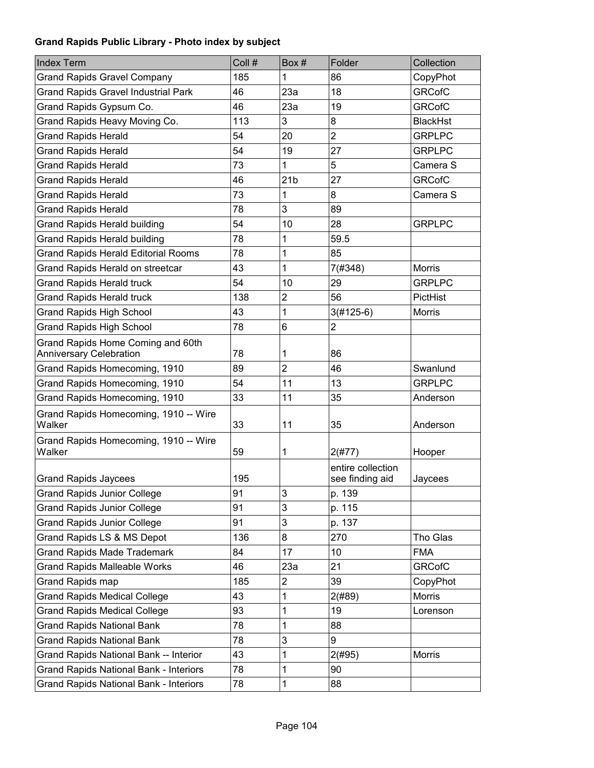| <b>Index Term</b>                                                   | Coll # | Box#            | Folder                               | Collection      |
|---------------------------------------------------------------------|--------|-----------------|--------------------------------------|-----------------|
| <b>Grand Rapids Gravel Company</b>                                  | 185    | 1               | 86                                   | CopyPhot        |
| <b>Grand Rapids Gravel Industrial Park</b>                          | 46     | 23a             | 18                                   | <b>GRCofC</b>   |
| Grand Rapids Gypsum Co.                                             | 46     | 23a             | 19                                   | <b>GRCofC</b>   |
| Grand Rapids Heavy Moving Co.                                       | 113    | 3               | 8                                    | <b>BlackHst</b> |
| <b>Grand Rapids Herald</b>                                          | 54     | 20              | $\overline{2}$                       | <b>GRPLPC</b>   |
| <b>Grand Rapids Herald</b>                                          | 54     | 19              | 27                                   | <b>GRPLPC</b>   |
| <b>Grand Rapids Herald</b>                                          | 73     | 1               | 5                                    | Camera S        |
| <b>Grand Rapids Herald</b>                                          | 46     | 21 <sub>b</sub> | 27                                   | <b>GRCofC</b>   |
| <b>Grand Rapids Herald</b>                                          | 73     | 1               | 8                                    | Camera S        |
| <b>Grand Rapids Herald</b>                                          | 78     | 3               | 89                                   |                 |
| <b>Grand Rapids Herald building</b>                                 | 54     | 10              | 28                                   | <b>GRPLPC</b>   |
| <b>Grand Rapids Herald building</b>                                 | 78     | 1               | 59.5                                 |                 |
| <b>Grand Rapids Herald Editorial Rooms</b>                          | 78     | 1               | 85                                   |                 |
| Grand Rapids Herald on streetcar                                    | 43     | 1               | 7(#348)                              | <b>Morris</b>   |
| <b>Grand Rapids Herald truck</b>                                    | 54     | 10              | 29                                   | <b>GRPLPC</b>   |
| <b>Grand Rapids Herald truck</b>                                    | 138    | $\overline{2}$  | 56                                   | PictHist        |
| <b>Grand Rapids High School</b>                                     | 43     | 1               | $3(#125-6)$                          | <b>Morris</b>   |
| <b>Grand Rapids High School</b>                                     | 78     | 6               | $\overline{2}$                       |                 |
| Grand Rapids Home Coming and 60th<br><b>Anniversary Celebration</b> | 78     | 1               | 86                                   |                 |
| Grand Rapids Homecoming, 1910                                       | 89     | $\overline{2}$  | 46                                   | Swanlund        |
| Grand Rapids Homecoming, 1910                                       | 54     | 11              | 13                                   | <b>GRPLPC</b>   |
| Grand Rapids Homecoming, 1910                                       | 33     | 11              | 35                                   | Anderson        |
| Grand Rapids Homecoming, 1910 -- Wire<br>Walker                     | 33     | 11              | 35                                   | Anderson        |
| Grand Rapids Homecoming, 1910 -- Wire<br>Walker                     | 59     | 1               | 2(#77)                               | Hooper          |
| <b>Grand Rapids Jaycees</b>                                         | 195    |                 | entire collection<br>see finding aid | Jaycees         |
| <b>Grand Rapids Junior College</b>                                  | 91     | 3               | p. 139                               |                 |
| <b>Grand Rapids Junior College</b>                                  | 91     | 3               | p. 115                               |                 |
| <b>Grand Rapids Junior College</b>                                  | 91     | 3               | p. 137                               |                 |
| Grand Rapids LS & MS Depot                                          | 136    | 8               | 270                                  | Tho Glas        |
| <b>Grand Rapids Made Trademark</b>                                  | 84     | 17              | 10                                   | <b>FMA</b>      |
| <b>Grand Rapids Malleable Works</b>                                 | 46     | 23a             | 21                                   | <b>GRCofC</b>   |
| <b>Grand Rapids map</b>                                             | 185    | 2               | 39                                   | CopyPhot        |
| <b>Grand Rapids Medical College</b>                                 | 43     | 1               | 2(#89)                               | <b>Morris</b>   |
| <b>Grand Rapids Medical College</b>                                 | 93     | 1               | 19                                   | Lorenson        |
| <b>Grand Rapids National Bank</b>                                   | 78     | 1               | 88                                   |                 |
| <b>Grand Rapids National Bank</b>                                   | 78     | 3               | 9                                    |                 |
| Grand Rapids National Bank -- Interior                              | 43     | 1               | 2(#95)                               | <b>Morris</b>   |
| <b>Grand Rapids National Bank - Interiors</b>                       | 78     | 1               | 90                                   |                 |
| <b>Grand Rapids National Bank - Interiors</b>                       | 78     | 1               | 88                                   |                 |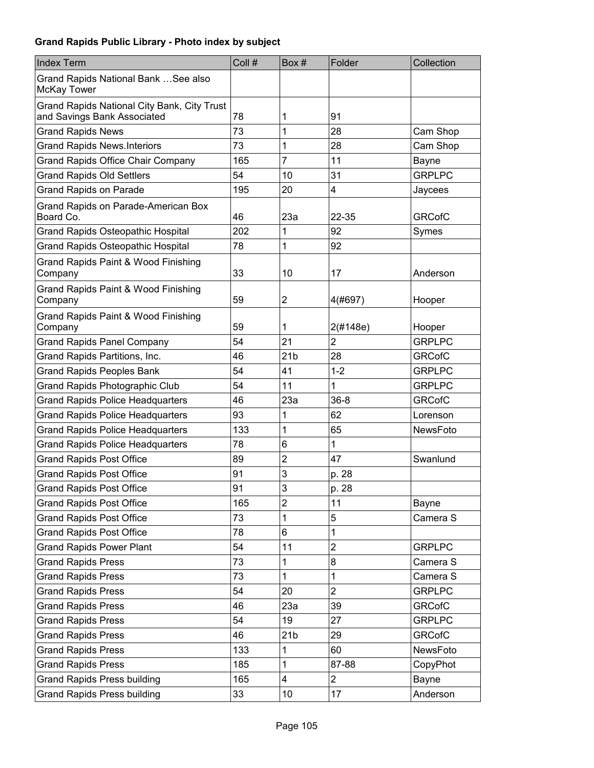| <b>Index Term</b>                                                          | Coll # | Box#            | Folder         | Collection      |
|----------------------------------------------------------------------------|--------|-----------------|----------------|-----------------|
| Grand Rapids National Bank  See also<br><b>McKay Tower</b>                 |        |                 |                |                 |
| Grand Rapids National City Bank, City Trust<br>and Savings Bank Associated | 78     | 1               | 91             |                 |
| <b>Grand Rapids News</b>                                                   | 73     | 1               | 28             | Cam Shop        |
| <b>Grand Rapids News.Interiors</b>                                         | 73     | 1               | 28             | Cam Shop        |
| <b>Grand Rapids Office Chair Company</b>                                   | 165    | 7               | 11             | Bayne           |
| <b>Grand Rapids Old Settlers</b>                                           | 54     | 10              | 31             | <b>GRPLPC</b>   |
| <b>Grand Rapids on Parade</b>                                              | 195    | 20              | 4              | Jaycees         |
| Grand Rapids on Parade-American Box<br>Board Co.                           | 46     | 23a             | 22-35          | <b>GRCofC</b>   |
| Grand Rapids Osteopathic Hospital                                          | 202    | 1               | 92             | Symes           |
| <b>Grand Rapids Osteopathic Hospital</b>                                   | 78     | 1               | 92             |                 |
| Grand Rapids Paint & Wood Finishing<br>Company                             | 33     | 10              | 17             | Anderson        |
| Grand Rapids Paint & Wood Finishing<br>Company                             | 59     | 2               | 4(#697)        | Hooper          |
| Grand Rapids Paint & Wood Finishing<br>Company                             | 59     | 1               | 2(#148e)       | Hooper          |
| <b>Grand Rapids Panel Company</b>                                          | 54     | 21              | $\overline{2}$ | <b>GRPLPC</b>   |
| Grand Rapids Partitions, Inc.                                              | 46     | 21 <sub>b</sub> | 28             | <b>GRCofC</b>   |
| <b>Grand Rapids Peoples Bank</b>                                           | 54     | 41              | $1 - 2$        | <b>GRPLPC</b>   |
| Grand Rapids Photographic Club                                             | 54     | 11              | 1              | <b>GRPLPC</b>   |
| <b>Grand Rapids Police Headquarters</b>                                    | 46     | 23a             | $36 - 8$       | <b>GRCofC</b>   |
| <b>Grand Rapids Police Headquarters</b>                                    | 93     | 1               | 62             | Lorenson        |
| <b>Grand Rapids Police Headquarters</b>                                    | 133    | 1               | 65             | <b>NewsFoto</b> |
| <b>Grand Rapids Police Headquarters</b>                                    | 78     | 6               | 1              |                 |
| <b>Grand Rapids Post Office</b>                                            | 89     | $\overline{c}$  | 47             | Swanlund        |
| <b>Grand Rapids Post Office</b>                                            | 91     | 3               | p. 28          |                 |
| <b>Grand Rapids Post Office</b>                                            | 91     | 3               | p. 28          |                 |
| <b>Grand Rapids Post Office</b>                                            | 165    | $\overline{c}$  | 11             | Bayne           |
| <b>Grand Rapids Post Office</b>                                            | 73     | 1               | 5              | Camera S        |
| <b>Grand Rapids Post Office</b>                                            | 78     | 6               | 1              |                 |
| <b>Grand Rapids Power Plant</b>                                            | 54     | 11              | $\overline{c}$ | <b>GRPLPC</b>   |
| <b>Grand Rapids Press</b>                                                  | 73     | 1               | 8              | Camera S        |
| <b>Grand Rapids Press</b>                                                  | 73     | $\mathbf{1}$    | 1              | Camera S        |
| <b>Grand Rapids Press</b>                                                  | 54     | 20              | $\overline{2}$ | <b>GRPLPC</b>   |
| <b>Grand Rapids Press</b>                                                  | 46     | 23a             | 39             | <b>GRCofC</b>   |
| <b>Grand Rapids Press</b>                                                  | 54     | 19              | 27             | <b>GRPLPC</b>   |
| <b>Grand Rapids Press</b>                                                  | 46     | 21 <sub>b</sub> | 29             | <b>GRCofC</b>   |
| <b>Grand Rapids Press</b>                                                  | 133    | 1               | 60             | NewsFoto        |
| <b>Grand Rapids Press</b>                                                  | 185    | 1               | 87-88          | CopyPhot        |
| <b>Grand Rapids Press building</b>                                         | 165    | 4               | $\overline{2}$ | Bayne           |
| <b>Grand Rapids Press building</b>                                         | 33     | 10              | 17             | Anderson        |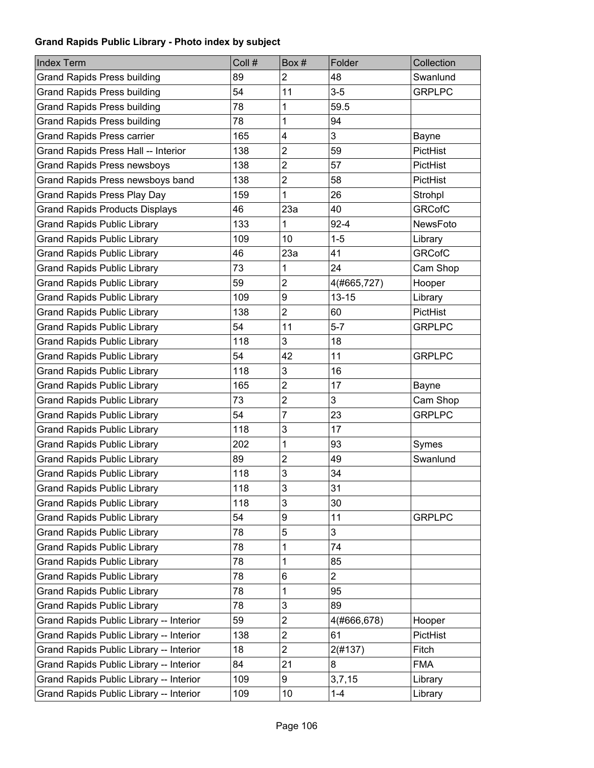| <b>Index Term</b>                       | Coll # | Box#                    | Folder      | Collection      |
|-----------------------------------------|--------|-------------------------|-------------|-----------------|
| <b>Grand Rapids Press building</b>      | 89     | $\overline{2}$          | 48          | Swanlund        |
| <b>Grand Rapids Press building</b>      | 54     | 11                      | $3-5$       | <b>GRPLPC</b>   |
| <b>Grand Rapids Press building</b>      | 78     | 1                       | 59.5        |                 |
| <b>Grand Rapids Press building</b>      | 78     | 1                       | 94          |                 |
| <b>Grand Rapids Press carrier</b>       | 165    | 4                       | 3           | Bayne           |
| Grand Rapids Press Hall -- Interior     | 138    | $\overline{\mathbf{c}}$ | 59          | <b>PictHist</b> |
| <b>Grand Rapids Press newsboys</b>      | 138    | $\overline{2}$          | 57          | <b>PictHist</b> |
| Grand Rapids Press newsboys band        | 138    | $\overline{2}$          | 58          | PictHist        |
| <b>Grand Rapids Press Play Day</b>      | 159    | 1                       | 26          | Strohpl         |
| <b>Grand Rapids Products Displays</b>   | 46     | 23a                     | 40          | <b>GRCofC</b>   |
| <b>Grand Rapids Public Library</b>      | 133    | 1                       | $92 - 4$    | <b>NewsFoto</b> |
| <b>Grand Rapids Public Library</b>      | 109    | 10                      | $1 - 5$     | Library         |
| <b>Grand Rapids Public Library</b>      | 46     | 23a                     | 41          | <b>GRCofC</b>   |
| <b>Grand Rapids Public Library</b>      | 73     | 1                       | 24          | Cam Shop        |
| <b>Grand Rapids Public Library</b>      | 59     | $\overline{2}$          | 4(#665,727) | Hooper          |
| <b>Grand Rapids Public Library</b>      | 109    | 9                       | $13 - 15$   | Library         |
| <b>Grand Rapids Public Library</b>      | 138    | $\overline{2}$          | 60          | PictHist        |
| <b>Grand Rapids Public Library</b>      | 54     | 11                      | $5 - 7$     | <b>GRPLPC</b>   |
| <b>Grand Rapids Public Library</b>      | 118    | 3                       | 18          |                 |
| <b>Grand Rapids Public Library</b>      | 54     | 42                      | 11          | <b>GRPLPC</b>   |
| <b>Grand Rapids Public Library</b>      | 118    | 3                       | 16          |                 |
| <b>Grand Rapids Public Library</b>      | 165    | $\overline{c}$          | 17          | Bayne           |
| <b>Grand Rapids Public Library</b>      | 73     | $\overline{2}$          | 3           | Cam Shop        |
| <b>Grand Rapids Public Library</b>      | 54     | $\overline{7}$          | 23          | <b>GRPLPC</b>   |
| <b>Grand Rapids Public Library</b>      | 118    | 3                       | 17          |                 |
| <b>Grand Rapids Public Library</b>      | 202    | 1                       | 93          | Symes           |
| <b>Grand Rapids Public Library</b>      | 89     | $\overline{2}$          | 49          | Swanlund        |
| <b>Grand Rapids Public Library</b>      | 118    | 3                       | 34          |                 |
| <b>Grand Rapids Public Library</b>      | 118    | 3                       | 31          |                 |
| <b>Grand Rapids Public Library</b>      | 118    | 3                       | 30          |                 |
| <b>Grand Rapids Public Library</b>      | 54     | 9                       | 11          | <b>GRPLPC</b>   |
| <b>Grand Rapids Public Library</b>      | 78     | 5                       | 3           |                 |
| <b>Grand Rapids Public Library</b>      | 78     | 1                       | 74          |                 |
| <b>Grand Rapids Public Library</b>      | 78     | 1                       | 85          |                 |
| <b>Grand Rapids Public Library</b>      | 78     | 6                       | 2           |                 |
| <b>Grand Rapids Public Library</b>      | 78     | 1                       | 95          |                 |
| <b>Grand Rapids Public Library</b>      | 78     | 3                       | 89          |                 |
| Grand Rapids Public Library -- Interior | 59     | $\overline{\mathbf{c}}$ | 4(#666,678) | Hooper          |
| Grand Rapids Public Library -- Interior | 138    | $\overline{c}$          | 61          | PictHist        |
| Grand Rapids Public Library -- Interior | 18     | $\overline{2}$          | 2(#137)     | Fitch           |
| Grand Rapids Public Library -- Interior | 84     | 21                      | 8           | <b>FMA</b>      |
| Grand Rapids Public Library -- Interior | 109    | 9                       | 3,7,15      | Library         |
| Grand Rapids Public Library -- Interior | 109    | 10                      | $1 - 4$     | Library         |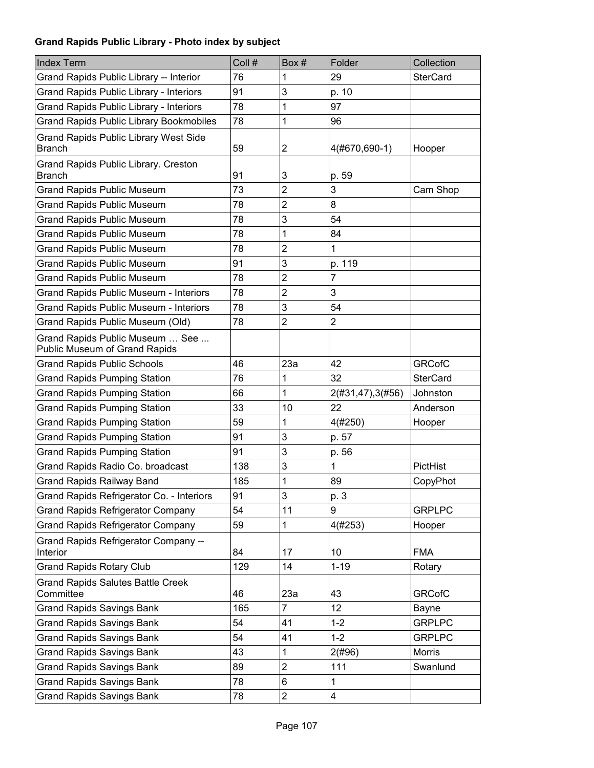| <b>Index Term</b>                                                | Coll # | Box#                    | Folder           | Collection      |
|------------------------------------------------------------------|--------|-------------------------|------------------|-----------------|
| Grand Rapids Public Library -- Interior                          | 76     | 1                       | 29               | <b>SterCard</b> |
| Grand Rapids Public Library - Interiors                          | 91     | 3                       | p. 10            |                 |
| Grand Rapids Public Library - Interiors                          | 78     | 1                       | 97               |                 |
| <b>Grand Rapids Public Library Bookmobiles</b>                   | 78     | 1                       | 96               |                 |
| <b>Grand Rapids Public Library West Side</b><br><b>Branch</b>    | 59     | 2                       | 4(#670,690-1)    | Hooper          |
| Grand Rapids Public Library. Creston<br><b>Branch</b>            | 91     | 3                       | p. 59            |                 |
| <b>Grand Rapids Public Museum</b>                                | 73     | $\overline{c}$          | 3                | Cam Shop        |
| <b>Grand Rapids Public Museum</b>                                | 78     | 2                       | 8                |                 |
| <b>Grand Rapids Public Museum</b>                                | 78     | 3                       | 54               |                 |
| <b>Grand Rapids Public Museum</b>                                | 78     | 1                       | 84               |                 |
| <b>Grand Rapids Public Museum</b>                                | 78     | $\overline{2}$          | 1                |                 |
| <b>Grand Rapids Public Museum</b>                                | 91     | 3                       | p. 119           |                 |
| <b>Grand Rapids Public Museum</b>                                | 78     | $\overline{c}$          | 7                |                 |
| <b>Grand Rapids Public Museum - Interiors</b>                    | 78     | $\overline{c}$          | 3                |                 |
| <b>Grand Rapids Public Museum - Interiors</b>                    | 78     | 3                       | 54               |                 |
| Grand Rapids Public Museum (Old)                                 | 78     | $\overline{2}$          | $\overline{2}$   |                 |
| Grand Rapids Public Museum  See<br>Public Museum of Grand Rapids |        |                         |                  |                 |
| <b>Grand Rapids Public Schools</b>                               | 46     | 23a                     | 42               | <b>GRCofC</b>   |
| <b>Grand Rapids Pumping Station</b>                              | 76     | 1                       | 32               | <b>SterCard</b> |
| <b>Grand Rapids Pumping Station</b>                              | 66     | 1                       | 2(#31,47),3(#56) | Johnston        |
| <b>Grand Rapids Pumping Station</b>                              | 33     | 10                      | 22               | Anderson        |
| <b>Grand Rapids Pumping Station</b>                              | 59     | 1                       | 4(#250)          | Hooper          |
| <b>Grand Rapids Pumping Station</b>                              | 91     | 3                       | p. 57            |                 |
| <b>Grand Rapids Pumping Station</b>                              | 91     | 3                       | p. 56            |                 |
| Grand Rapids Radio Co. broadcast                                 | 138    | 3                       | 1                | PictHist        |
| <b>Grand Rapids Railway Band</b>                                 | 185    | 1                       | 89               | CopyPhot        |
| Grand Rapids Refrigerator Co. - Interiors                        | 91     | 3                       | p. 3             |                 |
| <b>Grand Rapids Refrigerator Company</b>                         | 54     | 11                      | 9                | <b>GRPLPC</b>   |
| <b>Grand Rapids Refrigerator Company</b>                         | 59     | 1                       | 4(#253)          | Hooper          |
| <b>Grand Rapids Refrigerator Company --</b><br>Interior          | 84     | 17                      | 10               | <b>FMA</b>      |
| <b>Grand Rapids Rotary Club</b>                                  | 129    | 14                      | $1 - 19$         | Rotary          |
| <b>Grand Rapids Salutes Battle Creek</b><br>Committee            | 46     | 23a                     | 43               | <b>GRCofC</b>   |
| <b>Grand Rapids Savings Bank</b>                                 | 165    | $\overline{7}$          | 12               | Bayne           |
| <b>Grand Rapids Savings Bank</b>                                 | 54     | 41                      | $1 - 2$          | <b>GRPLPC</b>   |
| <b>Grand Rapids Savings Bank</b>                                 | 54     | 41                      | $1 - 2$          | <b>GRPLPC</b>   |
| <b>Grand Rapids Savings Bank</b>                                 | 43     | 1                       | 2(#96)           | Morris          |
| <b>Grand Rapids Savings Bank</b>                                 | 89     | 2                       | 111              | Swanlund        |
| <b>Grand Rapids Savings Bank</b>                                 | 78     | 6                       | 1                |                 |
| <b>Grand Rapids Savings Bank</b>                                 | 78     | $\overline{\mathbf{c}}$ | 4                |                 |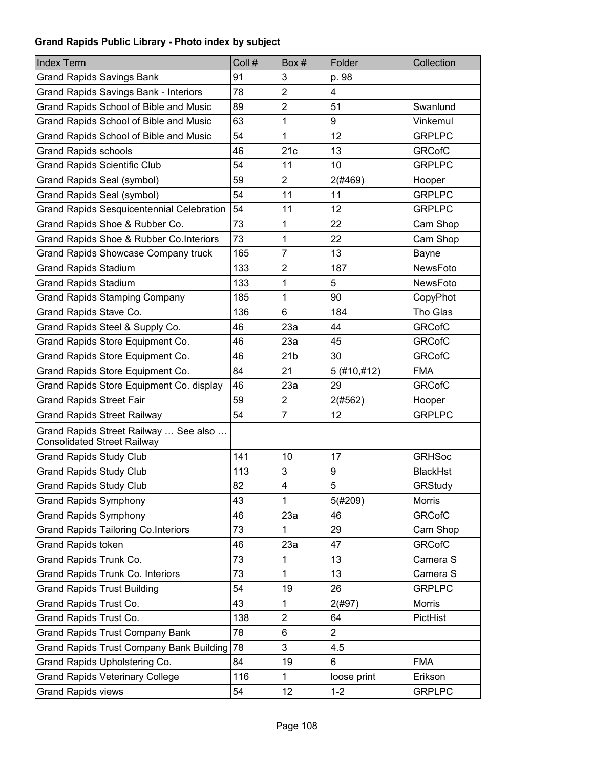| <b>Index Term</b>                                                           | Coll # | Box#            | Folder         | Collection      |
|-----------------------------------------------------------------------------|--------|-----------------|----------------|-----------------|
| <b>Grand Rapids Savings Bank</b>                                            | 91     | 3               | p. 98          |                 |
| <b>Grand Rapids Savings Bank - Interiors</b>                                | 78     | $\overline{2}$  | 4              |                 |
| Grand Rapids School of Bible and Music                                      | 89     | $\overline{2}$  | 51             | Swanlund        |
| Grand Rapids School of Bible and Music                                      | 63     | 1               | 9              | Vinkemul        |
| Grand Rapids School of Bible and Music                                      | 54     | 1               | 12             | <b>GRPLPC</b>   |
| <b>Grand Rapids schools</b>                                                 | 46     | 21c             | 13             | <b>GRCofC</b>   |
| <b>Grand Rapids Scientific Club</b>                                         | 54     | 11              | 10             | <b>GRPLPC</b>   |
| Grand Rapids Seal (symbol)                                                  | 59     | $\overline{2}$  | 2(#469)        | Hooper          |
| Grand Rapids Seal (symbol)                                                  | 54     | 11              | 11             | <b>GRPLPC</b>   |
| <b>Grand Rapids Sesquicentennial Celebration</b>                            | 54     | 11              | 12             | <b>GRPLPC</b>   |
| Grand Rapids Shoe & Rubber Co.                                              | 73     | 1               | 22             | Cam Shop        |
| Grand Rapids Shoe & Rubber Co. Interiors                                    | 73     | 1               | 22             | Cam Shop        |
| <b>Grand Rapids Showcase Company truck</b>                                  | 165    | 7               | 13             | Bayne           |
| <b>Grand Rapids Stadium</b>                                                 | 133    | 2               | 187            | NewsFoto        |
| <b>Grand Rapids Stadium</b>                                                 | 133    | 1               | 5              | <b>NewsFoto</b> |
| <b>Grand Rapids Stamping Company</b>                                        | 185    | 1               | 90             | CopyPhot        |
| Grand Rapids Stave Co.                                                      | 136    | 6               | 184            | Tho Glas        |
| Grand Rapids Steel & Supply Co.                                             | 46     | 23a             | 44             | <b>GRCofC</b>   |
| Grand Rapids Store Equipment Co.                                            | 46     | 23a             | 45             | <b>GRCofC</b>   |
| Grand Rapids Store Equipment Co.                                            | 46     | 21 <sub>b</sub> | 30             | <b>GRCofC</b>   |
| Grand Rapids Store Equipment Co.                                            | 84     | 21              | 5(#10, #12)    | <b>FMA</b>      |
| Grand Rapids Store Equipment Co. display                                    | 46     | 23a             | 29             | <b>GRCofC</b>   |
| <b>Grand Rapids Street Fair</b>                                             | 59     | 2               | 2(#562)        | Hooper          |
| <b>Grand Rapids Street Railway</b>                                          | 54     | $\overline{7}$  | 12             | <b>GRPLPC</b>   |
| Grand Rapids Street Railway  See also<br><b>Consolidated Street Railway</b> |        |                 |                |                 |
| <b>Grand Rapids Study Club</b>                                              | 141    | 10              | 17             | <b>GRHSoc</b>   |
| <b>Grand Rapids Study Club</b>                                              | 113    | 3               | 9              | <b>BlackHst</b> |
| <b>Grand Rapids Study Club</b>                                              | 82     | 4               | 5              | GRStudy         |
| <b>Grand Rapids Symphony</b>                                                | 43     | 1               | 5(#209)        | <b>Morris</b>   |
| <b>Grand Rapids Symphony</b>                                                | 46     | 23a             | 46             | <b>GRCofC</b>   |
| <b>Grand Rapids Tailoring Co.Interiors</b>                                  | 73     | 1               | 29             | Cam Shop        |
| Grand Rapids token                                                          | 46     | 23a             | 47             | <b>GRCofC</b>   |
| Grand Rapids Trunk Co.                                                      | 73     | 1               | 13             | Camera S        |
| Grand Rapids Trunk Co. Interiors                                            | 73     | 1               | 13             | Camera S        |
| <b>Grand Rapids Trust Building</b>                                          | 54     | 19              | 26             | <b>GRPLPC</b>   |
| Grand Rapids Trust Co.                                                      | 43     | 1               | 2(#97)         | Morris          |
| Grand Rapids Trust Co.                                                      | 138    | $\overline{2}$  | 64             | PictHist        |
| <b>Grand Rapids Trust Company Bank</b>                                      | 78     | 6               | $\overline{2}$ |                 |
| <b>Grand Rapids Trust Company Bank Building</b>                             | 78     | 3               | 4.5            |                 |
| Grand Rapids Upholstering Co.                                               | 84     | 19              | 6              | <b>FMA</b>      |
| <b>Grand Rapids Veterinary College</b>                                      | 116    | 1               | loose print    | Erikson         |
| <b>Grand Rapids views</b>                                                   | 54     | 12              | $1 - 2$        | <b>GRPLPC</b>   |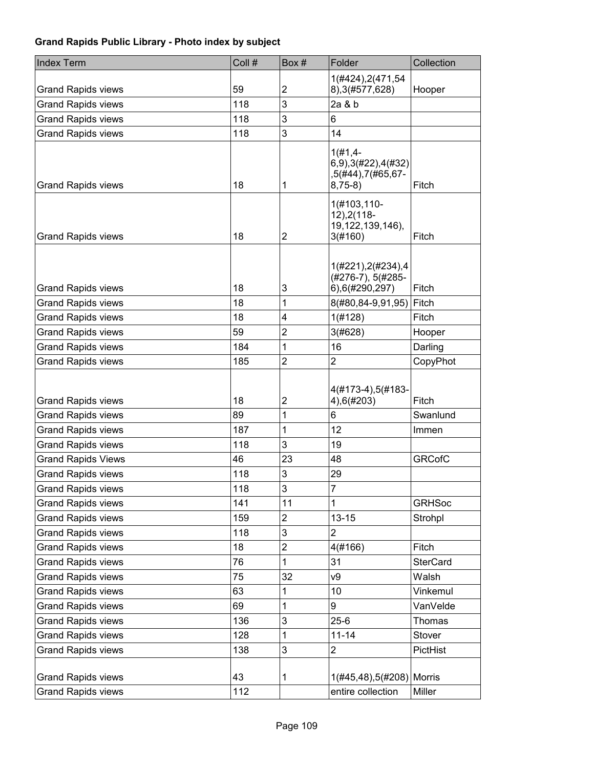| <b>Index Term</b>                                      | Coll #    | Box#                    | Folder                                                             | Collection      |
|--------------------------------------------------------|-----------|-------------------------|--------------------------------------------------------------------|-----------------|
| <b>Grand Rapids views</b>                              | 59        | $\overline{\mathbf{c}}$ | 1(#424), 2(471, 54<br>8), 3(#577, 628)                             | Hooper          |
| <b>Grand Rapids views</b>                              | 118       | 3                       | 2a & b                                                             |                 |
| <b>Grand Rapids views</b>                              | 118       | 3                       | 6                                                                  |                 |
| <b>Grand Rapids views</b>                              | 118       | 3                       | 14                                                                 |                 |
| <b>Grand Rapids views</b>                              | 18        | 1                       | $1(#1, 4-$<br>6,9),3(#22),4(#32)<br>,5(#44),7(#65,67-<br>$8,75-8)$ | Fitch           |
| <b>Grand Rapids views</b>                              | 18        | 2                       | 1(#103,110-<br>$12$ ), $2(118 -$<br>19, 122, 139, 146),<br>3(#160) | Fitch           |
| <b>Grand Rapids views</b>                              | 18        | 3                       | 1(#221), 2(#234), 4<br>(#276-7), 5(#285-<br>6),6(#290,297)         | Fitch           |
| <b>Grand Rapids views</b>                              | 18        | 1                       | 8(#80,84-9,91,95)                                                  | Fitch           |
| <b>Grand Rapids views</b>                              | 18        | 4                       | 1(#128)                                                            | Fitch           |
| <b>Grand Rapids views</b>                              | 59        | $\overline{c}$          | 3(#628)                                                            | Hooper          |
| <b>Grand Rapids views</b>                              | 184       | 1                       | 16                                                                 | Darling         |
| <b>Grand Rapids views</b>                              | 185       | $\overline{2}$          | $\overline{2}$                                                     | CopyPhot        |
| <b>Grand Rapids views</b>                              | 18        | $\overline{\mathbf{c}}$ | 4(#173-4),5(#183-<br>4),6(#203)                                    | Fitch           |
| <b>Grand Rapids views</b>                              | 89        | 1                       | 6                                                                  | Swanlund        |
| <b>Grand Rapids views</b>                              | 187       | 1                       | 12                                                                 | Immen           |
| <b>Grand Rapids views</b>                              | 118       | 3                       | 19                                                                 |                 |
| <b>Grand Rapids Views</b>                              | 46        | 23                      | 48                                                                 | <b>GRCofC</b>   |
| <b>Grand Rapids views</b>                              | 118       | 3                       | 29                                                                 |                 |
| <b>Grand Rapids views</b>                              | 118       | 3                       | $\overline{7}$                                                     |                 |
| <b>Grand Rapids views</b>                              | 141       | 11                      | 1                                                                  | <b>GRHSoc</b>   |
| <b>Grand Rapids views</b>                              | 159       | $\overline{c}$          | $13 - 15$                                                          | Strohpl         |
| <b>Grand Rapids views</b>                              | 118       | 3                       | $\overline{2}$                                                     |                 |
| <b>Grand Rapids views</b>                              | 18        | 2                       | 4(#166)                                                            | Fitch           |
| <b>Grand Rapids views</b>                              | 76        | 1                       | 31                                                                 | <b>SterCard</b> |
| <b>Grand Rapids views</b>                              | 75        | 32                      | V9                                                                 | Walsh           |
| <b>Grand Rapids views</b>                              | 63        | 1                       | 10                                                                 | Vinkemul        |
| <b>Grand Rapids views</b>                              | 69        | 1                       | 9                                                                  | VanVelde        |
| <b>Grand Rapids views</b>                              | 136       | 3                       | $25 - 6$                                                           | Thomas          |
| <b>Grand Rapids views</b>                              | 128       | 1                       | $11 - 14$                                                          | Stover          |
| <b>Grand Rapids views</b>                              | 138       | 3                       | 2                                                                  | PictHist        |
| <b>Grand Rapids views</b><br><b>Grand Rapids views</b> | 43<br>112 | 1                       | 1(#45,48),5(#208) Morris<br>entire collection                      | Miller          |
|                                                        |           |                         |                                                                    |                 |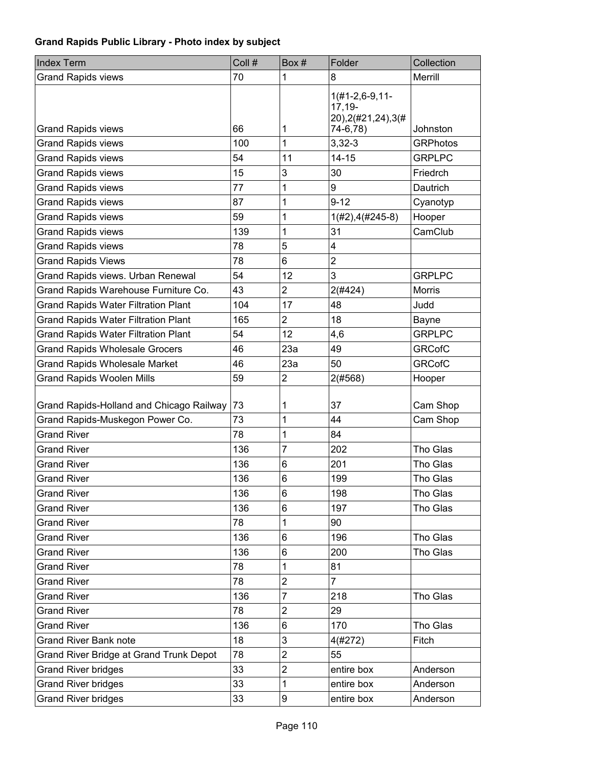| <b>Index Term</b>                          | Coll # | Box#           | Folder                                                 | Collection      |
|--------------------------------------------|--------|----------------|--------------------------------------------------------|-----------------|
| <b>Grand Rapids views</b>                  | 70     | 1              | 8                                                      | Merrill         |
|                                            |        |                | $1(#1-2, 6-9, 11-$<br>$17,19-$<br>20), 2(#21, 24), 3(# |                 |
| <b>Grand Rapids views</b>                  | 66     | 1              | 74-6,78)                                               | Johnston        |
| <b>Grand Rapids views</b>                  | 100    | 1              | $3,32-3$                                               | <b>GRPhotos</b> |
| <b>Grand Rapids views</b>                  | 54     | 11             | $14 - 15$                                              | <b>GRPLPC</b>   |
| <b>Grand Rapids views</b>                  | 15     | 3              | 30                                                     | Friedrch        |
| <b>Grand Rapids views</b>                  | 77     | 1              | 9                                                      | Dautrich        |
| <b>Grand Rapids views</b>                  | 87     | 1              | $9 - 12$                                               | Cyanotyp        |
| <b>Grand Rapids views</b>                  | 59     | 1              | $1(H2), 4(H245-8)$                                     | Hooper          |
| <b>Grand Rapids views</b>                  | 139    | 1              | 31                                                     | CamClub         |
| <b>Grand Rapids views</b>                  | 78     | 5              | 4                                                      |                 |
| <b>Grand Rapids Views</b>                  | 78     | 6              | $\overline{2}$                                         |                 |
| Grand Rapids views. Urban Renewal          | 54     | 12             | 3                                                      | <b>GRPLPC</b>   |
| Grand Rapids Warehouse Furniture Co.       | 43     | $\overline{2}$ | 2(#424)                                                | <b>Morris</b>   |
| <b>Grand Rapids Water Filtration Plant</b> | 104    | 17             | 48                                                     | Judd            |
| <b>Grand Rapids Water Filtration Plant</b> | 165    | $\overline{2}$ | 18                                                     | Bayne           |
| <b>Grand Rapids Water Filtration Plant</b> | 54     | 12             | 4,6                                                    | <b>GRPLPC</b>   |
| <b>Grand Rapids Wholesale Grocers</b>      | 46     | 23a            | 49                                                     | <b>GRCofC</b>   |
| <b>Grand Rapids Wholesale Market</b>       | 46     | 23a            | 50                                                     | <b>GRCofC</b>   |
| <b>Grand Rapids Woolen Mills</b>           | 59     | $\overline{2}$ | 2(#568)                                                | Hooper          |
| Grand Rapids-Holland and Chicago Railway   | 73     | 1              | 37                                                     | Cam Shop        |
| Grand Rapids-Muskegon Power Co.            | 73     | 1              | 44                                                     | Cam Shop        |
| <b>Grand River</b>                         | 78     | 1              | 84                                                     |                 |
| <b>Grand River</b>                         | 136    | $\overline{7}$ | 202                                                    | Tho Glas        |
| <b>Grand River</b>                         | 136    | 6              | 201                                                    | Tho Glas        |
| <b>Grand River</b>                         | 136    | 6              | 199                                                    | Tho Glas        |
| <b>Grand River</b>                         | 136    | 6              | 198                                                    | Tho Glas        |
| <b>Grand River</b>                         | 136    | 6              | 197                                                    | Tho Glas        |
| <b>Grand River</b>                         | 78     | 1              | 90                                                     |                 |
| <b>Grand River</b>                         | 136    | 6              | 196                                                    | Tho Glas        |
| <b>Grand River</b>                         | 136    | 6              | 200                                                    | Tho Glas        |
| <b>Grand River</b>                         | 78     | 1              | 81                                                     |                 |
| <b>Grand River</b>                         | 78     | $\overline{2}$ | $\overline{7}$                                         |                 |
| <b>Grand River</b>                         | 136    | 7              | 218                                                    | Tho Glas        |
| <b>Grand River</b>                         | 78     | $\overline{2}$ | 29                                                     |                 |
| <b>Grand River</b>                         | 136    | 6              | 170                                                    | Tho Glas        |
| <b>Grand River Bank note</b>               | 18     | 3              | 4(#272)                                                | Fitch           |
| Grand River Bridge at Grand Trunk Depot    | 78     | $\overline{2}$ | 55                                                     |                 |
| <b>Grand River bridges</b>                 | 33     | $\overline{2}$ | entire box                                             | Anderson        |
| <b>Grand River bridges</b>                 | 33     | 1              | entire box                                             | Anderson        |
| <b>Grand River bridges</b>                 | 33     | 9              | entire box                                             | Anderson        |
|                                            |        |                |                                                        |                 |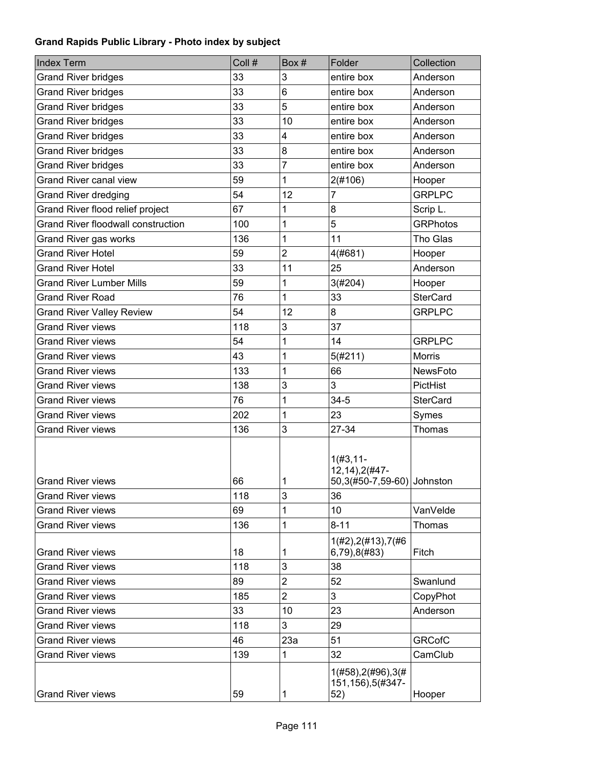| <b>Index Term</b>                         | Coll # | Box#           | Folder                                                       | Collection      |
|-------------------------------------------|--------|----------------|--------------------------------------------------------------|-----------------|
| <b>Grand River bridges</b>                | 33     | 3              | entire box                                                   | Anderson        |
| <b>Grand River bridges</b>                | 33     | 6              | entire box                                                   | Anderson        |
| <b>Grand River bridges</b>                | 33     | 5              | entire box                                                   | Anderson        |
| <b>Grand River bridges</b>                | 33     | 10             | entire box                                                   | Anderson        |
| <b>Grand River bridges</b>                | 33     | 4              | entire box                                                   | Anderson        |
| <b>Grand River bridges</b>                | 33     | 8              | entire box                                                   | Anderson        |
| <b>Grand River bridges</b>                | 33     | 7              | entire box                                                   | Anderson        |
| <b>Grand River canal view</b>             | 59     | 1              | 2(#106)                                                      | Hooper          |
| <b>Grand River dredging</b>               | 54     | 12             | 7                                                            | <b>GRPLPC</b>   |
| Grand River flood relief project          | 67     | 1              | 8                                                            | Scrip L.        |
| <b>Grand River floodwall construction</b> | 100    | 1              | 5                                                            | <b>GRPhotos</b> |
| Grand River gas works                     | 136    | 1              | 11                                                           | Tho Glas        |
| <b>Grand River Hotel</b>                  | 59     | $\overline{2}$ | 4(#681)                                                      | Hooper          |
| <b>Grand River Hotel</b>                  | 33     | 11             | 25                                                           | Anderson        |
| <b>Grand River Lumber Mills</b>           | 59     | 1              | 3(#204)                                                      | Hooper          |
| <b>Grand River Road</b>                   | 76     | 1              | 33                                                           | <b>SterCard</b> |
| <b>Grand River Valley Review</b>          | 54     | 12             | 8                                                            | <b>GRPLPC</b>   |
| <b>Grand River views</b>                  | 118    | 3              | 37                                                           |                 |
| <b>Grand River views</b>                  | 54     | 1              | 14                                                           | <b>GRPLPC</b>   |
| <b>Grand River views</b>                  | 43     | 1              | 5(#211)                                                      | <b>Morris</b>   |
| <b>Grand River views</b>                  | 133    | 1              | 66                                                           | NewsFoto        |
| <b>Grand River views</b>                  | 138    | 3              | 3                                                            | PictHist        |
| <b>Grand River views</b>                  | 76     | 1              | $34 - 5$                                                     | <b>SterCard</b> |
| <b>Grand River views</b>                  | 202    | 1              | 23                                                           | Symes           |
| <b>Grand River views</b>                  | 136    | 3              | 27-34                                                        | <b>Thomas</b>   |
| <b>Grand River views</b>                  | 66     | 1              | $1(#3, 11-$<br>12, 14), 2(#47-<br>50,3(#50-7,59-60) Johnston |                 |
| <b>Grand River views</b>                  | 118    | 3              | 36                                                           |                 |
| <b>Grand River views</b>                  | 69     | 1              | 10                                                           | VanVelde        |
| <b>Grand River views</b>                  | 136    | 1              | $8 - 11$                                                     | Thomas          |
| <b>Grand River views</b>                  | 18     | 1              | 1(H2), 2(H13), 7(H6)<br>6,79),8(#83)                         | Fitch           |
| <b>Grand River views</b>                  | 118    | 3              | 38                                                           |                 |
| <b>Grand River views</b>                  | 89     | 2              | 52                                                           | Swanlund        |
| <b>Grand River views</b>                  | 185    | $\overline{2}$ | 3                                                            | CopyPhot        |
| <b>Grand River views</b>                  | 33     | 10             | 23                                                           | Anderson        |
| <b>Grand River views</b>                  | 118    | 3              | 29                                                           |                 |
| <b>Grand River views</b>                  | 46     | 23a            | 51                                                           | <b>GRCofC</b>   |
| <b>Grand River views</b>                  | 139    | 1              | 32                                                           | CamClub         |
| <b>Grand River views</b>                  | 59     | 1              | $1($ #58), $2($ #96), $3($ #<br>151, 156), 5(#347-<br>52)    | Hooper          |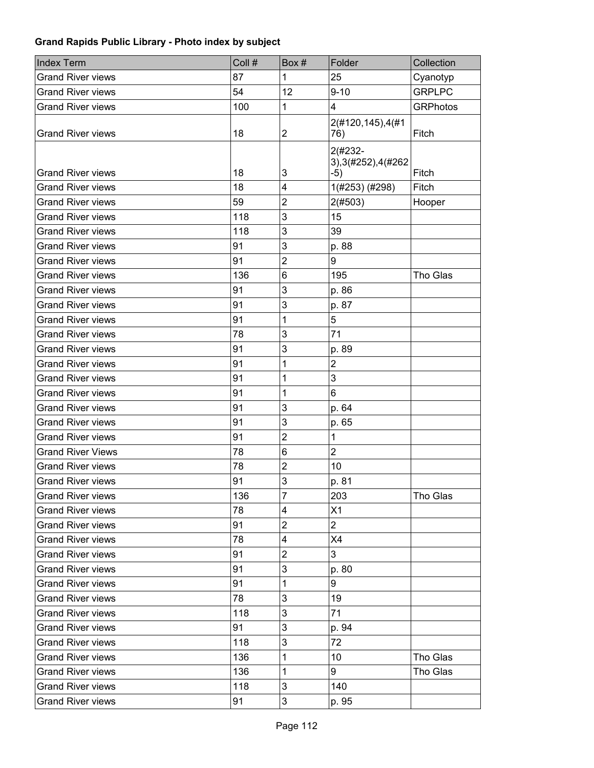| <b>Grand River views</b><br>87<br>1<br>25<br>Cyanotyp<br><b>GRPLPC</b><br>54<br>12<br>$9 - 10$<br><b>Grand River views</b><br>4<br>100<br>1<br><b>GRPhotos</b><br><b>Grand River views</b><br>2(#120,145),4(#1<br>$\overline{c}$<br><b>Grand River views</b><br>18<br>Fitch<br>76)<br>2(#232-<br>3), 3(#252), 4(#262<br><b>Grand River views</b><br>3<br>18<br>$-5)$<br>Fitch<br>18<br>4<br>1(#253) (#298)<br><b>Grand River views</b><br>Fitch<br>$\overline{c}$<br><b>Grand River views</b><br>59<br>2(#503)<br>Hooper<br>3<br>118<br>15<br><b>Grand River views</b><br>3<br>118<br>39<br><b>Grand River views</b><br>3<br>91<br>p. 88<br><b>Grand River views</b><br>$\overline{2}$<br>9<br><b>Grand River views</b><br>91<br>136<br>Tho Glas<br><b>Grand River views</b><br>6<br>195<br>91<br>3<br><b>Grand River views</b><br>p. 86<br>3<br><b>Grand River views</b><br>91<br>p. 87<br>5<br>91<br>1<br><b>Grand River views</b><br>3<br>71<br>78<br><b>Grand River views</b><br>3<br>91<br><b>Grand River views</b><br>p. 89<br>$\overline{2}$<br>1<br>91<br><b>Grand River views</b><br>3<br>91<br>1<br><b>Grand River views</b><br>91<br>1<br>6<br><b>Grand River views</b><br>3<br>91<br><b>Grand River views</b><br>p. 64<br>3<br><b>Grand River views</b><br>91<br>p. 65<br>$\overline{2}$<br><b>Grand River views</b><br>91<br>1<br>$\overline{2}$<br><b>Grand River Views</b><br>6<br>78<br>$\overline{\mathbf{c}}$<br>78<br>10<br><b>Grand River views</b><br>3<br>91<br><b>Grand River views</b><br>p. 81<br>7<br>136<br>203<br>Tho Glas<br><b>Grand River views</b><br>X1<br><b>Grand River views</b><br>78<br>4<br>$\overline{2}$<br>$\overline{c}$<br>91<br><b>Grand River views</b><br><b>Grand River views</b><br>78<br>4<br>X4<br>$\overline{\mathbf{c}}$<br>3<br>91<br><b>Grand River views</b><br><b>Grand River views</b><br>3<br>91<br>p. 80<br>9<br><b>Grand River views</b><br>91<br>1<br><b>Grand River views</b><br>78<br>3<br>19<br>118<br>3<br>71<br><b>Grand River views</b><br><b>Grand River views</b><br>91<br>3<br>p. 94<br>3<br>72<br><b>Grand River views</b><br>118<br>Tho Glas<br><b>Grand River views</b><br>136<br>1<br>10<br>1<br>9<br>Tho Glas<br><b>Grand River views</b><br>136<br>3<br><b>Grand River views</b><br>118<br>140 | Index Term               | Coll # | Box# | Folder | Collection |
|-----------------------------------------------------------------------------------------------------------------------------------------------------------------------------------------------------------------------------------------------------------------------------------------------------------------------------------------------------------------------------------------------------------------------------------------------------------------------------------------------------------------------------------------------------------------------------------------------------------------------------------------------------------------------------------------------------------------------------------------------------------------------------------------------------------------------------------------------------------------------------------------------------------------------------------------------------------------------------------------------------------------------------------------------------------------------------------------------------------------------------------------------------------------------------------------------------------------------------------------------------------------------------------------------------------------------------------------------------------------------------------------------------------------------------------------------------------------------------------------------------------------------------------------------------------------------------------------------------------------------------------------------------------------------------------------------------------------------------------------------------------------------------------------------------------------------------------------------------------------------------------------------------------------------------------------------------------------------------------------------------------------------------------------------------------------------------------------------------------------------------------------------------------------------------------------------------------------------------------------------------------------------------|--------------------------|--------|------|--------|------------|
|                                                                                                                                                                                                                                                                                                                                                                                                                                                                                                                                                                                                                                                                                                                                                                                                                                                                                                                                                                                                                                                                                                                                                                                                                                                                                                                                                                                                                                                                                                                                                                                                                                                                                                                                                                                                                                                                                                                                                                                                                                                                                                                                                                                                                                                                             |                          |        |      |        |            |
|                                                                                                                                                                                                                                                                                                                                                                                                                                                                                                                                                                                                                                                                                                                                                                                                                                                                                                                                                                                                                                                                                                                                                                                                                                                                                                                                                                                                                                                                                                                                                                                                                                                                                                                                                                                                                                                                                                                                                                                                                                                                                                                                                                                                                                                                             |                          |        |      |        |            |
|                                                                                                                                                                                                                                                                                                                                                                                                                                                                                                                                                                                                                                                                                                                                                                                                                                                                                                                                                                                                                                                                                                                                                                                                                                                                                                                                                                                                                                                                                                                                                                                                                                                                                                                                                                                                                                                                                                                                                                                                                                                                                                                                                                                                                                                                             |                          |        |      |        |            |
|                                                                                                                                                                                                                                                                                                                                                                                                                                                                                                                                                                                                                                                                                                                                                                                                                                                                                                                                                                                                                                                                                                                                                                                                                                                                                                                                                                                                                                                                                                                                                                                                                                                                                                                                                                                                                                                                                                                                                                                                                                                                                                                                                                                                                                                                             |                          |        |      |        |            |
|                                                                                                                                                                                                                                                                                                                                                                                                                                                                                                                                                                                                                                                                                                                                                                                                                                                                                                                                                                                                                                                                                                                                                                                                                                                                                                                                                                                                                                                                                                                                                                                                                                                                                                                                                                                                                                                                                                                                                                                                                                                                                                                                                                                                                                                                             |                          |        |      |        |            |
|                                                                                                                                                                                                                                                                                                                                                                                                                                                                                                                                                                                                                                                                                                                                                                                                                                                                                                                                                                                                                                                                                                                                                                                                                                                                                                                                                                                                                                                                                                                                                                                                                                                                                                                                                                                                                                                                                                                                                                                                                                                                                                                                                                                                                                                                             |                          |        |      |        |            |
|                                                                                                                                                                                                                                                                                                                                                                                                                                                                                                                                                                                                                                                                                                                                                                                                                                                                                                                                                                                                                                                                                                                                                                                                                                                                                                                                                                                                                                                                                                                                                                                                                                                                                                                                                                                                                                                                                                                                                                                                                                                                                                                                                                                                                                                                             |                          |        |      |        |            |
|                                                                                                                                                                                                                                                                                                                                                                                                                                                                                                                                                                                                                                                                                                                                                                                                                                                                                                                                                                                                                                                                                                                                                                                                                                                                                                                                                                                                                                                                                                                                                                                                                                                                                                                                                                                                                                                                                                                                                                                                                                                                                                                                                                                                                                                                             |                          |        |      |        |            |
|                                                                                                                                                                                                                                                                                                                                                                                                                                                                                                                                                                                                                                                                                                                                                                                                                                                                                                                                                                                                                                                                                                                                                                                                                                                                                                                                                                                                                                                                                                                                                                                                                                                                                                                                                                                                                                                                                                                                                                                                                                                                                                                                                                                                                                                                             |                          |        |      |        |            |
|                                                                                                                                                                                                                                                                                                                                                                                                                                                                                                                                                                                                                                                                                                                                                                                                                                                                                                                                                                                                                                                                                                                                                                                                                                                                                                                                                                                                                                                                                                                                                                                                                                                                                                                                                                                                                                                                                                                                                                                                                                                                                                                                                                                                                                                                             |                          |        |      |        |            |
|                                                                                                                                                                                                                                                                                                                                                                                                                                                                                                                                                                                                                                                                                                                                                                                                                                                                                                                                                                                                                                                                                                                                                                                                                                                                                                                                                                                                                                                                                                                                                                                                                                                                                                                                                                                                                                                                                                                                                                                                                                                                                                                                                                                                                                                                             |                          |        |      |        |            |
|                                                                                                                                                                                                                                                                                                                                                                                                                                                                                                                                                                                                                                                                                                                                                                                                                                                                                                                                                                                                                                                                                                                                                                                                                                                                                                                                                                                                                                                                                                                                                                                                                                                                                                                                                                                                                                                                                                                                                                                                                                                                                                                                                                                                                                                                             |                          |        |      |        |            |
|                                                                                                                                                                                                                                                                                                                                                                                                                                                                                                                                                                                                                                                                                                                                                                                                                                                                                                                                                                                                                                                                                                                                                                                                                                                                                                                                                                                                                                                                                                                                                                                                                                                                                                                                                                                                                                                                                                                                                                                                                                                                                                                                                                                                                                                                             |                          |        |      |        |            |
|                                                                                                                                                                                                                                                                                                                                                                                                                                                                                                                                                                                                                                                                                                                                                                                                                                                                                                                                                                                                                                                                                                                                                                                                                                                                                                                                                                                                                                                                                                                                                                                                                                                                                                                                                                                                                                                                                                                                                                                                                                                                                                                                                                                                                                                                             |                          |        |      |        |            |
|                                                                                                                                                                                                                                                                                                                                                                                                                                                                                                                                                                                                                                                                                                                                                                                                                                                                                                                                                                                                                                                                                                                                                                                                                                                                                                                                                                                                                                                                                                                                                                                                                                                                                                                                                                                                                                                                                                                                                                                                                                                                                                                                                                                                                                                                             |                          |        |      |        |            |
|                                                                                                                                                                                                                                                                                                                                                                                                                                                                                                                                                                                                                                                                                                                                                                                                                                                                                                                                                                                                                                                                                                                                                                                                                                                                                                                                                                                                                                                                                                                                                                                                                                                                                                                                                                                                                                                                                                                                                                                                                                                                                                                                                                                                                                                                             |                          |        |      |        |            |
|                                                                                                                                                                                                                                                                                                                                                                                                                                                                                                                                                                                                                                                                                                                                                                                                                                                                                                                                                                                                                                                                                                                                                                                                                                                                                                                                                                                                                                                                                                                                                                                                                                                                                                                                                                                                                                                                                                                                                                                                                                                                                                                                                                                                                                                                             |                          |        |      |        |            |
|                                                                                                                                                                                                                                                                                                                                                                                                                                                                                                                                                                                                                                                                                                                                                                                                                                                                                                                                                                                                                                                                                                                                                                                                                                                                                                                                                                                                                                                                                                                                                                                                                                                                                                                                                                                                                                                                                                                                                                                                                                                                                                                                                                                                                                                                             |                          |        |      |        |            |
|                                                                                                                                                                                                                                                                                                                                                                                                                                                                                                                                                                                                                                                                                                                                                                                                                                                                                                                                                                                                                                                                                                                                                                                                                                                                                                                                                                                                                                                                                                                                                                                                                                                                                                                                                                                                                                                                                                                                                                                                                                                                                                                                                                                                                                                                             |                          |        |      |        |            |
|                                                                                                                                                                                                                                                                                                                                                                                                                                                                                                                                                                                                                                                                                                                                                                                                                                                                                                                                                                                                                                                                                                                                                                                                                                                                                                                                                                                                                                                                                                                                                                                                                                                                                                                                                                                                                                                                                                                                                                                                                                                                                                                                                                                                                                                                             |                          |        |      |        |            |
|                                                                                                                                                                                                                                                                                                                                                                                                                                                                                                                                                                                                                                                                                                                                                                                                                                                                                                                                                                                                                                                                                                                                                                                                                                                                                                                                                                                                                                                                                                                                                                                                                                                                                                                                                                                                                                                                                                                                                                                                                                                                                                                                                                                                                                                                             |                          |        |      |        |            |
|                                                                                                                                                                                                                                                                                                                                                                                                                                                                                                                                                                                                                                                                                                                                                                                                                                                                                                                                                                                                                                                                                                                                                                                                                                                                                                                                                                                                                                                                                                                                                                                                                                                                                                                                                                                                                                                                                                                                                                                                                                                                                                                                                                                                                                                                             |                          |        |      |        |            |
|                                                                                                                                                                                                                                                                                                                                                                                                                                                                                                                                                                                                                                                                                                                                                                                                                                                                                                                                                                                                                                                                                                                                                                                                                                                                                                                                                                                                                                                                                                                                                                                                                                                                                                                                                                                                                                                                                                                                                                                                                                                                                                                                                                                                                                                                             |                          |        |      |        |            |
|                                                                                                                                                                                                                                                                                                                                                                                                                                                                                                                                                                                                                                                                                                                                                                                                                                                                                                                                                                                                                                                                                                                                                                                                                                                                                                                                                                                                                                                                                                                                                                                                                                                                                                                                                                                                                                                                                                                                                                                                                                                                                                                                                                                                                                                                             |                          |        |      |        |            |
|                                                                                                                                                                                                                                                                                                                                                                                                                                                                                                                                                                                                                                                                                                                                                                                                                                                                                                                                                                                                                                                                                                                                                                                                                                                                                                                                                                                                                                                                                                                                                                                                                                                                                                                                                                                                                                                                                                                                                                                                                                                                                                                                                                                                                                                                             |                          |        |      |        |            |
|                                                                                                                                                                                                                                                                                                                                                                                                                                                                                                                                                                                                                                                                                                                                                                                                                                                                                                                                                                                                                                                                                                                                                                                                                                                                                                                                                                                                                                                                                                                                                                                                                                                                                                                                                                                                                                                                                                                                                                                                                                                                                                                                                                                                                                                                             |                          |        |      |        |            |
|                                                                                                                                                                                                                                                                                                                                                                                                                                                                                                                                                                                                                                                                                                                                                                                                                                                                                                                                                                                                                                                                                                                                                                                                                                                                                                                                                                                                                                                                                                                                                                                                                                                                                                                                                                                                                                                                                                                                                                                                                                                                                                                                                                                                                                                                             |                          |        |      |        |            |
|                                                                                                                                                                                                                                                                                                                                                                                                                                                                                                                                                                                                                                                                                                                                                                                                                                                                                                                                                                                                                                                                                                                                                                                                                                                                                                                                                                                                                                                                                                                                                                                                                                                                                                                                                                                                                                                                                                                                                                                                                                                                                                                                                                                                                                                                             |                          |        |      |        |            |
|                                                                                                                                                                                                                                                                                                                                                                                                                                                                                                                                                                                                                                                                                                                                                                                                                                                                                                                                                                                                                                                                                                                                                                                                                                                                                                                                                                                                                                                                                                                                                                                                                                                                                                                                                                                                                                                                                                                                                                                                                                                                                                                                                                                                                                                                             |                          |        |      |        |            |
|                                                                                                                                                                                                                                                                                                                                                                                                                                                                                                                                                                                                                                                                                                                                                                                                                                                                                                                                                                                                                                                                                                                                                                                                                                                                                                                                                                                                                                                                                                                                                                                                                                                                                                                                                                                                                                                                                                                                                                                                                                                                                                                                                                                                                                                                             |                          |        |      |        |            |
|                                                                                                                                                                                                                                                                                                                                                                                                                                                                                                                                                                                                                                                                                                                                                                                                                                                                                                                                                                                                                                                                                                                                                                                                                                                                                                                                                                                                                                                                                                                                                                                                                                                                                                                                                                                                                                                                                                                                                                                                                                                                                                                                                                                                                                                                             |                          |        |      |        |            |
|                                                                                                                                                                                                                                                                                                                                                                                                                                                                                                                                                                                                                                                                                                                                                                                                                                                                                                                                                                                                                                                                                                                                                                                                                                                                                                                                                                                                                                                                                                                                                                                                                                                                                                                                                                                                                                                                                                                                                                                                                                                                                                                                                                                                                                                                             |                          |        |      |        |            |
|                                                                                                                                                                                                                                                                                                                                                                                                                                                                                                                                                                                                                                                                                                                                                                                                                                                                                                                                                                                                                                                                                                                                                                                                                                                                                                                                                                                                                                                                                                                                                                                                                                                                                                                                                                                                                                                                                                                                                                                                                                                                                                                                                                                                                                                                             |                          |        |      |        |            |
|                                                                                                                                                                                                                                                                                                                                                                                                                                                                                                                                                                                                                                                                                                                                                                                                                                                                                                                                                                                                                                                                                                                                                                                                                                                                                                                                                                                                                                                                                                                                                                                                                                                                                                                                                                                                                                                                                                                                                                                                                                                                                                                                                                                                                                                                             |                          |        |      |        |            |
|                                                                                                                                                                                                                                                                                                                                                                                                                                                                                                                                                                                                                                                                                                                                                                                                                                                                                                                                                                                                                                                                                                                                                                                                                                                                                                                                                                                                                                                                                                                                                                                                                                                                                                                                                                                                                                                                                                                                                                                                                                                                                                                                                                                                                                                                             |                          |        |      |        |            |
|                                                                                                                                                                                                                                                                                                                                                                                                                                                                                                                                                                                                                                                                                                                                                                                                                                                                                                                                                                                                                                                                                                                                                                                                                                                                                                                                                                                                                                                                                                                                                                                                                                                                                                                                                                                                                                                                                                                                                                                                                                                                                                                                                                                                                                                                             |                          |        |      |        |            |
|                                                                                                                                                                                                                                                                                                                                                                                                                                                                                                                                                                                                                                                                                                                                                                                                                                                                                                                                                                                                                                                                                                                                                                                                                                                                                                                                                                                                                                                                                                                                                                                                                                                                                                                                                                                                                                                                                                                                                                                                                                                                                                                                                                                                                                                                             |                          |        |      |        |            |
|                                                                                                                                                                                                                                                                                                                                                                                                                                                                                                                                                                                                                                                                                                                                                                                                                                                                                                                                                                                                                                                                                                                                                                                                                                                                                                                                                                                                                                                                                                                                                                                                                                                                                                                                                                                                                                                                                                                                                                                                                                                                                                                                                                                                                                                                             |                          |        |      |        |            |
|                                                                                                                                                                                                                                                                                                                                                                                                                                                                                                                                                                                                                                                                                                                                                                                                                                                                                                                                                                                                                                                                                                                                                                                                                                                                                                                                                                                                                                                                                                                                                                                                                                                                                                                                                                                                                                                                                                                                                                                                                                                                                                                                                                                                                                                                             |                          |        |      |        |            |
|                                                                                                                                                                                                                                                                                                                                                                                                                                                                                                                                                                                                                                                                                                                                                                                                                                                                                                                                                                                                                                                                                                                                                                                                                                                                                                                                                                                                                                                                                                                                                                                                                                                                                                                                                                                                                                                                                                                                                                                                                                                                                                                                                                                                                                                                             |                          |        |      |        |            |
|                                                                                                                                                                                                                                                                                                                                                                                                                                                                                                                                                                                                                                                                                                                                                                                                                                                                                                                                                                                                                                                                                                                                                                                                                                                                                                                                                                                                                                                                                                                                                                                                                                                                                                                                                                                                                                                                                                                                                                                                                                                                                                                                                                                                                                                                             |                          |        |      |        |            |
|                                                                                                                                                                                                                                                                                                                                                                                                                                                                                                                                                                                                                                                                                                                                                                                                                                                                                                                                                                                                                                                                                                                                                                                                                                                                                                                                                                                                                                                                                                                                                                                                                                                                                                                                                                                                                                                                                                                                                                                                                                                                                                                                                                                                                                                                             | <b>Grand River views</b> | 91     | 3    | p. 95  |            |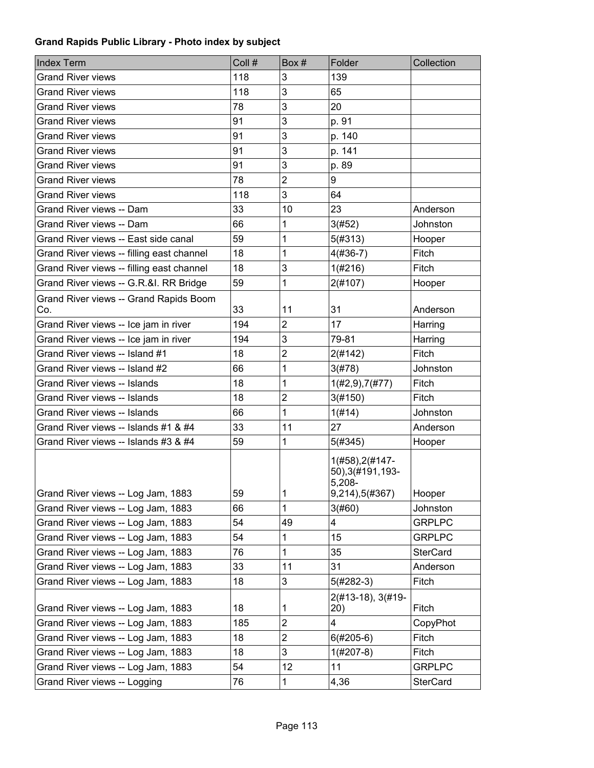| <b>Index Term</b>                         | Coll # | Box#                    | Folder                                                             | Collection      |
|-------------------------------------------|--------|-------------------------|--------------------------------------------------------------------|-----------------|
| <b>Grand River views</b>                  | 118    | 3                       | 139                                                                |                 |
| <b>Grand River views</b>                  | 118    | 3                       | 65                                                                 |                 |
| <b>Grand River views</b>                  | 78     | 3                       | 20                                                                 |                 |
| <b>Grand River views</b>                  | 91     | 3                       | p. 91                                                              |                 |
| <b>Grand River views</b>                  | 91     | 3                       | p. 140                                                             |                 |
| <b>Grand River views</b>                  | 91     | 3                       | p. 141                                                             |                 |
| <b>Grand River views</b>                  | 91     | 3                       | p. 89                                                              |                 |
| <b>Grand River views</b>                  | 78     | $\overline{2}$          | 9                                                                  |                 |
| <b>Grand River views</b>                  | 118    | 3                       | 64                                                                 |                 |
| Grand River views -- Dam                  | 33     | 10                      | 23                                                                 | Anderson        |
| Grand River views -- Dam                  | 66     | 1                       | 3(#52)                                                             | Johnston        |
| Grand River views -- East side canal      | 59     | 1                       | 5(#313)                                                            | Hooper          |
| Grand River views -- filling east channel | 18     | 1                       | $4(#36-7)$                                                         | Fitch           |
| Grand River views -- filling east channel | 18     | 3                       | 1(#216)                                                            | Fitch           |
| Grand River views -- G.R.&I. RR Bridge    | 59     | 1                       | 2(#107)                                                            | Hooper          |
| Grand River views -- Grand Rapids Boom    |        |                         |                                                                    |                 |
| Co.                                       | 33     | 11                      | 31                                                                 | Anderson        |
| Grand River views -- Ice jam in river     | 194    | $\overline{2}$          | 17                                                                 | Harring         |
| Grand River views -- Ice jam in river     | 194    | 3                       | 79-81                                                              | Harring         |
| Grand River views -- Island #1            | 18     | $\overline{\mathbf{c}}$ | 2(#142)                                                            | Fitch           |
| Grand River views -- Island #2            | 66     | 1                       | 3(#78)                                                             | Johnston        |
| <b>Grand River views -- Islands</b>       | 18     | 1                       | $1(\#2,9),7(\#77)$                                                 | Fitch           |
| Grand River views -- Islands              | 18     | $\overline{2}$          | 3(#150)                                                            | Fitch           |
| Grand River views -- Islands              | 66     | 1                       | 1(H14)                                                             | Johnston        |
| Grand River views -- Islands #1 & #4      | 33     | 11                      | 27                                                                 | Anderson        |
| Grand River views -- Islands #3 & #4      | 59     | 1                       | 5(#345)                                                            | Hooper          |
| Grand River views -- Log Jam, 1883        | 59     | 1                       | 1(#58), 2(#147-<br>50), 3(#191, 193-<br>$5,208-$<br>9,214),5(#367) | Hooper          |
| Grand River views -- Log Jam, 1883        | 66     | 1                       | 3(#60)                                                             | Johnston        |
| Grand River views -- Log Jam, 1883        | 54     | 49                      | 4                                                                  | <b>GRPLPC</b>   |
| Grand River views -- Log Jam, 1883        | 54     | 1                       | 15                                                                 | <b>GRPLPC</b>   |
| Grand River views -- Log Jam, 1883        | 76     | 1                       | 35                                                                 | <b>SterCard</b> |
| Grand River views -- Log Jam, 1883        | 33     | 11                      | 31                                                                 | Anderson        |
| Grand River views -- Log Jam, 1883        | 18     | 3                       | $5(#282-3)$                                                        | Fitch           |
| Grand River views -- Log Jam, 1883        | 18     | 1                       | 2(#13-18), 3(#19-<br>20)                                           | Fitch           |
| Grand River views -- Log Jam, 1883        | 185    | $\overline{2}$          | 4                                                                  | CopyPhot        |
| Grand River views -- Log Jam, 1883        | 18     | $\overline{c}$          | $6(#205-6)$                                                        | Fitch           |
| Grand River views -- Log Jam, 1883        | 18     | 3                       | $1(\#207-8)$                                                       | Fitch           |
| Grand River views -- Log Jam, 1883        | 54     | 12                      | 11                                                                 | <b>GRPLPC</b>   |
| Grand River views -- Logging              | 76     | 1                       | 4,36                                                               | <b>SterCard</b> |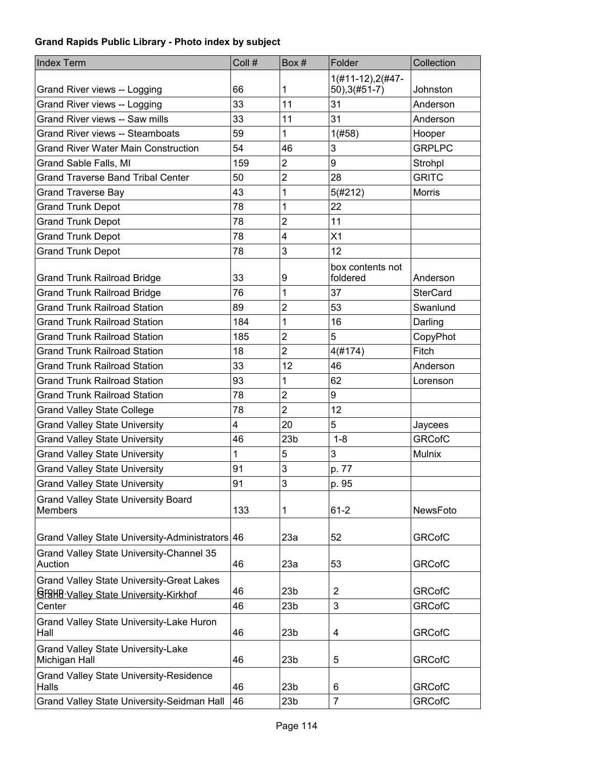| <b>Index Term</b>                                | Coll # | Box#            | Folder              | Collection      |
|--------------------------------------------------|--------|-----------------|---------------------|-----------------|
|                                                  |        |                 | $1(#11-12), 2(#47-$ |                 |
| Grand River views -- Logging                     | 66     | 1               | $50$ ), 3(#51-7)    | Johnston        |
| Grand River views -- Logging                     | 33     | 11              | 31                  | Anderson        |
| <b>Grand River views -- Saw mills</b>            | 33     | 11              | 31                  | Anderson        |
| <b>Grand River views -- Steamboats</b>           | 59     | 1               | 1(#58)              | Hooper          |
| <b>Grand River Water Main Construction</b>       | 54     | 46              | 3                   | <b>GRPLPC</b>   |
| Grand Sable Falls, MI                            | 159    | $\overline{2}$  | 9                   | Strohpl         |
| <b>Grand Traverse Band Tribal Center</b>         | 50     | $\overline{2}$  | 28                  | <b>GRITC</b>    |
| <b>Grand Traverse Bay</b>                        | 43     | 1               | 5(#212)             | <b>Morris</b>   |
| <b>Grand Trunk Depot</b>                         | 78     | 1               | 22                  |                 |
| <b>Grand Trunk Depot</b>                         | 78     | $\overline{2}$  | 11                  |                 |
| <b>Grand Trunk Depot</b>                         | 78     | 4               | X1                  |                 |
| <b>Grand Trunk Depot</b>                         | 78     | 3               | 12                  |                 |
|                                                  |        |                 | box contents not    |                 |
| <b>Grand Trunk Railroad Bridge</b>               | 33     | 9               | foldered            | Anderson        |
| <b>Grand Trunk Railroad Bridge</b>               | 76     | 1               | 37                  | <b>SterCard</b> |
| <b>Grand Trunk Railroad Station</b>              | 89     | $\overline{2}$  | 53                  | Swanlund        |
| <b>Grand Trunk Railroad Station</b>              | 184    | 1               | 16                  | Darling         |
| <b>Grand Trunk Railroad Station</b>              | 185    | $\overline{2}$  | 5                   | CopyPhot        |
| <b>Grand Trunk Railroad Station</b>              | 18     | $\overline{c}$  | 4(#174)             | Fitch           |
| <b>Grand Trunk Railroad Station</b>              | 33     | 12              | 46                  | Anderson        |
| <b>Grand Trunk Railroad Station</b>              | 93     | 1               | 62                  | Lorenson        |
| <b>Grand Trunk Railroad Station</b>              | 78     | $\overline{2}$  | 9                   |                 |
| <b>Grand Valley State College</b>                | 78     | $\overline{2}$  | 12                  |                 |
| <b>Grand Valley State University</b>             | 4      | 20              | 5                   | Jaycees         |
| <b>Grand Valley State University</b>             | 46     | 23 <sub>b</sub> | $1 - 8$             | <b>GRCofC</b>   |
| <b>Grand Valley State University</b>             | 1      | 5               | 3                   | <b>Mulnix</b>   |
| <b>Grand Valley State University</b>             | 91     | 3               | p. 77               |                 |
| <b>Grand Valley State University</b>             | 91     | 3               | p. 95               |                 |
| <b>Grand Valley State University Board</b>       |        |                 |                     |                 |
| <b>Members</b>                                   | 133    | 1               | $61 - 2$            | NewsFoto        |
| Grand Valley State University-Administrators 46  |        | 23a             | 52                  | <b>GRCofC</b>   |
| Grand Valley State University-Channel 35         |        |                 |                     |                 |
| Auction                                          | 46     | 23a             | 53                  | <b>GRCofC</b>   |
| <b>Grand Valley State University-Great Lakes</b> |        |                 |                     |                 |
| GF9HB Valley State University-Kirkhof            | 46     | 23 <sub>b</sub> | $\overline{2}$      | <b>GRCofC</b>   |
| Center                                           | 46     | 23 <sub>b</sub> | 3                   | <b>GRCofC</b>   |
| Grand Valley State University-Lake Huron<br>Hall | 46     | 23 <sub>b</sub> | 4                   | <b>GRCofC</b>   |
| <b>Grand Valley State University-Lake</b>        |        |                 |                     |                 |
| Michigan Hall                                    | 46     | 23 <sub>b</sub> | 5                   | <b>GRCofC</b>   |
| <b>Grand Valley State University-Residence</b>   |        |                 |                     |                 |
| Halls                                            | 46     | 23 <sub>b</sub> | 6                   | <b>GRCofC</b>   |
| Grand Valley State University-Seidman Hall       | 46     | 23 <sub>b</sub> | $\overline{7}$      | <b>GRCofC</b>   |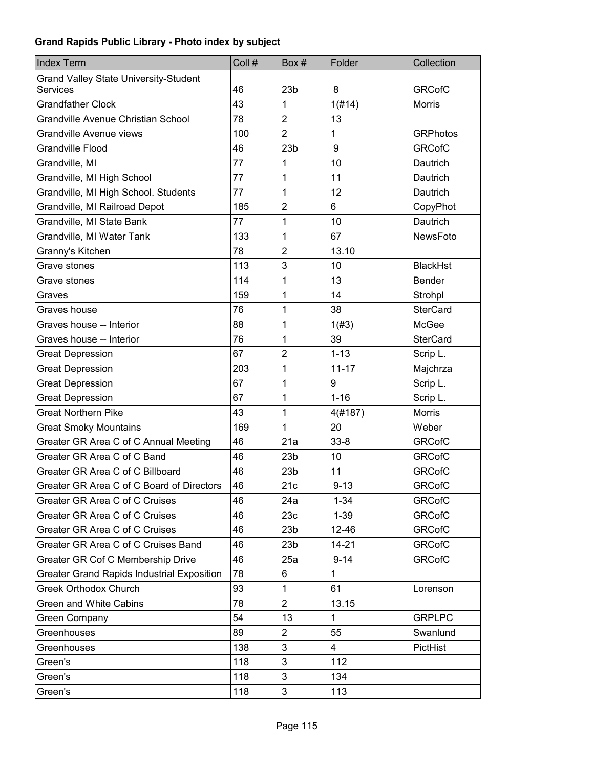| <b>Index Term</b>                                 | Coll # | Box #           | Folder       | Collection      |
|---------------------------------------------------|--------|-----------------|--------------|-----------------|
| <b>Grand Valley State University-Student</b>      |        |                 |              |                 |
| Services                                          | 46     | 23 <sub>b</sub> | 8            | <b>GRCofC</b>   |
| <b>Grandfather Clock</b>                          | 43     | 1               | 1(H14)       | <b>Morris</b>   |
| Grandville Avenue Christian School                | 78     | $\overline{2}$  | 13           |                 |
| Grandville Avenue views                           | 100    | $\overline{2}$  | 1            | <b>GRPhotos</b> |
| <b>Grandville Flood</b>                           | 46     | 23 <sub>b</sub> | 9            | <b>GRCofC</b>   |
| Grandville, MI                                    | 77     | 1               | 10           | Dautrich        |
| Grandville, MI High School                        | 77     | 1               | 11           | Dautrich        |
| Grandville, MI High School. Students              | 77     | 1               | 12           | Dautrich        |
| Grandville, MI Railroad Depot                     | 185    | $\overline{c}$  | 6            | CopyPhot        |
| Grandville, MI State Bank                         | 77     | 1               | 10           | Dautrich        |
| Grandville, MI Water Tank                         | 133    | 1               | 67           | NewsFoto        |
| Granny's Kitchen                                  | 78     | $\overline{2}$  | 13.10        |                 |
| Grave stones                                      | 113    | 3               | 10           | <b>BlackHst</b> |
| Grave stones                                      | 114    | 1               | 13           | <b>Bender</b>   |
| Graves                                            | 159    | 1               | 14           | Strohpl         |
| Graves house                                      | 76     | 1               | 38           | <b>SterCard</b> |
| Graves house -- Interior                          | 88     | 1               | 1(#3)        | McGee           |
| Graves house -- Interior                          | 76     | 1               | 39           | <b>SterCard</b> |
| <b>Great Depression</b>                           | 67     | $\overline{2}$  | $1 - 13$     | Scrip L.        |
| <b>Great Depression</b>                           | 203    | 1               | $11 - 17$    | Majchrza        |
| <b>Great Depression</b>                           | 67     | 1               | 9            | Scrip L.        |
| <b>Great Depression</b>                           | 67     | 1               | $1 - 16$     | Scrip L.        |
| <b>Great Northern Pike</b>                        | 43     | 1               | 4(#187)      | <b>Morris</b>   |
| <b>Great Smoky Mountains</b>                      | 169    | 1               | 20           | Weber           |
| Greater GR Area C of C Annual Meeting             | 46     | 21a             | $33 - 8$     | <b>GRCofC</b>   |
| Greater GR Area C of C Band                       | 46     | 23 <sub>b</sub> | 10           | <b>GRCofC</b>   |
| Greater GR Area C of C Billboard                  | 46     | 23 <sub>b</sub> | 11           | <b>GRCofC</b>   |
| Greater GR Area C of C Board of Directors         | 46     | 21c             | $9 - 13$     | <b>GRCofC</b>   |
| Greater GR Area C of C Cruises                    | 46     | 24a             | $1 - 34$     | <b>GRCofC</b>   |
| Greater GR Area C of C Cruises                    | 46     | 23c             | $1 - 39$     | <b>GRCofC</b>   |
| Greater GR Area C of C Cruises                    | 46     | 23 <sub>b</sub> | 12-46        | <b>GRCofC</b>   |
| Greater GR Area C of C Cruises Band               | 46     | 23 <sub>b</sub> | $14 - 21$    | <b>GRCofC</b>   |
| Greater GR Cof C Membership Drive                 | 46     | 25a             | $9 - 14$     | <b>GRCofC</b>   |
| <b>Greater Grand Rapids Industrial Exposition</b> | 78     | 6               | 1            |                 |
| <b>Greek Orthodox Church</b>                      | 93     | 1               | 61           | Lorenson        |
| Green and White Cabins                            | 78     | $\overline{2}$  | 13.15        |                 |
| <b>Green Company</b>                              | 54     | 13              | $\mathbf{1}$ | <b>GRPLPC</b>   |
| Greenhouses                                       | 89     | 2               | 55           | Swanlund        |
| Greenhouses                                       | 138    | 3               | 4            | PictHist        |
| Green's                                           | 118    | 3               | 112          |                 |
| Green's                                           | 118    | 3               | 134          |                 |
| Green's                                           | 118    | 3               | 113          |                 |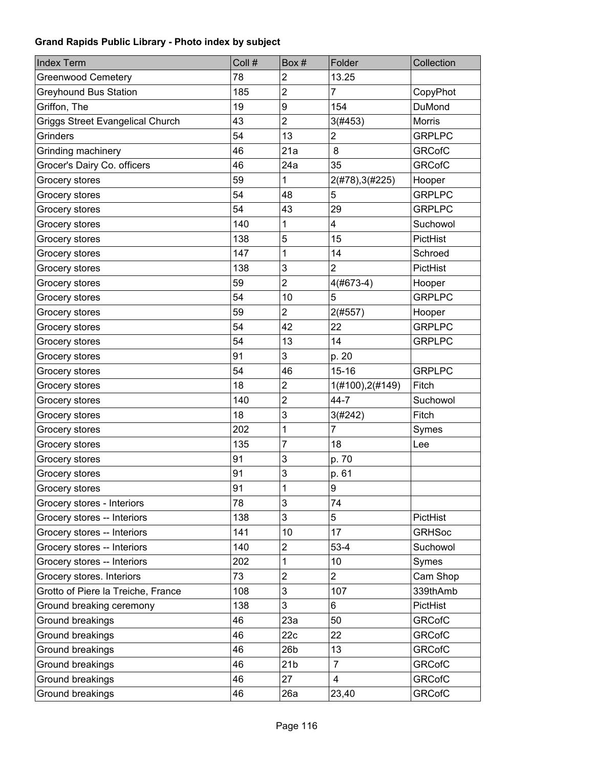| <b>Index Term</b>                       | Coll # | Box#            | Folder                  | Collection    |
|-----------------------------------------|--------|-----------------|-------------------------|---------------|
| <b>Greenwood Cemetery</b>               | 78     | $\overline{2}$  | 13.25                   |               |
| Greyhound Bus Station                   | 185    | $\overline{2}$  | $\overline{7}$          | CopyPhot      |
| Griffon, The                            | 19     | 9               | 154                     | DuMond        |
| <b>Griggs Street Evangelical Church</b> | 43     | $\overline{2}$  | 3(#453)                 | <b>Morris</b> |
| Grinders                                | 54     | 13              | $\overline{\mathbf{c}}$ | <b>GRPLPC</b> |
| Grinding machinery                      | 46     | 21a             | 8                       | <b>GRCofC</b> |
| Grocer's Dairy Co. officers             | 46     | 24a             | 35                      | <b>GRCofC</b> |
| Grocery stores                          | 59     | 1               | 2(#78), 3(#225)         | Hooper        |
| Grocery stores                          | 54     | 48              | 5                       | <b>GRPLPC</b> |
| Grocery stores                          | 54     | 43              | 29                      | <b>GRPLPC</b> |
| Grocery stores                          | 140    | 1               | 4                       | Suchowol      |
| Grocery stores                          | 138    | 5               | 15                      | PictHist      |
| Grocery stores                          | 147    | 1               | 14                      | Schroed       |
| Grocery stores                          | 138    | 3               | $\overline{2}$          | PictHist      |
| Grocery stores                          | 59     | $\overline{2}$  | 4(#673-4)               | Hooper        |
| Grocery stores                          | 54     | 10              | 5                       | <b>GRPLPC</b> |
| Grocery stores                          | 59     | $\overline{2}$  | 2(#557)                 | Hooper        |
| Grocery stores                          | 54     | 42              | 22                      | <b>GRPLPC</b> |
| Grocery stores                          | 54     | 13              | 14                      | <b>GRPLPC</b> |
| Grocery stores                          | 91     | 3               | p. 20                   |               |
| Grocery stores                          | 54     | 46              | $15 - 16$               | <b>GRPLPC</b> |
| Grocery stores                          | 18     | $\overline{2}$  | 1(#100), 2(#149)        | Fitch         |
| Grocery stores                          | 140    | $\overline{2}$  | $44 - 7$                | Suchowol      |
| Grocery stores                          | 18     | 3               | 3(#242)                 | Fitch         |
| Grocery stores                          | 202    | 1               | $\overline{7}$          | Symes         |
| Grocery stores                          | 135    | $\overline{7}$  | 18                      | Lee           |
| Grocery stores                          | 91     | 3               | p. 70                   |               |
| Grocery stores                          | 91     | 3               | p. 61                   |               |
| Grocery stores                          | 91     | 1               | 9                       |               |
| Grocery stores - Interiors              | 78     | 3               | 74                      |               |
| Grocery stores -- Interiors             | 138    | 3               | 5                       | PictHist      |
| Grocery stores -- Interiors             | 141    | 10              | 17                      | <b>GRHSoc</b> |
| Grocery stores -- Interiors             | 140    | $\overline{c}$  | $53 - 4$                | Suchowol      |
| Grocery stores -- Interiors             | 202    | 1               | 10                      | Symes         |
| Grocery stores. Interiors               | 73     | $\overline{2}$  | $\overline{2}$          | Cam Shop      |
| Grotto of Piere la Treiche, France      | 108    | 3               | 107                     | 339thAmb      |
| Ground breaking ceremony                | 138    | 3               | 6                       | PictHist      |
| Ground breakings                        | 46     | 23a             | 50                      | <b>GRCofC</b> |
| Ground breakings                        | 46     | 22c             | 22                      | <b>GRCofC</b> |
| Ground breakings                        | 46     | 26 <sub>b</sub> | 13                      | <b>GRCofC</b> |
| Ground breakings                        | 46     | 21 <sub>b</sub> | $\overline{7}$          | <b>GRCofC</b> |
| Ground breakings                        | 46     | 27              | $\overline{4}$          | <b>GRCofC</b> |
| Ground breakings                        | 46     | 26a             | 23,40                   | <b>GRCofC</b> |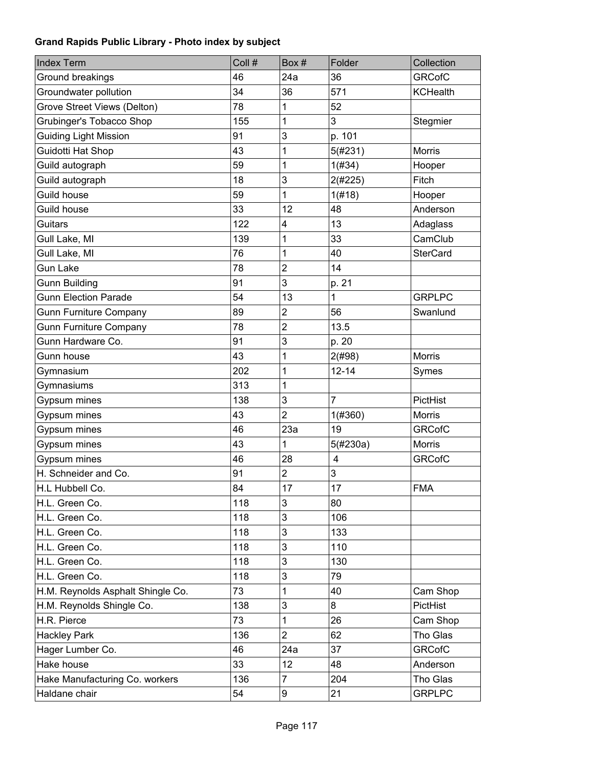| <b>Index Term</b>                 | Coll # | Box#                      | Folder         | Collection      |
|-----------------------------------|--------|---------------------------|----------------|-----------------|
| Ground breakings                  | 46     | 24a                       | 36             | <b>GRCofC</b>   |
| Groundwater pollution             | 34     | 36                        | 571            | <b>KCHealth</b> |
| Grove Street Views (Delton)       | 78     | 1                         | 52             |                 |
| Grubinger's Tobacco Shop          | 155    | 1                         | 3              | Stegmier        |
| <b>Guiding Light Mission</b>      | 91     | 3                         | p. 101         |                 |
| Guidotti Hat Shop                 | 43     | 1                         | 5(#231)        | <b>Morris</b>   |
| Guild autograph                   | 59     | 1                         | 1(#34)         | Hooper          |
| Guild autograph                   | 18     | 3                         | 2(#225)        | <b>Fitch</b>    |
| Guild house                       | 59     | 1                         | 1(f#18)        | Hooper          |
| Guild house                       | 33     | 12                        | 48             | Anderson        |
| Guitars                           | 122    | 4                         | 13             | Adaglass        |
| Gull Lake, MI                     | 139    | 1                         | 33             | CamClub         |
| Gull Lake, MI                     | 76     | 1                         | 40             | <b>SterCard</b> |
| <b>Gun Lake</b>                   | 78     | $\overline{2}$            | 14             |                 |
| <b>Gunn Building</b>              | 91     | 3                         | p. 21          |                 |
| <b>Gunn Election Parade</b>       | 54     | 13                        | 1              | <b>GRPLPC</b>   |
| <b>Gunn Furniture Company</b>     | 89     | $\mathbf 2$               | 56             | Swanlund        |
| <b>Gunn Furniture Company</b>     | 78     | $\overline{2}$            | 13.5           |                 |
| Gunn Hardware Co.                 | 91     | 3                         | p. 20          |                 |
| Gunn house                        | 43     | 1                         | 2(#98)         | Morris          |
| Gymnasium                         | 202    | 1                         | $12 - 14$      | Symes           |
| Gymnasiums                        | 313    | 1                         |                |                 |
| Gypsum mines                      | 138    | 3                         | $\overline{7}$ | PictHist        |
| Gypsum mines                      | 43     | $\overline{2}$            | 1(#360)        | <b>Morris</b>   |
| Gypsum mines                      | 46     | 23a                       | 19             | <b>GRCofC</b>   |
| Gypsum mines                      | 43     | 1                         | 5(#230a)       | <b>Morris</b>   |
| Gypsum mines                      | 46     | 28                        | $\overline{4}$ | <b>GRCofC</b>   |
| H. Schneider and Co.              | 91     | $\overline{c}$            | 3              |                 |
| H.L Hubbell Co.                   | 84     | 17                        | 17             | <b>FMA</b>      |
| H.L. Green Co.                    | 118    | 3                         | 80             |                 |
| H.L. Green Co.                    | 118    | 3                         | 106            |                 |
| H.L. Green Co.                    | 118    | $\ensuremath{\mathsf{3}}$ | 133            |                 |
| H.L. Green Co.                    | 118    | 3                         | 110            |                 |
| H.L. Green Co.                    | 118    | $\ensuremath{\mathsf{3}}$ | 130            |                 |
| H.L. Green Co.                    | 118    | 3                         | 79             |                 |
| H.M. Reynolds Asphalt Shingle Co. | 73     | 1                         | 40             | Cam Shop        |
| H.M. Reynolds Shingle Co.         | 138    | 3                         | 8              | PictHist        |
| H.R. Pierce                       | 73     | 1                         | 26             | Cam Shop        |
| <b>Hackley Park</b>               | 136    | $\overline{2}$            | 62             | Tho Glas        |
| Hager Lumber Co.                  | 46     | 24a                       | 37             | <b>GRCofC</b>   |
| Hake house                        | 33     | 12                        | 48             | Anderson        |
| Hake Manufacturing Co. workers    | 136    | $\overline{7}$            | 204            | Tho Glas        |
| Haldane chair                     | 54     | 9                         | 21             | <b>GRPLPC</b>   |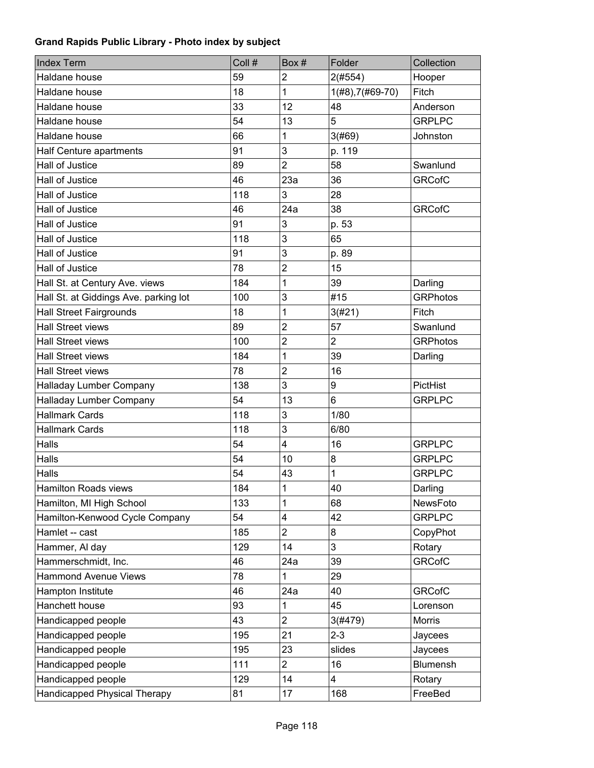| <b>Index Term</b>                     | Coll # | Box#                    | Folder             | Collection      |
|---------------------------------------|--------|-------------------------|--------------------|-----------------|
| Haldane house                         | 59     | $\overline{c}$          | 2(#554)            | Hooper          |
| Haldane house                         | 18     | 1                       | $1(H8), 7(H69-70)$ | Fitch           |
| Haldane house                         | 33     | 12                      | 48                 | Anderson        |
| Haldane house                         | 54     | 13                      | 5                  | <b>GRPLPC</b>   |
| Haldane house                         | 66     | 1                       | 3(#69)             | Johnston        |
| Half Centure apartments               | 91     | 3                       | p. 119             |                 |
| Hall of Justice                       | 89     | $\overline{2}$          | 58                 | Swanlund        |
| Hall of Justice                       | 46     | 23a                     | 36                 | <b>GRCofC</b>   |
| Hall of Justice                       | 118    | 3                       | 28                 |                 |
| Hall of Justice                       | 46     | 24a                     | 38                 | <b>GRCofC</b>   |
| Hall of Justice                       | 91     | 3                       | p. 53              |                 |
| Hall of Justice                       | 118    | 3                       | 65                 |                 |
| Hall of Justice                       | 91     | 3                       | p. 89              |                 |
| Hall of Justice                       | 78     | $\overline{2}$          | 15                 |                 |
| Hall St. at Century Ave. views        | 184    | 1                       | 39                 | Darling         |
| Hall St. at Giddings Ave. parking lot | 100    | 3                       | #15                | <b>GRPhotos</b> |
| <b>Hall Street Fairgrounds</b>        | 18     | 1                       | 3(#21)             | Fitch           |
| <b>Hall Street views</b>              | 89     | $\overline{2}$          | 57                 | Swanlund        |
| <b>Hall Street views</b>              | 100    | $\overline{2}$          | $\overline{2}$     | <b>GRPhotos</b> |
| <b>Hall Street views</b>              | 184    | 1                       | 39                 | Darling         |
| <b>Hall Street views</b>              | 78     | $\overline{2}$          | 16                 |                 |
| Halladay Lumber Company               | 138    | 3                       | 9                  | PictHist        |
| Halladay Lumber Company               | 54     | 13                      | 6                  | <b>GRPLPC</b>   |
| <b>Hallmark Cards</b>                 | 118    | 3                       | 1/80               |                 |
| <b>Hallmark Cards</b>                 | 118    | 3                       | 6/80               |                 |
| Halls                                 | 54     | $\overline{4}$          | 16                 | <b>GRPLPC</b>   |
| Halls                                 | 54     | 10                      | 8                  | <b>GRPLPC</b>   |
| Halls                                 | 54     | 43                      | 1                  | <b>GRPLPC</b>   |
| <b>Hamilton Roads views</b>           | 184    | $\mathbf{1}$            | 40                 | Darling         |
| Hamilton, MI High School              | 133    | 1                       | 68                 | NewsFoto        |
| Hamilton-Kenwood Cycle Company        | 54     | $\overline{\mathbf{4}}$ | 42                 | <b>GRPLPC</b>   |
| Hamlet -- cast                        | 185    | $\overline{2}$          | 8                  | CopyPhot        |
| Hammer, Al day                        | 129    | 14                      | 3                  | Rotary          |
| Hammerschmidt, Inc.                   | 46     | 24a                     | 39                 | <b>GRCofC</b>   |
| <b>Hammond Avenue Views</b>           | 78     | 1                       | 29                 |                 |
| Hampton Institute                     | 46     | 24a                     | 40                 | <b>GRCofC</b>   |
| Hanchett house                        | 93     | 1                       | 45                 | Lorenson        |
| Handicapped people                    | 43     | $\overline{c}$          | 3(#479)            | Morris          |
| Handicapped people                    | 195    | 21                      | $2 - 3$            | Jaycees         |
| Handicapped people                    | 195    | 23                      | slides             | Jaycees         |
| Handicapped people                    | 111    | $\overline{2}$          | 16                 | Blumensh        |
| Handicapped people                    | 129    | 14                      | 4                  | Rotary          |
| Handicapped Physical Therapy          | 81     | 17                      | 168                | FreeBed         |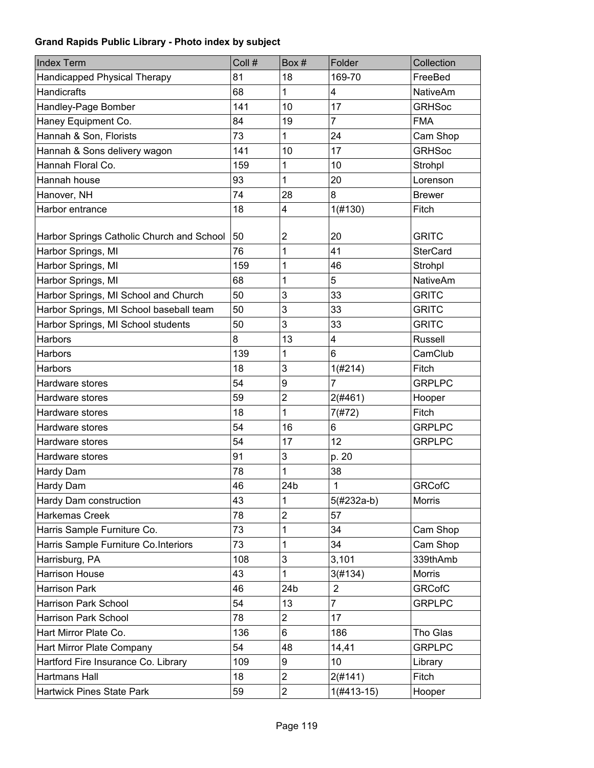| <b>Index Term</b>                         | Coll # | Box#                    | Folder         | Collection      |
|-------------------------------------------|--------|-------------------------|----------------|-----------------|
| Handicapped Physical Therapy              | 81     | 18                      | 169-70         | FreeBed         |
| <b>Handicrafts</b>                        | 68     | 1                       | 4              | <b>NativeAm</b> |
| Handley-Page Bomber                       | 141    | 10                      | 17             | <b>GRHSoc</b>   |
| Haney Equipment Co.                       | 84     | 19                      | 7              | <b>FMA</b>      |
| Hannah & Son, Florists                    | 73     | 1                       | 24             | Cam Shop        |
| Hannah & Sons delivery wagon              | 141    | 10                      | 17             | <b>GRHSoc</b>   |
| Hannah Floral Co.                         | 159    | 1                       | 10             | Strohpl         |
| Hannah house                              | 93     | 1                       | 20             | Lorenson        |
| Hanover, NH                               | 74     | 28                      | 8              | <b>Brewer</b>   |
| Harbor entrance                           | 18     | 4                       | 1(#130)        | Fitch           |
|                                           |        |                         |                |                 |
| Harbor Springs Catholic Church and School | 50     | $\overline{\mathbf{c}}$ | 20             | <b>GRITC</b>    |
| Harbor Springs, MI                        | 76     | 1                       | 41             | <b>SterCard</b> |
| Harbor Springs, MI                        | 159    | 1                       | 46             | Strohpl         |
| Harbor Springs, MI                        | 68     | 1                       | 5              | <b>NativeAm</b> |
| Harbor Springs, MI School and Church      | 50     | 3                       | 33             | <b>GRITC</b>    |
| Harbor Springs, MI School baseball team   | 50     | 3                       | 33             | <b>GRITC</b>    |
| Harbor Springs, MI School students        | 50     | 3                       | 33             | <b>GRITC</b>    |
| <b>Harbors</b>                            | 8      | 13                      | 4              | Russell         |
| <b>Harbors</b>                            | 139    | 1                       | 6              | CamClub         |
| <b>Harbors</b>                            | 18     | 3                       | 1(#214)        | Fitch           |
| Hardware stores                           | 54     | 9                       | 7              | <b>GRPLPC</b>   |
| Hardware stores                           | 59     | $\overline{c}$          | 2(#461)        | Hooper          |
| Hardware stores                           | 18     | 1                       | 7(#72)         | Fitch           |
| Hardware stores                           | 54     | 16                      | 6              | <b>GRPLPC</b>   |
| Hardware stores                           | 54     | 17                      | 12             | <b>GRPLPC</b>   |
| Hardware stores                           | 91     | 3                       | p. 20          |                 |
| Hardy Dam                                 | 78     | 1                       | 38             |                 |
| Hardy Dam                                 | 46     | 24 <sub>b</sub>         | $\mathbf{1}$   | <b>GRCofC</b>   |
| Hardy Dam construction                    | 43     | 1                       | 5(#232a-b)     | Morris          |
| <b>Harkemas Creek</b>                     | 78     | $\overline{c}$          | 57             |                 |
| Harris Sample Furniture Co.               | 73     | 1                       | 34             | Cam Shop        |
| Harris Sample Furniture Co. Interiors     | 73     | 1                       | 34             | Cam Shop        |
| Harrisburg, PA                            | 108    | 3                       | 3,101          | 339thAmb        |
| <b>Harrison House</b>                     | 43     | 1                       | 3(#134)        | <b>Morris</b>   |
| <b>Harrison Park</b>                      | 46     | 24b                     | $\overline{2}$ | <b>GRCofC</b>   |
| Harrison Park School                      | 54     | 13                      | $\overline{7}$ | <b>GRPLPC</b>   |
| Harrison Park School                      | 78     | $\overline{2}$          | 17             |                 |
| Hart Mirror Plate Co.                     | 136    | 6                       | 186            | Tho Glas        |
| Hart Mirror Plate Company                 | 54     | 48                      | 14,41          | <b>GRPLPC</b>   |
| Hartford Fire Insurance Co. Library       | 109    | 9                       | 10             | Library         |
| Hartmans Hall                             | 18     | $\overline{2}$          | 2(#141)        | Fitch           |
| <b>Hartwick Pines State Park</b>          | 59     | $\overline{c}$          | $1(#413-15)$   | Hooper          |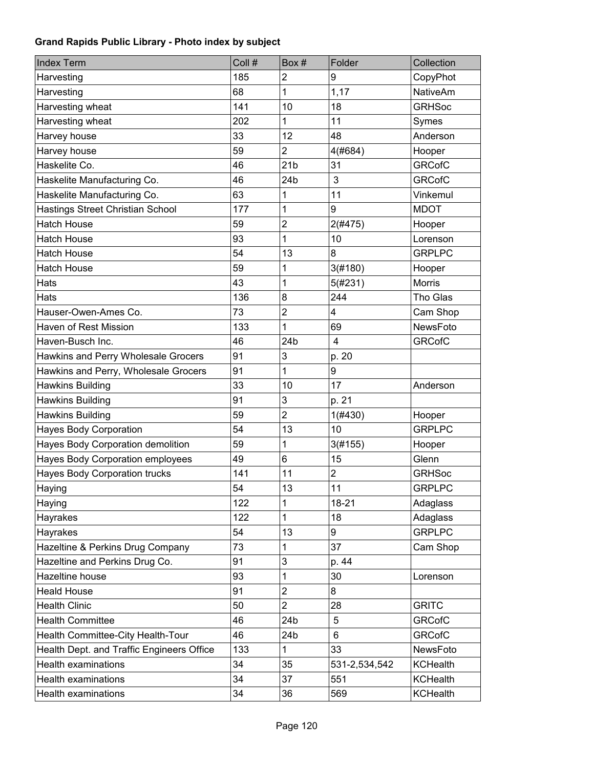| <b>Index Term</b>                         | Coll # | Box#            | Folder         | Collection      |
|-------------------------------------------|--------|-----------------|----------------|-----------------|
| Harvesting                                | 185    | $\overline{2}$  | 9              | CopyPhot        |
| Harvesting                                | 68     | 1               | 1,17           | <b>NativeAm</b> |
| Harvesting wheat                          | 141    | 10              | 18             | <b>GRHSoc</b>   |
| Harvesting wheat                          | 202    | 1               | 11             | Symes           |
| Harvey house                              | 33     | 12              | 48             | Anderson        |
| Harvey house                              | 59     | 2               | 4(#684)        | Hooper          |
| Haskelite Co.                             | 46     | 21 <sub>b</sub> | 31             | <b>GRCofC</b>   |
| Haskelite Manufacturing Co.               | 46     | 24b             | 3              | <b>GRCofC</b>   |
| Haskelite Manufacturing Co.               | 63     | 1               | 11             | Vinkemul        |
| Hastings Street Christian School          | 177    | 1               | 9              | <b>MDOT</b>     |
| <b>Hatch House</b>                        | 59     | $\overline{c}$  | 2(#475)        | Hooper          |
| <b>Hatch House</b>                        | 93     | 1               | 10             | Lorenson        |
| <b>Hatch House</b>                        | 54     | 13              | 8              | <b>GRPLPC</b>   |
| <b>Hatch House</b>                        | 59     | 1               | 3(#180)        | Hooper          |
| Hats                                      | 43     | 1               | 5(#231)        | <b>Morris</b>   |
| Hats                                      | 136    | 8               | 244            | Tho Glas        |
| Hauser-Owen-Ames Co.                      | 73     | $\overline{2}$  | 4              | Cam Shop        |
| Haven of Rest Mission                     | 133    | 1               | 69             | NewsFoto        |
| Haven-Busch Inc.                          | 46     | 24b             | $\overline{4}$ | <b>GRCofC</b>   |
| Hawkins and Perry Wholesale Grocers       | 91     | 3               | p. 20          |                 |
| Hawkins and Perry, Wholesale Grocers      | 91     | 1               | 9              |                 |
| Hawkins Building                          | 33     | 10              | 17             | Anderson        |
| Hawkins Building                          | 91     | 3               | p. 21          |                 |
| Hawkins Building                          | 59     | $\overline{2}$  | 1(#430)        | Hooper          |
| <b>Hayes Body Corporation</b>             | 54     | 13              | 10             | <b>GRPLPC</b>   |
| Hayes Body Corporation demolition         | 59     | 1               | 3(#155)        | Hooper          |
| Hayes Body Corporation employees          | 49     | 6               | 15             | Glenn           |
| <b>Hayes Body Corporation trucks</b>      | 141    | 11              | $\overline{2}$ | <b>GRHSoc</b>   |
| Haying                                    | 54     | 13              | 11             | <b>GRPLPC</b>   |
| Haying                                    | 122    | 1               | $18 - 21$      | Adaglass        |
| Hayrakes                                  | 122    | 1               | 18             | Adaglass        |
| Hayrakes                                  | 54     | 13              | 9              | <b>GRPLPC</b>   |
| Hazeltine & Perkins Drug Company          | 73     | 1               | 37             | Cam Shop        |
| Hazeltine and Perkins Drug Co.            | 91     | 3               | p. 44          |                 |
| Hazeltine house                           | 93     | 1               | 30             | Lorenson        |
| <b>Heald House</b>                        | 91     | $\overline{2}$  | 8              |                 |
| <b>Health Clinic</b>                      | 50     | $\overline{2}$  | 28             | <b>GRITC</b>    |
| <b>Health Committee</b>                   | 46     | 24b             | 5              | <b>GRCofC</b>   |
| Health Committee-City Health-Tour         | 46     | 24b             | $6\phantom{1}$ | <b>GRCofC</b>   |
| Health Dept. and Traffic Engineers Office | 133    | 1               | 33             | NewsFoto        |
| <b>Health examinations</b>                | 34     | 35              | 531-2,534,542  | <b>KCHealth</b> |
| <b>Health examinations</b>                | 34     | 37              | 551            | <b>KCHealth</b> |
| <b>Health examinations</b>                | 34     | 36              | 569            | <b>KCHealth</b> |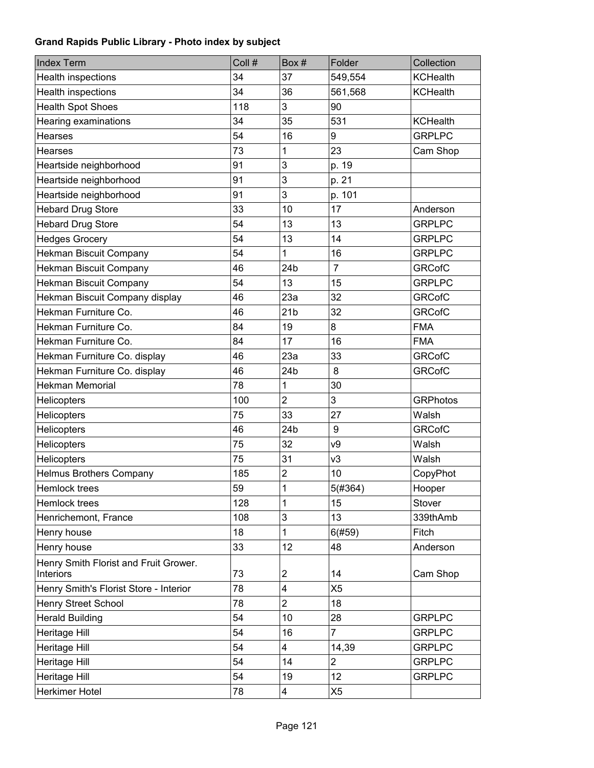| <b>Index Term</b>                                         | Coll # | Box#                    | Folder         | Collection      |
|-----------------------------------------------------------|--------|-------------------------|----------------|-----------------|
| Health inspections                                        | 34     | 37                      | 549,554        | <b>KCHealth</b> |
| Health inspections                                        | 34     | 36                      | 561,568        | <b>KCHealth</b> |
| <b>Health Spot Shoes</b>                                  | 118    | 3                       | 90             |                 |
| Hearing examinations                                      | 34     | 35                      | 531            | <b>KCHealth</b> |
| <b>Hearses</b>                                            | 54     | 16                      | 9              | <b>GRPLPC</b>   |
| <b>Hearses</b>                                            | 73     | 1                       | 23             | Cam Shop        |
| Heartside neighborhood                                    | 91     | 3                       | p. 19          |                 |
| Heartside neighborhood                                    | 91     | 3                       | p. 21          |                 |
| Heartside neighborhood                                    | 91     | 3                       | p. 101         |                 |
| <b>Hebard Drug Store</b>                                  | 33     | 10                      | 17             | Anderson        |
| <b>Hebard Drug Store</b>                                  | 54     | 13                      | 13             | <b>GRPLPC</b>   |
| <b>Hedges Grocery</b>                                     | 54     | 13                      | 14             | <b>GRPLPC</b>   |
| Hekman Biscuit Company                                    | 54     | 1                       | 16             | <b>GRPLPC</b>   |
| Hekman Biscuit Company                                    | 46     | 24b                     | $\overline{7}$ | <b>GRCofC</b>   |
| Hekman Biscuit Company                                    | 54     | 13                      | 15             | <b>GRPLPC</b>   |
| Hekman Biscuit Company display                            | 46     | 23a                     | 32             | <b>GRCofC</b>   |
| Hekman Furniture Co.                                      | 46     | 21 <sub>b</sub>         | 32             | <b>GRCofC</b>   |
| Hekman Furniture Co.                                      | 84     | 19                      | 8              | <b>FMA</b>      |
| Hekman Furniture Co.                                      | 84     | 17                      | 16             | <b>FMA</b>      |
| Hekman Furniture Co. display                              | 46     | 23a                     | 33             | <b>GRCofC</b>   |
| Hekman Furniture Co. display                              | 46     | 24 <sub>b</sub>         | 8              | <b>GRCofC</b>   |
| <b>Hekman Memorial</b>                                    | 78     | 1                       | 30             |                 |
| <b>Helicopters</b>                                        | 100    | $\overline{2}$          | 3              | <b>GRPhotos</b> |
| <b>Helicopters</b>                                        | 75     | 33                      | 27             | Walsh           |
| Helicopters                                               | 46     | 24 <sub>b</sub>         | 9              | <b>GRCofC</b>   |
| <b>Helicopters</b>                                        | 75     | 32                      | ν9             | Walsh           |
| <b>Helicopters</b>                                        | 75     | 31                      | v3             | Walsh           |
| <b>Helmus Brothers Company</b>                            | 185    | $\overline{\mathbf{c}}$ | 10             | CopyPhot        |
| Hemlock trees                                             | 59     | 1                       | 5(#364)        | Hooper          |
| Hemlock trees                                             | 128    | 1                       | 15             | Stover          |
| Henrichemont, France                                      | 108    | 3                       | 13             | 339thAmb        |
| Henry house                                               | 18     | 1                       | 6(#59)         | Fitch           |
| Henry house                                               | 33     | 12                      | 48             | Anderson        |
| Henry Smith Florist and Fruit Grower.<br><b>Interiors</b> | 73     | 2                       | 14             | Cam Shop        |
| Henry Smith's Florist Store - Interior                    | 78     | 4                       | X <sub>5</sub> |                 |
| Henry Street School                                       | 78     | $\overline{2}$          | 18             |                 |
| <b>Herald Building</b>                                    | 54     | 10                      | 28             | <b>GRPLPC</b>   |
| Heritage Hill                                             | 54     | 16                      | $\overline{7}$ | <b>GRPLPC</b>   |
| Heritage Hill                                             | 54     | $\overline{\mathbf{4}}$ | 14,39          | <b>GRPLPC</b>   |
| Heritage Hill                                             | 54     | 14                      | 2              | <b>GRPLPC</b>   |
| Heritage Hill                                             | 54     | 19                      | 12             | <b>GRPLPC</b>   |
| Herkimer Hotel                                            | 78     | 4                       | X5             |                 |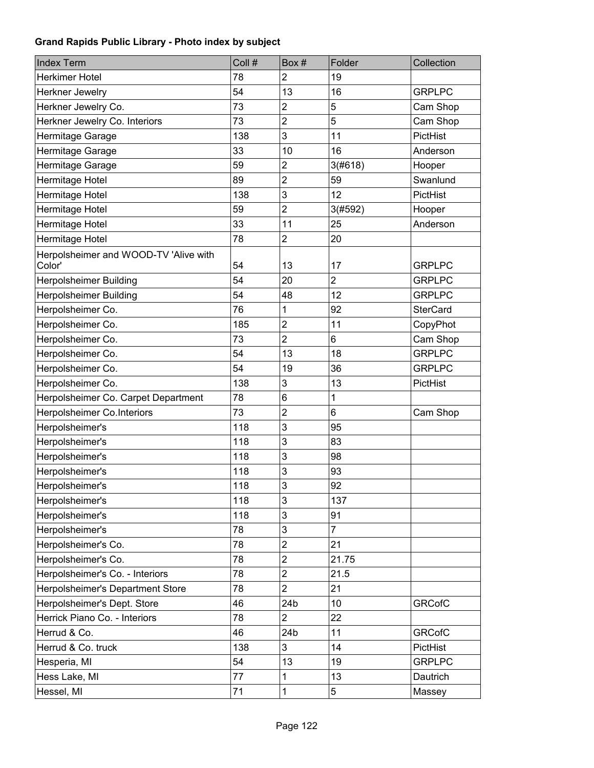| <b>Index Term</b>                               | Coll # | Box#                    | Folder         | Collection      |
|-------------------------------------------------|--------|-------------------------|----------------|-----------------|
| Herkimer Hotel                                  | 78     | $\overline{2}$          | 19             |                 |
| Herkner Jewelry                                 | 54     | 13                      | 16             | <b>GRPLPC</b>   |
| Herkner Jewelry Co.                             | 73     | $\overline{c}$          | 5              | Cam Shop        |
| Herkner Jewelry Co. Interiors                   | 73     | $\overline{2}$          | 5              | Cam Shop        |
| Hermitage Garage                                | 138    | 3                       | 11             | PictHist        |
| Hermitage Garage                                | 33     | 10                      | 16             | Anderson        |
| Hermitage Garage                                | 59     | $\overline{2}$          | 3(#618)        | Hooper          |
| Hermitage Hotel                                 | 89     | $\overline{2}$          | 59             | Swanlund        |
| Hermitage Hotel                                 | 138    | 3                       | 12             | PictHist        |
| Hermitage Hotel                                 | 59     | $\overline{2}$          | 3(#592)        | Hooper          |
| Hermitage Hotel                                 | 33     | 11                      | 25             | Anderson        |
| Hermitage Hotel                                 | 78     | $\overline{2}$          | 20             |                 |
| Herpolsheimer and WOOD-TV 'Alive with<br>Color' | 54     | 13                      | 17             | <b>GRPLPC</b>   |
| Herpolsheimer Building                          | 54     | 20                      | $\overline{2}$ | <b>GRPLPC</b>   |
| <b>Herpolsheimer Building</b>                   | 54     | 48                      | 12             | <b>GRPLPC</b>   |
| Herpolsheimer Co.                               | 76     | 1                       | 92             | <b>SterCard</b> |
| Herpolsheimer Co.                               | 185    | $\overline{2}$          | 11             | CopyPhot        |
| Herpolsheimer Co.                               | 73     | $\overline{2}$          | 6              | Cam Shop        |
| Herpolsheimer Co.                               | 54     | 13                      | 18             | <b>GRPLPC</b>   |
| Herpolsheimer Co.                               | 54     | 19                      | 36             | <b>GRPLPC</b>   |
| Herpolsheimer Co.                               | 138    | 3                       | 13             | PictHist        |
| Herpolsheimer Co. Carpet Department             | 78     | $6\phantom{1}$          | 1              |                 |
| Herpolsheimer Co.Interiors                      | 73     | $\overline{2}$          | 6              | Cam Shop        |
| Herpolsheimer's                                 | 118    | 3                       | 95             |                 |
| Herpolsheimer's                                 | 118    | 3                       | 83             |                 |
| Herpolsheimer's                                 | 118    | 3                       | 98             |                 |
| Herpolsheimer's                                 | 118    | 3                       | 93             |                 |
| Herpolsheimer's                                 | 118    | 3                       | 92             |                 |
| Herpolsheimer's                                 | 118    | 3                       | 137            |                 |
| Herpolsheimer's                                 | 118    | 3                       | 91             |                 |
| Herpolsheimer's                                 | 78     | 3                       | $\overline{7}$ |                 |
| Herpolsheimer's Co.                             | 78     | $\overline{\mathbf{c}}$ | 21             |                 |
| Herpolsheimer's Co.                             | 78     | $\overline{c}$          | 21.75          |                 |
| Herpolsheimer's Co. - Interiors                 | 78     | $\overline{c}$          | 21.5           |                 |
| Herpolsheimer's Department Store                | 78     | $\overline{2}$          | 21             |                 |
| Herpolsheimer's Dept. Store                     | 46     | 24b                     | 10             | <b>GRCofC</b>   |
| Herrick Piano Co. - Interiors                   | 78     | $\overline{2}$          | 22             |                 |
| Herrud & Co.                                    | 46     | 24b                     | 11             | <b>GRCofC</b>   |
| Herrud & Co. truck                              | 138    | 3                       | 14             | PictHist        |
| Hesperia, MI                                    | 54     | 13                      | 19             | <b>GRPLPC</b>   |
| Hess Lake, MI                                   | 77     | 1                       | 13             | Dautrich        |
| Hessel, MI                                      | 71     | $\mathbf{1}$            | 5              | Massey          |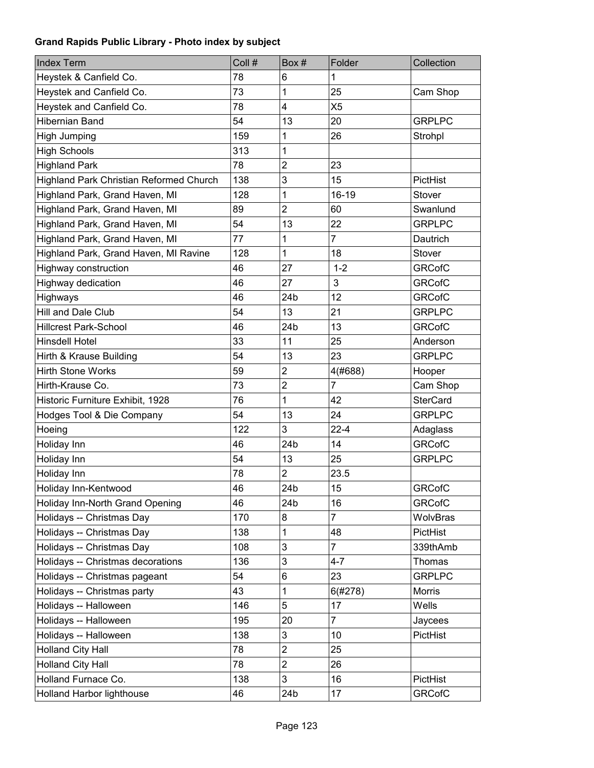| <b>Index Term</b>                       | Coll # | Box#                      | Folder         | Collection      |
|-----------------------------------------|--------|---------------------------|----------------|-----------------|
| Heystek & Canfield Co.                  | 78     | 6                         | 1              |                 |
| Heystek and Canfield Co.                | 73     | 1                         | 25             | Cam Shop        |
| Heystek and Canfield Co.                | 78     | $\overline{\mathbf{4}}$   | X <sub>5</sub> |                 |
| Hibernian Band                          | 54     | 13                        | 20             | <b>GRPLPC</b>   |
| <b>High Jumping</b>                     | 159    | 1                         | 26             | Strohpl         |
| <b>High Schools</b>                     | 313    | 1                         |                |                 |
| <b>Highland Park</b>                    | 78     | $\overline{2}$            | 23             |                 |
| Highland Park Christian Reformed Church | 138    | 3                         | 15             | PictHist        |
| Highland Park, Grand Haven, MI          | 128    | 1                         | 16-19          | Stover          |
| Highland Park, Grand Haven, MI          | 89     | $\overline{2}$            | 60             | Swanlund        |
| Highland Park, Grand Haven, MI          | 54     | 13                        | 22             | <b>GRPLPC</b>   |
| Highland Park, Grand Haven, MI          | 77     | 1                         | $\overline{7}$ | Dautrich        |
| Highland Park, Grand Haven, MI Ravine   | 128    | 1                         | 18             | Stover          |
| Highway construction                    | 46     | 27                        | $1 - 2$        | <b>GRCofC</b>   |
| Highway dedication                      | 46     | 27                        | 3              | <b>GRCofC</b>   |
| Highways                                | 46     | 24 <sub>b</sub>           | 12             | <b>GRCofC</b>   |
| Hill and Dale Club                      | 54     | 13                        | 21             | <b>GRPLPC</b>   |
| <b>Hillcrest Park-School</b>            | 46     | 24 <sub>b</sub>           | 13             | <b>GRCofC</b>   |
| Hinsdell Hotel                          | 33     | 11                        | 25             | Anderson        |
| Hirth & Krause Building                 | 54     | 13                        | 23             | <b>GRPLPC</b>   |
| <b>Hirth Stone Works</b>                | 59     | $\mathbf 2$               | 4(#688)        | Hooper          |
| Hirth-Krause Co.                        | 73     | $\overline{2}$            | $\overline{7}$ | Cam Shop        |
| Historic Furniture Exhibit, 1928        | 76     | 1                         | 42             | <b>SterCard</b> |
| Hodges Tool & Die Company               | 54     | 13                        | 24             | <b>GRPLPC</b>   |
| Hoeing                                  | 122    | 3                         | $22 - 4$       | Adaglass        |
| Holiday Inn                             | 46     | 24b                       | 14             | <b>GRCofC</b>   |
| Holiday Inn                             | 54     | 13                        | 25             | <b>GRPLPC</b>   |
| Holiday Inn                             | 78     | $\overline{2}$            | 23.5           |                 |
| Holiday Inn-Kentwood                    | 46     | 24b                       | 15             | <b>GRCofC</b>   |
| Holiday Inn-North Grand Opening         | 46     | 24b                       | 16             | <b>GRCofC</b>   |
| Holidays -- Christmas Day               | 170    | 8                         | $\overline{7}$ | WolvBras        |
| Holidays -- Christmas Day               | 138    | 1                         | 48             | PictHist        |
| Holidays -- Christmas Day               | 108    | 3                         | $\overline{7}$ | 339thAmb        |
| Holidays -- Christmas decorations       | 136    | 3                         | $4 - 7$        | Thomas          |
| Holidays -- Christmas pageant           | 54     | 6                         | 23             | <b>GRPLPC</b>   |
| Holidays -- Christmas party             | 43     | 1                         | 6(#278)        | Morris          |
| Holidays -- Halloween                   | 146    | 5                         | 17             | Wells           |
| Holidays -- Halloween                   | 195    | 20                        | $\overline{7}$ | Jaycees         |
| Holidays -- Halloween                   | 138    | $\ensuremath{\mathsf{3}}$ | 10             | PictHist        |
| <b>Holland City Hall</b>                | 78     | $\overline{c}$            | 25             |                 |
| Holland City Hall                       | 78     | $\overline{2}$            | 26             |                 |
| Holland Furnace Co.                     | 138    | 3                         | 16             | PictHist        |
| Holland Harbor lighthouse               | 46     | 24b                       | 17             | <b>GRCofC</b>   |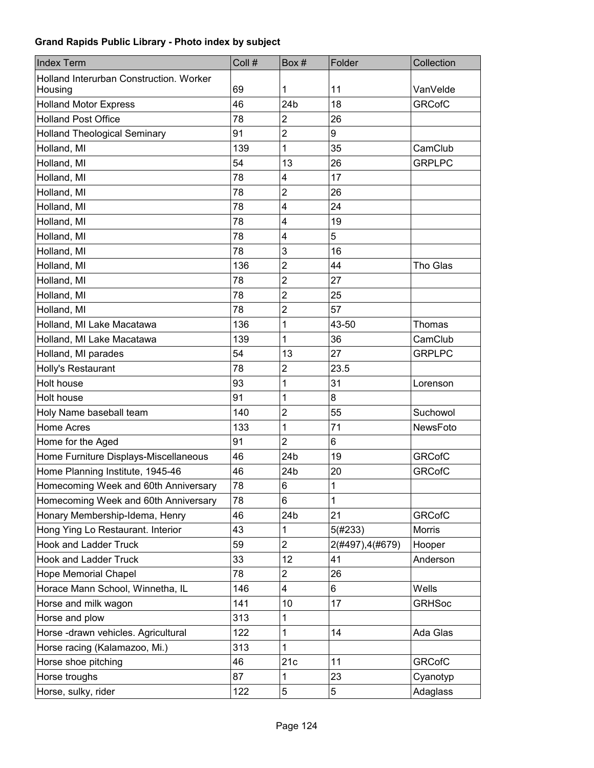| <b>Index Term</b>                       | Coll # | Box#                    | Folder           | Collection    |
|-----------------------------------------|--------|-------------------------|------------------|---------------|
| Holland Interurban Construction. Worker |        |                         |                  |               |
| Housing                                 | 69     | 1                       | 11               | VanVelde      |
| <b>Holland Motor Express</b>            | 46     | 24 <sub>b</sub>         | 18               | <b>GRCofC</b> |
| <b>Holland Post Office</b>              | 78     | 2                       | 26               |               |
| <b>Holland Theological Seminary</b>     | 91     | $\overline{c}$          | 9                |               |
| Holland, MI                             | 139    | 1                       | 35               | CamClub       |
| Holland, MI                             | 54     | 13                      | 26               | <b>GRPLPC</b> |
| Holland, MI                             | 78     | 4                       | 17               |               |
| Holland, MI                             | 78     | $\overline{2}$          | 26               |               |
| Holland, MI                             | 78     | 4                       | 24               |               |
| Holland, MI                             | 78     | $\overline{\mathbf{4}}$ | 19               |               |
| Holland, MI                             | 78     | $\overline{\mathbf{4}}$ | 5                |               |
| Holland, MI                             | 78     | 3                       | 16               |               |
| Holland, MI                             | 136    | $\overline{2}$          | 44               | Tho Glas      |
| Holland, MI                             | 78     | $\overline{2}$          | 27               |               |
| Holland, MI                             | 78     | $\overline{2}$          | 25               |               |
| Holland, MI                             | 78     | $\overline{2}$          | 57               |               |
| Holland, MI Lake Macatawa               | 136    | 1                       | 43-50            | Thomas        |
| Holland, MI Lake Macatawa               | 139    | 1                       | 36               | CamClub       |
| Holland, MI parades                     | 54     | 13                      | 27               | <b>GRPLPC</b> |
| Holly's Restaurant                      | 78     | $\overline{2}$          | 23.5             |               |
| Holt house                              | 93     | 1                       | 31               | Lorenson      |
| Holt house                              | 91     | 1                       | 8                |               |
| Holy Name baseball team                 | 140    | $\overline{c}$          | 55               | Suchowol      |
| Home Acres                              | 133    | 1                       | 71               | NewsFoto      |
| Home for the Aged                       | 91     | 2                       | 6                |               |
| Home Furniture Displays-Miscellaneous   | 46     | 24b                     | 19               | <b>GRCofC</b> |
| Home Planning Institute, 1945-46        | 46     | 24b                     | 20               | <b>GRCofC</b> |
| Homecoming Week and 60th Anniversary    | 78     | 6                       | $\mathbf{1}$     |               |
| Homecoming Week and 60th Anniversary    | 78     | 6                       | 1                |               |
| Honary Membership-Idema, Henry          | 46     | 24b                     | 21               | <b>GRCofC</b> |
| Hong Ying Lo Restaurant. Interior       | 43     | 1                       | 5(#233)          | Morris        |
| <b>Hook and Ladder Truck</b>            | 59     | $\overline{2}$          | 2(#497), 4(#679) | Hooper        |
| <b>Hook and Ladder Truck</b>            | 33     | 12                      | 41               | Anderson      |
| <b>Hope Memorial Chapel</b>             | 78     | $\overline{2}$          | 26               |               |
| Horace Mann School, Winnetha, IL        | 146    | 4                       | 6                | Wells         |
| Horse and milk wagon                    | 141    | 10                      | 17               | <b>GRHSoc</b> |
| Horse and plow                          | 313    | 1                       |                  |               |
| Horse -drawn vehicles. Agricultural     | 122    | 1                       | 14               | Ada Glas      |
| Horse racing (Kalamazoo, Mi.)           | 313    | 1                       |                  |               |
| Horse shoe pitching                     | 46     | 21c                     | 11               | <b>GRCofC</b> |
| Horse troughs                           | 87     | 1                       | 23               | Cyanotyp      |
| Horse, sulky, rider                     | 122    | 5                       | 5                | Adaglass      |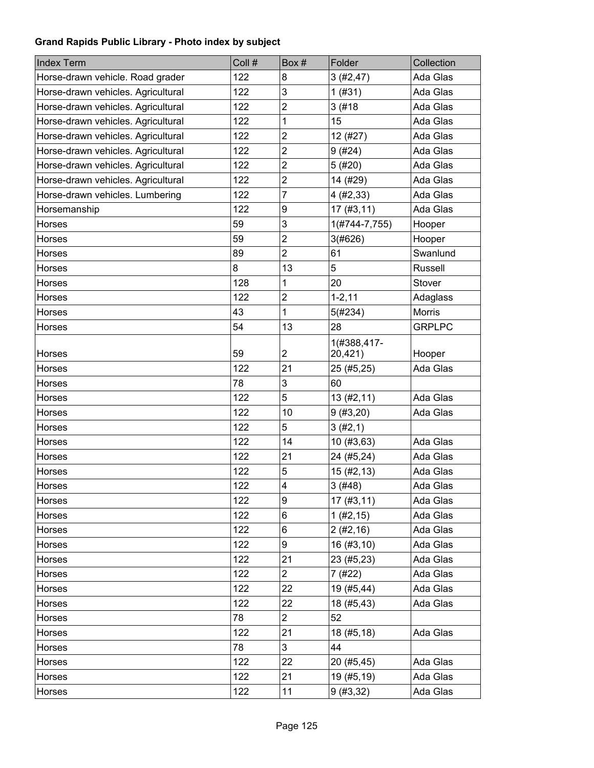| <b>Index Term</b>                  | Coll # | Box#                    | Folder        | Collection    |
|------------------------------------|--------|-------------------------|---------------|---------------|
| Horse-drawn vehicle. Road grader   | 122    | 8                       | 3(#2, 47)     | Ada Glas      |
| Horse-drawn vehicles. Agricultural | 122    | 3                       | 1(#31)        | Ada Glas      |
| Horse-drawn vehicles. Agricultural | 122    | $\overline{\mathbf{c}}$ | 3(#18)        | Ada Glas      |
| Horse-drawn vehicles. Agricultural | 122    | 1                       | 15            | Ada Glas      |
| Horse-drawn vehicles. Agricultural | 122    | $\overline{2}$          | 12 (#27)      | Ada Glas      |
| Horse-drawn vehicles. Agricultural | 122    | $\overline{2}$          | 9(#24)        | Ada Glas      |
| Horse-drawn vehicles. Agricultural | 122    | $\overline{2}$          | 5(#20)        | Ada Glas      |
| Horse-drawn vehicles. Agricultural | 122    | $\overline{2}$          | 14 (#29)      | Ada Glas      |
| Horse-drawn vehicles. Lumbering    | 122    | $\overline{7}$          | 4(#2, 33)     | Ada Glas      |
| Horsemanship                       | 122    | 9                       | 17(#3, 11)    | Ada Glas      |
| Horses                             | 59     | 3                       | 1(#744-7,755) | Hooper        |
| Horses                             | 59     | $\overline{2}$          | 3(#626)       | Hooper        |
| Horses                             | 89     | $\overline{2}$          | 61            | Swanlund      |
| Horses                             | 8      | 13                      | 5             | Russell       |
| Horses                             | 128    | 1                       | 20            | Stover        |
| Horses                             | 122    | $\overline{c}$          | $1 - 2, 11$   | Adaglass      |
| Horses                             | 43     | 1                       | 5(#234)       | <b>Morris</b> |
| Horses                             | 54     | 13                      | 28            | <b>GRPLPC</b> |
|                                    |        |                         | 1(#388,417-   |               |
| Horses                             | 59     | $\overline{2}$          | 20,421)       | Hooper        |
| Horses                             | 122    | 21                      | 25 (#5,25)    | Ada Glas      |
| Horses                             | 78     | 3                       | 60            |               |
| Horses                             | 122    | 5                       | 13(#2, 11)    | Ada Glas      |
| Horses                             | 122    | 10                      | 9(#3,20)      | Ada Glas      |
| Horses                             | 122    | 5                       | 3(#2,1)       |               |
| Horses                             | 122    | 14                      | 10 (#3,63)    | Ada Glas      |
| Horses                             | 122    | 21                      | 24 (#5,24)    | Ada Glas      |
| Horses                             | 122    | 5                       | 15(#2, 13)    | Ada Glas      |
| Horses                             | 122    | $\overline{\mathbf{4}}$ | 3 (#48)       | Ada Glas      |
| Horses                             | 122    | 9                       | 17(#3, 11)    | Ada Glas      |
| Horses                             | 122    | 6                       | 1 (#2, 15)    | Ada Glas      |
| Horses                             | 122    | 6                       | 2(#2, 16)     | Ada Glas      |
| Horses                             | 122    | 9                       | 16 (#3,10)    | Ada Glas      |
| Horses                             | 122    | 21                      | 23 (#5,23)    | Ada Glas      |
| Horses                             | 122    | $\overline{2}$          | 7 (#22)       | Ada Glas      |
| Horses                             | 122    | 22                      | 19 (#5,44)    | Ada Glas      |
| Horses                             | 122    | 22                      | 18 (#5,43)    | Ada Glas      |
| Horses                             | 78     | $\overline{2}$          | 52            |               |
| Horses                             | 122    | 21                      | 18 (#5,18)    | Ada Glas      |
| Horses                             | 78     | 3 <sup>1</sup>          | 44            |               |
| Horses                             | 122    | 22                      | 20 (#5,45)    | Ada Glas      |
| Horses                             | 122    | 21                      | 19 (#5,19)    | Ada Glas      |
| Horses                             | 122    | 11                      | 9(#3, 32)     | Ada Glas      |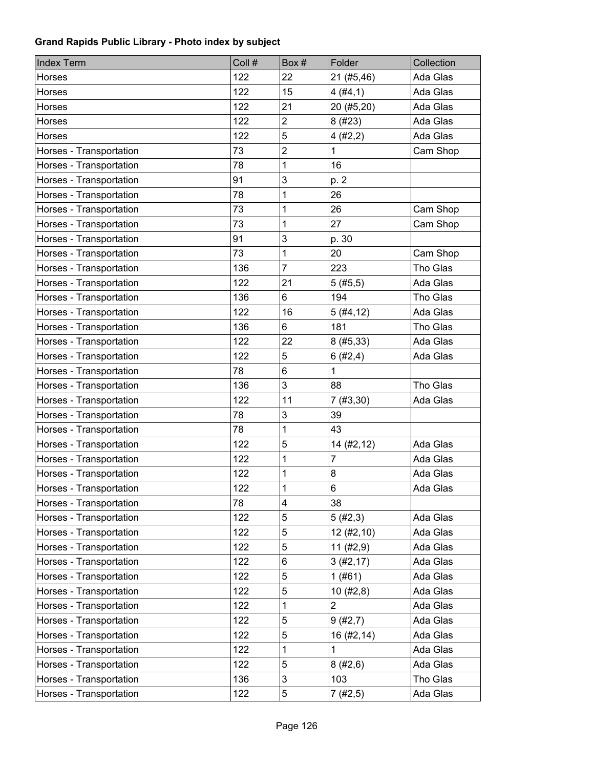| <b>Index Term</b>       | Coll # | Box#           | Folder                  | Collection |
|-------------------------|--------|----------------|-------------------------|------------|
| Horses                  | 122    | 22             | 21 (#5,46)              | Ada Glas   |
| Horses                  | 122    | 15             | 4(#4,1)                 | Ada Glas   |
| Horses                  | 122    | 21             | 20 (#5,20)              | Ada Glas   |
| Horses                  | 122    | $\overline{2}$ | 8 (#23)                 | Ada Glas   |
| Horses                  | 122    | 5              | 4(#2,2)                 | Ada Glas   |
| Horses - Transportation | 73     | $\overline{2}$ | 1                       | Cam Shop   |
| Horses - Transportation | 78     | 1              | 16                      |            |
| Horses - Transportation | 91     | 3              | p. 2                    |            |
| Horses - Transportation | 78     | 1              | 26                      |            |
| Horses - Transportation | 73     | 1              | 26                      | Cam Shop   |
| Horses - Transportation | 73     | 1              | 27                      | Cam Shop   |
| Horses - Transportation | 91     | 3              | p. 30                   |            |
| Horses - Transportation | 73     | 1              | 20                      | Cam Shop   |
| Horses - Transportation | 136    | $\overline{7}$ | 223                     | Tho Glas   |
| Horses - Transportation | 122    | 21             | 5(#5, 5)                | Ada Glas   |
| Horses - Transportation | 136    | 6              | 194                     | Tho Glas   |
| Horses - Transportation | 122    | 16             | 5(#4, 12)               | Ada Glas   |
| Horses - Transportation | 136    | 6              | 181                     | Tho Glas   |
| Horses - Transportation | 122    | 22             | 8(#5, 33)               | Ada Glas   |
| Horses - Transportation | 122    | 5              | 6(#2,4)                 | Ada Glas   |
| Horses - Transportation | 78     | 6              | 1                       |            |
| Horses - Transportation | 136    | 3              | 88                      | Tho Glas   |
| Horses - Transportation | 122    | 11             | 7(#3, 30)               | Ada Glas   |
| Horses - Transportation | 78     | $\mathbf{3}$   | 39                      |            |
| Horses - Transportation | 78     | 1              | 43                      |            |
| Horses - Transportation | 122    | 5              | 14 (#2,12)              | Ada Glas   |
| Horses - Transportation | 122    | 1              | 7                       | Ada Glas   |
| Horses - Transportation | 122    | 1              | 8                       | Ada Glas   |
| Horses - Transportation | 122    | 1              | 6                       | Ada Glas   |
| Horses - Transportation | 78     | 4              | 38                      |            |
| Horses - Transportation | 122    | 5              | 5(#2,3)                 | Ada Glas   |
| Horses - Transportation | 122    | 5              | 12 (#2,10)              | Ada Glas   |
| Horses - Transportation | 122    | 5              | 11 (#2, 9)              | Ada Glas   |
| Horses - Transportation | 122    | 6              | 3(#2, 17)               | Ada Glas   |
| Horses - Transportation | 122    | 5              | 1(#61)                  | Ada Glas   |
| Horses - Transportation | 122    | 5              | 10(#2, 8)               | Ada Glas   |
| Horses - Transportation | 122    | 1              | $\overline{\mathbf{c}}$ | Ada Glas   |
| Horses - Transportation | 122    | 5              | 9(#2,7)                 | Ada Glas   |
| Horses - Transportation | 122    | 5              | 16 (#2,14)              | Ada Glas   |
| Horses - Transportation | 122    | 1              | 1                       | Ada Glas   |
| Horses - Transportation | 122    | 5              | 8(#2, 6)                | Ada Glas   |
| Horses - Transportation | 136    | 3              | 103                     | Tho Glas   |
| Horses - Transportation | 122    | $\mathbf 5$    | 7(#2, 5)                | Ada Glas   |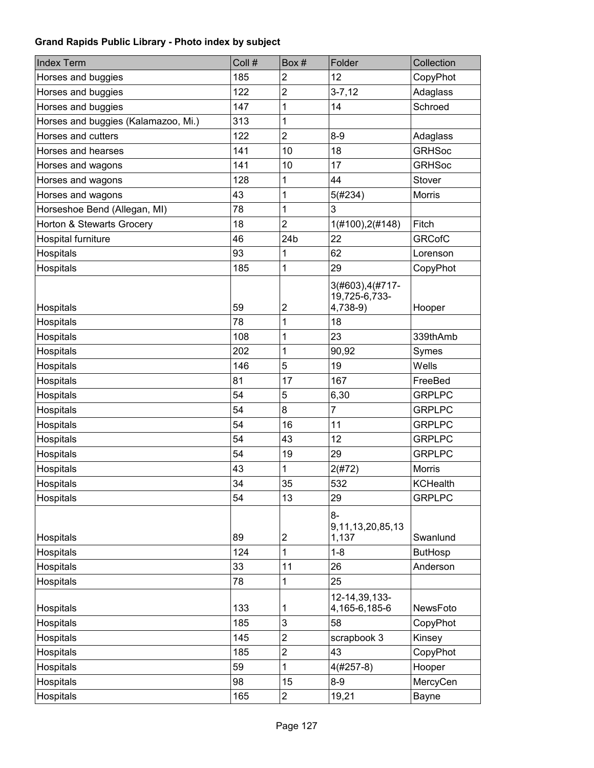| <b>Index Term</b>                   | Coll #     | Box#                         | Folder                                          | Collection                 |
|-------------------------------------|------------|------------------------------|-------------------------------------------------|----------------------------|
| Horses and buggies                  | 185        | $\overline{c}$               | 12                                              | CopyPhot                   |
| Horses and buggies                  | 122        | $\overline{2}$               | $3 - 7, 12$                                     | Adaglass                   |
| Horses and buggies                  | 147        | 1                            | 14                                              | Schroed                    |
| Horses and buggies (Kalamazoo, Mi.) | 313        | 1                            |                                                 |                            |
| Horses and cutters                  | 122        | $\overline{2}$               | $8 - 9$                                         | Adaglass                   |
| Horses and hearses                  | 141        | 10                           | 18                                              | <b>GRHSoc</b>              |
| Horses and wagons                   | 141        | 10                           | 17                                              | <b>GRHSoc</b>              |
| Horses and wagons                   | 128        | 1                            | 44                                              | Stover                     |
| Horses and wagons                   | 43         | 1                            | 5(#234)                                         | Morris                     |
| Horseshoe Bend (Allegan, MI)        | 78         | 1                            | 3                                               |                            |
| Horton & Stewarts Grocery           | 18         | $\overline{2}$               | 1(#100), 2(#148)                                | Fitch                      |
| Hospital furniture                  | 46         | 24 <sub>b</sub>              | 22                                              | <b>GRCofC</b>              |
| Hospitals                           | 93         | 1                            | 62                                              | Lorenson                   |
| Hospitals                           | 185        | 1                            | 29                                              | CopyPhot                   |
| Hospitals                           | 59         | $\overline{\mathbf{c}}$      | 3(#603), 4(#717-<br>19,725-6,733-<br>4,738-9)   | Hooper                     |
| Hospitals                           | 78         | 1                            | 18                                              |                            |
| Hospitals                           | 108        | 1                            | 23                                              | 339thAmb                   |
| Hospitals                           | 202        | 1                            | 90,92                                           | Symes                      |
| Hospitals                           | 146        | 5                            | 19                                              | Wells                      |
| Hospitals                           | 81         | 17                           | 167                                             | FreeBed                    |
| Hospitals                           | 54         | 5                            | 6,30                                            | <b>GRPLPC</b>              |
| Hospitals                           | 54         | 8                            | 7                                               | <b>GRPLPC</b>              |
| Hospitals                           | 54         | 16                           | 11                                              | <b>GRPLPC</b>              |
| Hospitals                           | 54         | 43                           | 12                                              | <b>GRPLPC</b>              |
| Hospitals                           | 54         | 19                           | 29                                              | <b>GRPLPC</b>              |
| Hospitals                           | 43         | 1                            | 2(#72)                                          | <b>Morris</b>              |
| Hospitals                           | 34         | 35                           | 532                                             | <b>KCHealth</b>            |
| Hospitals                           | 54         | 13                           | 29                                              | <b>GRPLPC</b>              |
| Hospitals<br>Hospitals              | 89<br>124  | $\overline{\mathbf{c}}$<br>1 | 8-<br>9, 11, 13, 20, 85, 13<br>1,137<br>$1 - 8$ | Swanlund<br><b>ButHosp</b> |
| Hospitals                           | 33         | 11                           | 26                                              | Anderson                   |
| Hospitals                           | 78         | 1                            | 25                                              |                            |
| Hospitals<br>Hospitals              | 133<br>185 | 1<br>3                       | 12-14,39,133-<br>4,165-6,185-6<br>58            | NewsFoto<br>CopyPhot       |
| Hospitals                           | 145        | $\overline{c}$               | scrapbook 3                                     | Kinsey                     |
| Hospitals                           | 185        | $\overline{2}$               | 43                                              | CopyPhot                   |
| Hospitals                           | 59         | 1                            | $4(#257-8)$                                     | Hooper                     |
| Hospitals                           | 98         | 15                           | $8-9$                                           | MercyCen                   |
| Hospitals                           | 165        | $\overline{c}$               | 19,21                                           | Bayne                      |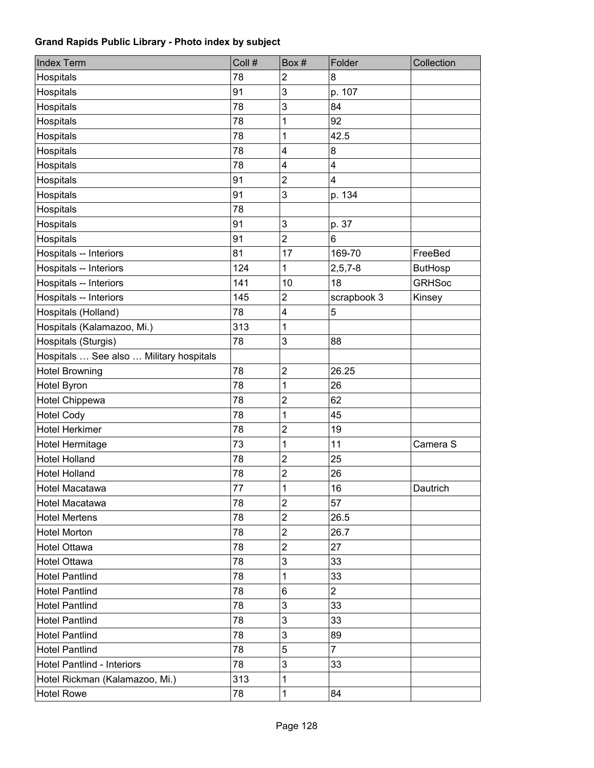| <b>Index Term</b>                       | Coll # | Box#           | Folder                  | Collection     |
|-----------------------------------------|--------|----------------|-------------------------|----------------|
| Hospitals                               | 78     | 2              | 8                       |                |
| Hospitals                               | 91     | 3              | p. 107                  |                |
| Hospitals                               | 78     | 3              | 84                      |                |
| Hospitals                               | 78     | 1              | 92                      |                |
| Hospitals                               | 78     | 1              | 42.5                    |                |
| Hospitals                               | 78     | 4              | 8                       |                |
| Hospitals                               | 78     | 4              | $\overline{\mathbf{4}}$ |                |
| Hospitals                               | 91     | 2              | $\overline{\mathbf{4}}$ |                |
| Hospitals                               | 91     | 3              | p. 134                  |                |
| Hospitals                               | 78     |                |                         |                |
| Hospitals                               | 91     | 3              | p. 37                   |                |
| Hospitals                               | 91     | $\overline{2}$ | 6                       |                |
| Hospitals -- Interiors                  | 81     | 17             | 169-70                  | FreeBed        |
| Hospitals -- Interiors                  | 124    | 1              | $2, 5, 7 - 8$           | <b>ButHosp</b> |
| Hospitals -- Interiors                  | 141    | 10             | 18                      | <b>GRHSoc</b>  |
| Hospitals -- Interiors                  | 145    | 2              | scrapbook 3             | Kinsey         |
| Hospitals (Holland)                     | 78     | 4              | $\sqrt{5}$              |                |
| Hospitals (Kalamazoo, Mi.)              | 313    | 1              |                         |                |
| Hospitals (Sturgis)                     | 78     | 3              | 88                      |                |
| Hospitals  See also  Military hospitals |        |                |                         |                |
| <b>Hotel Browning</b>                   | 78     | $\overline{2}$ | 26.25                   |                |
| Hotel Byron                             | 78     | 1              | 26                      |                |
| Hotel Chippewa                          | 78     | $\overline{c}$ | 62                      |                |
| <b>Hotel Cody</b>                       | 78     | 1              | 45                      |                |
| <b>Hotel Herkimer</b>                   | 78     | 2              | 19                      |                |
| Hotel Hermitage                         | 73     | 1              | 11                      | Camera S       |
| <b>Hotel Holland</b>                    | 78     | $\overline{2}$ | 25                      |                |
| <b>Hotel Holland</b>                    | 78     | 2              | 26                      |                |
| Hotel Macatawa                          | 77     | 1              | 16                      | Dautrich       |
| Hotel Macatawa                          | 78     | 2              | 57                      |                |
| <b>Hotel Mertens</b>                    | 78     | 2              | 26.5                    |                |
| <b>Hotel Morton</b>                     | 78     | 2              | 26.7                    |                |
| <b>Hotel Ottawa</b>                     | 78     | 2              | 27                      |                |
| <b>Hotel Ottawa</b>                     | 78     | 3              | 33                      |                |
| <b>Hotel Pantlind</b>                   | 78     | 1              | 33                      |                |
| <b>Hotel Pantlind</b>                   | 78     | 6              | $\overline{2}$          |                |
| <b>Hotel Pantlind</b>                   | 78     | 3              | 33                      |                |
| <b>Hotel Pantlind</b>                   | 78     | 3              | 33                      |                |
| <b>Hotel Pantlind</b>                   | 78     | 3              | 89                      |                |
| <b>Hotel Pantlind</b>                   | 78     | 5              | $\overline{7}$          |                |
| Hotel Pantlind - Interiors              | 78     | 3              | 33                      |                |
| Hotel Rickman (Kalamazoo, Mi.)          | 313    | 1              |                         |                |
| <b>Hotel Rowe</b>                       | 78     | 1              | 84                      |                |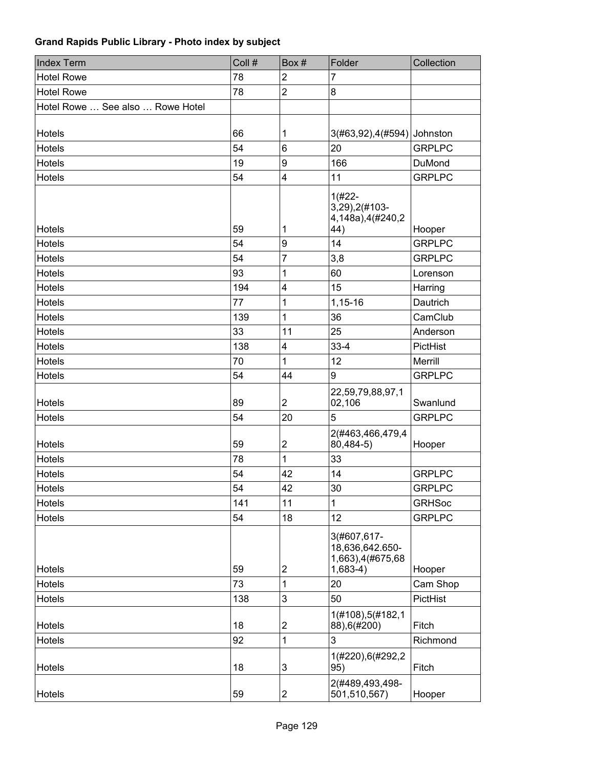| <b>Index Term</b>                | Coll # | Box#                      | Folder                                                           | Collection    |
|----------------------------------|--------|---------------------------|------------------------------------------------------------------|---------------|
| <b>Hotel Rowe</b>                | 78     | $\overline{2}$            | 7                                                                |               |
| <b>Hotel Rowe</b>                | 78     | $\overline{c}$            | 8                                                                |               |
| Hotel Rowe  See also  Rowe Hotel |        |                           |                                                                  |               |
| Hotels                           | 66     | 1                         | 3(#63,92),4(#594) Johnston                                       |               |
| Hotels                           | 54     | 6                         | 20                                                               | <b>GRPLPC</b> |
| Hotels                           | 19     | 9                         | 166                                                              | DuMond        |
| <b>Hotels</b>                    | 54     | 4                         | 11                                                               | <b>GRPLPC</b> |
| <b>Hotels</b>                    | 59     | 1                         | $1(#22 - )$<br>3,29),2(#103-<br>4,148a),4(#240,2<br>44)          | Hooper        |
| <b>Hotels</b>                    | 54     | 9                         | 14                                                               | <b>GRPLPC</b> |
| <b>Hotels</b>                    | 54     | 7                         | 3,8                                                              | <b>GRPLPC</b> |
| <b>Hotels</b>                    | 93     | 1                         | 60                                                               | Lorenson      |
| <b>Hotels</b>                    | 194    | 4                         | 15                                                               | Harring       |
| Hotels                           | 77     | 1                         | 1,15-16                                                          | Dautrich      |
| Hotels                           | 139    | 1                         | 36                                                               | CamClub       |
| <b>Hotels</b>                    | 33     | 11                        | 25                                                               | Anderson      |
| <b>Hotels</b>                    | 138    | $\overline{\mathbf{4}}$   | $33 - 4$                                                         | PictHist      |
| <b>Hotels</b>                    | 70     | 1                         | 12                                                               | Merrill       |
| <b>Hotels</b>                    | 54     | 44                        | 9                                                                | <b>GRPLPC</b> |
| Hotels                           | 89     | $\overline{2}$            | 22,59,79,88,97,1<br>02,106                                       | Swanlund      |
| Hotels                           | 54     | 20                        | 5                                                                | <b>GRPLPC</b> |
| <b>Hotels</b>                    | 59     | $\overline{c}$            | 2(#463,466,479,4<br>80,484-5)                                    | Hooper        |
| <b>Hotels</b>                    | 78     | 1                         | 33                                                               |               |
| <b>Hotels</b>                    | 54     | 42                        | 14                                                               | <b>GRPLPC</b> |
| Hotels                           | 54     | 42                        | 30                                                               | <b>GRPLPC</b> |
| Hotels                           | 141    | 11                        | 1                                                                | <b>GRHSoc</b> |
| Hotels                           | 54     | 18                        | 12                                                               | <b>GRPLPC</b> |
| Hotels                           | 59     | $\overline{2}$            | 3(#607,617-<br>18,636,642.650-<br>1,663),4(#675,68<br>$1,683-4)$ | Hooper        |
| Hotels                           | 73     | 1                         | 20                                                               | Cam Shop      |
| Hotels                           | 138    | 3                         | 50                                                               | PictHist      |
| Hotels                           | 18     | $\overline{\mathbf{c}}$   | 1(#108),5(#182,1<br>88), 6(#200)                                 | Fitch         |
| Hotels                           | 92     | 1                         | 3                                                                | Richmond      |
| Hotels                           | 18     | $\ensuremath{\mathsf{3}}$ | 1(#220),6(#292,2<br>95)                                          | Fitch         |
| Hotels                           | 59     | $\overline{\mathbf{c}}$   | 2(#489,493,498-<br>501,510,567)                                  | Hooper        |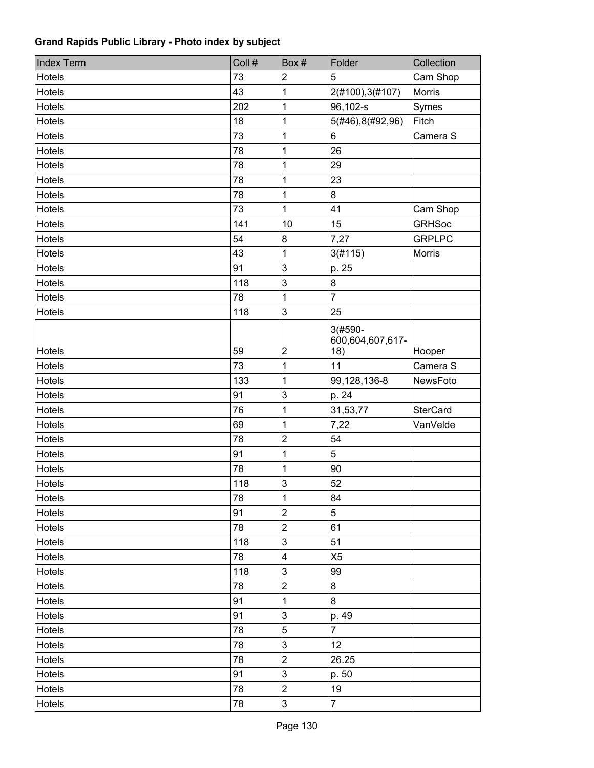| <b>Index Term</b> | Coll # | Box#                    | Folder                                | Collection      |
|-------------------|--------|-------------------------|---------------------------------------|-----------------|
| Hotels            | 73     | $\overline{2}$          | 5                                     | Cam Shop        |
| Hotels            | 43     | 1                       | 2(#100), 3(#107)                      | Morris          |
| <b>Hotels</b>     | 202    | 1                       | 96,102-s                              | Symes           |
| Hotels            | 18     | 1                       | 5(#46), 8(#92, 96)                    | Fitch           |
| <b>Hotels</b>     | 73     | 1                       | 6                                     | Camera S        |
| <b>Hotels</b>     | 78     | 1                       | 26                                    |                 |
| <b>Hotels</b>     | 78     | 1                       | 29                                    |                 |
| Hotels            | 78     | 1                       | 23                                    |                 |
| Hotels            | 78     | 1                       | 8                                     |                 |
| Hotels            | 73     | 1                       | 41                                    | Cam Shop        |
| Hotels            | 141    | 10                      | 15                                    | <b>GRHSoc</b>   |
| Hotels            | 54     | 8                       | 7,27                                  | <b>GRPLPC</b>   |
| Hotels            | 43     | 1                       | 3(#115)                               | Morris          |
| <b>Hotels</b>     | 91     | 3                       | p. 25                                 |                 |
| Hotels            | 118    | $\mathbf{3}$            | 8                                     |                 |
| Hotels            | 78     | 1                       | $\overline{7}$                        |                 |
| <b>Hotels</b>     | 118    | 3                       | 25                                    |                 |
| Hotels            | 59     | $\overline{2}$          | $3(#590 -$<br>600,604,607,617-<br>18) | Hooper          |
| <b>Hotels</b>     | 73     | 1                       | 11                                    | Camera S        |
| Hotels            | 133    | 1                       | 99,128,136-8                          | NewsFoto        |
| Hotels            | 91     | 3                       | p. 24                                 |                 |
| Hotels            | 76     | 1                       | 31,53,77                              | <b>SterCard</b> |
| Hotels            | 69     | 1                       | 7,22                                  | VanVelde        |
| <b>Hotels</b>     | 78     | $\overline{\mathbf{c}}$ | 54                                    |                 |
| Hotels            | 91     | 1                       | 5                                     |                 |
| Hotels            | 78     | 1                       | 90                                    |                 |
| Hotels            | 118    | 3                       | 52                                    |                 |
| Hotels            | 78     | 1                       | 84                                    |                 |
| Hotels            | 91     | $\overline{2}$          | 5                                     |                 |
| Hotels            | 78     | $\overline{2}$          | 61                                    |                 |
| Hotels            | 118    | 3                       | 51                                    |                 |
| Hotels            | 78     | 4                       | X <sub>5</sub>                        |                 |
| Hotels            | 118    | 3                       | 99                                    |                 |
| Hotels            | 78     | $\mathbf 2$             | 8                                     |                 |
| Hotels            | 91     | 1                       | 8                                     |                 |
| Hotels            | 91     | 3                       | p. 49                                 |                 |
| Hotels            | 78     | 5                       | $\overline{7}$                        |                 |
| Hotels            | 78     | $\mathbf{3}$            | 12                                    |                 |
| Hotels            | 78     | $\overline{2}$          | 26.25                                 |                 |
| Hotels            | 91     | 3                       | p. 50                                 |                 |
| Hotels            | 78     | $\overline{c}$          | 19                                    |                 |
| Hotels            | 78     | 3                       | $\overline{7}$                        |                 |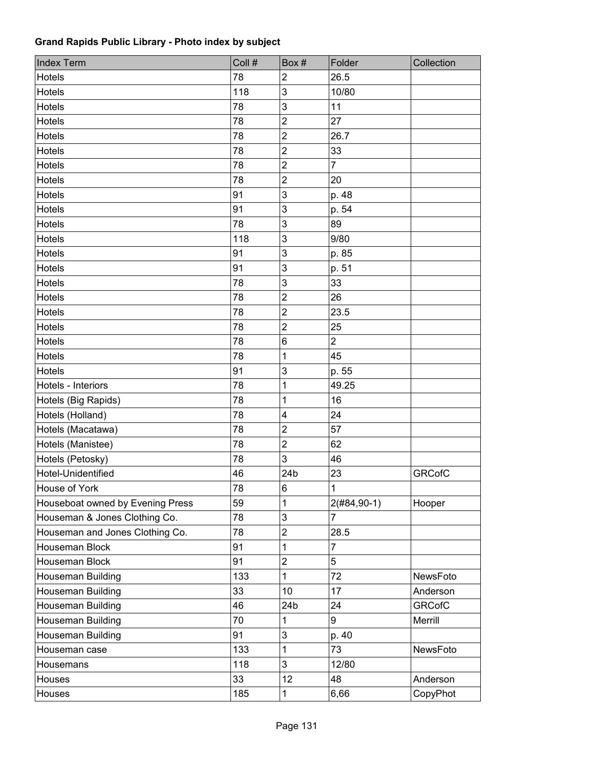| <b>Index Term</b>                | Coll # | Box#                    | Folder         | Collection    |
|----------------------------------|--------|-------------------------|----------------|---------------|
| Hotels                           | 78     | $\overline{2}$          | 26.5           |               |
| Hotels                           | 118    | 3                       | 10/80          |               |
| Hotels                           | 78     | 3                       | 11             |               |
| Hotels                           | 78     | $\overline{2}$          | 27             |               |
| Hotels                           | 78     | $\overline{c}$          | 26.7           |               |
| <b>Hotels</b>                    | 78     | $\overline{2}$          | 33             |               |
| Hotels                           | 78     | $\overline{2}$          | $\overline{7}$ |               |
| <b>Hotels</b>                    | 78     | $\overline{c}$          | 20             |               |
| <b>Hotels</b>                    | 91     | 3                       | p. 48          |               |
| <b>Hotels</b>                    | 91     | 3                       | p. 54          |               |
| <b>Hotels</b>                    | 78     | 3                       | 89             |               |
| Hotels                           | 118    | 3                       | 9/80           |               |
| <b>Hotels</b>                    | 91     | 3                       | p. 85          |               |
| Hotels                           | 91     | 3                       | p. 51          |               |
| Hotels                           | 78     | 3                       | 33             |               |
| Hotels                           | 78     | $\overline{2}$          | 26             |               |
| Hotels                           | 78     | $\overline{2}$          | 23.5           |               |
| Hotels                           | 78     | $\overline{2}$          | 25             |               |
| <b>Hotels</b>                    | 78     | 6                       | $\overline{2}$ |               |
| Hotels                           | 78     | 1                       | 45             |               |
| <b>Hotels</b>                    | 91     | 3                       | p. 55          |               |
| Hotels - Interiors               | 78     | 1                       | 49.25          |               |
| Hotels (Big Rapids)              | 78     | 1                       | 16             |               |
| Hotels (Holland)                 | 78     | $\overline{\mathbf{4}}$ | 24             |               |
| Hotels (Macatawa)                | 78     | $\overline{2}$          | 57             |               |
| Hotels (Manistee)                | 78     | $\overline{2}$          | 62             |               |
| Hotels (Petosky)                 | 78     | 3                       | 46             |               |
| Hotel-Unidentified               | 46     | 24 <sub>b</sub>         | 23             | <b>GRCofC</b> |
| House of York                    | 78     | $\overline{6}$          | $\mathbf{1}$   |               |
| Houseboat owned by Evening Press | 59     | 1                       | $2(H84, 90-1)$ | Hooper        |
| Houseman & Jones Clothing Co.    | 78     | 3                       | $\overline{7}$ |               |
| Houseman and Jones Clothing Co.  | 78     | $\overline{\mathbf{c}}$ | 28.5           |               |
| Houseman Block                   | 91     | 1                       | $\overline{7}$ |               |
| Houseman Block                   | 91     | $\overline{c}$          | 5              |               |
| Houseman Building                | 133    | 1                       | 72             | NewsFoto      |
| Houseman Building                | 33     | 10                      | 17             | Anderson      |
| <b>Houseman Building</b>         | 46     | 24b                     | 24             | <b>GRCofC</b> |
| Houseman Building                | 70     | 1                       | 9              | Merrill       |
| Houseman Building                | 91     | 3                       | p. 40          |               |
| Houseman case                    | 133    | 1                       | 73             | NewsFoto      |
| Housemans                        | 118    | 3                       | 12/80          |               |
| Houses                           | 33     | 12                      | 48             | Anderson      |
| Houses                           | 185    | 1                       | 6,66           | CopyPhot      |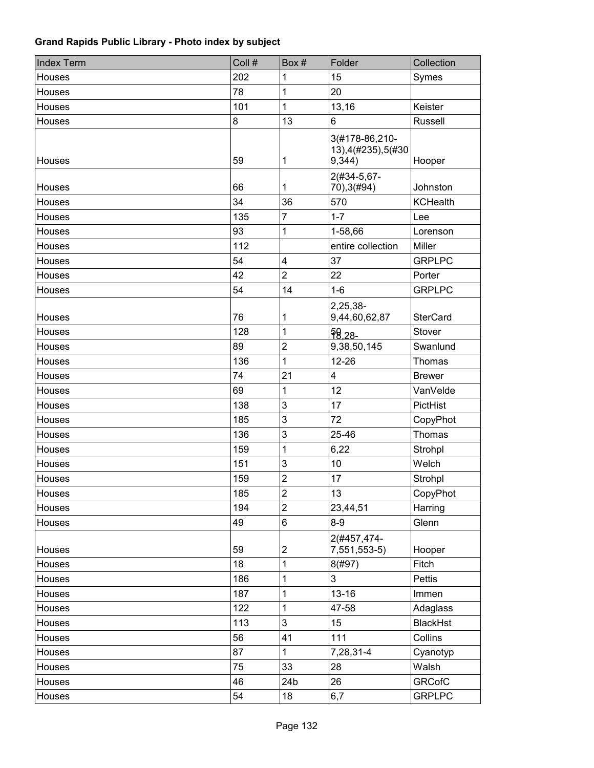| <b>Index Term</b> | Coll # | Box#                    | Folder                                          | Collection      |
|-------------------|--------|-------------------------|-------------------------------------------------|-----------------|
| Houses            | 202    | 1                       | 15                                              | Symes           |
| Houses            | 78     | 1                       | 20                                              |                 |
| Houses            | 101    | $\overline{1}$          | 13,16                                           | Keister         |
| Houses            | 8      | 13                      | 6                                               | <b>Russell</b>  |
| Houses            | 59     | 1                       | 3(#178-86,210-<br>13), 4(#235), 5(#30<br>9,344) | Hooper          |
| Houses            | 66     | 1                       | 2(#34-5,67-<br>70), 3(#94)                      | Johnston        |
| Houses            | 34     | 36                      | 570                                             | <b>KCHealth</b> |
| Houses            | 135    | $\overline{7}$          | $1 - 7$                                         | Lee             |
| Houses            | 93     | 1                       | 1-58,66                                         | Lorenson        |
| Houses            | 112    |                         | entire collection                               | <b>Miller</b>   |
| Houses            | 54     | $\overline{\mathbf{4}}$ | 37                                              | <b>GRPLPC</b>   |
| Houses            | 42     | $\overline{2}$          | 22                                              | Porter          |
| Houses            | 54     | 14                      | $1 - 6$                                         | <b>GRPLPC</b>   |
| Houses            | 76     | 1                       | 2,25,38-<br>9,44,60,62,87                       | <b>SterCard</b> |
| Houses            | 128    | 1                       | $98,28-$                                        | Stover          |
| Houses            | 89     | $\overline{2}$          | 9,38,50,145                                     | Swanlund        |
| Houses            | 136    | 1                       | $12 - 26$                                       | Thomas          |
| Houses            | 74     | 21                      | 4                                               | <b>Brewer</b>   |
| Houses            | 69     | 1                       | 12                                              | VanVelde        |
| Houses            | 138    | 3                       | 17                                              | PictHist        |
| Houses            | 185    | 3                       | 72                                              | CopyPhot        |
| Houses            | 136    | 3                       | 25-46                                           | Thomas          |
| Houses            | 159    | 1                       | 6,22                                            | Strohpl         |
| Houses            | 151    | $\mathbf{3}$            | 10                                              | Welch           |
| Houses            | 159    | $\overline{2}$          | 17                                              | Strohpl         |
| Houses            | 185    | $\overline{\mathbf{c}}$ | 13                                              | CopyPhot        |
| Houses            | 194    | $\overline{2}$          | 23,44,51                                        | Harring         |
| Houses            | 49     | $\,6\,$                 | $8-9$                                           | Glenn           |
| Houses            | 59     | $\overline{\mathbf{c}}$ | 2(#457,474-<br>7,551,553-5)                     | Hooper          |
| Houses            | 18     | 1                       | 8(#97)                                          | Fitch           |
| Houses            | 186    | 1                       | 3                                               | <b>Pettis</b>   |
| Houses            | 187    | 1                       | $13 - 16$                                       | Immen           |
| Houses            | 122    | 1                       | 47-58                                           | Adaglass        |
| Houses            | 113    | 3                       | 15                                              | <b>BlackHst</b> |
| Houses            | 56     | 41                      | 111                                             | Collins         |
| Houses            | 87     | 1                       | 7,28,31-4                                       | Cyanotyp        |
| Houses            | 75     | 33                      | 28                                              | Walsh           |
| Houses            | 46     | 24b                     | 26                                              | <b>GRCofC</b>   |
| Houses            | 54     | 18                      | 6,7                                             | <b>GRPLPC</b>   |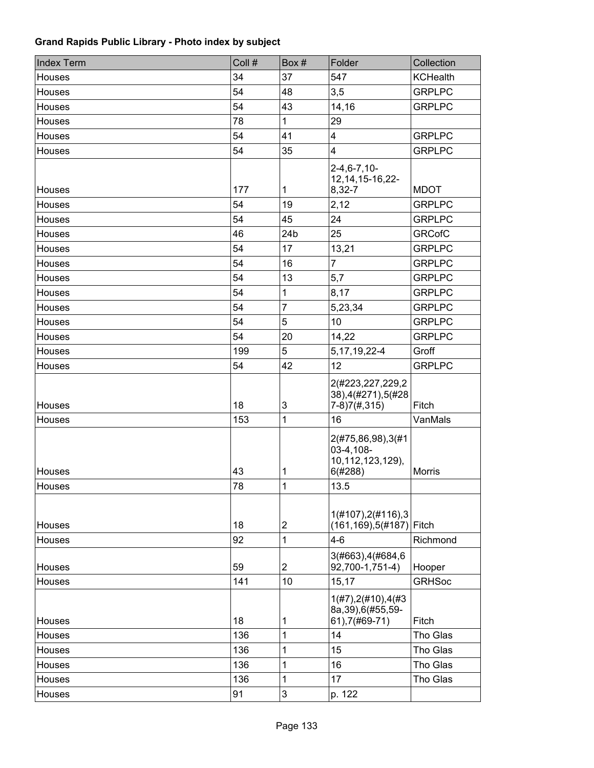| <b>Index Term</b> | Coll # | Box#                      | Folder                                                        | Collection      |
|-------------------|--------|---------------------------|---------------------------------------------------------------|-----------------|
| Houses            | 34     | 37                        | 547                                                           | <b>KCHealth</b> |
| Houses            | 54     | 48                        | 3,5                                                           | <b>GRPLPC</b>   |
| Houses            | 54     | 43                        | 14,16                                                         | <b>GRPLPC</b>   |
| Houses            | 78     | 1                         | 29                                                            |                 |
| Houses            | 54     | 41                        | 4                                                             | <b>GRPLPC</b>   |
| Houses            | 54     | 35                        | 4                                                             | <b>GRPLPC</b>   |
| Houses            | 177    | 1                         | $2 - 4, 6 - 7, 10 -$<br>12, 14, 15-16, 22-<br>8,32-7          | <b>MDOT</b>     |
| Houses            | 54     | 19                        | 2,12                                                          | <b>GRPLPC</b>   |
| Houses            | 54     | 45                        | 24                                                            | <b>GRPLPC</b>   |
| Houses            | 46     | 24 <sub>b</sub>           | 25                                                            | <b>GRCofC</b>   |
| Houses            | 54     | 17                        | 13,21                                                         | <b>GRPLPC</b>   |
| Houses            | 54     | 16                        | $\overline{7}$                                                | <b>GRPLPC</b>   |
| Houses            | 54     | 13                        | 5,7                                                           | <b>GRPLPC</b>   |
| Houses            | 54     | 1                         | 8,17                                                          | <b>GRPLPC</b>   |
| Houses            | 54     | $\overline{7}$            | 5,23,34                                                       | <b>GRPLPC</b>   |
| Houses            | 54     | 5                         | 10                                                            | <b>GRPLPC</b>   |
| Houses            | 54     | 20                        | 14,22                                                         | <b>GRPLPC</b>   |
| Houses            | 199    | 5                         | 5, 17, 19, 22-4                                               | Groff           |
| Houses            | 54     | 42                        | 12                                                            | <b>GRPLPC</b>   |
| Houses            | 18     | $\ensuremath{\mathsf{3}}$ | 2(#223,227,229,2<br>38), 4(#271), 5(#28<br>$7-8)7(\#,315)$    | Fitch           |
| Houses            | 153    | 1                         | 16                                                            | VanMals         |
| Houses            | 43     | 1                         | 2(#75,86,98),3(#1<br>03-4,108-<br>10,112,123,129),<br>6(#288) | <b>Morris</b>   |
| Houses            | 78     | 1                         | 13.5                                                          |                 |
| Houses            | 18     | $\overline{c}$            | 1(#107), 2(#116), 3<br>(161, 169), 5(#187)                    | Fitch           |
| Houses            | 92     | 1                         | $4 - 6$                                                       | Richmond        |
| Houses            | 59     | $\overline{2}$            | 3(#663), 4(#684, 6<br>92,700-1,751-4)                         | Hooper          |
| Houses            | 141    | 10                        | 15,17                                                         | <b>GRHSoc</b>   |
| Houses            | 18     | 1                         | 1(H7), 2(H10), 4(H3)<br>8a, 39), 6(#55, 59-<br>61), 7(#69-71) | Fitch           |
| Houses            | 136    | 1                         | 14                                                            | Tho Glas        |
| Houses            | 136    | 1                         | 15                                                            | Tho Glas        |
| Houses            | 136    | 1                         | 16                                                            | Tho Glas        |
| Houses            | 136    | 1                         | 17                                                            | Tho Glas        |
| Houses            | 91     | 3                         | p. 122                                                        |                 |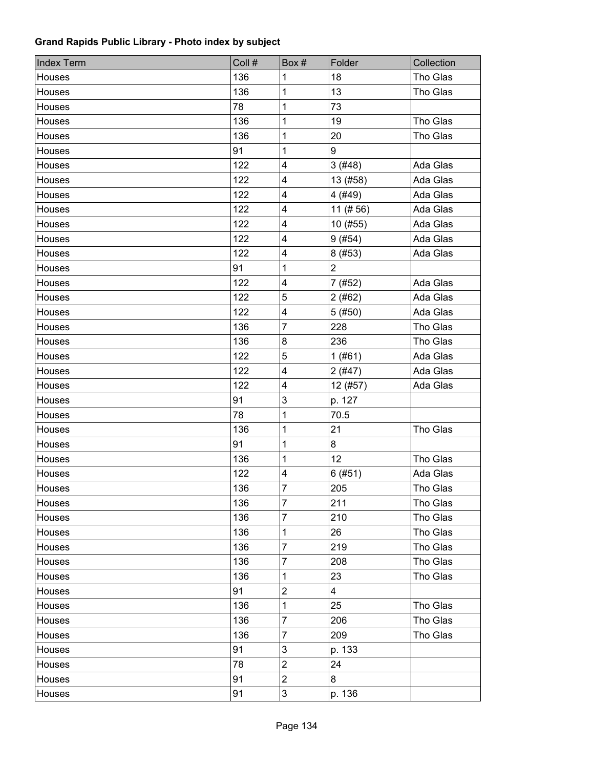| <b>Index Term</b> | Coll # | Box#                    | Folder         | Collection |
|-------------------|--------|-------------------------|----------------|------------|
| Houses            | 136    | 1                       | 18             | Tho Glas   |
| Houses            | 136    | 1                       | 13             | Tho Glas   |
| Houses            | 78     | 1                       | 73             |            |
| Houses            | 136    | 1                       | 19             | Tho Glas   |
| Houses            | 136    | 1                       | 20             | Tho Glas   |
| Houses            | 91     | 1                       | 9              |            |
| Houses            | 122    | 4                       | 3(#48)         | Ada Glas   |
| Houses            | 122    | 4                       | 13 (#58)       | Ada Glas   |
| Houses            | 122    | 4                       | 4 (#49)        | Ada Glas   |
| Houses            | 122    | 4                       | $11$ (#56)     | Ada Glas   |
| Houses            | 122    | $\overline{\mathbf{4}}$ | 10 (#55)       | Ada Glas   |
| Houses            | 122    | $\overline{\mathbf{4}}$ | 9(#54)         | Ada Glas   |
| Houses            | 122    | $\overline{\mathbf{4}}$ | 8(#53)         | Ada Glas   |
| Houses            | 91     | 1                       | $\overline{2}$ |            |
| Houses            | 122    | 4                       | 7 (#52)        | Ada Glas   |
| Houses            | 122    | 5                       | 2(#62)         | Ada Glas   |
| Houses            | 122    | $\overline{\mathbf{4}}$ | 5(#50)         | Ada Glas   |
| Houses            | 136    | 7                       | 228            | Tho Glas   |
| Houses            | 136    | 8                       | 236            | Tho Glas   |
| Houses            | 122    | 5                       | 1(#61)         | Ada Glas   |
| Houses            | 122    | $\overline{\mathbf{4}}$ | 2(#47)         | Ada Glas   |
| Houses            | 122    | $\overline{\mathbf{4}}$ | 12 (#57)       | Ada Glas   |
| Houses            | 91     | $\mathsf 3$             | p. 127         |            |
| Houses            | 78     | 1                       | 70.5           |            |
| Houses            | 136    | 1                       | 21             | Tho Glas   |
| Houses            | 91     | 1                       | 8              |            |
| Houses            | 136    | 1                       | 12             | Tho Glas   |
| Houses            | 122    | $\overline{\mathbf{4}}$ | 6(#51)         | Ada Glas   |
| Houses            | 136    | $\overline{7}$          | 205            | Tho Glas   |
| Houses            | 136    | 7                       | 211            | Tho Glas   |
| Houses            | 136    | 7                       | 210            | Tho Glas   |
| Houses            | 136    | 1                       | 26             | Tho Glas   |
| Houses            | 136    | 7                       | 219            | Tho Glas   |
| Houses            | 136    | 7                       | 208            | Tho Glas   |
| Houses            | 136    | 1                       | 23             | Tho Glas   |
| Houses            | 91     | $\mathbf{2}$            | $\overline{4}$ |            |
| Houses            | 136    | 1                       | 25             | Tho Glas   |
| Houses            | 136    | 7                       | 206            | Tho Glas   |
| Houses            | 136    | 7                       | 209            | Tho Glas   |
| Houses            | 91     | 3                       | p. 133         |            |
| Houses            | 78     | $\overline{c}$          | 24             |            |
| Houses            | 91     | $\overline{c}$          | 8              |            |
| Houses            | 91     | 3                       | p. 136         |            |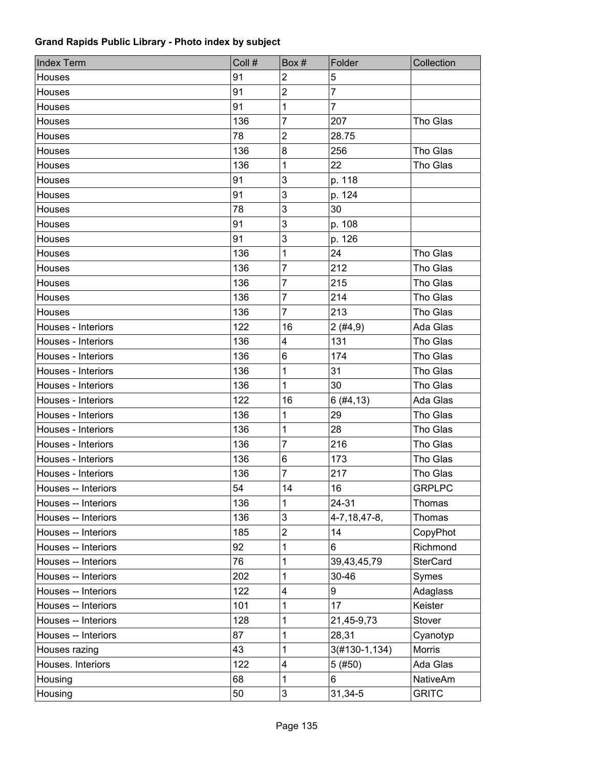| <b>Index Term</b>   | Coll # | Box #                   | Folder           | Collection      |
|---------------------|--------|-------------------------|------------------|-----------------|
| Houses              | 91     | $\overline{2}$          | 5                |                 |
| Houses              | 91     | $\overline{c}$          | $\overline{7}$   |                 |
| Houses              | 91     | 1                       | $\overline{7}$   |                 |
| Houses              | 136    | 7                       | 207              | Tho Glas        |
| Houses              | 78     | $\overline{\mathbf{c}}$ | 28.75            |                 |
| Houses              | 136    | 8                       | 256              | Tho Glas        |
| Houses              | 136    | 1                       | 22               | Tho Glas        |
| Houses              | 91     | 3                       | p. 118           |                 |
| Houses              | 91     | 3                       | p. 124           |                 |
| Houses              | 78     | 3                       | 30               |                 |
| Houses              | 91     | 3                       | p. 108           |                 |
| Houses              | 91     | 3                       | p. 126           |                 |
| Houses              | 136    | 1                       | 24               | Tho Glas        |
| Houses              | 136    | 7                       | 212              | Tho Glas        |
| Houses              | 136    | 7                       | 215              | Tho Glas        |
| Houses              | 136    | 7                       | 214              | Tho Glas        |
| Houses              | 136    | 7                       | 213              | Tho Glas        |
| Houses - Interiors  | 122    | 16                      | 2(#4, 9)         | Ada Glas        |
| Houses - Interiors  | 136    | 4                       | 131              | Tho Glas        |
| Houses - Interiors  | 136    | 6                       | 174              | Tho Glas        |
| Houses - Interiors  | 136    | 1                       | 31               | Tho Glas        |
| Houses - Interiors  | 136    | 1                       | 30               | Tho Glas        |
| Houses - Interiors  | 122    | 16                      | 6(#4, 13)        | Ada Glas        |
| Houses - Interiors  | 136    | 1                       | 29               | Tho Glas        |
| Houses - Interiors  | 136    | 1                       | 28               | Tho Glas        |
| Houses - Interiors  | 136    | 7                       | 216              | Tho Glas        |
| Houses - Interiors  | 136    | 6                       | 173              | Tho Glas        |
| Houses - Interiors  | 136    | 7                       | 217              | Tho Glas        |
| Houses -- Interiors | 54     | 14                      | 16               | <b>GRPLPC</b>   |
| Houses -- Interiors | 136    | 1                       | 24-31            | Thomas          |
| Houses -- Interiors | 136    | 3                       | 4-7, 18, 47-8,   | Thomas          |
| Houses -- Interiors | 185    | 2                       | 14               | CopyPhot        |
| Houses -- Interiors | 92     | 1                       | 6                | Richmond        |
| Houses -- Interiors | 76     | 1                       | 39,43,45,79      | <b>SterCard</b> |
| Houses -- Interiors | 202    | 1                       | 30-46            | Symes           |
| Houses -- Interiors | 122    | 4                       | 9                | Adaglass        |
| Houses -- Interiors | 101    | 1                       | 17               | Keister         |
| Houses -- Interiors | 128    | 1                       | 21,45-9,73       | Stover          |
| Houses -- Interiors | 87     | 1                       | 28,31            | Cyanotyp        |
| Houses razing       | 43     | 1                       | $3(#130-1, 134)$ | Morris          |
| Houses. Interiors   | 122    | 4                       | 5(#50)           | Ada Glas        |
| Housing             | 68     | 1                       | 6                | <b>NativeAm</b> |
| Housing             | 50     | 3                       | 31,34-5          | <b>GRITC</b>    |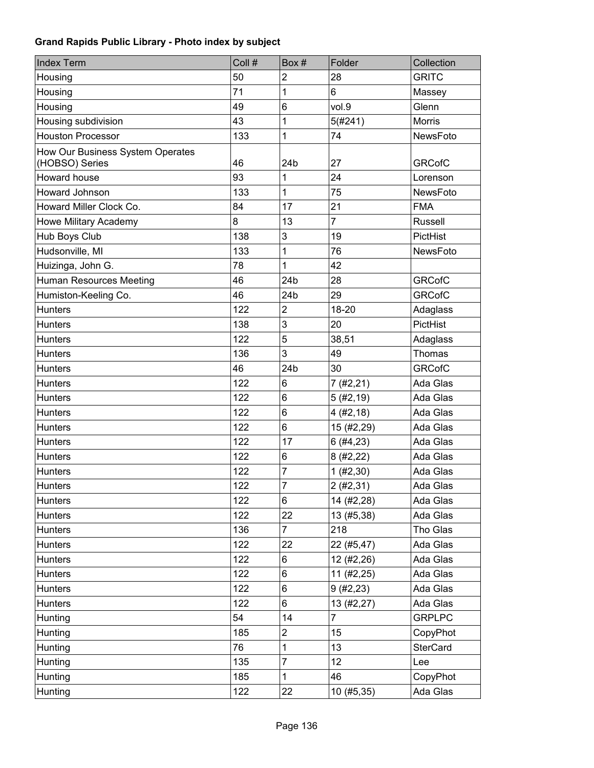| <b>Index Term</b>                                  | Coll # | Box #                   | Folder         | Collection      |
|----------------------------------------------------|--------|-------------------------|----------------|-----------------|
| Housing                                            | 50     | $\overline{2}$          | 28             | <b>GRITC</b>    |
| Housing                                            | 71     | 1                       | 6              | Massey          |
| Housing                                            | 49     | 6                       | vol.9          | Glenn           |
| Housing subdivision                                | 43     | 1                       | 5(#241)        | <b>Morris</b>   |
| <b>Houston Processor</b>                           | 133    | 1                       | 74             | <b>NewsFoto</b> |
| How Our Business System Operates<br>(HOBSO) Series | 46     | 24b                     | 27             | <b>GRCofC</b>   |
| Howard house                                       | 93     | 1                       | 24             | Lorenson        |
| Howard Johnson                                     | 133    | 1                       | 75             | NewsFoto        |
| Howard Miller Clock Co.                            | 84     | 17                      | 21             | <b>FMA</b>      |
| Howe Military Academy                              | 8      | 13                      | $\overline{7}$ | Russell         |
| Hub Boys Club                                      | 138    | 3                       | 19             | PictHist        |
| Hudsonville, MI                                    | 133    | 1                       | 76             | NewsFoto        |
| Huizinga, John G.                                  | 78     | 1                       | 42             |                 |
| <b>Human Resources Meeting</b>                     | 46     | 24 <sub>b</sub>         | 28             | <b>GRCofC</b>   |
| Humiston-Keeling Co.                               | 46     | 24 <sub>b</sub>         | 29             | <b>GRCofC</b>   |
| <b>Hunters</b>                                     | 122    | $\overline{c}$          | 18-20          | Adaglass        |
| <b>Hunters</b>                                     | 138    | 3                       | 20             | PictHist        |
| <b>Hunters</b>                                     | 122    | 5                       | 38,51          | Adaglass        |
| <b>Hunters</b>                                     | 136    | 3                       | 49             | Thomas          |
| <b>Hunters</b>                                     | 46     | 24 <sub>b</sub>         | 30             | <b>GRCofC</b>   |
| <b>Hunters</b>                                     | 122    | 6                       | 7(#2,21)       | Ada Glas        |
| <b>Hunters</b>                                     | 122    | 6                       | 5(#2, 19)      | Ada Glas        |
| <b>Hunters</b>                                     | 122    | 6                       | 4(#2, 18)      | Ada Glas        |
| <b>Hunters</b>                                     | 122    | 6                       | 15 (#2,29)     | Ada Glas        |
| <b>Hunters</b>                                     | 122    | 17                      | 6(#4, 23)      | Ada Glas        |
| <b>Hunters</b>                                     | 122    | 6                       | 8(#2,22)       | Ada Glas        |
| <b>Hunters</b>                                     | 122    | 7                       | 1 (#2, 30)     | Ada Glas        |
| <b>Hunters</b>                                     | 122    | $\overline{7}$          | 2(#2, 31)      | Ada Glas        |
| <b>Hunters</b>                                     | 122    | 6                       | 14 (#2,28)     | Ada Glas        |
| <b>Hunters</b>                                     | 122    | 22                      | 13 (#5,38)     | Ada Glas        |
| <b>Hunters</b>                                     | 136    | $\overline{7}$          | 218            | Tho Glas        |
| <b>Hunters</b>                                     | 122    | 22                      | 22 (#5,47)     | Ada Glas        |
| <b>Hunters</b>                                     | 122    | 6                       | 12 (#2,26)     | Ada Glas        |
| <b>Hunters</b>                                     | 122    | 6                       | 11 (#2,25)     | Ada Glas        |
| <b>Hunters</b>                                     | 122    | 6                       | 9(#2, 23)      | Ada Glas        |
| <b>Hunters</b>                                     | 122    | 6                       | 13 (#2,27)     | Ada Glas        |
| Hunting                                            | 54     | 14                      | $\overline{7}$ | <b>GRPLPC</b>   |
| Hunting                                            | 185    | $\overline{\mathbf{c}}$ | 15             | CopyPhot        |
| Hunting                                            | 76     | 1                       | 13             | <b>SterCard</b> |
| Hunting                                            | 135    | $\overline{7}$          | 12             | Lee             |
| Hunting                                            | 185    | 1                       | 46             | CopyPhot        |
| Hunting                                            | 122    | 22                      | 10 (#5,35)     | Ada Glas        |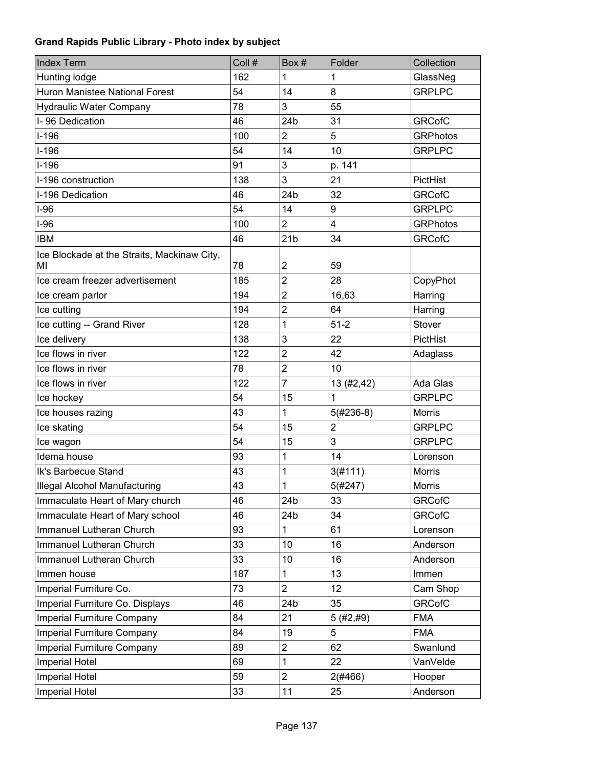| <b>Index Term</b>                                 | Coll # | Box#                    | Folder         | Collection      |
|---------------------------------------------------|--------|-------------------------|----------------|-----------------|
| Hunting lodge                                     | 162    | 1                       | 1              | GlassNeg        |
| Huron Manistee National Forest                    | 54     | 14                      | 8              | <b>GRPLPC</b>   |
| <b>Hydraulic Water Company</b>                    | 78     | 3                       | 55             |                 |
| I-96 Dedication                                   | 46     | 24b                     | 31             | <b>GRCofC</b>   |
| $I-196$                                           | 100    | $\overline{2}$          | 5              | <b>GRPhotos</b> |
| $I-196$                                           | 54     | 14                      | 10             | <b>GRPLPC</b>   |
| $I-196$                                           | 91     | 3                       | p. 141         |                 |
| I-196 construction                                | 138    | 3                       | 21             | PictHist        |
| I-196 Dedication                                  | 46     | 24 <sub>b</sub>         | 32             | <b>GRCofC</b>   |
| $I-96$                                            | 54     | 14                      | 9              | <b>GRPLPC</b>   |
| $I-96$                                            | 100    | $\overline{2}$          | 4              | <b>GRPhotos</b> |
| <b>IBM</b>                                        | 46     | 21 <sub>b</sub>         | 34             | <b>GRCofC</b>   |
| Ice Blockade at the Straits, Mackinaw City,<br>MI | 78     | $\overline{\mathbf{c}}$ | 59             |                 |
| Ice cream freezer advertisement                   | 185    | $\overline{2}$          | 28             | CopyPhot        |
| Ice cream parlor                                  | 194    | $\overline{2}$          | 16,63          | Harring         |
| Ice cutting                                       | 194    | $\overline{c}$          | 64             | Harring         |
| Ice cutting -- Grand River                        | 128    | 1                       | $51 - 2$       | Stover          |
| Ice delivery                                      | 138    | 3                       | 22             | PictHist        |
| Ice flows in river                                | 122    | $\overline{2}$          | 42             | Adaglass        |
| Ice flows in river                                | 78     | $\overline{2}$          | 10             |                 |
| Ice flows in river                                | 122    | $\overline{7}$          | 13 (#2,42)     | Ada Glas        |
| Ice hockey                                        | 54     | 15                      | 1              | <b>GRPLPC</b>   |
| Ice houses razing                                 | 43     | 1                       | $5(#236-8)$    | <b>Morris</b>   |
| Ice skating                                       | 54     | 15                      | $\overline{c}$ | <b>GRPLPC</b>   |
| Ice wagon                                         | 54     | 15                      | 3              | <b>GRPLPC</b>   |
| Idema house                                       | 93     | 1                       | 14             | Lorenson        |
| Ik's Barbecue Stand                               | 43     | 1                       | 3(#111)        | <b>Morris</b>   |
| <b>Illegal Alcohol Manufacturing</b>              | 43     | 1                       | 5(#247)        | <b>Morris</b>   |
| Immaculate Heart of Mary church                   | 46     | 24b                     | 33             | <b>GRCofC</b>   |
| Immaculate Heart of Mary school                   | 46     | 24 <sub>b</sub>         | 34             | <b>GRCofC</b>   |
| Immanuel Lutheran Church                          | 93     | 1                       | 61             | Lorenson        |
| Immanuel Lutheran Church                          | 33     | 10                      | 16             | Anderson        |
| Immanuel Lutheran Church                          | 33     | 10                      | 16             | Anderson        |
| Immen house                                       | 187    | 1                       | 13             | Immen           |
| Imperial Furniture Co.                            | 73     | $\overline{2}$          | 12             | Cam Shop        |
| Imperial Furniture Co. Displays                   | 46     | 24 <sub>b</sub>         | 35             | <b>GRCofC</b>   |
| <b>Imperial Furniture Company</b>                 | 84     | 21                      | 5(#2,#9)       | <b>FMA</b>      |
| <b>Imperial Furniture Company</b>                 | 84     | 19                      | 5              | <b>FMA</b>      |
| <b>Imperial Furniture Company</b>                 | 89     | $\mathbf{2}$            | 62             | Swanlund        |
| <b>Imperial Hotel</b>                             | 69     | 1                       | 22             | VanVelde        |
| <b>Imperial Hotel</b>                             | 59     | $\overline{2}$          | 2(#466)        | Hooper          |
| <b>Imperial Hotel</b>                             | 33     | 11                      | 25             | Anderson        |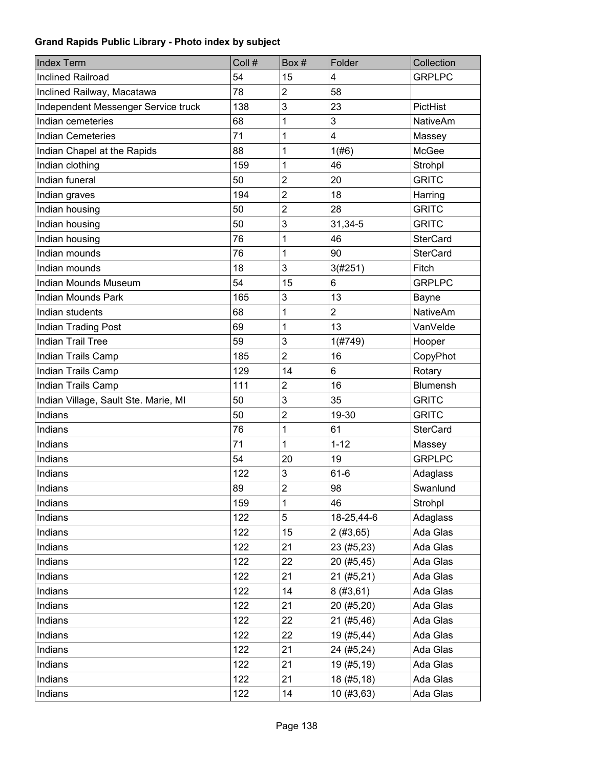| <b>Index Term</b>                    | Coll # | Box#           | Folder         | Collection      |
|--------------------------------------|--------|----------------|----------------|-----------------|
| <b>Inclined Railroad</b>             | 54     | 15             | 4              | <b>GRPLPC</b>   |
| Inclined Railway, Macatawa           | 78     | $\overline{2}$ | 58             |                 |
| Independent Messenger Service truck  | 138    | 3              | 23             | PictHist        |
| Indian cemeteries                    | 68     | 1              | 3              | <b>NativeAm</b> |
| <b>Indian Cemeteries</b>             | 71     | 1              | 4              | Massey          |
| Indian Chapel at the Rapids          | 88     | 1              | 1(#6)          | <b>McGee</b>    |
| Indian clothing                      | 159    | 1              | 46             | Strohpl         |
| Indian funeral                       | 50     | $\overline{2}$ | 20             | <b>GRITC</b>    |
| Indian graves                        | 194    | $\overline{2}$ | 18             | Harring         |
| Indian housing                       | 50     | $\overline{2}$ | 28             | <b>GRITC</b>    |
| Indian housing                       | 50     | 3              | 31,34-5        | <b>GRITC</b>    |
| Indian housing                       | 76     | 1              | 46             | <b>SterCard</b> |
| Indian mounds                        | 76     | 1              | 90             | <b>SterCard</b> |
| Indian mounds                        | 18     | 3              | 3(#251)        | Fitch           |
| <b>Indian Mounds Museum</b>          | 54     | 15             | 6              | <b>GRPLPC</b>   |
| <b>Indian Mounds Park</b>            | 165    | 3              | 13             | <b>Bayne</b>    |
| Indian students                      | 68     | 1              | $\overline{2}$ | <b>NativeAm</b> |
| <b>Indian Trading Post</b>           | 69     | 1              | 13             | VanVelde        |
| <b>Indian Trail Tree</b>             | 59     | 3              | 1(#749)        | Hooper          |
| Indian Trails Camp                   | 185    | $\overline{2}$ | 16             | CopyPhot        |
| Indian Trails Camp                   | 129    | 14             | 6              | Rotary          |
| Indian Trails Camp                   | 111    | $\overline{2}$ | 16             | Blumensh        |
| Indian Village, Sault Ste. Marie, MI | 50     | 3              | 35             | <b>GRITC</b>    |
| Indians                              | 50     | $\overline{c}$ | 19-30          | <b>GRITC</b>    |
| Indians                              | 76     | 1              | 61             | <b>SterCard</b> |
| Indians                              | 71     | 1              | $1 - 12$       | Massey          |
| Indians                              | 54     | 20             | 19             | <b>GRPLPC</b>   |
| Indians                              | 122    | 3              | $61 - 6$       | Adaglass        |
| Indians                              | 89     | $\overline{2}$ | 98             | Swanlund        |
| Indians                              | 159    | 1              | 46             | Strohpl         |
| Indians                              | 122    | 5              | 18-25,44-6     | Adaglass        |
| Indians                              | 122    | 15             | 2(#3,65)       | Ada Glas        |
| Indians                              | 122    | 21             | 23 (#5,23)     | Ada Glas        |
| Indians                              | 122    | 22             | 20 (#5,45)     | Ada Glas        |
| Indians                              | 122    | 21             | 21 (#5,21)     | Ada Glas        |
| Indians                              | 122    | 14             | 8(#3, 61)      | Ada Glas        |
| Indians                              | 122    | 21             | 20 (#5,20)     | Ada Glas        |
| Indians                              | 122    | 22             | 21 (#5,46)     | Ada Glas        |
| Indians                              | 122    | 22             | 19 (#5,44)     | Ada Glas        |
| Indians                              | 122    | 21             | 24 (#5,24)     | Ada Glas        |
| Indians                              | 122    | 21             | 19 (#5,19)     | Ada Glas        |
| Indians                              | 122    | 21             | 18 (#5,18)     | Ada Glas        |
| Indians                              | 122    | 14             | 10(#3, 63)     | Ada Glas        |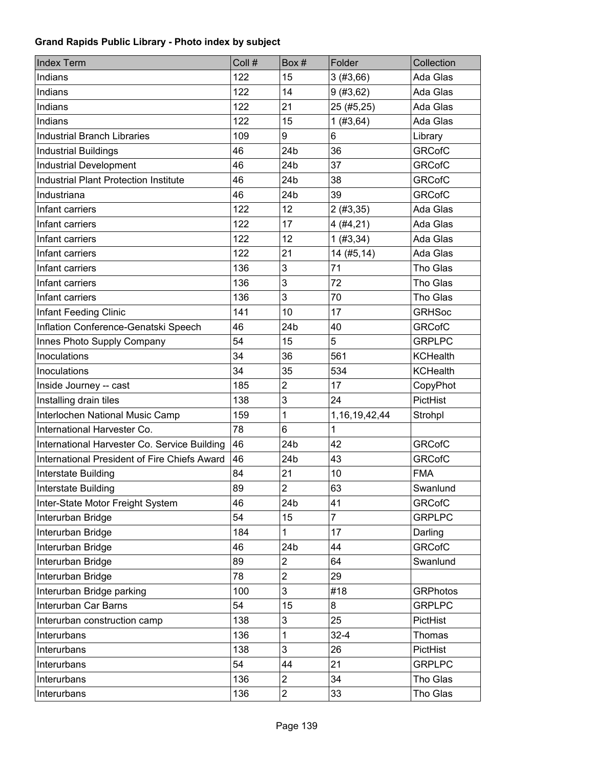| <b>Index Term</b>                            | Coll # | Box #                   | Folder            | Collection      |
|----------------------------------------------|--------|-------------------------|-------------------|-----------------|
| Indians                                      | 122    | 15                      | 3(#3,66)          | Ada Glas        |
| Indians                                      | 122    | 14                      | 9(#3, 62)         | Ada Glas        |
| Indians                                      | 122    | 21                      | 25 (#5,25)        | Ada Glas        |
| Indians                                      | 122    | 15                      | 1(#3, 64)         | Ada Glas        |
| <b>Industrial Branch Libraries</b>           | 109    | 9                       | 6                 | Library         |
| <b>Industrial Buildings</b>                  | 46     | 24 <sub>b</sub>         | 36                | <b>GRCofC</b>   |
| <b>Industrial Development</b>                | 46     | 24b                     | 37                | <b>GRCofC</b>   |
| <b>Industrial Plant Protection Institute</b> | 46     | 24b                     | 38                | <b>GRCofC</b>   |
| Industriana                                  | 46     | 24b                     | 39                | <b>GRCofC</b>   |
| Infant carriers                              | 122    | 12                      | 2(#3, 35)         | Ada Glas        |
| Infant carriers                              | 122    | 17                      | 4(#4, 21)         | Ada Glas        |
| Infant carriers                              | 122    | 12                      | 1(#3, 34)         | Ada Glas        |
| Infant carriers                              | 122    | 21                      | 14 (#5,14)        | Ada Glas        |
| Infant carriers                              | 136    | 3                       | 71                | Tho Glas        |
| Infant carriers                              | 136    | 3                       | 72                | Tho Glas        |
| Infant carriers                              | 136    | 3                       | 70                | Tho Glas        |
| <b>Infant Feeding Clinic</b>                 | 141    | 10                      | 17                | <b>GRHSoc</b>   |
| Inflation Conference-Genatski Speech         | 46     | 24 <sub>b</sub>         | 40                | <b>GRCofC</b>   |
| Innes Photo Supply Company                   | 54     | 15                      | 5                 | <b>GRPLPC</b>   |
| Inoculations                                 | 34     | 36                      | 561               | <b>KCHealth</b> |
| Inoculations                                 | 34     | 35                      | 534               | <b>KCHealth</b> |
| Inside Journey -- cast                       | 185    | $\overline{c}$          | 17                | CopyPhot        |
| Installing drain tiles                       | 138    | 3                       | 24                | PictHist        |
| Interlochen National Music Camp              | 159    | 1                       | 1, 16, 19, 42, 44 | Strohpl         |
| International Harvester Co.                  | 78     | 6                       | 1                 |                 |
| International Harvester Co. Service Building | 46     | 24 <sub>b</sub>         | 42                | <b>GRCofC</b>   |
| International President of Fire Chiefs Award | 46     | 24b                     | 43                | <b>GRCofC</b>   |
| Interstate Building                          | 84     | 21                      | 10                | <b>FMA</b>      |
| Interstate Building                          | 89     | $\overline{c}$          | 63                | Swanlund        |
| Inter-State Motor Freight System             | 46     | 24 <sub>b</sub>         | 41                | <b>GRCofC</b>   |
| Interurban Bridge                            | 54     | 15                      | $\overline{7}$    | <b>GRPLPC</b>   |
| Interurban Bridge                            | 184    | 1                       | 17                | Darling         |
| Interurban Bridge                            | 46     | 24b                     | 44                | <b>GRCofC</b>   |
| Interurban Bridge                            | 89     | $\overline{c}$          | 64                | Swanlund        |
| Interurban Bridge                            | 78     | $\overline{2}$          | 29                |                 |
| Interurban Bridge parking                    | 100    | 3                       | #18               | <b>GRPhotos</b> |
| Interurban Car Barns                         | 54     | 15                      | 8                 | <b>GRPLPC</b>   |
| Interurban construction camp                 | 138    | 3                       | 25                | PictHist        |
| Interurbans                                  | 136    | 1                       | $32 - 4$          | Thomas          |
| Interurbans                                  | 138    | 3                       | 26                | PictHist        |
| Interurbans                                  | 54     | 44                      | 21                | <b>GRPLPC</b>   |
| Interurbans                                  | 136    | $\overline{2}$          | 34                | Tho Glas        |
| Interurbans                                  | 136    | $\overline{\mathbf{c}}$ | 33                | Tho Glas        |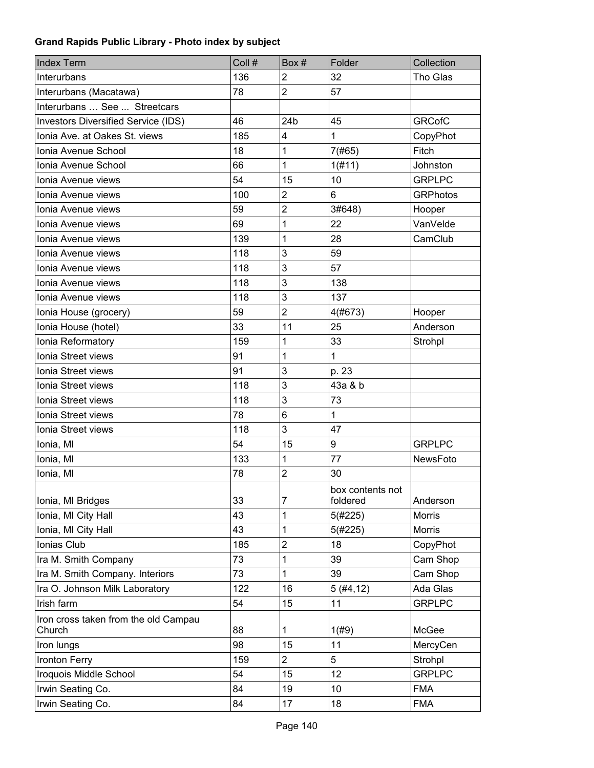| <b>Index Term</b>                          | Coll # | Box#            | Folder                       | Collection      |
|--------------------------------------------|--------|-----------------|------------------------------|-----------------|
| Interurbans                                | 136    | $\overline{2}$  | 32                           | Tho Glas        |
| Interurbans (Macatawa)                     | 78     | $\overline{2}$  | 57                           |                 |
| Interurbans  See  Streetcars               |        |                 |                              |                 |
| <b>Investors Diversified Service (IDS)</b> | 46     | 24 <sub>b</sub> | 45                           | <b>GRCofC</b>   |
| Ionia Ave. at Oakes St. views              | 185    | 4               | 1                            | CopyPhot        |
| Ionia Avenue School                        | 18     | 1               | 7(#65)                       | Fitch           |
| Ionia Avenue School                        | 66     | 1               | 1(f#11)                      | Johnston        |
| Ionia Avenue views                         | 54     | 15              | 10                           | <b>GRPLPC</b>   |
| Ionia Avenue views                         | 100    | $\overline{c}$  | 6                            | <b>GRPhotos</b> |
| Ionia Avenue views                         | 59     | $\overline{2}$  | 3#648)                       | Hooper          |
| Ionia Avenue views                         | 69     | 1               | 22                           | VanVelde        |
| Ionia Avenue views                         | 139    | 1               | 28                           | CamClub         |
| Ionia Avenue views                         | 118    | 3               | 59                           |                 |
| Ionia Avenue views                         | 118    | 3               | 57                           |                 |
| Ionia Avenue views                         | 118    | 3               | 138                          |                 |
| Ionia Avenue views                         | 118    | 3               | 137                          |                 |
| Ionia House (grocery)                      | 59     | $\overline{2}$  | 4(#673)                      | Hooper          |
| Ionia House (hotel)                        | 33     | 11              | 25                           | Anderson        |
| Ionia Reformatory                          | 159    | 1               | 33                           | Strohpl         |
| Ionia Street views                         | 91     | 1               | $\mathbf 1$                  |                 |
| Ionia Street views                         | 91     | 3               | p. 23                        |                 |
| Ionia Street views                         | 118    | 3               | 43a & b                      |                 |
| Ionia Street views                         | 118    | 3               | 73                           |                 |
| Ionia Street views                         | 78     | $6\phantom{1}$  | $\mathbf{1}$                 |                 |
| Ionia Street views                         | 118    | 3               | 47                           |                 |
| Ionia, MI                                  | 54     | 15              | 9                            | <b>GRPLPC</b>   |
| Ionia, MI                                  | 133    | 1               | 77                           | <b>NewsFoto</b> |
| Ionia, MI                                  | 78     | $\overline{c}$  | 30                           |                 |
| Ionia, MI Bridges                          | 33     | $\overline{7}$  | box contents not<br>foldered | Anderson        |
| Ionia, MI City Hall                        | 43     | 1               | 5(#225)                      | Morris          |
| Ionia, MI City Hall                        | 43     | 1               | 5(#225)                      | Morris          |
| Ionias Club                                | 185    | $\mathbf{2}$    | 18                           | CopyPhot        |
| Ira M. Smith Company                       | 73     | 1               | 39                           | Cam Shop        |
| Ira M. Smith Company. Interiors            | 73     | 1               | 39                           | Cam Shop        |
| Ira O. Johnson Milk Laboratory             | 122    | 16              | 5(#4, 12)                    | Ada Glas        |
| Irish farm                                 | 54     | 15              | 11                           | <b>GRPLPC</b>   |
| Iron cross taken from the old Campau       |        |                 |                              |                 |
| Church                                     | 88     | 1               | 1(#9)                        | McGee           |
| Iron lungs                                 | 98     | 15              | 11                           | MercyCen        |
| Ironton Ferry                              | 159    | $\overline{2}$  | 5                            | Strohpl         |
| Iroquois Middle School                     | 54     | 15              | 12                           | <b>GRPLPC</b>   |
| Irwin Seating Co.                          | 84     | 19              | 10                           | <b>FMA</b>      |
| Irwin Seating Co.                          | 84     | 17              | 18                           | <b>FMA</b>      |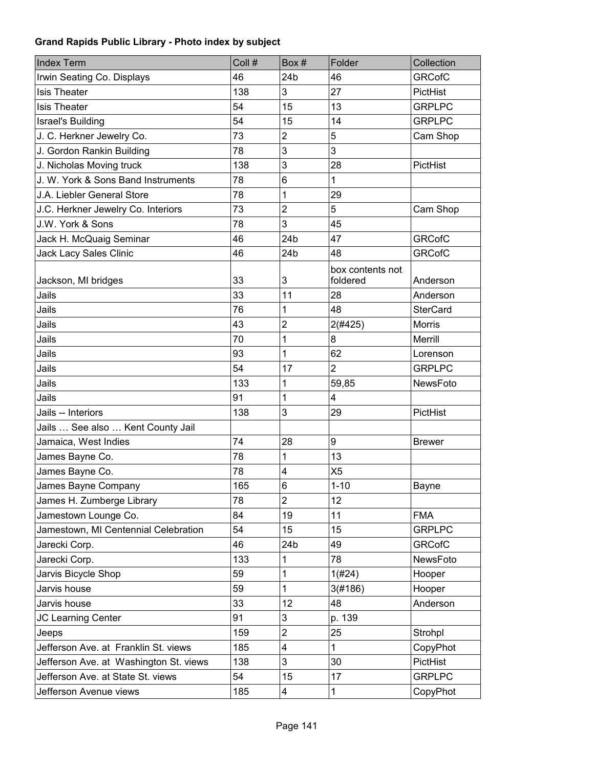| <b>Index Term</b>                      | Coll # | Box#                    | Folder                       | Collection      |
|----------------------------------------|--------|-------------------------|------------------------------|-----------------|
| Irwin Seating Co. Displays             | 46     | 24 <sub>b</sub>         | 46                           | <b>GRCofC</b>   |
| <b>Isis Theater</b>                    | 138    | 3                       | 27                           | PictHist        |
| <b>Isis Theater</b>                    | 54     | 15                      | 13                           | <b>GRPLPC</b>   |
| <b>Israel's Building</b>               | 54     | 15                      | 14                           | <b>GRPLPC</b>   |
| J. C. Herkner Jewelry Co.              | 73     | $\overline{2}$          | 5                            | Cam Shop        |
| J. Gordon Rankin Building              | 78     | 3                       | 3                            |                 |
| J. Nicholas Moving truck               | 138    | 3                       | 28                           | PictHist        |
| J. W. York & Sons Band Instruments     | 78     | 6                       | $\mathbf{1}$                 |                 |
| J.A. Liebler General Store             | 78     | 1                       | 29                           |                 |
| J.C. Herkner Jewelry Co. Interiors     | 73     | $\overline{c}$          | 5                            | Cam Shop        |
| J.W. York & Sons                       | 78     | 3                       | 45                           |                 |
| Jack H. McQuaig Seminar                | 46     | 24 <sub>b</sub>         | 47                           | <b>GRCofC</b>   |
| Jack Lacy Sales Clinic                 | 46     | 24 <sub>b</sub>         | 48                           | <b>GRCofC</b>   |
| Jackson, MI bridges                    | 33     | 3                       | box contents not<br>foldered | Anderson        |
| Jails                                  | 33     | 11                      | 28                           | Anderson        |
| Jails                                  | 76     | 1                       | 48                           | <b>SterCard</b> |
| Jails                                  | 43     | $\overline{2}$          | 2(#425)                      | <b>Morris</b>   |
| Jails                                  | 70     | 1                       | 8                            | Merrill         |
| Jails                                  | 93     | 1                       | 62                           | Lorenson        |
| Jails                                  | 54     | 17                      | $\overline{2}$               | <b>GRPLPC</b>   |
| Jails                                  | 133    | 1                       | 59,85                        | NewsFoto        |
| Jails                                  | 91     | 1                       | 4                            |                 |
| Jails -- Interiors                     | 138    | 3                       | 29                           | PictHist        |
| Jails  See also  Kent County Jail      |        |                         |                              |                 |
| Jamaica, West Indies                   | 74     | 28                      | 9                            | <b>Brewer</b>   |
| James Bayne Co.                        | 78     | 1                       | 13                           |                 |
| James Bayne Co.                        | 78     | 4                       | X <sub>5</sub>               |                 |
| James Bayne Company                    | 165    | 6                       | $1 - 10$                     | Bayne           |
| James H. Zumberge Library              | 78     | $\overline{2}$          | 12                           |                 |
| Jamestown Lounge Co.                   | 84     | 19                      | 11                           | <b>FMA</b>      |
| Jamestown, MI Centennial Celebration   | 54     | 15                      | 15                           | <b>GRPLPC</b>   |
| Jarecki Corp.                          | 46     | 24b                     | 49                           | <b>GRCofC</b>   |
| Jarecki Corp.                          | 133    | 1                       | 78                           | NewsFoto        |
| Jarvis Bicycle Shop                    | 59     | 1                       | 1(#24)                       | Hooper          |
| Jarvis house                           | 59     | 1                       | 3(#186)                      | Hooper          |
| Jarvis house                           | 33     | 12                      | 48                           | Anderson        |
| JC Learning Center                     | 91     | 3                       | p. 139                       |                 |
| Jeeps                                  | 159    | $\mathbf 2$             | 25                           | Strohpl         |
| Jefferson Ave. at Franklin St. views   | 185    | $\overline{\mathbf{4}}$ | $\mathbf{1}$                 | CopyPhot        |
| Jefferson Ave. at Washington St. views | 138    | 3                       | 30                           | PictHist        |
| Jefferson Ave. at State St. views      | 54     | 15                      | 17                           | <b>GRPLPC</b>   |
| Jefferson Avenue views                 | 185    | $\overline{\mathbf{4}}$ | 1                            | CopyPhot        |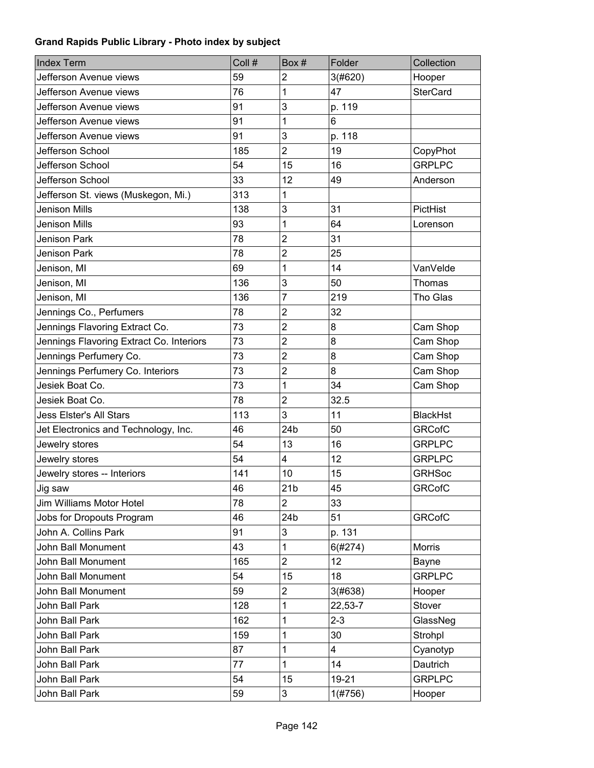| <b>Index Term</b>                        | Coll # | Box#                    | Folder  | Collection      |
|------------------------------------------|--------|-------------------------|---------|-----------------|
| Jefferson Avenue views                   | 59     | $\overline{2}$          | 3(#620) | Hooper          |
| Jefferson Avenue views                   | 76     | 1                       | 47      | <b>SterCard</b> |
| Jefferson Avenue views                   | 91     | 3                       | p. 119  |                 |
| Jefferson Avenue views                   | 91     | 1                       | 6       |                 |
| Jefferson Avenue views                   | 91     | 3                       | p. 118  |                 |
| Jefferson School                         | 185    | $\overline{2}$          | 19      | CopyPhot        |
| Jefferson School                         | 54     | 15                      | 16      | <b>GRPLPC</b>   |
| Jefferson School                         | 33     | 12                      | 49      | Anderson        |
| Jefferson St. views (Muskegon, Mi.)      | 313    | 1                       |         |                 |
| Jenison Mills                            | 138    | 3                       | 31      | PictHist        |
| Jenison Mills                            | 93     | 1                       | 64      | Lorenson        |
| Jenison Park                             | 78     | $\overline{2}$          | 31      |                 |
| Jenison Park                             | 78     | $\overline{2}$          | 25      |                 |
| Jenison, MI                              | 69     | 1                       | 14      | VanVelde        |
| Jenison, MI                              | 136    | 3                       | 50      | Thomas          |
| Jenison, MI                              | 136    | $\overline{7}$          | 219     | Tho Glas        |
| Jennings Co., Perfumers                  | 78     | $\overline{2}$          | 32      |                 |
| Jennings Flavoring Extract Co.           | 73     | $\overline{2}$          | 8       | Cam Shop        |
| Jennings Flavoring Extract Co. Interiors | 73     | $\overline{2}$          | 8       | Cam Shop        |
| Jennings Perfumery Co.                   | 73     | $\overline{2}$          | 8       | Cam Shop        |
| Jennings Perfumery Co. Interiors         | 73     | $\overline{2}$          | 8       | Cam Shop        |
| Jesiek Boat Co.                          | 73     | 1                       | 34      | Cam Shop        |
| Jesiek Boat Co.                          | 78     | $\overline{2}$          | 32.5    |                 |
| <b>Jess Elster's All Stars</b>           | 113    | 3                       | 11      | <b>BlackHst</b> |
| Jet Electronics and Technology, Inc.     | 46     | 24b                     | 50      | <b>GRCofC</b>   |
| Jewelry stores                           | 54     | 13                      | 16      | <b>GRPLPC</b>   |
| Jewelry stores                           | 54     | $\overline{\mathbf{4}}$ | 12      | <b>GRPLPC</b>   |
| Jewelry stores -- Interiors              | 141    | 10                      | 15      | <b>GRHSoc</b>   |
| Jig saw                                  | 46     | 21 <sub>b</sub>         | 45      | <b>GRCofC</b>   |
| Jim Williams Motor Hotel                 | 78     | $\overline{2}$          | 33      |                 |
| Jobs for Dropouts Program                | 46     | 24b                     | 51      | <b>GRCofC</b>   |
| John A. Collins Park                     | 91     | 3                       | p. 131  |                 |
| John Ball Monument                       | 43     | 1                       | 6(#274) | <b>Morris</b>   |
| John Ball Monument                       | 165    | $\overline{2}$          | 12      | Bayne           |
| John Ball Monument                       | 54     | 15                      | 18      | <b>GRPLPC</b>   |
| John Ball Monument                       | 59     | $\overline{c}$          | 3(#638) | Hooper          |
| John Ball Park                           | 128    | 1                       | 22,53-7 | Stover          |
| John Ball Park                           | 162    | 1                       | $2 - 3$ | GlassNeg        |
| John Ball Park                           | 159    | 1                       | 30      | Strohpl         |
| John Ball Park                           | 87     | 1                       | 4       | Cyanotyp        |
| John Ball Park                           | 77     | 1                       | 14      | Dautrich        |
| John Ball Park                           | 54     | 15                      | 19-21   | <b>GRPLPC</b>   |
| John Ball Park                           | 59     | 3                       | 1(#756) | Hooper          |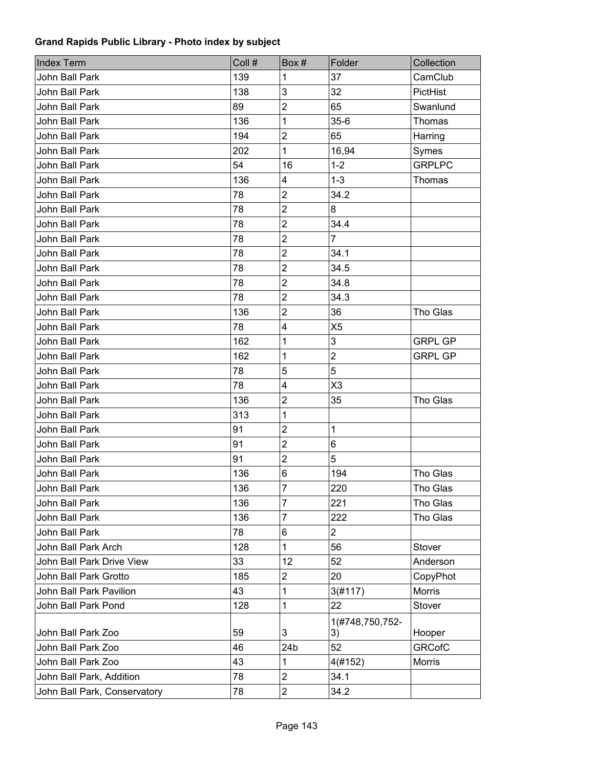| <b>Index Term</b>            | Coll # | Box#                    | Folder          | Collection     |
|------------------------------|--------|-------------------------|-----------------|----------------|
| John Ball Park               | 139    | 1                       | 37              | CamClub        |
| John Ball Park               | 138    | 3                       | 32              | PictHist       |
| John Ball Park               | 89     | $\overline{2}$          | 65              | Swanlund       |
| John Ball Park               | 136    | 1                       | $35-6$          | <b>Thomas</b>  |
| John Ball Park               | 194    | $\overline{2}$          | 65              | Harring        |
| John Ball Park               | 202    | 1                       | 16,94           | Symes          |
| John Ball Park               | 54     | 16                      | $1 - 2$         | <b>GRPLPC</b>  |
| John Ball Park               | 136    | 4                       | $1 - 3$         | Thomas         |
| John Ball Park               | 78     | $\overline{2}$          | 34.2            |                |
| John Ball Park               | 78     | $\overline{2}$          | 8               |                |
| John Ball Park               | 78     | $\overline{2}$          | 34.4            |                |
| John Ball Park               | 78     | $\overline{2}$          | $\overline{7}$  |                |
| <b>John Ball Park</b>        | 78     | $\overline{2}$          | 34.1            |                |
| John Ball Park               | 78     | $\overline{2}$          | 34.5            |                |
| John Ball Park               | 78     | $\overline{2}$          | 34.8            |                |
| John Ball Park               | 78     | $\overline{2}$          | 34.3            |                |
| <b>John Ball Park</b>        | 136    | $\overline{2}$          | 36              | Tho Glas       |
| John Ball Park               | 78     | $\overline{\mathbf{4}}$ | X <sub>5</sub>  |                |
| John Ball Park               | 162    | 1                       | 3               | <b>GRPL GP</b> |
| John Ball Park               | 162    | 1                       | $\overline{2}$  | <b>GRPL GP</b> |
| John Ball Park               | 78     | 5                       | 5               |                |
| John Ball Park               | 78     | 4                       | X3              |                |
| John Ball Park               | 136    | $\overline{2}$          | 35              | Tho Glas       |
| John Ball Park               | 313    | 1                       |                 |                |
| John Ball Park               | 91     | $\overline{2}$          | 1               |                |
| John Ball Park               | 91     | $\overline{2}$          | 6               |                |
| John Ball Park               | 91     | $\overline{2}$          | 5               |                |
| <b>John Ball Park</b>        | 136    | 6                       | 194             | Tho Glas       |
| John Ball Park               | 136    | 7                       | 220             | Tho Glas       |
| John Ball Park               | 136    | 7                       | 221             | Tho Glas       |
| John Ball Park               | 136    | 7                       | 222             | Tho Glas       |
| John Ball Park               | 78     | 6                       | $\overline{2}$  |                |
| John Ball Park Arch          | 128    | 1                       | 56              | Stover         |
| John Ball Park Drive View    | 33     | 12                      | 52              | Anderson       |
| John Ball Park Grotto        | 185    | $\overline{c}$          | 20              | CopyPhot       |
| John Ball Park Pavilion      | 43     | 1                       | 3(#117)         | Morris         |
| John Ball Park Pond          | 128    | 1                       | 22              | Stover         |
|                              |        |                         | 1(#748,750,752- |                |
| John Ball Park Zoo           | 59     | 3                       | 3)              | Hooper         |
| John Ball Park Zoo           | 46     | 24b                     | 52              | <b>GRCofC</b>  |
| John Ball Park Zoo           | 43     | 1                       | 4(#152)         | Morris         |
| John Ball Park, Addition     | 78     | $\overline{2}$          | 34.1            |                |
| John Ball Park, Conservatory | 78     | $\overline{c}$          | 34.2            |                |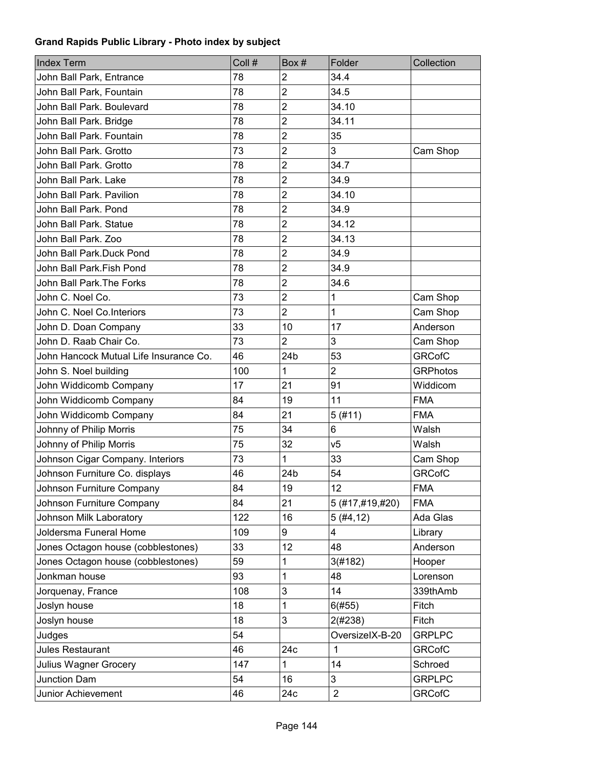| <b>Index Term</b>                      | Coll # | Box#            | Folder          | Collection      |
|----------------------------------------|--------|-----------------|-----------------|-----------------|
| John Ball Park, Entrance               | 78     | 2               | 34.4            |                 |
| John Ball Park, Fountain               | 78     | $\overline{2}$  | 34.5            |                 |
| John Ball Park. Boulevard              | 78     | $\overline{2}$  | 34.10           |                 |
| John Ball Park. Bridge                 | 78     | $\overline{2}$  | 34.11           |                 |
| John Ball Park, Fountain               | 78     | $\overline{2}$  | 35              |                 |
| John Ball Park. Grotto                 | 73     | $\overline{2}$  | 3               | Cam Shop        |
| John Ball Park. Grotto                 | 78     | $\overline{2}$  | 34.7            |                 |
| John Ball Park. Lake                   | 78     | $\overline{c}$  | 34.9            |                 |
| John Ball Park, Pavilion               | 78     | $\overline{c}$  | 34.10           |                 |
| John Ball Park. Pond                   | 78     | $\overline{2}$  | 34.9            |                 |
| John Ball Park. Statue                 | 78     | $\overline{2}$  | 34.12           |                 |
| John Ball Park. Zoo                    | 78     | $\overline{2}$  | 34.13           |                 |
| John Ball Park.Duck Pond               | 78     | $\overline{2}$  | 34.9            |                 |
| John Ball Park.Fish Pond               | 78     | $\overline{2}$  | 34.9            |                 |
| John Ball Park. The Forks              | 78     | $\overline{2}$  | 34.6            |                 |
| John C. Noel Co.                       | 73     | $\overline{2}$  | $\mathbf 1$     | Cam Shop        |
| John C. Noel Co.Interiors              | 73     | $\overline{2}$  | 1               | Cam Shop        |
| John D. Doan Company                   | 33     | 10              | 17              | Anderson        |
| John D. Raab Chair Co.                 | 73     | $\overline{2}$  | 3               | Cam Shop        |
| John Hancock Mutual Life Insurance Co. | 46     | 24 <sub>b</sub> | 53              | <b>GRCofC</b>   |
| John S. Noel building                  | 100    | 1               | $\overline{2}$  | <b>GRPhotos</b> |
| John Widdicomb Company                 | 17     | 21              | 91              | Widdicom        |
| John Widdicomb Company                 | 84     | 19              | 11              | <b>FMA</b>      |
| John Widdicomb Company                 | 84     | 21              | 5(#11)          | <b>FMA</b>      |
| Johnny of Philip Morris                | 75     | 34              | 6               | Walsh           |
| Johnny of Philip Morris                | 75     | 32              | V <sub>5</sub>  | Walsh           |
| Johnson Cigar Company. Interiors       | 73     | 1               | 33              | Cam Shop        |
| Johnson Furniture Co. displays         | 46     | 24 <sub>b</sub> | 54              | <b>GRCofC</b>   |
| Johnson Furniture Company              | 84     | 19              | 12              | <b>FMA</b>      |
| Johnson Furniture Company              | 84     | 21              | 5 (#17,#19,#20) | <b>FMA</b>      |
| Johnson Milk Laboratory                | 122    | 16              | 5(#4, 12)       | Ada Glas        |
| Joldersma Funeral Home                 | 109    | 9               | 4               | Library         |
| Jones Octagon house (cobblestones)     | 33     | 12              | 48              | Anderson        |
| Jones Octagon house (cobblestones)     | 59     | 1               | 3(#182)         | Hooper          |
| Jonkman house                          | 93     | 1               | 48              | Lorenson        |
| Jorquenay, France                      | 108    | 3               | 14              | 339thAmb        |
| Joslyn house                           | 18     | 1               | 6(#55)          | Fitch           |
| Joslyn house                           | 18     | 3               | 2(#238)         | Fitch           |
| Judges                                 | 54     |                 | OversizelX-B-20 | <b>GRPLPC</b>   |
| Jules Restaurant                       | 46     | 24c             | $\mathbf 1$     | <b>GRCofC</b>   |
| Julius Wagner Grocery                  | 147    | 1               | 14              | Schroed         |
| <b>Junction Dam</b>                    | 54     | 16              | 3               | <b>GRPLPC</b>   |
| Junior Achievement                     | 46     | 24c             | $\sqrt{2}$      | <b>GRCofC</b>   |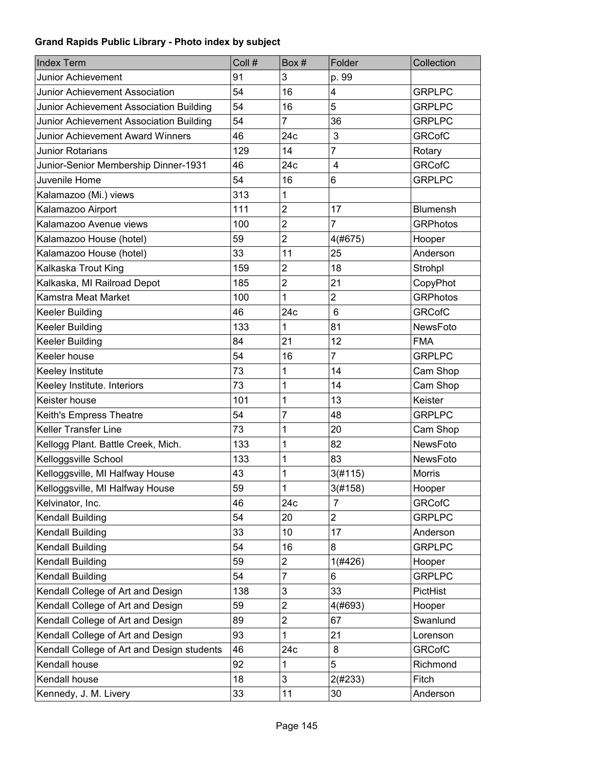| <b>Index Term</b>                          | Coll # | Box#                      | Folder         | Collection      |
|--------------------------------------------|--------|---------------------------|----------------|-----------------|
| <b>Junior Achievement</b>                  | 91     | 3                         | p. 99          |                 |
| <b>Junior Achievement Association</b>      | 54     | 16                        | 4              | <b>GRPLPC</b>   |
| Junior Achievement Association Building    | 54     | 16                        | 5              | <b>GRPLPC</b>   |
| Junior Achievement Association Building    | 54     | $\overline{7}$            | 36             | <b>GRPLPC</b>   |
| Junior Achievement Award Winners           | 46     | 24c                       | 3              | <b>GRCofC</b>   |
| Junior Rotarians                           | 129    | 14                        | $\overline{7}$ | Rotary          |
| Junior-Senior Membership Dinner-1931       | 46     | 24c                       | $\overline{4}$ | <b>GRCofC</b>   |
| Juvenile Home                              | 54     | 16                        | 6              | <b>GRPLPC</b>   |
| Kalamazoo (Mi.) views                      | 313    | 1                         |                |                 |
| Kalamazoo Airport                          | 111    | $\overline{2}$            | 17             | <b>Blumensh</b> |
| Kalamazoo Avenue views                     | 100    | $\overline{2}$            | $\overline{7}$ | <b>GRPhotos</b> |
| Kalamazoo House (hotel)                    | 59     | $\overline{2}$            | 4(#675)        | Hooper          |
| Kalamazoo House (hotel)                    | 33     | 11                        | 25             | Anderson        |
| Kalkaska Trout King                        | 159    | $\overline{2}$            | 18             | Strohpl         |
| Kalkaska, MI Railroad Depot                | 185    | $\overline{2}$            | 21             | CopyPhot        |
| Kamstra Meat Market                        | 100    | 1                         | $\overline{2}$ | <b>GRPhotos</b> |
| Keeler Building                            | 46     | 24c                       | $6\phantom{1}$ | <b>GRCofC</b>   |
| <b>Keeler Building</b>                     | 133    | 1                         | 81             | NewsFoto        |
| Keeler Building                            | 84     | 21                        | 12             | <b>FMA</b>      |
| Keeler house                               | 54     | 16                        | $\overline{7}$ | <b>GRPLPC</b>   |
| Keeley Institute                           | 73     | 1                         | 14             | Cam Shop        |
| Keeley Institute. Interiors                | 73     | 1                         | 14             | Cam Shop        |
| Keister house                              | 101    | 1                         | 13             | Keister         |
| Keith's Empress Theatre                    | 54     | 7                         | 48             | <b>GRPLPC</b>   |
| Keller Transfer Line                       | 73     | 1                         | 20             | Cam Shop        |
| Kellogg Plant. Battle Creek, Mich.         | 133    | 1                         | 82             | NewsFoto        |
| Kelloggsville School                       | 133    | 1                         | 83             | NewsFoto        |
| Kelloggsville, MI Halfway House            | 43     | 1                         | 3(#115)        | Morris          |
| Kelloggsville, MI Halfway House            | 59     | 1                         | 3(#158)        | Hooper          |
| Kelvinator, Inc.                           | 46     | 24c                       | 7              | <b>GRCofC</b>   |
| Kendall Building                           | 54     | 20                        | $\overline{c}$ | <b>GRPLPC</b>   |
| Kendall Building                           | 33     | 10                        | 17             | Anderson        |
| Kendall Building                           | 54     | 16                        | 8              | <b>GRPLPC</b>   |
| Kendall Building                           | 59     | $\overline{c}$            | 1(#426)        | Hooper          |
| Kendall Building                           | 54     | $\overline{7}$            | 6              | <b>GRPLPC</b>   |
| Kendall College of Art and Design          | 138    | $\ensuremath{\mathsf{3}}$ | 33             | PictHist        |
| Kendall College of Art and Design          | 59     | $\overline{2}$            | 4(#693)        | Hooper          |
| Kendall College of Art and Design          | 89     | $\overline{c}$            | 67             | Swanlund        |
| Kendall College of Art and Design          | 93     | 1                         | 21             | Lorenson        |
| Kendall College of Art and Design students | 46     | 24c                       | 8              | <b>GRCofC</b>   |
| Kendall house                              | 92     | 1                         | 5              | Richmond        |
| Kendall house                              | 18     | 3                         | 2(#233)        | Fitch           |
| Kennedy, J. M. Livery                      | 33     | 11                        | 30             | Anderson        |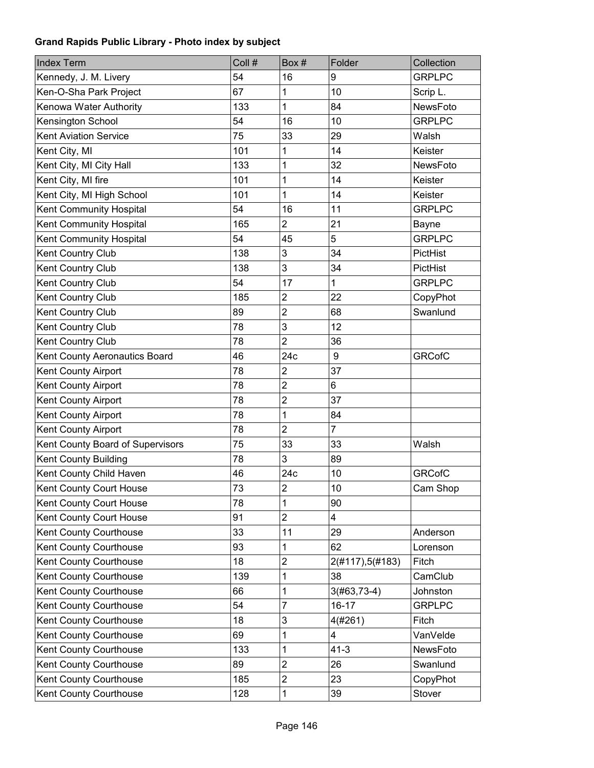| <b>Index Term</b>                | Coll # | Box#                    | Folder          | Collection      |
|----------------------------------|--------|-------------------------|-----------------|-----------------|
| Kennedy, J. M. Livery            | 54     | 16                      | 9               | <b>GRPLPC</b>   |
| Ken-O-Sha Park Project           | 67     | 1                       | 10              | Scrip L.        |
| Kenowa Water Authority           | 133    | 1                       | 84              | <b>NewsFoto</b> |
| Kensington School                | 54     | 16                      | 10              | <b>GRPLPC</b>   |
| <b>Kent Aviation Service</b>     | 75     | 33                      | 29              | Walsh           |
| Kent City, MI                    | 101    | 1                       | 14              | Keister         |
| Kent City, MI City Hall          | 133    | 1                       | 32              | <b>NewsFoto</b> |
| Kent City, MI fire               | 101    | 1                       | 14              | Keister         |
| Kent City, MI High School        | 101    | 1                       | 14              | Keister         |
| Kent Community Hospital          | 54     | 16                      | 11              | <b>GRPLPC</b>   |
| Kent Community Hospital          | 165    | $\overline{2}$          | 21              | Bayne           |
| Kent Community Hospital          | 54     | 45                      | 5               | <b>GRPLPC</b>   |
| Kent Country Club                | 138    | 3                       | 34              | PictHist        |
| Kent Country Club                | 138    | 3                       | 34              | PictHist        |
| Kent Country Club                | 54     | 17                      | 1               | <b>GRPLPC</b>   |
| Kent Country Club                | 185    | $\overline{c}$          | 22              | CopyPhot        |
| Kent Country Club                | 89     | $\overline{\mathbf{c}}$ | 68              | Swanlund        |
| Kent Country Club                | 78     | 3                       | 12              |                 |
| Kent Country Club                | 78     | $\overline{2}$          | 36              |                 |
| Kent County Aeronautics Board    | 46     | 24c                     | 9               | <b>GRCofC</b>   |
| Kent County Airport              | 78     | $\overline{2}$          | 37              |                 |
| Kent County Airport              | 78     | $\overline{c}$          | 6               |                 |
| Kent County Airport              | 78     | $\overline{c}$          | 37              |                 |
| Kent County Airport              | 78     | 1                       | 84              |                 |
| Kent County Airport              | 78     | $\overline{2}$          | $\overline{7}$  |                 |
| Kent County Board of Supervisors | 75     | 33                      | 33              | Walsh           |
| Kent County Building             | 78     | 3                       | 89              |                 |
| Kent County Child Haven          | 46     | 24c                     | 10              | <b>GRCofC</b>   |
| Kent County Court House          | 73     | $\overline{\mathbf{c}}$ | $10$            | Cam Shop        |
| Kent County Court House          | 78     | 1                       | 90              |                 |
| Kent County Court House          | 91     | $\overline{2}$          | 4               |                 |
| Kent County Courthouse           | 33     | 11                      | 29              | Anderson        |
| Kent County Courthouse           | 93     | 1                       | 62              | Lorenson        |
| Kent County Courthouse           | 18     | $\overline{c}$          | 2(#117),5(#183) | Fitch           |
| Kent County Courthouse           | 139    | 1                       | 38              | CamClub         |
| Kent County Courthouse           | 66     | 1                       | $3(#63, 73-4)$  | Johnston        |
| Kent County Courthouse           | 54     | 7                       | $16 - 17$       | <b>GRPLPC</b>   |
| Kent County Courthouse           | 18     | 3                       | 4(#261)         | Fitch           |
| Kent County Courthouse           | 69     | 1                       | 4               | VanVelde        |
| Kent County Courthouse           | 133    | 1                       | $41-3$          | NewsFoto        |
| Kent County Courthouse           | 89     | $\overline{2}$          | 26              | Swanlund        |
| Kent County Courthouse           | 185    | $\overline{2}$          | 23              | CopyPhot        |
| Kent County Courthouse           | 128    | 1                       | 39              | Stover          |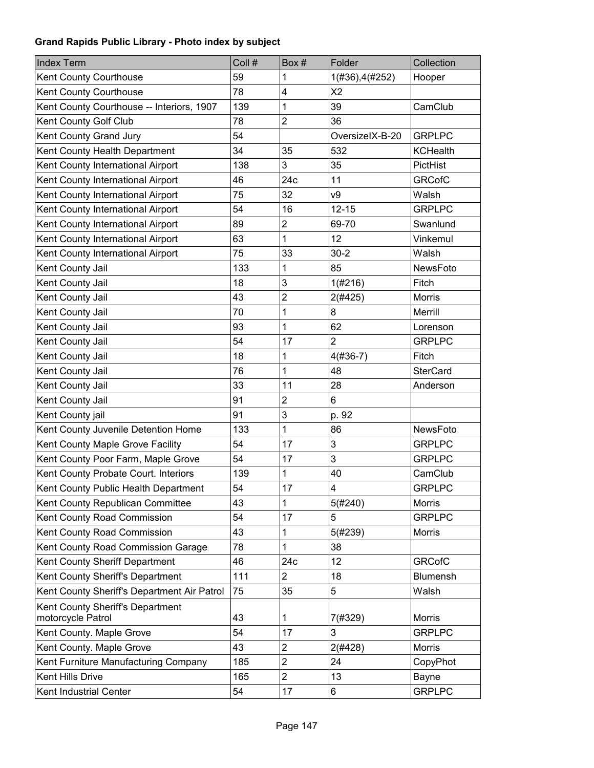| <b>Index Term</b>                                     | Coll # | Box#           | Folder          | Collection      |
|-------------------------------------------------------|--------|----------------|-----------------|-----------------|
| Kent County Courthouse                                | 59     | 1              | 1(#36), 4(#252) | Hooper          |
| Kent County Courthouse                                | 78     | 4              | X <sub>2</sub>  |                 |
| Kent County Courthouse -- Interiors, 1907             | 139    | 1              | 39              | CamClub         |
| Kent County Golf Club                                 | 78     | $\overline{2}$ | 36              |                 |
| Kent County Grand Jury                                | 54     |                | OversizelX-B-20 | <b>GRPLPC</b>   |
| Kent County Health Department                         | 34     | 35             | 532             | <b>KCHealth</b> |
| Kent County International Airport                     | 138    | 3              | 35              | PictHist        |
| Kent County International Airport                     | 46     | 24c            | 11              | <b>GRCofC</b>   |
| Kent County International Airport                     | 75     | 32             | ν9              | Walsh           |
| Kent County International Airport                     | 54     | 16             | $12 - 15$       | <b>GRPLPC</b>   |
| Kent County International Airport                     | 89     | $\overline{2}$ | 69-70           | Swanlund        |
| Kent County International Airport                     | 63     | 1              | 12              | Vinkemul        |
| Kent County International Airport                     | 75     | 33             | $30 - 2$        | Walsh           |
| Kent County Jail                                      | 133    | 1              | 85              | NewsFoto        |
| Kent County Jail                                      | 18     | 3              | 1(#216)         | Fitch           |
| Kent County Jail                                      | 43     | $\overline{c}$ | 2(#425)         | <b>Morris</b>   |
| Kent County Jail                                      | 70     | 1              | 8               | Merrill         |
| Kent County Jail                                      | 93     | 1              | 62              | Lorenson        |
| Kent County Jail                                      | 54     | 17             | $\overline{2}$  | <b>GRPLPC</b>   |
| Kent County Jail                                      | 18     | 1              | $4(#36-7)$      | Fitch           |
| Kent County Jail                                      | 76     | 1              | 48              | <b>SterCard</b> |
| Kent County Jail                                      | 33     | 11             | 28              | Anderson        |
| Kent County Jail                                      | 91     | $\overline{2}$ | 6               |                 |
| Kent County jail                                      | 91     | 3              | p. 92           |                 |
| Kent County Juvenile Detention Home                   | 133    | 1              | 86              | <b>NewsFoto</b> |
| Kent County Maple Grove Facility                      | 54     | 17             | 3               | <b>GRPLPC</b>   |
| Kent County Poor Farm, Maple Grove                    | 54     | 17             | 3               | <b>GRPLPC</b>   |
| Kent County Probate Court. Interiors                  | 139    | 1              | 40              | CamClub         |
| Kent County Public Health Department                  | 54     | 17             | 4               | <b>GRPLPC</b>   |
| Kent County Republican Committee                      | 43     | 1              | 5(#240)         | <b>Morris</b>   |
| Kent County Road Commission                           | 54     | 17             | 5               | <b>GRPLPC</b>   |
| Kent County Road Commission                           | 43     | 1              | 5(#239)         | <b>Morris</b>   |
| Kent County Road Commission Garage                    | 78     | 1              | 38              |                 |
| Kent County Sheriff Department                        | 46     | 24c            | 12              | <b>GRCofC</b>   |
| Kent County Sheriff's Department                      | 111    | $\overline{2}$ | 18              | Blumensh        |
| Kent County Sheriff's Department Air Patrol           | 75     | 35             | 5               | Walsh           |
| Kent County Sheriff's Department<br>motorcycle Patrol | 43     | 1              | 7(#329)         | <b>Morris</b>   |
| Kent County. Maple Grove                              | 54     | 17             | 3               | <b>GRPLPC</b>   |
| Kent County. Maple Grove                              | 43     | $\overline{c}$ | 2(#428)         | Morris          |
| Kent Furniture Manufacturing Company                  | 185    | $\overline{2}$ | 24              | CopyPhot        |
| Kent Hills Drive                                      | 165    | $\overline{2}$ | 13              | <b>Bayne</b>    |
| Kent Industrial Center                                | 54     | 17             | 6               | <b>GRPLPC</b>   |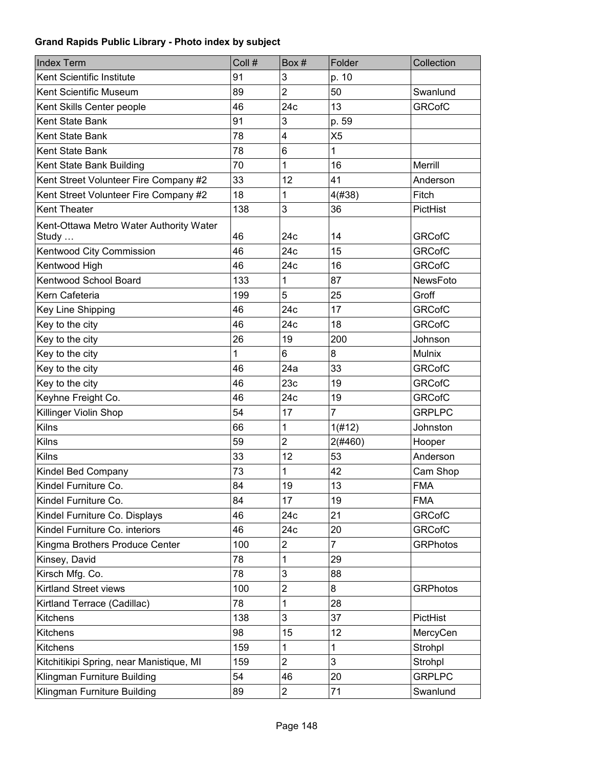| <b>Index Term</b>                                | Coll # | Box#           | Folder         | Collection      |
|--------------------------------------------------|--------|----------------|----------------|-----------------|
| Kent Scientific Institute                        | 91     | 3              | p. 10          |                 |
| Kent Scientific Museum                           | 89     | $\overline{2}$ | 50             | Swanlund        |
| Kent Skills Center people                        | 46     | 24c            | 13             | <b>GRCofC</b>   |
| Kent State Bank                                  | 91     | 3              | p. 59          |                 |
| Kent State Bank                                  | 78     | 4              | X <sub>5</sub> |                 |
| Kent State Bank                                  | 78     | 6              | 1              |                 |
| Kent State Bank Building                         | 70     | 1              | 16             | Merrill         |
| Kent Street Volunteer Fire Company #2            | 33     | 12             | 41             | Anderson        |
| Kent Street Volunteer Fire Company #2            | 18     | 1              | 4(#38)         | Fitch           |
| Kent Theater                                     | 138    | 3              | 36             | PictHist        |
| Kent-Ottawa Metro Water Authority Water<br>Study | 46     | 24c            | 14             | <b>GRCofC</b>   |
| Kentwood City Commission                         | 46     | 24c            | 15             | <b>GRCofC</b>   |
| Kentwood High                                    | 46     | 24c            | 16             | <b>GRCofC</b>   |
| Kentwood School Board                            | 133    | 1              | 87             | <b>NewsFoto</b> |
| Kern Cafeteria                                   | 199    | 5              | 25             | Groff           |
| Key Line Shipping                                | 46     | 24c            | 17             | <b>GRCofC</b>   |
| Key to the city                                  | 46     | 24c            | 18             | <b>GRCofC</b>   |
| Key to the city                                  | 26     | 19             | 200            | Johnson         |
| Key to the city                                  | 1      | 6              | 8              | <b>Mulnix</b>   |
| Key to the city                                  | 46     | 24a            | 33             | <b>GRCofC</b>   |
| Key to the city                                  | 46     | 23c            | 19             | <b>GRCofC</b>   |
| Keyhne Freight Co.                               | 46     | 24c            | 19             | <b>GRCofC</b>   |
| Killinger Violin Shop                            | 54     | 17             | $\overline{7}$ | <b>GRPLPC</b>   |
| <b>Kilns</b>                                     | 66     | 1              | 1(#12)         | Johnston        |
| Kilns                                            | 59     | $\overline{2}$ | 2(#460)        | Hooper          |
| Kilns                                            | 33     | 12             | 53             | Anderson        |
| Kindel Bed Company                               | 73     | 1              | 42             | Cam Shop        |
| Kindel Furniture Co.                             | 84     | 19             | 13             | <b>FMA</b>      |
| Kindel Furniture Co.                             | 84     | 17             | 19             | <b>FMA</b>      |
| Kindel Furniture Co. Displays                    | 46     | 24c            | 21             | <b>GRCofC</b>   |
| Kindel Furniture Co. interiors                   | 46     | 24c            | 20             | <b>GRCofC</b>   |
| Kingma Brothers Produce Center                   | 100    | 2              | $\overline{7}$ | <b>GRPhotos</b> |
| Kinsey, David                                    | 78     | 1              | 29             |                 |
| Kirsch Mfg. Co.                                  | 78     | 3              | 88             |                 |
| Kirtland Street views                            | 100    | $\overline{2}$ | 8              | <b>GRPhotos</b> |
| Kirtland Terrace (Cadillac)                      | 78     | 1              | 28             |                 |
| <b>Kitchens</b>                                  | 138    | 3              | 37             | PictHist        |
| <b>Kitchens</b>                                  | 98     | 15             | 12             | MercyCen        |
| <b>Kitchens</b>                                  | 159    | 1              | 1              | Strohpl         |
| Kitchitikipi Spring, near Manistique, MI         | 159    | $\overline{2}$ | 3              | Strohpl         |
| Klingman Furniture Building                      | 54     | 46             | 20             | <b>GRPLPC</b>   |
| Klingman Furniture Building                      | 89     | $\overline{2}$ | 71             | Swanlund        |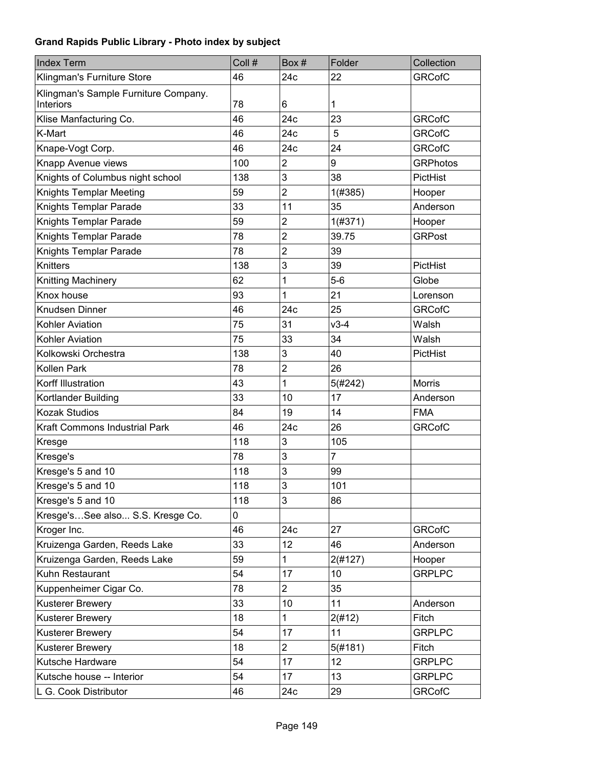| <b>Index Term</b>                                        | Coll # | Box#           | Folder         | Collection      |
|----------------------------------------------------------|--------|----------------|----------------|-----------------|
| Klingman's Furniture Store                               | 46     | 24c            | 22             | <b>GRCofC</b>   |
| Klingman's Sample Furniture Company.<br><b>Interiors</b> | 78     | 6              | 1              |                 |
| Klise Manfacturing Co.                                   | 46     | 24c            | 23             | <b>GRCofC</b>   |
| K-Mart                                                   | 46     | 24c            | 5              | <b>GRCofC</b>   |
| Knape-Vogt Corp.                                         | 46     | 24c            | 24             | <b>GRCofC</b>   |
| Knapp Avenue views                                       | 100    | $\overline{2}$ | 9              | <b>GRPhotos</b> |
| Knights of Columbus night school                         | 138    | 3              | 38             | <b>PictHist</b> |
| Knights Templar Meeting                                  | 59     | $\overline{2}$ | 1(#385)        | Hooper          |
| Knights Templar Parade                                   | 33     | 11             | 35             | Anderson        |
| Knights Templar Parade                                   | 59     | $\overline{2}$ | 1(#371)        | Hooper          |
| Knights Templar Parade                                   | 78     | $\overline{c}$ | 39.75          | <b>GRPost</b>   |
| Knights Templar Parade                                   | 78     | $\overline{2}$ | 39             |                 |
| Knitters                                                 | 138    | 3              | 39             | PictHist        |
| Knitting Machinery                                       | 62     | 1              | $5-6$          | Globe           |
| Knox house                                               | 93     | 1              | 21             | Lorenson        |
| Knudsen Dinner                                           | 46     | 24c            | 25             | <b>GRCofC</b>   |
| Kohler Aviation                                          | 75     | 31             | $v3-4$         | Walsh           |
| Kohler Aviation                                          | 75     | 33             | 34             | Walsh           |
| Kolkowski Orchestra                                      | 138    | 3              | 40             | PictHist        |
| Kollen Park                                              | 78     | $\overline{c}$ | 26             |                 |
| Korff Illustration                                       | 43     | 1              | 5(#242)        | <b>Morris</b>   |
| Kortlander Building                                      | 33     | 10             | 17             | Anderson        |
| <b>Kozak Studios</b>                                     | 84     | 19             | 14             | <b>FMA</b>      |
| Kraft Commons Industrial Park                            | 46     | 24c            | 26             | <b>GRCofC</b>   |
| Kresge                                                   | 118    | 3              | 105            |                 |
| Kresge's                                                 | 78     | 3              | $\overline{7}$ |                 |
| Kresge's 5 and 10                                        | 118    | 3              | 99             |                 |
| Kresge's 5 and 10                                        | 118    | 3              | 101            |                 |
| Kresge's 5 and 10                                        | 118    | 3              | 86             |                 |
| Kresge'sSee also S.S. Kresge Co.                         | 0      |                |                |                 |
| Kroger Inc.                                              | 46     | 24c            | 27             | <b>GRCofC</b>   |
| Kruizenga Garden, Reeds Lake                             | 33     | 12             | 46             | Anderson        |
| Kruizenga Garden, Reeds Lake                             | 59     | 1              | 2(#127)        | Hooper          |
| Kuhn Restaurant                                          | 54     | 17             | 10             | <b>GRPLPC</b>   |
| Kuppenheimer Cigar Co.                                   | 78     | $\overline{2}$ | 35             |                 |
| <b>Kusterer Brewery</b>                                  | 33     | 10             | 11             | Anderson        |
| <b>Kusterer Brewery</b>                                  | 18     | 1              | 2(#12)         | Fitch           |
| Kusterer Brewery                                         | 54     | 17             | 11             | <b>GRPLPC</b>   |
| Kusterer Brewery                                         | 18     | $\overline{2}$ | 5(#181)        | Fitch           |
| Kutsche Hardware                                         | 54     | 17             | 12             | <b>GRPLPC</b>   |
| Kutsche house -- Interior                                | 54     | 17             | 13             | <b>GRPLPC</b>   |
| L G. Cook Distributor                                    | 46     | 24c            | 29             | <b>GRCofC</b>   |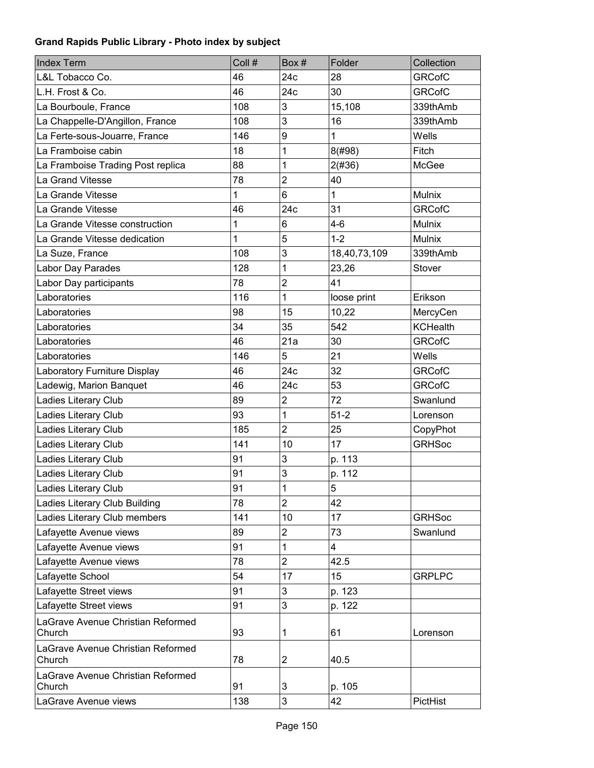| <b>Index Term</b>                           | Coll # | Box#                    | Folder       | Collection      |
|---------------------------------------------|--------|-------------------------|--------------|-----------------|
| L&L Tobacco Co.                             | 46     | 24c                     | 28           | <b>GRCofC</b>   |
| L.H. Frost & Co.                            | 46     | 24c                     | 30           | <b>GRCofC</b>   |
| La Bourboule, France                        | 108    | 3                       | 15,108       | 339thAmb        |
| La Chappelle-D'Angillon, France             | 108    | 3                       | 16           | 339thAmb        |
| La Ferte-sous-Jouarre, France               | 146    | 9                       | 1            | Wells           |
| La Framboise cabin                          | 18     | 1                       | 8(#98)       | Fitch           |
| La Framboise Trading Post replica           | 88     | 1                       | 2(#36)       | McGee           |
| La Grand Vitesse                            | 78     | $\overline{2}$          | 40           |                 |
| La Grande Vitesse                           | 1      | $6\phantom{1}$          | $\mathbf{1}$ | Mulnix          |
| La Grande Vitesse                           | 46     | 24c                     | 31           | <b>GRCofC</b>   |
| La Grande Vitesse construction              | 1      | 6                       | $4 - 6$      | Mulnix          |
| La Grande Vitesse dedication                | 1      | 5                       | $1 - 2$      | Mulnix          |
| La Suze, France                             | 108    | 3                       | 18,40,73,109 | 339thAmb        |
| Labor Day Parades                           | 128    | 1                       | 23,26        | Stover          |
| Labor Day participants                      | 78     | $\overline{2}$          | 41           |                 |
| Laboratories                                | 116    | 1                       | loose print  | Erikson         |
| Laboratories                                | 98     | 15                      | 10,22        | MercyCen        |
| Laboratories                                | 34     | 35                      | 542          | <b>KCHealth</b> |
| Laboratories                                | 46     | 21a                     | 30           | <b>GRCofC</b>   |
| Laboratories                                | 146    | 5                       | 21           | Wells           |
| Laboratory Furniture Display                | 46     | 24c                     | 32           | <b>GRCofC</b>   |
| Ladewig, Marion Banquet                     | 46     | 24c                     | 53           | <b>GRCofC</b>   |
| Ladies Literary Club                        | 89     | $\overline{2}$          | 72           | Swanlund        |
| Ladies Literary Club                        | 93     | 1                       | $51-2$       | Lorenson        |
| Ladies Literary Club                        | 185    | $\overline{2}$          | 25           | CopyPhot        |
| Ladies Literary Club                        | 141    | 10                      | 17           | <b>GRHSoc</b>   |
| Ladies Literary Club                        | 91     | 3                       | p. 113       |                 |
| Ladies Literary Club                        | 91     | 3                       | p. 112       |                 |
| Ladies Literary Club                        | 91     | $\mathbf{1}$            | 5            |                 |
| Ladies Literary Club Building               | 78     | $\overline{2}$          | 42           |                 |
| Ladies Literary Club members                | 141    | 10                      | 17           | <b>GRHSoc</b>   |
| Lafayette Avenue views                      | 89     | $\overline{\mathbf{c}}$ | 73           | Swanlund        |
| Lafayette Avenue views                      | 91     | 1                       | 4            |                 |
| Lafayette Avenue views                      | 78     | $\overline{2}$          | 42.5         |                 |
| Lafayette School                            | 54     | 17                      | 15           | <b>GRPLPC</b>   |
| Lafayette Street views                      | 91     | 3                       | p. 123       |                 |
| Lafayette Street views                      | 91     | 3                       | p. 122       |                 |
| LaGrave Avenue Christian Reformed<br>Church | 93     | 1                       | 61           | Lorenson        |
| LaGrave Avenue Christian Reformed<br>Church | 78     | $\overline{c}$          | 40.5         |                 |
| LaGrave Avenue Christian Reformed<br>Church | 91     | 3                       | p. 105       |                 |
| LaGrave Avenue views                        | 138    | $\mathsf 3$             | 42           | PictHist        |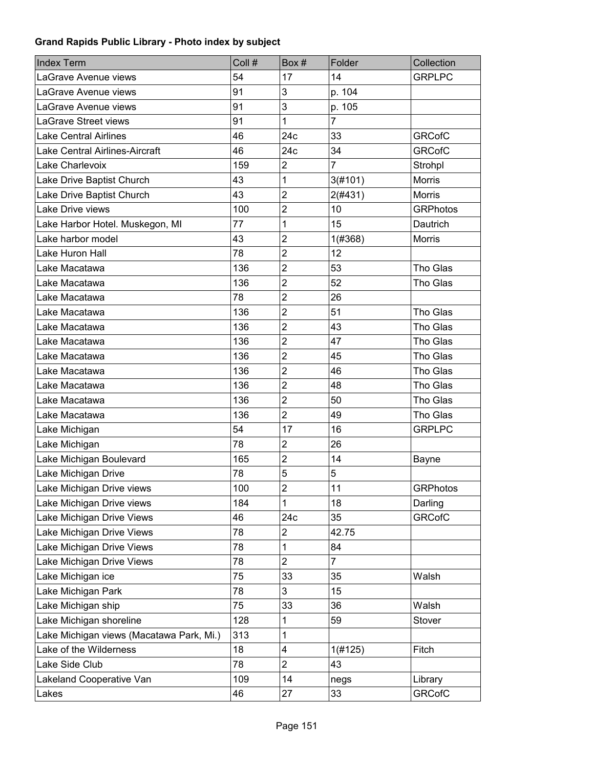| <b>Index Term</b>                        | Coll # | Box#                    | Folder         | Collection      |
|------------------------------------------|--------|-------------------------|----------------|-----------------|
| LaGrave Avenue views                     | 54     | 17                      | 14             | <b>GRPLPC</b>   |
| LaGrave Avenue views                     | 91     | 3                       | p. 104         |                 |
| LaGrave Avenue views                     | 91     | 3                       | p. 105         |                 |
| LaGrave Street views                     | 91     | 1                       | $\overline{7}$ |                 |
| <b>Lake Central Airlines</b>             | 46     | 24c                     | 33             | <b>GRCofC</b>   |
| Lake Central Airlines-Aircraft           | 46     | 24c                     | 34             | <b>GRCofC</b>   |
| Lake Charlevoix                          | 159    | $\overline{2}$          | $\overline{7}$ | Strohpl         |
| Lake Drive Baptist Church                | 43     | 1                       | 3(#101)        | <b>Morris</b>   |
| Lake Drive Baptist Church                | 43     | $\overline{2}$          | 2(#431)        | <b>Morris</b>   |
| Lake Drive views                         | 100    | $\overline{2}$          | 10             | <b>GRPhotos</b> |
| Lake Harbor Hotel. Muskegon, MI          | 77     | 1                       | 15             | Dautrich        |
| Lake harbor model                        | 43     | $\overline{2}$          | 1(#368)        | Morris          |
| Lake Huron Hall                          | 78     | $\overline{2}$          | 12             |                 |
| Lake Macatawa                            | 136    | $\overline{2}$          | 53             | Tho Glas        |
| Lake Macatawa                            | 136    | $\overline{2}$          | 52             | Tho Glas        |
| Lake Macatawa                            | 78     | $\overline{2}$          | 26             |                 |
| Lake Macatawa                            | 136    | $\overline{2}$          | 51             | Tho Glas        |
| Lake Macatawa                            | 136    | $\overline{2}$          | 43             | Tho Glas        |
| Lake Macatawa                            | 136    | $\overline{2}$          | 47             | Tho Glas        |
| Lake Macatawa                            | 136    | $\overline{2}$          | 45             | Tho Glas        |
| Lake Macatawa                            | 136    | $\overline{2}$          | 46             | Tho Glas        |
| Lake Macatawa                            | 136    | $\overline{2}$          | 48             | Tho Glas        |
| Lake Macatawa                            | 136    | $\overline{2}$          | 50             | Tho Glas        |
| Lake Macatawa                            | 136    | $\overline{2}$          | 49             | Tho Glas        |
| Lake Michigan                            | 54     | 17                      | 16             | <b>GRPLPC</b>   |
| Lake Michigan                            | 78     | $\overline{2}$          | 26             |                 |
| Lake Michigan Boulevard                  | 165    | $\overline{2}$          | 14             | Bayne           |
| Lake Michigan Drive                      | 78     | 5                       | 5              |                 |
| Lake Michigan Drive views                | 100    | $\overline{c}$          | 11             | <b>GRPhotos</b> |
| Lake Michigan Drive views                | 184    | 1                       | 18             | Darling         |
| Lake Michigan Drive Views                | 46     | 24c                     | 35             | <b>GRCofC</b>   |
| Lake Michigan Drive Views                | 78     | $\overline{\mathbf{c}}$ | 42.75          |                 |
| Lake Michigan Drive Views                | 78     | 1                       | 84             |                 |
| Lake Michigan Drive Views                | 78     | $\overline{c}$          | $\overline{7}$ |                 |
| Lake Michigan ice                        | 75     | 33                      | 35             | Walsh           |
| Lake Michigan Park                       | 78     | 3                       | 15             |                 |
| Lake Michigan ship                       | 75     | 33                      | 36             | Walsh           |
| Lake Michigan shoreline                  | 128    | 1                       | 59             | Stover          |
| Lake Michigan views (Macatawa Park, Mi.) | 313    | 1                       |                |                 |
| Lake of the Wilderness                   | 18     | 4                       | 1(#125)        | Fitch           |
| Lake Side Club                           | 78     | $\overline{2}$          | 43             |                 |
| Lakeland Cooperative Van                 | 109    | 14                      | negs           | Library         |
| Lakes                                    | 46     | 27                      | 33             | <b>GRCofC</b>   |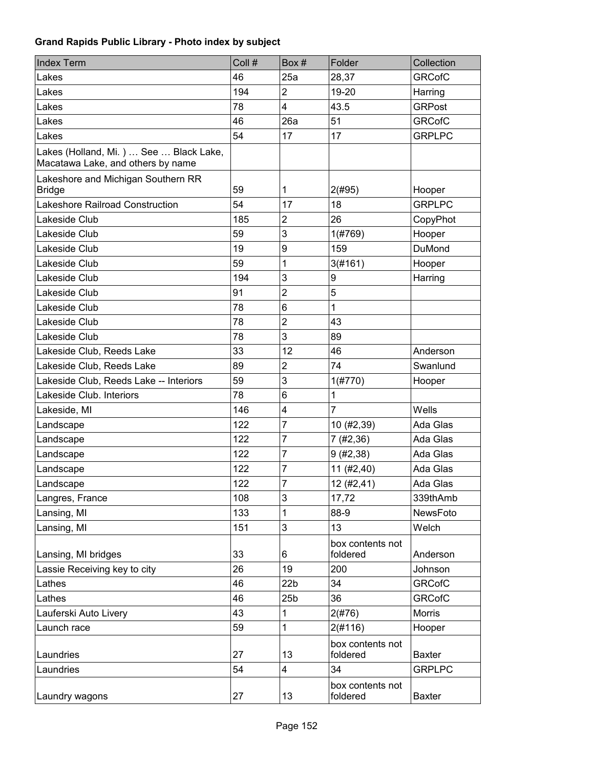| <b>Index Term</b>                                                           | Coll # | Box#            | Folder                       | Collection    |
|-----------------------------------------------------------------------------|--------|-----------------|------------------------------|---------------|
| Lakes                                                                       | 46     | 25a             | 28,37                        | <b>GRCofC</b> |
| Lakes                                                                       | 194    | $\overline{2}$  | 19-20                        | Harring       |
| Lakes                                                                       | 78     | $\overline{4}$  | 43.5                         | <b>GRPost</b> |
| Lakes                                                                       | 46     | 26a             | 51                           | <b>GRCofC</b> |
| Lakes                                                                       | 54     | 17              | 17                           | <b>GRPLPC</b> |
| Lakes (Holland, Mi.)  See  Black Lake,<br>Macatawa Lake, and others by name |        |                 |                              |               |
| Lakeshore and Michigan Southern RR<br><b>Bridge</b>                         | 59     | 1               | 2(#95)                       | Hooper        |
| Lakeshore Railroad Construction                                             | 54     | 17              | 18                           | <b>GRPLPC</b> |
| Lakeside Club                                                               | 185    | $\overline{2}$  | 26                           | CopyPhot      |
| Lakeside Club                                                               | 59     | 3               | 1(#769)                      | Hooper        |
| Lakeside Club                                                               | 19     | 9               | 159                          | <b>DuMond</b> |
| Lakeside Club                                                               | 59     | 1               | 3(#161)                      | Hooper        |
| Lakeside Club                                                               | 194    | 3               | 9                            | Harring       |
| Lakeside Club                                                               | 91     | $\overline{2}$  | 5                            |               |
| Lakeside Club                                                               | 78     | 6               | 1                            |               |
| Lakeside Club                                                               | 78     | $\overline{c}$  | 43                           |               |
| Lakeside Club                                                               | 78     | 3               | 89                           |               |
| Lakeside Club, Reeds Lake                                                   | 33     | 12              | 46                           | Anderson      |
| Lakeside Club, Reeds Lake                                                   | 89     | $\overline{2}$  | 74                           | Swanlund      |
| Lakeside Club, Reeds Lake -- Interiors                                      | 59     | 3               | 1(#770)                      | Hooper        |
| Lakeside Club. Interiors                                                    | 78     | 6               | 1                            |               |
| Lakeside, MI                                                                | 146    | 4               | 7                            | Wells         |
| Landscape                                                                   | 122    | $\overline{7}$  | 10 (#2,39)                   | Ada Glas      |
| Landscape                                                                   | 122    | $\overline{7}$  | 7(#2,36)                     | Ada Glas      |
| Landscape                                                                   | 122    | 7               | 9(#2, 38)                    | Ada Glas      |
| Landscape                                                                   | 122    | 7               | 11 (#2,40)                   | Ada Glas      |
| Landscape                                                                   | 122    | $\overline{7}$  | 12(#2, 41)                   | Ada Glas      |
| Langres, France                                                             | 108    | 3               | 17,72                        | 339thAmb      |
| Lansing, MI                                                                 | 133    | 1               | 88-9                         | NewsFoto      |
| Lansing, MI                                                                 | 151    | 3               | 13                           | Welch         |
| Lansing, MI bridges                                                         | 33     | 6               | box contents not<br>foldered | Anderson      |
| Lassie Receiving key to city                                                | 26     | 19              | 200                          | Johnson       |
| Lathes                                                                      | 46     | 22 <sub>b</sub> | 34                           | <b>GRCofC</b> |
| Lathes                                                                      | 46     | 25 <sub>b</sub> | 36                           | <b>GRCofC</b> |
| Lauferski Auto Livery                                                       | 43     | 1               | 2(#76)                       | <b>Morris</b> |
| Launch race                                                                 | 59     | 1               | 2(#116)                      | Hooper        |
| Laundries                                                                   | 27     | 13              | box contents not<br>foldered | <b>Baxter</b> |
| Laundries                                                                   | 54     | 4               | 34                           | <b>GRPLPC</b> |
| Laundry wagons                                                              | 27     | 13              | box contents not<br>foldered | <b>Baxter</b> |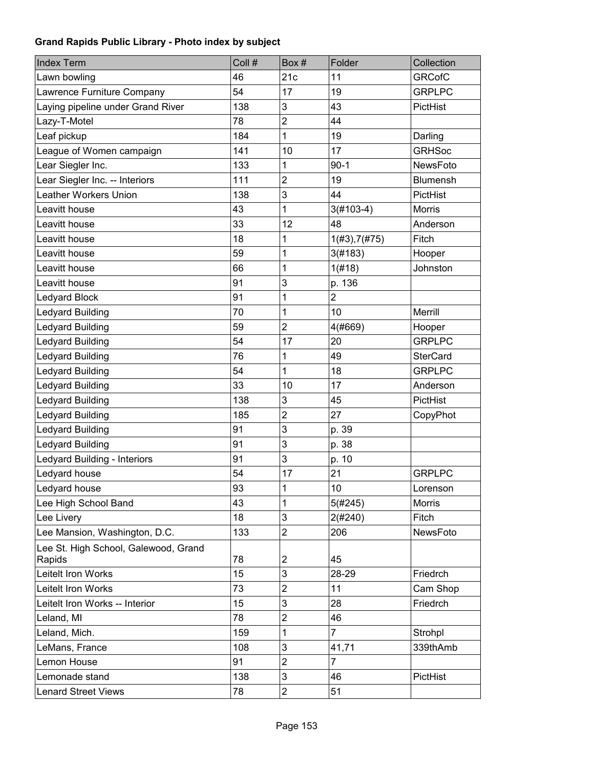| <b>Index Term</b>                              | Coll # | Box#                    | Folder         | Collection      |
|------------------------------------------------|--------|-------------------------|----------------|-----------------|
| Lawn bowling                                   | 46     | 21c                     | 11             | <b>GRCofC</b>   |
| Lawrence Furniture Company                     | 54     | 17                      | 19             | <b>GRPLPC</b>   |
| Laying pipeline under Grand River              | 138    | 3                       | 43             | PictHist        |
| Lazy-T-Motel                                   | 78     | $\overline{2}$          | 44             |                 |
| Leaf pickup                                    | 184    | 1                       | 19             | Darling         |
| League of Women campaign                       | 141    | 10                      | 17             | <b>GRHSoc</b>   |
| Lear Siegler Inc.                              | 133    | 1                       | $90-1$         | <b>NewsFoto</b> |
| Lear Siegler Inc. -- Interiors                 | 111    | $\overline{2}$          | 19             | <b>Blumensh</b> |
| Leather Workers Union                          | 138    | 3                       | 44             | PictHist        |
| Leavitt house                                  | 43     | 1                       | $3(#103-4)$    | Morris          |
| Leavitt house                                  | 33     | 12                      | 48             | Anderson        |
| Leavitt house                                  | 18     | 1                       | 1(#3), 7(#75)  | Fitch           |
| Leavitt house                                  | 59     | 1                       | 3(#183)        | Hooper          |
| Leavitt house                                  | 66     | 1                       | 1(f#18)        | Johnston        |
| Leavitt house                                  | 91     | 3                       | p. 136         |                 |
| <b>Ledyard Block</b>                           | 91     | 1                       | $\overline{2}$ |                 |
| <b>Ledyard Building</b>                        | 70     | 1                       | 10             | Merrill         |
| Ledyard Building                               | 59     | $\overline{2}$          | 4(#669)        | Hooper          |
| <b>Ledyard Building</b>                        | 54     | 17                      | 20             | <b>GRPLPC</b>   |
| <b>Ledyard Building</b>                        | 76     | 1                       | 49             | <b>SterCard</b> |
| Ledyard Building                               | 54     | 1                       | 18             | <b>GRPLPC</b>   |
| <b>Ledyard Building</b>                        | 33     | 10                      | 17             | Anderson        |
| <b>Ledyard Building</b>                        | 138    | 3                       | 45             | PictHist        |
| <b>Ledyard Building</b>                        | 185    | $\overline{c}$          | 27             | CopyPhot        |
| <b>Ledyard Building</b>                        | 91     | 3                       | p. 39          |                 |
| <b>Ledyard Building</b>                        | 91     | 3                       | p. 38          |                 |
| Ledyard Building - Interiors                   | 91     | 3                       | p. 10          |                 |
| Ledyard house                                  | 54     | 17                      | 21             | <b>GRPLPC</b>   |
| Ledyard house                                  | 93     | $\mathbf 1$             | 10             | Lorenson        |
| Lee High School Band                           | 43     | 1                       | 5(#245)        | <b>Morris</b>   |
| Lee Livery                                     | 18     | 3                       | 2(#240)        | Fitch           |
| Lee Mansion, Washington, D.C.                  | 133    | $\overline{2}$          | 206            | NewsFoto        |
| Lee St. High School, Galewood, Grand<br>Rapids | 78     | $\overline{\mathbf{c}}$ | 45             |                 |
| Leitelt Iron Works                             | 15     | 3                       | 28-29          | Friedrch        |
| Leitelt Iron Works                             | 73     | $\overline{c}$          | 11             | Cam Shop        |
| Leitelt Iron Works -- Interior                 | 15     | 3                       | 28             | Friedrch        |
| Leland, MI                                     | 78     | $\overline{c}$          | 46             |                 |
| Leland, Mich.                                  | 159    | 1                       | $\overline{7}$ | Strohpl         |
| LeMans, France                                 | 108    | 3                       | 41,71          | 339thAmb        |
| Lemon House                                    | 91     | $\overline{2}$          | $\overline{7}$ |                 |
| Lemonade stand                                 | 138    | 3                       | 46             | PictHist        |
| <b>Lenard Street Views</b>                     | 78     | $\overline{c}$          | 51             |                 |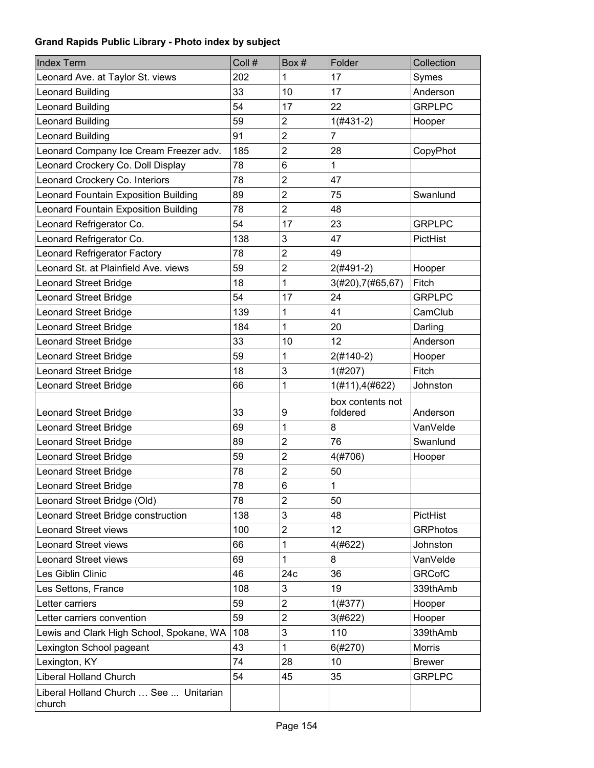| <b>Index Term</b>                                                 | Coll #   | Box#                      | Folder                       | Collection           |
|-------------------------------------------------------------------|----------|---------------------------|------------------------------|----------------------|
| Leonard Ave. at Taylor St. views                                  | 202      | 1                         | 17                           | Symes                |
| Leonard Building                                                  | 33       | 10                        | 17                           | Anderson             |
| <b>Leonard Building</b>                                           | 54       | 17                        | 22                           | <b>GRPLPC</b>        |
| Leonard Building                                                  | 59       | $\overline{2}$            | $1(H431-2)$                  | Hooper               |
| Leonard Building                                                  | 91       | $\overline{2}$            | 7                            |                      |
| Leonard Company Ice Cream Freezer adv.                            | 185      | $\overline{c}$            | 28                           | CopyPhot             |
| Leonard Crockery Co. Doll Display                                 | 78       | 6                         | 1                            |                      |
| Leonard Crockery Co. Interiors                                    | 78       | $\overline{2}$            | 47                           |                      |
| Leonard Fountain Exposition Building                              | 89       | $\overline{2}$            | 75                           | Swanlund             |
| Leonard Fountain Exposition Building                              | 78       | $\overline{2}$            | 48                           |                      |
| Leonard Refrigerator Co.                                          | 54       | 17                        | 23                           | <b>GRPLPC</b>        |
| Leonard Refrigerator Co.                                          | 138      | 3                         | 47                           | PictHist             |
| Leonard Refrigerator Factory                                      | 78       | $\mathbf 2$               | 49                           |                      |
| Leonard St. at Plainfield Ave. views                              | 59       | $\overline{2}$            | $2($ #491-2)                 | Hooper               |
| <b>Leonard Street Bridge</b>                                      | 18       | 1                         | 3(#20), 7(#65, 67)           | Fitch                |
| <b>Leonard Street Bridge</b>                                      | 54       | 17                        | 24                           | <b>GRPLPC</b>        |
| <b>Leonard Street Bridge</b>                                      | 139      | 1                         | 41                           | CamClub              |
| <b>Leonard Street Bridge</b>                                      | 184      | 1                         | 20                           | Darling              |
| <b>Leonard Street Bridge</b>                                      | 33       | 10                        | 12                           | Anderson             |
| <b>Leonard Street Bridge</b>                                      | 59       | 1                         | $2(#140-2)$                  | Hooper               |
| <b>Leonard Street Bridge</b>                                      | 18       | 3                         | 1(#207)                      | Fitch                |
| <b>Leonard Street Bridge</b>                                      | 66       | 1                         | 1(#11), 4(#622)              | Johnston             |
|                                                                   | 33       |                           | box contents not<br>foldered |                      |
| <b>Leonard Street Bridge</b>                                      | 69       | 9<br>1                    | 8                            | Anderson<br>VanVelde |
| <b>Leonard Street Bridge</b><br><b>Leonard Street Bridge</b>      | 89       | $\overline{2}$            | 76                           | Swanlund             |
|                                                                   | 59       | $\overline{2}$            | 4(#706)                      |                      |
| <b>Leonard Street Bridge</b><br><b>Leonard Street Bridge</b>      | 78       | $\overline{2}$            | 50                           | Hooper               |
|                                                                   |          | 6                         |                              |                      |
| <b>Leonard Street Bridge</b>                                      | 78<br>78 | $\overline{2}$            | 1<br>50                      |                      |
| Leonard Street Bridge (Old)                                       | 138      | $\ensuremath{\mathsf{3}}$ | 48                           | PictHist             |
| Leonard Street Bridge construction<br><b>Leonard Street views</b> | 100      | $\overline{2}$            | 12                           | <b>GRPhotos</b>      |
| <b>Leonard Street views</b>                                       | 66       | 1                         | 4(#622)                      | Johnston             |
| <b>Leonard Street views</b>                                       | 69       | 1                         | 8                            | VanVelde             |
| Les Giblin Clinic                                                 | 46       | 24c                       | 36                           | <b>GRCofC</b>        |
| Les Settons, France                                               | 108      | 3                         | 19                           | 339thAmb             |
| Letter carriers                                                   | 59       | $\overline{2}$            | 1(#377)                      | Hooper               |
| Letter carriers convention                                        | 59       | $\overline{2}$            | 3(#622)                      | Hooper               |
| Lewis and Clark High School, Spokane, WA                          | 108      | 3                         | 110                          | 339thAmb             |
| Lexington School pageant                                          | 43       | 1                         |                              | Morris               |
| Lexington, KY                                                     | 74       | 28                        | 6(#270)<br>10                | <b>Brewer</b>        |
| <b>Liberal Holland Church</b>                                     | 54       | 45                        | 35                           | <b>GRPLPC</b>        |
|                                                                   |          |                           |                              |                      |
| Liberal Holland Church  See  Unitarian<br>church                  |          |                           |                              |                      |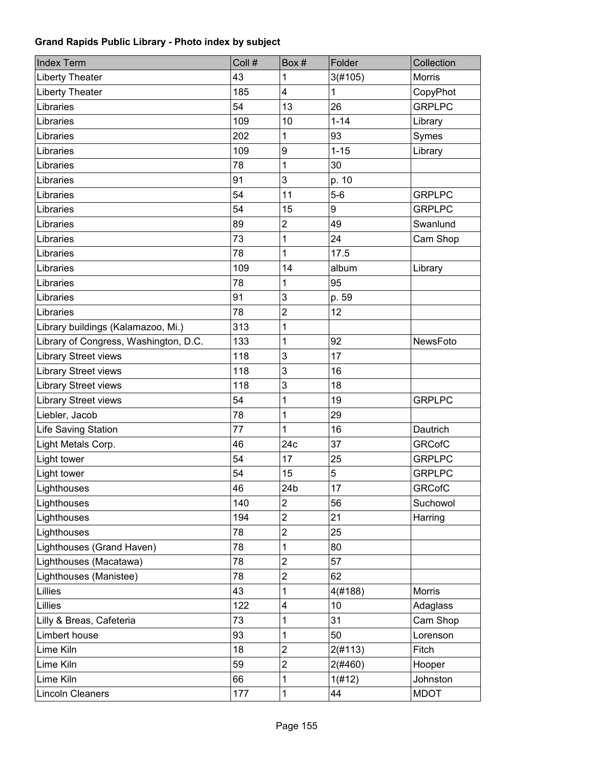| <b>Index Term</b>                     | Coll # | Box#                    | Folder       | Collection    |
|---------------------------------------|--------|-------------------------|--------------|---------------|
| <b>Liberty Theater</b>                | 43     | 1                       | 3(#105)      | <b>Morris</b> |
| <b>Liberty Theater</b>                | 185    | $\overline{\mathbf{4}}$ | $\mathbf{1}$ | CopyPhot      |
| Libraries                             | 54     | 13                      | 26           | <b>GRPLPC</b> |
| Libraries                             | 109    | 10                      | $1 - 14$     | Library       |
| Libraries                             | 202    | 1                       | 93           | Symes         |
| Libraries                             | 109    | 9                       | $1 - 15$     | Library       |
| Libraries                             | 78     | 1                       | 30           |               |
| Libraries                             | 91     | 3                       | p. 10        |               |
| Libraries                             | 54     | 11                      | $5-6$        | <b>GRPLPC</b> |
| Libraries                             | 54     | 15                      | 9            | <b>GRPLPC</b> |
| Libraries                             | 89     | $\boldsymbol{2}$        | 49           | Swanlund      |
| Libraries                             | 73     | 1                       | 24           | Cam Shop      |
| Libraries                             | 78     | 1                       | 17.5         |               |
| Libraries                             | 109    | 14                      | album        | Library       |
| Libraries                             | 78     | 1                       | 95           |               |
| Libraries                             | 91     | 3                       | p. 59        |               |
| Libraries                             | 78     | $\overline{2}$          | 12           |               |
| Library buildings (Kalamazoo, Mi.)    | 313    | 1                       |              |               |
| Library of Congress, Washington, D.C. | 133    | 1                       | 92           | NewsFoto      |
| <b>Library Street views</b>           | 118    | 3                       | 17           |               |
| Library Street views                  | 118    | $\mathbf{3}$            | 16           |               |
| <b>Library Street views</b>           | 118    | 3                       | 18           |               |
| <b>Library Street views</b>           | 54     | 1                       | 19           | <b>GRPLPC</b> |
| Liebler, Jacob                        | 78     | 1                       | 29           |               |
| Life Saving Station                   | 77     | 1                       | 16           | Dautrich      |
| Light Metals Corp.                    | 46     | 24c                     | 37           | <b>GRCofC</b> |
| Light tower                           | 54     | 17                      | 25           | <b>GRPLPC</b> |
| Light tower                           | 54     | 15                      | 5            | <b>GRPLPC</b> |
| Lighthouses                           | 46     | 24 <sub>b</sub>         | 17           | <b>GRCofC</b> |
| Lighthouses                           | 140    | 2                       | 56           | Suchowol      |
| Lighthouses                           | 194    | $\overline{2}$          | 21           | Harring       |
| Lighthouses                           | 78     | $\overline{2}$          | 25           |               |
| Lighthouses (Grand Haven)             | 78     | 1                       | 80           |               |
| Lighthouses (Macatawa)                | 78     | $\boldsymbol{2}$        | 57           |               |
| Lighthouses (Manistee)                | 78     | $\mathbf 2$             | 62           |               |
| Lillies                               | 43     | 1                       | 4(#188)      | <b>Morris</b> |
| Lillies                               | 122    | 4                       | 10           | Adaglass      |
| Lilly & Breas, Cafeteria              | 73     | 1                       | 31           | Cam Shop      |
| Limbert house                         | 93     | 1                       | 50           | Lorenson      |
| Lime Kiln                             | 18     | $\boldsymbol{2}$        | 2(#113)      | Fitch         |
| Lime Kiln                             | 59     | $\overline{\mathbf{c}}$ | 2(#460)      | Hooper        |
| Lime Kiln                             | 66     | 1                       | 1(#12)       | Johnston      |
| Lincoln Cleaners                      | 177    | 1                       | 44           | <b>MDOT</b>   |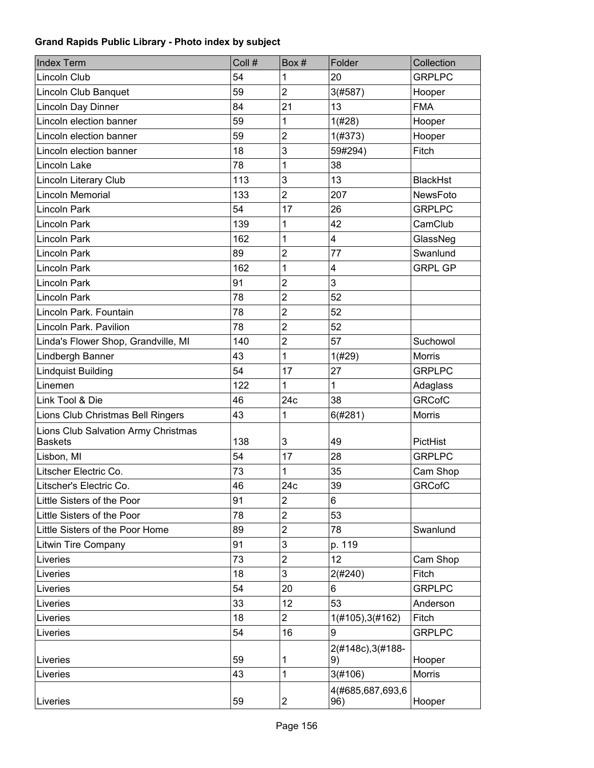| <b>Index Term</b>                   | Coll # | Box#                    | Folder                  | Collection      |
|-------------------------------------|--------|-------------------------|-------------------------|-----------------|
| Lincoln Club                        | 54     | 1                       | 20                      | <b>GRPLPC</b>   |
| Lincoln Club Banquet                | 59     | $\overline{2}$          | 3(#587)                 | Hooper          |
| Lincoln Day Dinner                  | 84     | 21                      | 13                      | <b>FMA</b>      |
| Lincoln election banner             | 59     | 1                       | 1(#28)                  | Hooper          |
| Lincoln election banner             | 59     | $\overline{2}$          | 1(#373)                 | Hooper          |
| Lincoln election banner             | 18     | 3                       | 59#294)                 | Fitch           |
| Lincoln Lake                        | 78     | 1                       | 38                      |                 |
| Lincoln Literary Club               | 113    | 3                       | 13                      | <b>BlackHst</b> |
| Lincoln Memorial                    | 133    | $\overline{2}$          | 207                     | NewsFoto        |
| <b>Lincoln Park</b>                 | 54     | 17                      | 26                      | <b>GRPLPC</b>   |
| Lincoln Park                        | 139    | 1                       | 42                      | CamClub         |
| Lincoln Park                        | 162    | 1                       | 4                       | GlassNeg        |
| Lincoln Park                        | 89     | $\overline{2}$          | 77                      | Swanlund        |
| Lincoln Park                        | 162    | 1                       | 4                       | <b>GRPL GP</b>  |
| <b>Lincoln Park</b>                 | 91     | $\overline{2}$          | 3                       |                 |
| Lincoln Park                        | 78     | $\overline{2}$          | 52                      |                 |
| Lincoln Park, Fountain              | 78     | $\overline{2}$          | 52                      |                 |
| Lincoln Park. Pavilion              | 78     | $\overline{2}$          | 52                      |                 |
| Linda's Flower Shop, Grandville, MI | 140    | $\overline{2}$          | 57                      | Suchowol        |
| Lindbergh Banner                    | 43     | 1                       | 1(#29)                  | <b>Morris</b>   |
| <b>Lindquist Building</b>           | 54     | 17                      | 27                      | <b>GRPLPC</b>   |
| Linemen                             | 122    | 1                       | $\mathbf 1$             | Adaglass        |
| Link Tool & Die                     | 46     | 24c                     | 38                      | <b>GRCofC</b>   |
| Lions Club Christmas Bell Ringers   | 43     | 1                       | 6(#281)                 | Morris          |
| Lions Club Salvation Army Christmas |        |                         |                         |                 |
| <b>Baskets</b>                      | 138    | 3                       | 49                      | <b>PictHist</b> |
| Lisbon, MI                          | 54     | 17                      | 28                      | <b>GRPLPC</b>   |
| Litscher Electric Co.               | 73     | 1                       | 35                      | Cam Shop        |
| Litscher's Electric Co.             | 46     | 24c                     | 39                      | <b>GRCofC</b>   |
| Little Sisters of the Poor          | 91     | $\overline{2}$          | 6                       |                 |
| Little Sisters of the Poor          | 78     | $\overline{c}$          | 53                      |                 |
| Little Sisters of the Poor Home     | 89     | $\overline{c}$          | 78                      | Swanlund        |
| <b>Litwin Tire Company</b>          | 91     | 3                       | p. 119                  |                 |
| Liveries                            | 73     | $\overline{c}$          | 12                      | Cam Shop        |
| Liveries                            | 18     | 3                       | 2(#240)                 | Fitch           |
| Liveries                            | 54     | 20                      | 6                       | <b>GRPLPC</b>   |
| Liveries                            | 33     | 12                      | 53                      | Anderson        |
| Liveries                            | 18     | $\overline{2}$          | 1(#105), 3(#162)        | Fitch           |
| Liveries                            | 54     | 16                      | 9                       | <b>GRPLPC</b>   |
|                                     |        |                         | 2(#148c), 3(#188-       |                 |
| Liveries                            | 59     | 1                       | 9)                      | Hooper          |
| Liveries                            | 43     | 1                       | 3(#106)                 | <b>Morris</b>   |
| Liveries                            | 59     | $\overline{\mathbf{c}}$ | 4(#685,687,693,6<br>96) | Hooper          |
|                                     |        |                         |                         |                 |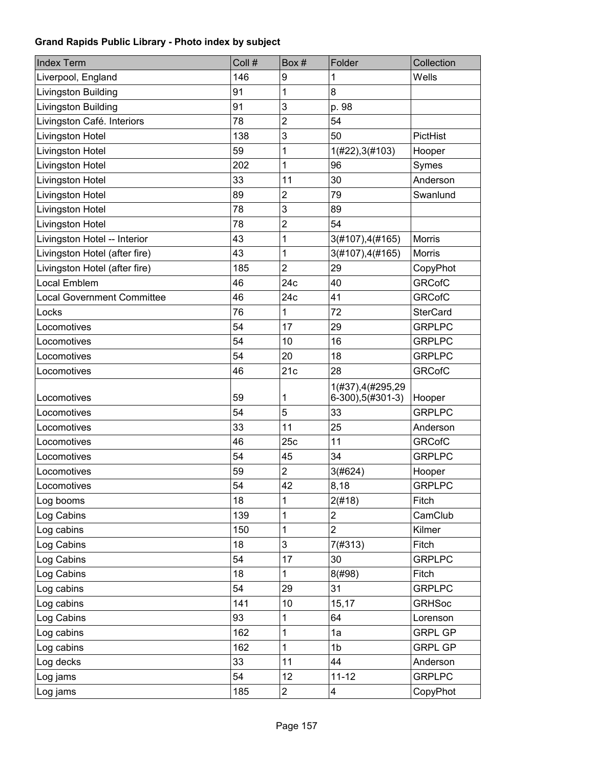| <b>Index Term</b>                 | Coll # | Box#           | Folder                                 | Collection      |
|-----------------------------------|--------|----------------|----------------------------------------|-----------------|
| Liverpool, England                | 146    | 9              | 1                                      | Wells           |
| Livingston Building               | 91     | 1              | 8                                      |                 |
| Livingston Building               | 91     | 3              | p. 98                                  |                 |
| Livingston Café. Interiors        | 78     | $\overline{2}$ | 54                                     |                 |
| Livingston Hotel                  | 138    | 3              | 50                                     | PictHist        |
| Livingston Hotel                  | 59     | 1              | 1(H22), 3(H103)                        | Hooper          |
| Livingston Hotel                  | 202    | 1              | 96                                     | Symes           |
| Livingston Hotel                  | 33     | 11             | 30                                     | Anderson        |
| Livingston Hotel                  | 89     | $\overline{c}$ | 79                                     | Swanlund        |
| Livingston Hotel                  | 78     | 3              | 89                                     |                 |
| Livingston Hotel                  | 78     | $\overline{c}$ | 54                                     |                 |
| Livingston Hotel -- Interior      | 43     | 1              | 3(#107), 4(#165)                       | Morris          |
| Livingston Hotel (after fire)     | 43     | 1              | 3(#107), 4(#165)                       | <b>Morris</b>   |
| Livingston Hotel (after fire)     | 185    | $\overline{2}$ | 29                                     | CopyPhot        |
| Local Emblem                      | 46     | 24c            | 40                                     | <b>GRCofC</b>   |
| <b>Local Government Committee</b> | 46     | 24c            | 41                                     | <b>GRCofC</b>   |
| Locks                             | 76     | 1              | 72                                     | <b>SterCard</b> |
| Locomotives                       | 54     | 17             | 29                                     | <b>GRPLPC</b>   |
| Locomotives                       | 54     | 10             | 16                                     | <b>GRPLPC</b>   |
| Locomotives                       | 54     | 20             | 18                                     | <b>GRPLPC</b>   |
| Locomotives                       | 46     | 21c            | 28                                     | <b>GRCofC</b>   |
| Locomotives                       | 59     | 1              | 1(#37), 4(#295, 29<br>6-300),5(#301-3) | Hooper          |
| Locomotives                       | 54     | 5              | 33                                     | <b>GRPLPC</b>   |
| Locomotives                       | 33     | 11             | 25                                     | Anderson        |
| Locomotives                       | 46     | 25c            | 11                                     | <b>GRCofC</b>   |
| Locomotives                       | 54     | 45             | 34                                     | <b>GRPLPC</b>   |
| Locomotives                       | 59     | 2              | 3(#624)                                | Hooper          |
| Locomotives                       | 54     | 42             | 8,18                                   | <b>GRPLPC</b>   |
| Log booms                         | 18     | 1              | 2(#18)                                 | Fitch           |
| Log Cabins                        | 139    | 1              | 2                                      | CamClub         |
| Log cabins                        | 150    | 1              | $\overline{2}$                         | Kilmer          |
| Log Cabins                        | 18     | 3              | 7(#313)                                | Fitch           |
| Log Cabins                        | 54     | 17             | 30                                     | <b>GRPLPC</b>   |
| Log Cabins                        | 18     | 1              | 8(#98)                                 | Fitch           |
| Log cabins                        | 54     | 29             | 31                                     | <b>GRPLPC</b>   |
| Log cabins                        | 141    | 10             | 15,17                                  | <b>GRHSoc</b>   |
| Log Cabins                        | 93     | 1              | 64                                     | Lorenson        |
| Log cabins                        | 162    | 1              | 1a                                     | <b>GRPL GP</b>  |
| Log cabins                        | 162    | 1              | 1 <sub>b</sub>                         | <b>GRPL GP</b>  |
| Log decks                         | 33     | 11             | 44                                     | Anderson        |
| Log jams                          | 54     | 12             | $11 - 12$                              | <b>GRPLPC</b>   |
| Log jams                          | 185    | $\overline{2}$ | 4                                      | CopyPhot        |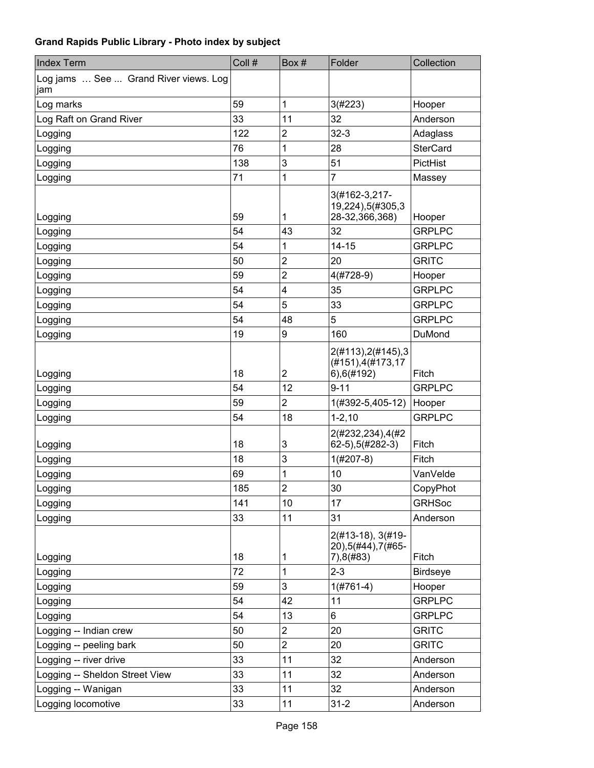| <b>Index Term</b>                            | Coll # | Box#                    | Folder                                                      | Collection      |
|----------------------------------------------|--------|-------------------------|-------------------------------------------------------------|-----------------|
| Log jams  See  Grand River views. Log<br>jam |        |                         |                                                             |                 |
| Log marks                                    | 59     | 1                       | 3(#223)                                                     | Hooper          |
| Log Raft on Grand River                      | 33     | 11                      | 32                                                          | Anderson        |
| Logging                                      | 122    | $\overline{2}$          | $32 - 3$                                                    | Adaglass        |
| Logging                                      | 76     | 1                       | 28                                                          | <b>SterCard</b> |
| Logging                                      | 138    | 3                       | 51                                                          | PictHist        |
| Logging                                      | 71     | 1                       | 7                                                           | Massey          |
| Logging                                      | 59     | 1                       | 3(#162-3,217-<br>19,224),5(#305,3<br>28-32,366,368)         | Hooper          |
| Logging                                      | 54     | 43                      | 32                                                          | <b>GRPLPC</b>   |
| Logging                                      | 54     | 1                       | $14 - 15$                                                   | <b>GRPLPC</b>   |
| Logging                                      | 50     | $\overline{2}$          | 20                                                          | <b>GRITC</b>    |
| Logging                                      | 59     | $\overline{\mathbf{c}}$ | $4(#728-9)$                                                 | Hooper          |
| Logging                                      | 54     | 4                       | 35                                                          | <b>GRPLPC</b>   |
| Logging                                      | 54     | 5                       | 33                                                          | <b>GRPLPC</b>   |
| Logging                                      | 54     | 48                      | 5                                                           | <b>GRPLPC</b>   |
| Logging                                      | 19     | 9                       | 160                                                         | DuMond          |
| Logging                                      | 18     | $\overline{2}$          | 2(#113), 2(#145), 3<br>(#151), 4(#173, 17<br>$6)$ , 6(#192) | Fitch           |
| Logging                                      | 54     | 12                      | $9 - 11$                                                    | <b>GRPLPC</b>   |
| Logging                                      | 59     | $\overline{2}$          | 1(#392-5,405-12)                                            | Hooper          |
| Logging                                      | 54     | 18                      | $1 - 2, 10$                                                 | <b>GRPLPC</b>   |
| Logging                                      | 18     | 3                       | 2(#232,234),4(#2<br>62-5), 5(#282-3)                        | Fitch           |
| Logging                                      | 18     | 3                       | $1(\#207-8)$                                                | Fitch           |
| Logging                                      | 69     | 1                       | 10                                                          | VanVelde        |
| Logging                                      | 185    | $\mathcal{D}$<br>▃      | 30                                                          | CopyPhot        |
| Logging                                      | 141    | 10                      | 17                                                          | <b>GRHSoc</b>   |
| Logging                                      | 33     | 11                      | 31                                                          | Anderson        |
| Logging                                      | 18     | 1                       | 2(#13-18), 3(#19-<br>20), 5(#44), 7(#65-<br>7),8(#83)       | Fitch           |
| Logging                                      | 72     | 1                       | $2 - 3$                                                     | <b>Birdseye</b> |
| Logging                                      | 59     | 3                       | $1(#761-4)$                                                 | Hooper          |
| Logging                                      | 54     | 42                      | 11                                                          | <b>GRPLPC</b>   |
| Logging                                      | 54     | 13                      | 6                                                           | <b>GRPLPC</b>   |
| Logging -- Indian crew                       | 50     | $\overline{c}$          | 20                                                          | <b>GRITC</b>    |
| Logging -- peeling bark                      | 50     | $\overline{2}$          | 20                                                          | <b>GRITC</b>    |
| Logging -- river drive                       | 33     | 11                      | 32                                                          | Anderson        |
| Logging -- Sheldon Street View               | 33     | 11                      | 32                                                          | Anderson        |
| Logging -- Wanigan                           | 33     | 11                      | 32                                                          | Anderson        |
| Logging locomotive                           | 33     | 11                      | $31 - 2$                                                    | Anderson        |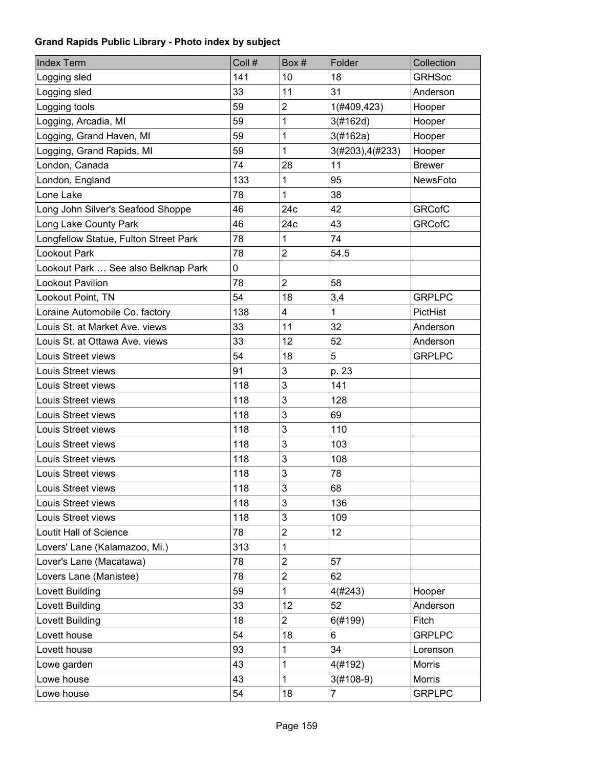| <b>Index Term</b>                     | Coll # | Box#                    | Folder           | Collection    |
|---------------------------------------|--------|-------------------------|------------------|---------------|
| Logging sled                          | 141    | 10                      | 18               | <b>GRHSoc</b> |
| Logging sled                          | 33     | 11                      | 31               | Anderson      |
| Logging tools                         | 59     | $\overline{2}$          | 1(#409,423)      | Hooper        |
| Logging, Arcadia, MI                  | 59     | 1                       | 3(#162d)         | Hooper        |
| Logging, Grand Haven, MI              | 59     | 1                       | 3(#162a)         | Hooper        |
| Logging, Grand Rapids, MI             | 59     | 1                       | 3(#203), 4(#233) | Hooper        |
| London, Canada                        | 74     | 28                      | 11               | <b>Brewer</b> |
| London, England                       | 133    | 1                       | 95               | NewsFoto      |
| Lone Lake                             | 78     | 1                       | 38               |               |
| Long John Silver's Seafood Shoppe     | 46     | 24c                     | 42               | <b>GRCofC</b> |
| Long Lake County Park                 | 46     | 24c                     | 43               | <b>GRCofC</b> |
| Longfellow Statue, Fulton Street Park | 78     | 1                       | 74               |               |
| Lookout Park                          | 78     | $\overline{2}$          | 54.5             |               |
| Lookout Park  See also Belknap Park   | 0      |                         |                  |               |
| Lookout Pavilion                      | 78     | $\overline{2}$          | 58               |               |
| Lookout Point, TN                     | 54     | 18                      | 3,4              | <b>GRPLPC</b> |
| Loraine Automobile Co. factory        | 138    | $\overline{\mathbf{4}}$ | 1                | PictHist      |
| Louis St. at Market Ave. views        | 33     | 11                      | 32               | Anderson      |
| Louis St. at Ottawa Ave. views        | 33     | 12                      | 52               | Anderson      |
| Louis Street views                    | 54     | 18                      | 5                | <b>GRPLPC</b> |
| Louis Street views                    | 91     | 3                       | p. 23            |               |
| Louis Street views                    | 118    | 3                       | 141              |               |
| Louis Street views                    | 118    | 3                       | 128              |               |
| Louis Street views                    | 118    | 3                       | 69               |               |
| Louis Street views                    | 118    | 3                       | 110              |               |
| Louis Street views                    | 118    | 3                       | 103              |               |
| Louis Street views                    | 118    | 3                       | 108              |               |
| Louis Street views                    | 118    | 3                       | 78               |               |
| Louis Street views                    | 118    | 3                       | 68               |               |
| Louis Street views                    | 118    | 3                       | 136              |               |
| Louis Street views                    | 118    | 3                       | 109              |               |
| Loutit Hall of Science                | 78     | $\overline{c}$          | 12               |               |
| Lovers' Lane (Kalamazoo, Mi.)         | 313    | 1                       |                  |               |
| Lover's Lane (Macatawa)               | 78     | $\mathbf{2}$            | 57               |               |
| Lovers Lane (Manistee)                | 78     | $\overline{2}$          | 62               |               |
| Lovett Building                       | 59     | 1                       | 4(#243)          | Hooper        |
| Lovett Building                       | 33     | 12                      | 52               | Anderson      |
| Lovett Building                       | 18     | $\overline{2}$          | 6(#199)          | Fitch         |
| Lovett house                          | 54     | 18                      | 6                | <b>GRPLPC</b> |
| Lovett house                          | 93     | 1                       | 34               | Lorenson      |
| Lowe garden                           | 43     | 1                       | 4(#192)          | Morris        |
| Lowe house                            | 43     | 1                       | $3(#108-9)$      | Morris        |
| Lowe house                            | 54     | 18                      | $\overline{7}$   | <b>GRPLPC</b> |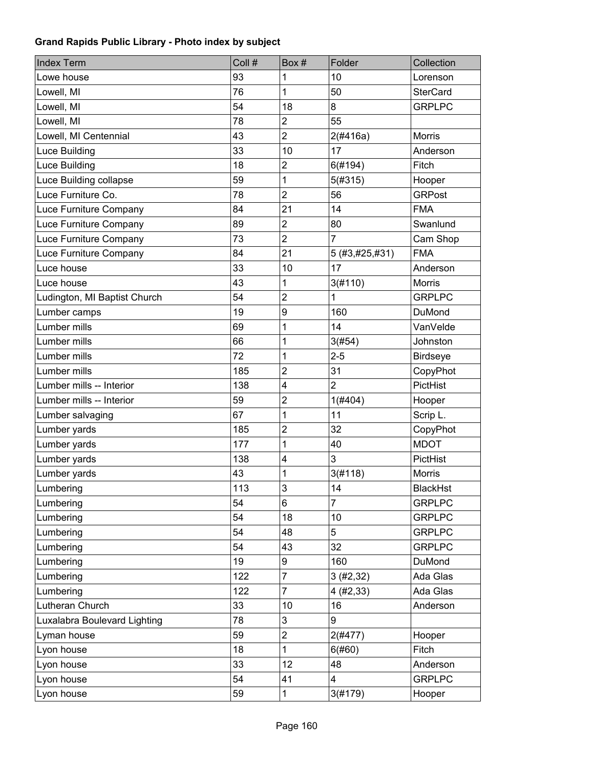| <b>Index Term</b>            | Coll # | Box #          | Folder                  | Collection      |
|------------------------------|--------|----------------|-------------------------|-----------------|
| Lowe house                   | 93     | 1              | 10                      | Lorenson        |
| Lowell, MI                   | 76     | 1              | 50                      | <b>SterCard</b> |
| Lowell, MI                   | 54     | 18             | 8                       | <b>GRPLPC</b>   |
| Lowell, MI                   | 78     | $\overline{2}$ | 55                      |                 |
| Lowell, MI Centennial        | 43     | $\overline{2}$ | 2(#416a)                | <b>Morris</b>   |
| Luce Building                | 33     | 10             | 17                      | Anderson        |
| Luce Building                | 18     | $\overline{c}$ | 6(#194)                 | Fitch           |
| Luce Building collapse       | 59     | 1              | 5(#315)                 | Hooper          |
| Luce Furniture Co.           | 78     | $\overline{2}$ | 56                      | <b>GRPost</b>   |
| Luce Furniture Company       | 84     | 21             | 14                      | <b>FMA</b>      |
| Luce Furniture Company       | 89     | $\overline{2}$ | 80                      | Swanlund        |
| Luce Furniture Company       | 73     | $\overline{2}$ | $\overline{7}$          | Cam Shop        |
| Luce Furniture Company       | 84     | 21             | 5 (#3,#25,#31)          | <b>FMA</b>      |
| Luce house                   | 33     | 10             | 17                      | Anderson        |
| Luce house                   | 43     | 1              | 3(#110)                 | <b>Morris</b>   |
| Ludington, MI Baptist Church | 54     | $\overline{2}$ | 1                       | <b>GRPLPC</b>   |
| Lumber camps                 | 19     | 9              | 160                     | DuMond          |
| Lumber mills                 | 69     | 1              | 14                      | VanVelde        |
| Lumber mills                 | 66     | 1              | 3(#54)                  | Johnston        |
| Lumber mills                 | 72     | 1              | $2 - 5$                 | <b>Birdseye</b> |
| Lumber mills                 | 185    | $\overline{2}$ | 31                      | CopyPhot        |
| Lumber mills -- Interior     | 138    | 4              | $\overline{2}$          | PictHist        |
| Lumber mills -- Interior     | 59     | $\overline{2}$ | 1(#404)                 | Hooper          |
| Lumber salvaging             | 67     | 1              | 11                      | Scrip L.        |
| Lumber yards                 | 185    | $\overline{2}$ | 32                      | CopyPhot        |
| Lumber yards                 | 177    | 1              | 40                      | <b>MDOT</b>     |
| Lumber yards                 | 138    | 4              | 3                       | PictHist        |
| Lumber yards                 | 43     | 1              | 3(#118)                 | <b>Morris</b>   |
| Lumbering                    | 113    | 3              | 14                      | <b>BlackHst</b> |
| Lumbering                    | 54     | 6              | 7                       | <b>GRPLPC</b>   |
| Lumbering                    | 54     | 18             | 10                      | <b>GRPLPC</b>   |
| Lumbering                    | 54     | 48             | 5                       | <b>GRPLPC</b>   |
| Lumbering                    | 54     | 43             | 32                      | <b>GRPLPC</b>   |
| Lumbering                    | 19     | 9              | 160                     | DuMond          |
| Lumbering                    | 122    | 7              | 3(#2, 32)               | Ada Glas        |
| Lumbering                    | 122    | 7              | 4(#2, 33)               | Ada Glas        |
| Lutheran Church              | 33     | 10             | 16                      | Anderson        |
| Luxalabra Boulevard Lighting | 78     | 3              | 9                       |                 |
| Lyman house                  | 59     | $\overline{c}$ | 2(#477)                 | Hooper          |
| Lyon house                   | 18     | 1              | 6(#60)                  | Fitch           |
| Lyon house                   | 33     | 12             | 48                      | Anderson        |
| Lyon house                   | 54     | 41             | $\overline{\mathbf{4}}$ | <b>GRPLPC</b>   |
| Lyon house                   | 59     | 1              | 3(#179)                 | Hooper          |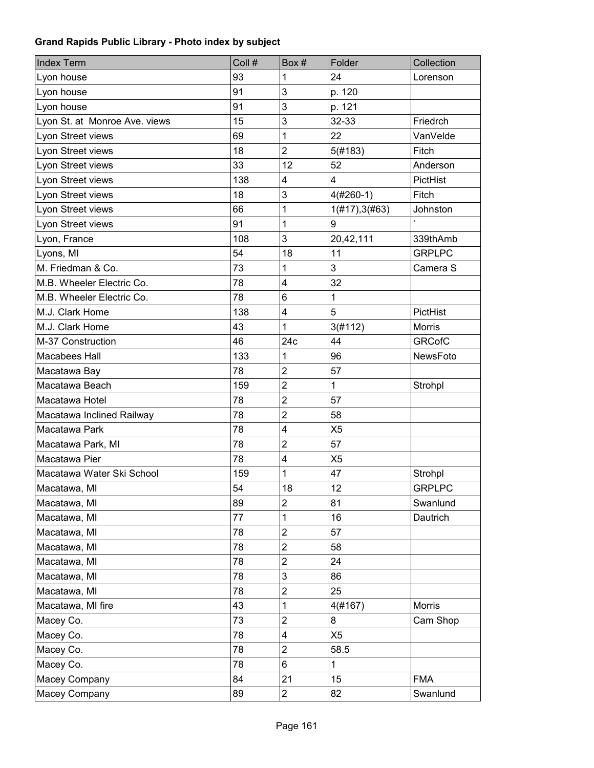| <b>Index Term</b>             | Coll # | Box#                    | Folder             | Collection    |
|-------------------------------|--------|-------------------------|--------------------|---------------|
| Lyon house                    | 93     | 1                       | 24                 | Lorenson      |
| Lyon house                    | 91     | 3                       | p. 120             |               |
| Lyon house                    | 91     | 3                       | p. 121             |               |
| Lyon St. at Monroe Ave. views | 15     | 3                       | 32-33              | Friedrch      |
| Lyon Street views             | 69     | 1                       | 22                 | VanVelde      |
| Lyon Street views             | 18     | $\overline{2}$          | 5(#183)            | Fitch         |
| Lyon Street views             | 33     | 12                      | 52                 | Anderson      |
| Lyon Street views             | 138    | 4                       | 4                  | PictHist      |
| Lyon Street views             | 18     | 3                       | $4(#260-1)$        | Fitch         |
| Lyon Street views             | 66     | 1                       | $1(\#17), 3(\#63)$ | Johnston      |
| Lyon Street views             | 91     | 1                       | 9                  |               |
| Lyon, France                  | 108    | 3                       | 20,42,111          | 339thAmb      |
| Lyons, MI                     | 54     | 18                      | 11                 | <b>GRPLPC</b> |
| M. Friedman & Co.             | 73     | 1                       | 3                  | Camera S      |
| M.B. Wheeler Electric Co.     | 78     | 4                       | 32                 |               |
| M.B. Wheeler Electric Co.     | 78     | $6\phantom{1}$          | $\mathbf 1$        |               |
| M.J. Clark Home               | 138    | 4                       | 5                  | PictHist      |
| M.J. Clark Home               | 43     | 1                       | 3(#112)            | <b>Morris</b> |
| M-37 Construction             | 46     | 24c                     | 44                 | <b>GRCofC</b> |
| Macabees Hall                 | 133    | 1                       | 96                 | NewsFoto      |
| Macatawa Bay                  | 78     | $\overline{2}$          | 57                 |               |
| Macatawa Beach                | 159    | $\overline{2}$          | $\mathbf 1$        | Strohpl       |
| Macatawa Hotel                | 78     | $\overline{2}$          | 57                 |               |
| Macatawa Inclined Railway     | 78     | $\overline{c}$          | 58                 |               |
| Macatawa Park                 | 78     | 4                       | X <sub>5</sub>     |               |
| Macatawa Park, MI             | 78     | $\overline{2}$          | 57                 |               |
| Macatawa Pier                 | 78     | $\overline{\mathbf{4}}$ | X <sub>5</sub>     |               |
| Macatawa Water Ski School     | 159    | 1                       | 47                 | Strohpl       |
| Macatawa, MI                  | 54     | 18                      | 12                 | <b>GRPLPC</b> |
| Macatawa, MI                  | 89     | $\overline{c}$          | 81                 | Swanlund      |
| Macatawa, MI                  | 77     | 1                       | 16                 | Dautrich      |
| Macatawa, MI                  | 78     | $\overline{c}$          | 57                 |               |
| Macatawa, MI                  | 78     | $\overline{2}$          | 58                 |               |
| Macatawa, MI                  | 78     | $\overline{2}$          | 24                 |               |
| Macatawa, MI                  | 78     | 3                       | 86                 |               |
| Macatawa, MI                  | 78     | $\overline{2}$          | 25                 |               |
| Macatawa, MI fire             | 43     | 1                       | 4(#167)            | Morris        |
| Macey Co.                     | 73     | $\overline{2}$          | 8                  | Cam Shop      |
| Macey Co.                     | 78     | 4                       | X <sub>5</sub>     |               |
| Macey Co.                     | 78     | $\mathbf{2}$            | 58.5               |               |
| Macey Co.                     | 78     | 6                       | $\mathbf{1}$       |               |
| Macey Company                 | 84     | 21                      | 15                 | <b>FMA</b>    |
| Macey Company                 | 89     | $\overline{c}$          | 82                 | Swanlund      |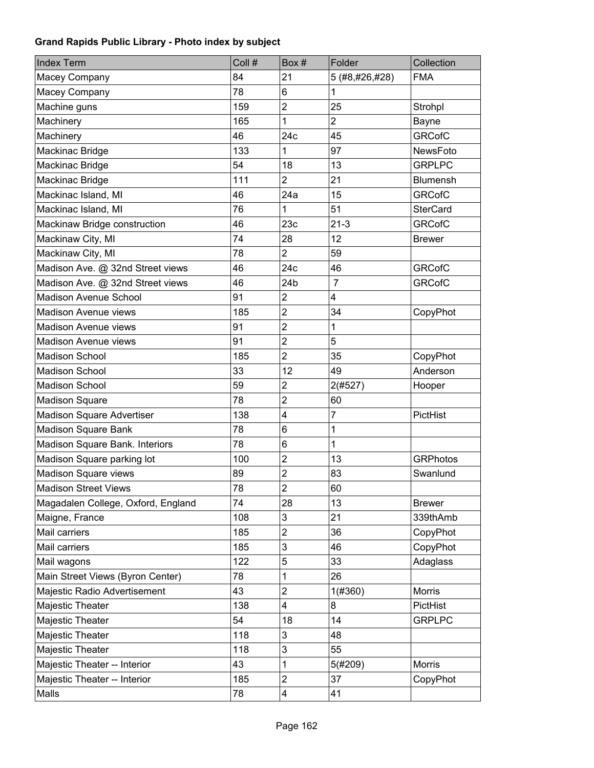| <b>Index Term</b>                  | Coll # | Box#                    | Folder         | Collection      |
|------------------------------------|--------|-------------------------|----------------|-----------------|
| Macey Company                      | 84     | 21                      | 5 (#8,#26,#28) | <b>FMA</b>      |
| Macey Company                      | 78     | 6                       | 1              |                 |
| Machine guns                       | 159    | $\overline{c}$          | 25             | Strohpl         |
| Machinery                          | 165    | 1                       | $\overline{2}$ | Bayne           |
| Machinery                          | 46     | 24c                     | 45             | <b>GRCofC</b>   |
| Mackinac Bridge                    | 133    | 1                       | 97             | NewsFoto        |
| Mackinac Bridge                    | 54     | 18                      | 13             | <b>GRPLPC</b>   |
| Mackinac Bridge                    | 111    | $\overline{2}$          | 21             | <b>Blumensh</b> |
| Mackinac Island, MI                | 46     | 24a                     | 15             | <b>GRCofC</b>   |
| Mackinac Island, MI                | 76     | 1                       | 51             | <b>SterCard</b> |
| Mackinaw Bridge construction       | 46     | 23c                     | $21 - 3$       | <b>GRCofC</b>   |
| Mackinaw City, MI                  | 74     | 28                      | 12             | <b>Brewer</b>   |
| Mackinaw City, MI                  | 78     | $\overline{2}$          | 59             |                 |
| Madison Ave. @ 32nd Street views   | 46     | 24c                     | 46             | <b>GRCofC</b>   |
| Madison Ave. @ 32nd Street views   | 46     | 24b                     | $\overline{7}$ | <b>GRCofC</b>   |
| <b>Madison Avenue School</b>       | 91     | $\overline{2}$          | 4              |                 |
| <b>Madison Avenue views</b>        | 185    | $\overline{2}$          | 34             | CopyPhot        |
| Madison Avenue views               | 91     | $\overline{2}$          | $\mathbf 1$    |                 |
| <b>Madison Avenue views</b>        | 91     | $\overline{2}$          | 5              |                 |
| <b>Madison School</b>              | 185    | $\overline{2}$          | 35             | CopyPhot        |
| <b>Madison School</b>              | 33     | 12                      | 49             | Anderson        |
| <b>Madison School</b>              | 59     | $\overline{2}$          | 2(#527)        | Hooper          |
| <b>Madison Square</b>              | 78     | $\overline{2}$          | 60             |                 |
| Madison Square Advertiser          | 138    | $\overline{\mathbf{4}}$ | $\overline{7}$ | PictHist        |
| Madison Square Bank                | 78     | 6                       | $\mathbf 1$    |                 |
| Madison Square Bank. Interiors     | 78     | 6                       | $\mathbf 1$    |                 |
| Madison Square parking lot         | 100    | $\overline{2}$          | 13             | <b>GRPhotos</b> |
| Madison Square views               | 89     | $\overline{2}$          | 83             | Swanlund        |
| <b>Madison Street Views</b>        | 78     | $\overline{c}$          | 60             |                 |
| Magadalen College, Oxford, England | 74     | 28                      | 13             | <b>Brewer</b>   |
| Maigne, France                     | 108    | 3                       | 21             | 339thAmb        |
| Mail carriers                      | 185    | $\overline{c}$          | 36             | CopyPhot        |
| Mail carriers                      | 185    | 3                       | 46             | CopyPhot        |
| Mail wagons                        | 122    | 5                       | 33             | Adaglass        |
| Main Street Views (Byron Center)   | 78     | 1                       | 26             |                 |
| Majestic Radio Advertisement       | 43     | $\overline{c}$          | 1(#360)        | Morris          |
| Majestic Theater                   | 138    | $\overline{\mathbf{4}}$ | 8              | PictHist        |
| Majestic Theater                   | 54     | 18                      | 14             | <b>GRPLPC</b>   |
| Majestic Theater                   | 118    | 3                       | 48             |                 |
| Majestic Theater                   | 118    | 3                       | 55             |                 |
| Majestic Theater -- Interior       | 43     | 1                       | 5(#209)        | <b>Morris</b>   |
| Majestic Theater -- Interior       | 185    | $\mathbf{2}$            | 37             | CopyPhot        |
| Malls                              | 78     | 4                       | 41             |                 |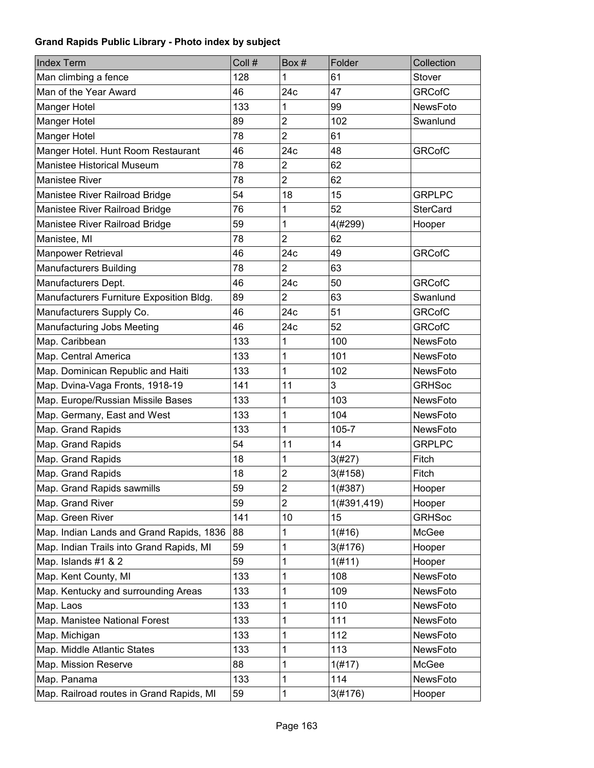| <b>Index Term</b>                        | Coll # | Box#                    | Folder      | Collection      |
|------------------------------------------|--------|-------------------------|-------------|-----------------|
| Man climbing a fence                     | 128    | 1                       | 61          | Stover          |
| Man of the Year Award                    | 46     | 24c                     | 47          | <b>GRCofC</b>   |
| Manger Hotel                             | 133    | 1                       | 99          | NewsFoto        |
| Manger Hotel                             | 89     | $\overline{2}$          | 102         | Swanlund        |
| Manger Hotel                             | 78     | $\overline{2}$          | 61          |                 |
| Manger Hotel. Hunt Room Restaurant       | 46     | 24c                     | 48          | <b>GRCofC</b>   |
| <b>Manistee Historical Museum</b>        | 78     | $\overline{2}$          | 62          |                 |
| <b>Manistee River</b>                    | 78     | $\overline{2}$          | 62          |                 |
| Manistee River Railroad Bridge           | 54     | 18                      | 15          | <b>GRPLPC</b>   |
| Manistee River Railroad Bridge           | 76     | 1                       | 52          | <b>SterCard</b> |
| Manistee River Railroad Bridge           | 59     | 1                       | 4(#299)     | Hooper          |
| Manistee, MI                             | 78     | $\overline{2}$          | 62          |                 |
| Manpower Retrieval                       | 46     | 24c                     | 49          | <b>GRCofC</b>   |
| <b>Manufacturers Building</b>            | 78     | $\overline{2}$          | 63          |                 |
| Manufacturers Dept.                      | 46     | 24c                     | 50          | <b>GRCofC</b>   |
| Manufacturers Furniture Exposition Bldg. | 89     | $\overline{2}$          | 63          | Swanlund        |
| Manufacturers Supply Co.                 | 46     | 24c                     | 51          | <b>GRCofC</b>   |
| Manufacturing Jobs Meeting               | 46     | 24c                     | 52          | <b>GRCofC</b>   |
| Map. Caribbean                           | 133    | 1                       | 100         | <b>NewsFoto</b> |
| Map. Central America                     | 133    | 1                       | 101         | NewsFoto        |
| Map. Dominican Republic and Haiti        | 133    | 1                       | 102         | NewsFoto        |
| Map. Dvina-Vaga Fronts, 1918-19          | 141    | 11                      | 3           | <b>GRHSoc</b>   |
| Map. Europe/Russian Missile Bases        | 133    | 1                       | 103         | NewsFoto        |
| Map. Germany, East and West              | 133    | 1                       | 104         | NewsFoto        |
| Map. Grand Rapids                        | 133    | 1                       | $105 - 7$   | NewsFoto        |
| Map. Grand Rapids                        | 54     | 11                      | 14          | <b>GRPLPC</b>   |
| Map. Grand Rapids                        | 18     | 1                       | 3(#27)      | Fitch           |
| Map. Grand Rapids                        | 18     | $\overline{2}$          | 3(#158)     | Fitch           |
| Map. Grand Rapids sawmills               | 59     | $\overline{\mathbf{c}}$ | 1(#387)     | Hooper          |
| Map. Grand River                         | 59     | $\overline{2}$          | 1(#391,419) | Hooper          |
| Map. Green River                         | 141    | 10                      | 15          | <b>GRHSoc</b>   |
| Map. Indian Lands and Grand Rapids, 1836 | 88     | 1                       | 1(#16)      | McGee           |
| Map. Indian Trails into Grand Rapids, MI | 59     | 1                       | 3(#176)     | Hooper          |
| Map. Islands #1 & 2                      | 59     | 1                       | 1(#11)      | Hooper          |
| Map. Kent County, MI                     | 133    | 1                       | 108         | NewsFoto        |
| Map. Kentucky and surrounding Areas      | 133    | 1                       | 109         | NewsFoto        |
| Map. Laos                                | 133    | 1                       | 110         | NewsFoto        |
| Map. Manistee National Forest            | 133    | 1                       | 111         | NewsFoto        |
| Map. Michigan                            | 133    | 1                       | 112         | NewsFoto        |
| Map. Middle Atlantic States              | 133    | 1                       | 113         | NewsFoto        |
| Map. Mission Reserve                     | 88     | 1                       | 1(#17)      | McGee           |
| Map. Panama                              | 133    | 1                       | 114         | NewsFoto        |
| Map. Railroad routes in Grand Rapids, MI | 59     | 1                       | 3(#176)     | Hooper          |
|                                          |        |                         |             |                 |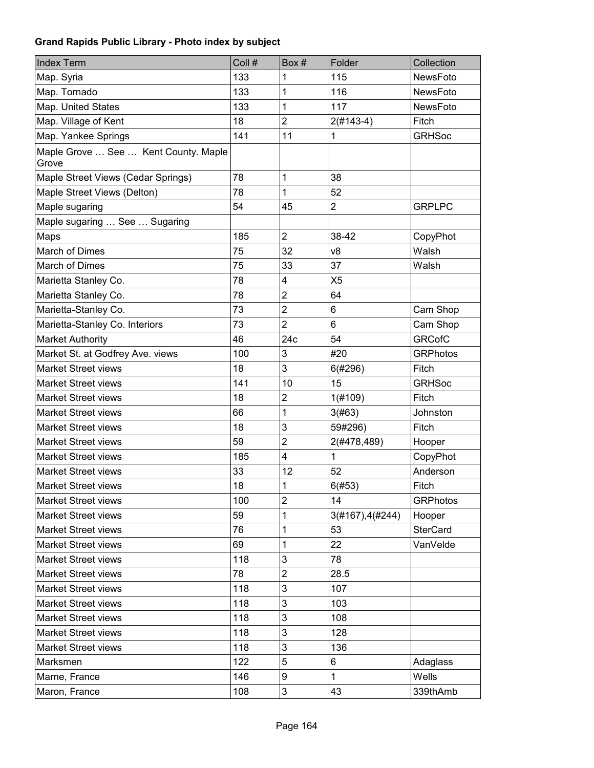| <b>Index Term</b>                             | Coll # | Box#                    | Folder                  | Collection      |
|-----------------------------------------------|--------|-------------------------|-------------------------|-----------------|
| Map. Syria                                    | 133    | 1                       | 115                     | NewsFoto        |
| Map. Tornado                                  | 133    | 1                       | 116                     | NewsFoto        |
| Map. United States                            | 133    | 1                       | 117                     | NewsFoto        |
| Map. Village of Kent                          | 18     | $\overline{2}$          | $2(#143-4)$             | Fitch           |
| Map. Yankee Springs                           | 141    | 11                      | 1                       | <b>GRHSoc</b>   |
| Maple Grove  See  Kent County. Maple<br>Grove |        |                         |                         |                 |
| Maple Street Views (Cedar Springs)            | 78     | 1                       | 38                      |                 |
| Maple Street Views (Delton)                   | 78     | 1                       | 52                      |                 |
| Maple sugaring                                | 54     | 45                      | $\overline{\mathbf{c}}$ | <b>GRPLPC</b>   |
| Maple sugaring  See  Sugaring                 |        |                         |                         |                 |
| Maps                                          | 185    | $\overline{2}$          | 38-42                   | CopyPhot        |
| <b>March of Dimes</b>                         | 75     | 32                      | v8                      | Walsh           |
| March of Dimes                                | 75     | 33                      | 37                      | Walsh           |
| Marietta Stanley Co.                          | 78     | $\overline{\mathbf{4}}$ | X <sub>5</sub>          |                 |
| Marietta Stanley Co.                          | 78     | $\overline{2}$          | 64                      |                 |
| Marietta-Stanley Co.                          | 73     | $\overline{2}$          | 6                       | Cam Shop        |
| Marietta-Stanley Co. Interiors                | 73     | $\overline{2}$          | 6                       | Cam Shop        |
| <b>Market Authority</b>                       | 46     | 24c                     | 54                      | <b>GRCofC</b>   |
| Market St. at Godfrey Ave. views              | 100    | 3                       | #20                     | <b>GRPhotos</b> |
| <b>Market Street views</b>                    | 18     | 3                       | 6(#296)                 | Fitch           |
| <b>Market Street views</b>                    | 141    | 10                      | 15                      | <b>GRHSoc</b>   |
| <b>Market Street views</b>                    | 18     | $\overline{2}$          | 1(#109)                 | Fitch           |
| <b>Market Street views</b>                    | 66     | 1                       | 3(#63)                  | Johnston        |
| Market Street views                           | 18     | 3                       | 59#296)                 | Fitch           |
| <b>Market Street views</b>                    | 59     | $\overline{2}$          | 2(#478,489)             | Hooper          |
| <b>Market Street views</b>                    | 185    | 4                       | 1                       | CopyPhot        |
| <b>Market Street views</b>                    | 33     | 12                      | 52                      | Anderson        |
| <b>Market Street views</b>                    | 18     | 1                       | 6(#53)                  | Fitch           |
| <b>Market Street views</b>                    | 100    | $\overline{2}$          | 14                      | <b>GRPhotos</b> |
| <b>Market Street views</b>                    | 59     | 1                       | 3(#167), 4(#244)        | Hooper          |
| <b>Market Street views</b>                    | 76     | 1                       | 53                      | <b>SterCard</b> |
| <b>Market Street views</b>                    | 69     | 1                       | 22                      | VanVelde        |
| <b>Market Street views</b>                    | 118    | 3                       | 78                      |                 |
| <b>Market Street views</b>                    | 78     | $\overline{2}$          | 28.5                    |                 |
| <b>Market Street views</b>                    | 118    | 3                       | 107                     |                 |
| <b>Market Street views</b>                    | 118    | 3                       | 103                     |                 |
| <b>Market Street views</b>                    | 118    | 3                       | 108                     |                 |
| <b>Market Street views</b>                    | 118    | 3                       | 128                     |                 |
| Market Street views                           | 118    | 3                       | 136                     |                 |
| Marksmen                                      | 122    | 5                       | 6                       | Adaglass        |
| Marne, France                                 | 146    | 9                       | $\mathbf{1}$            | Wells           |
| Maron, France                                 | 108    | 3                       | 43                      | 339thAmb        |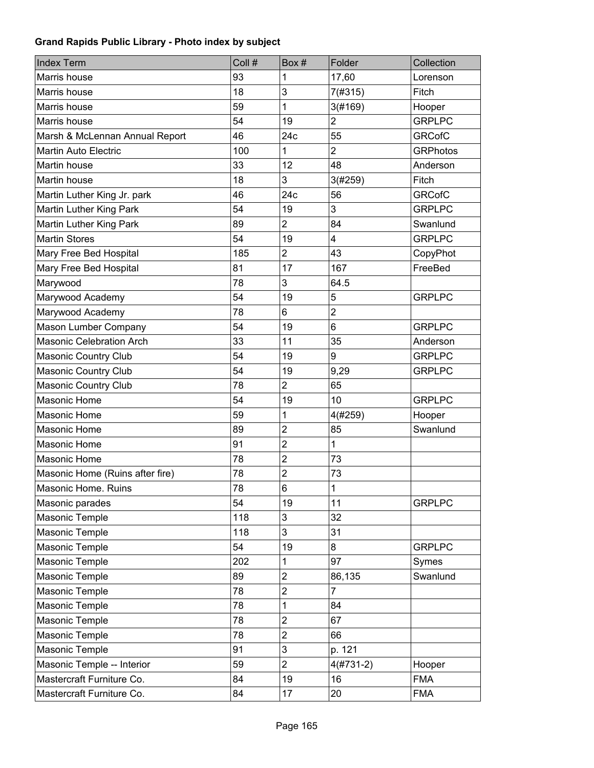| <b>Index Term</b>               | Coll # | Box #          | Folder                  | Collection      |
|---------------------------------|--------|----------------|-------------------------|-----------------|
| Marris house                    | 93     | 1              | 17,60                   | Lorenson        |
| Marris house                    | 18     | 3              | 7(#315)                 | Fitch           |
| Marris house                    | 59     | 1              | 3(#169)                 | Hooper          |
| Marris house                    | 54     | 19             | $\overline{2}$          | <b>GRPLPC</b>   |
| Marsh & McLennan Annual Report  | 46     | 24c            | 55                      | <b>GRCofC</b>   |
| <b>Martin Auto Electric</b>     | 100    | 1              | $\overline{2}$          | <b>GRPhotos</b> |
| Martin house                    | 33     | 12             | 48                      | Anderson        |
| Martin house                    | 18     | 3              | 3(#259)                 | Fitch           |
| Martin Luther King Jr. park     | 46     | 24c            | 56                      | <b>GRCofC</b>   |
| Martin Luther King Park         | 54     | 19             | 3                       | <b>GRPLPC</b>   |
| Martin Luther King Park         | 89     | $\overline{2}$ | 84                      | Swanlund        |
| <b>Martin Stores</b>            | 54     | 19             | $\overline{\mathbf{4}}$ | <b>GRPLPC</b>   |
| Mary Free Bed Hospital          | 185    | $\overline{2}$ | 43                      | CopyPhot        |
| Mary Free Bed Hospital          | 81     | 17             | 167                     | FreeBed         |
| Marywood                        | 78     | 3              | 64.5                    |                 |
| Marywood Academy                | 54     | 19             | 5                       | <b>GRPLPC</b>   |
| Marywood Academy                | 78     | 6              | $\overline{2}$          |                 |
| Mason Lumber Company            | 54     | 19             | 6                       | <b>GRPLPC</b>   |
| <b>Masonic Celebration Arch</b> | 33     | 11             | 35                      | Anderson        |
| Masonic Country Club            | 54     | 19             | 9                       | <b>GRPLPC</b>   |
| <b>Masonic Country Club</b>     | 54     | 19             | 9,29                    | <b>GRPLPC</b>   |
| <b>Masonic Country Club</b>     | 78     | $\overline{2}$ | 65                      |                 |
| <b>Masonic Home</b>             | 54     | 19             | 10                      | <b>GRPLPC</b>   |
| <b>Masonic Home</b>             | 59     | 1              | 4(#259)                 | Hooper          |
| <b>Masonic Home</b>             | 89     | $\overline{2}$ | 85                      | Swanlund        |
| <b>Masonic Home</b>             | 91     | $\overline{2}$ | 1                       |                 |
| <b>Masonic Home</b>             | 78     | 2              | 73                      |                 |
| Masonic Home (Ruins after fire) | 78     | $\overline{2}$ | 73                      |                 |
| Masonic Home. Ruins             | 78     | 6              | $\mathbf{1}$            |                 |
| Masonic parades                 | 54     | 19             | 11                      | <b>GRPLPC</b>   |
| Masonic Temple                  | 118    | 3              | 32                      |                 |
| Masonic Temple                  | 118    | 3              | 31                      |                 |
| Masonic Temple                  | 54     | 19             | 8                       | <b>GRPLPC</b>   |
| Masonic Temple                  | 202    | 1              | 97                      | Symes           |
| Masonic Temple                  | 89     | $\overline{2}$ | 86,135                  | Swanlund        |
| Masonic Temple                  | 78     | $\overline{c}$ | 7                       |                 |
| Masonic Temple                  | 78     | 1              | 84                      |                 |
| Masonic Temple                  | 78     | $\overline{2}$ | 67                      |                 |
| Masonic Temple                  | 78     | $\overline{2}$ | 66                      |                 |
| Masonic Temple                  | 91     | 3              | p. 121                  |                 |
| Masonic Temple -- Interior      | 59     | $\overline{2}$ | $4(#731-2)$             | Hooper          |
| Mastercraft Furniture Co.       | 84     | 19             | 16                      | <b>FMA</b>      |
| Mastercraft Furniture Co.       | 84     | 17             | 20                      | <b>FMA</b>      |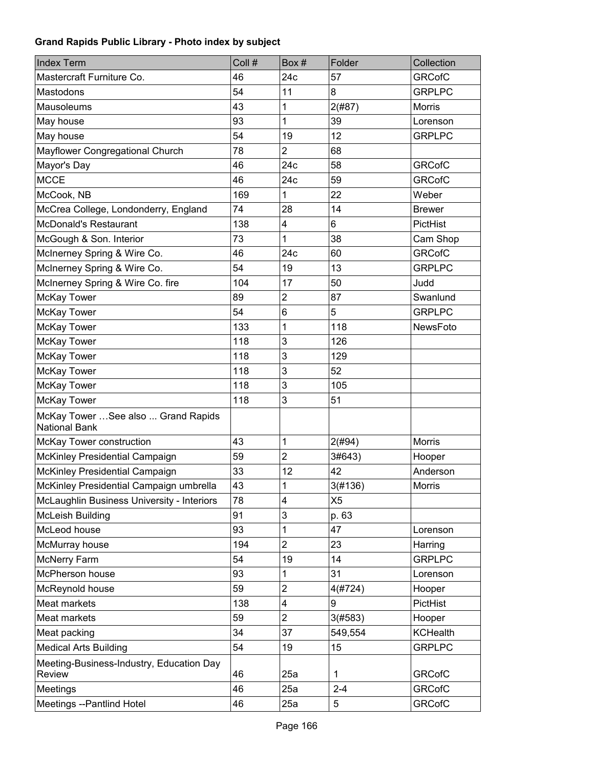| <b>Index Term</b>                                           | Coll # | Box#           | Folder         | Collection      |
|-------------------------------------------------------------|--------|----------------|----------------|-----------------|
| Mastercraft Furniture Co.                                   | 46     | 24c            | 57             | <b>GRCofC</b>   |
| Mastodons                                                   | 54     | 11             | 8              | <b>GRPLPC</b>   |
| <b>Mausoleums</b>                                           | 43     | 1              | 2(#87)         | <b>Morris</b>   |
| May house                                                   | 93     | 1              | 39             | Lorenson        |
| May house                                                   | 54     | 19             | 12             | <b>GRPLPC</b>   |
| Mayflower Congregational Church                             | 78     | $\overline{2}$ | 68             |                 |
| Mayor's Day                                                 | 46     | 24c            | 58             | <b>GRCofC</b>   |
| <b>MCCE</b>                                                 | 46     | 24c            | 59             | <b>GRCofC</b>   |
| McCook, NB                                                  | 169    | 1              | 22             | Weber           |
| McCrea College, Londonderry, England                        | 74     | 28             | 14             | <b>Brewer</b>   |
| McDonald's Restaurant                                       | 138    | 4              | 6              | PictHist        |
| McGough & Son. Interior                                     | 73     | 1              | 38             | Cam Shop        |
| McInerney Spring & Wire Co.                                 | 46     | 24c            | 60             | <b>GRCofC</b>   |
| McInerney Spring & Wire Co.                                 | 54     | 19             | 13             | <b>GRPLPC</b>   |
| McInerney Spring & Wire Co. fire                            | 104    | 17             | 50             | Judd            |
| McKay Tower                                                 | 89     | $\overline{c}$ | 87             | Swanlund        |
| McKay Tower                                                 | 54     | 6              | 5              | <b>GRPLPC</b>   |
| McKay Tower                                                 | 133    | 1              | 118            | NewsFoto        |
| McKay Tower                                                 | 118    | 3              | 126            |                 |
| McKay Tower                                                 | 118    | 3              | 129            |                 |
| McKay Tower                                                 | 118    | 3              | 52             |                 |
| McKay Tower                                                 | 118    | 3              | 105            |                 |
| McKay Tower                                                 | 118    | 3              | 51             |                 |
| McKay Tower  See also  Grand Rapids<br><b>National Bank</b> |        |                |                |                 |
| McKay Tower construction                                    | 43     | 1              | 2(#94)         | Morris          |
| McKinley Presidential Campaign                              | 59     | $\overline{2}$ | 3#643)         | Hooper          |
| McKinley Presidential Campaign                              | 33     | 12             | 42             | Anderson        |
| McKinley Presidential Campaign umbrella                     | 43     | 1              | 3(#136)        | Morris          |
| McLaughlin Business University - Interiors                  | 78     | 4              | X <sub>5</sub> |                 |
| McLeish Building                                            | 91     | 3              | p. 63          |                 |
| McLeod house                                                | 93     | 1              | 47             | Lorenson        |
| McMurray house                                              | 194    | $\overline{2}$ | 23             | Harring         |
| <b>McNerry Farm</b>                                         | 54     | 19             | 14             | <b>GRPLPC</b>   |
| McPherson house                                             | 93     | 1              | 31             | Lorenson        |
| McReynold house                                             | 59     | $\overline{2}$ | 4(#724)        | Hooper          |
| Meat markets                                                | 138    | 4              | 9              | PictHist        |
| Meat markets                                                | 59     | $\overline{2}$ | 3(#583)        | Hooper          |
| Meat packing                                                | 34     | 37             | 549,554        | <b>KCHealth</b> |
| <b>Medical Arts Building</b>                                | 54     | 19             | 15             | <b>GRPLPC</b>   |
| Meeting-Business-Industry, Education Day<br>Review          | 46     | 25a            | 1              | <b>GRCofC</b>   |
| Meetings                                                    | 46     | 25a            | $2 - 4$        | <b>GRCofC</b>   |
| Meetings --Pantlind Hotel                                   | 46     | 25a            | 5              | <b>GRCofC</b>   |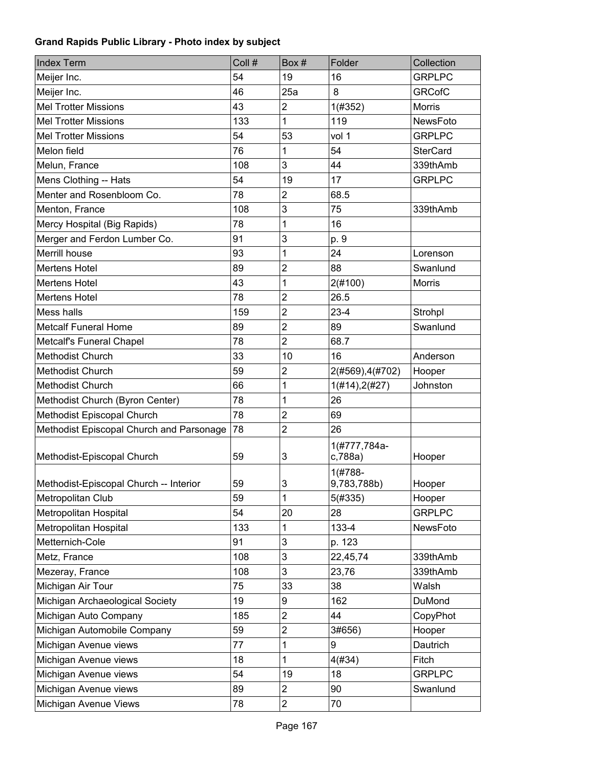| <b>Index Term</b>                        | Coll # | Box#                    | Folder           | Collection      |
|------------------------------------------|--------|-------------------------|------------------|-----------------|
| Meijer Inc.                              | 54     | 19                      | 16               | <b>GRPLPC</b>   |
| Meijer Inc.                              | 46     | 25a                     | 8                | <b>GRCofC</b>   |
| <b>Mel Trotter Missions</b>              | 43     | $\overline{c}$          | 1(#352)          | <b>Morris</b>   |
| <b>Mel Trotter Missions</b>              | 133    | 1                       | 119              | NewsFoto        |
| <b>Mel Trotter Missions</b>              | 54     | 53                      | vol 1            | <b>GRPLPC</b>   |
| Melon field                              | 76     | 1                       | 54               | <b>SterCard</b> |
| Melun, France                            | 108    | 3                       | 44               | 339thAmb        |
| Mens Clothing -- Hats                    | 54     | 19                      | 17               | <b>GRPLPC</b>   |
| Menter and Rosenbloom Co.                | 78     | $\overline{2}$          | 68.5             |                 |
| Menton, France                           | 108    | 3                       | 75               | 339thAmb        |
| Mercy Hospital (Big Rapids)              | 78     | 1                       | 16               |                 |
| Merger and Ferdon Lumber Co.             | 91     | 3                       | p. 9             |                 |
| Merrill house                            | 93     | 1                       | 24               | Lorenson        |
| <b>Mertens Hotel</b>                     | 89     | $\overline{2}$          | 88               | Swanlund        |
| <b>Mertens Hotel</b>                     | 43     | 1                       | 2(#100)          | <b>Morris</b>   |
| <b>Mertens Hotel</b>                     | 78     | $\overline{2}$          | 26.5             |                 |
| Mess halls                               | 159    | $\overline{2}$          | $23 - 4$         | Strohpl         |
| <b>Metcalf Funeral Home</b>              | 89     | $\overline{2}$          | 89               | Swanlund        |
| Metcalf's Funeral Chapel                 | 78     | $\overline{2}$          | 68.7             |                 |
| <b>Methodist Church</b>                  | 33     | 10                      | 16               | Anderson        |
| <b>Methodist Church</b>                  | 59     | $\overline{\mathbf{c}}$ | 2(#569), 4(#702) | Hooper          |
| <b>Methodist Church</b>                  | 66     | 1                       | 1(#14), 2(#27)   | Johnston        |
| Methodist Church (Byron Center)          | 78     | 1                       | 26               |                 |
| Methodist Episcopal Church               | 78     | $\overline{c}$          | 69               |                 |
| Methodist Episcopal Church and Parsonage | 78     | $\overline{2}$          | 26               |                 |
|                                          |        |                         | 1(#777,784a-     |                 |
| Methodist-Episcopal Church               | 59     | 3                       | c,788a)          | Hooper          |
|                                          |        |                         | $1(#788 -$       |                 |
| Methodist-Episcopal Church -- Interior   | 59     | 3                       | 9,783,788b)      | Hooper          |
| Metropolitan Club                        | 59     | 1                       | 5(#335)          | Hooper          |
| Metropolitan Hospital                    | 54     | 20                      | 28               | <b>GRPLPC</b>   |
| Metropolitan Hospital                    | 133    | 1                       | 133-4            | NewsFoto        |
| Metternich-Cole                          | 91     | 3                       | p. 123           |                 |
| Metz, France                             | 108    | 3                       | 22,45,74         | 339thAmb        |
| Mezeray, France                          | 108    | 3                       | 23,76            | 339thAmb        |
| Michigan Air Tour                        | 75     | 33                      | 38               | Walsh           |
| Michigan Archaeological Society          | 19     | 9                       | 162              | DuMond          |
| Michigan Auto Company                    | 185    | $\overline{c}$          | 44               | CopyPhot        |
| Michigan Automobile Company              | 59     | $\overline{c}$          | 3#656)           | Hooper          |
| Michigan Avenue views                    | 77     | 1                       | 9                | Dautrich        |
| Michigan Avenue views                    | 18     | 1                       | 4(#34)           | Fitch           |
| Michigan Avenue views                    | 54     | 19                      | 18               | <b>GRPLPC</b>   |
| Michigan Avenue views                    | 89     | $\overline{c}$          | 90               | Swanlund        |
| Michigan Avenue Views                    | 78     | $\overline{2}$          | 70               |                 |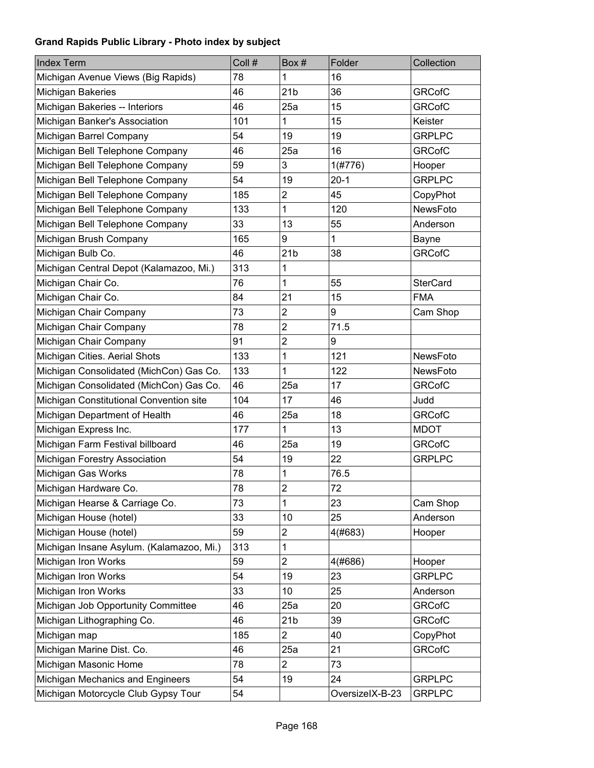| <b>Index Term</b>                        | Coll # | Box#                    | Folder          | Collection      |
|------------------------------------------|--------|-------------------------|-----------------|-----------------|
| Michigan Avenue Views (Big Rapids)       | 78     | 1                       | 16              |                 |
| Michigan Bakeries                        | 46     | 21 <sub>b</sub>         | 36              | <b>GRCofC</b>   |
| Michigan Bakeries -- Interiors           | 46     | 25a                     | 15              | <b>GRCofC</b>   |
| Michigan Banker's Association            | 101    | 1                       | 15              | Keister         |
| Michigan Barrel Company                  | 54     | 19                      | 19              | <b>GRPLPC</b>   |
| Michigan Bell Telephone Company          | 46     | 25a                     | 16              | <b>GRCofC</b>   |
| Michigan Bell Telephone Company          | 59     | 3                       | 1(#776)         | Hooper          |
| Michigan Bell Telephone Company          | 54     | 19                      | $20-1$          | <b>GRPLPC</b>   |
| Michigan Bell Telephone Company          | 185    | $\overline{2}$          | 45              | CopyPhot        |
| Michigan Bell Telephone Company          | 133    | 1                       | 120             | NewsFoto        |
| Michigan Bell Telephone Company          | 33     | 13                      | 55              | Anderson        |
| Michigan Brush Company                   | 165    | 9                       | 1               | <b>Bayne</b>    |
| Michigan Bulb Co.                        | 46     | 21 <sub>b</sub>         | 38              | <b>GRCofC</b>   |
| Michigan Central Depot (Kalamazoo, Mi.)  | 313    | 1                       |                 |                 |
| Michigan Chair Co.                       | 76     | 1                       | 55              | <b>SterCard</b> |
| Michigan Chair Co.                       | 84     | 21                      | 15              | <b>FMA</b>      |
| Michigan Chair Company                   | 73     | $\overline{2}$          | 9               | Cam Shop        |
| Michigan Chair Company                   | 78     | $\overline{2}$          | 71.5            |                 |
| Michigan Chair Company                   | 91     | $\overline{2}$          | 9               |                 |
| Michigan Cities. Aerial Shots            | 133    | 1                       | 121             | NewsFoto        |
| Michigan Consolidated (MichCon) Gas Co.  | 133    | 1                       | 122             | NewsFoto        |
| Michigan Consolidated (MichCon) Gas Co.  | 46     | 25a                     | 17              | <b>GRCofC</b>   |
| Michigan Constitutional Convention site  | 104    | 17                      | 46              | Judd            |
| Michigan Department of Health            | 46     | 25a                     | 18              | <b>GRCofC</b>   |
| Michigan Express Inc.                    | 177    | 1                       | 13              | <b>MDOT</b>     |
| Michigan Farm Festival billboard         | 46     | 25a                     | 19              | <b>GRCofC</b>   |
| Michigan Forestry Association            | 54     | 19                      | 22              | <b>GRPLPC</b>   |
| Michigan Gas Works                       | 78     | 1                       | 76.5            |                 |
| Michigan Hardware Co.                    | 78     | $\overline{\mathbf{c}}$ | $72\,$          |                 |
| Michigan Hearse & Carriage Co.           | 73     | 1                       | 23              | Cam Shop        |
| Michigan House (hotel)                   | 33     | 10                      | 25              | Anderson        |
| Michigan House (hotel)                   | 59     | $\overline{\mathbf{c}}$ | 4(#683)         | Hooper          |
| Michigan Insane Asylum. (Kalamazoo, Mi.) | 313    | 1                       |                 |                 |
| Michigan Iron Works                      | 59     | $\overline{c}$          | 4(#686)         | Hooper          |
| Michigan Iron Works                      | 54     | 19                      | 23              | <b>GRPLPC</b>   |
| Michigan Iron Works                      | 33     | 10                      | 25              | Anderson        |
| Michigan Job Opportunity Committee       | 46     | 25a                     | 20              | <b>GRCofC</b>   |
| Michigan Lithographing Co.               | 46     | 21 <sub>b</sub>         | 39              | <b>GRCofC</b>   |
| Michigan map                             | 185    | $\overline{2}$          | 40              | CopyPhot        |
| Michigan Marine Dist. Co.                | 46     | 25a                     | 21              | <b>GRCofC</b>   |
| Michigan Masonic Home                    | 78     | $\overline{c}$          | 73              |                 |
| Michigan Mechanics and Engineers         | 54     | 19                      | 24              | <b>GRPLPC</b>   |
| Michigan Motorcycle Club Gypsy Tour      | 54     |                         | OversizelX-B-23 | <b>GRPLPC</b>   |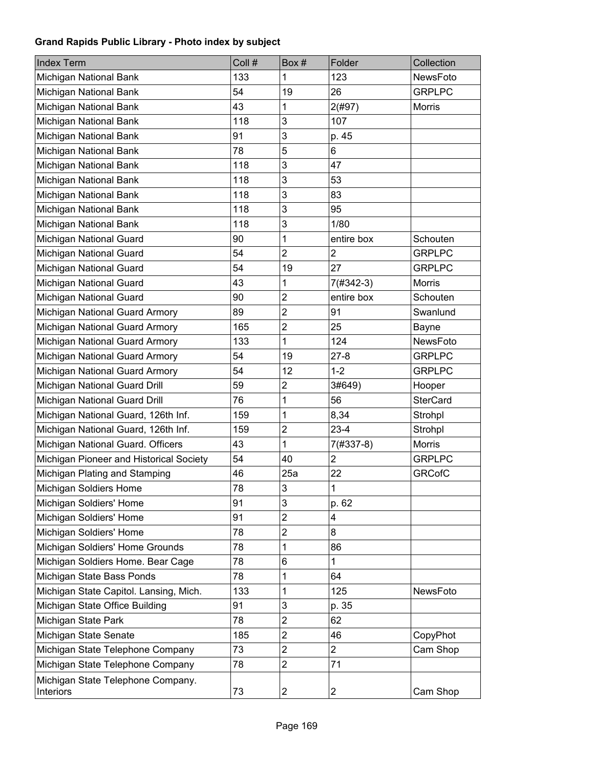| <b>Index Term</b>                              | Coll # | Box#                    | Folder                  | Collection      |
|------------------------------------------------|--------|-------------------------|-------------------------|-----------------|
| Michigan National Bank                         | 133    | 1                       | 123                     | NewsFoto        |
| Michigan National Bank                         | 54     | 19                      | 26                      | <b>GRPLPC</b>   |
| Michigan National Bank                         | 43     | 1                       | 2(#97)                  | Morris          |
| Michigan National Bank                         | 118    | 3                       | 107                     |                 |
| Michigan National Bank                         | 91     | 3                       | p. 45                   |                 |
| Michigan National Bank                         | 78     | 5                       | 6                       |                 |
| Michigan National Bank                         | 118    | 3                       | 47                      |                 |
| Michigan National Bank                         | 118    | 3                       | 53                      |                 |
| Michigan National Bank                         | 118    | 3                       | 83                      |                 |
| Michigan National Bank                         | 118    | 3                       | 95                      |                 |
| Michigan National Bank                         | 118    | $\mathbf{3}$            | 1/80                    |                 |
| Michigan National Guard                        | 90     | 1                       | entire box              | Schouten        |
| Michigan National Guard                        | 54     | $\overline{2}$          | $\overline{\mathbf{c}}$ | <b>GRPLPC</b>   |
| Michigan National Guard                        | 54     | 19                      | 27                      | <b>GRPLPC</b>   |
| Michigan National Guard                        | 43     | 1                       | 7(#342-3)               | <b>Morris</b>   |
| Michigan National Guard                        | 90     | $\overline{2}$          | entire box              | Schouten        |
| Michigan National Guard Armory                 | 89     | $\mathbf 2$             | 91                      | Swanlund        |
| Michigan National Guard Armory                 | 165    | $\overline{2}$          | 25                      | Bayne           |
| Michigan National Guard Armory                 | 133    | 1                       | 124                     | NewsFoto        |
| Michigan National Guard Armory                 | 54     | 19                      | $27 - 8$                | <b>GRPLPC</b>   |
| Michigan National Guard Armory                 | 54     | 12                      | $1 - 2$                 | <b>GRPLPC</b>   |
| Michigan National Guard Drill                  | 59     | $\overline{\mathbf{c}}$ | 3#649)                  | Hooper          |
| Michigan National Guard Drill                  | 76     | 1                       | 56                      | <b>SterCard</b> |
| Michigan National Guard, 126th Inf.            | 159    | 1                       | 8,34                    | Strohpl         |
| Michigan National Guard, 126th Inf.            | 159    | $\overline{2}$          | $23 - 4$                | Strohpl         |
| Michigan National Guard. Officers              | 43     | 1                       | $7(#337-8)$             | <b>Morris</b>   |
| Michigan Pioneer and Historical Society        | 54     | 40                      | $\overline{2}$          | <b>GRPLPC</b>   |
| Michigan Plating and Stamping                  | 46     | 25a                     | 22                      | <b>GRCofC</b>   |
| Michigan Soldiers Home                         | 78     | 3                       | 1                       |                 |
| Michigan Soldiers' Home                        | 91     | 3                       | p. 62                   |                 |
| Michigan Soldiers' Home                        | 91     | $\overline{c}$          | 4                       |                 |
| Michigan Soldiers' Home                        | 78     | $\mathbf 2$             | 8                       |                 |
| Michigan Soldiers' Home Grounds                | 78     | 1                       | 86                      |                 |
| Michigan Soldiers Home. Bear Cage              | 78     | 6                       | 1                       |                 |
| Michigan State Bass Ponds                      | 78     | 1                       | 64                      |                 |
| Michigan State Capitol. Lansing, Mich.         | 133    | 1                       | 125                     | NewsFoto        |
| Michigan State Office Building                 | 91     | 3                       | p. 35                   |                 |
| Michigan State Park                            | 78     | $\boldsymbol{2}$        | 62                      |                 |
| Michigan State Senate                          | 185    | $\boldsymbol{2}$        | 46                      | CopyPhot        |
| Michigan State Telephone Company               | 73     | $\overline{c}$          | $\overline{\mathbf{c}}$ | Cam Shop        |
| Michigan State Telephone Company               | 78     | $\overline{2}$          | 71                      |                 |
| Michigan State Telephone Company.<br>Interiors | 73     | 2                       | 2                       | Cam Shop        |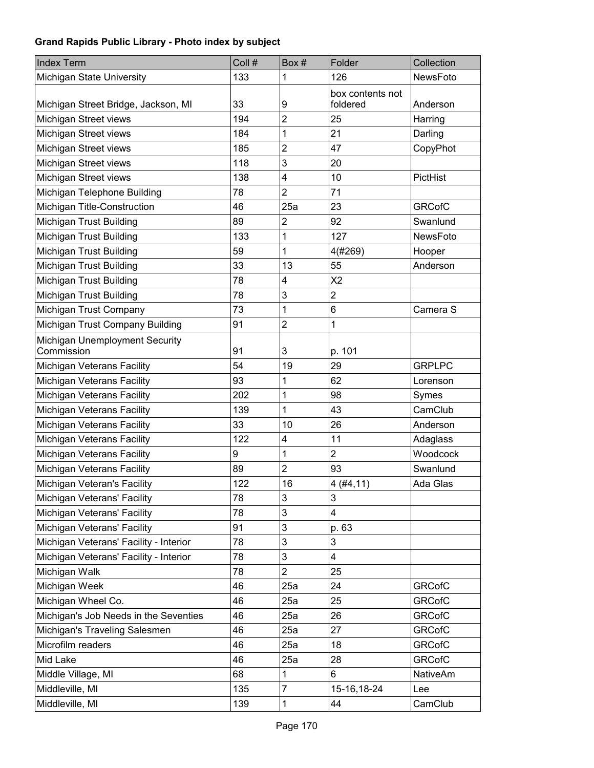| <b>Index Term</b>                            | Coll # | Box#           | Folder                       | Collection      |
|----------------------------------------------|--------|----------------|------------------------------|-----------------|
| Michigan State University                    | 133    | 1              | 126                          | NewsFoto        |
| Michigan Street Bridge, Jackson, MI          | 33     | 9              | box contents not<br>foldered | Anderson        |
| Michigan Street views                        | 194    | $\overline{2}$ | 25                           | Harring         |
| Michigan Street views                        | 184    | 1              | 21                           | Darling         |
| Michigan Street views                        | 185    | $\overline{2}$ | 47                           | CopyPhot        |
| Michigan Street views                        | 118    | 3              | 20                           |                 |
| Michigan Street views                        | 138    | 4              | 10                           | PictHist        |
| Michigan Telephone Building                  | 78     | $\overline{2}$ | 71                           |                 |
| Michigan Title-Construction                  | 46     | 25a            | 23                           | <b>GRCofC</b>   |
| Michigan Trust Building                      | 89     | $\overline{2}$ | 92                           | Swanlund        |
| Michigan Trust Building                      | 133    | 1              | 127                          | NewsFoto        |
| Michigan Trust Building                      | 59     | 1              | 4(#269)                      | Hooper          |
| Michigan Trust Building                      | 33     | 13             | 55                           | Anderson        |
| Michigan Trust Building                      | 78     | 4              | X <sub>2</sub>               |                 |
| Michigan Trust Building                      | 78     | 3              | $\overline{2}$               |                 |
| Michigan Trust Company                       | 73     | 1              | 6                            | Camera S        |
| Michigan Trust Company Building              | 91     | $\overline{2}$ | 1                            |                 |
| Michigan Unemployment Security<br>Commission | 91     | 3              | p. 101                       |                 |
| Michigan Veterans Facility                   | 54     | 19             | 29                           | <b>GRPLPC</b>   |
| Michigan Veterans Facility                   | 93     | 1              | 62                           | Lorenson        |
| Michigan Veterans Facility                   | 202    | 1              | 98                           | Symes           |
| Michigan Veterans Facility                   | 139    | 1              | 43                           | CamClub         |
| Michigan Veterans Facility                   | 33     | 10             | 26                           | Anderson        |
| Michigan Veterans Facility                   | 122    | 4              | 11                           | Adaglass        |
| Michigan Veterans Facility                   | 9      | 1              | $\overline{\mathbf{c}}$      | Woodcock        |
| Michigan Veterans Facility                   | 89     | $\overline{2}$ | 93                           | Swanlund        |
| Michigan Veteran's Facility                  | 122    | 16             | 4(#4, 11)                    | Ada Glas        |
| Michigan Veterans' Facility                  | 78     | 3              | 3                            |                 |
| Michigan Veterans' Facility                  | 78     | 3              | 4                            |                 |
| Michigan Veterans' Facility                  | 91     | 3              | p. 63                        |                 |
| Michigan Veterans' Facility - Interior       | 78     | 3              | 3                            |                 |
| Michigan Veterans' Facility - Interior       | 78     | 3              | 4                            |                 |
| Michigan Walk                                | 78     | $\overline{2}$ | 25                           |                 |
| Michigan Week                                | 46     | 25a            | 24                           | <b>GRCofC</b>   |
| Michigan Wheel Co.                           | 46     | 25a            | 25                           | <b>GRCofC</b>   |
| Michigan's Job Needs in the Seventies        | 46     | 25a            | 26                           | <b>GRCofC</b>   |
| Michigan's Traveling Salesmen                | 46     | 25a            | 27                           | <b>GRCofC</b>   |
| Microfilm readers                            | 46     | 25a            | 18                           | <b>GRCofC</b>   |
| Mid Lake                                     | 46     | 25a            | 28                           | <b>GRCofC</b>   |
| Middle Village, MI                           | 68     | 1              | 6                            | <b>NativeAm</b> |
| Middleville, MI                              | 135    | $\overline{7}$ | 15-16,18-24                  | Lee             |
| Middleville, MI                              | 139    | 1              | 44                           | CamClub         |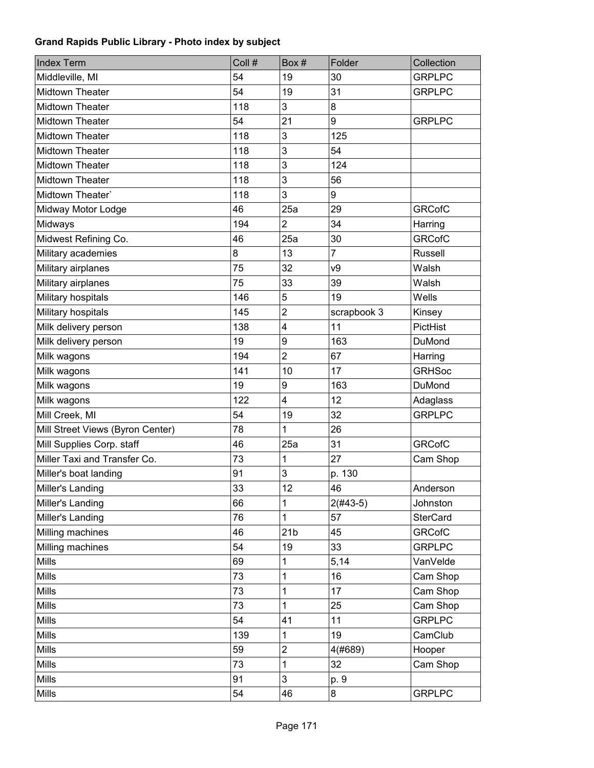| <b>Index Term</b>                | Coll # | Box#                    | Folder         | Collection      |
|----------------------------------|--------|-------------------------|----------------|-----------------|
| Middleville, MI                  | 54     | 19                      | 30             | <b>GRPLPC</b>   |
| <b>Midtown Theater</b>           | 54     | 19                      | 31             | <b>GRPLPC</b>   |
| <b>Midtown Theater</b>           | 118    | 3                       | 8              |                 |
| <b>Midtown Theater</b>           | 54     | 21                      | 9              | <b>GRPLPC</b>   |
| <b>Midtown Theater</b>           | 118    | 3                       | 125            |                 |
| Midtown Theater                  | 118    | 3                       | 54             |                 |
| Midtown Theater                  | 118    | 3                       | 124            |                 |
| Midtown Theater                  | 118    | 3                       | 56             |                 |
| Midtown Theater'                 | 118    | 3                       | 9              |                 |
| Midway Motor Lodge               | 46     | 25a                     | 29             | <b>GRCofC</b>   |
| Midways                          | 194    | 2                       | 34             | Harring         |
| Midwest Refining Co.             | 46     | 25a                     | 30             | <b>GRCofC</b>   |
| Military academies               | 8      | 13                      | $\overline{7}$ | <b>Russell</b>  |
| Military airplanes               | 75     | 32                      | V <sub>9</sub> | Walsh           |
| Military airplanes               | 75     | 33                      | 39             | Walsh           |
| Military hospitals               | 146    | 5                       | 19             | Wells           |
| Military hospitals               | 145    | $\overline{2}$          | scrapbook 3    | Kinsey          |
| Milk delivery person             | 138    | $\overline{\mathbf{4}}$ | 11             | PictHist        |
| Milk delivery person             | 19     | 9                       | 163            | DuMond          |
| Milk wagons                      | 194    | $\overline{2}$          | 67             | Harring         |
| Milk wagons                      | 141    | 10                      | 17             | <b>GRHSoc</b>   |
| Milk wagons                      | 19     | 9                       | 163            | DuMond          |
| Milk wagons                      | 122    | 4                       | 12             | Adaglass        |
| Mill Creek, MI                   | 54     | 19                      | 32             | <b>GRPLPC</b>   |
| Mill Street Views (Byron Center) | 78     | 1                       | 26             |                 |
| Mill Supplies Corp. staff        | 46     | 25a                     | 31             | <b>GRCofC</b>   |
| Miller Taxi and Transfer Co.     | 73     | 1                       | 27             | Cam Shop        |
| Miller's boat landing            | 91     | 3                       | p. 130         |                 |
| Miller's Landing                 | 33     | 12                      | 46             | Anderson        |
| Miller's Landing                 | 66     | 1                       | $2(#43-5)$     | Johnston        |
| Miller's Landing                 | 76     | 1                       | 57             | <b>SterCard</b> |
| Milling machines                 | 46     | 21 <sub>b</sub>         | 45             | <b>GRCofC</b>   |
| Milling machines                 | 54     | 19                      | 33             | <b>GRPLPC</b>   |
| Mills                            | 69     | 1                       | 5,14           | VanVelde        |
| Mills                            | 73     | 1                       | 16             | Cam Shop        |
| Mills                            | 73     | 1                       | 17             | Cam Shop        |
| Mills                            | 73     | 1                       | 25             | Cam Shop        |
| Mills                            | 54     | 41                      | 11             | <b>GRPLPC</b>   |
| Mills                            | 139    | 1                       | 19             | CamClub         |
| Mills                            | 59     | $\boldsymbol{2}$        | 4(#689)        | Hooper          |
| Mills                            | 73     | 1                       | 32             | Cam Shop        |
| Mills                            | 91     | 3                       | p. 9           |                 |
| Mills                            | 54     | 46                      | 8              | <b>GRPLPC</b>   |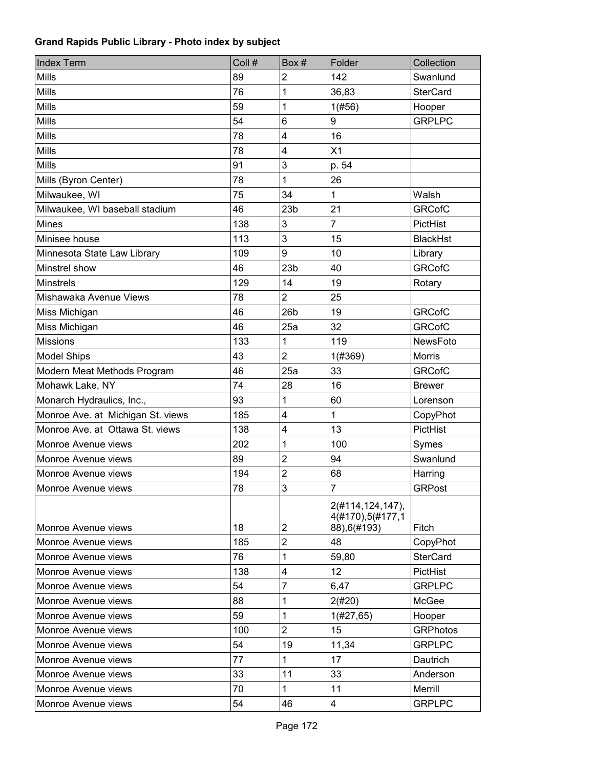| <b>Index Term</b>                 | Coll # | Box#                    | Folder                                               | Collection      |
|-----------------------------------|--------|-------------------------|------------------------------------------------------|-----------------|
| <b>Mills</b>                      | 89     | $\overline{c}$          | 142                                                  | Swanlund        |
| <b>Mills</b>                      | 76     | 1                       | 36,83                                                | <b>SterCard</b> |
| <b>Mills</b>                      | 59     | 1                       | 1(#56)                                               | Hooper          |
| <b>Mills</b>                      | 54     | 6                       | 9                                                    | <b>GRPLPC</b>   |
| Mills                             | 78     | 4                       | 16                                                   |                 |
| <b>Mills</b>                      | 78     | 4                       | X1                                                   |                 |
| Mills                             | 91     | 3                       | p. 54                                                |                 |
| Mills (Byron Center)              | 78     | 1                       | 26                                                   |                 |
| Milwaukee, WI                     | 75     | 34                      | 1                                                    | Walsh           |
| Milwaukee, WI baseball stadium    | 46     | 23 <sub>b</sub>         | 21                                                   | <b>GRCofC</b>   |
| <b>Mines</b>                      | 138    | 3                       | 7                                                    | PictHist        |
| Minisee house                     | 113    | 3                       | 15                                                   | <b>BlackHst</b> |
| Minnesota State Law Library       | 109    | 9                       | 10                                                   | Library         |
| Minstrel show                     | 46     | 23 <sub>b</sub>         | 40                                                   | <b>GRCofC</b>   |
| <b>Minstrels</b>                  | 129    | 14                      | 19                                                   | Rotary          |
| Mishawaka Avenue Views            | 78     | $\overline{2}$          | 25                                                   |                 |
| Miss Michigan                     | 46     | 26 <sub>b</sub>         | 19                                                   | <b>GRCofC</b>   |
| Miss Michigan                     | 46     | 25a                     | 32                                                   | <b>GRCofC</b>   |
| <b>Missions</b>                   | 133    | 1                       | 119                                                  | NewsFoto        |
| <b>Model Ships</b>                | 43     | $\overline{2}$          | 1(#369)                                              | <b>Morris</b>   |
| Modern Meat Methods Program       | 46     | 25a                     | 33                                                   | <b>GRCofC</b>   |
| Mohawk Lake, NY                   | 74     | 28                      | 16                                                   | <b>Brewer</b>   |
| Monarch Hydraulics, Inc.,         | 93     | 1                       | 60                                                   | Lorenson        |
| Monroe Ave. at Michigan St. views | 185    | $\overline{\mathbf{4}}$ | 1                                                    | CopyPhot        |
| Monroe Ave. at Ottawa St. views   | 138    | 4                       | 13                                                   | PictHist        |
| Monroe Avenue views               | 202    | 1                       | 100                                                  | Symes           |
| Monroe Avenue views               | 89     | $\overline{2}$          | 94                                                   | Swanlund        |
| Monroe Avenue views               | 194    | $\overline{c}$          | 68                                                   | Harring         |
| Monroe Avenue views               | 78     | 3                       | $\overline{7}$                                       | <b>GRPost</b>   |
| Monroe Avenue views               | 18     | $\boldsymbol{2}$        | 2(#114,124,147),<br>4(#170),5(#177,1<br>88), 6(#193) | Fitch           |
| Monroe Avenue views               | 185    | $\overline{2}$          | 48                                                   | CopyPhot        |
| Monroe Avenue views               | 76     | 1                       | 59,80                                                | <b>SterCard</b> |
| Monroe Avenue views               | 138    | 4                       | 12                                                   | PictHist        |
| Monroe Avenue views               | 54     | $\overline{7}$          | 6,47                                                 | <b>GRPLPC</b>   |
| Monroe Avenue views               | 88     | 1                       | 2(#20)                                               | McGee           |
| Monroe Avenue views               | 59     | 1                       | 1(#27, 65)                                           | Hooper          |
| Monroe Avenue views               | 100    | $\overline{2}$          | 15                                                   | <b>GRPhotos</b> |
| Monroe Avenue views               | 54     | 19                      | 11,34                                                | <b>GRPLPC</b>   |
| Monroe Avenue views               | 77     | 1                       | 17                                                   | Dautrich        |
| Monroe Avenue views               | 33     | 11                      | 33                                                   | Anderson        |
| Monroe Avenue views               | 70     | 1                       | 11                                                   | Merrill         |
| Monroe Avenue views               | 54     | 46                      | 4                                                    | <b>GRPLPC</b>   |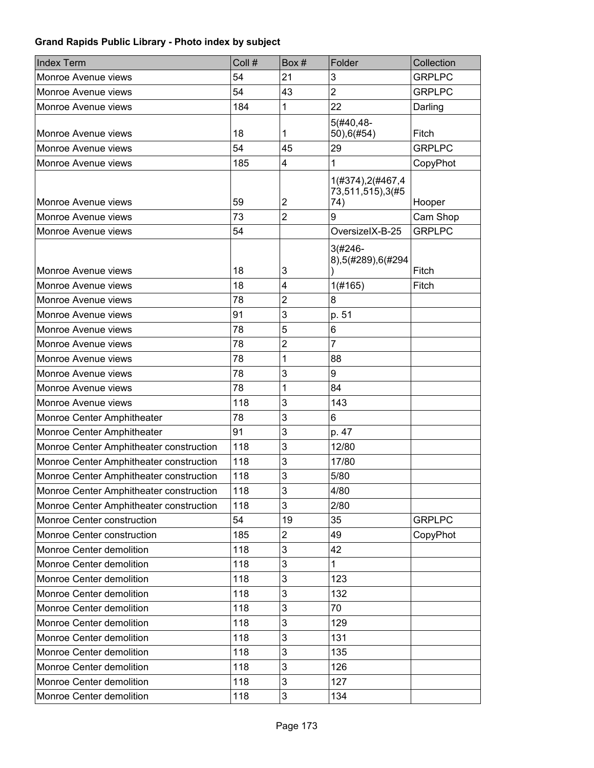| <b>Index Term</b>                       | Coll # | Box#                    | Folder                                        | Collection    |
|-----------------------------------------|--------|-------------------------|-----------------------------------------------|---------------|
| Monroe Avenue views                     | 54     | 21                      | 3                                             | <b>GRPLPC</b> |
| Monroe Avenue views                     | 54     | 43                      | $\overline{2}$                                | <b>GRPLPC</b> |
| Monroe Avenue views                     | 184    | 1                       | 22                                            | Darling       |
| Monroe Avenue views                     | 18     | 1                       | $5(#40, 48-$<br>50),6(#54)                    | Fitch         |
| Monroe Avenue views                     | 54     | 45                      | 29                                            | <b>GRPLPC</b> |
| Monroe Avenue views                     | 185    | 4                       | 1                                             | CopyPhot      |
| Monroe Avenue views                     | 59     | $\overline{2}$          | 1(#374), 2(#467, 4<br>73,511,515),3(#5<br>74) | Hooper        |
| Monroe Avenue views                     | 73     | $\overline{2}$          | 9                                             | Cam Shop      |
| Monroe Avenue views                     | 54     |                         | OversizelX-B-25                               | <b>GRPLPC</b> |
| Monroe Avenue views                     | 18     | 3                       | $3(#246 -$<br>8),5(#289),6(#294               | Fitch         |
| Monroe Avenue views                     | 18     | $\overline{\mathbf{4}}$ | 1(#165)                                       | Fitch         |
| Monroe Avenue views                     | 78     | $\overline{2}$          | 8                                             |               |
| Monroe Avenue views                     | 91     | 3                       | p. 51                                         |               |
| Monroe Avenue views                     | 78     | 5                       | 6                                             |               |
| Monroe Avenue views                     | 78     | $\overline{2}$          | $\overline{7}$                                |               |
| Monroe Avenue views                     | 78     | 1                       | 88                                            |               |
| Monroe Avenue views                     | 78     | 3                       | 9                                             |               |
| Monroe Avenue views                     | 78     | 1                       | 84                                            |               |
| Monroe Avenue views                     | 118    | 3                       | 143                                           |               |
| Monroe Center Amphitheater              | 78     | 3                       | 6                                             |               |
| Monroe Center Amphitheater              | 91     | 3                       | p. 47                                         |               |
| Monroe Center Amphitheater construction | 118    | 3                       | 12/80                                         |               |
| Monroe Center Amphitheater construction | 118    | 3                       | 17/80                                         |               |
| Monroe Center Amphitheater construction | 118    | 3                       | 5/80                                          |               |
| Monroe Center Amphitheater construction | 118    | 3                       | 4/80                                          |               |
| Monroe Center Amphitheater construction | 118    | 3                       | 2/80                                          |               |
| Monroe Center construction              | 54     | 19                      | 35                                            | <b>GRPLPC</b> |
| Monroe Center construction              | 185    | $\overline{2}$          | 49                                            | CopyPhot      |
| Monroe Center demolition                | 118    | 3                       | 42                                            |               |
| Monroe Center demolition                | 118    | 3                       | $\mathbf{1}$                                  |               |
| Monroe Center demolition                | 118    | 3                       | 123                                           |               |
| Monroe Center demolition                | 118    | 3                       | 132                                           |               |
| Monroe Center demolition                | 118    | 3                       | 70                                            |               |
| Monroe Center demolition                | 118    | 3                       | 129                                           |               |
| Monroe Center demolition                | 118    | 3                       | 131                                           |               |
| Monroe Center demolition                | 118    | $\mathbf{3}$            | 135                                           |               |
| Monroe Center demolition                | 118    | 3                       | 126                                           |               |
| Monroe Center demolition                | 118    | 3                       | 127                                           |               |
| Monroe Center demolition                | 118    | 3                       | 134                                           |               |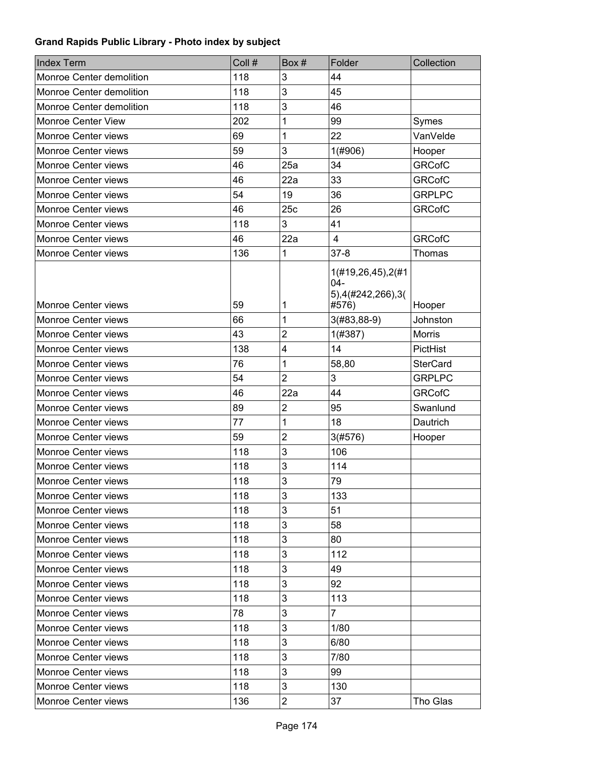| <b>Index Term</b>          | Coll # | Box #          | Folder                                                    | Collection      |
|----------------------------|--------|----------------|-----------------------------------------------------------|-----------------|
| Monroe Center demolition   | 118    | 3              | 44                                                        |                 |
| Monroe Center demolition   | 118    | 3              | 45                                                        |                 |
| Monroe Center demolition   | 118    | 3              | 46                                                        |                 |
| <b>Monroe Center View</b>  | 202    | 1              | 99                                                        | Symes           |
| Monroe Center views        | 69     | 1              | 22                                                        | VanVelde        |
| Monroe Center views        | 59     | 3              | 1(#906)                                                   | Hooper          |
| <b>Monroe Center views</b> | 46     | 25a            | 34                                                        | <b>GRCofC</b>   |
| Monroe Center views        | 46     | 22a            | 33                                                        | <b>GRCofC</b>   |
| <b>Monroe Center views</b> | 54     | 19             | 36                                                        | <b>GRPLPC</b>   |
| Monroe Center views        | 46     | 25c            | 26                                                        | <b>GRCofC</b>   |
| Monroe Center views        | 118    | 3              | 41                                                        |                 |
| Monroe Center views        | 46     | 22a            | $\overline{4}$                                            | <b>GRCofC</b>   |
| Monroe Center views        | 136    | 1              | $37 - 8$                                                  | Thomas          |
| <b>Monroe Center views</b> | 59     | 1              | 1(#19,26,45),2(#1<br>$04 -$<br>5),4(#242,266),3(<br>#576) | Hooper          |
| Monroe Center views        | 66     | 1              | $3(#83, 88-9)$                                            | Johnston        |
| Monroe Center views        | 43     | $\overline{c}$ | 1(#387)                                                   | <b>Morris</b>   |
| Monroe Center views        | 138    | 4              | 14                                                        | PictHist        |
| <b>Monroe Center views</b> | 76     | 1              | 58,80                                                     | <b>SterCard</b> |
| Monroe Center views        | 54     | $\overline{2}$ | 3                                                         | <b>GRPLPC</b>   |
| Monroe Center views        | 46     | 22a            | 44                                                        | <b>GRCofC</b>   |
| Monroe Center views        | 89     | $\overline{2}$ | 95                                                        | Swanlund        |
| <b>Monroe Center views</b> | 77     | 1              | 18                                                        | Dautrich        |
| <b>Monroe Center views</b> | 59     | $\overline{2}$ | 3(#576)                                                   | Hooper          |
| Monroe Center views        | 118    | 3              | 106                                                       |                 |
| Monroe Center views        | 118    | 3              | 114                                                       |                 |
| <b>Monroe Center views</b> | 118    | 3              | 79                                                        |                 |
| Monroe Center views        | 118    | 3              | 133                                                       |                 |
| Monroe Center views        | 118    | 3              | 51                                                        |                 |
| Monroe Center views        | 118    | 3              | 58                                                        |                 |
| <b>Monroe Center views</b> | 118    | 3              | 80                                                        |                 |
| Monroe Center views        | 118    | 3              | 112                                                       |                 |
| Monroe Center views        | 118    | 3              | 49                                                        |                 |
| Monroe Center views        | 118    | 3              | 92                                                        |                 |
| <b>Monroe Center views</b> | 118    | 3              | 113                                                       |                 |
| Monroe Center views        | 78     | 3              | $\overline{7}$                                            |                 |
| Monroe Center views        | 118    | 3              | 1/80                                                      |                 |
| Monroe Center views        | 118    | 3              | 6/80                                                      |                 |
| Monroe Center views        | 118    | 3              | 7/80                                                      |                 |
| Monroe Center views        | 118    | 3              | 99                                                        |                 |
| Monroe Center views        | 118    | 3              | 130                                                       |                 |
| Monroe Center views        | 136    | $\overline{c}$ | 37                                                        | Tho Glas        |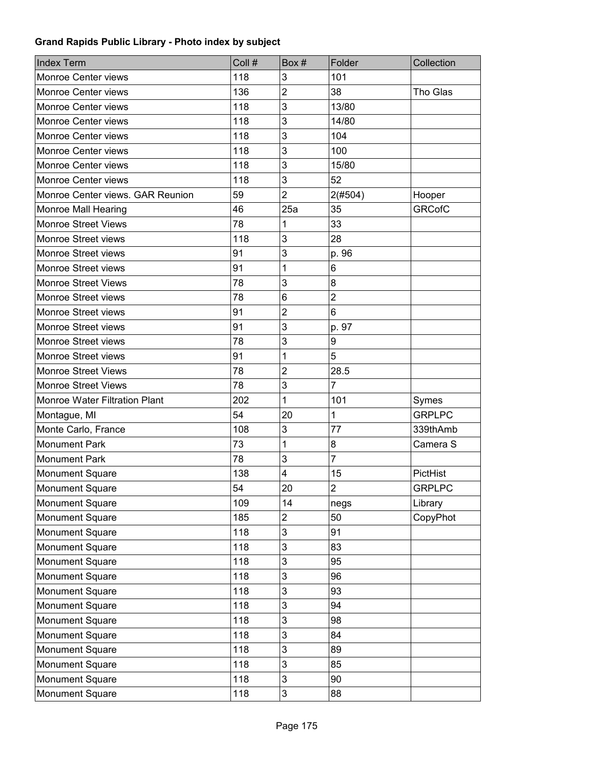| <b>Index Term</b>                | Coll # | Box#                      | Folder         | Collection    |
|----------------------------------|--------|---------------------------|----------------|---------------|
| Monroe Center views              | 118    | 3                         | 101            |               |
| Monroe Center views              | 136    | $\overline{2}$            | 38             | Tho Glas      |
| Monroe Center views              | 118    | 3                         | 13/80          |               |
| <b>Monroe Center views</b>       | 118    | 3                         | 14/80          |               |
| <b>Monroe Center views</b>       | 118    | 3                         | 104            |               |
| Monroe Center views              | 118    | 3                         | 100            |               |
| <b>Monroe Center views</b>       | 118    | 3                         | 15/80          |               |
| Monroe Center views              | 118    | 3                         | 52             |               |
| Monroe Center views. GAR Reunion | 59     | $\overline{2}$            | 2(#504)        | Hooper        |
| <b>Monroe Mall Hearing</b>       | 46     | 25a                       | 35             | <b>GRCofC</b> |
| <b>Monroe Street Views</b>       | 78     | 1                         | 33             |               |
| Monroe Street views              | 118    | 3                         | 28             |               |
| Monroe Street views              | 91     | 3                         | p. 96          |               |
| Monroe Street views              | 91     | 1                         | 6              |               |
| <b>Monroe Street Views</b>       | 78     | 3                         | 8              |               |
| Monroe Street views              | 78     | 6                         | $\overline{2}$ |               |
| Monroe Street views              | 91     | $\overline{2}$            | 6              |               |
| Monroe Street views              | 91     | 3                         | p. 97          |               |
| Monroe Street views              | 78     | 3                         | 9              |               |
| Monroe Street views              | 91     | 1                         | 5              |               |
| <b>Monroe Street Views</b>       | 78     | $\overline{2}$            | 28.5           |               |
| <b>Monroe Street Views</b>       | 78     | 3                         | $\overline{7}$ |               |
| Monroe Water Filtration Plant    | 202    | 1                         | 101            | Symes         |
| Montague, MI                     | 54     | 20                        | $\mathbf 1$    | <b>GRPLPC</b> |
| Monte Carlo, France              | 108    | 3                         | 77             | 339thAmb      |
| <b>Monument Park</b>             | 73     | 1                         | 8              | Camera S      |
| <b>Monument Park</b>             | 78     | 3                         | $\overline{7}$ |               |
| <b>Monument Square</b>           | 138    | $\overline{\mathbf{4}}$   | 15             | PictHist      |
| <b>Monument Square</b>           | 54     | 20                        | $\overline{2}$ | <b>GRPLPC</b> |
| <b>Monument Square</b>           | 109    | 14                        | negs           | Library       |
| Monument Square                  | 185    | $\overline{2}$            | 50             | CopyPhot      |
| Monument Square                  | 118    | 3                         | 91             |               |
| Monument Square                  | 118    | 3                         | 83             |               |
| Monument Square                  | 118    | 3                         | 95             |               |
| Monument Square                  | 118    | 3                         | 96             |               |
| Monument Square                  | 118    | 3                         | 93             |               |
| Monument Square                  | 118    | 3                         | 94             |               |
| Monument Square                  | 118    | $\ensuremath{\mathsf{3}}$ | 98             |               |
| Monument Square                  | 118    | $\mathbf{3}$              | 84             |               |
| Monument Square                  | 118    | 3                         | 89             |               |
| Monument Square                  | 118    | $\mathbf{3}$              | 85             |               |
| Monument Square                  | 118    | 3                         | 90             |               |
| Monument Square                  | 118    | 3                         | 88             |               |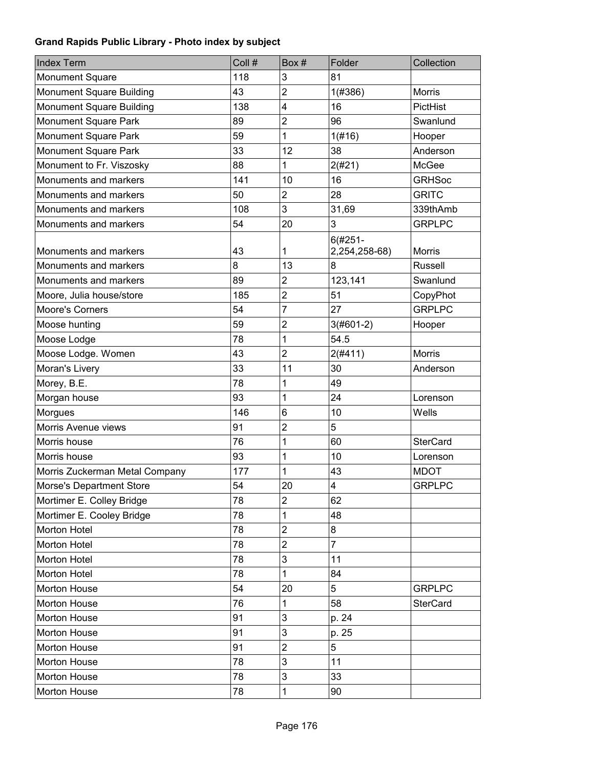| <b>Index Term</b>               | Coll # | Box#                    | Folder                      | Collection      |
|---------------------------------|--------|-------------------------|-----------------------------|-----------------|
| Monument Square                 | 118    | 3                       | 81                          |                 |
| Monument Square Building        | 43     | $\overline{2}$          | 1(#386)                     | <b>Morris</b>   |
| Monument Square Building        | 138    | $\overline{\mathbf{4}}$ | 16                          | PictHist        |
| Monument Square Park            | 89     | $\overline{2}$          | 96                          | Swanlund        |
| Monument Square Park            | 59     | 1                       | 1(f#16)                     | Hooper          |
| Monument Square Park            | 33     | 12                      | 38                          | Anderson        |
| Monument to Fr. Viszosky        | 88     | 1                       | 2(#21)                      | <b>McGee</b>    |
| Monuments and markers           | 141    | 10                      | 16                          | <b>GRHSoc</b>   |
| Monuments and markers           | 50     | $\overline{c}$          | 28                          | <b>GRITC</b>    |
| Monuments and markers           | 108    | 3                       | 31,69                       | 339thAmb        |
| Monuments and markers           | 54     | 20                      | 3                           | <b>GRPLPC</b>   |
| Monuments and markers           | 43     | 1                       | $6(#251 -$<br>2,254,258-68) | <b>Morris</b>   |
| Monuments and markers           | 8      | 13                      | 8                           | <b>Russell</b>  |
| Monuments and markers           | 89     | $\overline{c}$          | 123,141                     | Swanlund        |
| Moore, Julia house/store        | 185    | $\overline{c}$          | 51                          | CopyPhot        |
| <b>Moore's Corners</b>          | 54     | 7                       | 27                          | <b>GRPLPC</b>   |
| Moose hunting                   | 59     | $\overline{2}$          | $3(#601-2)$                 | Hooper          |
| Moose Lodge                     | 78     | 1                       | 54.5                        |                 |
| Moose Lodge. Women              | 43     | $\overline{2}$          | 2(#411)                     | <b>Morris</b>   |
| Moran's Livery                  | 33     | 11                      | 30                          | Anderson        |
| Morey, B.E.                     | 78     | 1                       | 49                          |                 |
| Morgan house                    | 93     | 1                       | 24                          | Lorenson        |
| Morgues                         | 146    | 6                       | 10                          | Wells           |
| Morris Avenue views             | 91     | $\overline{\mathbf{c}}$ | 5                           |                 |
| Morris house                    | 76     | 1                       | 60                          | <b>SterCard</b> |
| Morris house                    | 93     | 1                       | 10                          | Lorenson        |
| Morris Zuckerman Metal Company  | 177    | 1                       | 43                          | <b>MDOT</b>     |
| <b>Morse's Department Store</b> | 54     | 20                      | $\overline{\mathbf{4}}$     | <b>GRPLPC</b>   |
| Mortimer E. Colley Bridge       | 78     | $\overline{2}$          | 62                          |                 |
| Mortimer E. Cooley Bridge       | 78     | 1                       | 48                          |                 |
| Morton Hotel                    | 78     | $\overline{c}$          | 8                           |                 |
| Morton Hotel                    | 78     | $\overline{2}$          | $\overline{7}$              |                 |
| Morton Hotel                    | 78     | 3                       | 11                          |                 |
| Morton Hotel                    | 78     | 1                       | 84                          |                 |
| Morton House                    | 54     | 20                      | 5                           | <b>GRPLPC</b>   |
| Morton House                    | 76     | 1                       | 58                          | <b>SterCard</b> |
| Morton House                    | 91     | 3                       | p. 24                       |                 |
| Morton House                    | 91     | 3                       | p. 25                       |                 |
| Morton House                    | 91     | $\overline{c}$          | 5                           |                 |
| Morton House                    | 78     | 3                       | 11                          |                 |
| Morton House                    | 78     | 3                       | 33                          |                 |
| Morton House                    | 78     | 1                       | 90                          |                 |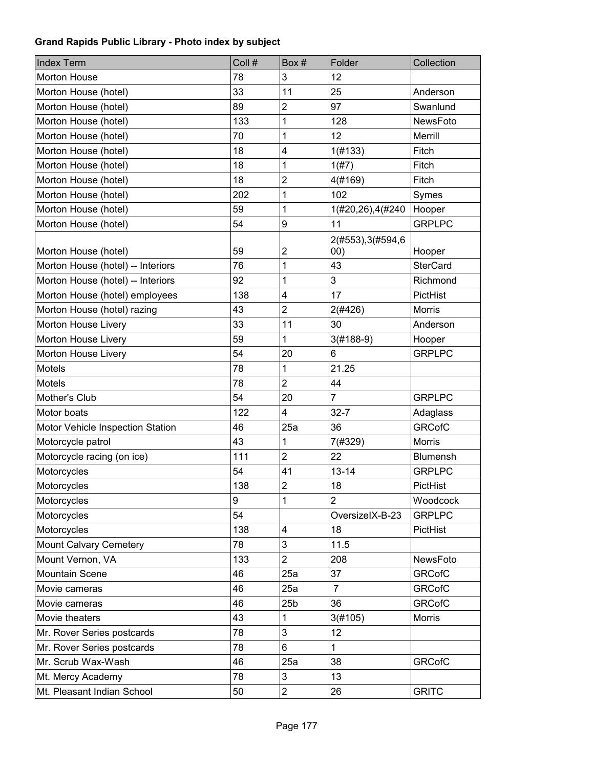| <b>Index Term</b>                 | Coll # | Box#            | Folder                    | Collection      |
|-----------------------------------|--------|-----------------|---------------------------|-----------------|
| Morton House                      | 78     | 3               | 12                        |                 |
| Morton House (hotel)              | 33     | 11              | 25                        | Anderson        |
| Morton House (hotel)              | 89     | $\overline{c}$  | 97                        | Swanlund        |
| Morton House (hotel)              | 133    | 1               | 128                       | NewsFoto        |
| Morton House (hotel)              | 70     | 1               | 12                        | Merrill         |
| Morton House (hotel)              | 18     | 4               | 1(#133)                   | Fitch           |
| Morton House (hotel)              | 18     | 1               | 1(#7)                     | Fitch           |
| Morton House (hotel)              | 18     | $\overline{c}$  | 4(#169)                   | Fitch           |
| Morton House (hotel)              | 202    | 1               | 102                       | Symes           |
| Morton House (hotel)              | 59     | 1               | 1(#20,26),4(#240          | Hooper          |
| Morton House (hotel)              | 54     | 9               | 11                        | <b>GRPLPC</b>   |
| Morton House (hotel)              | 59     | 2               | 2(#553), 3(#594, 6<br>00) | Hooper          |
| Morton House (hotel) -- Interiors | 76     | 1               | 43                        | <b>SterCard</b> |
| Morton House (hotel) -- Interiors | 92     | 1               | 3                         | Richmond        |
| Morton House (hotel) employees    | 138    | 4               | 17                        | PictHist        |
| Morton House (hotel) razing       | 43     | $\overline{2}$  | 2(#426)                   | Morris          |
| Morton House Livery               | 33     | 11              | 30                        | Anderson        |
| Morton House Livery               | 59     | 1               | $3(#188-9)$               | Hooper          |
| Morton House Livery               | 54     | 20              | 6                         | <b>GRPLPC</b>   |
| <b>Motels</b>                     | 78     | 1               | 21.25                     |                 |
| Motels                            | 78     | $\overline{2}$  | 44                        |                 |
| Mother's Club                     | 54     | 20              | 7                         | <b>GRPLPC</b>   |
| Motor boats                       | 122    | 4               | $32 - 7$                  | Adaglass        |
| Motor Vehicle Inspection Station  | 46     | 25a             | 36                        | <b>GRCofC</b>   |
| Motorcycle patrol                 | 43     | 1               | 7(#329)                   | <b>Morris</b>   |
| Motorcycle racing (on ice)        | 111    | $\overline{2}$  | 22                        | Blumensh        |
| Motorcycles                       | 54     | 41              | $13 - 14$                 | <b>GRPLPC</b>   |
| Motorcycles                       | 138    | $\overline{c}$  | 18                        | PictHist        |
| Motorcycles                       | 9      | 1               | $\overline{2}$            | Woodcock        |
| Motorcycles                       | 54     |                 | OversizelX-B-23           | <b>GRPLPC</b>   |
| Motorcycles                       | 138    | 4               | 18                        | PictHist        |
| Mount Calvary Cemetery            | 78     | 3               | 11.5                      |                 |
| Mount Vernon, VA                  | 133    | $\overline{2}$  | 208                       | NewsFoto        |
| Mountain Scene                    | 46     | 25a             | 37                        | <b>GRCofC</b>   |
| Movie cameras                     | 46     | 25a             | $\overline{7}$            | <b>GRCofC</b>   |
| Movie cameras                     | 46     | 25 <sub>b</sub> | 36                        | <b>GRCofC</b>   |
| Movie theaters                    | 43     | 1               | 3(#105)                   | Morris          |
| Mr. Rover Series postcards        | 78     | 3               | 12                        |                 |
| Mr. Rover Series postcards        | 78     | 6               | 1                         |                 |
| Mr. Scrub Wax-Wash                | 46     | 25a             | 38                        | <b>GRCofC</b>   |
| Mt. Mercy Academy                 | 78     | 3               | 13                        |                 |
| Mt. Pleasant Indian School        | 50     | $\overline{c}$  | 26                        | <b>GRITC</b>    |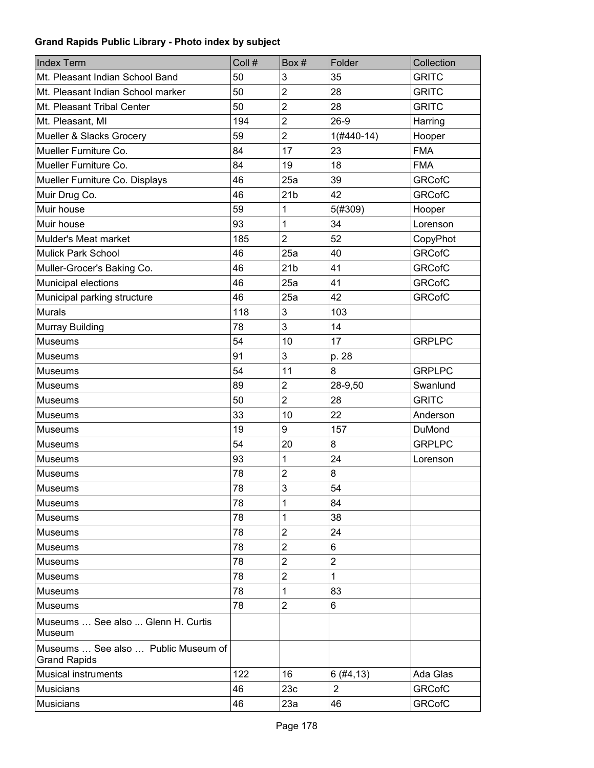| <b>Index Term</b>                                          | Coll # | Box #           | Folder         | Collection    |
|------------------------------------------------------------|--------|-----------------|----------------|---------------|
| Mt. Pleasant Indian School Band                            | 50     | 3               | 35             | <b>GRITC</b>  |
| Mt. Pleasant Indian School marker                          | 50     | $\overline{2}$  | 28             | <b>GRITC</b>  |
| Mt. Pleasant Tribal Center                                 | 50     | $\overline{2}$  | 28             | <b>GRITC</b>  |
| Mt. Pleasant, MI                                           | 194    | $\overline{2}$  | $26-9$         | Harring       |
| Mueller & Slacks Grocery                                   | 59     | $\overline{2}$  | $1($ #440-14)  | Hooper        |
| Mueller Furniture Co.                                      | 84     | 17              | 23             | <b>FMA</b>    |
| Mueller Furniture Co.                                      | 84     | 19              | 18             | <b>FMA</b>    |
| Mueller Furniture Co. Displays                             | 46     | 25a             | 39             | <b>GRCofC</b> |
| Muir Drug Co.                                              | 46     | 21 <sub>b</sub> | 42             | <b>GRCofC</b> |
| Muir house                                                 | 59     | 1               | 5(#309)        | Hooper        |
| Muir house                                                 | 93     | 1               | 34             | Lorenson      |
| Mulder's Meat market                                       | 185    | $\overline{2}$  | 52             | CopyPhot      |
| <b>Mulick Park School</b>                                  | 46     | 25a             | 40             | <b>GRCofC</b> |
| Muller-Grocer's Baking Co.                                 | 46     | 21 <sub>b</sub> | 41             | <b>GRCofC</b> |
| Municipal elections                                        | 46     | 25a             | 41             | <b>GRCofC</b> |
| Municipal parking structure                                | 46     | 25a             | 42             | <b>GRCofC</b> |
| <b>Murals</b>                                              | 118    | 3               | 103            |               |
| <b>Murray Building</b>                                     | 78     | 3               | 14             |               |
| <b>Museums</b>                                             | 54     | 10              | 17             | <b>GRPLPC</b> |
| Museums                                                    | 91     | 3               | p. 28          |               |
| Museums                                                    | 54     | 11              | 8              | <b>GRPLPC</b> |
| Museums                                                    | 89     | $\overline{2}$  | 28-9,50        | Swanlund      |
| Museums                                                    | 50     | $\overline{2}$  | 28             | <b>GRITC</b>  |
| Museums                                                    | 33     | 10              | 22             | Anderson      |
| Museums                                                    | 19     | 9               | 157            | DuMond        |
| Museums                                                    | 54     | 20              | 8              | <b>GRPLPC</b> |
| Museums                                                    | 93     | 1               | 24             | Lorenson      |
| Museums                                                    | 78     | $\overline{2}$  | 8              |               |
| Museums                                                    | 78     | 3               | 54             |               |
| Museums                                                    | 78     | 1               | 84             |               |
| <b>Museums</b>                                             | 78     | 1               | 38             |               |
| <b>Museums</b>                                             | 78     | $\overline{2}$  | 24             |               |
| <b>Museums</b>                                             | 78     | $\overline{2}$  | 6              |               |
| Museums                                                    | 78     | $\overline{2}$  | $\overline{2}$ |               |
| Museums                                                    | 78     | $\overline{2}$  | 1              |               |
| <b>Museums</b>                                             | 78     | 1               | 83             |               |
| Museums                                                    | 78     | $\overline{2}$  | 6              |               |
| Museums  See also  Glenn H. Curtis<br>Museum               |        |                 |                |               |
| Museums  See also  Public Museum of<br><b>Grand Rapids</b> |        |                 |                |               |
| Musical instruments                                        | 122    | 16              | 6(#4, 13)      | Ada Glas      |
| <b>Musicians</b>                                           | 46     | 23c             | $\overline{2}$ | <b>GRCofC</b> |
| <b>Musicians</b>                                           | 46     | 23a             | 46             | <b>GRCofC</b> |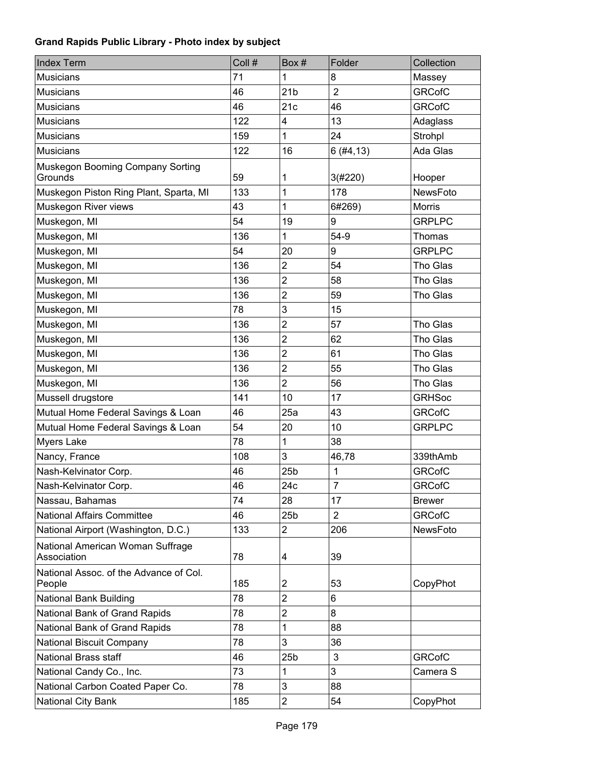| <b>Index Term</b>                                | Coll # | Box #           | Folder         | Collection    |
|--------------------------------------------------|--------|-----------------|----------------|---------------|
| <b>Musicians</b>                                 | 71     | 1               | 8              | Massey        |
| <b>Musicians</b>                                 | 46     | 21 <sub>b</sub> | $\overline{2}$ | <b>GRCofC</b> |
| <b>Musicians</b>                                 | 46     | 21c             | 46             | <b>GRCofC</b> |
| <b>Musicians</b>                                 | 122    | 4               | 13             | Adaglass      |
| <b>Musicians</b>                                 | 159    | 1               | 24             | Strohpl       |
| <b>Musicians</b>                                 | 122    | 16              | 6(#4, 13)      | Ada Glas      |
| Muskegon Booming Company Sorting<br>Grounds      | 59     | 1               | 3(#220)        | Hooper        |
| Muskegon Piston Ring Plant, Sparta, MI           | 133    | 1               | 178            | NewsFoto      |
| Muskegon River views                             | 43     | 1               | 6#269)         | <b>Morris</b> |
| Muskegon, MI                                     | 54     | 19              | 9              | <b>GRPLPC</b> |
| Muskegon, MI                                     | 136    | 1               | $54-9$         | Thomas        |
| Muskegon, MI                                     | 54     | 20              | 9              | <b>GRPLPC</b> |
| Muskegon, MI                                     | 136    | $\overline{2}$  | 54             | Tho Glas      |
| Muskegon, MI                                     | 136    | $\overline{2}$  | 58             | Tho Glas      |
| Muskegon, MI                                     | 136    | $\overline{2}$  | 59             | Tho Glas      |
| Muskegon, MI                                     | 78     | 3               | 15             |               |
| Muskegon, MI                                     | 136    | $\overline{2}$  | 57             | Tho Glas      |
| Muskegon, MI                                     | 136    | $\overline{2}$  | 62             | Tho Glas      |
| Muskegon, MI                                     | 136    | $\overline{2}$  | 61             | Tho Glas      |
| Muskegon, MI                                     | 136    | $\overline{2}$  | 55             | Tho Glas      |
| Muskegon, MI                                     | 136    | $\overline{2}$  | 56             | Tho Glas      |
| Mussell drugstore                                | 141    | 10              | 17             | <b>GRHSoc</b> |
| Mutual Home Federal Savings & Loan               | 46     | 25a             | 43             | <b>GRCofC</b> |
| Mutual Home Federal Savings & Loan               | 54     | 20              | 10             | <b>GRPLPC</b> |
| <b>Myers Lake</b>                                | 78     | 1               | 38             |               |
| Nancy, France                                    | 108    | 3               | 46,78          | 339thAmb      |
| Nash-Kelvinator Corp.                            | 46     | 25 <sub>b</sub> | 1              | <b>GRCofC</b> |
| Nash-Kelvinator Corp.                            | 46     | 24c             | $\overline{7}$ | <b>GRCofC</b> |
| Nassau, Bahamas                                  | 74     | 28              | 17             | <b>Brewer</b> |
| <b>National Affairs Committee</b>                | 46     | 25 <sub>b</sub> | $\overline{2}$ | <b>GRCofC</b> |
| National Airport (Washington, D.C.)              | 133    | $\overline{2}$  | 206            | NewsFoto      |
| National American Woman Suffrage<br>Association  | 78     | 4               | 39             |               |
| National Assoc. of the Advance of Col.<br>People | 185    | 2               | 53             | CopyPhot      |
| National Bank Building                           | 78     | $\overline{2}$  | 6              |               |
| National Bank of Grand Rapids                    | 78     | $\overline{2}$  | 8              |               |
| National Bank of Grand Rapids                    | 78     | 1               | 88             |               |
| National Biscuit Company                         | 78     | 3               | 36             |               |
| National Brass staff                             | 46     | 25 <sub>b</sub> | 3              | <b>GRCofC</b> |
| National Candy Co., Inc.                         | 73     | 1               | 3              | Camera S      |
| National Carbon Coated Paper Co.                 | 78     | 3               | 88             |               |
| National City Bank                               | 185    | $\overline{c}$  | 54             | CopyPhot      |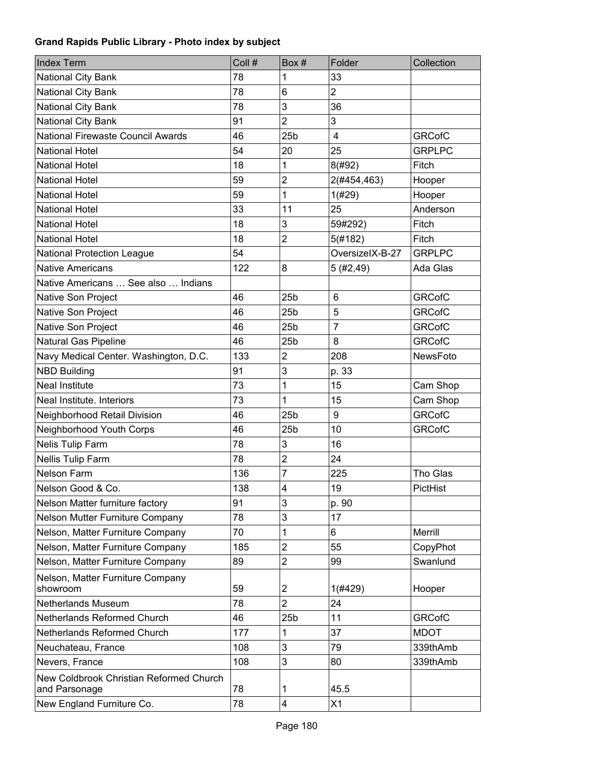| <b>Index Term</b>                                        | Coll # | Box#            | Folder           | Collection    |
|----------------------------------------------------------|--------|-----------------|------------------|---------------|
| National City Bank                                       | 78     | 1               | 33               |               |
| National City Bank                                       | 78     | 6               | $\overline{2}$   |               |
| National City Bank                                       | 78     | 3               | 36               |               |
| National City Bank                                       | 91     | $\overline{2}$  | 3                |               |
| National Firewaste Council Awards                        | 46     | 25 <sub>b</sub> | $\overline{4}$   | <b>GRCofC</b> |
| <b>National Hotel</b>                                    | 54     | 20              | 25               | <b>GRPLPC</b> |
| National Hotel                                           | 18     | 1               | 8(#92)           | Fitch         |
| <b>National Hotel</b>                                    | 59     | $\overline{2}$  | 2(#454,463)      | Hooper        |
| <b>National Hotel</b>                                    | 59     | 1               | 1(#29)           | Hooper        |
| <b>National Hotel</b>                                    | 33     | 11              | 25               | Anderson      |
| National Hotel                                           | 18     | 3               | 59#292)          | Fitch         |
| <b>National Hotel</b>                                    | 18     | $\overline{2}$  | 5(#182)          | Fitch         |
| <b>National Protection League</b>                        | 54     |                 | OversizelX-B-27  | <b>GRPLPC</b> |
| <b>Native Americans</b>                                  | 122    | 8               | 5(#2,49)         | Ada Glas      |
| Native Americans  See also  Indians                      |        |                 |                  |               |
| Native Son Project                                       | 46     | 25 <sub>b</sub> | 6                | <b>GRCofC</b> |
| Native Son Project                                       | 46     | 25 <sub>b</sub> | 5                | <b>GRCofC</b> |
| Native Son Project                                       | 46     | 25 <sub>b</sub> | $\overline{7}$   | <b>GRCofC</b> |
| Natural Gas Pipeline                                     | 46     | 25 <sub>b</sub> | 8                | <b>GRCofC</b> |
| Navy Medical Center. Washington, D.C.                    | 133    | $\overline{2}$  | 208              | NewsFoto      |
| <b>NBD Building</b>                                      | 91     | 3               | p. 33            |               |
| <b>Neal Institute</b>                                    | 73     | 1               | 15               | Cam Shop      |
| Neal Institute. Interiors                                | 73     | 1               | 15               | Cam Shop      |
| Neighborhood Retail Division                             | 46     | 25 <sub>b</sub> | $\boldsymbol{9}$ | <b>GRCofC</b> |
| Neighborhood Youth Corps                                 | 46     | 25 <sub>b</sub> | 10               | <b>GRCofC</b> |
| Nelis Tulip Farm                                         | 78     | 3               | 16               |               |
| Nellis Tulip Farm                                        | 78     | $\overline{2}$  | 24               |               |
| <b>Nelson Farm</b>                                       | 136    | $\overline{7}$  | 225              | Tho Glas      |
| Nelson Good & Co.                                        | 138    | 4               | 19               | PictHist      |
| Nelson Matter furniture factory                          | 91     | 3               | p. 90            |               |
| Nelson Mutter Furniture Company                          | 78     | 3               | 17               |               |
| Nelson, Matter Furniture Company                         | 70     | 1               | 6                | Merrill       |
| Nelson, Matter Furniture Company                         | 185    | $\overline{2}$  | 55               | CopyPhot      |
| Nelson, Matter Furniture Company                         | 89     | $\overline{2}$  | 99               | Swanlund      |
| Nelson, Matter Furniture Company                         |        |                 |                  |               |
| showroom                                                 | 59     | $\overline{2}$  | 1(#429)          | Hooper        |
| Netherlands Museum                                       | 78     | $\overline{2}$  | 24               |               |
| Netherlands Reformed Church                              | 46     | 25 <sub>b</sub> | 11               | <b>GRCofC</b> |
| Netherlands Reformed Church                              | 177    | 1               | 37               | <b>MDOT</b>   |
| Neuchateau, France                                       | 108    | 3               | 79               | 339thAmb      |
| Nevers, France                                           | 108    | 3               | 80               | 339thAmb      |
| New Coldbrook Christian Reformed Church<br>and Parsonage | 78     | 1               | 45.5             |               |
| New England Furniture Co.                                | 78     | 4               | X1               |               |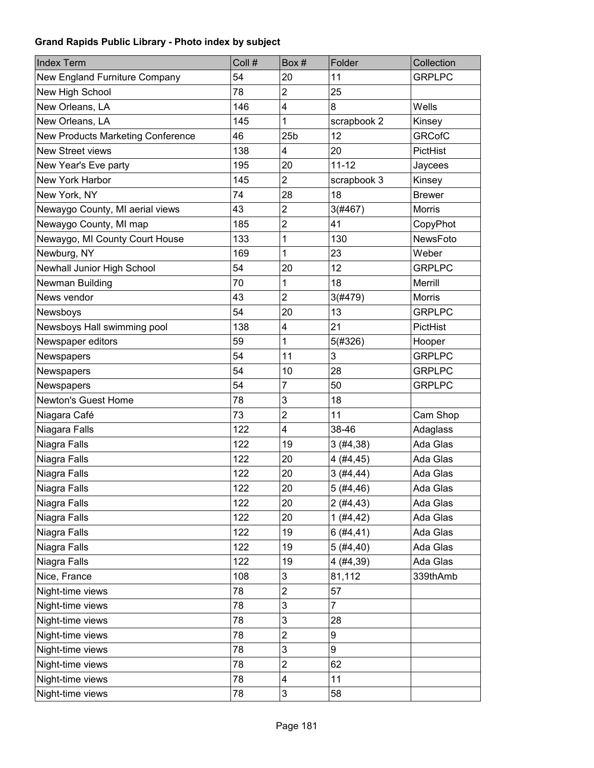| <b>Index Term</b>                 | Coll # | Box#                    | Folder         | Collection    |
|-----------------------------------|--------|-------------------------|----------------|---------------|
| New England Furniture Company     | 54     | 20                      | 11             | <b>GRPLPC</b> |
| New High School                   | 78     | $\overline{2}$          | 25             |               |
| New Orleans, LA                   | 146    | 4                       | 8              | Wells         |
| New Orleans, LA                   | 145    | 1                       | scrapbook 2    | Kinsey        |
| New Products Marketing Conference | 46     | 25 <sub>b</sub>         | 12             | <b>GRCofC</b> |
| <b>New Street views</b>           | 138    | 4                       | 20             | PictHist      |
| New Year's Eve party              | 195    | 20                      | $11 - 12$      | Jaycees       |
| <b>New York Harbor</b>            | 145    | $\overline{c}$          | scrapbook 3    | Kinsey        |
| New York, NY                      | 74     | 28                      | 18             | <b>Brewer</b> |
| Newaygo County, MI aerial views   | 43     | $\overline{2}$          | 3(#467)        | Morris        |
| Newaygo County, MI map            | 185    | $\overline{c}$          | 41             | CopyPhot      |
| Newaygo, MI County Court House    | 133    | 1                       | 130            | NewsFoto      |
| Newburg, NY                       | 169    | 1                       | 23             | Weber         |
| Newhall Junior High School        | 54     | 20                      | 12             | <b>GRPLPC</b> |
| Newman Building                   | 70     | 1                       | 18             | Merrill       |
| News vendor                       | 43     | $\overline{2}$          | 3(#479)        | Morris        |
| Newsboys                          | 54     | 20                      | 13             | <b>GRPLPC</b> |
| Newsboys Hall swimming pool       | 138    | $\overline{\mathbf{4}}$ | 21             | PictHist      |
| Newspaper editors                 | 59     | 1                       | 5(#326)        | Hooper        |
| Newspapers                        | 54     | 11                      | 3              | <b>GRPLPC</b> |
| Newspapers                        | 54     | 10                      | 28             | <b>GRPLPC</b> |
| Newspapers                        | 54     | $\overline{7}$          | 50             | <b>GRPLPC</b> |
| <b>Newton's Guest Home</b>        | 78     | 3                       | 18             |               |
| Niagara Café                      | 73     | $\overline{c}$          | 11             | Cam Shop      |
| Niagara Falls                     | 122    | 4                       | 38-46          | Adaglass      |
| Niagra Falls                      | 122    | 19                      | 3(#4, 38)      | Ada Glas      |
| Niagra Falls                      | 122    | 20                      | 4(#4, 45)      | Ada Glas      |
| Niagra Falls                      | 122    | 20                      | 3(#4, 44)      | Ada Glas      |
| Niagra Falls                      | 122    | 20                      | 5(#4,46)       | Ada Glas      |
| Niagra Falls                      | 122    | 20                      | 2(#4, 43)      | Ada Glas      |
| Niagra Falls                      | 122    | 20                      | 1(#4, 42)      | Ada Glas      |
| Niagra Falls                      | 122    | 19                      | 6(#4, 41)      | Ada Glas      |
| Niagra Falls                      | 122    | 19                      | 5(#4, 40)      | Ada Glas      |
| Niagra Falls                      | 122    | 19                      | 4(#4, 39)      | Ada Glas      |
| Nice, France                      | 108    | 3                       | 81,112         | 339thAmb      |
| Night-time views                  | 78     | $\overline{c}$          | 57             |               |
| Night-time views                  | 78     | 3                       | $\overline{7}$ |               |
| Night-time views                  | 78     | 3                       | 28             |               |
| Night-time views                  | 78     | $\overline{c}$          | 9              |               |
| Night-time views                  | 78     | 3                       | 9              |               |
| Night-time views                  | 78     | $\overline{c}$          | 62             |               |
| Night-time views                  | 78     | 4                       | 11             |               |
| Night-time views                  | 78     | 3                       | 58             |               |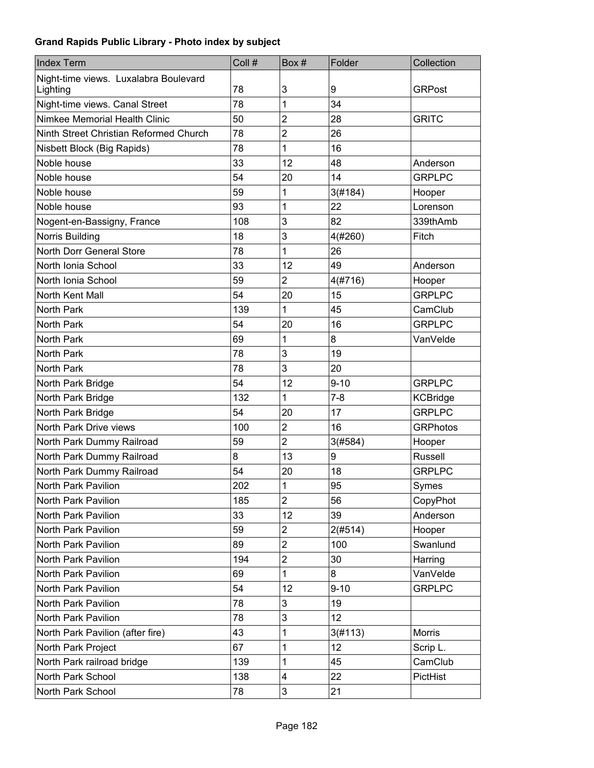| <b>Index Term</b>                      | Coll # | Box#                    | Folder   | Collection      |
|----------------------------------------|--------|-------------------------|----------|-----------------|
| Night-time views. Luxalabra Boulevard  |        |                         |          |                 |
| Lighting                               | 78     | 3                       | 9        | <b>GRPost</b>   |
| Night-time views. Canal Street         | 78     | 1                       | 34       |                 |
| Nimkee Memorial Health Clinic          | 50     | $\overline{2}$          | 28       | <b>GRITC</b>    |
| Ninth Street Christian Reformed Church | 78     | $\overline{2}$          | 26       |                 |
| Nisbett Block (Big Rapids)             | 78     | 1                       | 16       |                 |
| Noble house                            | 33     | 12                      | 48       | Anderson        |
| Noble house                            | 54     | 20                      | 14       | <b>GRPLPC</b>   |
| Noble house                            | 59     | 1                       | 3(#184)  | Hooper          |
| Noble house                            | 93     | 1                       | 22       | Lorenson        |
| Nogent-en-Bassigny, France             | 108    | 3                       | 82       | 339thAmb        |
| Norris Building                        | 18     | 3                       | 4(#260)  | Fitch           |
| North Dorr General Store               | 78     | 1                       | 26       |                 |
| North Ionia School                     | 33     | 12                      | 49       | Anderson        |
| North Ionia School                     | 59     | $\overline{2}$          | 4(#716)  | Hooper          |
| North Kent Mall                        | 54     | 20                      | 15       | <b>GRPLPC</b>   |
| North Park                             | 139    | 1                       | 45       | CamClub         |
| North Park                             | 54     | 20                      | 16       | <b>GRPLPC</b>   |
| <b>North Park</b>                      | 69     | 1                       | 8        | VanVelde        |
| North Park                             | 78     | 3                       | 19       |                 |
| <b>North Park</b>                      | 78     | 3                       | 20       |                 |
| North Park Bridge                      | 54     | 12                      | $9 - 10$ | <b>GRPLPC</b>   |
| North Park Bridge                      | 132    | 1                       | $7 - 8$  | <b>KCBridge</b> |
| North Park Bridge                      | 54     | 20                      | 17       | <b>GRPLPC</b>   |
| North Park Drive views                 | 100    | $\overline{2}$          | 16       | <b>GRPhotos</b> |
| North Park Dummy Railroad              | 59     | $\overline{2}$          | 3(#584)  | Hooper          |
| North Park Dummy Railroad              | 8      | 13                      | 9        | <b>Russell</b>  |
| North Park Dummy Railroad              | 54     | 20                      | 18       | <b>GRPLPC</b>   |
| North Park Pavilion                    | 202    | 1                       | 95       | Symes           |
| North Park Pavilion                    | 185    | $\overline{2}$          | 56       | CopyPhot        |
| North Park Pavilion                    | 33     | 12                      | 39       | Anderson        |
| North Park Pavilion                    | 59     | $\overline{c}$          | 2(#514)  | Hooper          |
| North Park Pavilion                    | 89     | $\overline{c}$          | 100      | Swanlund        |
| North Park Pavilion                    | 194    | $\overline{c}$          | 30       | Harring         |
| North Park Pavilion                    | 69     | 1                       | 8        | VanVelde        |
| North Park Pavilion                    | 54     | 12                      | $9 - 10$ | <b>GRPLPC</b>   |
| North Park Pavilion                    | 78     | 3                       | 19       |                 |
| North Park Pavilion                    | 78     | 3                       | 12       |                 |
| North Park Pavilion (after fire)       | 43     | 1                       | 3(#113)  | <b>Morris</b>   |
| North Park Project                     | 67     | 1                       | 12       | Scrip L.        |
| North Park railroad bridge             | 139    | 1                       | 45       | CamClub         |
| North Park School                      | 138    | $\overline{\mathbf{4}}$ | 22       | PictHist        |
| North Park School                      | 78     | 3                       | 21       |                 |
|                                        |        |                         |          |                 |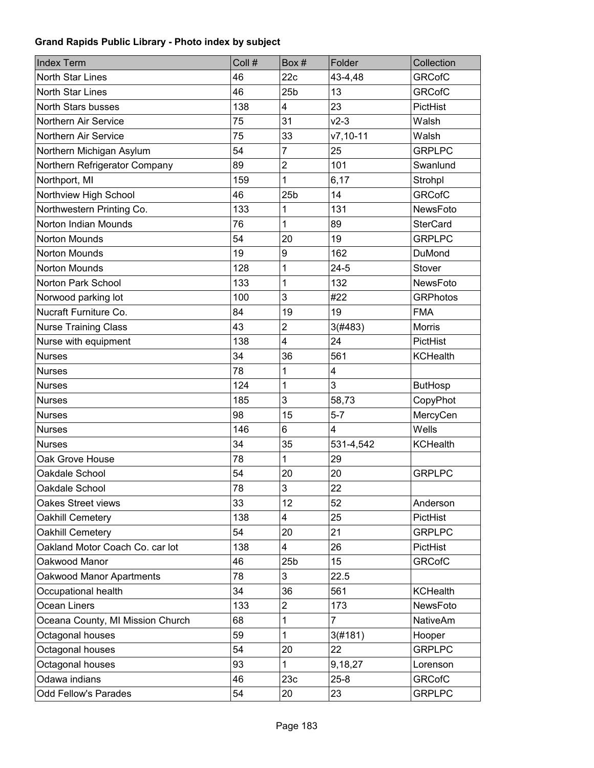| <b>Index Term</b>                | Coll # | Box#            | Folder        | Collection      |
|----------------------------------|--------|-----------------|---------------|-----------------|
| North Star Lines                 | 46     | 22c             | 43-4,48       | <b>GRCofC</b>   |
| North Star Lines                 | 46     | 25 <sub>b</sub> | 13            | <b>GRCofC</b>   |
| North Stars busses               | 138    | 4               | 23            | PictHist        |
| Northern Air Service             | 75     | 31              | $v2-3$        | Walsh           |
| Northern Air Service             | 75     | 33              | $v7, 10 - 11$ | Walsh           |
| Northern Michigan Asylum         | 54     | 7               | 25            | <b>GRPLPC</b>   |
| Northern Refrigerator Company    | 89     | $\overline{2}$  | 101           | Swanlund        |
| Northport, MI                    | 159    | 1               | 6,17          | Strohpl         |
| Northview High School            | 46     | 25 <sub>b</sub> | 14            | <b>GRCofC</b>   |
| Northwestern Printing Co.        | 133    | 1               | 131           | NewsFoto        |
| Norton Indian Mounds             | 76     | 1               | 89            | <b>SterCard</b> |
| Norton Mounds                    | 54     | 20              | 19            | <b>GRPLPC</b>   |
| Norton Mounds                    | 19     | 9               | 162           | <b>DuMond</b>   |
| Norton Mounds                    | 128    | 1               | $24 - 5$      | Stover          |
| Norton Park School               | 133    | 1               | 132           | NewsFoto        |
| Norwood parking lot              | 100    | 3               | #22           | <b>GRPhotos</b> |
| Nucraft Furniture Co.            | 84     | 19              | 19            | <b>FMA</b>      |
| <b>Nurse Training Class</b>      | 43     | $\overline{2}$  | 3(#483)       | <b>Morris</b>   |
| Nurse with equipment             | 138    | $\overline{4}$  | 24            | PictHist        |
| <b>Nurses</b>                    | 34     | 36              | 561           | <b>KCHealth</b> |
| <b>Nurses</b>                    | 78     | 1               | 4             |                 |
| <b>Nurses</b>                    | 124    | 1               | 3             | <b>ButHosp</b>  |
| <b>Nurses</b>                    | 185    | 3               | 58,73         | CopyPhot        |
| <b>Nurses</b>                    | 98     | 15              | $5 - 7$       | MercyCen        |
| <b>Nurses</b>                    | 146    | 6               | 4             | Wells           |
| <b>Nurses</b>                    | 34     | 35              | 531-4,542     | <b>KCHealth</b> |
| Oak Grove House                  | 78     | 1               | 29            |                 |
| Oakdale School                   | 54     | 20              | 20            | <b>GRPLPC</b>   |
| Oakdale School                   | 78     | 3               | 22            |                 |
| Oakes Street views               | 33     | 12              | 52            | Anderson        |
| Oakhill Cemetery                 | 138    | 4               | 25            | PictHist        |
| Oakhill Cemetery                 | 54     | 20              | 21            | <b>GRPLPC</b>   |
| Oakland Motor Coach Co. car lot  | 138    | 4               | 26            | PictHist        |
| Oakwood Manor                    | 46     | 25 <sub>b</sub> | 15            | <b>GRCofC</b>   |
| Oakwood Manor Apartments         | 78     | 3               | 22.5          |                 |
| Occupational health              | 34     | 36              | 561           | <b>KCHealth</b> |
| Ocean Liners                     | 133    | $\overline{2}$  | 173           | NewsFoto        |
| Oceana County, MI Mission Church | 68     | 1               | 7             | <b>NativeAm</b> |
| Octagonal houses                 | 59     | 1               | 3(#181)       | Hooper          |
| Octagonal houses                 | 54     | 20              | 22            | <b>GRPLPC</b>   |
| Octagonal houses                 | 93     | 1               | 9,18,27       | Lorenson        |
| Odawa indians                    | 46     | 23c             | $25 - 8$      | <b>GRCofC</b>   |
| Odd Fellow's Parades             | 54     | 20              | 23            | <b>GRPLPC</b>   |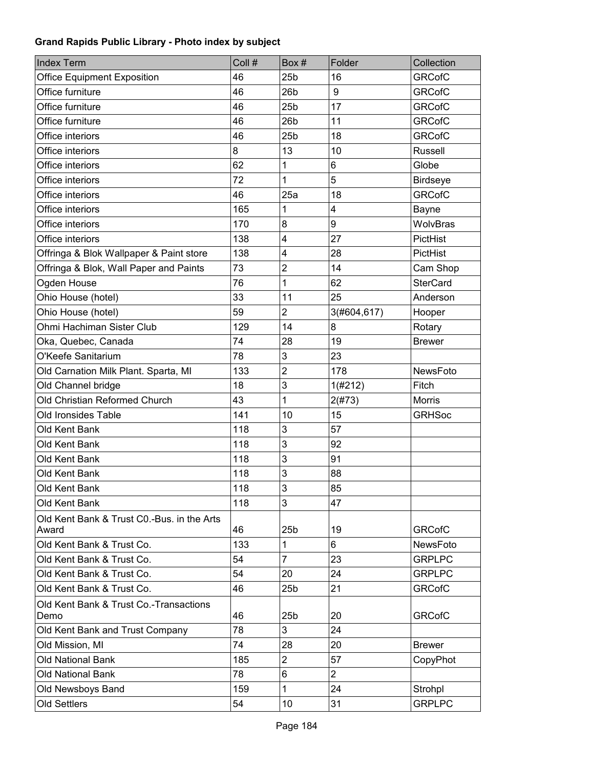| <b>Index Term</b>                                   | Coll # | Box#            | Folder         | Collection      |
|-----------------------------------------------------|--------|-----------------|----------------|-----------------|
| <b>Office Equipment Exposition</b>                  | 46     | 25 <sub>b</sub> | 16             | <b>GRCofC</b>   |
| Office furniture                                    | 46     | 26b             | 9              | <b>GRCofC</b>   |
| Office furniture                                    | 46     | 25 <sub>b</sub> | 17             | <b>GRCofC</b>   |
| Office furniture                                    | 46     | 26 <sub>b</sub> | 11             | <b>GRCofC</b>   |
| Office interiors                                    | 46     | 25 <sub>b</sub> | 18             | <b>GRCofC</b>   |
| Office interiors                                    | 8      | 13              | 10             | <b>Russell</b>  |
| Office interiors                                    | 62     | 1               | 6              | Globe           |
| Office interiors                                    | 72     | 1               | 5              | <b>Birdseye</b> |
| Office interiors                                    | 46     | 25a             | 18             | <b>GRCofC</b>   |
| Office interiors                                    | 165    | 1               | 4              | Bayne           |
| Office interiors                                    | 170    | 8               | 9              | WolvBras        |
| Office interiors                                    | 138    | 4               | 27             | PictHist        |
| Offringa & Blok Wallpaper & Paint store             | 138    | 4               | 28             | PictHist        |
| Offringa & Blok, Wall Paper and Paints              | 73     | $\overline{2}$  | 14             | Cam Shop        |
| Ogden House                                         | 76     | 1               | 62             | <b>SterCard</b> |
| Ohio House (hotel)                                  | 33     | 11              | 25             | Anderson        |
| Ohio House (hotel)                                  | 59     | $\overline{2}$  | 3(#604,617)    | Hooper          |
| Ohmi Hachiman Sister Club                           | 129    | 14              | 8              | Rotary          |
| Oka, Quebec, Canada                                 | 74     | 28              | 19             | <b>Brewer</b>   |
| O'Keefe Sanitarium                                  | 78     | 3               | 23             |                 |
| Old Carnation Milk Plant. Sparta, MI                | 133    | $\overline{c}$  | 178            | NewsFoto        |
| Old Channel bridge                                  | 18     | 3               | 1(#212)        | Fitch           |
| Old Christian Reformed Church                       | 43     | 1               | 2(#73)         | <b>Morris</b>   |
| Old Ironsides Table                                 | 141    | 10              | 15             | <b>GRHSoc</b>   |
| Old Kent Bank                                       | 118    | 3               | 57             |                 |
| Old Kent Bank                                       | 118    | 3               | 92             |                 |
| Old Kent Bank                                       | 118    | 3               | 91             |                 |
| Old Kent Bank                                       | 118    | 3               | 88             |                 |
| Old Kent Bank                                       | 118    | 3               | 85             |                 |
| Old Kent Bank                                       | 118    | 3               | 47             |                 |
| Old Kent Bank & Trust C0.-Bus. in the Arts<br>Award | 46     | 25 <sub>b</sub> | 19             | <b>GRCofC</b>   |
| Old Kent Bank & Trust Co.                           | 133    | 1               | 6              | NewsFoto        |
| Old Kent Bank & Trust Co.                           | 54     | $\overline{7}$  | 23             | <b>GRPLPC</b>   |
| Old Kent Bank & Trust Co.                           | 54     | 20              | 24             | <b>GRPLPC</b>   |
| Old Kent Bank & Trust Co.                           | 46     | 25 <sub>b</sub> | 21             | <b>GRCofC</b>   |
| Old Kent Bank & Trust Co.-Transactions<br>Demo      | 46     | 25 <sub>b</sub> | 20             | <b>GRCofC</b>   |
| Old Kent Bank and Trust Company                     | 78     | 3               | 24             |                 |
| Old Mission, MI                                     | 74     | 28              | 20             | <b>Brewer</b>   |
| Old National Bank                                   | 185    | $\overline{c}$  | 57             | CopyPhot        |
| Old National Bank                                   | 78     | 6               | $\overline{2}$ |                 |
| Old Newsboys Band                                   | 159    | 1               | 24             | Strohpl         |
| <b>Old Settlers</b>                                 | 54     | 10              | 31             | <b>GRPLPC</b>   |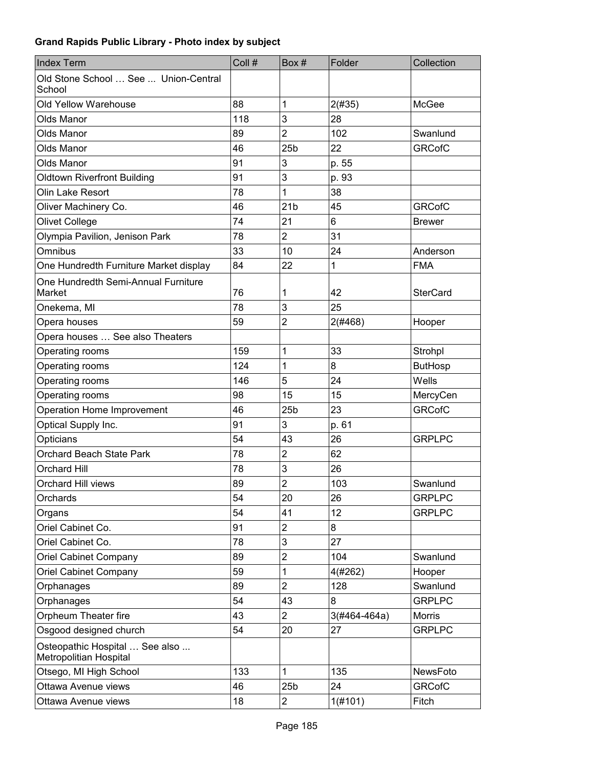| Old Stone School  See  Union-Central<br>School<br>88<br>1<br><b>Old Yellow Warehouse</b><br>2(#35)<br>McGee<br>3<br>118<br>28<br>Olds Manor<br>$\overline{2}$<br><b>Olds Manor</b><br>89<br>102<br>Swanlund<br>22<br>25 <sub>b</sub><br><b>GRCofC</b><br>46<br>Olds Manor<br>3<br>Olds Manor<br>91<br>p. 55<br>3<br>91<br>p. 93<br><b>Oldtown Riverfront Building</b><br>78<br>1<br>38<br>Olin Lake Resort<br>21 <sub>b</sub><br>45<br><b>GRCofC</b><br>Oliver Machinery Co.<br>46<br>74<br><b>Olivet College</b><br>21<br>6<br><b>Brewer</b><br>$\overline{2}$<br>Olympia Pavilion, Jenison Park<br>78<br>31<br>Omnibus<br>33<br>10<br>24<br>Anderson<br>22<br>1<br>One Hundredth Furniture Market display<br><b>FMA</b><br>84<br>One Hundredth Semi-Annual Furniture<br>76<br>Market<br>1<br>42<br><b>SterCard</b><br>78<br>3<br>25<br>Onekema, MI<br>$\overline{\mathbf{c}}$<br>59<br>2(#468)<br>Opera houses<br>Hooper<br>Opera houses  See also Theaters<br>1<br>33<br>159<br>Strohpl<br>Operating rooms<br>Operating rooms<br>124<br>1<br>8<br><b>ButHosp</b><br>5<br>24<br>146<br>Wells<br>Operating rooms<br>15<br>15<br>Operating rooms<br>98<br>MercyCen<br>25 <sub>b</sub><br>23<br><b>GRCofC</b><br>Operation Home Improvement<br>46<br>Optical Supply Inc.<br>3<br>91<br>p. 61<br>26<br>Opticians<br>54<br>43<br><b>GRPLPC</b><br>78<br>$\overline{2}$<br>Orchard Beach State Park<br>62<br>3<br>26<br><b>Orchard Hill</b><br>78<br>2<br><b>Orchard Hill views</b><br>89<br>103<br>Swanlund<br>54<br>Orchards<br>20<br>26<br><b>GRPLPC</b><br>12<br>54<br>41<br><b>GRPLPC</b><br>Organs<br>Oriel Cabinet Co.<br>$\overline{c}$<br>8<br>91<br>3<br>Oriel Cabinet Co.<br>78<br>27<br>$\overline{2}$<br>Oriel Cabinet Company<br>89<br>104<br>Swanlund<br>59<br>1<br>4(#262)<br><b>Oriel Cabinet Company</b><br>Hooper<br>$\overline{2}$<br>89<br>128<br>Swanlund<br>Orphanages<br>54<br>43<br>8<br><b>GRPLPC</b><br>Orphanages<br>Orpheum Theater fire<br>43<br>$\overline{2}$<br><b>Morris</b><br>$3(#464-464a)$<br>20<br>Osgood designed church<br>54<br>27<br><b>GRPLPC</b><br>Osteopathic Hospital  See also<br>Metropolitian Hospital<br>$\mathbf{1}$<br>133<br>135<br>Otsego, MI High School<br>NewsFoto | <b>Index Term</b> | Coll # | Box# | Folder | Collection |
|---------------------------------------------------------------------------------------------------------------------------------------------------------------------------------------------------------------------------------------------------------------------------------------------------------------------------------------------------------------------------------------------------------------------------------------------------------------------------------------------------------------------------------------------------------------------------------------------------------------------------------------------------------------------------------------------------------------------------------------------------------------------------------------------------------------------------------------------------------------------------------------------------------------------------------------------------------------------------------------------------------------------------------------------------------------------------------------------------------------------------------------------------------------------------------------------------------------------------------------------------------------------------------------------------------------------------------------------------------------------------------------------------------------------------------------------------------------------------------------------------------------------------------------------------------------------------------------------------------------------------------------------------------------------------------------------------------------------------------------------------------------------------------------------------------------------------------------------------------------------------------------------------------------------------------------------------------------------------------------------------------------------------------------------------------------------------------------------------------------------------------------------------------------------------------------------------------------------------|-------------------|--------|------|--------|------------|
|                                                                                                                                                                                                                                                                                                                                                                                                                                                                                                                                                                                                                                                                                                                                                                                                                                                                                                                                                                                                                                                                                                                                                                                                                                                                                                                                                                                                                                                                                                                                                                                                                                                                                                                                                                                                                                                                                                                                                                                                                                                                                                                                                                                                                           |                   |        |      |        |            |
|                                                                                                                                                                                                                                                                                                                                                                                                                                                                                                                                                                                                                                                                                                                                                                                                                                                                                                                                                                                                                                                                                                                                                                                                                                                                                                                                                                                                                                                                                                                                                                                                                                                                                                                                                                                                                                                                                                                                                                                                                                                                                                                                                                                                                           |                   |        |      |        |            |
|                                                                                                                                                                                                                                                                                                                                                                                                                                                                                                                                                                                                                                                                                                                                                                                                                                                                                                                                                                                                                                                                                                                                                                                                                                                                                                                                                                                                                                                                                                                                                                                                                                                                                                                                                                                                                                                                                                                                                                                                                                                                                                                                                                                                                           |                   |        |      |        |            |
|                                                                                                                                                                                                                                                                                                                                                                                                                                                                                                                                                                                                                                                                                                                                                                                                                                                                                                                                                                                                                                                                                                                                                                                                                                                                                                                                                                                                                                                                                                                                                                                                                                                                                                                                                                                                                                                                                                                                                                                                                                                                                                                                                                                                                           |                   |        |      |        |            |
|                                                                                                                                                                                                                                                                                                                                                                                                                                                                                                                                                                                                                                                                                                                                                                                                                                                                                                                                                                                                                                                                                                                                                                                                                                                                                                                                                                                                                                                                                                                                                                                                                                                                                                                                                                                                                                                                                                                                                                                                                                                                                                                                                                                                                           |                   |        |      |        |            |
|                                                                                                                                                                                                                                                                                                                                                                                                                                                                                                                                                                                                                                                                                                                                                                                                                                                                                                                                                                                                                                                                                                                                                                                                                                                                                                                                                                                                                                                                                                                                                                                                                                                                                                                                                                                                                                                                                                                                                                                                                                                                                                                                                                                                                           |                   |        |      |        |            |
|                                                                                                                                                                                                                                                                                                                                                                                                                                                                                                                                                                                                                                                                                                                                                                                                                                                                                                                                                                                                                                                                                                                                                                                                                                                                                                                                                                                                                                                                                                                                                                                                                                                                                                                                                                                                                                                                                                                                                                                                                                                                                                                                                                                                                           |                   |        |      |        |            |
|                                                                                                                                                                                                                                                                                                                                                                                                                                                                                                                                                                                                                                                                                                                                                                                                                                                                                                                                                                                                                                                                                                                                                                                                                                                                                                                                                                                                                                                                                                                                                                                                                                                                                                                                                                                                                                                                                                                                                                                                                                                                                                                                                                                                                           |                   |        |      |        |            |
|                                                                                                                                                                                                                                                                                                                                                                                                                                                                                                                                                                                                                                                                                                                                                                                                                                                                                                                                                                                                                                                                                                                                                                                                                                                                                                                                                                                                                                                                                                                                                                                                                                                                                                                                                                                                                                                                                                                                                                                                                                                                                                                                                                                                                           |                   |        |      |        |            |
|                                                                                                                                                                                                                                                                                                                                                                                                                                                                                                                                                                                                                                                                                                                                                                                                                                                                                                                                                                                                                                                                                                                                                                                                                                                                                                                                                                                                                                                                                                                                                                                                                                                                                                                                                                                                                                                                                                                                                                                                                                                                                                                                                                                                                           |                   |        |      |        |            |
|                                                                                                                                                                                                                                                                                                                                                                                                                                                                                                                                                                                                                                                                                                                                                                                                                                                                                                                                                                                                                                                                                                                                                                                                                                                                                                                                                                                                                                                                                                                                                                                                                                                                                                                                                                                                                                                                                                                                                                                                                                                                                                                                                                                                                           |                   |        |      |        |            |
|                                                                                                                                                                                                                                                                                                                                                                                                                                                                                                                                                                                                                                                                                                                                                                                                                                                                                                                                                                                                                                                                                                                                                                                                                                                                                                                                                                                                                                                                                                                                                                                                                                                                                                                                                                                                                                                                                                                                                                                                                                                                                                                                                                                                                           |                   |        |      |        |            |
|                                                                                                                                                                                                                                                                                                                                                                                                                                                                                                                                                                                                                                                                                                                                                                                                                                                                                                                                                                                                                                                                                                                                                                                                                                                                                                                                                                                                                                                                                                                                                                                                                                                                                                                                                                                                                                                                                                                                                                                                                                                                                                                                                                                                                           |                   |        |      |        |            |
|                                                                                                                                                                                                                                                                                                                                                                                                                                                                                                                                                                                                                                                                                                                                                                                                                                                                                                                                                                                                                                                                                                                                                                                                                                                                                                                                                                                                                                                                                                                                                                                                                                                                                                                                                                                                                                                                                                                                                                                                                                                                                                                                                                                                                           |                   |        |      |        |            |
|                                                                                                                                                                                                                                                                                                                                                                                                                                                                                                                                                                                                                                                                                                                                                                                                                                                                                                                                                                                                                                                                                                                                                                                                                                                                                                                                                                                                                                                                                                                                                                                                                                                                                                                                                                                                                                                                                                                                                                                                                                                                                                                                                                                                                           |                   |        |      |        |            |
|                                                                                                                                                                                                                                                                                                                                                                                                                                                                                                                                                                                                                                                                                                                                                                                                                                                                                                                                                                                                                                                                                                                                                                                                                                                                                                                                                                                                                                                                                                                                                                                                                                                                                                                                                                                                                                                                                                                                                                                                                                                                                                                                                                                                                           |                   |        |      |        |            |
|                                                                                                                                                                                                                                                                                                                                                                                                                                                                                                                                                                                                                                                                                                                                                                                                                                                                                                                                                                                                                                                                                                                                                                                                                                                                                                                                                                                                                                                                                                                                                                                                                                                                                                                                                                                                                                                                                                                                                                                                                                                                                                                                                                                                                           |                   |        |      |        |            |
|                                                                                                                                                                                                                                                                                                                                                                                                                                                                                                                                                                                                                                                                                                                                                                                                                                                                                                                                                                                                                                                                                                                                                                                                                                                                                                                                                                                                                                                                                                                                                                                                                                                                                                                                                                                                                                                                                                                                                                                                                                                                                                                                                                                                                           |                   |        |      |        |            |
|                                                                                                                                                                                                                                                                                                                                                                                                                                                                                                                                                                                                                                                                                                                                                                                                                                                                                                                                                                                                                                                                                                                                                                                                                                                                                                                                                                                                                                                                                                                                                                                                                                                                                                                                                                                                                                                                                                                                                                                                                                                                                                                                                                                                                           |                   |        |      |        |            |
|                                                                                                                                                                                                                                                                                                                                                                                                                                                                                                                                                                                                                                                                                                                                                                                                                                                                                                                                                                                                                                                                                                                                                                                                                                                                                                                                                                                                                                                                                                                                                                                                                                                                                                                                                                                                                                                                                                                                                                                                                                                                                                                                                                                                                           |                   |        |      |        |            |
|                                                                                                                                                                                                                                                                                                                                                                                                                                                                                                                                                                                                                                                                                                                                                                                                                                                                                                                                                                                                                                                                                                                                                                                                                                                                                                                                                                                                                                                                                                                                                                                                                                                                                                                                                                                                                                                                                                                                                                                                                                                                                                                                                                                                                           |                   |        |      |        |            |
|                                                                                                                                                                                                                                                                                                                                                                                                                                                                                                                                                                                                                                                                                                                                                                                                                                                                                                                                                                                                                                                                                                                                                                                                                                                                                                                                                                                                                                                                                                                                                                                                                                                                                                                                                                                                                                                                                                                                                                                                                                                                                                                                                                                                                           |                   |        |      |        |            |
|                                                                                                                                                                                                                                                                                                                                                                                                                                                                                                                                                                                                                                                                                                                                                                                                                                                                                                                                                                                                                                                                                                                                                                                                                                                                                                                                                                                                                                                                                                                                                                                                                                                                                                                                                                                                                                                                                                                                                                                                                                                                                                                                                                                                                           |                   |        |      |        |            |
|                                                                                                                                                                                                                                                                                                                                                                                                                                                                                                                                                                                                                                                                                                                                                                                                                                                                                                                                                                                                                                                                                                                                                                                                                                                                                                                                                                                                                                                                                                                                                                                                                                                                                                                                                                                                                                                                                                                                                                                                                                                                                                                                                                                                                           |                   |        |      |        |            |
|                                                                                                                                                                                                                                                                                                                                                                                                                                                                                                                                                                                                                                                                                                                                                                                                                                                                                                                                                                                                                                                                                                                                                                                                                                                                                                                                                                                                                                                                                                                                                                                                                                                                                                                                                                                                                                                                                                                                                                                                                                                                                                                                                                                                                           |                   |        |      |        |            |
|                                                                                                                                                                                                                                                                                                                                                                                                                                                                                                                                                                                                                                                                                                                                                                                                                                                                                                                                                                                                                                                                                                                                                                                                                                                                                                                                                                                                                                                                                                                                                                                                                                                                                                                                                                                                                                                                                                                                                                                                                                                                                                                                                                                                                           |                   |        |      |        |            |
|                                                                                                                                                                                                                                                                                                                                                                                                                                                                                                                                                                                                                                                                                                                                                                                                                                                                                                                                                                                                                                                                                                                                                                                                                                                                                                                                                                                                                                                                                                                                                                                                                                                                                                                                                                                                                                                                                                                                                                                                                                                                                                                                                                                                                           |                   |        |      |        |            |
|                                                                                                                                                                                                                                                                                                                                                                                                                                                                                                                                                                                                                                                                                                                                                                                                                                                                                                                                                                                                                                                                                                                                                                                                                                                                                                                                                                                                                                                                                                                                                                                                                                                                                                                                                                                                                                                                                                                                                                                                                                                                                                                                                                                                                           |                   |        |      |        |            |
|                                                                                                                                                                                                                                                                                                                                                                                                                                                                                                                                                                                                                                                                                                                                                                                                                                                                                                                                                                                                                                                                                                                                                                                                                                                                                                                                                                                                                                                                                                                                                                                                                                                                                                                                                                                                                                                                                                                                                                                                                                                                                                                                                                                                                           |                   |        |      |        |            |
|                                                                                                                                                                                                                                                                                                                                                                                                                                                                                                                                                                                                                                                                                                                                                                                                                                                                                                                                                                                                                                                                                                                                                                                                                                                                                                                                                                                                                                                                                                                                                                                                                                                                                                                                                                                                                                                                                                                                                                                                                                                                                                                                                                                                                           |                   |        |      |        |            |
|                                                                                                                                                                                                                                                                                                                                                                                                                                                                                                                                                                                                                                                                                                                                                                                                                                                                                                                                                                                                                                                                                                                                                                                                                                                                                                                                                                                                                                                                                                                                                                                                                                                                                                                                                                                                                                                                                                                                                                                                                                                                                                                                                                                                                           |                   |        |      |        |            |
|                                                                                                                                                                                                                                                                                                                                                                                                                                                                                                                                                                                                                                                                                                                                                                                                                                                                                                                                                                                                                                                                                                                                                                                                                                                                                                                                                                                                                                                                                                                                                                                                                                                                                                                                                                                                                                                                                                                                                                                                                                                                                                                                                                                                                           |                   |        |      |        |            |
|                                                                                                                                                                                                                                                                                                                                                                                                                                                                                                                                                                                                                                                                                                                                                                                                                                                                                                                                                                                                                                                                                                                                                                                                                                                                                                                                                                                                                                                                                                                                                                                                                                                                                                                                                                                                                                                                                                                                                                                                                                                                                                                                                                                                                           |                   |        |      |        |            |
|                                                                                                                                                                                                                                                                                                                                                                                                                                                                                                                                                                                                                                                                                                                                                                                                                                                                                                                                                                                                                                                                                                                                                                                                                                                                                                                                                                                                                                                                                                                                                                                                                                                                                                                                                                                                                                                                                                                                                                                                                                                                                                                                                                                                                           |                   |        |      |        |            |
|                                                                                                                                                                                                                                                                                                                                                                                                                                                                                                                                                                                                                                                                                                                                                                                                                                                                                                                                                                                                                                                                                                                                                                                                                                                                                                                                                                                                                                                                                                                                                                                                                                                                                                                                                                                                                                                                                                                                                                                                                                                                                                                                                                                                                           |                   |        |      |        |            |
|                                                                                                                                                                                                                                                                                                                                                                                                                                                                                                                                                                                                                                                                                                                                                                                                                                                                                                                                                                                                                                                                                                                                                                                                                                                                                                                                                                                                                                                                                                                                                                                                                                                                                                                                                                                                                                                                                                                                                                                                                                                                                                                                                                                                                           |                   |        |      |        |            |
|                                                                                                                                                                                                                                                                                                                                                                                                                                                                                                                                                                                                                                                                                                                                                                                                                                                                                                                                                                                                                                                                                                                                                                                                                                                                                                                                                                                                                                                                                                                                                                                                                                                                                                                                                                                                                                                                                                                                                                                                                                                                                                                                                                                                                           |                   |        |      |        |            |
|                                                                                                                                                                                                                                                                                                                                                                                                                                                                                                                                                                                                                                                                                                                                                                                                                                                                                                                                                                                                                                                                                                                                                                                                                                                                                                                                                                                                                                                                                                                                                                                                                                                                                                                                                                                                                                                                                                                                                                                                                                                                                                                                                                                                                           |                   |        |      |        |            |
|                                                                                                                                                                                                                                                                                                                                                                                                                                                                                                                                                                                                                                                                                                                                                                                                                                                                                                                                                                                                                                                                                                                                                                                                                                                                                                                                                                                                                                                                                                                                                                                                                                                                                                                                                                                                                                                                                                                                                                                                                                                                                                                                                                                                                           |                   |        |      |        |            |
| Ottawa Avenue views<br>46<br>25 <sub>b</sub><br>24<br><b>GRCofC</b>                                                                                                                                                                                                                                                                                                                                                                                                                                                                                                                                                                                                                                                                                                                                                                                                                                                                                                                                                                                                                                                                                                                                                                                                                                                                                                                                                                                                                                                                                                                                                                                                                                                                                                                                                                                                                                                                                                                                                                                                                                                                                                                                                       |                   |        |      |        |            |
| $\overline{2}$<br>18<br>1(#101)<br>Fitch<br>Ottawa Avenue views                                                                                                                                                                                                                                                                                                                                                                                                                                                                                                                                                                                                                                                                                                                                                                                                                                                                                                                                                                                                                                                                                                                                                                                                                                                                                                                                                                                                                                                                                                                                                                                                                                                                                                                                                                                                                                                                                                                                                                                                                                                                                                                                                           |                   |        |      |        |            |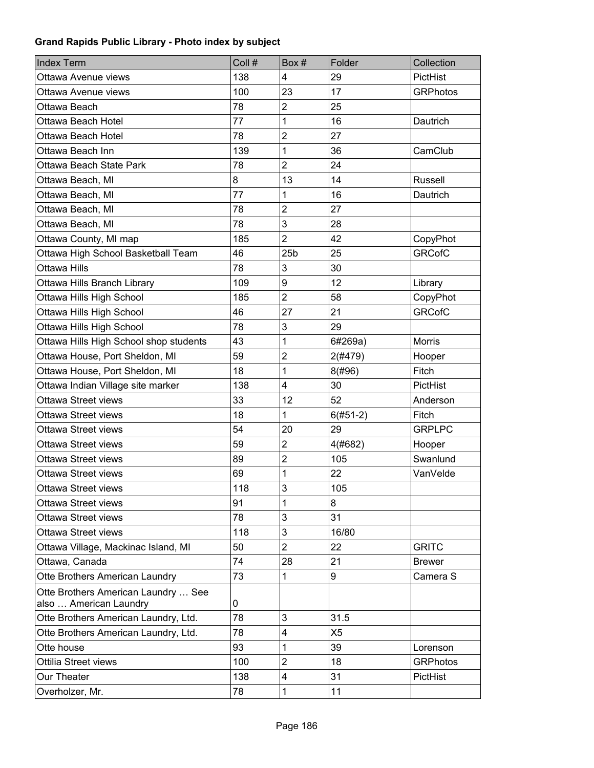| <b>Index Term</b>                                             | Coll # | Box#            | Folder         | Collection      |
|---------------------------------------------------------------|--------|-----------------|----------------|-----------------|
| Ottawa Avenue views                                           | 138    | 4               | 29             | PictHist        |
| Ottawa Avenue views                                           | 100    | 23              | 17             | <b>GRPhotos</b> |
| Ottawa Beach                                                  | 78     | $\overline{2}$  | 25             |                 |
| Ottawa Beach Hotel                                            | 77     | 1               | 16             | Dautrich        |
| Ottawa Beach Hotel                                            | 78     | $\overline{2}$  | 27             |                 |
| Ottawa Beach Inn                                              | 139    | 1               | 36             | CamClub         |
| Ottawa Beach State Park                                       | 78     | $\overline{2}$  | 24             |                 |
| Ottawa Beach, MI                                              | 8      | 13              | 14             | Russell         |
| Ottawa Beach, MI                                              | 77     | 1               | 16             | Dautrich        |
| Ottawa Beach, MI                                              | 78     | $\overline{2}$  | 27             |                 |
| Ottawa Beach, MI                                              | 78     | 3               | 28             |                 |
| Ottawa County, MI map                                         | 185    | $\overline{2}$  | 42             | CopyPhot        |
| Ottawa High School Basketball Team                            | 46     | 25 <sub>b</sub> | 25             | <b>GRCofC</b>   |
| <b>Ottawa Hills</b>                                           | 78     | 3               | 30             |                 |
| Ottawa Hills Branch Library                                   | 109    | 9               | 12             | Library         |
| Ottawa Hills High School                                      | 185    | $\overline{2}$  | 58             | CopyPhot        |
| Ottawa Hills High School                                      | 46     | 27              | 21             | <b>GRCofC</b>   |
| Ottawa Hills High School                                      | 78     | 3               | 29             |                 |
| Ottawa Hills High School shop students                        | 43     | 1               | 6#269a)        | <b>Morris</b>   |
| Ottawa House, Port Sheldon, MI                                | 59     | $\overline{c}$  | 2(#479)        | Hooper          |
| Ottawa House, Port Sheldon, MI                                | 18     | 1               | 8(#96)         | Fitch           |
| Ottawa Indian Village site marker                             | 138    | 4               | 30             | PictHist        |
| Ottawa Street views                                           | 33     | 12              | 52             | Anderson        |
| <b>Ottawa Street views</b>                                    | 18     | 1               | $6(#51-2)$     | Fitch           |
| <b>Ottawa Street views</b>                                    | 54     | 20              | 29             | <b>GRPLPC</b>   |
| <b>Ottawa Street views</b>                                    | 59     | $\overline{2}$  | 4(#682)        | Hooper          |
| <b>Ottawa Street views</b>                                    | 89     | $\overline{c}$  | 105            | Swanlund        |
| <b>Ottawa Street views</b>                                    | 69     | 1               | 22             | VanVelde        |
| Ottawa Street views                                           | 118    | 3               | 105            |                 |
| Ottawa Street views                                           | 91     | 1               | 8              |                 |
| <b>Ottawa Street views</b>                                    | 78     | 3               | 31             |                 |
| <b>Ottawa Street views</b>                                    | 118    | 3               | 16/80          |                 |
| Ottawa Village, Mackinac Island, MI                           | 50     | $\overline{2}$  | 22             | <b>GRITC</b>    |
| Ottawa, Canada                                                | 74     | 28              | 21             | <b>Brewer</b>   |
| Otte Brothers American Laundry                                | 73     | 1               | 9              | Camera S        |
| Otte Brothers American Laundry  See<br>also  American Laundry | 0      |                 |                |                 |
| Otte Brothers American Laundry, Ltd.                          | 78     | 3               | 31.5           |                 |
| Otte Brothers American Laundry, Ltd.                          | 78     | 4               | X <sub>5</sub> |                 |
| Otte house                                                    | 93     | 1               | 39             | Lorenson        |
| Ottilia Street views                                          | 100    | $\overline{2}$  | 18             | <b>GRPhotos</b> |
| Our Theater                                                   | 138    | 4               | 31             | PictHist        |
| Overholzer, Mr.                                               | 78     | 1               | 11             |                 |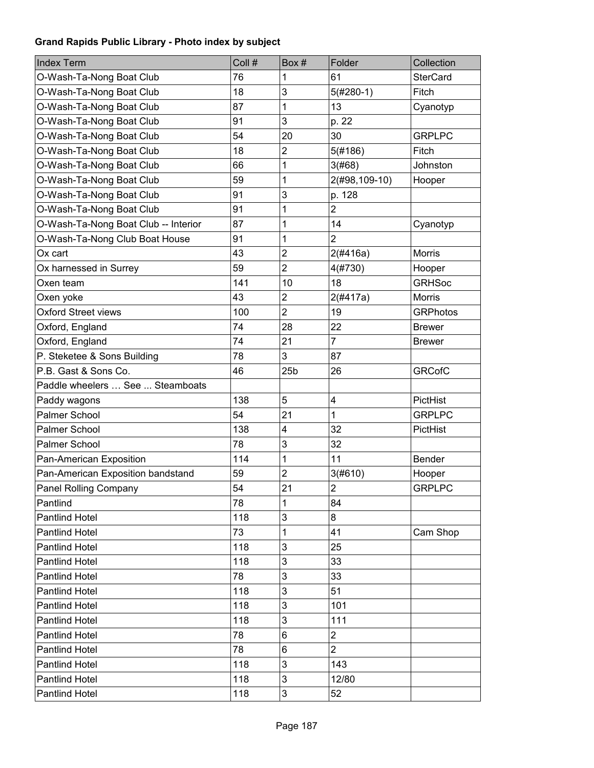| Index Term                           | Coll # | Box#                    | Folder         | Collection      |
|--------------------------------------|--------|-------------------------|----------------|-----------------|
| O-Wash-Ta-Nong Boat Club             | 76     | 1                       | 61             | <b>SterCard</b> |
| O-Wash-Ta-Nong Boat Club             | 18     | 3                       | $5(#280-1)$    | Fitch           |
| O-Wash-Ta-Nong Boat Club             | 87     | 1                       | 13             | Cyanotyp        |
| O-Wash-Ta-Nong Boat Club             | 91     | 3                       | p. 22          |                 |
| O-Wash-Ta-Nong Boat Club             | 54     | 20                      | 30             | <b>GRPLPC</b>   |
| O-Wash-Ta-Nong Boat Club             | 18     | $\overline{2}$          | 5(#186)        | Fitch           |
| O-Wash-Ta-Nong Boat Club             | 66     | 1                       | 3(#68)         | Johnston        |
| O-Wash-Ta-Nong Boat Club             | 59     | 1                       | 2(#98,109-10)  | Hooper          |
| O-Wash-Ta-Nong Boat Club             | 91     | 3                       | p. 128         |                 |
| O-Wash-Ta-Nong Boat Club             | 91     | 1                       | $\overline{2}$ |                 |
| O-Wash-Ta-Nong Boat Club -- Interior | 87     | 1                       | 14             | Cyanotyp        |
| O-Wash-Ta-Nong Club Boat House       | 91     | 1                       | $\overline{2}$ |                 |
| Ox cart                              | 43     | $\overline{2}$          | 2(#416a)       | <b>Morris</b>   |
| Ox harnessed in Surrey               | 59     | $\overline{2}$          | 4(#730)        | Hooper          |
| Oxen team                            | 141    | 10                      | 18             | <b>GRHSoc</b>   |
| Oxen yoke                            | 43     | $\overline{\mathbf{c}}$ | 2(#417a)       | <b>Morris</b>   |
| <b>Oxford Street views</b>           | 100    | $\overline{2}$          | 19             | <b>GRPhotos</b> |
| Oxford, England                      | 74     | 28                      | 22             | <b>Brewer</b>   |
| Oxford, England                      | 74     | 21                      | $\overline{7}$ | <b>Brewer</b>   |
| P. Steketee & Sons Building          | 78     | 3                       | 87             |                 |
| P.B. Gast & Sons Co.                 | 46     | 25 <sub>b</sub>         | 26             | <b>GRCofC</b>   |
| Paddle wheelers  See  Steamboats     |        |                         |                |                 |
| Paddy wagons                         | 138    | 5                       | 4              | PictHist        |
| Palmer School                        | 54     | 21                      | $\mathbf{1}$   | <b>GRPLPC</b>   |
| Palmer School                        | 138    | 4                       | 32             | PictHist        |
| Palmer School                        | 78     | 3                       | 32             |                 |
| Pan-American Exposition              | 114    | 1                       | 11             | <b>Bender</b>   |
| Pan-American Exposition bandstand    | 59     | $\overline{2}$          | 3(#610)        | Hooper          |
| Panel Rolling Company                | 54     | 21                      | $\overline{2}$ | <b>GRPLPC</b>   |
| Pantlind                             | 78     | 1                       | 84             |                 |
| <b>Pantlind Hotel</b>                | 118    | 3                       | 8              |                 |
| <b>Pantlind Hotel</b>                | 73     | 1                       | 41             | Cam Shop        |
| <b>Pantlind Hotel</b>                | 118    | 3                       | 25             |                 |
| <b>Pantlind Hotel</b>                | 118    | 3                       | 33             |                 |
| <b>Pantlind Hotel</b>                | 78     | 3                       | 33             |                 |
| <b>Pantlind Hotel</b>                | 118    | 3                       | 51             |                 |
| <b>Pantlind Hotel</b>                | 118    | 3                       | 101            |                 |
| <b>Pantlind Hotel</b>                | 118    | 3                       | 111            |                 |
| <b>Pantlind Hotel</b>                | 78     | 6                       | $\overline{2}$ |                 |
| Pantlind Hotel                       | 78     | 6                       | $\overline{2}$ |                 |
| Pantlind Hotel                       | 118    | 3                       | 143            |                 |
| <b>Pantlind Hotel</b>                | 118    | 3                       | 12/80          |                 |
| <b>Pantlind Hotel</b>                | 118    | 3                       | 52             |                 |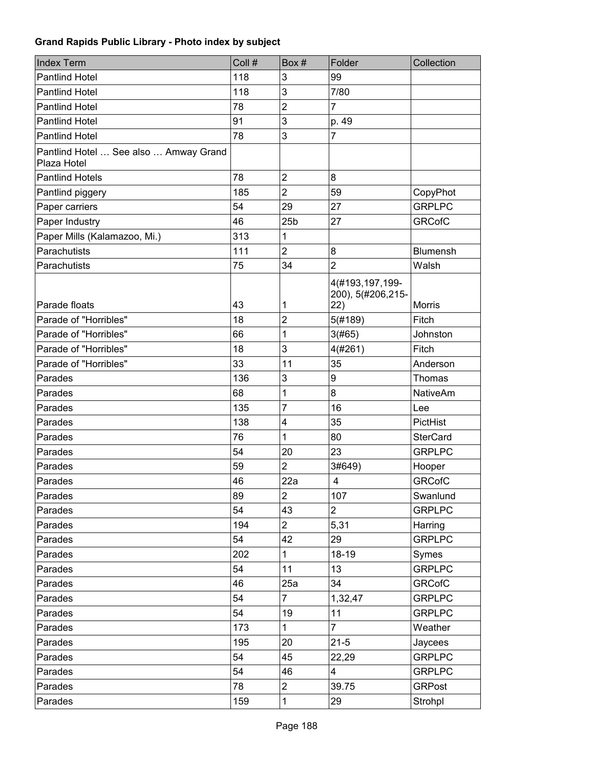| <b>Index Term</b>                                    | Coll # | Box#                    | Folder                                      | Collection      |
|------------------------------------------------------|--------|-------------------------|---------------------------------------------|-----------------|
| <b>Pantlind Hotel</b>                                | 118    | 3                       | 99                                          |                 |
| <b>Pantlind Hotel</b>                                | 118    | 3                       | 7/80                                        |                 |
| <b>Pantlind Hotel</b>                                | 78     | $\overline{2}$          | $\overline{7}$                              |                 |
| <b>Pantlind Hotel</b>                                | 91     | 3                       | p. 49                                       |                 |
| <b>Pantlind Hotel</b>                                | 78     | 3                       | $\overline{7}$                              |                 |
| Pantlind Hotel  See also  Amway Grand<br>Plaza Hotel |        |                         |                                             |                 |
| <b>Pantlind Hotels</b>                               | 78     | $\overline{2}$          | 8                                           |                 |
| Pantlind piggery                                     | 185    | $\overline{2}$          | 59                                          | CopyPhot        |
| Paper carriers                                       | 54     | 29                      | 27                                          | <b>GRPLPC</b>   |
| Paper Industry                                       | 46     | 25 <sub>b</sub>         | 27                                          | <b>GRCofC</b>   |
| Paper Mills (Kalamazoo, Mi.)                         | 313    | 1                       |                                             |                 |
| Parachutists                                         | 111    | $\overline{2}$          | 8                                           | <b>Blumensh</b> |
| Parachutists                                         | 75     | 34                      | $\overline{2}$                              | Walsh           |
| Parade floats                                        | 43     | 1                       | 4(#193,197,199-<br>200), 5(#206,215-<br>22) | <b>Morris</b>   |
| Parade of "Horribles"                                | 18     | $\overline{2}$          | 5(#189)                                     | Fitch           |
| Parade of "Horribles"                                | 66     | 1                       | 3(#65)                                      | Johnston        |
| Parade of "Horribles"                                | 18     | 3                       | 4(#261)                                     | Fitch           |
| Parade of "Horribles"                                | 33     | 11                      | 35                                          | Anderson        |
| Parades                                              | 136    | 3                       | 9                                           | Thomas          |
| Parades                                              | 68     | 1                       | 8                                           | <b>NativeAm</b> |
| Parades                                              | 135    | 7                       | 16                                          | Lee             |
| Parades                                              | 138    | $\overline{\mathbf{4}}$ | 35                                          | PictHist        |
| Parades                                              | 76     | 1                       | 80                                          | <b>SterCard</b> |
| Parades                                              | 54     | 20                      | 23                                          | <b>GRPLPC</b>   |
| Parades                                              | 59     | $\overline{2}$          | 3#649)                                      | Hooper          |
| Parades                                              | 46     | 22a                     | $\overline{\mathbf{4}}$                     | <b>GRCofC</b>   |
| Parades                                              | 89     | $\overline{2}$          | 107                                         | Swanlund        |
| Parades                                              | 54     | 43                      | $\overline{2}$                              | <b>GRPLPC</b>   |
| Parades                                              | 194    | $\overline{2}$          | 5,31                                        | Harring         |
| Parades                                              | 54     | 42                      | 29                                          | <b>GRPLPC</b>   |
| Parades                                              | 202    | $\mathbf{1}$            | $18 - 19$                                   | Symes           |
| Parades                                              | 54     | 11                      | 13                                          | <b>GRPLPC</b>   |
| Parades                                              | 46     | 25a                     | 34                                          | <b>GRCofC</b>   |
| Parades                                              | 54     | $\overline{7}$          | 1,32,47                                     | <b>GRPLPC</b>   |
| Parades                                              | 54     | 19                      | 11                                          | <b>GRPLPC</b>   |
| Parades                                              | 173    | $\mathbf{1}$            | $\overline{7}$                              | Weather         |
| Parades                                              | 195    | 20                      | $21 - 5$                                    | Jaycees         |
| Parades                                              | 54     | 45                      | 22,29                                       | <b>GRPLPC</b>   |
| Parades                                              | 54     | 46                      | 4                                           | <b>GRPLPC</b>   |
| Parades                                              | 78     | $\overline{2}$          | 39.75                                       | <b>GRPost</b>   |
| Parades                                              | 159    | $\mathbf{1}$            | 29                                          | Strohpl         |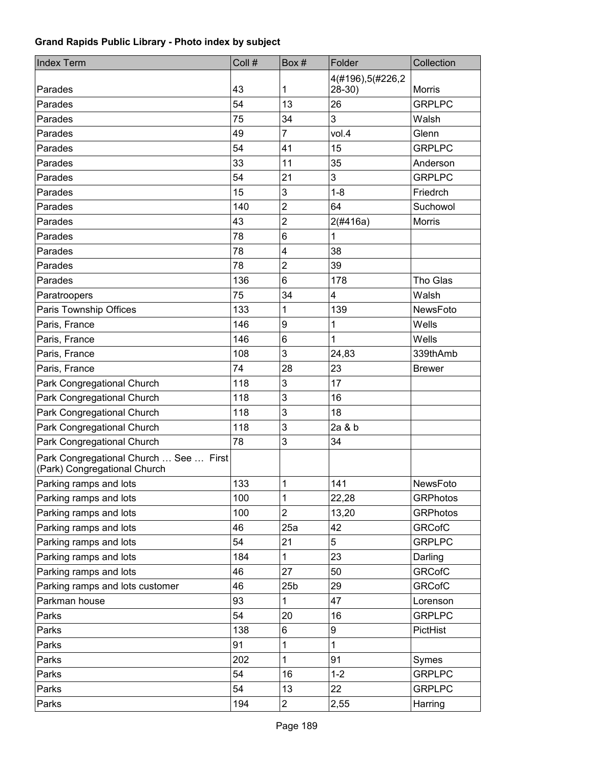| 4(#196),5(#226,2<br>43<br>1<br>$28-30$ )<br><b>Morris</b><br>Parades<br>26<br>54<br>13<br><b>GRPLPC</b><br>Parades<br>3<br>34<br>75<br>Walsh<br>Parades<br>$\overline{7}$<br>vol.4<br>Glenn<br>Parades<br>49<br>15<br>54<br>41<br><b>GRPLPC</b><br>Parades<br>35<br>33<br>Parades<br>11<br>Anderson<br>3<br>21<br><b>GRPLPC</b><br>54<br>Parades<br>15<br>3<br>$1 - 8$<br>Parades<br>Friedrch<br>$\overline{2}$<br>64<br>140<br>Parades<br>Suchowol<br>$\overline{2}$<br>Parades<br>43<br>2(#416a)<br><b>Morris</b><br>$6\phantom{1}$<br>Parades<br>78<br>1<br>38<br>78<br>$\overline{\mathbf{4}}$<br>Parades<br>$\overline{2}$<br>39<br>Parades<br>78<br>6<br>136<br>Tho Glas<br>178<br>Parades<br>34<br>75<br>4<br>Walsh<br>Paratroopers<br>133<br>1<br>139<br>NewsFoto<br>Paris Township Offices<br>9<br>Paris, France<br>1<br>Wells<br>146<br>6<br>Paris, France<br>1<br>146<br>Wells<br>3<br>Paris, France<br>108<br>24,83<br>339thAmb<br>23<br>74<br>28<br>Paris, France<br><b>Brewer</b><br>3<br>Park Congregational Church<br>118<br>17<br>3<br>Park Congregational Church<br>16<br>118<br>3<br>Park Congregational Church<br>118<br>18<br>3<br>2a & b<br>Park Congregational Church<br>118<br>3<br>34<br>Park Congregational Church<br>78<br>Park Congregational Church  See  First<br>(Park) Congregational Church<br>Parking ramps and lots<br>133<br>141<br>1<br>NewsFoto<br>Parking ramps and lots<br>100<br>1<br>22,28<br><b>GRPhotos</b><br>Parking ramps and lots<br>$\overline{2}$<br>13,20<br>100<br><b>GRPhotos</b><br>Parking ramps and lots<br>25a<br><b>GRCofC</b><br>46<br>42<br>Parking ramps and lots<br>54<br>21<br>5<br><b>GRPLPC</b><br>Parking ramps and lots<br>184<br>23<br>$\mathbf 1$<br>Darling<br><b>GRCofC</b><br>46<br>27<br>50 | <b>Index Term</b>      | Coll # | Box# | Folder | Collection |
|----------------------------------------------------------------------------------------------------------------------------------------------------------------------------------------------------------------------------------------------------------------------------------------------------------------------------------------------------------------------------------------------------------------------------------------------------------------------------------------------------------------------------------------------------------------------------------------------------------------------------------------------------------------------------------------------------------------------------------------------------------------------------------------------------------------------------------------------------------------------------------------------------------------------------------------------------------------------------------------------------------------------------------------------------------------------------------------------------------------------------------------------------------------------------------------------------------------------------------------------------------------------------------------------------------------------------------------------------------------------------------------------------------------------------------------------------------------------------------------------------------------------------------------------------------------------------------------------------------------------------------------------------------------------------------------------------------------------------------------------------------------------|------------------------|--------|------|--------|------------|
|                                                                                                                                                                                                                                                                                                                                                                                                                                                                                                                                                                                                                                                                                                                                                                                                                                                                                                                                                                                                                                                                                                                                                                                                                                                                                                                                                                                                                                                                                                                                                                                                                                                                                                                                                                      |                        |        |      |        |            |
|                                                                                                                                                                                                                                                                                                                                                                                                                                                                                                                                                                                                                                                                                                                                                                                                                                                                                                                                                                                                                                                                                                                                                                                                                                                                                                                                                                                                                                                                                                                                                                                                                                                                                                                                                                      |                        |        |      |        |            |
|                                                                                                                                                                                                                                                                                                                                                                                                                                                                                                                                                                                                                                                                                                                                                                                                                                                                                                                                                                                                                                                                                                                                                                                                                                                                                                                                                                                                                                                                                                                                                                                                                                                                                                                                                                      |                        |        |      |        |            |
|                                                                                                                                                                                                                                                                                                                                                                                                                                                                                                                                                                                                                                                                                                                                                                                                                                                                                                                                                                                                                                                                                                                                                                                                                                                                                                                                                                                                                                                                                                                                                                                                                                                                                                                                                                      |                        |        |      |        |            |
|                                                                                                                                                                                                                                                                                                                                                                                                                                                                                                                                                                                                                                                                                                                                                                                                                                                                                                                                                                                                                                                                                                                                                                                                                                                                                                                                                                                                                                                                                                                                                                                                                                                                                                                                                                      |                        |        |      |        |            |
|                                                                                                                                                                                                                                                                                                                                                                                                                                                                                                                                                                                                                                                                                                                                                                                                                                                                                                                                                                                                                                                                                                                                                                                                                                                                                                                                                                                                                                                                                                                                                                                                                                                                                                                                                                      |                        |        |      |        |            |
|                                                                                                                                                                                                                                                                                                                                                                                                                                                                                                                                                                                                                                                                                                                                                                                                                                                                                                                                                                                                                                                                                                                                                                                                                                                                                                                                                                                                                                                                                                                                                                                                                                                                                                                                                                      |                        |        |      |        |            |
|                                                                                                                                                                                                                                                                                                                                                                                                                                                                                                                                                                                                                                                                                                                                                                                                                                                                                                                                                                                                                                                                                                                                                                                                                                                                                                                                                                                                                                                                                                                                                                                                                                                                                                                                                                      |                        |        |      |        |            |
|                                                                                                                                                                                                                                                                                                                                                                                                                                                                                                                                                                                                                                                                                                                                                                                                                                                                                                                                                                                                                                                                                                                                                                                                                                                                                                                                                                                                                                                                                                                                                                                                                                                                                                                                                                      |                        |        |      |        |            |
|                                                                                                                                                                                                                                                                                                                                                                                                                                                                                                                                                                                                                                                                                                                                                                                                                                                                                                                                                                                                                                                                                                                                                                                                                                                                                                                                                                                                                                                                                                                                                                                                                                                                                                                                                                      |                        |        |      |        |            |
|                                                                                                                                                                                                                                                                                                                                                                                                                                                                                                                                                                                                                                                                                                                                                                                                                                                                                                                                                                                                                                                                                                                                                                                                                                                                                                                                                                                                                                                                                                                                                                                                                                                                                                                                                                      |                        |        |      |        |            |
|                                                                                                                                                                                                                                                                                                                                                                                                                                                                                                                                                                                                                                                                                                                                                                                                                                                                                                                                                                                                                                                                                                                                                                                                                                                                                                                                                                                                                                                                                                                                                                                                                                                                                                                                                                      |                        |        |      |        |            |
|                                                                                                                                                                                                                                                                                                                                                                                                                                                                                                                                                                                                                                                                                                                                                                                                                                                                                                                                                                                                                                                                                                                                                                                                                                                                                                                                                                                                                                                                                                                                                                                                                                                                                                                                                                      |                        |        |      |        |            |
|                                                                                                                                                                                                                                                                                                                                                                                                                                                                                                                                                                                                                                                                                                                                                                                                                                                                                                                                                                                                                                                                                                                                                                                                                                                                                                                                                                                                                                                                                                                                                                                                                                                                                                                                                                      |                        |        |      |        |            |
|                                                                                                                                                                                                                                                                                                                                                                                                                                                                                                                                                                                                                                                                                                                                                                                                                                                                                                                                                                                                                                                                                                                                                                                                                                                                                                                                                                                                                                                                                                                                                                                                                                                                                                                                                                      |                        |        |      |        |            |
|                                                                                                                                                                                                                                                                                                                                                                                                                                                                                                                                                                                                                                                                                                                                                                                                                                                                                                                                                                                                                                                                                                                                                                                                                                                                                                                                                                                                                                                                                                                                                                                                                                                                                                                                                                      |                        |        |      |        |            |
|                                                                                                                                                                                                                                                                                                                                                                                                                                                                                                                                                                                                                                                                                                                                                                                                                                                                                                                                                                                                                                                                                                                                                                                                                                                                                                                                                                                                                                                                                                                                                                                                                                                                                                                                                                      |                        |        |      |        |            |
|                                                                                                                                                                                                                                                                                                                                                                                                                                                                                                                                                                                                                                                                                                                                                                                                                                                                                                                                                                                                                                                                                                                                                                                                                                                                                                                                                                                                                                                                                                                                                                                                                                                                                                                                                                      |                        |        |      |        |            |
|                                                                                                                                                                                                                                                                                                                                                                                                                                                                                                                                                                                                                                                                                                                                                                                                                                                                                                                                                                                                                                                                                                                                                                                                                                                                                                                                                                                                                                                                                                                                                                                                                                                                                                                                                                      |                        |        |      |        |            |
|                                                                                                                                                                                                                                                                                                                                                                                                                                                                                                                                                                                                                                                                                                                                                                                                                                                                                                                                                                                                                                                                                                                                                                                                                                                                                                                                                                                                                                                                                                                                                                                                                                                                                                                                                                      |                        |        |      |        |            |
|                                                                                                                                                                                                                                                                                                                                                                                                                                                                                                                                                                                                                                                                                                                                                                                                                                                                                                                                                                                                                                                                                                                                                                                                                                                                                                                                                                                                                                                                                                                                                                                                                                                                                                                                                                      |                        |        |      |        |            |
|                                                                                                                                                                                                                                                                                                                                                                                                                                                                                                                                                                                                                                                                                                                                                                                                                                                                                                                                                                                                                                                                                                                                                                                                                                                                                                                                                                                                                                                                                                                                                                                                                                                                                                                                                                      |                        |        |      |        |            |
|                                                                                                                                                                                                                                                                                                                                                                                                                                                                                                                                                                                                                                                                                                                                                                                                                                                                                                                                                                                                                                                                                                                                                                                                                                                                                                                                                                                                                                                                                                                                                                                                                                                                                                                                                                      |                        |        |      |        |            |
|                                                                                                                                                                                                                                                                                                                                                                                                                                                                                                                                                                                                                                                                                                                                                                                                                                                                                                                                                                                                                                                                                                                                                                                                                                                                                                                                                                                                                                                                                                                                                                                                                                                                                                                                                                      |                        |        |      |        |            |
|                                                                                                                                                                                                                                                                                                                                                                                                                                                                                                                                                                                                                                                                                                                                                                                                                                                                                                                                                                                                                                                                                                                                                                                                                                                                                                                                                                                                                                                                                                                                                                                                                                                                                                                                                                      |                        |        |      |        |            |
|                                                                                                                                                                                                                                                                                                                                                                                                                                                                                                                                                                                                                                                                                                                                                                                                                                                                                                                                                                                                                                                                                                                                                                                                                                                                                                                                                                                                                                                                                                                                                                                                                                                                                                                                                                      |                        |        |      |        |            |
|                                                                                                                                                                                                                                                                                                                                                                                                                                                                                                                                                                                                                                                                                                                                                                                                                                                                                                                                                                                                                                                                                                                                                                                                                                                                                                                                                                                                                                                                                                                                                                                                                                                                                                                                                                      |                        |        |      |        |            |
|                                                                                                                                                                                                                                                                                                                                                                                                                                                                                                                                                                                                                                                                                                                                                                                                                                                                                                                                                                                                                                                                                                                                                                                                                                                                                                                                                                                                                                                                                                                                                                                                                                                                                                                                                                      |                        |        |      |        |            |
|                                                                                                                                                                                                                                                                                                                                                                                                                                                                                                                                                                                                                                                                                                                                                                                                                                                                                                                                                                                                                                                                                                                                                                                                                                                                                                                                                                                                                                                                                                                                                                                                                                                                                                                                                                      |                        |        |      |        |            |
|                                                                                                                                                                                                                                                                                                                                                                                                                                                                                                                                                                                                                                                                                                                                                                                                                                                                                                                                                                                                                                                                                                                                                                                                                                                                                                                                                                                                                                                                                                                                                                                                                                                                                                                                                                      |                        |        |      |        |            |
|                                                                                                                                                                                                                                                                                                                                                                                                                                                                                                                                                                                                                                                                                                                                                                                                                                                                                                                                                                                                                                                                                                                                                                                                                                                                                                                                                                                                                                                                                                                                                                                                                                                                                                                                                                      |                        |        |      |        |            |
|                                                                                                                                                                                                                                                                                                                                                                                                                                                                                                                                                                                                                                                                                                                                                                                                                                                                                                                                                                                                                                                                                                                                                                                                                                                                                                                                                                                                                                                                                                                                                                                                                                                                                                                                                                      |                        |        |      |        |            |
|                                                                                                                                                                                                                                                                                                                                                                                                                                                                                                                                                                                                                                                                                                                                                                                                                                                                                                                                                                                                                                                                                                                                                                                                                                                                                                                                                                                                                                                                                                                                                                                                                                                                                                                                                                      |                        |        |      |        |            |
|                                                                                                                                                                                                                                                                                                                                                                                                                                                                                                                                                                                                                                                                                                                                                                                                                                                                                                                                                                                                                                                                                                                                                                                                                                                                                                                                                                                                                                                                                                                                                                                                                                                                                                                                                                      | Parking ramps and lots |        |      |        |            |
| Parking ramps and lots customer<br><b>GRCofC</b><br>46<br>25 <sub>b</sub><br>29                                                                                                                                                                                                                                                                                                                                                                                                                                                                                                                                                                                                                                                                                                                                                                                                                                                                                                                                                                                                                                                                                                                                                                                                                                                                                                                                                                                                                                                                                                                                                                                                                                                                                      |                        |        |      |        |            |
| 93<br>1<br>Parkman house<br>47<br>Lorenson                                                                                                                                                                                                                                                                                                                                                                                                                                                                                                                                                                                                                                                                                                                                                                                                                                                                                                                                                                                                                                                                                                                                                                                                                                                                                                                                                                                                                                                                                                                                                                                                                                                                                                                           |                        |        |      |        |            |
| 54<br>20<br>16<br><b>GRPLPC</b><br>Parks                                                                                                                                                                                                                                                                                                                                                                                                                                                                                                                                                                                                                                                                                                                                                                                                                                                                                                                                                                                                                                                                                                                                                                                                                                                                                                                                                                                                                                                                                                                                                                                                                                                                                                                             |                        |        |      |        |            |
| 138<br>6<br>Parks<br>9<br>PictHist                                                                                                                                                                                                                                                                                                                                                                                                                                                                                                                                                                                                                                                                                                                                                                                                                                                                                                                                                                                                                                                                                                                                                                                                                                                                                                                                                                                                                                                                                                                                                                                                                                                                                                                                   |                        |        |      |        |            |
| Parks<br>91<br>1<br>$\mathbf{1}$                                                                                                                                                                                                                                                                                                                                                                                                                                                                                                                                                                                                                                                                                                                                                                                                                                                                                                                                                                                                                                                                                                                                                                                                                                                                                                                                                                                                                                                                                                                                                                                                                                                                                                                                     |                        |        |      |        |            |
| 202<br>1<br>Parks<br>91<br>Symes                                                                                                                                                                                                                                                                                                                                                                                                                                                                                                                                                                                                                                                                                                                                                                                                                                                                                                                                                                                                                                                                                                                                                                                                                                                                                                                                                                                                                                                                                                                                                                                                                                                                                                                                     |                        |        |      |        |            |
| 54<br>$1 - 2$<br><b>GRPLPC</b><br>Parks<br>16                                                                                                                                                                                                                                                                                                                                                                                                                                                                                                                                                                                                                                                                                                                                                                                                                                                                                                                                                                                                                                                                                                                                                                                                                                                                                                                                                                                                                                                                                                                                                                                                                                                                                                                        |                        |        |      |        |            |
| Parks<br>54<br>13<br>22<br><b>GRPLPC</b>                                                                                                                                                                                                                                                                                                                                                                                                                                                                                                                                                                                                                                                                                                                                                                                                                                                                                                                                                                                                                                                                                                                                                                                                                                                                                                                                                                                                                                                                                                                                                                                                                                                                                                                             |                        |        |      |        |            |
| Parks<br>$\overline{2}$<br>194<br>2,55<br>Harring                                                                                                                                                                                                                                                                                                                                                                                                                                                                                                                                                                                                                                                                                                                                                                                                                                                                                                                                                                                                                                                                                                                                                                                                                                                                                                                                                                                                                                                                                                                                                                                                                                                                                                                    |                        |        |      |        |            |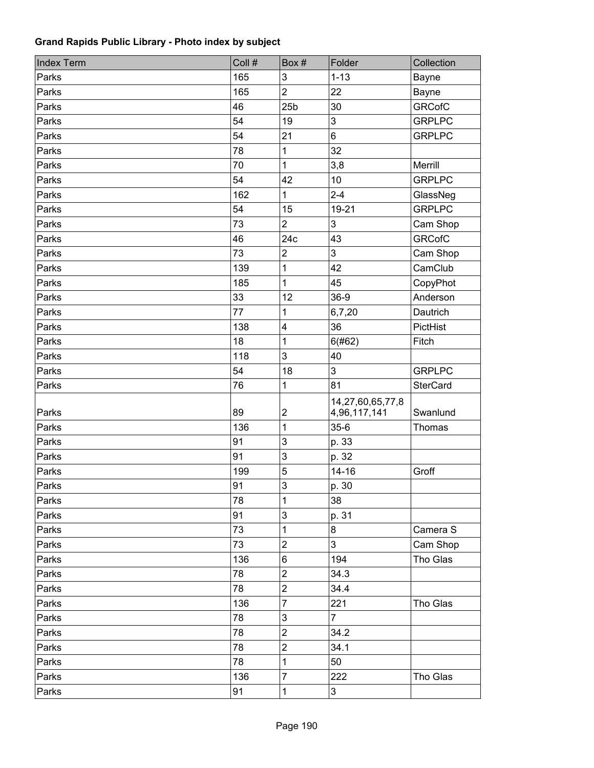| <b>Index Term</b> | Coll # | Box#                    | Folder                           | Collection      |
|-------------------|--------|-------------------------|----------------------------------|-----------------|
| Parks             | 165    | 3                       | $1 - 13$                         | Bayne           |
| Parks             | 165    | $\overline{2}$          | 22                               | Bayne           |
| Parks             | 46     | 25 <sub>b</sub>         | 30                               | <b>GRCofC</b>   |
| Parks             | 54     | 19                      | 3                                | <b>GRPLPC</b>   |
| Parks             | 54     | 21                      | 6                                | <b>GRPLPC</b>   |
| Parks             | 78     | $\mathbf{1}$            | 32                               |                 |
| Parks             | 70     | $\mathbf{1}$            | 3,8                              | Merrill         |
| Parks             | 54     | 42                      | 10                               | <b>GRPLPC</b>   |
| Parks             | 162    | $\mathbf{1}$            | $2 - 4$                          | GlassNeg        |
| Parks             | 54     | 15                      | 19-21                            | <b>GRPLPC</b>   |
| Parks             | 73     | $\overline{2}$          | 3                                | Cam Shop        |
| Parks             | 46     | 24c                     | 43                               | <b>GRCofC</b>   |
| Parks             | 73     | $\overline{2}$          | 3                                | Cam Shop        |
| Parks             | 139    | $\mathbf 1$             | 42                               | CamClub         |
| Parks             | 185    | $\mathbf{1}$            | 45                               | CopyPhot        |
| Parks             | 33     | 12                      | 36-9                             | Anderson        |
| Parks             | 77     | 1                       | 6,7,20                           | Dautrich        |
| Parks             | 138    | $\overline{\mathbf{4}}$ | 36                               | PictHist        |
| Parks             | 18     | $\mathbf{1}$            | 6(#62)                           | Fitch           |
| Parks             | 118    | 3                       | 40                               |                 |
| Parks             | 54     | 18                      | 3                                | <b>GRPLPC</b>   |
| Parks             | 76     | 1                       | 81                               | <b>SterCard</b> |
| Parks             | 89     | $\mathbf 2$             | 14,27,60,65,77,8<br>4,96,117,141 | Swanlund        |
| Parks             | 136    | $\mathbf{1}$            | $35-6$                           | Thomas          |
| Parks             | 91     | 3                       | p. 33                            |                 |
| Parks             | 91     | 3                       | p. 32                            |                 |
| Parks             | 199    | 5                       | $14 - 16$                        | Groff           |
| Parks             | 91     | 3                       | p. 30                            |                 |
| Parks             | 78     | 1                       | 38                               |                 |
| Parks             | 91     | $\mathfrak{S}$          | p. 31                            |                 |
| Parks             | 73     | 1                       | 8                                | Camera S        |
| Parks             | 73     | $\overline{2}$          | 3                                | Cam Shop        |
| Parks             | 136    | 6                       | 194                              | Tho Glas        |
| Parks             | 78     | $\overline{2}$          | 34.3                             |                 |
| Parks             | 78     | $\overline{2}$          | 34.4                             |                 |
| Parks             | 136    | $\overline{7}$          | 221                              | Tho Glas        |
| Parks             | 78     | $\mathsf 3$             | $\overline{7}$                   |                 |
| Parks             | 78     | $\overline{c}$          | 34.2                             |                 |
| Parks             | 78     | $\overline{c}$          | 34.1                             |                 |
| Parks             | 78     | 1                       | 50                               |                 |
| Parks             | 136    | $\overline{7}$          | 222                              | Tho Glas        |
| Parks             | 91     | $\mathbf{1}$            | 3                                |                 |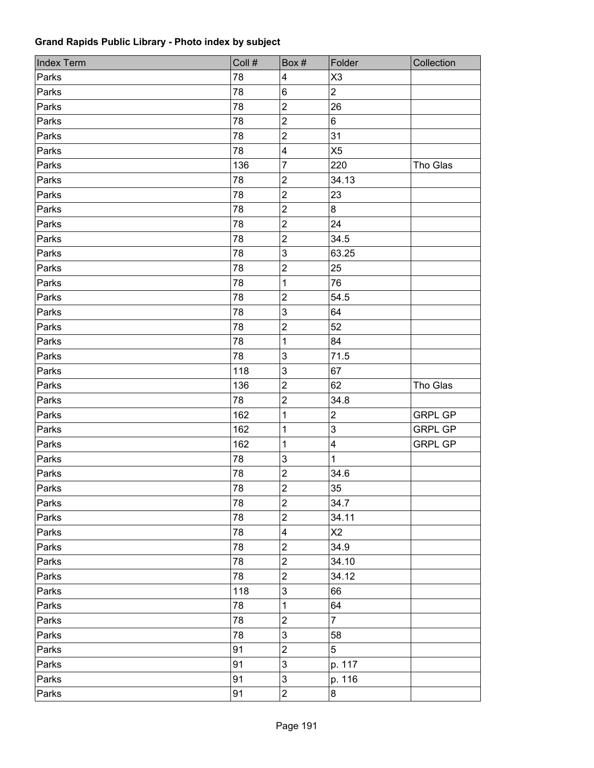| <b>Index Term</b> | Coll # | Box#                      | Folder                  | Collection     |
|-------------------|--------|---------------------------|-------------------------|----------------|
| Parks             | 78     | $\overline{\mathbf{4}}$   | X <sub>3</sub>          |                |
| Parks             | 78     | $\,6\,$                   | $\overline{2}$          |                |
| Parks             | 78     | $\overline{2}$            | 26                      |                |
| Parks             | 78     | $\sqrt{2}$                | 6                       |                |
| Parks             | 78     | $\boldsymbol{2}$          | 31                      |                |
| Parks             | 78     | $\overline{\mathbf{4}}$   | X <sub>5</sub>          |                |
| Parks             | 136    | $\overline{7}$            | 220                     | Tho Glas       |
| Parks             | 78     | $\sqrt{2}$                | 34.13                   |                |
| Parks             | 78     | $\boldsymbol{2}$          | 23                      |                |
| Parks             | 78     | $\overline{2}$            | 8                       |                |
| Parks             | 78     | $\boldsymbol{2}$          | 24                      |                |
| Parks             | 78     | $\sqrt{2}$                | 34.5                    |                |
| Parks             | 78     | $\mathbf{3}$              | 63.25                   |                |
| Parks             | 78     | $\overline{c}$            | 25                      |                |
| Parks             | 78     | 1                         | 76                      |                |
| Parks             | 78     | $\mathbf 2$               | 54.5                    |                |
| Parks             | 78     | $\sqrt{3}$                | 64                      |                |
| Parks             | 78     | $\overline{c}$            | 52                      |                |
| Parks             | 78     | 1                         | 84                      |                |
| Parks             | 78     | 3                         | 71.5                    |                |
| Parks             | 118    | $\sqrt{3}$                | 67                      |                |
| Parks             | 136    | $\boldsymbol{2}$          | 62                      | Tho Glas       |
| Parks             | 78     | $\boldsymbol{2}$          | 34.8                    |                |
| Parks             | 162    | 1                         | $\overline{2}$          | <b>GRPL GP</b> |
| Parks             | 162    | 1                         | 3                       | <b>GRPL GP</b> |
| Parks             | 162    | 1                         | $\overline{\mathbf{4}}$ | <b>GRPL GP</b> |
| Parks             | 78     | $\ensuremath{\mathsf{3}}$ | $\mathbf{1}$            |                |
| Parks             | 78     | $\boldsymbol{2}$          | 34.6                    |                |
| Parks             | 78     | $\overline{2}$            | 35                      |                |
| Parks             | 78     | $\mathbf 2$               | 34.7                    |                |
| Parks             | 78     | $\sqrt{2}$                | 34.11                   |                |
| Parks             | 78     | $\overline{\mathbf{4}}$   | X2                      |                |
| Parks             | 78     | $\overline{c}$            | 34.9                    |                |
| Parks             | 78     | $\boldsymbol{2}$          | 34.10                   |                |
| Parks             | 78     | $\overline{2}$            | 34.12                   |                |
| Parks             | 118    | $\mathfrak{S}$            | 66                      |                |
| Parks             | 78     | 1                         | 64                      |                |
| Parks             | 78     | $\boldsymbol{2}$          | $\overline{7}$          |                |
| Parks             | 78     | $\ensuremath{\mathsf{3}}$ | 58                      |                |
| Parks             | 91     | $\overline{c}$            | 5                       |                |
| Parks             | 91     | $\mathbf{3}$              | p. 117                  |                |
| Parks             | 91     | $\ensuremath{\mathsf{3}}$ | p. 116                  |                |
| Parks             | 91     | $\overline{c}$            | $\bf 8$                 |                |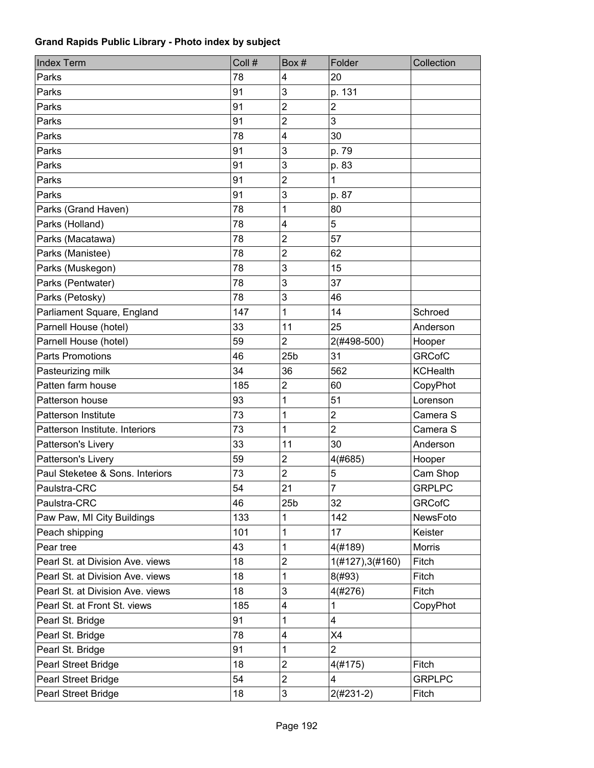| <b>Index Term</b>                | Coll # | Box#            | Folder           | Collection      |
|----------------------------------|--------|-----------------|------------------|-----------------|
| Parks                            | 78     | 4               | 20               |                 |
| Parks                            | 91     | 3               | p. 131           |                 |
| Parks                            | 91     | $\overline{2}$  | $\overline{2}$   |                 |
| Parks                            | 91     | $\overline{c}$  | 3                |                 |
| Parks                            | 78     | 4               | 30               |                 |
| Parks                            | 91     | 3               | p. 79            |                 |
| Parks                            | 91     | 3               | p. 83            |                 |
| Parks                            | 91     | $\overline{2}$  | 1                |                 |
| Parks                            | 91     | 3               | p. 87            |                 |
| Parks (Grand Haven)              | 78     | 1               | 80               |                 |
| Parks (Holland)                  | 78     | 4               | 5                |                 |
| Parks (Macatawa)                 | 78     | 2               | 57               |                 |
| Parks (Manistee)                 | 78     | $\overline{c}$  | 62               |                 |
| Parks (Muskegon)                 | 78     | 3               | 15               |                 |
| Parks (Pentwater)                | 78     | 3               | 37               |                 |
| Parks (Petosky)                  | 78     | 3               | 46               |                 |
| Parliament Square, England       | 147    | 1               | 14               | Schroed         |
| Parnell House (hotel)            | 33     | 11              | 25               | Anderson        |
| Parnell House (hotel)            | 59     | $\overline{2}$  | 2(#498-500)      | Hooper          |
| <b>Parts Promotions</b>          | 46     | 25 <sub>b</sub> | 31               | <b>GRCofC</b>   |
| Pasteurizing milk                | 34     | 36              | 562              | <b>KCHealth</b> |
| Patten farm house                | 185    | $\overline{2}$  | 60               | CopyPhot        |
| Patterson house                  | 93     | 1               | 51               | Lorenson        |
| <b>Patterson Institute</b>       | 73     | 1               | $\overline{2}$   | Camera S        |
| Patterson Institute. Interiors   | 73     | 1               | $\overline{2}$   | Camera S        |
| Patterson's Livery               | 33     | 11              | 30               | Anderson        |
| Patterson's Livery               | 59     | $\overline{2}$  | 4(#685)          | Hooper          |
| Paul Steketee & Sons. Interiors  | 73     | $\overline{2}$  | 5                | Cam Shop        |
| Paulstra-CRC                     | 54     | 21              | $\overline{7}$   | <b>GRPLPC</b>   |
| Paulstra-CRC                     | 46     | 25 <sub>b</sub> | 32               | <b>GRCofC</b>   |
| Paw Paw, MI City Buildings       | 133    | 1               | 142              | NewsFoto        |
| Peach shipping                   | 101    | 1               | 17               | Keister         |
| Pear tree                        | 43     | 1               | 4(#189)          | Morris          |
| Pearl St. at Division Ave. views | 18     | $\overline{2}$  | 1(H127), 3(H160) | Fitch           |
| Pearl St. at Division Ave. views | 18     | 1               | 8(#93)           | Fitch           |
| Pearl St. at Division Ave. views | 18     | 3               | 4(#276)          | Fitch           |
| Pearl St. at Front St. views     | 185    | 4               | 1                | CopyPhot        |
| Pearl St. Bridge                 | 91     | 1               | 4                |                 |
| Pearl St. Bridge                 | 78     | 4               | X4               |                 |
| Pearl St. Bridge                 | 91     | 1               | $\overline{2}$   |                 |
| Pearl Street Bridge              | 18     | $\overline{2}$  | 4(#175)          | Fitch           |
| Pearl Street Bridge              | 54     | $\mathbf 2$     | 4                | <b>GRPLPC</b>   |
| Pearl Street Bridge              | 18     | 3               | $2(#231-2)$      | Fitch           |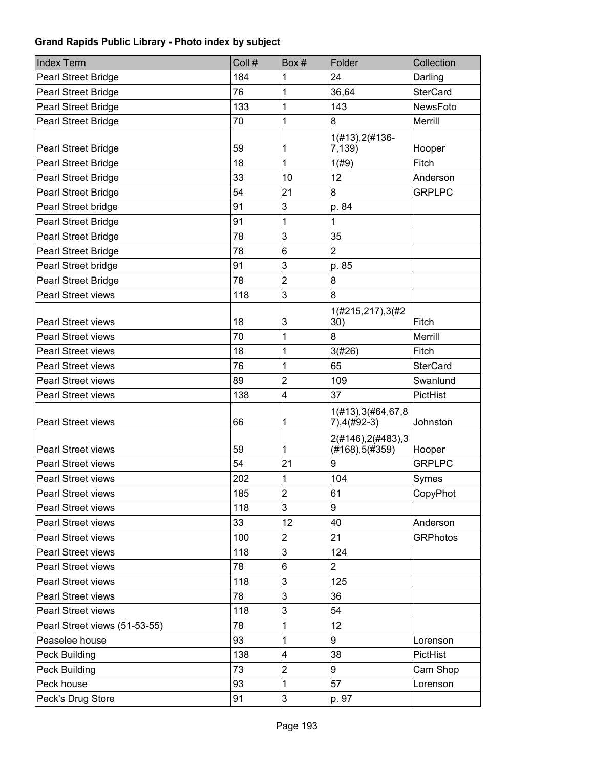| <b>Index Term</b>             | Coll # | Box#           | Folder                                | Collection      |
|-------------------------------|--------|----------------|---------------------------------------|-----------------|
| <b>Pearl Street Bridge</b>    | 184    | 1              | 24                                    | Darling         |
| <b>Pearl Street Bridge</b>    | 76     | 1              | 36,64                                 | <b>SterCard</b> |
| Pearl Street Bridge           | 133    | 1              | 143                                   | NewsFoto        |
| Pearl Street Bridge           | 70     | 1              | 8                                     | Merrill         |
| <b>Pearl Street Bridge</b>    | 59     | 1              | 1(#13), 2(#136-<br>7,139)             | Hooper          |
| Pearl Street Bridge           | 18     | 1              | 1(#9)                                 | Fitch           |
| Pearl Street Bridge           | 33     | 10             | 12                                    | Anderson        |
| <b>Pearl Street Bridge</b>    | 54     | 21             | 8                                     | <b>GRPLPC</b>   |
| Pearl Street bridge           | 91     | 3              | p. 84                                 |                 |
| Pearl Street Bridge           | 91     | 1              | 1                                     |                 |
| Pearl Street Bridge           | 78     | 3              | 35                                    |                 |
| Pearl Street Bridge           | 78     | 6              | $\overline{2}$                        |                 |
| Pearl Street bridge           | 91     | 3              | p. 85                                 |                 |
| Pearl Street Bridge           | 78     | $\overline{c}$ | 8                                     |                 |
| <b>Pearl Street views</b>     | 118    | 3              | 8                                     |                 |
| <b>Pearl Street views</b>     | 18     | 3              | 1(#215,217),3(#2<br>30)               | Fitch           |
| <b>Pearl Street views</b>     | 70     | 1              | 8                                     | Merrill         |
| <b>Pearl Street views</b>     | 18     | 1              | 3(#26)                                | Fitch           |
| <b>Pearl Street views</b>     | 76     | 1              | 65                                    | <b>SterCard</b> |
| <b>Pearl Street views</b>     | 89     | $\overline{2}$ | 109                                   | Swanlund        |
| <b>Pearl Street views</b>     | 138    | 4              | 37                                    | PictHist        |
| <b>Pearl Street views</b>     | 66     | 1              | 1(#13), 3(#64, 67, 8<br>7), 4(#92-3)  | Johnston        |
| <b>Pearl Street views</b>     | 59     | 1              | 2(#146), 2(#483), 3<br>(#168), 5#359) | Hooper          |
| Pearl Street views            | 54     | 21             | 9                                     | <b>GRPLPC</b>   |
| <b>Pearl Street views</b>     | 202    | 1              | 104                                   | Symes           |
| Pearl Street views            | 185    | $\overline{c}$ | 61                                    | CopyPhot        |
| <b>Pearl Street views</b>     | 118    | 3              | 9                                     |                 |
| <b>Pearl Street views</b>     | 33     | 12             | 40                                    | Anderson        |
| Pearl Street views            | 100    | $\overline{2}$ | 21                                    | <b>GRPhotos</b> |
| <b>Pearl Street views</b>     | 118    | 3              | 124                                   |                 |
| <b>Pearl Street views</b>     | 78     | 6              | $\overline{2}$                        |                 |
| <b>Pearl Street views</b>     | 118    | 3              | 125                                   |                 |
| <b>Pearl Street views</b>     | 78     | 3              | 36                                    |                 |
| Pearl Street views            | 118    | 3              | 54                                    |                 |
| Pearl Street views (51-53-55) | 78     | 1              | 12                                    |                 |
| Peaselee house                | 93     | 1              | 9                                     | Lorenson        |
| Peck Building                 | 138    | 4              | 38                                    | PictHist        |
| Peck Building                 | 73     | $\overline{2}$ | 9                                     | Cam Shop        |
| Peck house                    | 93     | 1              | 57                                    | Lorenson        |
| Peck's Drug Store             | 91     | 3              | p. 97                                 |                 |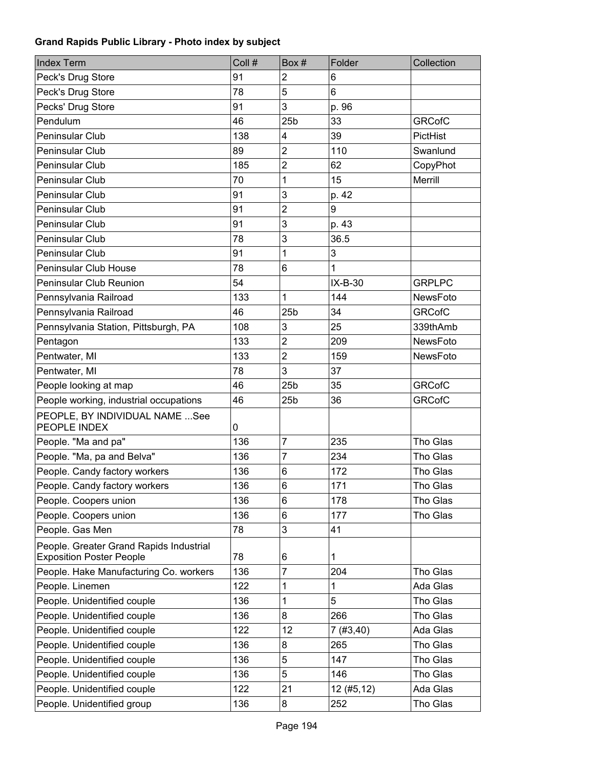| <b>Index Term</b>                                                          | Coll # | Box#            | Folder       | Collection    |
|----------------------------------------------------------------------------|--------|-----------------|--------------|---------------|
| Peck's Drug Store                                                          | 91     | $\overline{2}$  | 6            |               |
| Peck's Drug Store                                                          | 78     | 5               | 6            |               |
| Pecks' Drug Store                                                          | 91     | 3               | p. 96        |               |
| Pendulum                                                                   | 46     | 25 <sub>b</sub> | 33           | <b>GRCofC</b> |
| Peninsular Club                                                            | 138    | 4               | 39           | PictHist      |
| Peninsular Club                                                            | 89     | $\overline{c}$  | 110          | Swanlund      |
| Peninsular Club                                                            | 185    | $\overline{c}$  | 62           | CopyPhot      |
| Peninsular Club                                                            | 70     | 1               | 15           | Merrill       |
| Peninsular Club                                                            | 91     | 3               | p. 42        |               |
| Peninsular Club                                                            | 91     | $\overline{2}$  | 9            |               |
| Peninsular Club                                                            | 91     | 3               | p. 43        |               |
| Peninsular Club                                                            | 78     | 3               | 36.5         |               |
| Peninsular Club                                                            | 91     | 1               | 3            |               |
| Peninsular Club House                                                      | 78     | 6               | $\mathbf{1}$ |               |
| Peninsular Club Reunion                                                    | 54     |                 | $IX-B-30$    | <b>GRPLPC</b> |
| Pennsylvania Railroad                                                      | 133    | 1               | 144          | NewsFoto      |
| Pennsylvania Railroad                                                      | 46     | 25 <sub>b</sub> | 34           | <b>GRCofC</b> |
| Pennsylvania Station, Pittsburgh, PA                                       | 108    | 3               | 25           | 339thAmb      |
| Pentagon                                                                   | 133    | $\overline{2}$  | 209          | NewsFoto      |
| Pentwater, MI                                                              | 133    | $\overline{2}$  | 159          | NewsFoto      |
| Pentwater, MI                                                              | 78     | 3               | 37           |               |
| People looking at map                                                      | 46     | 25 <sub>b</sub> | 35           | <b>GRCofC</b> |
| People working, industrial occupations                                     | 46     | 25 <sub>b</sub> | 36           | <b>GRCofC</b> |
| PEOPLE, BY INDIVIDUAL NAME  See<br>PEOPLE INDEX                            | 0      |                 |              |               |
| People. "Ma and pa"                                                        | 136    | $\overline{7}$  | 235          | Tho Glas      |
| People. "Ma, pa and Belva"                                                 | 136    | 7               | 234          | Tho Glas      |
| People. Candy factory workers                                              | 136    | 6               | 172          | Tho Glas      |
| People. Candy factory workers                                              | 136    | 6               | 171          | Tho Glas      |
| People. Coopers union                                                      | 136    | 6               | 178          | Tho Glas      |
| People. Coopers union                                                      | 136    | 6               | 177          | Tho Glas      |
| People. Gas Men                                                            | 78     | 3               | 41           |               |
| People. Greater Grand Rapids Industrial<br><b>Exposition Poster People</b> | 78     | 6               | 1            |               |
| People. Hake Manufacturing Co. workers                                     | 136    | 7               | 204          | Tho Glas      |
| People. Linemen                                                            | 122    | 1               | 1            | Ada Glas      |
| People. Unidentified couple                                                | 136    | 1               | 5            | Tho Glas      |
| People. Unidentified couple                                                | 136    | 8               | 266          | Tho Glas      |
| People. Unidentified couple                                                | 122    | 12              | 7(#3,40)     | Ada Glas      |
| People. Unidentified couple                                                | 136    | 8               | 265          | Tho Glas      |
| People. Unidentified couple                                                | 136    | 5               | 147          | Tho Glas      |
| People. Unidentified couple                                                | 136    | 5               | 146          | Tho Glas      |
| People. Unidentified couple                                                | 122    | 21              | 12(#5, 12)   | Ada Glas      |
| People. Unidentified group                                                 | 136    | 8               | 252          | Tho Glas      |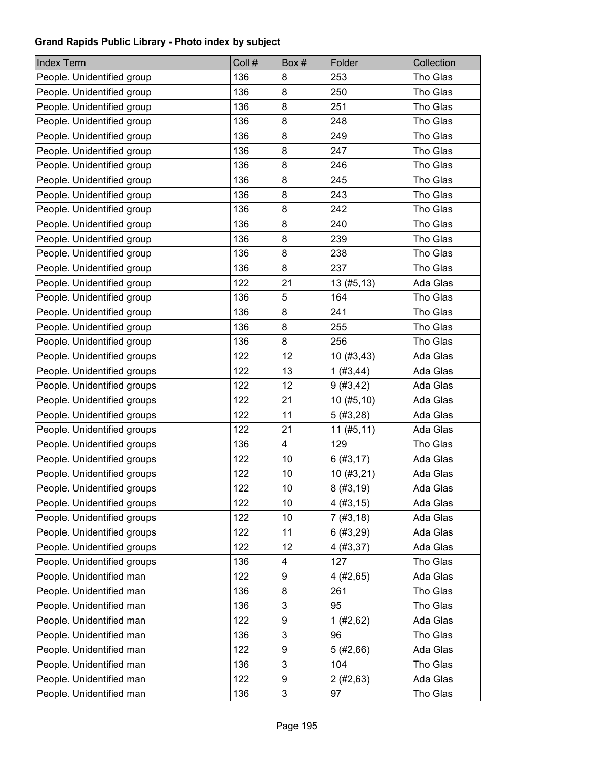| <b>Index Term</b>           | Coll # | Box# | Folder      | Collection |
|-----------------------------|--------|------|-------------|------------|
| People. Unidentified group  | 136    | 8    | 253         | Tho Glas   |
| People. Unidentified group  | 136    | 8    | 250         | Tho Glas   |
| People. Unidentified group  | 136    | 8    | 251         | Tho Glas   |
| People. Unidentified group  | 136    | 8    | 248         | Tho Glas   |
| People. Unidentified group  | 136    | 8    | 249         | Tho Glas   |
| People. Unidentified group  | 136    | 8    | 247         | Tho Glas   |
| People. Unidentified group  | 136    | 8    | 246         | Tho Glas   |
| People. Unidentified group  | 136    | 8    | 245         | Tho Glas   |
| People. Unidentified group  | 136    | 8    | 243         | Tho Glas   |
| People. Unidentified group  | 136    | 8    | 242         | Tho Glas   |
| People. Unidentified group  | 136    | 8    | 240         | Tho Glas   |
| People. Unidentified group  | 136    | 8    | 239         | Tho Glas   |
| People. Unidentified group  | 136    | 8    | 238         | Tho Glas   |
| People. Unidentified group  | 136    | 8    | 237         | Tho Glas   |
| People. Unidentified group  | 122    | 21   | 13(#5, 13)  | Ada Glas   |
| People. Unidentified group  | 136    | 5    | 164         | Tho Glas   |
| People. Unidentified group  | 136    | 8    | 241         | Tho Glas   |
| People. Unidentified group  | 136    | 8    | 255         | Tho Glas   |
| People. Unidentified group  | 136    | 8    | 256         | Tho Glas   |
| People. Unidentified groups | 122    | 12   | 10 (#3,43)  | Ada Glas   |
| People. Unidentified groups | 122    | 13   | 1(#3,44)    | Ada Glas   |
| People. Unidentified groups | 122    | 12   | 9(#3, 42)   | Ada Glas   |
| People. Unidentified groups | 122    | 21   | 10 (#5,10)  | Ada Glas   |
| People. Unidentified groups | 122    | 11   | 5(#3,28)    | Ada Glas   |
| People. Unidentified groups | 122    | 21   | 11 (#5, 11) | Ada Glas   |
| People. Unidentified groups | 136    | 4    | 129         | Tho Glas   |
| People. Unidentified groups | 122    | 10   | 6(#3, 17)   | Ada Glas   |
| People. Unidentified groups | 122    | 10   | 10 (#3,21)  | Ada Glas   |
| People. Unidentified groups | 122    | 10   | 8(#3, 19)   | Ada Glas   |
| People. Unidentified groups | 122    | 10   | 4(#3, 15)   | Ada Glas   |
| People. Unidentified groups | 122    | 10   | 7(#3, 18)   | Ada Glas   |
| People. Unidentified groups | 122    | 11   | 6(#3,29)    | Ada Glas   |
| People. Unidentified groups | 122    | 12   | 4 (#3,37)   | Ada Glas   |
| People. Unidentified groups | 136    | 4    | 127         | Tho Glas   |
| People. Unidentified man    | 122    | 9    | 4 (#2,65)   | Ada Glas   |
| People. Unidentified man    | 136    | 8    | 261         | Tho Glas   |
| People. Unidentified man    | 136    | 3    | 95          | Tho Glas   |
| People. Unidentified man    | 122    | 9    | 1(#2, 62)   | Ada Glas   |
| People. Unidentified man    | 136    | 3    | 96          | Tho Glas   |
| People. Unidentified man    | 122    | 9    | 5(#2,66)    | Ada Glas   |
| People. Unidentified man    | 136    | 3    | 104         | Tho Glas   |
| People. Unidentified man    | 122    | 9    | 2(#2, 63)   | Ada Glas   |
| People. Unidentified man    | 136    | 3    | 97          | Tho Glas   |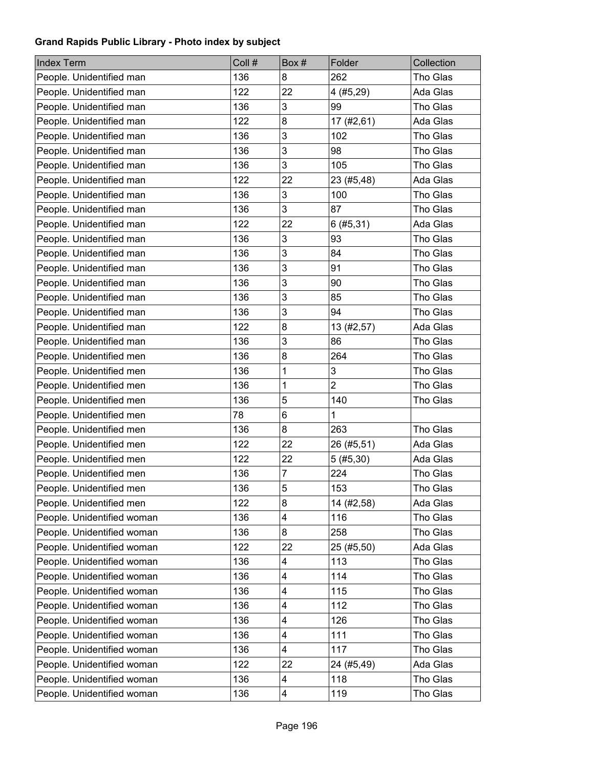| <b>Index Term</b>          | Coll # | Box# | Folder         | Collection |
|----------------------------|--------|------|----------------|------------|
| People. Unidentified man   | 136    | 8    | 262            | Tho Glas   |
| People. Unidentified man   | 122    | 22   | 4 (#5,29)      | Ada Glas   |
| People. Unidentified man   | 136    | 3    | 99             | Tho Glas   |
| People. Unidentified man   | 122    | 8    | 17 (#2,61)     | Ada Glas   |
| People. Unidentified man   | 136    | 3    | 102            | Tho Glas   |
| People. Unidentified man   | 136    | 3    | 98             | Tho Glas   |
| People. Unidentified man   | 136    | 3    | 105            | Tho Glas   |
| People. Unidentified man   | 122    | 22   | 23 (#5,48)     | Ada Glas   |
| People. Unidentified man   | 136    | 3    | 100            | Tho Glas   |
| People. Unidentified man   | 136    | 3    | 87             | Tho Glas   |
| People. Unidentified man   | 122    | 22   | 6(#5, 31)      | Ada Glas   |
| People. Unidentified man   | 136    | 3    | 93             | Tho Glas   |
| People. Unidentified man   | 136    | 3    | 84             | Tho Glas   |
| People. Unidentified man   | 136    | 3    | 91             | Tho Glas   |
| People. Unidentified man   | 136    | 3    | 90             | Tho Glas   |
| People. Unidentified man   | 136    | 3    | 85             | Tho Glas   |
| People. Unidentified man   | 136    | 3    | 94             | Tho Glas   |
| People. Unidentified man   | 122    | 8    | 13 (#2,57)     | Ada Glas   |
| People. Unidentified man   | 136    | 3    | 86             | Tho Glas   |
| People. Unidentified men   | 136    | 8    | 264            | Tho Glas   |
| People. Unidentified men   | 136    | 1    | 3              | Tho Glas   |
| People. Unidentified men   | 136    | 1    | $\overline{2}$ | Tho Glas   |
| People. Unidentified men   | 136    | 5    | 140            | Tho Glas   |
| People. Unidentified men   | 78     | 6    | $\mathbf{1}$   |            |
| People. Unidentified men   | 136    | 8    | 263            | Tho Glas   |
| People. Unidentified men   | 122    | 22   | 26 (#5,51)     | Ada Glas   |
| People. Unidentified men   | 122    | 22   | 5(#5, 30)      | Ada Glas   |
| People. Unidentified men   | 136    | 7    | 224            | Tho Glas   |
| People. Unidentified men   | 136    | 5    | 153            | Tho Glas   |
| People. Unidentified men   | 122    | 8    | 14 (#2,58)     | Ada Glas   |
| People. Unidentified woman | 136    | 4    | 116            | Tho Glas   |
| People. Unidentified woman | 136    | 8    | 258            | Tho Glas   |
| People. Unidentified woman | 122    | 22   | 25 (#5,50)     | Ada Glas   |
| People. Unidentified woman | 136    | 4    | 113            | Tho Glas   |
| People. Unidentified woman | 136    | 4    | 114            | Tho Glas   |
| People. Unidentified woman | 136    | 4    | 115            | Tho Glas   |
| People. Unidentified woman | 136    | 4    | 112            | Tho Glas   |
| People. Unidentified woman | 136    | 4    | 126            | Tho Glas   |
| People. Unidentified woman | 136    | 4    | 111            | Tho Glas   |
| People. Unidentified woman | 136    | 4    | 117            | Tho Glas   |
| People. Unidentified woman | 122    | 22   | 24 (#5,49)     | Ada Glas   |
| People. Unidentified woman | 136    | 4    | 118            | Tho Glas   |
| People. Unidentified woman | 136    | 4    | 119            | Tho Glas   |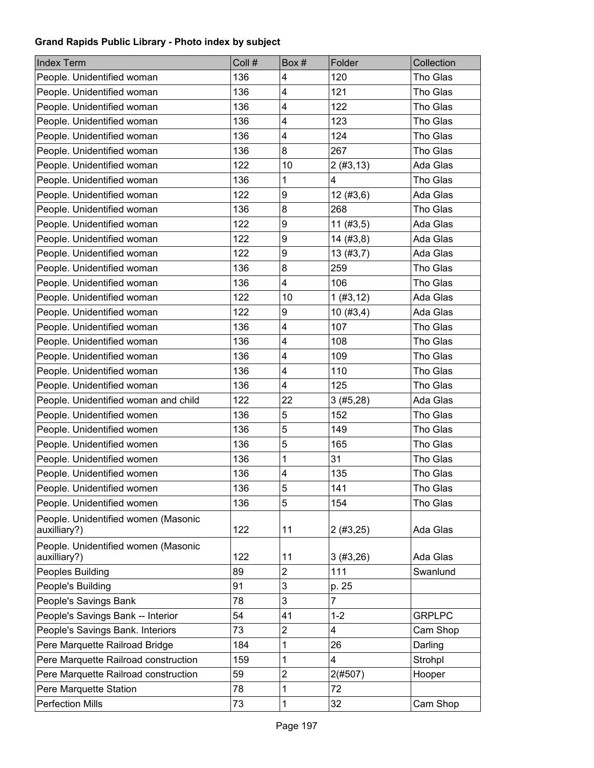| <b>Index Term</b>                                   | Coll # | Box#                    | Folder         | Collection    |
|-----------------------------------------------------|--------|-------------------------|----------------|---------------|
| People. Unidentified woman                          | 136    | 4                       | 120            | Tho Glas      |
| People. Unidentified woman                          | 136    | 4                       | 121            | Tho Glas      |
| People. Unidentified woman                          | 136    | 4                       | 122            | Tho Glas      |
| People. Unidentified woman                          | 136    | 4                       | 123            | Tho Glas      |
| People. Unidentified woman                          | 136    | 4                       | 124            | Tho Glas      |
| People. Unidentified woman                          | 136    | 8                       | 267            | Tho Glas      |
| People. Unidentified woman                          | 122    | 10                      | 2(#3, 13)      | Ada Glas      |
| People. Unidentified woman                          | 136    | 1                       | 4              | Tho Glas      |
| People. Unidentified woman                          | 122    | 9                       | 12(#3, 6)      | Ada Glas      |
| People. Unidentified woman                          | 136    | 8                       | 268            | Tho Glas      |
| People. Unidentified woman                          | 122    | 9                       | $11$ (#3,5)    | Ada Glas      |
| People. Unidentified woman                          | 122    | 9                       | 14(#3, 8)      | Ada Glas      |
| People. Unidentified woman                          | 122    | 9                       | 13(#3,7)       | Ada Glas      |
| People. Unidentified woman                          | 136    | 8                       | 259            | Tho Glas      |
| People. Unidentified woman                          | 136    | 4                       | 106            | Tho Glas      |
| People. Unidentified woman                          | 122    | 10                      | 1(#3, 12)      | Ada Glas      |
| People. Unidentified woman                          | 122    | 9                       | 10(#3,4)       | Ada Glas      |
| People. Unidentified woman                          | 136    | 4                       | 107            | Tho Glas      |
| People. Unidentified woman                          | 136    | 4                       | 108            | Tho Glas      |
| People. Unidentified woman                          | 136    | 4                       | 109            | Tho Glas      |
| People. Unidentified woman                          | 136    | 4                       | 110            | Tho Glas      |
| People. Unidentified woman                          | 136    | 4                       | 125            | Tho Glas      |
| People. Unidentified woman and child                | 122    | 22                      | 3(#5,28)       | Ada Glas      |
| People. Unidentified women                          | 136    | 5                       | 152            | Tho Glas      |
| People. Unidentified women                          | 136    | 5                       | 149            | Tho Glas      |
| People. Unidentified women                          | 136    | 5                       | 165            | Tho Glas      |
| People. Unidentified women                          | 136    | 1                       | 31             | Tho Glas      |
| People. Unidentified women                          | 136    | 4                       | 135            | Tho Glas      |
| People. Unidentified women                          | 136    | 5                       | 141            | Tho Glas      |
| People. Unidentified women                          | 136    | 5                       | 154            | Tho Glas      |
| People. Unidentified women (Masonic<br>auxilliary?) | 122    | 11                      | 2(#3,25)       | Ada Glas      |
| People. Unidentified women (Masonic<br>auxilliary?) | 122    | 11                      | 3(#3,26)       | Ada Glas      |
| Peoples Building                                    | 89     | $\overline{\mathbf{c}}$ | 111            | Swanlund      |
| People's Building                                   | 91     | 3                       | p. 25          |               |
| People's Savings Bank                               | 78     | 3                       | $\overline{7}$ |               |
| People's Savings Bank -- Interior                   | 54     | 41                      | $1 - 2$        | <b>GRPLPC</b> |
| People's Savings Bank. Interiors                    | 73     | 2                       | 4              | Cam Shop      |
| Pere Marquette Railroad Bridge                      | 184    | 1                       | 26             | Darling       |
| Pere Marquette Railroad construction                | 159    | 1                       | 4              | Strohpl       |
| Pere Marquette Railroad construction                | 59     | 2                       | 2(#507)        | Hooper        |
| Pere Marquette Station                              | 78     | 1                       | 72             |               |
| <b>Perfection Mills</b>                             | 73     | $\mathbf{1}$            | 32             | Cam Shop      |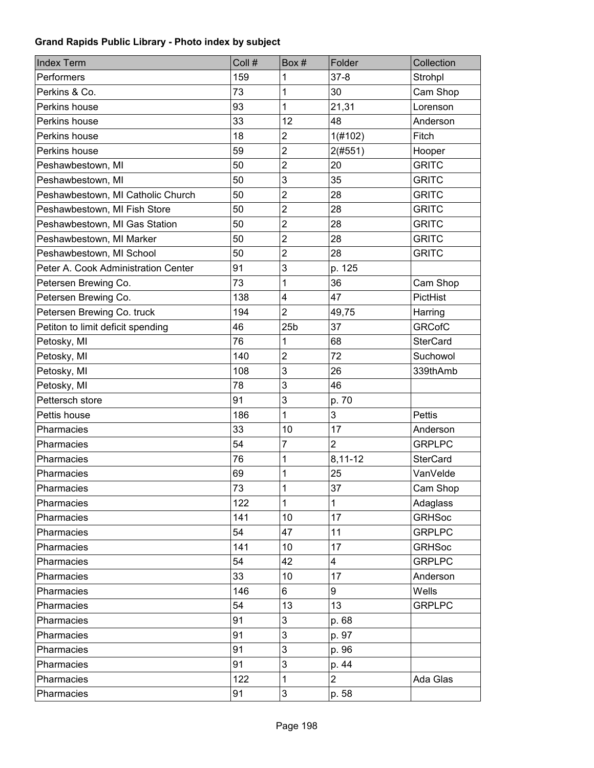| <b>Index Term</b>                   | Coll # | Box#            | Folder         | Collection      |
|-------------------------------------|--------|-----------------|----------------|-----------------|
| Performers                          | 159    | 1               | $37 - 8$       | Strohpl         |
| Perkins & Co.                       | 73     | 1               | 30             | Cam Shop        |
| Perkins house                       | 93     | 1               | 21,31          | Lorenson        |
| Perkins house                       | 33     | 12              | 48             | Anderson        |
| Perkins house                       | 18     | $\overline{c}$  | 1(#102)        | Fitch           |
| Perkins house                       | 59     | $\overline{2}$  | 2(#551)        | Hooper          |
| Peshawbestown, MI                   | 50     | $\overline{2}$  | 20             | <b>GRITC</b>    |
| Peshawbestown, MI                   | 50     | 3               | 35             | <b>GRITC</b>    |
| Peshawbestown, MI Catholic Church   | 50     | $\overline{c}$  | 28             | <b>GRITC</b>    |
| Peshawbestown, MI Fish Store        | 50     | $\overline{2}$  | 28             | <b>GRITC</b>    |
| Peshawbestown, MI Gas Station       | 50     | $\overline{c}$  | 28             | <b>GRITC</b>    |
| Peshawbestown, MI Marker            | 50     | $\overline{2}$  | 28             | <b>GRITC</b>    |
| Peshawbestown, MI School            | 50     | $\overline{2}$  | 28             | <b>GRITC</b>    |
| Peter A. Cook Administration Center | 91     | 3               | p. 125         |                 |
| Petersen Brewing Co.                | 73     | 1               | 36             | Cam Shop        |
| Petersen Brewing Co.                | 138    | 4               | 47             | PictHist        |
| Petersen Brewing Co. truck          | 194    | $\overline{2}$  | 49,75          | Harring         |
| Petiton to limit deficit spending   | 46     | 25 <sub>b</sub> | 37             | <b>GRCofC</b>   |
| Petosky, MI                         | 76     | 1               | 68             | <b>SterCard</b> |
| Petosky, MI                         | 140    | $\overline{2}$  | 72             | Suchowol        |
| Petosky, MI                         | 108    | 3               | 26             | 339thAmb        |
| Petosky, MI                         | 78     | 3               | 46             |                 |
| Pettersch store                     | 91     | 3               | p. 70          |                 |
| Pettis house                        | 186    | 1               | 3              | <b>Pettis</b>   |
| Pharmacies                          | 33     | 10              | 17             | Anderson        |
| Pharmacies                          | 54     | 7               | $\overline{2}$ | <b>GRPLPC</b>   |
| Pharmacies                          | 76     | 1               | 8,11-12        | <b>SterCard</b> |
| Pharmacies                          | 69     | 1               | 25             | VanVelde        |
| Pharmacies                          | 73     | $\mathbf{1}$    | 37             | Cam Shop        |
| Pharmacies                          | 122    | 1               | 1              | Adaglass        |
| Pharmacies                          | 141    | 10              | 17             | <b>GRHSoc</b>   |
| Pharmacies                          | 54     | 47              | 11             | <b>GRPLPC</b>   |
| Pharmacies                          | 141    | 10              | 17             | <b>GRHSoc</b>   |
| Pharmacies                          | 54     | 42              | 4              | <b>GRPLPC</b>   |
| Pharmacies                          | 33     | 10              | 17             | Anderson        |
| Pharmacies                          | 146    | 6               | 9              | Wells           |
| Pharmacies                          | 54     | 13              | 13             | <b>GRPLPC</b>   |
| Pharmacies                          | 91     | 3               | p. 68          |                 |
| Pharmacies                          | 91     | 3               | p. 97          |                 |
| Pharmacies                          | 91     | 3               | p. 96          |                 |
| Pharmacies                          | 91     | 3               | p. 44          |                 |
| Pharmacies                          | 122    | $\mathbf{1}$    | $\overline{2}$ | Ada Glas        |
| Pharmacies                          | 91     | 3               | p. 58          |                 |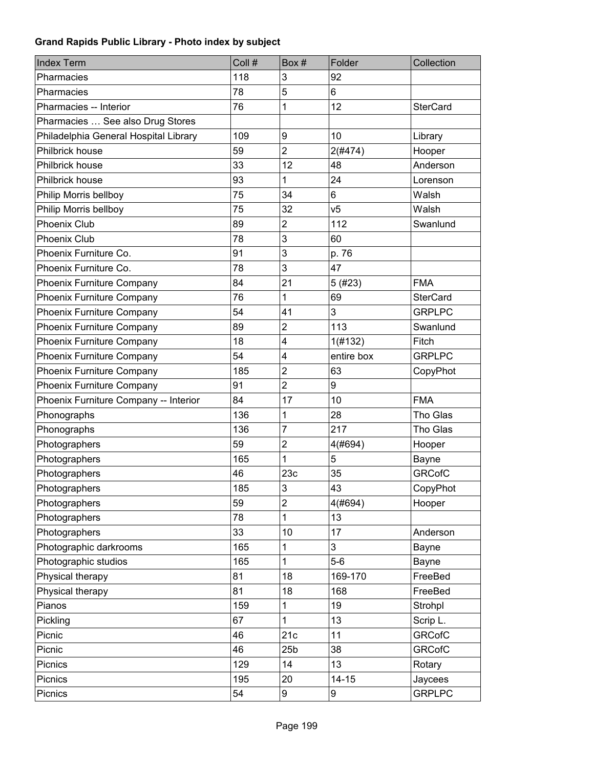| <b>Index Term</b>                     | Coll # | Box#            | Folder         | Collection      |
|---------------------------------------|--------|-----------------|----------------|-----------------|
| Pharmacies                            | 118    | 3               | 92             |                 |
| Pharmacies                            | 78     | 5               | 6              |                 |
| Pharmacies -- Interior                | 76     | 1               | 12             | <b>SterCard</b> |
| Pharmacies  See also Drug Stores      |        |                 |                |                 |
| Philadelphia General Hospital Library | 109    | 9               | 10             | Library         |
| Philbrick house                       | 59     | $\overline{2}$  | $2($ #474 $)$  | Hooper          |
| <b>Philbrick house</b>                | 33     | 12              | 48             | Anderson        |
| Philbrick house                       | 93     | 1               | 24             | Lorenson        |
| Philip Morris bellboy                 | 75     | 34              | 6              | Walsh           |
| Philip Morris bellboy                 | 75     | 32              | V <sub>5</sub> | Walsh           |
| <b>Phoenix Club</b>                   | 89     | $\overline{2}$  | 112            | Swanlund        |
| Phoenix Club                          | 78     | 3               | 60             |                 |
| Phoenix Furniture Co.                 | 91     | 3               | p. 76          |                 |
| Phoenix Furniture Co.                 | 78     | 3               | 47             |                 |
| Phoenix Furniture Company             | 84     | 21              | 5(#23)         | <b>FMA</b>      |
| Phoenix Furniture Company             | 76     | 1               | 69             | <b>SterCard</b> |
| Phoenix Furniture Company             | 54     | 41              | 3              | <b>GRPLPC</b>   |
| Phoenix Furniture Company             | 89     | $\overline{2}$  | 113            | Swanlund        |
| Phoenix Furniture Company             | 18     | 4               | 1(#132)        | Fitch           |
| Phoenix Furniture Company             | 54     | 4               | entire box     | <b>GRPLPC</b>   |
| Phoenix Furniture Company             | 185    | $\overline{2}$  | 63             | CopyPhot        |
| Phoenix Furniture Company             | 91     | $\overline{2}$  | 9              |                 |
| Phoenix Furniture Company -- Interior | 84     | 17              | 10             | <b>FMA</b>      |
| Phonographs                           | 136    | 1               | 28             | Tho Glas        |
| Phonographs                           | 136    | $\overline{7}$  | 217            | Tho Glas        |
| Photographers                         | 59     | $\overline{2}$  | 4(#694)        | Hooper          |
| Photographers                         | 165    | 1               | 5              | Bayne           |
| Photographers                         | 46     | 23c             | 35             | <b>GRCofC</b>   |
| Photographers                         | 185    | 3               | 43             | CopyPhot        |
| Photographers                         | 59     | $\overline{c}$  | 4(#694)        | Hooper          |
| Photographers                         | 78     | 1               | 13             |                 |
| Photographers                         | 33     | 10              | 17             | Anderson        |
| Photographic darkrooms                | 165    | 1               | 3              | Bayne           |
| Photographic studios                  | 165    | 1               | $5-6$          | Bayne           |
| Physical therapy                      | 81     | 18              | 169-170        | FreeBed         |
| Physical therapy                      | 81     | 18              | 168            | FreeBed         |
| Pianos                                | 159    | 1               | 19             | Strohpl         |
| Pickling                              | 67     | 1               | 13             | Scrip L.        |
| Picnic                                | 46     | 21c             | 11             | <b>GRCofC</b>   |
| Picnic                                | 46     | 25 <sub>b</sub> | 38             | <b>GRCofC</b>   |
| Picnics                               | 129    | 14              | 13             | Rotary          |
| Picnics                               | 195    | 20              | $14 - 15$      | Jaycees         |
| Picnics                               | 54     | 9               | 9              | <b>GRPLPC</b>   |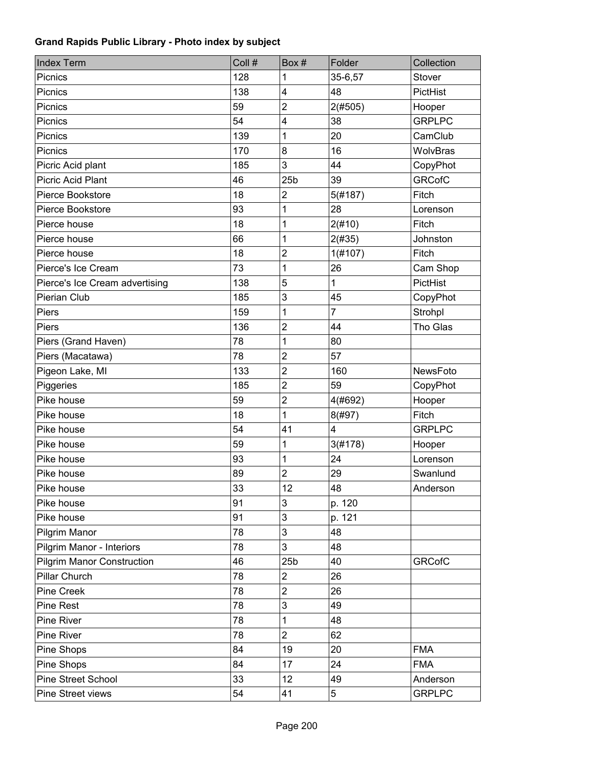| <b>Index Term</b>                 | Coll # | Box#            | Folder  | Collection      |
|-----------------------------------|--------|-----------------|---------|-----------------|
| Picnics                           | 128    | 1               | 35-6,57 | Stover          |
| Picnics                           | 138    | 4               | 48      | <b>PictHist</b> |
| Picnics                           | 59     | $\overline{c}$  | 2(#505) | Hooper          |
| Picnics                           | 54     | 4               | 38      | <b>GRPLPC</b>   |
| Picnics                           | 139    | 1               | 20      | CamClub         |
| Picnics                           | 170    | 8               | 16      | WolvBras        |
| Picric Acid plant                 | 185    | 3               | 44      | CopyPhot        |
| Picric Acid Plant                 | 46     | 25 <sub>b</sub> | 39      | <b>GRCofC</b>   |
| Pierce Bookstore                  | 18     | 2               | 5(#187) | Fitch           |
| Pierce Bookstore                  | 93     | 1               | 28      | Lorenson        |
| Pierce house                      | 18     | 1               | 2(#10)  | Fitch           |
| Pierce house                      | 66     | 1               | 2(#35)  | Johnston        |
| Pierce house                      | 18     | $\overline{c}$  | 1(H107) | Fitch           |
| Pierce's Ice Cream                | 73     | 1               | 26      | Cam Shop        |
| Pierce's Ice Cream advertising    | 138    | 5               | 1       | PictHist        |
| Pierian Club                      | 185    | 3               | 45      | CopyPhot        |
| Piers                             | 159    | 1               | 7       | Strohpl         |
| Piers                             | 136    | $\overline{2}$  | 44      | Tho Glas        |
| Piers (Grand Haven)               | 78     | 1               | 80      |                 |
| Piers (Macatawa)                  | 78     | $\overline{2}$  | 57      |                 |
| Pigeon Lake, MI                   | 133    | $\overline{2}$  | 160     | NewsFoto        |
| Piggeries                         | 185    | $\overline{2}$  | 59      | CopyPhot        |
| Pike house                        | 59     | $\overline{2}$  | 4(#692) | Hooper          |
| Pike house                        | 18     | 1               | 8(#97)  | Fitch           |
| Pike house                        | 54     | 41              | 4       | <b>GRPLPC</b>   |
| Pike house                        | 59     | 1               | 3(#178) | Hooper          |
| Pike house                        | 93     | 1               | 24      | Lorenson        |
| Pike house                        | 89     | $\overline{2}$  | 29      | Swanlund        |
| Pike house                        | 33     | 12              | 48      | Anderson        |
| Pike house                        | 91     | 3               | p. 120  |                 |
| Pike house                        | 91     | 3               | p. 121  |                 |
| Pilgrim Manor                     | 78     | 3               | 48      |                 |
| Pilgrim Manor - Interiors         | 78     | 3               | 48      |                 |
| <b>Pilgrim Manor Construction</b> | 46     | 25 <sub>b</sub> | 40      | <b>GRCofC</b>   |
| Pillar Church                     | 78     | $\overline{2}$  | 26      |                 |
| Pine Creek                        | 78     | $\overline{c}$  | 26      |                 |
| <b>Pine Rest</b>                  | 78     | 3               | 49      |                 |
| Pine River                        | 78     | 1               | 48      |                 |
| Pine River                        | 78     | $\overline{2}$  | 62      |                 |
| Pine Shops                        | 84     | 19              | 20      | <b>FMA</b>      |
| Pine Shops                        | 84     | 17              | 24      | <b>FMA</b>      |
| Pine Street School                | 33     | 12              | 49      | Anderson        |
| Pine Street views                 | 54     | 41              | 5       | <b>GRPLPC</b>   |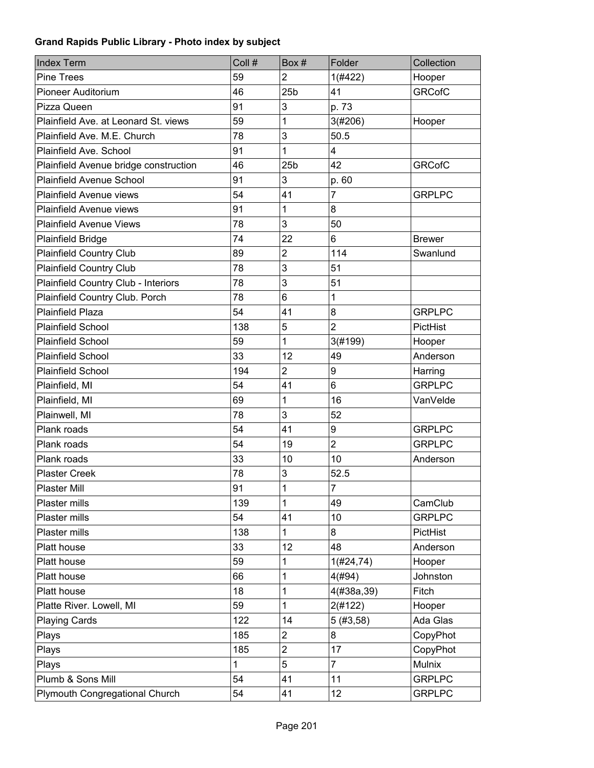| <b>Index Term</b>                     | Coll # | Box #           | Folder         | Collection    |
|---------------------------------------|--------|-----------------|----------------|---------------|
| <b>Pine Trees</b>                     | 59     | $\overline{2}$  | 1(#422)        | Hooper        |
| <b>Pioneer Auditorium</b>             | 46     | 25 <sub>b</sub> | 41             | <b>GRCofC</b> |
| Pizza Queen                           | 91     | 3               | p. 73          |               |
| Plainfield Ave. at Leonard St. views  | 59     | 1               | 3(#206)        | Hooper        |
| Plainfield Ave. M.E. Church           | 78     | 3               | 50.5           |               |
| Plainfield Ave. School                | 91     | 1               | 4              |               |
| Plainfield Avenue bridge construction | 46     | 25 <sub>b</sub> | 42             | <b>GRCofC</b> |
| <b>Plainfield Avenue School</b>       | 91     | 3               | p. 60          |               |
| Plainfield Avenue views               | 54     | 41              | 7              | <b>GRPLPC</b> |
| Plainfield Avenue views               | 91     | 1               | 8              |               |
| <b>Plainfield Avenue Views</b>        | 78     | 3               | 50             |               |
| Plainfield Bridge                     | 74     | 22              | 6              | <b>Brewer</b> |
| <b>Plainfield Country Club</b>        | 89     | $\overline{2}$  | 114            | Swanlund      |
| <b>Plainfield Country Club</b>        | 78     | 3               | 51             |               |
| Plainfield Country Club - Interiors   | 78     | 3               | 51             |               |
| Plainfield Country Club. Porch        | 78     | 6               | 1              |               |
| <b>Plainfield Plaza</b>               | 54     | 41              | 8              | <b>GRPLPC</b> |
| <b>Plainfield School</b>              | 138    | 5               | $\overline{2}$ | PictHist      |
| <b>Plainfield School</b>              | 59     | 1               | 3(#199)        | Hooper        |
| <b>Plainfield School</b>              | 33     | 12              | 49             | Anderson      |
| <b>Plainfield School</b>              | 194    | $\overline{2}$  | 9              | Harring       |
| Plainfield, MI                        | 54     | 41              | 6              | <b>GRPLPC</b> |
| Plainfield, MI                        | 69     | 1               | 16             | VanVelde      |
| Plainwell, MI                         | 78     | 3               | 52             |               |
| Plank roads                           | 54     | 41              | 9              | <b>GRPLPC</b> |
| Plank roads                           | 54     | 19              | $\overline{2}$ | <b>GRPLPC</b> |
| Plank roads                           | 33     | 10              | 10             | Anderson      |
| <b>Plaster Creek</b>                  | 78     | 3               | 52.5           |               |
| <b>Plaster Mill</b>                   | 91     | $\mathbf 1$     | $\overline{7}$ |               |
| Plaster mills                         | 139    | 1               | 49             | CamClub       |
| Plaster mills                         | 54     | 41              | 10             | <b>GRPLPC</b> |
| Plaster mills                         | 138    | 1               | 8              | PictHist      |
| Platt house                           | 33     | 12              | 48             | Anderson      |
| Platt house                           | 59     | 1               | 1(H24, 74)     | Hooper        |
| Platt house                           | 66     | 1               | 4(#94)         | Johnston      |
| Platt house                           | 18     | 1               | 4(#38a, 39)    | Fitch         |
| Platte River. Lowell, MI              | 59     | 1               | 2(#122)        | Hooper        |
| <b>Playing Cards</b>                  | 122    | 14              | 5(#3, 58)      | Ada Glas      |
| Plays                                 | 185    | $\overline{c}$  | 8              | CopyPhot      |
| Plays                                 | 185    | $\overline{c}$  | 17             | CopyPhot      |
| Plays                                 | 1      | 5               | $\overline{7}$ | Mulnix        |
| Plumb & Sons Mill                     | 54     | 41              | 11             | <b>GRPLPC</b> |
| Plymouth Congregational Church        | 54     | 41              | 12             | <b>GRPLPC</b> |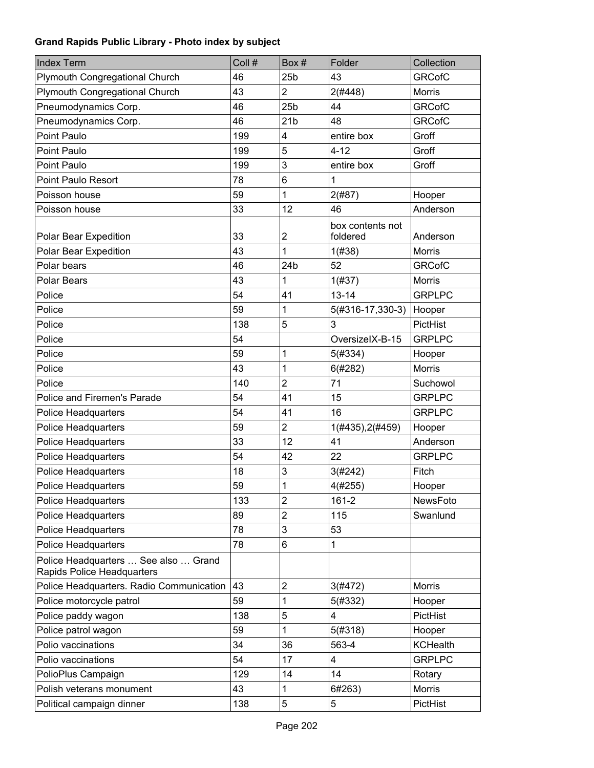| <b>Index Term</b>                                                  | Coll # | Box#            | Folder           | Collection      |
|--------------------------------------------------------------------|--------|-----------------|------------------|-----------------|
| <b>Plymouth Congregational Church</b>                              | 46     | 25 <sub>b</sub> | 43               | <b>GRCofC</b>   |
| Plymouth Congregational Church                                     | 43     | $\overline{2}$  | 2(#448)          | <b>Morris</b>   |
| Pneumodynamics Corp.                                               | 46     | 25 <sub>b</sub> | 44               | <b>GRCofC</b>   |
| Pneumodynamics Corp.                                               | 46     | 21 <sub>b</sub> | 48               | <b>GRCofC</b>   |
| Point Paulo                                                        | 199    | 4               | entire box       | Groff           |
| Point Paulo                                                        | 199    | 5               | $4 - 12$         | Groff           |
| Point Paulo                                                        | 199    | 3               | entire box       | Groff           |
| <b>Point Paulo Resort</b>                                          | 78     | 6               | 1                |                 |
| Poisson house                                                      | 59     | 1               | 2(#87)           | Hooper          |
| Poisson house                                                      | 33     | 12              | 46               | Anderson        |
|                                                                    |        |                 | box contents not |                 |
| Polar Bear Expedition                                              | 33     | $\overline{c}$  | foldered         | Anderson        |
| Polar Bear Expedition                                              | 43     | 1               | 1(#38)           | Morris          |
| Polar bears                                                        | 46     | 24b             | 52               | <b>GRCofC</b>   |
| <b>Polar Bears</b>                                                 | 43     | 1               | 1(#37)           | <b>Morris</b>   |
| Police                                                             | 54     | 41              | $13 - 14$        | <b>GRPLPC</b>   |
| Police                                                             | 59     | 1               | 5(#316-17,330-3) | Hooper          |
| Police                                                             | 138    | 5               | 3                | PictHist        |
| Police                                                             | 54     |                 | OversizelX-B-15  | <b>GRPLPC</b>   |
| Police                                                             | 59     | 1               | 5(#334)          | Hooper          |
| Police                                                             | 43     | 1               | 6(#282)          | <b>Morris</b>   |
| Police                                                             | 140    | $\overline{2}$  | 71               | Suchowol        |
| Police and Firemen's Parade                                        | 54     | 41              | 15               | <b>GRPLPC</b>   |
| <b>Police Headquarters</b>                                         | 54     | 41              | 16               | <b>GRPLPC</b>   |
| <b>Police Headquarters</b>                                         | 59     | $\overline{c}$  | 1(#435), 2(#459) | Hooper          |
| Police Headquarters                                                | 33     | 12              | 41               | Anderson        |
| <b>Police Headquarters</b>                                         | 54     | 42              | 22               | <b>GRPLPC</b>   |
| Police Headquarters                                                | 18     | 3               | 3(#242)          | Fitch           |
| <b>Police Headquarters</b>                                         | 59     | 1               | $4(\#255)$       | Hooper          |
| <b>Police Headquarters</b>                                         | 133    | 2               | $161 - 2$        | NewsFoto        |
| <b>Police Headquarters</b>                                         | 89     | $\overline{c}$  | 115              | Swanlund        |
| <b>Police Headquarters</b>                                         | 78     | 3               | 53               |                 |
| <b>Police Headquarters</b>                                         | 78     | 6               | 1                |                 |
| Police Headquarters  See also  Grand<br>Rapids Police Headquarters |        |                 |                  |                 |
| Police Headquarters. Radio Communication                           | 43     | $\overline{c}$  | 3(#472)          | <b>Morris</b>   |
| Police motorcycle patrol                                           | 59     | 1               | 5(#332)          | Hooper          |
| Police paddy wagon                                                 | 138    | 5               | 4                | PictHist        |
| Police patrol wagon                                                | 59     | 1               | 5(#318)          | Hooper          |
| Polio vaccinations                                                 | 34     | 36              | 563-4            | <b>KCHealth</b> |
| Polio vaccinations                                                 | 54     | 17              | 4                | <b>GRPLPC</b>   |
| PolioPlus Campaign                                                 | 129    | 14              | 14               | Rotary          |
| Polish veterans monument                                           | 43     | 1               | 6#263)           | Morris          |
| Political campaign dinner                                          | 138    | 5               | 5                | PictHist        |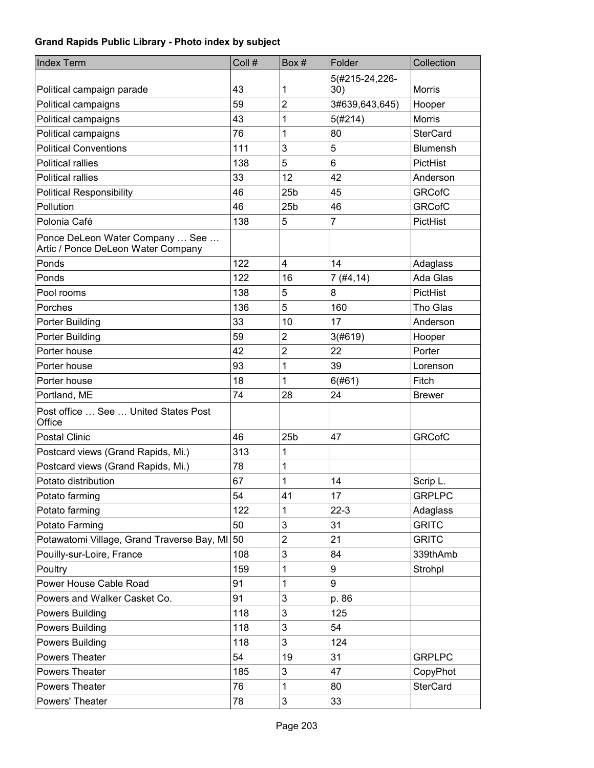| <b>Index Term</b>                                                     | Coll # | Box#            | Folder                | Collection      |
|-----------------------------------------------------------------------|--------|-----------------|-----------------------|-----------------|
| Political campaign parade                                             | 43     | 1               | 5(#215-24,226-<br>30) | <b>Morris</b>   |
| Political campaigns                                                   | 59     | $\overline{2}$  | 3#639,643,645)        | Hooper          |
| Political campaigns                                                   | 43     | 1               | 5(#214)               | <b>Morris</b>   |
| Political campaigns                                                   | 76     | 1               | 80                    | <b>SterCard</b> |
| <b>Political Conventions</b>                                          | 111    | 3               | 5                     | <b>Blumensh</b> |
| <b>Political rallies</b>                                              | 138    | 5               | 6                     | PictHist        |
| <b>Political rallies</b>                                              | 33     | 12              | 42                    | Anderson        |
| <b>Political Responsibility</b>                                       | 46     | 25 <sub>b</sub> | 45                    | <b>GRCofC</b>   |
| Pollution                                                             | 46     | 25 <sub>b</sub> | 46                    | <b>GRCofC</b>   |
| Polonia Café                                                          | 138    | 5               | $\overline{7}$        | PictHist        |
| Ponce DeLeon Water Company  See<br>Artic / Ponce DeLeon Water Company |        |                 |                       |                 |
| Ponds                                                                 | 122    | 4               | 14                    | Adaglass        |
| Ponds                                                                 | 122    | 16              | 7(#4, 14)             | Ada Glas        |
| Pool rooms                                                            | 138    | 5               | 8                     | PictHist        |
| Porches                                                               | 136    | 5               | 160                   | Tho Glas        |
| Porter Building                                                       | 33     | 10              | 17                    | Anderson        |
| Porter Building                                                       | 59     | $\overline{2}$  | 3(#619)               | Hooper          |
| Porter house                                                          | 42     | $\overline{c}$  | 22                    | Porter          |
| Porter house                                                          | 93     | 1               | 39                    | Lorenson        |
| Porter house                                                          | 18     | 1               | 6(#61)                | Fitch           |
| Portland, ME                                                          | 74     | 28              | 24                    | <b>Brewer</b>   |
| Post office  See  United States Post<br>Office                        |        |                 |                       |                 |
| <b>Postal Clinic</b>                                                  | 46     | 25 <sub>b</sub> | 47                    | <b>GRCofC</b>   |
| Postcard views (Grand Rapids, Mi.)                                    | 313    | 1               |                       |                 |
| Postcard views (Grand Rapids, Mi.)                                    | 78     | 1               |                       |                 |
| Potato distribution                                                   | 67     | 1               | 14                    | Scrip L.        |
| Potato farming                                                        | 54     | 41              | 17                    | <b>GRPLPC</b>   |
| Potato farming                                                        | 122    | 1               | $22-3$                | Adaglass        |
| Potato Farming                                                        | 50     | 3               | 31                    | <b>GRITC</b>    |
| Potawatomi Village, Grand Traverse Bay, MI                            | 50     | $\mathbf 2$     | 21                    | <b>GRITC</b>    |
| Pouilly-sur-Loire, France                                             | 108    | 3               | 84                    | 339thAmb        |
| Poultry                                                               | 159    | 1               | 9                     | Strohpl         |
| Power House Cable Road                                                | 91     | 1               | 9                     |                 |
| Powers and Walker Casket Co.                                          | 91     | 3               | p. 86                 |                 |
| Powers Building                                                       | 118    | $\mathbf{3}$    | 125                   |                 |
| Powers Building                                                       | 118    | 3               | 54                    |                 |
| Powers Building                                                       | 118    | 3               | 124                   |                 |
| Powers Theater                                                        | 54     | 19              | 31                    | <b>GRPLPC</b>   |
| Powers Theater                                                        | 185    | 3               | 47                    | CopyPhot        |
| <b>Powers Theater</b>                                                 | 76     | 1               | 80                    | <b>SterCard</b> |
| Powers' Theater                                                       | 78     | 3               | 33                    |                 |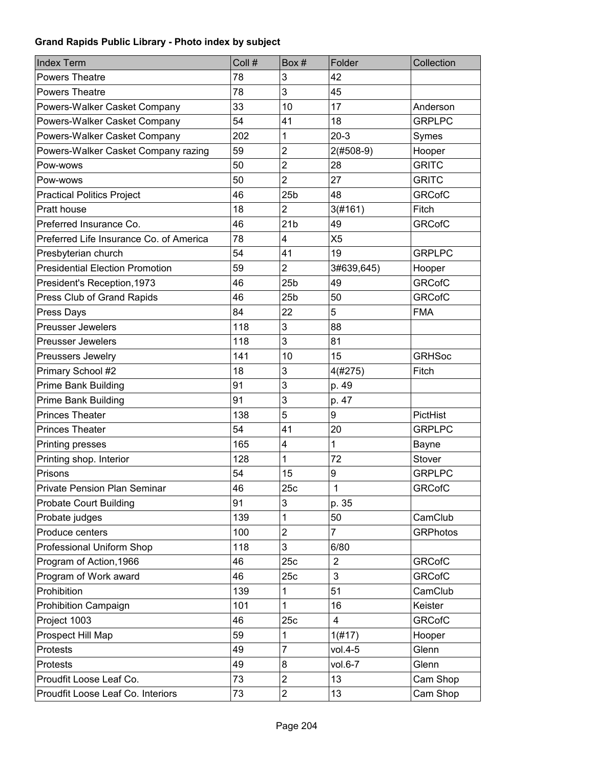| <b>Index Term</b>                       | Coll # | Box#                    | Folder         | Collection      |
|-----------------------------------------|--------|-------------------------|----------------|-----------------|
| <b>Powers Theatre</b>                   | 78     | 3                       | 42             |                 |
| <b>Powers Theatre</b>                   | 78     | 3                       | 45             |                 |
| Powers-Walker Casket Company            | 33     | 10                      | 17             | Anderson        |
| Powers-Walker Casket Company            | 54     | 41                      | 18             | <b>GRPLPC</b>   |
| Powers-Walker Casket Company            | 202    | 1                       | $20-3$         | Symes           |
| Powers-Walker Casket Company razing     | 59     | $\overline{c}$          | $2(#508-9)$    | Hooper          |
| Pow-wows                                | 50     | $\overline{2}$          | 28             | <b>GRITC</b>    |
| Pow-wows                                | 50     | $\overline{2}$          | 27             | <b>GRITC</b>    |
| <b>Practical Politics Project</b>       | 46     | 25 <sub>b</sub>         | 48             | <b>GRCofC</b>   |
| Pratt house                             | 18     | $\overline{2}$          | 3(#161)        | Fitch           |
| Preferred Insurance Co.                 | 46     | 21 <sub>b</sub>         | 49             | <b>GRCofC</b>   |
| Preferred Life Insurance Co. of America | 78     | $\overline{\mathbf{4}}$ | X <sub>5</sub> |                 |
| Presbyterian church                     | 54     | 41                      | 19             | <b>GRPLPC</b>   |
| <b>Presidential Election Promotion</b>  | 59     | $\overline{2}$          | 3#639,645)     | Hooper          |
| President's Reception, 1973             | 46     | 25 <sub>b</sub>         | 49             | <b>GRCofC</b>   |
| Press Club of Grand Rapids              | 46     | 25 <sub>b</sub>         | 50             | <b>GRCofC</b>   |
| Press Days                              | 84     | 22                      | 5              | <b>FMA</b>      |
| <b>Preusser Jewelers</b>                | 118    | 3                       | 88             |                 |
| <b>Preusser Jewelers</b>                | 118    | 3                       | 81             |                 |
| Preussers Jewelry                       | 141    | 10                      | 15             | <b>GRHSoc</b>   |
| Primary School #2                       | 18     | 3                       | 4(#275)        | Fitch           |
| <b>Prime Bank Building</b>              | 91     | 3                       | p. 49          |                 |
| <b>Prime Bank Building</b>              | 91     | 3                       | p. 47          |                 |
| <b>Princes Theater</b>                  | 138    | 5                       | 9              | PictHist        |
| <b>Princes Theater</b>                  | 54     | 41                      | 20             | <b>GRPLPC</b>   |
| Printing presses                        | 165    | $\overline{\mathbf{4}}$ | 1              | Bayne           |
| Printing shop. Interior                 | 128    | 1                       | 72             | Stover          |
| Prisons                                 | 54     | 15                      | 9              | <b>GRPLPC</b>   |
| Private Pension Plan Seminar            | 46     | 25c                     | 1              | <b>GRCofC</b>   |
| <b>Probate Court Building</b>           | 91     | 3                       | p. 35          |                 |
| Probate judges                          | 139    | 1                       | 50             | CamClub         |
| Produce centers                         | 100    | $\boldsymbol{2}$        | 7              | <b>GRPhotos</b> |
| Professional Uniform Shop               | 118    | 3                       | 6/80           |                 |
| Program of Action, 1966                 | 46     | 25c                     | $\overline{2}$ | <b>GRCofC</b>   |
| Program of Work award                   | 46     | 25c                     | 3              | <b>GRCofC</b>   |
| Prohibition                             | 139    | 1                       | 51             | CamClub         |
| Prohibition Campaign                    | 101    | 1                       | 16             | Keister         |
| Project 1003                            | 46     | 25c                     | $\overline{4}$ | <b>GRCofC</b>   |
| Prospect Hill Map                       | 59     | 1                       | 1(#17)         | Hooper          |
| Protests                                | 49     | $\overline{7}$          | vol.4-5        | Glenn           |
| Protests                                | 49     | 8                       | vol.6-7        | Glenn           |
| Proudfit Loose Leaf Co.                 | 73     | $\overline{2}$          | 13             | Cam Shop        |
| Proudfit Loose Leaf Co. Interiors       | 73     | $\boldsymbol{2}$        | 13             | Cam Shop        |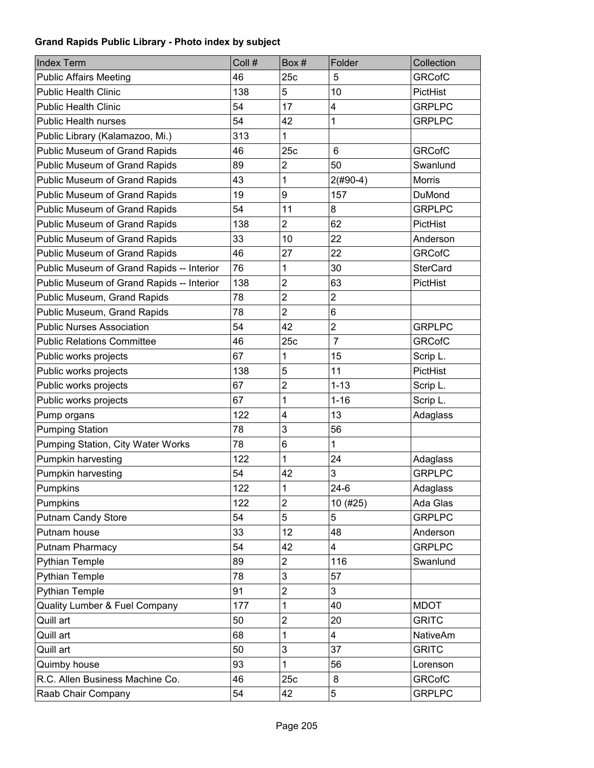| Index Term                                | Coll # | Box#                    | Folder          | Collection      |
|-------------------------------------------|--------|-------------------------|-----------------|-----------------|
| <b>Public Affairs Meeting</b>             | 46     | 25c                     | 5               | <b>GRCofC</b>   |
| <b>Public Health Clinic</b>               | 138    | 5                       | 10              | PictHist        |
| <b>Public Health Clinic</b>               | 54     | 17                      | 4               | <b>GRPLPC</b>   |
| <b>Public Health nurses</b>               | 54     | 42                      | 1               | <b>GRPLPC</b>   |
| Public Library (Kalamazoo, Mi.)           | 313    | 1                       |                 |                 |
| Public Museum of Grand Rapids             | 46     | 25c                     | $6\phantom{1}6$ | <b>GRCofC</b>   |
| Public Museum of Grand Rapids             | 89     | $\overline{c}$          | 50              | Swanlund        |
| Public Museum of Grand Rapids             | 43     | 1                       | $2($ #90-4)     | Morris          |
| Public Museum of Grand Rapids             | 19     | 9                       | 157             | DuMond          |
| Public Museum of Grand Rapids             | 54     | 11                      | 8               | <b>GRPLPC</b>   |
| Public Museum of Grand Rapids             | 138    | $\overline{2}$          | 62              | PictHist        |
| Public Museum of Grand Rapids             | 33     | 10                      | 22              | Anderson        |
| Public Museum of Grand Rapids             | 46     | 27                      | 22              | <b>GRCofC</b>   |
| Public Museum of Grand Rapids -- Interior | 76     | 1                       | 30              | <b>SterCard</b> |
| Public Museum of Grand Rapids -- Interior | 138    | $\overline{c}$          | 63              | PictHist        |
| Public Museum, Grand Rapids               | 78     | $\overline{c}$          | $\overline{2}$  |                 |
| Public Museum, Grand Rapids               | 78     | $\overline{2}$          | 6               |                 |
| <b>Public Nurses Association</b>          | 54     | 42                      | $\overline{c}$  | <b>GRPLPC</b>   |
| <b>Public Relations Committee</b>         | 46     | 25c                     | $\overline{7}$  | <b>GRCofC</b>   |
| Public works projects                     | 67     | 1                       | 15              | Scrip L.        |
| Public works projects                     | 138    | 5                       | 11              | PictHist        |
| Public works projects                     | 67     | $\overline{c}$          | $1 - 13$        | Scrip L.        |
| Public works projects                     | 67     | 1                       | $1 - 16$        | Scrip L.        |
| Pump organs                               | 122    | 4                       | 13              | Adaglass        |
| <b>Pumping Station</b>                    | 78     | 3                       | 56              |                 |
| Pumping Station, City Water Works         | 78     | 6                       | 1               |                 |
| Pumpkin harvesting                        | 122    | 1                       | 24              | Adaglass        |
| Pumpkin harvesting                        | 54     | 42                      | 3               | <b>GRPLPC</b>   |
| Pumpkins                                  | 122    | $\mathbf{1}$            | $24-6$          | Adaglass        |
| Pumpkins                                  | 122    | 2                       | 10 (#25)        | Ada Glas        |
| <b>Putnam Candy Store</b>                 | 54     | 5                       | 5               | <b>GRPLPC</b>   |
| Putnam house                              | 33     | 12                      | 48              | Anderson        |
| Putnam Pharmacy                           | 54     | 42                      | 4               | <b>GRPLPC</b>   |
| <b>Pythian Temple</b>                     | 89     | 2                       | 116             | Swanlund        |
| <b>Pythian Temple</b>                     | 78     | 3                       | 57              |                 |
| <b>Pythian Temple</b>                     | 91     | $\overline{c}$          | 3               |                 |
| Quality Lumber & Fuel Company             | 177    | 1                       | 40              | <b>MDOT</b>     |
| Quill art                                 | 50     | $\overline{\mathbf{c}}$ | 20              | <b>GRITC</b>    |
| Quill art                                 | 68     | 1                       | 4               | <b>NativeAm</b> |
| Quill art                                 | 50     | 3                       | 37              | <b>GRITC</b>    |
| Quimby house                              | 93     | 1                       | 56              | Lorenson        |
| R.C. Allen Business Machine Co.           | 46     | 25c                     | 8               | <b>GRCofC</b>   |
| Raab Chair Company                        | 54     | 42                      | 5               | <b>GRPLPC</b>   |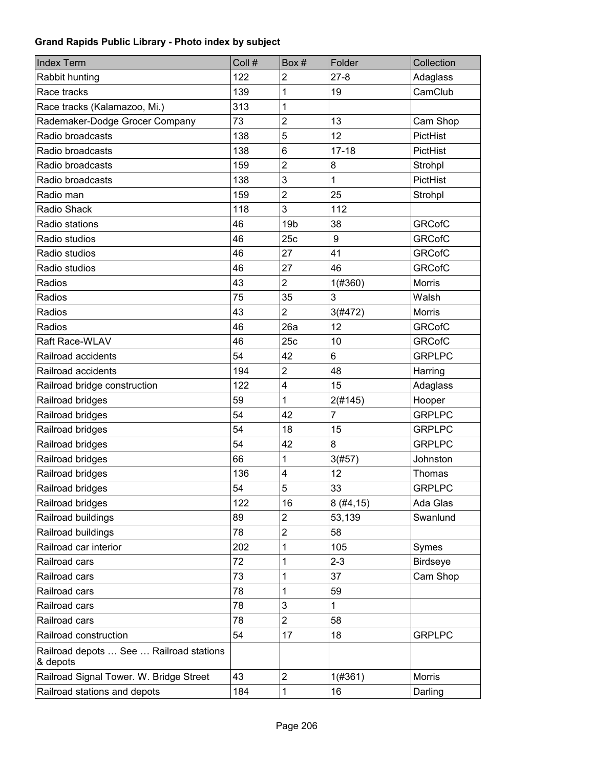| <b>Index Term</b>                                   | Coll # | Box#            | Folder       | Collection      |
|-----------------------------------------------------|--------|-----------------|--------------|-----------------|
| Rabbit hunting                                      | 122    | $\overline{2}$  | $27 - 8$     | Adaglass        |
| Race tracks                                         | 139    | 1               | 19           | CamClub         |
| Race tracks (Kalamazoo, Mi.)                        | 313    | 1               |              |                 |
| Rademaker-Dodge Grocer Company                      | 73     | $\overline{2}$  | 13           | Cam Shop        |
| Radio broadcasts                                    | 138    | 5               | 12           | PictHist        |
| Radio broadcasts                                    | 138    | 6               | $17 - 18$    | PictHist        |
| Radio broadcasts                                    | 159    | $\overline{2}$  | 8            | Strohpl         |
| Radio broadcasts                                    | 138    | 3               | 1            | PictHist        |
| Radio man                                           | 159    | $\overline{c}$  | 25           | Strohpl         |
| Radio Shack                                         | 118    | 3               | 112          |                 |
| Radio stations                                      | 46     | 19 <sub>b</sub> | 38           | <b>GRCofC</b>   |
| Radio studios                                       | 46     | 25c             | 9            | <b>GRCofC</b>   |
| Radio studios                                       | 46     | 27              | 41           | <b>GRCofC</b>   |
| Radio studios                                       | 46     | 27              | 46           | <b>GRCofC</b>   |
| Radios                                              | 43     | $\overline{2}$  | 1(#360)      | <b>Morris</b>   |
| Radios                                              | 75     | 35              | 3            | Walsh           |
| Radios                                              | 43     | $\overline{2}$  | 3(#472)      | <b>Morris</b>   |
| Radios                                              | 46     | 26a             | 12           | <b>GRCofC</b>   |
| Raft Race-WLAV                                      | 46     | 25c             | 10           | <b>GRCofC</b>   |
| Railroad accidents                                  | 54     | 42              | 6            | <b>GRPLPC</b>   |
| Railroad accidents                                  | 194    | $\overline{c}$  | 48           | Harring         |
| Railroad bridge construction                        | 122    | 4               | 15           | Adaglass        |
| Railroad bridges                                    | 59     | 1               | 2(#145)      | Hooper          |
| Railroad bridges                                    | 54     | 42              | 7            | <b>GRPLPC</b>   |
| Railroad bridges                                    | 54     | 18              | 15           | <b>GRPLPC</b>   |
| Railroad bridges                                    | 54     | 42              | 8            | <b>GRPLPC</b>   |
| Railroad bridges                                    | 66     | 1               | 3(#57)       | Johnston        |
| Railroad bridges                                    | 136    | 4               | 12           | Thomas          |
| Railroad bridges                                    | 54     | 5               | 33           | <b>GRPLPC</b>   |
| Railroad bridges                                    | 122    | 16              | 8(#4, 15)    | Ada Glas        |
| Railroad buildings                                  | 89     | $\overline{2}$  | 53,139       | Swanlund        |
| Railroad buildings                                  | 78     | 2               | 58           |                 |
| Railroad car interior                               | 202    | 1               | 105          | Symes           |
| Railroad cars                                       | 72     | 1               | $2 - 3$      | <b>Birdseye</b> |
| Railroad cars                                       | 73     | 1               | 37           | Cam Shop        |
| Railroad cars                                       | 78     | 1               | 59           |                 |
| Railroad cars                                       | 78     | 3               | $\mathbf{1}$ |                 |
| Railroad cars                                       | 78     | $\overline{2}$  | 58           |                 |
| Railroad construction                               | 54     | 17              | 18           | <b>GRPLPC</b>   |
| Railroad depots  See  Railroad stations<br>& depots |        |                 |              |                 |
| Railroad Signal Tower. W. Bridge Street             | 43     | $\overline{c}$  | 1(#361)      | <b>Morris</b>   |
| Railroad stations and depots                        | 184    | 1               | 16           | Darling         |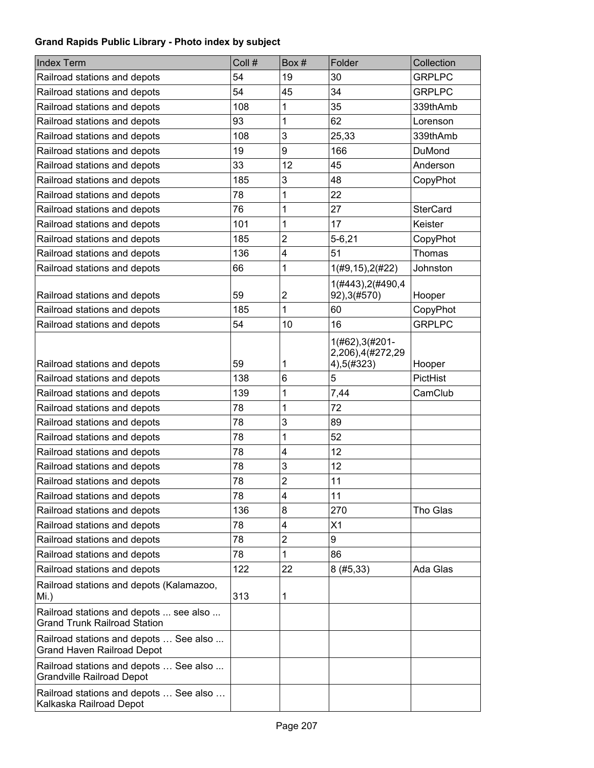| <b>Index Term</b>                                                             | Coll # | Box#           | Folder                                            | Collection      |
|-------------------------------------------------------------------------------|--------|----------------|---------------------------------------------------|-----------------|
| Railroad stations and depots                                                  | 54     | 19             | 30                                                | <b>GRPLPC</b>   |
| Railroad stations and depots                                                  | 54     | 45             | 34                                                | <b>GRPLPC</b>   |
| Railroad stations and depots                                                  | 108    | 1              | 35                                                | 339thAmb        |
| Railroad stations and depots                                                  | 93     | 1              | 62                                                | Lorenson        |
| Railroad stations and depots                                                  | 108    | 3              | 25,33                                             | 339thAmb        |
| Railroad stations and depots                                                  | 19     | 9              | 166                                               | DuMond          |
| Railroad stations and depots                                                  | 33     | 12             | 45                                                | Anderson        |
| Railroad stations and depots                                                  | 185    | 3              | 48                                                | CopyPhot        |
| Railroad stations and depots                                                  | 78     | 1              | 22                                                |                 |
| Railroad stations and depots                                                  | 76     | 1              | 27                                                | <b>SterCard</b> |
| Railroad stations and depots                                                  | 101    | 1              | 17                                                | Keister         |
| Railroad stations and depots                                                  | 185    | $\overline{2}$ | $5 - 6, 21$                                       | CopyPhot        |
| Railroad stations and depots                                                  | 136    | 4              | 51                                                | Thomas          |
| Railroad stations and depots                                                  | 66     | 1              | 1(#9, 15), 2(#22)                                 | Johnston        |
| Railroad stations and depots                                                  | 59     | 2              | 1(#443), 2(#490, 4<br>92), 3(#570)                | Hooper          |
| Railroad stations and depots                                                  | 185    | 1              | 60                                                | CopyPhot        |
| Railroad stations and depots                                                  | 54     | 10             | 16                                                | <b>GRPLPC</b>   |
| Railroad stations and depots                                                  | 59     | 1              | 1(#62), 3(#201-<br>2,206),4(#272,29<br>4),5(#323) | Hooper          |
| Railroad stations and depots                                                  | 138    | 6              | 5                                                 | PictHist        |
| Railroad stations and depots                                                  | 139    | 1              | 7,44                                              | CamClub         |
| Railroad stations and depots                                                  | 78     | 1              | 72                                                |                 |
| Railroad stations and depots                                                  | 78     | 3              | 89                                                |                 |
| Railroad stations and depots                                                  | 78     | 1              | 52                                                |                 |
| Railroad stations and depots                                                  | 78     | 4              | 12                                                |                 |
| Railroad stations and depots                                                  | 78     | 3              | 12                                                |                 |
| Railroad stations and depots                                                  | 78     | $\overline{c}$ | 11                                                |                 |
| Railroad stations and depots                                                  | 78     | 4              | 11                                                |                 |
| Railroad stations and depots                                                  | 136    | 8              | 270                                               | Tho Glas        |
| Railroad stations and depots                                                  | 78     | 4              | X1                                                |                 |
| Railroad stations and depots                                                  | 78     | $\overline{c}$ | 9                                                 |                 |
| Railroad stations and depots                                                  | 78     | 1              | 86                                                |                 |
| Railroad stations and depots                                                  | 122    | 22             | 8(#5, 33)                                         | Ada Glas        |
| Railroad stations and depots (Kalamazoo,<br>Mi.)                              | 313    | 1              |                                                   |                 |
| Railroad stations and depots  see also<br><b>Grand Trunk Railroad Station</b> |        |                |                                                   |                 |
| Railroad stations and depots  See also<br><b>Grand Haven Railroad Depot</b>   |        |                |                                                   |                 |
| Railroad stations and depots  See also<br><b>Grandville Railroad Depot</b>    |        |                |                                                   |                 |
| Railroad stations and depots  See also<br>Kalkaska Railroad Depot             |        |                |                                                   |                 |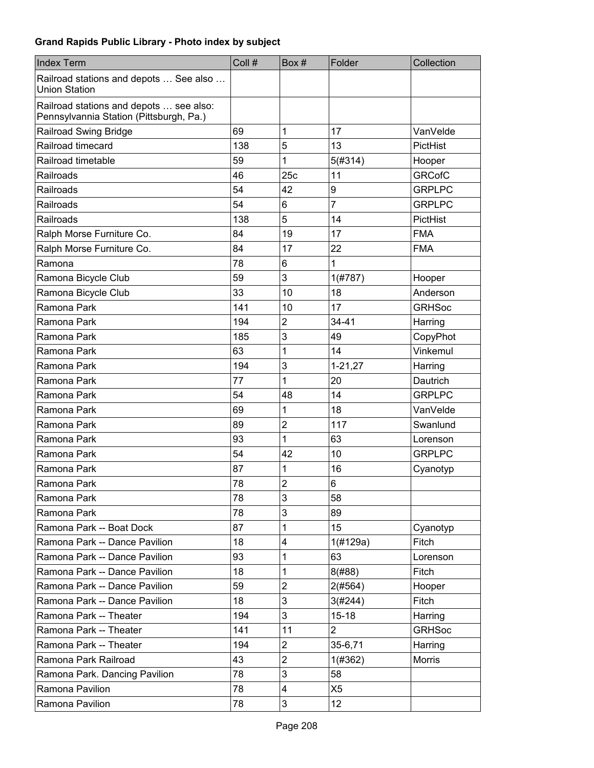| <b>Index Term</b>                                                                  | Coll # | Box#                      | Folder          | Collection    |
|------------------------------------------------------------------------------------|--------|---------------------------|-----------------|---------------|
| Railroad stations and depots  See also<br><b>Union Station</b>                     |        |                           |                 |               |
| Railroad stations and depots  see also:<br>Pennsylvannia Station (Pittsburgh, Pa.) |        |                           |                 |               |
| Railroad Swing Bridge                                                              | 69     | 1                         | 17              | VanVelde      |
| Railroad timecard                                                                  | 138    | 5                         | 13              | PictHist      |
| Railroad timetable                                                                 | 59     | 1                         | 5(#314)         | Hooper        |
| Railroads                                                                          | 46     | 25c                       | 11              | <b>GRCofC</b> |
| Railroads                                                                          | 54     | 42                        | 9               | <b>GRPLPC</b> |
| Railroads                                                                          | 54     | 6                         | $\overline{7}$  | <b>GRPLPC</b> |
| Railroads                                                                          | 138    | 5                         | 14              | PictHist      |
| Ralph Morse Furniture Co.                                                          | 84     | 19                        | 17              | <b>FMA</b>    |
| Ralph Morse Furniture Co.                                                          | 84     | 17                        | 22              | <b>FMA</b>    |
| Ramona                                                                             | 78     | 6                         | 1               |               |
| Ramona Bicycle Club                                                                | 59     | 3                         | 1(#787)         | Hooper        |
| Ramona Bicycle Club                                                                | 33     | 10                        | 18              | Anderson      |
| Ramona Park                                                                        | 141    | 10                        | 17              | <b>GRHSoc</b> |
| Ramona Park                                                                        | 194    | $\overline{2}$            | $34 - 41$       | Harring       |
| Ramona Park                                                                        | 185    | 3                         | 49              | CopyPhot      |
| Ramona Park                                                                        | 63     | 1                         | 14              | Vinkemul      |
| Ramona Park                                                                        | 194    | 3                         | $1 - 21, 27$    | Harring       |
| Ramona Park                                                                        | 77     | 1                         | 20              | Dautrich      |
| Ramona Park                                                                        | 54     | 48                        | 14              | <b>GRPLPC</b> |
| Ramona Park                                                                        | 69     | 1                         | 18              | VanVelde      |
| Ramona Park                                                                        | 89     | $\overline{c}$            | 117             | Swanlund      |
| Ramona Park                                                                        | 93     | 1                         | 63              | Lorenson      |
| Ramona Park                                                                        | 54     | 42                        | 10              | <b>GRPLPC</b> |
| Ramona Park                                                                        | 87     | 1                         | 16              | Cyanotyp      |
| Ramona Park                                                                        | 78     | $\overline{2}$            | 6               |               |
| Ramona Park                                                                        | 78     | $\ensuremath{\mathsf{3}}$ | 58              |               |
| Ramona Park                                                                        | 78     | 3                         | 89              |               |
| Ramona Park -- Boat Dock                                                           | 87     | 1                         | 15              | Cyanotyp      |
| Ramona Park -- Dance Pavilion                                                      | 18     | 4                         | 1(H129a)        | Fitch         |
| Ramona Park -- Dance Pavilion                                                      | 93     | 1                         | 63              | Lorenson      |
| Ramona Park -- Dance Pavilion                                                      | 18     | 1                         | 8(#88)          | Fitch         |
| Ramona Park -- Dance Pavilion                                                      | 59     | $\overline{2}$            | 2(#564)         | Hooper        |
| Ramona Park -- Dance Pavilion                                                      | 18     | 3                         | 3(#244)         | <b>Fitch</b>  |
| Ramona Park -- Theater                                                             | 194    | 3                         | $15 - 18$       | Harring       |
| Ramona Park -- Theater                                                             | 141    | 11                        | $\overline{2}$  | <b>GRHSoc</b> |
| Ramona Park -- Theater                                                             | 194    | $\overline{2}$            | 35-6,71         | Harring       |
| Ramona Park Railroad                                                               | 43     | $\overline{2}$            | 1(#362)         | Morris        |
| Ramona Park. Dancing Pavilion                                                      | 78     | 3                         | 58              |               |
| Ramona Pavilion                                                                    | 78     | $\overline{\mathbf{4}}$   | X <sub>5</sub>  |               |
| Ramona Pavilion                                                                    | 78     | 3                         | 12 <sub>2</sub> |               |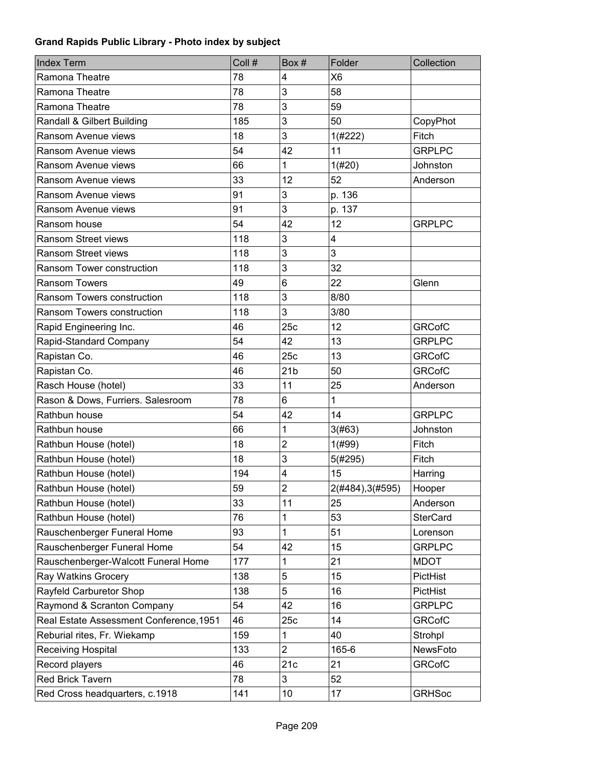| <b>Index Term</b>                       | Coll # | Box#                    | Folder           | Collection      |
|-----------------------------------------|--------|-------------------------|------------------|-----------------|
| Ramona Theatre                          | 78     | 4                       | X <sub>6</sub>   |                 |
| Ramona Theatre                          | 78     | 3                       | 58               |                 |
| Ramona Theatre                          | 78     | 3                       | 59               |                 |
| Randall & Gilbert Building              | 185    | 3                       | 50               | CopyPhot        |
| Ransom Avenue views                     | 18     | 3                       | 1(#222)          | Fitch           |
| Ransom Avenue views                     | 54     | 42                      | 11               | <b>GRPLPC</b>   |
| Ransom Avenue views                     | 66     | 1                       | 1(#20)           | Johnston        |
| Ransom Avenue views                     | 33     | 12                      | 52               | Anderson        |
| Ransom Avenue views                     | 91     | 3                       | p. 136           |                 |
| Ransom Avenue views                     | 91     | 3                       | p. 137           |                 |
| Ransom house                            | 54     | 42                      | 12               | <b>GRPLPC</b>   |
| Ransom Street views                     | 118    | 3                       | 4                |                 |
| <b>Ransom Street views</b>              | 118    | 3                       | 3                |                 |
| Ransom Tower construction               | 118    | 3                       | 32               |                 |
| <b>Ransom Towers</b>                    | 49     | 6                       | 22               | Glenn           |
| Ransom Towers construction              | 118    | 3                       | 8/80             |                 |
| Ransom Towers construction              | 118    | 3                       | 3/80             |                 |
| Rapid Engineering Inc.                  | 46     | 25c                     | 12               | <b>GRCofC</b>   |
| Rapid-Standard Company                  | 54     | 42                      | 13               | <b>GRPLPC</b>   |
| Rapistan Co.                            | 46     | 25c                     | 13               | <b>GRCofC</b>   |
| Rapistan Co.                            | 46     | 21 <sub>b</sub>         | 50               | <b>GRCofC</b>   |
| Rasch House (hotel)                     | 33     | 11                      | 25               | Anderson        |
| Rason & Dows, Furriers. Salesroom       | 78     | 6                       | $\mathbf{1}$     |                 |
| Rathbun house                           | 54     | 42                      | 14               | <b>GRPLPC</b>   |
| Rathbun house                           | 66     | 1                       | 3(#63)           | Johnston        |
| Rathbun House (hotel)                   | 18     | $\overline{2}$          | 1(#99)           | Fitch           |
| Rathbun House (hotel)                   | 18     | 3                       | 5(#295)          | Fitch           |
| Rathbun House (hotel)                   | 194    | $\overline{\mathbf{4}}$ | 15               | Harring         |
| Rathbun House (hotel)                   | 59     | $\overline{c}$          | 2(#484), 3(#595) | Hooper          |
| Rathbun House (hotel)                   | 33     | 11                      | 25               | Anderson        |
| Rathbun House (hotel)                   | 76     | 1                       | 53               | <b>SterCard</b> |
| Rauschenberger Funeral Home             | 93     | 1                       | 51               | Lorenson        |
| Rauschenberger Funeral Home             | 54     | 42                      | 15               | <b>GRPLPC</b>   |
| Rauschenberger-Walcott Funeral Home     | 177    | 1                       | 21               | <b>MDOT</b>     |
| Ray Watkins Grocery                     | 138    | 5                       | 15               | PictHist        |
| Rayfeld Carburetor Shop                 | 138    | 5                       | 16               | PictHist        |
| Raymond & Scranton Company              | 54     | 42                      | 16               | <b>GRPLPC</b>   |
| Real Estate Assessment Conference, 1951 | 46     | 25c                     | 14               | <b>GRCofC</b>   |
| Reburial rites, Fr. Wiekamp             | 159    | 1                       | 40               | Strohpl         |
| Receiving Hospital                      | 133    | $\overline{2}$          | 165-6            | NewsFoto        |
| Record players                          | 46     | 21c                     | 21               | <b>GRCofC</b>   |
| Red Brick Tavern                        | 78     | 3                       | 52               |                 |
| Red Cross headquarters, c.1918          | 141    | 10                      | 17               | <b>GRHSoc</b>   |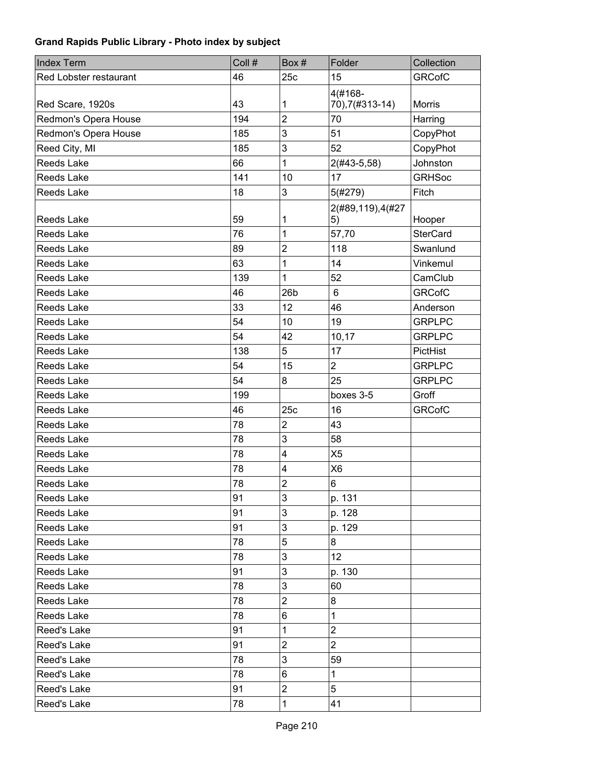| <b>Index Term</b>      | Coll # | Box #                   | Folder                     | Collection      |
|------------------------|--------|-------------------------|----------------------------|-----------------|
| Red Lobster restaurant | 46     | 25c                     | 15                         | <b>GRCofC</b>   |
| Red Scare, 1920s       | 43     | 1                       | 4(#168-<br>70), 7(#313-14) | <b>Morris</b>   |
| Redmon's Opera House   | 194    | $\overline{2}$          | 70                         | Harring         |
| Redmon's Opera House   | 185    | 3                       | 51                         | CopyPhot        |
| Reed City, MI          | 185    | 3                       | 52                         | CopyPhot        |
| Reeds Lake             | 66     | 1                       | $2(#43-5,58)$              | Johnston        |
| Reeds Lake             | 141    | 10                      | 17                         | <b>GRHSoc</b>   |
| Reeds Lake             | 18     | 3                       | 5(#279)                    | Fitch           |
| Reeds Lake             | 59     | 1                       | 2(#89,119),4(#27<br>5)     | Hooper          |
| <b>Reeds Lake</b>      | 76     | 1                       | 57,70                      | <b>SterCard</b> |
| <b>Reeds Lake</b>      | 89     | $\overline{2}$          | 118                        | Swanlund        |
| <b>Reeds Lake</b>      | 63     | 1                       | 14                         | Vinkemul        |
| <b>Reeds Lake</b>      | 139    | 1                       | 52                         | CamClub         |
| Reeds Lake             | 46     | 26 <sub>b</sub>         | $6\phantom{1}6$            | <b>GRCofC</b>   |
| Reeds Lake             | 33     | 12                      | 46                         | Anderson        |
| <b>Reeds Lake</b>      | 54     | 10                      | 19                         | <b>GRPLPC</b>   |
| <b>Reeds Lake</b>      | 54     | 42                      | 10,17                      | <b>GRPLPC</b>   |
| Reeds Lake             | 138    | 5                       | 17                         | <b>PictHist</b> |
| <b>Reeds Lake</b>      | 54     | 15                      | $\overline{2}$             | <b>GRPLPC</b>   |
| <b>Reeds Lake</b>      | 54     | 8                       | 25                         | <b>GRPLPC</b>   |
| <b>Reeds Lake</b>      | 199    |                         | boxes 3-5                  | Groff           |
| Reeds Lake             | 46     | 25c                     | 16                         | <b>GRCofC</b>   |
| <b>Reeds Lake</b>      | 78     | $\overline{2}$          | 43                         |                 |
| <b>Reeds Lake</b>      | 78     | 3                       | 58                         |                 |
| <b>Reeds Lake</b>      | 78     | $\overline{\mathbf{4}}$ | X <sub>5</sub>             |                 |
| Reeds Lake             | 78     | $\overline{\mathbf{4}}$ | X <sub>6</sub>             |                 |
| <b>Reeds Lake</b>      | 78     | $\overline{2}$          | 6                          |                 |
| Reeds Lake             | 91     | 3                       | p. 131                     |                 |
| Reeds Lake             | 91     | 3                       | p. 128                     |                 |
| Reeds Lake             | 91     | 3                       | p. 129                     |                 |
| Reeds Lake             | 78     | 5                       | 8                          |                 |
| Reeds Lake             | 78     | 3                       | 12 <sup>2</sup>            |                 |
| Reeds Lake             | 91     | 3                       | p. 130                     |                 |
| Reeds Lake             | 78     | 3                       | 60                         |                 |
| Reeds Lake             | 78     | $\overline{c}$          | 8                          |                 |
| Reeds Lake             | 78     | 6                       | 1                          |                 |
| Reed's Lake            | 91     | 1                       | $\overline{2}$             |                 |
| Reed's Lake            | 91     | $\overline{c}$          | $\overline{2}$             |                 |
| Reed's Lake            | 78     | 3                       | 59                         |                 |
| Reed's Lake            | 78     | 6                       | 1                          |                 |
| Reed's Lake            | 91     | 2                       | 5                          |                 |
| Reed's Lake            | 78     | 1                       | 41                         |                 |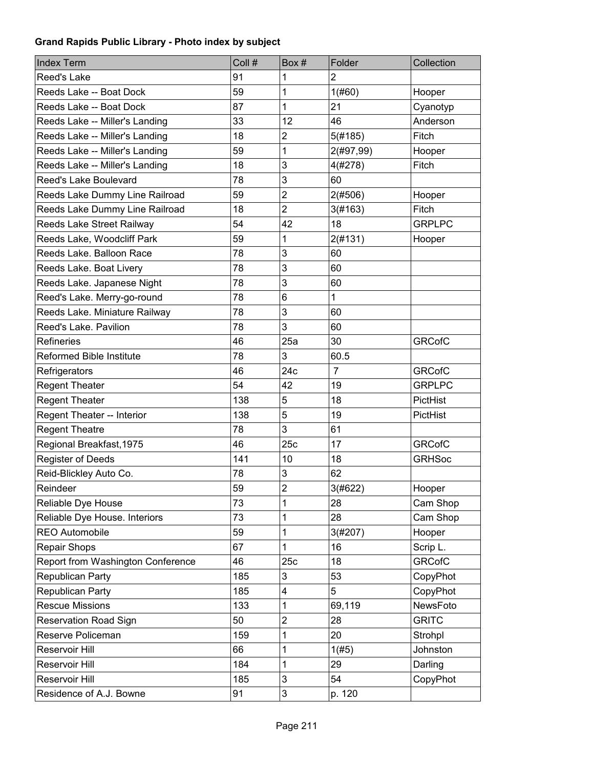| <b>Index Term</b>                 | Coll # | Box#                      | Folder         | Collection    |
|-----------------------------------|--------|---------------------------|----------------|---------------|
| Reed's Lake                       | 91     | 1                         | $\overline{2}$ |               |
| Reeds Lake -- Boat Dock           | 59     | 1                         | 1(#60)         | Hooper        |
| Reeds Lake -- Boat Dock           | 87     | 1                         | 21             | Cyanotyp      |
| Reeds Lake -- Miller's Landing    | 33     | 12                        | 46             | Anderson      |
| Reeds Lake -- Miller's Landing    | 18     | $\overline{c}$            | 5(#185)        | Fitch         |
| Reeds Lake -- Miller's Landing    | 59     | 1                         | 2(#97,99)      | Hooper        |
| Reeds Lake -- Miller's Landing    | 18     | 3                         | 4(#278)        | Fitch         |
| Reed's Lake Boulevard             | 78     | 3                         | 60             |               |
| Reeds Lake Dummy Line Railroad    | 59     | $\overline{2}$            | 2(#506)        | Hooper        |
| Reeds Lake Dummy Line Railroad    | 18     | $\overline{2}$            | 3(#163)        | Fitch         |
| Reeds Lake Street Railway         | 54     | 42                        | 18             | <b>GRPLPC</b> |
| Reeds Lake, Woodcliff Park        | 59     | 1                         | 2(#131)        | Hooper        |
| Reeds Lake, Balloon Race          | 78     | 3                         | 60             |               |
| Reeds Lake. Boat Livery           | 78     | 3                         | 60             |               |
| Reeds Lake. Japanese Night        | 78     | 3                         | 60             |               |
| Reed's Lake. Merry-go-round       | 78     | 6                         | $\mathbf{1}$   |               |
| Reeds Lake. Miniature Railway     | 78     | 3                         | 60             |               |
| Reed's Lake. Pavilion             | 78     | 3                         | 60             |               |
| Refineries                        | 46     | 25a                       | 30             | <b>GRCofC</b> |
| <b>Reformed Bible Institute</b>   | 78     | 3                         | 60.5           |               |
| Refrigerators                     | 46     | 24c                       | $\overline{7}$ | <b>GRCofC</b> |
| <b>Regent Theater</b>             | 54     | 42                        | 19             | <b>GRPLPC</b> |
| <b>Regent Theater</b>             | 138    | 5                         | 18             | PictHist      |
| Regent Theater -- Interior        | 138    | 5                         | 19             | PictHist      |
| <b>Regent Theatre</b>             | 78     | 3                         | 61             |               |
| Regional Breakfast, 1975          | 46     | 25c                       | 17             | <b>GRCofC</b> |
| <b>Register of Deeds</b>          | 141    | 10                        | 18             | <b>GRHSoc</b> |
| Reid-Blickley Auto Co.            | 78     | 3                         | 62             |               |
| Reindeer                          | 59     | $\overline{c}$            | 3(#622)        | Hooper        |
| Reliable Dye House                | 73     | 1                         | 28             | Cam Shop      |
| Reliable Dye House. Interiors     | 73     | 1                         | 28             | Cam Shop      |
| <b>REO Automobile</b>             | 59     | 1                         | 3(#207)        | Hooper        |
| Repair Shops                      | 67     | 1                         | 16             | Scrip L.      |
| Report from Washington Conference | 46     | 25c                       | 18             | <b>GRCofC</b> |
| Republican Party                  | 185    | 3                         | 53             | CopyPhot      |
| Republican Party                  | 185    | 4                         | 5              | CopyPhot      |
| <b>Rescue Missions</b>            | 133    | 1                         | 69,119         | NewsFoto      |
| <b>Reservation Road Sign</b>      | 50     | $\mathbf 2$               | 28             | <b>GRITC</b>  |
| Reserve Policeman                 | 159    | 1                         | 20             | Strohpl       |
| Reservoir Hill                    | 66     | 1                         | 1(#5)          | Johnston      |
| Reservoir Hill                    | 184    | 1                         | 29             | Darling       |
| Reservoir Hill                    | 185    | 3                         | 54             | CopyPhot      |
| Residence of A.J. Bowne           | 91     | $\ensuremath{\mathsf{3}}$ | p. 120         |               |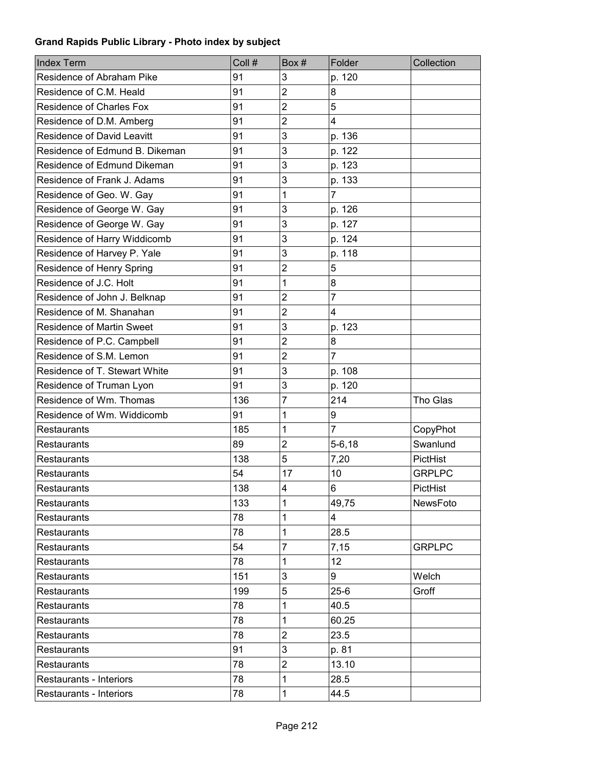| <b>Index Term</b>                 | Coll # | Box#           | Folder         | Collection    |
|-----------------------------------|--------|----------------|----------------|---------------|
| Residence of Abraham Pike         | 91     | 3              | p. 120         |               |
| Residence of C.M. Heald           | 91     | $\overline{2}$ | 8              |               |
| Residence of Charles Fox          | 91     | $\overline{2}$ | 5              |               |
| Residence of D.M. Amberg          | 91     | $\overline{2}$ | 4              |               |
| <b>Residence of David Leavitt</b> | 91     | 3              | p. 136         |               |
| Residence of Edmund B. Dikeman    | 91     | 3              | p. 122         |               |
| Residence of Edmund Dikeman       | 91     | 3              | p. 123         |               |
| Residence of Frank J. Adams       | 91     | 3              | p. 133         |               |
| Residence of Geo. W. Gay          | 91     | 1              | $\overline{7}$ |               |
| Residence of George W. Gay        | 91     | 3              | p. 126         |               |
| Residence of George W. Gay        | 91     | 3              | p. 127         |               |
| Residence of Harry Widdicomb      | 91     | 3              | p. 124         |               |
| Residence of Harvey P. Yale       | 91     | 3              | p. 118         |               |
| Residence of Henry Spring         | 91     | $\overline{2}$ | 5              |               |
| Residence of J.C. Holt            | 91     | 1              | 8              |               |
| Residence of John J. Belknap      | 91     | $\overline{2}$ | $\overline{7}$ |               |
| Residence of M. Shanahan          | 91     | $\overline{2}$ | 4              |               |
| <b>Residence of Martin Sweet</b>  | 91     | 3              | p. 123         |               |
| Residence of P.C. Campbell        | 91     | $\overline{2}$ | 8              |               |
| Residence of S.M. Lemon           | 91     | $\overline{2}$ | $\overline{7}$ |               |
| Residence of T. Stewart White     | 91     | 3              | p. 108         |               |
| Residence of Truman Lyon          | 91     | 3              | p. 120         |               |
| Residence of Wm. Thomas           | 136    | $\overline{7}$ | 214            | Tho Glas      |
| Residence of Wm. Widdicomb        | 91     | 1              | 9              |               |
| <b>Restaurants</b>                | 185    | 1              | $\overline{7}$ | CopyPhot      |
| <b>Restaurants</b>                | 89     | $\overline{2}$ | $5 - 6, 18$    | Swanlund      |
| <b>Restaurants</b>                | 138    | 5              | 7,20           | PictHist      |
| <b>Restaurants</b>                | 54     | 17             | 10             | <b>GRPLPC</b> |
| Restaurants                       | 138    | 4              | 6              | PictHist      |
| Restaurants                       | 133    | 1              | 49,75          | NewsFoto      |
| <b>Restaurants</b>                | 78     | 1              | 4              |               |
| <b>Restaurants</b>                | 78     | 1              | 28.5           |               |
| <b>Restaurants</b>                | 54     | 7              | 7,15           | <b>GRPLPC</b> |
| <b>Restaurants</b>                | 78     | 1              | 12             |               |
| <b>Restaurants</b>                | 151    | 3              | 9              | Welch         |
| Restaurants                       | 199    | 5              | $25 - 6$       | Groff         |
| Restaurants                       | 78     | 1              | 40.5           |               |
| <b>Restaurants</b>                | 78     | 1              | 60.25          |               |
| Restaurants                       | 78     | $\mathbf 2$    | 23.5           |               |
| Restaurants                       | 91     | 3              | p. 81          |               |
| Restaurants                       | 78     | $\mathbf 2$    | 13.10          |               |
| Restaurants - Interiors           | 78     | 1              | 28.5           |               |
| Restaurants - Interiors           | 78     | 1              | 44.5           |               |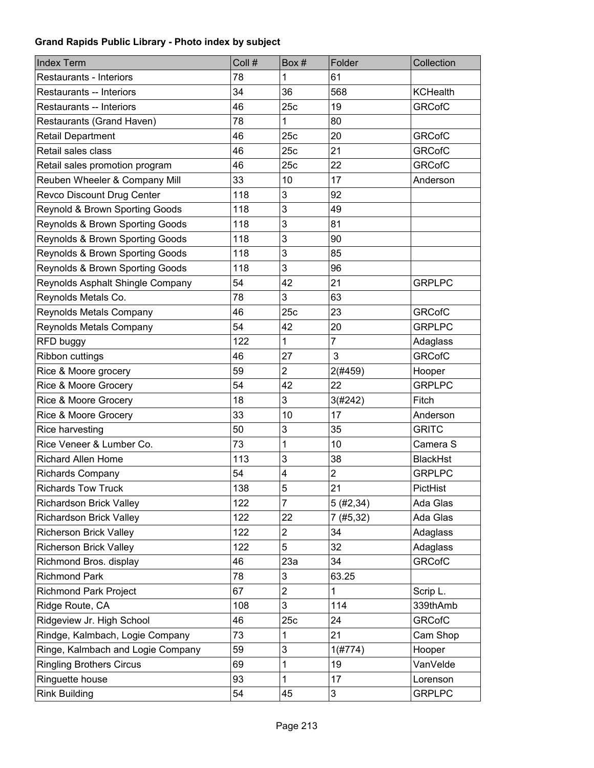| <b>Index Term</b>                 | Coll # | Box#           | Folder                  | Collection      |
|-----------------------------------|--------|----------------|-------------------------|-----------------|
| Restaurants - Interiors           | 78     | 1              | 61                      |                 |
| Restaurants -- Interiors          | 34     | 36             | 568                     | <b>KCHealth</b> |
| Restaurants -- Interiors          | 46     | 25c            | 19                      | <b>GRCofC</b>   |
| Restaurants (Grand Haven)         | 78     | 1              | 80                      |                 |
| Retail Department                 | 46     | 25c            | 20                      | <b>GRCofC</b>   |
| Retail sales class                | 46     | 25c            | 21                      | <b>GRCofC</b>   |
| Retail sales promotion program    | 46     | 25c            | 22                      | <b>GRCofC</b>   |
| Reuben Wheeler & Company Mill     | 33     | 10             | 17                      | Anderson        |
| Revco Discount Drug Center        | 118    | 3              | 92                      |                 |
| Reynold & Brown Sporting Goods    | 118    | 3              | 49                      |                 |
| Reynolds & Brown Sporting Goods   | 118    | 3              | 81                      |                 |
| Reynolds & Brown Sporting Goods   | 118    | 3              | 90                      |                 |
| Reynolds & Brown Sporting Goods   | 118    | 3              | 85                      |                 |
| Reynolds & Brown Sporting Goods   | 118    | 3              | 96                      |                 |
| Reynolds Asphalt Shingle Company  | 54     | 42             | 21                      | <b>GRPLPC</b>   |
| Reynolds Metals Co.               | 78     | 3              | 63                      |                 |
| Reynolds Metals Company           | 46     | 25c            | 23                      | <b>GRCofC</b>   |
| Reynolds Metals Company           | 54     | 42             | 20                      | <b>GRPLPC</b>   |
| RFD buggy                         | 122    | 1              | $\overline{7}$          | Adaglass        |
| Ribbon cuttings                   | 46     | 27             | 3                       | <b>GRCofC</b>   |
| Rice & Moore grocery              | 59     | $\overline{2}$ | 2(#459)                 | Hooper          |
| Rice & Moore Grocery              | 54     | 42             | 22                      | <b>GRPLPC</b>   |
| Rice & Moore Grocery              | 18     | 3              | 3(#242)                 | Fitch           |
| Rice & Moore Grocery              | 33     | 10             | 17                      | Anderson        |
| Rice harvesting                   | 50     | 3              | 35                      | <b>GRITC</b>    |
| Rice Veneer & Lumber Co.          | 73     | 1              | 10                      | Camera S        |
| <b>Richard Allen Home</b>         | 113    | 3              | 38                      | <b>BlackHst</b> |
| <b>Richards Company</b>           | 54     | 4              | $\overline{\mathbf{c}}$ | <b>GRPLPC</b>   |
| <b>Richards Tow Truck</b>         | 138    | 5              | 21                      | PictHist        |
| <b>Richardson Brick Valley</b>    | 122    | $\overline{7}$ | 5(#2, 34)               | Ada Glas        |
| <b>Richardson Brick Valley</b>    | 122    | 22             | 7(#5, 32)               | Ada Glas        |
| <b>Richerson Brick Valley</b>     | 122    | 2              | 34                      | Adaglass        |
| <b>Richerson Brick Valley</b>     | 122    | 5              | 32                      | Adaglass        |
| Richmond Bros. display            | 46     | 23a            | 34                      | <b>GRCofC</b>   |
| <b>Richmond Park</b>              | 78     | 3              | 63.25                   |                 |
| <b>Richmond Park Project</b>      | 67     | $\overline{2}$ | 1                       | Scrip L.        |
| Ridge Route, CA                   | 108    | 3              | 114                     | 339thAmb        |
| Ridgeview Jr. High School         | 46     | 25c            | 24                      | <b>GRCofC</b>   |
| Rindge, Kalmbach, Logie Company   | 73     | 1              | 21                      | Cam Shop        |
| Ringe, Kalmbach and Logie Company | 59     | 3              | 1(#774)                 | Hooper          |
| <b>Ringling Brothers Circus</b>   | 69     | 1              | 19                      | VanVelde        |
| Ringuette house                   | 93     | 1              | 17                      | Lorenson        |
| <b>Rink Building</b>              | 54     | 45             | 3                       | <b>GRPLPC</b>   |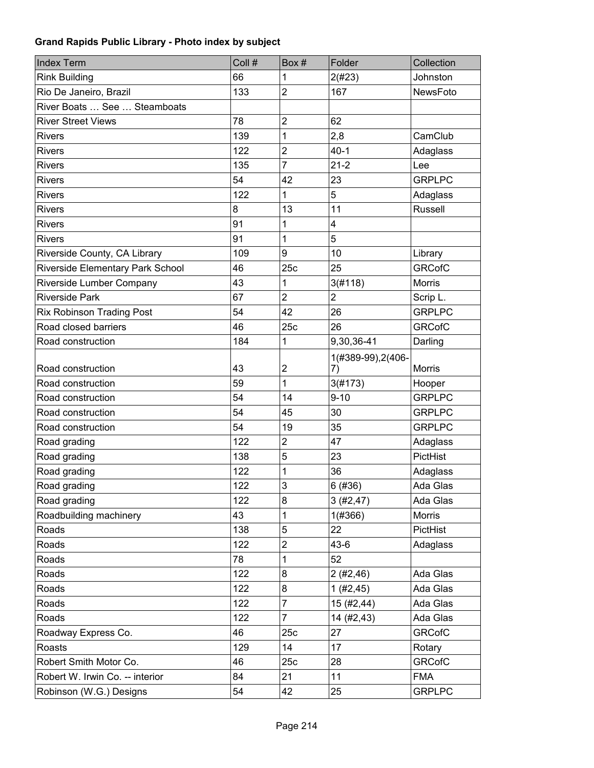| <b>Index Term</b>                | Coll # | Box#                    | Folder             | Collection      |
|----------------------------------|--------|-------------------------|--------------------|-----------------|
| <b>Rink Building</b>             | 66     | 1                       | 2(#23)             | Johnston        |
| Rio De Janeiro, Brazil           | 133    | $\overline{c}$          | 167                | <b>NewsFoto</b> |
| River Boats  See  Steamboats     |        |                         |                    |                 |
| <b>River Street Views</b>        | 78     | $\overline{2}$          | 62                 |                 |
| <b>Rivers</b>                    | 139    | 1                       | 2,8                | CamClub         |
| <b>Rivers</b>                    | 122    | $\overline{2}$          | $40 - 1$           | Adaglass        |
| <b>Rivers</b>                    | 135    | $\overline{7}$          | $21 - 2$           | Lee             |
| <b>Rivers</b>                    | 54     | 42                      | 23                 | <b>GRPLPC</b>   |
| <b>Rivers</b>                    | 122    | 1                       | 5                  | Adaglass        |
| <b>Rivers</b>                    | 8      | 13                      | 11                 | <b>Russell</b>  |
| <b>Rivers</b>                    | 91     | 1                       | 4                  |                 |
| <b>Rivers</b>                    | 91     | 1                       | 5                  |                 |
| Riverside County, CA Library     | 109    | 9                       | 10                 | Library         |
| Riverside Elementary Park School | 46     | 25c                     | 25                 | <b>GRCofC</b>   |
| Riverside Lumber Company         | 43     | 1                       | 3(#118)            | <b>Morris</b>   |
| <b>Riverside Park</b>            | 67     | $\overline{2}$          | $\overline{2}$     | Scrip L.        |
| <b>Rix Robinson Trading Post</b> | 54     | 42                      | 26                 | <b>GRPLPC</b>   |
| Road closed barriers             | 46     | 25c                     | 26                 | <b>GRCofC</b>   |
| Road construction                | 184    | $\mathbf 1$             | 9,30,36-41         | Darling         |
|                                  |        |                         | 1(#389-99), 2(406- |                 |
| Road construction                | 43     | $\boldsymbol{2}$        | 7)                 | Morris          |
| Road construction                | 59     | $\mathbf{1}$            | 3(#173)            | Hooper          |
| Road construction                | 54     | 14                      | $9 - 10$           | <b>GRPLPC</b>   |
| Road construction                | 54     | 45                      | 30                 | <b>GRPLPC</b>   |
| Road construction                | 54     | 19                      | 35                 | <b>GRPLPC</b>   |
| Road grading                     | 122    | $\overline{c}$          | 47                 | Adaglass        |
| Road grading                     | 138    | 5                       | 23                 | PictHist        |
| Road grading                     | 122    | 1                       | 36                 | Adaglass        |
| Road grading                     | 122    | 3                       | 6 (#36)            | Ada Glas        |
| Road grading                     | 122    | 8                       | 3(#2, 47)          | Ada Glas        |
| Roadbuilding machinery           | 43     | 1                       | 1(#366)            | Morris          |
| Roads                            | 138    | 5                       | 22                 | PictHist        |
| Roads                            | 122    | $\overline{\mathbf{c}}$ | $43-6$             | Adaglass        |
| Roads                            | 78     | 1                       | 52                 |                 |
| Roads                            | 122    | 8                       | 2(#2,46)           | Ada Glas        |
| Roads                            | 122    | 8                       | 1(#2,45)           | Ada Glas        |
| Roads                            | 122    | $\overline{7}$          | 15 (#2,44)         | Ada Glas        |
| Roads                            | 122    | $\overline{7}$          | 14 (#2,43)         | Ada Glas        |
| Roadway Express Co.              | 46     | 25c                     | 27                 | <b>GRCofC</b>   |
| Roasts                           | 129    | 14                      | 17                 | Rotary          |
| Robert Smith Motor Co.           | 46     | 25c                     | 28                 | <b>GRCofC</b>   |
| Robert W. Irwin Co. -- interior  | 84     | 21                      | 11                 | <b>FMA</b>      |
| Robinson (W.G.) Designs          | 54     | 42                      | 25                 | <b>GRPLPC</b>   |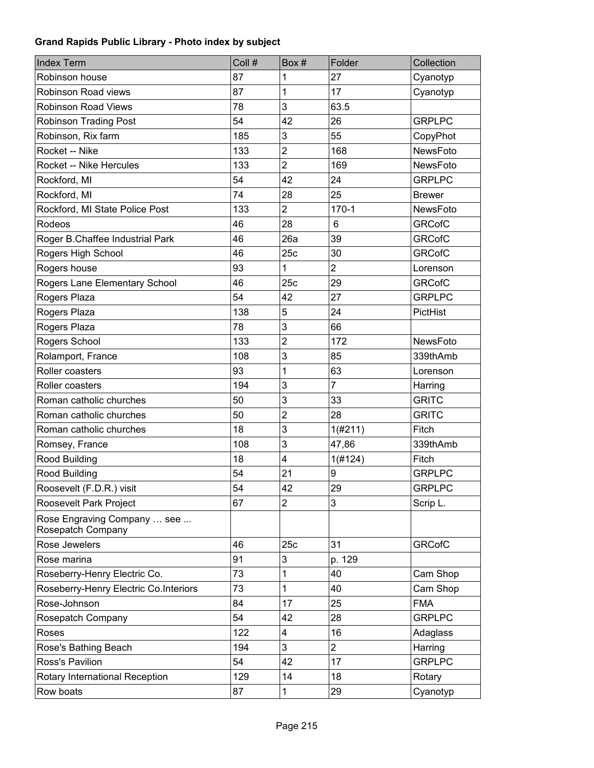| <b>Index Term</b>                                | Coll # | Box #          | Folder         | Collection      |
|--------------------------------------------------|--------|----------------|----------------|-----------------|
| Robinson house                                   | 87     | 1              | 27             | Cyanotyp        |
| Robinson Road views                              | 87     | 1              | 17             | Cyanotyp        |
| <b>Robinson Road Views</b>                       | 78     | 3              | 63.5           |                 |
| <b>Robinson Trading Post</b>                     | 54     | 42             | 26             | <b>GRPLPC</b>   |
| Robinson, Rix farm                               | 185    | 3              | 55             | CopyPhot        |
| Rocket -- Nike                                   | 133    | $\overline{c}$ | 168            | NewsFoto        |
| <b>Rocket -- Nike Hercules</b>                   | 133    | $\overline{2}$ | 169            | <b>NewsFoto</b> |
| Rockford, MI                                     | 54     | 42             | 24             | <b>GRPLPC</b>   |
| Rockford, MI                                     | 74     | 28             | 25             | <b>Brewer</b>   |
| Rockford, MI State Police Post                   | 133    | $\overline{2}$ | $170 - 1$      | NewsFoto        |
| Rodeos                                           | 46     | 28             | 6              | <b>GRCofC</b>   |
| Roger B.Chaffee Industrial Park                  | 46     | 26a            | 39             | <b>GRCofC</b>   |
| Rogers High School                               | 46     | 25c            | 30             | <b>GRCofC</b>   |
| Rogers house                                     | 93     | 1              | $\overline{2}$ | Lorenson        |
| Rogers Lane Elementary School                    | 46     | 25c            | 29             | <b>GRCofC</b>   |
| Rogers Plaza                                     | 54     | 42             | 27             | <b>GRPLPC</b>   |
| Rogers Plaza                                     | 138    | 5              | 24             | PictHist        |
| Rogers Plaza                                     | 78     | 3              | 66             |                 |
| Rogers School                                    | 133    | $\overline{2}$ | 172            | <b>NewsFoto</b> |
| Rolamport, France                                | 108    | 3              | 85             | 339thAmb        |
| Roller coasters                                  | 93     | 1              | 63             | Lorenson        |
| Roller coasters                                  | 194    | 3              | $\overline{7}$ | Harring         |
| Roman catholic churches                          | 50     | 3              | 33             | <b>GRITC</b>    |
| Roman catholic churches                          | 50     | $\overline{c}$ | 28             | <b>GRITC</b>    |
| Roman catholic churches                          | 18     | 3              | 1(#211)        | Fitch           |
| Romsey, France                                   | 108    | 3              | 47,86          | 339thAmb        |
| Rood Building                                    | 18     | 4              | 1(#124)        | Fitch           |
| Rood Building                                    | 54     | 21             | 9              | <b>GRPLPC</b>   |
| Roosevelt (F.D.R.) visit                         | 54     | 42             | 29             | <b>GRPLPC</b>   |
| Roosevelt Park Project                           | 67     | 2              | 3              | Scrip L.        |
| Rose Engraving Company  see<br>Rosepatch Company |        |                |                |                 |
| Rose Jewelers                                    | 46     | 25c            | 31             | <b>GRCofC</b>   |
| Rose marina                                      | 91     | 3              | p. 129         |                 |
| Roseberry-Henry Electric Co.                     | 73     | 1              | 40             | Cam Shop        |
| Roseberry-Henry Electric Co.Interiors            | 73     | 1              | 40             | Cam Shop        |
| Rose-Johnson                                     | 84     | 17             | 25             | <b>FMA</b>      |
| Rosepatch Company                                | 54     | 42             | 28             | <b>GRPLPC</b>   |
| Roses                                            | 122    | 4              | 16             | Adaglass        |
| Rose's Bathing Beach                             | 194    | 3              | $\overline{2}$ | Harring         |
| Ross's Pavilion                                  | 54     | 42             | 17             | <b>GRPLPC</b>   |
| Rotary International Reception                   | 129    | 14             | 18             | Rotary          |
| Row boats                                        | 87     | 1              | 29             | Cyanotyp        |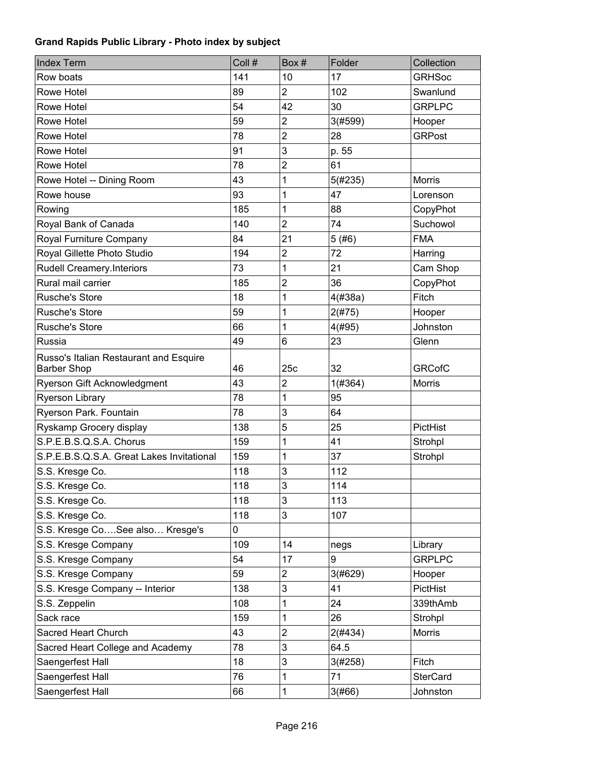| <b>Index Term</b>                         | Coll # | Box #          | Folder  | Collection      |
|-------------------------------------------|--------|----------------|---------|-----------------|
| Row boats                                 | 141    | 10             | 17      | <b>GRHSoc</b>   |
| Rowe Hotel                                | 89     | $\overline{2}$ | 102     | Swanlund        |
| Rowe Hotel                                | 54     | 42             | 30      | <b>GRPLPC</b>   |
| Rowe Hotel                                | 59     | $\overline{2}$ | 3(#599) | Hooper          |
| Rowe Hotel                                | 78     | $\overline{2}$ | 28      | <b>GRPost</b>   |
| Rowe Hotel                                | 91     | 3              | p. 55   |                 |
| Rowe Hotel                                | 78     | $\overline{2}$ | 61      |                 |
| Rowe Hotel -- Dining Room                 | 43     | 1              | 5(#235) | <b>Morris</b>   |
| Rowe house                                | 93     | 1              | 47      | Lorenson        |
| Rowing                                    | 185    | 1              | 88      | CopyPhot        |
| Royal Bank of Canada                      | 140    | $\overline{2}$ | 74      | Suchowol        |
| Royal Furniture Company                   | 84     | 21             | 5(#6)   | <b>FMA</b>      |
| Royal Gillette Photo Studio               | 194    | $\mathbf 2$    | 72      | Harring         |
| <b>Rudell Creamery.Interiors</b>          | 73     | 1              | 21      | Cam Shop        |
| Rural mail carrier                        | 185    | $\mathbf 2$    | 36      | CopyPhot        |
| <b>Rusche's Store</b>                     | 18     | 1              | 4(#38a) | Fitch           |
| <b>Rusche's Store</b>                     | 59     | 1              | 2(#75)  | Hooper          |
| <b>Rusche's Store</b>                     | 66     | 1              | 4(#95)  | Johnston        |
| Russia                                    | 49     | 6              | 23      | Glenn           |
| Russo's Italian Restaurant and Esquire    |        |                |         |                 |
| <b>Barber Shop</b>                        | 46     | 25c            | 32      | <b>GRCofC</b>   |
| Ryerson Gift Acknowledgment               | 43     | $\overline{2}$ | 1(#364) | <b>Morris</b>   |
| <b>Ryerson Library</b>                    | 78     | 1              | 95      |                 |
| Ryerson Park. Fountain                    | 78     | 3              | 64      |                 |
| Ryskamp Grocery display                   | 138    | 5              | 25      | PictHist        |
| S.P.E.B.S.Q.S.A. Chorus                   | 159    | 1              | 41      | Strohpl         |
| S.P.E.B.S.Q.S.A. Great Lakes Invitational | 159    | 1              | 37      | Strohpl         |
| S.S. Kresge Co.                           | 118    | 3              | 112     |                 |
| S.S. Kresge Co.                           | 118    | 3              | 114     |                 |
| S.S. Kresge Co.                           | 118    | 3              | 113     |                 |
| S.S. Kresge Co.                           | 118    | 3              | 107     |                 |
| S.S. Kresge CoSee also Kresge's           | 0      |                |         |                 |
| S.S. Kresge Company                       | 109    | 14             | negs    | Library         |
| S.S. Kresge Company                       | 54     | 17             | 9       | <b>GRPLPC</b>   |
| S.S. Kresge Company                       | 59     | $\overline{2}$ | 3(#629) | Hooper          |
| S.S. Kresge Company -- Interior           | 138    | 3              | 41      | PictHist        |
| S.S. Zeppelin                             | 108    | 1              | 24      | 339thAmb        |
| Sack race                                 | 159    | 1              | 26      | Strohpl         |
| Sacred Heart Church                       | 43     | $\mathbf 2$    | 2(#434) | <b>Morris</b>   |
| Sacred Heart College and Academy          | 78     | 3              | 64.5    |                 |
| Saengerfest Hall                          | 18     | 3              | 3(#258) | Fitch           |
| Saengerfest Hall                          | 76     | 1              | 71      | <b>SterCard</b> |
| Saengerfest Hall                          | 66     | 1              | 3(#66)  | Johnston        |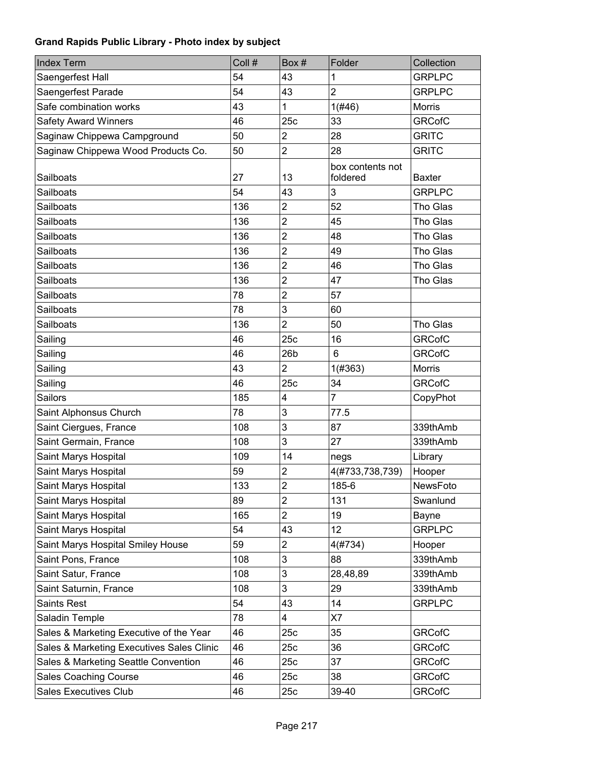| <b>Index Term</b>                         | Coll # | Box#                    | Folder                       | Collection    |
|-------------------------------------------|--------|-------------------------|------------------------------|---------------|
| Saengerfest Hall                          | 54     | 43                      | 1                            | <b>GRPLPC</b> |
| Saengerfest Parade                        | 54     | 43                      | $\overline{2}$               | <b>GRPLPC</b> |
| Safe combination works                    | 43     | 1                       | 1(#46)                       | Morris        |
| <b>Safety Award Winners</b>               | 46     | 25c                     | 33                           | <b>GRCofC</b> |
| Saginaw Chippewa Campground               | 50     | $\mathbf 2$             | 28                           | <b>GRITC</b>  |
| Saginaw Chippewa Wood Products Co.        | 50     | $\overline{2}$          | 28                           | <b>GRITC</b>  |
| Sailboats                                 | 27     | 13                      | box contents not<br>foldered | <b>Baxter</b> |
| Sailboats                                 | 54     | 43                      | 3                            | <b>GRPLPC</b> |
| Sailboats                                 | 136    | $\overline{2}$          | 52                           | Tho Glas      |
| Sailboats                                 | 136    | $\overline{2}$          | 45                           | Tho Glas      |
| Sailboats                                 | 136    | $\overline{2}$          | 48                           | Tho Glas      |
| Sailboats                                 | 136    | $\overline{2}$          | 49                           | Tho Glas      |
| <b>Sailboats</b>                          | 136    | $\overline{2}$          | 46                           | Tho Glas      |
| <b>Sailboats</b>                          | 136    | $\overline{2}$          | 47                           | Tho Glas      |
| Sailboats                                 | 78     | $\overline{2}$          | 57                           |               |
| Sailboats                                 | 78     | 3                       | 60                           |               |
| <b>Sailboats</b>                          | 136    | $\overline{2}$          | 50                           | Tho Glas      |
| Sailing                                   | 46     | 25c                     | 16                           | <b>GRCofC</b> |
| Sailing                                   | 46     | 26 <sub>b</sub>         | 6                            | <b>GRCofC</b> |
| Sailing                                   | 43     | $\overline{2}$          | 1(#363)                      | Morris        |
| Sailing                                   | 46     | 25c                     | 34                           | <b>GRCofC</b> |
| <b>Sailors</b>                            | 185    | $\overline{\mathbf{4}}$ | $\overline{7}$               | CopyPhot      |
| Saint Alphonsus Church                    | 78     | 3                       | 77.5                         |               |
| Saint Ciergues, France                    | 108    | 3                       | 87                           | 339thAmb      |
| Saint Germain, France                     | 108    | 3                       | 27                           | 339thAmb      |
| Saint Marys Hospital                      | 109    | 14                      | negs                         | Library       |
| Saint Marys Hospital                      | 59     | 2                       | 4(#733,738,739)              | Hooper        |
| Saint Marys Hospital                      | 133    | $\overline{c}$          | 185-6                        | NewsFoto      |
| Saint Marys Hospital                      | 89     | $\overline{2}$          | 131                          | Swanlund      |
| Saint Marys Hospital                      | 165    | $\overline{2}$          | 19                           | Bayne         |
| Saint Marys Hospital                      | 54     | 43                      | 12                           | <b>GRPLPC</b> |
| Saint Marys Hospital Smiley House         | 59     | $\overline{c}$          | 4(#734)                      | Hooper        |
| Saint Pons, France                        | 108    | 3                       | 88                           | 339thAmb      |
| Saint Satur, France                       | 108    | 3                       | 28,48,89                     | 339thAmb      |
| Saint Saturnin, France                    | 108    | 3                       | 29                           | 339thAmb      |
| <b>Saints Rest</b>                        | 54     | 43                      | 14                           | <b>GRPLPC</b> |
| Saladin Temple                            | 78     | $\overline{\mathbf{4}}$ | X7                           |               |
| Sales & Marketing Executive of the Year   | 46     | 25c                     | 35                           | <b>GRCofC</b> |
| Sales & Marketing Executives Sales Clinic | 46     | 25c                     | 36                           | <b>GRCofC</b> |
| Sales & Marketing Seattle Convention      | 46     | 25c                     | 37                           | <b>GRCofC</b> |
| <b>Sales Coaching Course</b>              | 46     | 25c                     | 38                           | <b>GRCofC</b> |
| <b>Sales Executives Club</b>              | 46     | 25c                     | 39-40                        | <b>GRCofC</b> |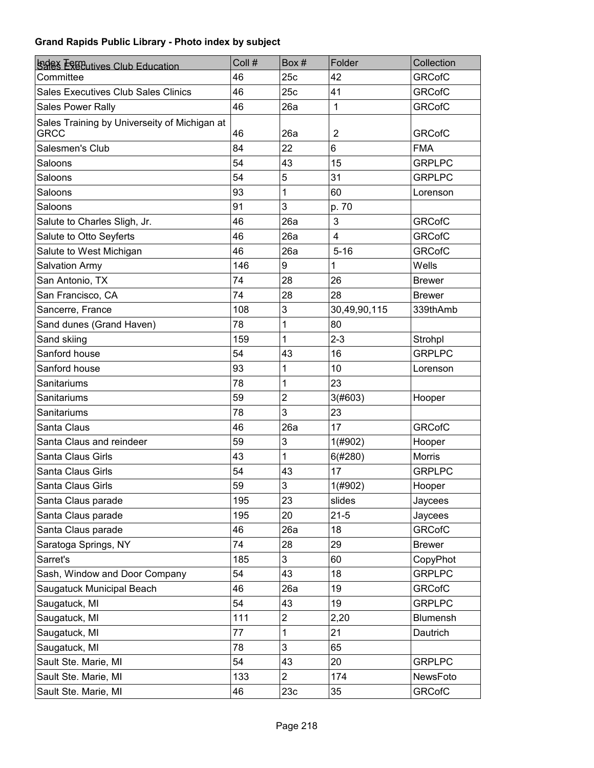| <b>SSES ESECutives Club Education</b>                       | Coll # | Box#           | Folder       | Collection    |
|-------------------------------------------------------------|--------|----------------|--------------|---------------|
| Committee                                                   | 46     | 25c            | 42           | <b>GRCofC</b> |
| <b>Sales Executives Club Sales Clinics</b>                  | 46     | 25c            | 41           | <b>GRCofC</b> |
| Sales Power Rally                                           | 46     | 26a            | $\mathbf{1}$ | <b>GRCofC</b> |
| Sales Training by Universeity of Michigan at<br><b>GRCC</b> | 46     | 26a            | 2            | <b>GRCofC</b> |
| Salesmen's Club                                             | 84     | 22             | 6            | <b>FMA</b>    |
| Saloons                                                     | 54     | 43             | 15           | <b>GRPLPC</b> |
| Saloons                                                     | 54     | 5              | 31           | <b>GRPLPC</b> |
| Saloons                                                     | 93     | 1              | 60           | Lorenson      |
| Saloons                                                     | 91     | 3              | p. 70        |               |
| Salute to Charles Sligh, Jr.                                | 46     | 26a            | 3            | <b>GRCofC</b> |
| Salute to Otto Seyferts                                     | 46     | 26a            | 4            | <b>GRCofC</b> |
| Salute to West Michigan                                     | 46     | 26a            | $5 - 16$     | <b>GRCofC</b> |
| <b>Salvation Army</b>                                       | 146    | 9              | 1            | Wells         |
| San Antonio, TX                                             | 74     | 28             | 26           | <b>Brewer</b> |
| San Francisco, CA                                           | 74     | 28             | 28           | <b>Brewer</b> |
| Sancerre, France                                            | 108    | 3              | 30,49,90,115 | 339thAmb      |
| Sand dunes (Grand Haven)                                    | 78     | 1              | 80           |               |
| Sand skiing                                                 | 159    | 1              | $2 - 3$      | Strohpl       |
| Sanford house                                               | 54     | 43             | 16           | <b>GRPLPC</b> |
| Sanford house                                               | 93     | 1              | 10           | Lorenson      |
| Sanitariums                                                 | 78     | 1              | 23           |               |
| Sanitariums                                                 | 59     | $\overline{2}$ | 3(#603)      | Hooper        |
| Sanitariums                                                 | 78     | 3              | 23           |               |
| Santa Claus                                                 | 46     | 26a            | 17           | <b>GRCofC</b> |
| Santa Claus and reindeer                                    | 59     | 3              | 1(#902)      | Hooper        |
| Santa Claus Girls                                           | 43     | 1              | 6(#280)      | <b>Morris</b> |
| Santa Claus Girls                                           | 54     | 43             | 17           | <b>GRPLPC</b> |
| Santa Claus Girls                                           | 59     | 3              | 1(#902)      | Hooper        |
| Santa Claus parade                                          | 195    | 23             | slides       | Jaycees       |
| Santa Claus parade                                          | 195    | 20             | $21 - 5$     | Jaycees       |
| Santa Claus parade                                          | 46     | 26a            | 18           | <b>GRCofC</b> |
| Saratoga Springs, NY                                        | 74     | 28             | 29           | <b>Brewer</b> |
| Sarret's                                                    | 185    | 3              | 60           | CopyPhot      |
| Sash, Window and Door Company                               | 54     | 43             | 18           | <b>GRPLPC</b> |
| Saugatuck Municipal Beach                                   | 46     | 26a            | 19           | <b>GRCofC</b> |
| Saugatuck, MI                                               | 54     | 43             | 19           | <b>GRPLPC</b> |
| Saugatuck, MI                                               | 111    | $\overline{c}$ | 2,20         | Blumensh      |
| Saugatuck, MI                                               | 77     | 1              | 21           | Dautrich      |
| Saugatuck, MI                                               | 78     | 3              | 65           |               |
| Sault Ste. Marie, MI                                        | 54     | 43             | 20           | <b>GRPLPC</b> |
| Sault Ste. Marie, MI                                        | 133    | $\overline{2}$ | 174          | NewsFoto      |
| Sault Ste. Marie, MI                                        | 46     | 23c            | 35           | <b>GRCofC</b> |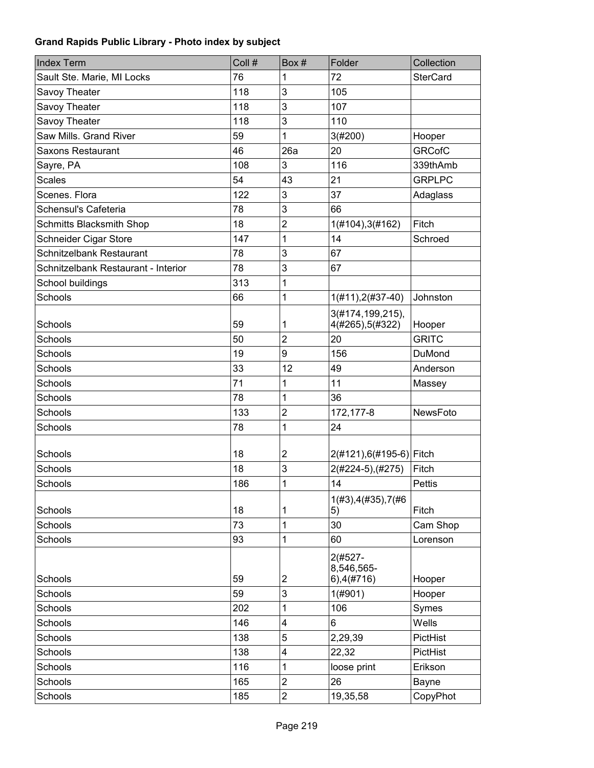| <b>Index Term</b>                   | Coll # | Box#                    | Folder                                  | Collection      |
|-------------------------------------|--------|-------------------------|-----------------------------------------|-----------------|
| Sault Ste. Marie, MI Locks          | 76     | 1                       | 72                                      | <b>SterCard</b> |
| Savoy Theater                       | 118    | 3                       | 105                                     |                 |
| Savoy Theater                       | 118    | 3                       | 107                                     |                 |
| Savoy Theater                       | 118    | 3                       | 110                                     |                 |
| Saw Mills. Grand River              | 59     | 1                       | 3(#200)                                 | Hooper          |
| Saxons Restaurant                   | 46     | 26a                     | 20                                      | <b>GRCofC</b>   |
| Sayre, PA                           | 108    | 3                       | 116                                     | 339thAmb        |
| <b>Scales</b>                       | 54     | 43                      | 21                                      | <b>GRPLPC</b>   |
| Scenes. Flora                       | 122    | 3                       | 37                                      | Adaglass        |
| Schensul's Cafeteria                | 78     | 3                       | 66                                      |                 |
| <b>Schmitts Blacksmith Shop</b>     | 18     | $\overline{2}$          | 1(#104), 3(#162)                        | Fitch           |
| Schneider Cigar Store               | 147    | 1                       | 14                                      | Schroed         |
| Schnitzelbank Restaurant            | 78     | 3                       | 67                                      |                 |
| Schnitzelbank Restaurant - Interior | 78     | 3                       | 67                                      |                 |
| School buildings                    | 313    | 1                       |                                         |                 |
| Schools                             | 66     | 1                       | $1(H11), 2(H37-40)$                     | Johnston        |
| Schools                             | 59     | 1                       | 3(#174,199,215),<br>4(#265), 5(#322)    | Hooper          |
| Schools                             | 50     | $\overline{c}$          | 20                                      | <b>GRITC</b>    |
| <b>Schools</b>                      | 19     | 9                       | 156                                     | DuMond          |
| Schools                             | 33     | 12                      | 49                                      | Anderson        |
| <b>Schools</b>                      | 71     | 1                       | 11                                      | Massey          |
| Schools                             | 78     | 1                       | 36                                      |                 |
| Schools                             | 133    | 2                       | 172, 177-8                              | NewsFoto        |
| Schools                             | 78     | 1                       | 24                                      |                 |
|                                     |        |                         |                                         |                 |
| Schools                             | 18     | $\overline{c}$          | 2(#121),6(#195-6) Fitch                 |                 |
| Schools                             | 18     | 3                       | 2(#224-5), (#275)                       | Fitch           |
| Schools                             | 186    | 1                       | 14                                      | <b>Pettis</b>   |
| Schools                             | 18     | 1                       | 1(#3), 4(#35), 7(#6)<br>5)              | Fitch           |
| Schools                             | 73     | 1                       | 30                                      | Cam Shop        |
| Schools                             | 93     | 1                       | 60                                      | Lorenson        |
| Schools                             | 59     | $\overline{\mathbf{c}}$ | 2(#527-<br>8,546,565-<br>$6)$ , 4(#716) | Hooper          |
| Schools                             | 59     | 3                       | $1($ #901)                              | Hooper          |
| Schools                             | 202    | 1                       | 106                                     | Symes           |
| Schools                             | 146    | 4                       | 6                                       | Wells           |
| Schools                             | 138    | 5                       | 2,29,39                                 | PictHist        |
| Schools                             | 138    | 4                       | 22,32                                   | PictHist        |
| Schools                             | 116    | 1                       | loose print                             | Erikson         |
| Schools                             | 165    | $\overline{\mathbf{c}}$ | 26                                      | Bayne           |
| Schools                             | 185    | $\overline{\mathbf{c}}$ | 19,35,58                                | CopyPhot        |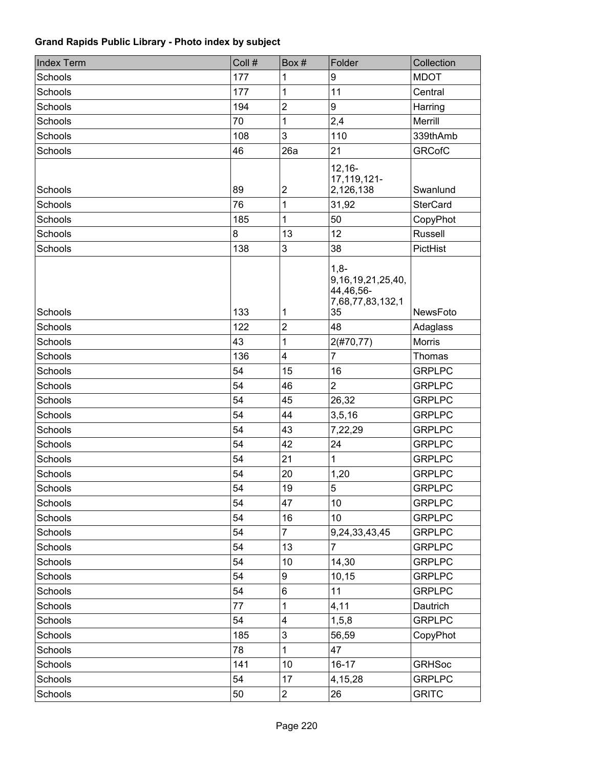| <b>Index Term</b> | Coll # | Box#                    | Folder                                                                  | Collection      |
|-------------------|--------|-------------------------|-------------------------------------------------------------------------|-----------------|
| Schools           | 177    | 1                       | 9                                                                       | <b>MDOT</b>     |
| Schools           | 177    | 1                       | 11                                                                      | Central         |
| Schools           | 194    | $\overline{c}$          | 9                                                                       | Harring         |
| Schools           | 70     | 1                       | 2,4                                                                     | Merrill         |
| Schools           | 108    | 3                       | 110                                                                     | 339thAmb        |
| Schools           | 46     | 26a                     | 21                                                                      | <b>GRCofC</b>   |
| Schools           | 89     | $\overline{\mathbf{c}}$ | $12,16-$<br>17,119,121-<br>2,126,138                                    | Swanlund        |
| Schools           | 76     | 1                       | 31,92                                                                   | <b>SterCard</b> |
| Schools           | 185    | 1                       | 50                                                                      | CopyPhot        |
| Schools           | 8      | 13                      | 12                                                                      | Russell         |
| Schools           | 138    | 3                       | 38                                                                      | PictHist        |
| Schools           | 133    | 1                       | $1,8-$<br>9, 16, 19, 21, 25, 40,<br>44,46,56-<br>7,68,77,83,132,1<br>35 | <b>NewsFoto</b> |
| Schools           | 122    | $\overline{2}$          | 48                                                                      | Adaglass        |
| Schools           | 43     | 1                       | 2(#70, 77)                                                              | <b>Morris</b>   |
| Schools           | 136    | 4                       | $\overline{7}$                                                          | Thomas          |
| Schools           | 54     | 15                      | 16                                                                      | <b>GRPLPC</b>   |
| Schools           | 54     | 46                      | $\overline{2}$                                                          | <b>GRPLPC</b>   |
| Schools           | 54     | 45                      | 26,32                                                                   | <b>GRPLPC</b>   |
| Schools           | 54     | 44                      | 3, 5, 16                                                                | <b>GRPLPC</b>   |
| Schools           | 54     | 43                      | 7,22,29                                                                 | <b>GRPLPC</b>   |
| Schools           | 54     | 42                      | 24                                                                      | <b>GRPLPC</b>   |
| Schools           | 54     | 21                      | 1                                                                       | <b>GRPLPC</b>   |
| <b>Schools</b>    | 54     | 20                      | 1,20                                                                    | <b>GRPLPC</b>   |
| Schools           | 54     | 19                      | 5                                                                       | <b>GRPLPC</b>   |
| Schools           | 54     | 47                      | 10                                                                      | <b>GRPLPC</b>   |
| Schools           | 54     | 16                      | 10                                                                      | <b>GRPLPC</b>   |
| Schools           | 54     | $\overline{7}$          | 9,24,33,43,45                                                           | <b>GRPLPC</b>   |
| Schools           | 54     | 13                      | 7                                                                       | <b>GRPLPC</b>   |
| Schools           | 54     | 10                      | 14,30                                                                   | <b>GRPLPC</b>   |
| Schools           | 54     | 9                       | 10,15                                                                   | <b>GRPLPC</b>   |
| Schools           | 54     | 6                       | 11                                                                      | <b>GRPLPC</b>   |
| Schools           | 77     | 1                       | 4,11                                                                    | Dautrich        |
| Schools           | 54     | 4                       | 1, 5, 8                                                                 | <b>GRPLPC</b>   |
| Schools           | 185    | 3                       | 56,59                                                                   | CopyPhot        |
| Schools           | 78     | 1                       | 47                                                                      |                 |
| Schools           | 141    | 10                      | $16 - 17$                                                               | <b>GRHSoc</b>   |
| Schools           | 54     | 17                      | 4,15,28                                                                 | <b>GRPLPC</b>   |
| Schools           | 50     | $\overline{\mathbf{c}}$ | 26                                                                      | <b>GRITC</b>    |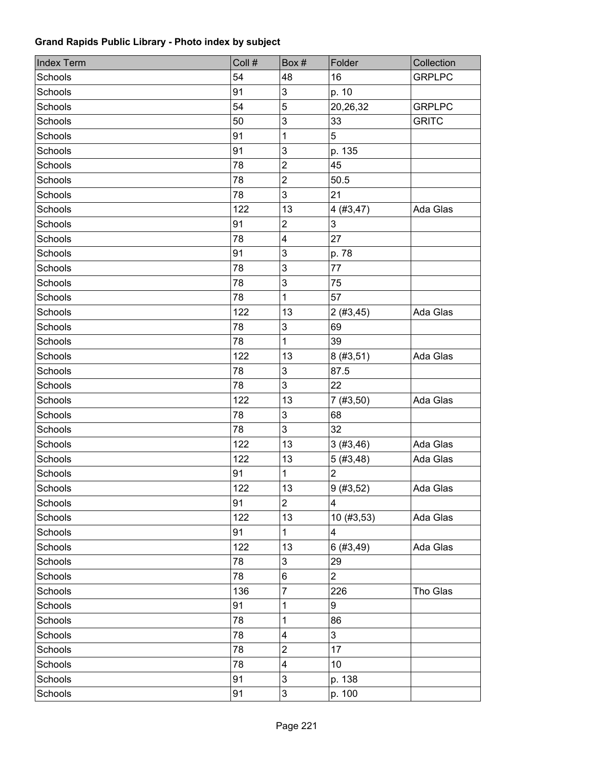| <b>Index Term</b> | Coll # | Box #                   | Folder                  | Collection    |
|-------------------|--------|-------------------------|-------------------------|---------------|
| Schools           | 54     | 48                      | 16                      | <b>GRPLPC</b> |
| Schools           | 91     | 3                       | p. 10                   |               |
| Schools           | 54     | 5                       | 20,26,32                | <b>GRPLPC</b> |
| Schools           | 50     | $\mathbf{3}$            | 33                      | <b>GRITC</b>  |
| Schools           | 91     | $\mathbf{1}$            | 5                       |               |
| <b>Schools</b>    | 91     | $\mathbf{3}$            | p. 135                  |               |
| Schools           | 78     | $\overline{2}$          | 45                      |               |
| Schools           | 78     | $\overline{2}$          | 50.5                    |               |
| Schools           | 78     | 3                       | 21                      |               |
| Schools           | 122    | 13                      | 4(#3, 47)               | Ada Glas      |
| Schools           | 91     | $\mathbf 2$             | 3                       |               |
| Schools           | 78     | $\overline{\mathbf{4}}$ | 27                      |               |
| <b>Schools</b>    | 91     | $\mathfrak{S}$          | p. 78                   |               |
| Schools           | 78     | 3                       | 77                      |               |
| Schools           | 78     | $\mathfrak{S}$          | 75                      |               |
| Schools           | 78     | 1                       | 57                      |               |
| Schools           | 122    | 13                      | 2(#3,45)                | Ada Glas      |
| Schools           | 78     | $\mathfrak{S}$          | 69                      |               |
| Schools           | 78     | $\mathbf{1}$            | 39                      |               |
| Schools           | 122    | 13                      | 8(#3, 51)               | Ada Glas      |
| Schools           | 78     | 3                       | 87.5                    |               |
| Schools           | 78     | 3                       | 22                      |               |
| Schools           | 122    | 13                      | 7(#3, 50)               | Ada Glas      |
| Schools           | 78     | $\mathfrak{S}$          | 68                      |               |
| Schools           | 78     | 3                       | 32                      |               |
| Schools           | 122    | 13                      | 3(#3,46)                | Ada Glas      |
| Schools           | 122    | 13                      | 5(#3,48)                | Ada Glas      |
| Schools           | 91     | 1                       | $\overline{2}$          |               |
| Schools           | 122    | 13                      | 9(#3, 52)               | Ada Glas      |
| Schools           | 91     | $\overline{2}$          | 4                       |               |
| Schools           | 122    | 13                      | 10(#3, 53)              | Ada Glas      |
| Schools           | 91     | $\mathbf{1}$            | $\overline{\mathbf{4}}$ |               |
| Schools           | 122    | 13                      | 6(#3,49)                | Ada Glas      |
| Schools           | 78     | 3                       | 29                      |               |
| Schools           | 78     | 6                       | $\overline{2}$          |               |
| Schools           | 136    | $\overline{7}$          | 226                     | Tho Glas      |
| Schools           | 91     | 1                       | 9                       |               |
| Schools           | 78     | 1                       | 86                      |               |
| Schools           | 78     | $\overline{\mathbf{4}}$ | 3                       |               |
| Schools           | 78     | $\overline{c}$          | 17                      |               |
| Schools           | 78     | $\overline{\mathbf{4}}$ | 10                      |               |
| Schools           | 91     | $\mathsf 3$             | p. 138                  |               |
| Schools           | 91     | $\mathsf 3$             | p. 100                  |               |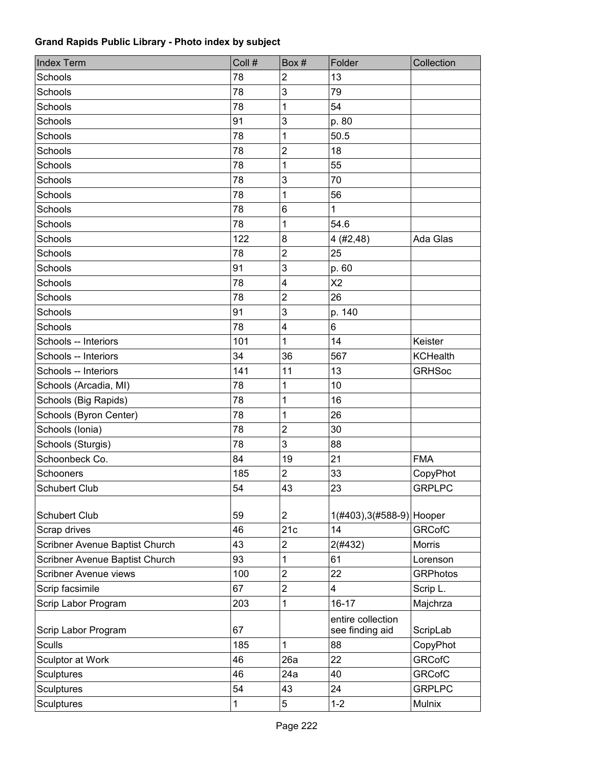| <b>Index Term</b>              | Coll # | Box#                    | Folder                               | Collection      |
|--------------------------------|--------|-------------------------|--------------------------------------|-----------------|
| Schools                        | 78     | $\overline{2}$          | 13                                   |                 |
| Schools                        | 78     | 3                       | 79                                   |                 |
| Schools                        | 78     | 1                       | 54                                   |                 |
| Schools                        | 91     | 3                       | p. 80                                |                 |
| Schools                        | 78     | 1                       | 50.5                                 |                 |
| Schools                        | 78     | $\overline{2}$          | 18                                   |                 |
| Schools                        | 78     | 1                       | 55                                   |                 |
| Schools                        | 78     | 3                       | 70                                   |                 |
| <b>Schools</b>                 | 78     | 1                       | 56                                   |                 |
| Schools                        | 78     | 6                       | 1                                    |                 |
| Schools                        | 78     | 1                       | 54.6                                 |                 |
| Schools                        | 122    | 8                       | 4 (#2,48)                            | Ada Glas        |
| <b>Schools</b>                 | 78     | $\mathbf 2$             | 25                                   |                 |
| Schools                        | 91     | 3                       | p. 60                                |                 |
| Schools                        | 78     | $\overline{\mathbf{4}}$ | X <sub>2</sub>                       |                 |
| Schools                        | 78     | $\overline{2}$          | 26                                   |                 |
| Schools                        | 91     | 3                       | p. 140                               |                 |
| Schools                        | 78     | $\overline{\mathbf{4}}$ | 6                                    |                 |
| Schools -- Interiors           | 101    | 1                       | 14                                   | Keister         |
| Schools -- Interiors           | 34     | 36                      | 567                                  | <b>KCHealth</b> |
| Schools -- Interiors           | 141    | 11                      | 13                                   | <b>GRHSoc</b>   |
| Schools (Arcadia, MI)          | 78     | 1                       | 10                                   |                 |
| Schools (Big Rapids)           | 78     | 1                       | 16                                   |                 |
| Schools (Byron Center)         | 78     | 1                       | 26                                   |                 |
| Schools (Ionia)                | 78     | $\mathbf 2$             | 30                                   |                 |
| Schools (Sturgis)              | 78     | 3                       | 88                                   |                 |
| Schoonbeck Co.                 | 84     | 19                      | 21                                   | <b>FMA</b>      |
| Schooners                      | 185    | $\overline{2}$          | 33                                   | CopyPhot        |
| Schubert Club                  | 54     | 43                      | 23                                   | <b>GRPLPC</b>   |
| <b>Schubert Club</b>           | 59     | $\overline{c}$          | 1(#403), 3(#588-9) Hooper            |                 |
| Scrap drives                   | 46     | 21c                     | 14                                   | <b>GRCofC</b>   |
| Scribner Avenue Baptist Church | 43     | $\overline{\mathbf{c}}$ | 2(#432)                              | Morris          |
| Scribner Avenue Baptist Church | 93     | 1                       | 61                                   | Lorenson        |
| Scribner Avenue views          | 100    | $\mathbf 2$             | 22                                   | <b>GRPhotos</b> |
| Scrip facsimile                | 67     | $\overline{\mathbf{c}}$ | 4                                    | Scrip L.        |
| Scrip Labor Program            | 203    | 1                       | $16 - 17$                            | Majchrza        |
| Scrip Labor Program            | 67     |                         | entire collection<br>see finding aid | ScripLab        |
| <b>Sculls</b>                  | 185    | 1                       | 88                                   | CopyPhot        |
| Sculptor at Work               | 46     | 26a                     | 22                                   | <b>GRCofC</b>   |
| <b>Sculptures</b>              | 46     | 24a                     | 40                                   | <b>GRCofC</b>   |
| <b>Sculptures</b>              | 54     | 43                      | 24                                   | <b>GRPLPC</b>   |
| <b>Sculptures</b>              | 1      | 5                       | $1 - 2$                              | Mulnix          |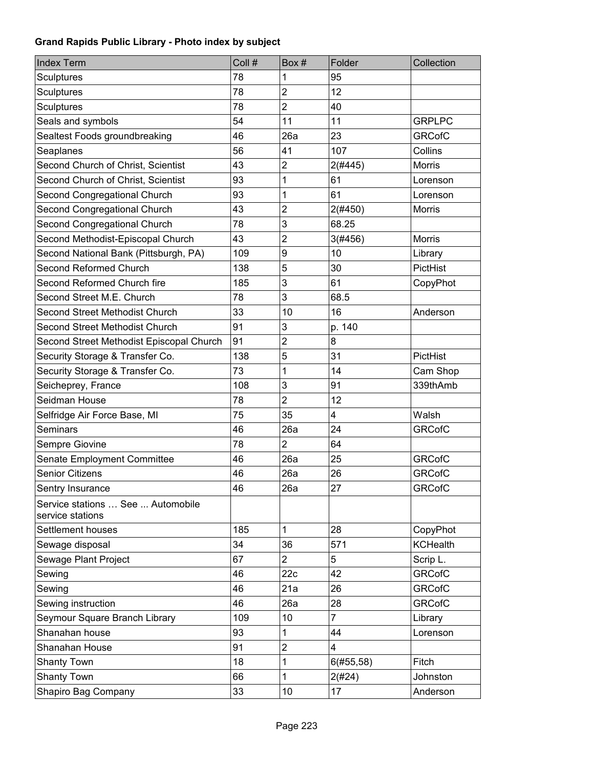| <b>Index Term</b>                                     | Coll # | Box#                    | Folder         | Collection      |
|-------------------------------------------------------|--------|-------------------------|----------------|-----------------|
| Sculptures                                            | 78     | 1                       | 95             |                 |
| <b>Sculptures</b>                                     | 78     | $\overline{2}$          | 12             |                 |
| <b>Sculptures</b>                                     | 78     | $\overline{\mathbf{c}}$ | 40             |                 |
| Seals and symbols                                     | 54     | 11                      | 11             | <b>GRPLPC</b>   |
| Sealtest Foods groundbreaking                         | 46     | 26a                     | 23             | <b>GRCofC</b>   |
| Seaplanes                                             | 56     | 41                      | 107            | Collins         |
| Second Church of Christ, Scientist                    | 43     | $\overline{c}$          | 2(#445)        | <b>Morris</b>   |
| Second Church of Christ, Scientist                    | 93     | 1                       | 61             | Lorenson        |
| Second Congregational Church                          | 93     | 1                       | 61             | Lorenson        |
| Second Congregational Church                          | 43     | $\overline{2}$          | 2(#450)        | <b>Morris</b>   |
| Second Congregational Church                          | 78     | 3                       | 68.25          |                 |
| Second Methodist-Episcopal Church                     | 43     | $\overline{2}$          | 3(#456)        | <b>Morris</b>   |
| Second National Bank (Pittsburgh, PA)                 | 109    | 9                       | 10             | Library         |
| Second Reformed Church                                | 138    | 5                       | 30             | PictHist        |
| Second Reformed Church fire                           | 185    | 3                       | 61             | CopyPhot        |
| Second Street M.E. Church                             | 78     | 3                       | 68.5           |                 |
| Second Street Methodist Church                        | 33     | 10                      | 16             | Anderson        |
| <b>Second Street Methodist Church</b>                 | 91     | 3                       | p. 140         |                 |
| Second Street Methodist Episcopal Church              | 91     | $\overline{2}$          | 8              |                 |
| Security Storage & Transfer Co.                       | 138    | 5                       | 31             | PictHist        |
| Security Storage & Transfer Co.                       | 73     | 1                       | 14             | Cam Shop        |
| Seicheprey, France                                    | 108    | 3                       | 91             | 339thAmb        |
| Seidman House                                         | 78     | $\overline{2}$          | 12             |                 |
| Selfridge Air Force Base, MI                          | 75     | 35                      | 4              | Walsh           |
| Seminars                                              | 46     | 26a                     | 24             | <b>GRCofC</b>   |
| Sempre Giovine                                        | 78     | $\overline{c}$          | 64             |                 |
| Senate Employment Committee                           | 46     | 26a                     | 25             | <b>GRCofC</b>   |
| <b>Senior Citizens</b>                                | 46     | 26a                     | 26             | <b>GRCofC</b>   |
| Sentry Insurance                                      | 46     | 26a                     | 27             | <b>GRCofC</b>   |
| Service stations  See  Automobile<br>service stations |        |                         |                |                 |
| Settlement houses                                     | 185    | 1                       | 28             | CopyPhot        |
| Sewage disposal                                       | 34     | 36                      | 571            | <b>KCHealth</b> |
| Sewage Plant Project                                  | 67     | $\overline{2}$          | 5              | Scrip L.        |
| Sewing                                                | 46     | 22c                     | 42             | <b>GRCofC</b>   |
| Sewing                                                | 46     | 21a                     | 26             | <b>GRCofC</b>   |
| Sewing instruction                                    | 46     | 26a                     | 28             | <b>GRCofC</b>   |
| Seymour Square Branch Library                         | 109    | 10                      | $\overline{7}$ | Library         |
| Shanahan house                                        | 93     | 1                       | 44             | Lorenson        |
| Shanahan House                                        | 91     | $\overline{2}$          | 4              |                 |
| <b>Shanty Town</b>                                    | 18     | 1                       | $6(\#55,58)$   | Fitch           |
| <b>Shanty Town</b>                                    | 66     | 1                       | 2(#24)         | Johnston        |
| Shapiro Bag Company                                   | 33     | 10                      | 17             | Anderson        |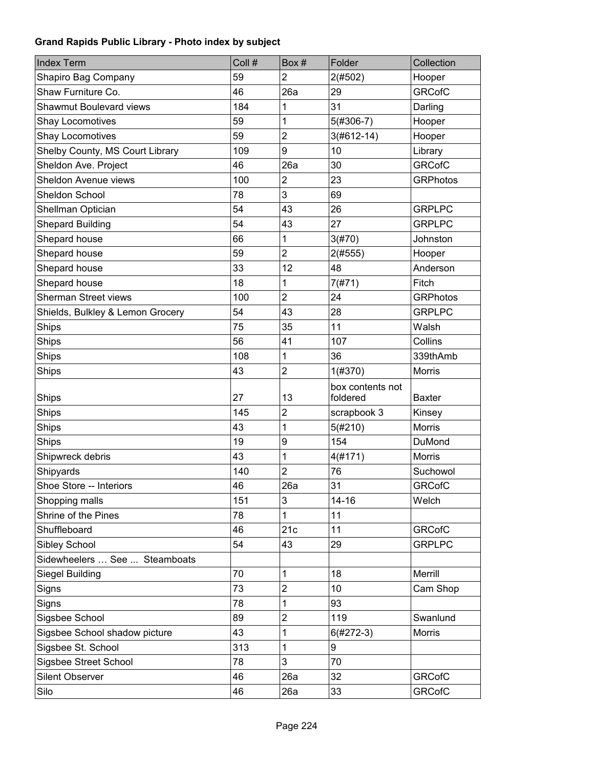| <b>Index Term</b>                | Coll # | Box#           | Folder                       | Collection      |
|----------------------------------|--------|----------------|------------------------------|-----------------|
| Shapiro Bag Company              | 59     | 2              | 2(#502)                      | Hooper          |
| Shaw Furniture Co.               | 46     | 26a            | 29                           | <b>GRCofC</b>   |
| <b>Shawmut Boulevard views</b>   | 184    | 1              | 31                           | Darling         |
| Shay Locomotives                 | 59     | 1              | 5(#306-7)                    | Hooper          |
| <b>Shay Locomotives</b>          | 59     | $\overline{2}$ | $3(#612-14)$                 | Hooper          |
| Shelby County, MS Court Library  | 109    | 9              | 10                           | Library         |
| Sheldon Ave. Project             | 46     | 26a            | 30                           | <b>GRCofC</b>   |
| Sheldon Avenue views             | 100    | $\overline{2}$ | 23                           | <b>GRPhotos</b> |
| Sheldon School                   | 78     | 3              | 69                           |                 |
| Shellman Optician                | 54     | 43             | 26                           | <b>GRPLPC</b>   |
| <b>Shepard Building</b>          | 54     | 43             | 27                           | <b>GRPLPC</b>   |
| Shepard house                    | 66     | 1              | 3(#70)                       | Johnston        |
| Shepard house                    | 59     | $\overline{c}$ | 2(#555)                      | Hooper          |
| Shepard house                    | 33     | 12             | 48                           | Anderson        |
| Shepard house                    | 18     | 1              | 7(#71)                       | Fitch           |
| <b>Sherman Street views</b>      | 100    | $\overline{2}$ | 24                           | <b>GRPhotos</b> |
| Shields, Bulkley & Lemon Grocery | 54     | 43             | 28                           | <b>GRPLPC</b>   |
| Ships                            | 75     | 35             | 11                           | Walsh           |
| Ships                            | 56     | 41             | 107                          | Collins         |
| Ships                            | 108    | 1              | 36                           | 339thAmb        |
| Ships                            | 43     | $\overline{2}$ | 1(#370)                      | <b>Morris</b>   |
| Ships                            | 27     | 13             | box contents not<br>foldered | Baxter          |
| Ships                            | 145    | $\overline{c}$ | scrapbook 3                  | Kinsey          |
| <b>Ships</b>                     | 43     | 1              | 5(#210)                      | <b>Morris</b>   |
| Ships                            | 19     | 9              | 154                          | <b>DuMond</b>   |
| Shipwreck debris                 | 43     | 1              | 4(#171)                      | <b>Morris</b>   |
| Shipyards                        | 140    | $\overline{c}$ | 76                           | Suchowol        |
| Shoe Store -- Interiors          | 46     | 26a            | 31                           | <b>GRCofC</b>   |
| Shopping malls                   | 151    | 3              | $14 - 16$                    | Welch           |
| Shrine of the Pines              | 78     | 1              | 11                           |                 |
| Shuffleboard                     | 46     | 21c            | 11                           | <b>GRCofC</b>   |
| Sibley School                    | 54     | 43             | 29                           | <b>GRPLPC</b>   |
| Sidewheelers  See  Steamboats    |        |                |                              |                 |
| Siegel Building                  | 70     | 1              | 18                           | Merrill         |
| Signs                            | 73     | $\overline{2}$ | 10                           | Cam Shop        |
| Signs                            | 78     | 1              | 93                           |                 |
| Sigsbee School                   | 89     | $\overline{2}$ | 119                          | Swanlund        |
| Sigsbee School shadow picture    | 43     | 1              | 6(#272-3)                    | <b>Morris</b>   |
| Sigsbee St. School               | 313    | 1              | 9                            |                 |
| Sigsbee Street School            | 78     | 3              | 70                           |                 |
| <b>Silent Observer</b>           | 46     | 26a            | 32                           | <b>GRCofC</b>   |
| Silo                             | 46     | 26a            | 33                           | <b>GRCofC</b>   |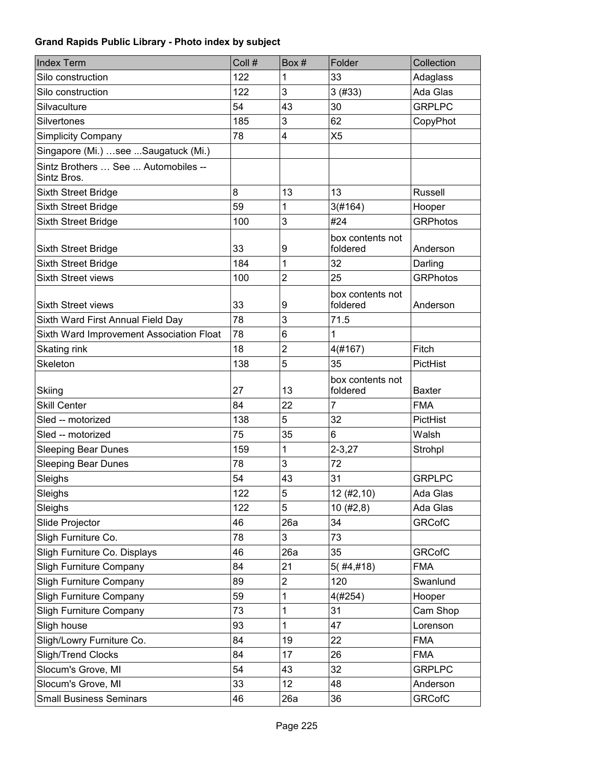| <b>Index Term</b>                                  | Coll # | Box#           | Folder                       | Collection      |
|----------------------------------------------------|--------|----------------|------------------------------|-----------------|
| Silo construction                                  | 122    | 1              | 33                           | Adaglass        |
| Silo construction                                  | 122    | 3              | 3(#33)                       | Ada Glas        |
| Silvaculture                                       | 54     | 43             | 30                           | <b>GRPLPC</b>   |
| Silvertones                                        | 185    | 3              | 62                           | CopyPhot        |
| <b>Simplicity Company</b>                          | 78     | 4              | X <sub>5</sub>               |                 |
| Singapore (Mi.)  see  Saugatuck (Mi.)              |        |                |                              |                 |
| Sintz Brothers  See  Automobiles --<br>Sintz Bros. |        |                |                              |                 |
| Sixth Street Bridge                                | 8      | 13             | 13                           | <b>Russell</b>  |
| Sixth Street Bridge                                | 59     | 1              | 3(#164)                      | Hooper          |
| Sixth Street Bridge                                | 100    | 3              | #24                          | <b>GRPhotos</b> |
| Sixth Street Bridge                                | 33     | 9              | box contents not<br>foldered | Anderson        |
| Sixth Street Bridge                                | 184    | 1              | 32                           | Darling         |
| <b>Sixth Street views</b>                          | 100    | 2              | 25                           | <b>GRPhotos</b> |
| <b>Sixth Street views</b>                          | 33     | 9              | box contents not<br>foldered | Anderson        |
| Sixth Ward First Annual Field Day                  | 78     | 3              | 71.5                         |                 |
| Sixth Ward Improvement Association Float           | 78     | 6              | 1                            |                 |
| Skating rink                                       | 18     | $\overline{2}$ | 4(#167)                      | Fitch           |
| Skeleton                                           | 138    | 5              | 35                           | PictHist        |
| Skiing                                             | 27     | 13             | box contents not<br>foldered | <b>Baxter</b>   |
| <b>Skill Center</b>                                | 84     | 22             | $\overline{7}$               | <b>FMA</b>      |
| Sled -- motorized                                  | 138    | 5              | 32                           | PictHist        |
| Sled -- motorized                                  | 75     | 35             | $6\phantom{1}$               | Walsh           |
| <b>Sleeping Bear Dunes</b>                         | 159    | 1              | $2 - 3,27$                   | Strohpl         |
| <b>Sleeping Bear Dunes</b>                         | 78     | 3              | 72                           |                 |
| Sleighs                                            | 54     | 43             | 31                           | <b>GRPLPC</b>   |
| Sleighs                                            | 122    | 5              | 12(#2, 10)                   | Ada Glas        |
| Sleighs                                            | 122    | 5              | 10(#2, 8)                    | Ada Glas        |
| Slide Projector                                    | 46     | 26a            | 34                           | <b>GRCofC</b>   |
| Sligh Furniture Co.                                | 78     | 3              | 73                           |                 |
| Sligh Furniture Co. Displays                       | 46     | 26a            | 35                           | <b>GRCofC</b>   |
| <b>Sligh Furniture Company</b>                     | 84     | 21             | $5($ #4,#18)                 | <b>FMA</b>      |
| <b>Sligh Furniture Company</b>                     | 89     | $\overline{2}$ | 120                          | Swanlund        |
| <b>Sligh Furniture Company</b>                     | 59     | 1              | 4(#254)                      | Hooper          |
| <b>Sligh Furniture Company</b>                     | 73     | 1              | 31                           | Cam Shop        |
| Sligh house                                        | 93     | 1              | 47                           | Lorenson        |
| Sligh/Lowry Furniture Co.                          | 84     | 19             | 22                           | <b>FMA</b>      |
| Sligh/Trend Clocks                                 | 84     | 17             | 26                           | <b>FMA</b>      |
| Slocum's Grove, MI                                 | 54     | 43             | 32                           | <b>GRPLPC</b>   |
| Slocum's Grove, MI                                 | 33     | 12             | 48                           | Anderson        |
| <b>Small Business Seminars</b>                     | 46     | 26a            | 36                           | <b>GRCofC</b>   |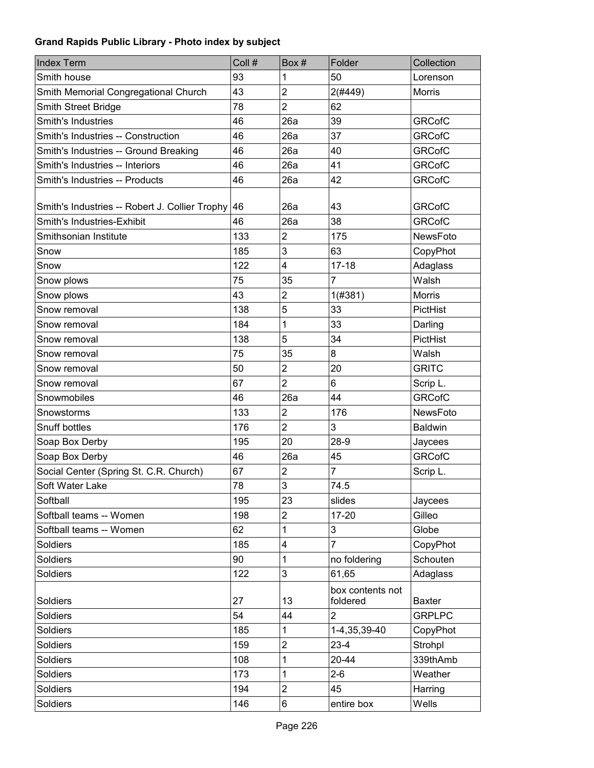| <b>Index Term</b>                              | Coll # | Box#           | Folder                       | Collection      |
|------------------------------------------------|--------|----------------|------------------------------|-----------------|
| Smith house                                    | 93     | 1              | 50                           | Lorenson        |
| Smith Memorial Congregational Church           | 43     | $\overline{2}$ | 2(#449)                      | Morris          |
| Smith Street Bridge                            | 78     | $\overline{2}$ | 62                           |                 |
| Smith's Industries                             | 46     | 26a            | 39                           | <b>GRCofC</b>   |
| Smith's Industries -- Construction             | 46     | 26a            | 37                           | <b>GRCofC</b>   |
| Smith's Industries -- Ground Breaking          | 46     | 26a            | 40                           | <b>GRCofC</b>   |
| Smith's Industries -- Interiors                | 46     | 26a            | 41                           | <b>GRCofC</b>   |
| Smith's Industries -- Products                 | 46     | 26a            | 42                           | <b>GRCofC</b>   |
|                                                |        |                |                              |                 |
| Smith's Industries -- Robert J. Collier Trophy | 46     | 26a            | 43                           | <b>GRCofC</b>   |
| Smith's Industries-Exhibit                     | 46     | 26a            | 38                           | <b>GRCofC</b>   |
| Smithsonian Institute                          | 133    | 2              | 175                          | <b>NewsFoto</b> |
| Snow                                           | 185    | 3              | 63                           | CopyPhot        |
| Snow                                           | 122    | 4              | $17 - 18$                    | Adaglass        |
| Snow plows                                     | 75     | 35             | 7                            | Walsh           |
| Snow plows                                     | 43     | $\overline{2}$ | 1(#381)                      | Morris          |
| Snow removal                                   | 138    | 5              | 33                           | PictHist        |
| Snow removal                                   | 184    | 1              | 33                           | Darling         |
| Snow removal                                   | 138    | 5              | 34                           | PictHist        |
| Snow removal                                   | 75     | 35             | 8                            | Walsh           |
| Snow removal                                   | 50     | $\overline{2}$ | 20                           | <b>GRITC</b>    |
| Snow removal                                   | 67     | $\overline{2}$ | 6                            | Scrip L.        |
| Snowmobiles                                    | 46     | 26a            | 44                           | <b>GRCofC</b>   |
| Snowstorms                                     | 133    | $\overline{2}$ | 176                          | NewsFoto        |
| Snuff bottles                                  | 176    | $\overline{2}$ | 3                            | <b>Baldwin</b>  |
| Soap Box Derby                                 | 195    | 20             | $28-9$                       | Jaycees         |
| Soap Box Derby                                 | 46     | 26a            | 45                           | <b>GRCofC</b>   |
| Social Center (Spring St. C.R. Church)         | 67     | $\overline{2}$ | 7                            | Scrip L.        |
| Soft Water Lake                                | 78     | 3              | 74.5                         |                 |
| Softball                                       | 195    | 23             | slides                       | Jaycees         |
| Softball teams -- Women                        | 198    | $\overline{2}$ | $17-20$                      | Gilleo          |
| Softball teams -- Women                        | 62     | 1              | 3                            | Globe           |
| <b>Soldiers</b>                                | 185    | 4              | 7                            | CopyPhot        |
| <b>Soldiers</b>                                | 90     | 1              | no foldering                 | Schouten        |
| <b>Soldiers</b>                                | 122    | 3              | 61,65                        | Adaglass        |
| Soldiers                                       | 27     | 13             | box contents not<br>foldered | <b>Baxter</b>   |
| Soldiers                                       | 54     | 44             | $\overline{2}$               | <b>GRPLPC</b>   |
| Soldiers                                       | 185    | 1              | 1-4,35,39-40                 | CopyPhot        |
| Soldiers                                       | 159    | $\overline{c}$ | $23 - 4$                     | Strohpl         |
| Soldiers                                       | 108    | 1              | $20 - 44$                    | 339thAmb        |
| Soldiers                                       | 173    | 1              | $2 - 6$                      | Weather         |
| Soldiers                                       | 194    | $\overline{2}$ | 45                           | Harring         |
| Soldiers                                       | 146    | 6              | entire box                   | Wells           |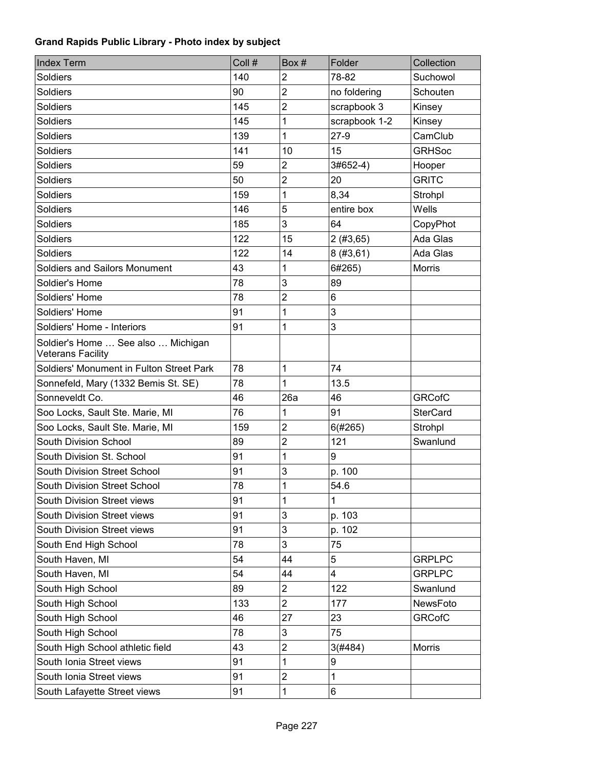| <b>Index Term</b>                                              | Coll # | Box#           | Folder        | Collection      |
|----------------------------------------------------------------|--------|----------------|---------------|-----------------|
| <b>Soldiers</b>                                                | 140    | $\overline{2}$ | 78-82         | Suchowol        |
| <b>Soldiers</b>                                                | 90     | $\overline{2}$ | no foldering  | Schouten        |
| <b>Soldiers</b>                                                | 145    | $\overline{2}$ | scrapbook 3   | Kinsey          |
| <b>Soldiers</b>                                                | 145    | 1              | scrapbook 1-2 | Kinsey          |
| <b>Soldiers</b>                                                | 139    | 1              | $27-9$        | CamClub         |
| <b>Soldiers</b>                                                | 141    | 10             | 15            | <b>GRHSoc</b>   |
| <b>Soldiers</b>                                                | 59     | $\overline{2}$ | 3#652-4)      | Hooper          |
| <b>Soldiers</b>                                                | 50     | 2              | 20            | <b>GRITC</b>    |
| <b>Soldiers</b>                                                | 159    | 1              | 8,34          | Strohpl         |
| <b>Soldiers</b>                                                | 146    | 5              | entire box    | Wells           |
| <b>Soldiers</b>                                                | 185    | 3              | 64            | CopyPhot        |
| Soldiers                                                       | 122    | 15             | 2(#3, 65)     | Ada Glas        |
| <b>Soldiers</b>                                                | 122    | 14             | 8(#3, 61)     | Ada Glas        |
| <b>Soldiers and Sailors Monument</b>                           | 43     | 1              | 6#265)        | Morris          |
| Soldier's Home                                                 | 78     | 3              | 89            |                 |
| Soldiers' Home                                                 | 78     | $\overline{2}$ | 6             |                 |
| Soldiers' Home                                                 | 91     | 1              | 3             |                 |
| Soldiers' Home - Interiors                                     | 91     | 1              | 3             |                 |
| Soldier's Home  See also  Michigan<br><b>Veterans Facility</b> |        |                |               |                 |
| Soldiers' Monument in Fulton Street Park                       | 78     | 1              | 74            |                 |
| Sonnefeld, Mary (1332 Bemis St. SE)                            | 78     | 1              | 13.5          |                 |
| Sonneveldt Co.                                                 | 46     | 26a            | 46            | <b>GRCofC</b>   |
| Soo Locks, Sault Ste. Marie, MI                                | 76     | 1              | 91            | <b>SterCard</b> |
| Soo Locks, Sault Ste. Marie, MI                                | 159    | $\overline{2}$ | 6(#265)       | Strohpl         |
| South Division School                                          | 89     | 2              | 121           | Swanlund        |
| South Division St. School                                      | 91     | 1              | 9             |                 |
| South Division Street School                                   | 91     | 3              | p. 100        |                 |
| South Division Street School                                   | 78     | 1              | 54.6          |                 |
| South Division Street views                                    | 91     | 1              | 1             |                 |
| South Division Street views                                    | 91     | 3              | p. 103        |                 |
| South Division Street views                                    | 91     | $\mathbf{3}$   | p. 102        |                 |
| South End High School                                          | 78     | 3              | 75            |                 |
| South Haven, MI                                                | 54     | 44             | 5             | <b>GRPLPC</b>   |
| South Haven, MI                                                | 54     | 44             | 4             | <b>GRPLPC</b>   |
| South High School                                              | 89     | $\overline{2}$ | 122           | Swanlund        |
| South High School                                              | 133    | $\overline{2}$ | 177           | NewsFoto        |
| South High School                                              | 46     | 27             | 23            | <b>GRCofC</b>   |
| South High School                                              | 78     | 3              | 75            |                 |
| South High School athletic field                               | 43     | $\overline{c}$ | 3(#484)       | Morris          |
| South Ionia Street views                                       | 91     | 1              | 9             |                 |
| South Ionia Street views                                       | 91     | $\mathbf 2$    | $\mathbf 1$   |                 |
| South Lafayette Street views                                   | 91     | 1              | 6             |                 |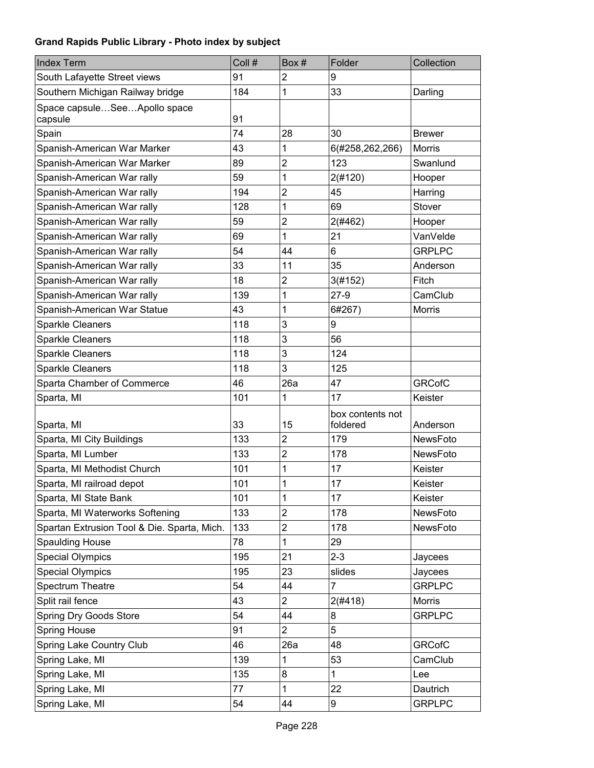| <b>Index Term</b>                           | Coll # | Box#           | Folder                       | Collection      |
|---------------------------------------------|--------|----------------|------------------------------|-----------------|
| South Lafayette Street views                | 91     | $\overline{2}$ | 9                            |                 |
| Southern Michigan Railway bridge            | 184    | 1              | 33                           | Darling         |
| Space capsuleSeeApollo space<br>capsule     | 91     |                |                              |                 |
| Spain                                       | 74     | 28             | 30                           | <b>Brewer</b>   |
| Spanish-American War Marker                 | 43     | 1              | 6(#258,262,266)              | <b>Morris</b>   |
| Spanish-American War Marker                 | 89     | $\overline{2}$ | 123                          | Swanlund        |
| Spanish-American War rally                  | 59     | 1              | 2(#120)                      | Hooper          |
| Spanish-American War rally                  | 194    | $\overline{2}$ | 45                           | Harring         |
| Spanish-American War rally                  | 128    | 1              | 69                           | Stover          |
| Spanish-American War rally                  | 59     | $\overline{c}$ | 2(#462)                      | Hooper          |
| Spanish-American War rally                  | 69     | 1              | 21                           | VanVelde        |
| Spanish-American War rally                  | 54     | 44             | 6                            | <b>GRPLPC</b>   |
| Spanish-American War rally                  | 33     | 11             | 35                           | Anderson        |
| Spanish-American War rally                  | 18     | $\overline{2}$ | 3(#152)                      | Fitch           |
| Spanish-American War rally                  | 139    | 1              | $27-9$                       | CamClub         |
| Spanish-American War Statue                 | 43     | 1              | 6#267)                       | Morris          |
| <b>Sparkle Cleaners</b>                     | 118    | 3              | 9                            |                 |
| <b>Sparkle Cleaners</b>                     | 118    | 3              | 56                           |                 |
| Sparkle Cleaners                            | 118    | 3              | 124                          |                 |
| <b>Sparkle Cleaners</b>                     | 118    | 3              | 125                          |                 |
| Sparta Chamber of Commerce                  | 46     | 26a            | 47                           | <b>GRCofC</b>   |
| Sparta, MI                                  | 101    | 1              | 17                           | Keister         |
| Sparta, MI                                  | 33     | 15             | box contents not<br>foldered | Anderson        |
| Sparta, MI City Buildings                   | 133    | $\overline{c}$ | 179                          | <b>NewsFoto</b> |
| Sparta, MI Lumber                           | 133    | 2              | 178                          | NewsFoto        |
| Sparta, MI Methodist Church                 | 101    | 1              | 17                           | Keister         |
| Sparta, MI railroad depot                   | 101    | 1              | 17                           | Keister         |
| Sparta, MI State Bank                       | 101    | 1              | 17                           | Keister         |
| Sparta, MI Waterworks Softening             | 133    | $\overline{2}$ | 178                          | NewsFoto        |
| Spartan Extrusion Tool & Die. Sparta, Mich. | 133    | $\overline{2}$ | 178                          | NewsFoto        |
| <b>Spaulding House</b>                      | 78     | 1              | 29                           |                 |
| <b>Special Olympics</b>                     | 195    | 21             | $2 - 3$                      | Jaycees         |
| <b>Special Olympics</b>                     | 195    | 23             | slides                       | Jaycees         |
| <b>Spectrum Theatre</b>                     | 54     | 44             | $\overline{7}$               | <b>GRPLPC</b>   |
| Split rail fence                            | 43     | $\overline{2}$ | 2(#418)                      | Morris          |
| Spring Dry Goods Store                      | 54     | 44             | 8                            | <b>GRPLPC</b>   |
| <b>Spring House</b>                         | 91     | $\overline{c}$ | 5                            |                 |
| Spring Lake Country Club                    | 46     | 26a            | 48                           | <b>GRCofC</b>   |
| Spring Lake, MI                             | 139    | 1              | 53                           | CamClub         |
| Spring Lake, MI                             | 135    | 8              | 1                            | Lee             |
| Spring Lake, MI                             | 77     | 1              | 22                           | Dautrich        |
| Spring Lake, MI                             | 54     | 44             | 9                            | <b>GRPLPC</b>   |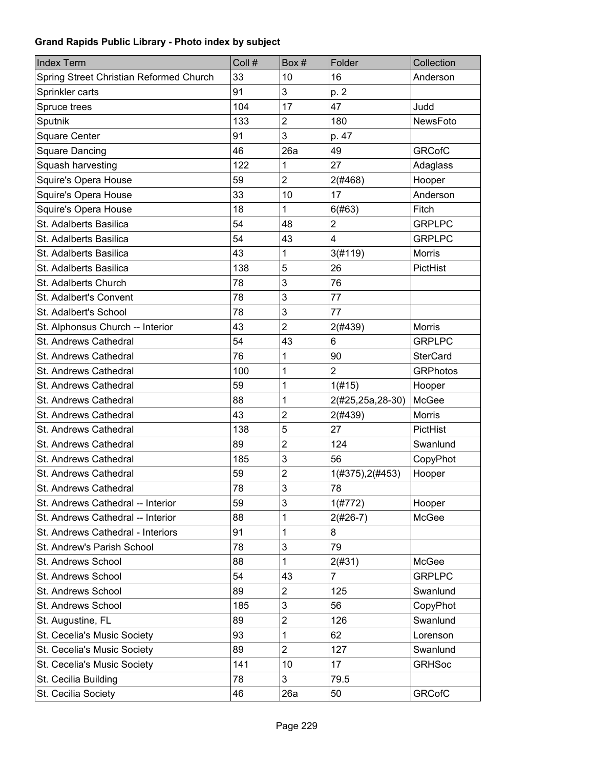| <b>Index Term</b>                       | Coll # | Box #                   | Folder           | Collection      |
|-----------------------------------------|--------|-------------------------|------------------|-----------------|
| Spring Street Christian Reformed Church | 33     | 10                      | 16               | Anderson        |
| Sprinkler carts                         | 91     | 3                       | p. 2             |                 |
| Spruce trees                            | 104    | 17                      | 47               | Judd            |
| Sputnik                                 | 133    | $\overline{2}$          | 180              | NewsFoto        |
| <b>Square Center</b>                    | 91     | 3                       | p. 47            |                 |
| <b>Square Dancing</b>                   | 46     | 26a                     | 49               | <b>GRCofC</b>   |
| Squash harvesting                       | 122    | 1                       | 27               | Adaglass        |
| Squire's Opera House                    | 59     | $\overline{2}$          | 2(#468)          | Hooper          |
| Squire's Opera House                    | 33     | 10                      | 17               | Anderson        |
| Squire's Opera House                    | 18     | 1                       | 6(#63)           | Fitch           |
| St. Adalberts Basilica                  | 54     | 48                      | $\overline{2}$   | <b>GRPLPC</b>   |
| St. Adalberts Basilica                  | 54     | 43                      | 4                | <b>GRPLPC</b>   |
| St. Adalberts Basilica                  | 43     | 1                       | 3(#119)          | <b>Morris</b>   |
| St. Adalberts Basilica                  | 138    | 5                       | 26               | PictHist        |
| St. Adalberts Church                    | 78     | 3                       | 76               |                 |
| St. Adalbert's Convent                  | 78     | 3                       | 77               |                 |
| St. Adalbert's School                   | 78     | 3                       | 77               |                 |
| St. Alphonsus Church -- Interior        | 43     | $\overline{2}$          | 2(#439)          | <b>Morris</b>   |
| St. Andrews Cathedral                   | 54     | 43                      | 6                | <b>GRPLPC</b>   |
| St. Andrews Cathedral                   | 76     | 1                       | 90               | <b>SterCard</b> |
| St. Andrews Cathedral                   | 100    | 1                       | $\overline{2}$   | <b>GRPhotos</b> |
| St. Andrews Cathedral                   | 59     | 1                       | 1(#15)           | Hooper          |
| St. Andrews Cathedral                   | 88     | 1                       | 2(#25,25a,28-30) | McGee           |
| St. Andrews Cathedral                   | 43     | $\overline{2}$          | 2(#439)          | Morris          |
| St. Andrews Cathedral                   | 138    | 5                       | 27               | PictHist        |
| St. Andrews Cathedral                   | 89     | $\overline{2}$          | 124              | Swanlund        |
| St. Andrews Cathedral                   | 185    | 3                       | 56               | CopyPhot        |
| St. Andrews Cathedral                   | 59     | $\overline{\mathbf{c}}$ | 1(#375), 2(#453) | Hooper          |
| St. Andrews Cathedral                   | 78     | 3                       | 78               |                 |
| St. Andrews Cathedral -- Interior       | 59     | 3                       | 1(#772)          | Hooper          |
| St. Andrews Cathedral -- Interior       | 88     | 1                       | $2(#26-7)$       | McGee           |
| St. Andrews Cathedral - Interiors       | 91     | 1                       | 8                |                 |
| St. Andrew's Parish School              | 78     | 3                       | 79               |                 |
| St. Andrews School                      | 88     | 1                       | 2(#31)           | McGee           |
| St. Andrews School                      | 54     | 43                      | $\overline{7}$   | <b>GRPLPC</b>   |
| St. Andrews School                      | 89     | 2                       | 125              | Swanlund        |
| St. Andrews School                      | 185    | 3                       | 56               | CopyPhot        |
| St. Augustine, FL                       | 89     | $\overline{\mathbf{c}}$ | 126              | Swanlund        |
| St. Cecelia's Music Society             | 93     | 1                       | 62               | Lorenson        |
| St. Cecelia's Music Society             | 89     | $\overline{2}$          | 127              | Swanlund        |
| St. Cecelia's Music Society             | 141    | 10                      | 17               | <b>GRHSoc</b>   |
| St. Cecilia Building                    | 78     | 3                       | 79.5             |                 |
| St. Cecilia Society                     | 46     | 26a                     | 50               | <b>GRCofC</b>   |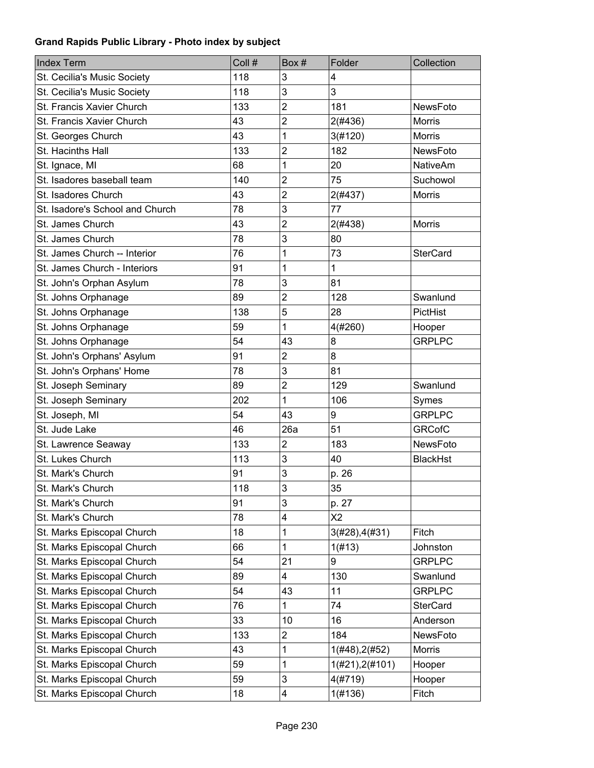| <b>Index Term</b>               | Coll # | Box #          | Folder              | Collection      |
|---------------------------------|--------|----------------|---------------------|-----------------|
| St. Cecilia's Music Society     | 118    | 3              | 4                   |                 |
| St. Cecilia's Music Society     | 118    | 3              | 3                   |                 |
| St. Francis Xavier Church       | 133    | $\overline{2}$ | 181                 | NewsFoto        |
| St. Francis Xavier Church       | 43     | $\overline{2}$ | 2(#436)             | <b>Morris</b>   |
| St. Georges Church              | 43     | 1              | 3(#120)             | <b>Morris</b>   |
| St. Hacinths Hall               | 133    | $\overline{2}$ | 182                 | NewsFoto        |
| St. Ignace, MI                  | 68     | 1              | 20                  | <b>NativeAm</b> |
| St. Isadores baseball team      | 140    | 2              | 75                  | Suchowol        |
| St. Isadores Church             | 43     | $\overline{2}$ | 2(#437)             | <b>Morris</b>   |
| St. Isadore's School and Church | 78     | 3              | 77                  |                 |
| St. James Church                | 43     | $\overline{2}$ | 2(#438)             | <b>Morris</b>   |
| St. James Church                | 78     | 3              | 80                  |                 |
| St. James Church -- Interior    | 76     | 1              | 73                  | <b>SterCard</b> |
| St. James Church - Interiors    | 91     | 1              | 1                   |                 |
| St. John's Orphan Asylum        | 78     | 3              | 81                  |                 |
| St. Johns Orphanage             | 89     | $\overline{2}$ | 128                 | Swanlund        |
| St. Johns Orphanage             | 138    | 5              | 28                  | PictHist        |
| St. Johns Orphanage             | 59     | 1              | 4(#260)             | Hooper          |
| St. Johns Orphanage             | 54     | 43             | 8                   | <b>GRPLPC</b>   |
| St. John's Orphans' Asylum      | 91     | $\overline{2}$ | 8                   |                 |
| St. John's Orphans' Home        | 78     | 3              | 81                  |                 |
| St. Joseph Seminary             | 89     | $\overline{c}$ | 129                 | Swanlund        |
| St. Joseph Seminary             | 202    | 1              | 106                 | Symes           |
| St. Joseph, MI                  | 54     | 43             | 9                   | <b>GRPLPC</b>   |
| St. Jude Lake                   | 46     | 26a            | 51                  | <b>GRCofC</b>   |
| St. Lawrence Seaway             | 133    | $\overline{2}$ | 183                 | <b>NewsFoto</b> |
| St. Lukes Church                | 113    | 3              | 40                  | <b>BlackHst</b> |
| St. Mark's Church               | 91     | 3              | p. 26               |                 |
| St. Mark's Church               | 118    | 3              | 35                  |                 |
| St. Mark's Church               | 91     | 3              | p. 27               |                 |
| St. Mark's Church               | 78     | 4              | X <sub>2</sub>      |                 |
| St. Marks Episcopal Church      | 18     | 1              | 3(#28), 4(#31)      | Fitch           |
| St. Marks Episcopal Church      | 66     | 1              | 1(f#13)             | Johnston        |
| St. Marks Episcopal Church      | 54     | 21             | 9                   | <b>GRPLPC</b>   |
| St. Marks Episcopal Church      | 89     | 4              | 130                 | Swanlund        |
| St. Marks Episcopal Church      | 54     | 43             | 11                  | <b>GRPLPC</b>   |
| St. Marks Episcopal Church      | 76     | 1              | 74                  | <b>SterCard</b> |
| St. Marks Episcopal Church      | 33     | 10             | 16                  | Anderson        |
| St. Marks Episcopal Church      | 133    | $\overline{2}$ | 184                 | NewsFoto        |
| St. Marks Episcopal Church      | 43     | 1              | 1(#48), 2(#52)      | Morris          |
| St. Marks Episcopal Church      | 59     | 1              | $1(\#21), 2(\#101)$ | Hooper          |
| St. Marks Episcopal Church      | 59     | 3              | 4(#719)             | Hooper          |
| St. Marks Episcopal Church      | 18     | 4              | 1(#136)             | Fitch           |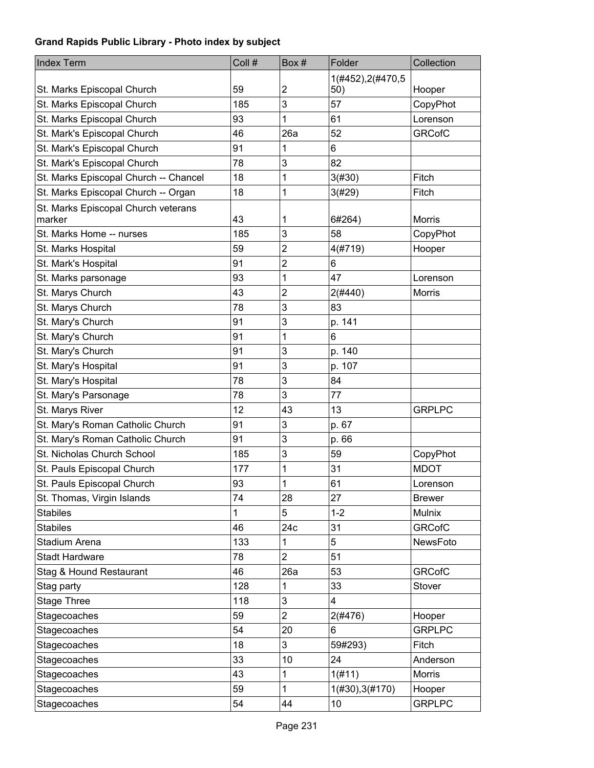| <b>Index Term</b>                             | Coll # | Box#                    | Folder             | Collection    |
|-----------------------------------------------|--------|-------------------------|--------------------|---------------|
|                                               |        |                         | 1(#452), 2(#470, 5 |               |
| St. Marks Episcopal Church                    | 59     | 2                       | 50)                | Hooper        |
| St. Marks Episcopal Church                    | 185    | 3                       | 57                 | CopyPhot      |
| St. Marks Episcopal Church                    | 93     | 1                       | 61                 | Lorenson      |
| St. Mark's Episcopal Church                   | 46     | 26a                     | 52                 | <b>GRCofC</b> |
| St. Mark's Episcopal Church                   | 91     | 1                       | 6                  |               |
| St. Mark's Episcopal Church                   | 78     | 3                       | 82                 |               |
| St. Marks Episcopal Church -- Chancel         | 18     | 1                       | 3(#30)             | Fitch         |
| St. Marks Episcopal Church -- Organ           | 18     | 1                       | 3(#29)             | Fitch         |
| St. Marks Episcopal Church veterans<br>marker | 43     | 1                       | 6#264)             | <b>Morris</b> |
| St. Marks Home -- nurses                      | 185    | 3                       | 58                 | CopyPhot      |
| St. Marks Hospital                            | 59     | $\overline{\mathbf{c}}$ | 4(#719)            | Hooper        |
| St. Mark's Hospital                           | 91     | 2                       | 6                  |               |
| St. Marks parsonage                           | 93     | 1                       | 47                 | Lorenson      |
| St. Marys Church                              | 43     | $\overline{2}$          | 2(#440)            | <b>Morris</b> |
| St. Marys Church                              | 78     | 3                       | 83                 |               |
| St. Mary's Church                             | 91     | 3                       | p. 141             |               |
| St. Mary's Church                             | 91     | 1                       | 6                  |               |
| St. Mary's Church                             | 91     | 3                       | p. 140             |               |
| St. Mary's Hospital                           | 91     | 3                       | p. 107             |               |
| St. Mary's Hospital                           | 78     | 3                       | 84                 |               |
| St. Mary's Parsonage                          | 78     | 3                       | 77                 |               |
| St. Marys River                               | 12     | 43                      | 13                 | <b>GRPLPC</b> |
| St. Mary's Roman Catholic Church              | 91     | 3                       | p. 67              |               |
| St. Mary's Roman Catholic Church              | 91     | 3                       | p. 66              |               |
| St. Nicholas Church School                    | 185    | 3                       | 59                 | CopyPhot      |
| St. Pauls Episcopal Church                    | 177    | 1                       | 31                 | <b>MDOT</b>   |
| St. Pauls Episcopal Church                    | 93     | 1                       | 61                 | Lorenson      |
| St. Thomas, Virgin Islands                    | 74     | 28                      | 27                 | <b>Brewer</b> |
| <b>Stabiles</b>                               | 1      | 5                       | $1 - 2$            | Mulnix        |
| <b>Stabiles</b>                               | 46     | 24c                     | 31                 | <b>GRCofC</b> |
| Stadium Arena                                 | 133    | 1                       | 5                  | NewsFoto      |
| <b>Stadt Hardware</b>                         | 78     | 2                       | 51                 |               |
| Stag & Hound Restaurant                       | 46     | 26a                     | 53                 | <b>GRCofC</b> |
| Stag party                                    | 128    | 1                       | 33                 | Stover        |
| <b>Stage Three</b>                            | 118    | 3                       | 4                  |               |
| Stagecoaches                                  | 59     | $\overline{2}$          | 2(#476)            | Hooper        |
| Stagecoaches                                  | 54     | 20                      | 6                  | <b>GRPLPC</b> |
| Stagecoaches                                  | 18     | 3                       | 59#293)            | Fitch         |
| Stagecoaches                                  | 33     | 10                      | 24                 | Anderson      |
| Stagecoaches                                  | 43     | 1                       | 1(#11)             | Morris        |
| Stagecoaches                                  | 59     | 1                       | 1(#30), 3(#170)    | Hooper        |
| Stagecoaches                                  | 54     | 44                      | 10                 | <b>GRPLPC</b> |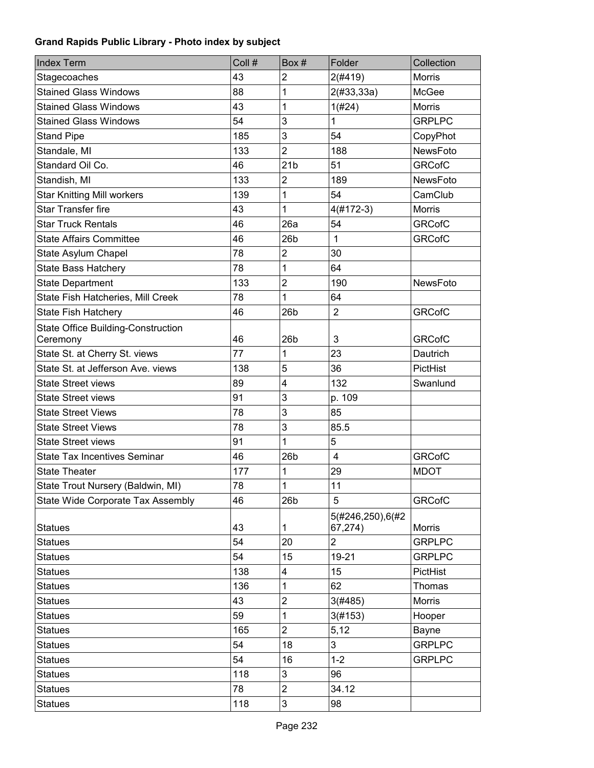| <b>Index Term</b>                         | Coll # | Box #                   | Folder                      | Collection      |
|-------------------------------------------|--------|-------------------------|-----------------------------|-----------------|
| Stagecoaches                              | 43     | 2                       | 2(#419)                     | <b>Morris</b>   |
| <b>Stained Glass Windows</b>              | 88     | 1                       | 2(#33, 33a)                 | McGee           |
| <b>Stained Glass Windows</b>              | 43     | 1                       | 1(#24)                      | <b>Morris</b>   |
| <b>Stained Glass Windows</b>              | 54     | 3                       | 1                           | <b>GRPLPC</b>   |
| <b>Stand Pipe</b>                         | 185    | 3                       | 54                          | CopyPhot        |
| Standale, MI                              | 133    | $\overline{2}$          | 188                         | NewsFoto        |
| Standard Oil Co.                          | 46     | 21 <sub>b</sub>         | 51                          | <b>GRCofC</b>   |
| Standish, MI                              | 133    | $\overline{2}$          | 189                         | <b>NewsFoto</b> |
| <b>Star Knitting Mill workers</b>         | 139    | 1                       | 54                          | CamClub         |
| <b>Star Transfer fire</b>                 | 43     | 1                       | $4(#172-3)$                 | <b>Morris</b>   |
| <b>Star Truck Rentals</b>                 | 46     | 26a                     | 54                          | <b>GRCofC</b>   |
| <b>State Affairs Committee</b>            | 46     | 26 <sub>b</sub>         | $\mathbf{1}$                | <b>GRCofC</b>   |
| State Asylum Chapel                       | 78     | $\overline{c}$          | 30                          |                 |
| <b>State Bass Hatchery</b>                | 78     | 1                       | 64                          |                 |
| <b>State Department</b>                   | 133    | $\overline{2}$          | 190                         | NewsFoto        |
| State Fish Hatcheries, Mill Creek         | 78     | 1                       | 64                          |                 |
| <b>State Fish Hatchery</b>                | 46     | 26 <sub>b</sub>         | $\overline{2}$              | <b>GRCofC</b>   |
| <b>State Office Building-Construction</b> |        |                         |                             |                 |
| Ceremony                                  | 46     | 26 <sub>b</sub>         | 3                           | <b>GRCofC</b>   |
| State St. at Cherry St. views             | 77     | 1                       | 23                          | Dautrich        |
| State St. at Jefferson Ave. views         | 138    | 5                       | 36                          | PictHist        |
| <b>State Street views</b>                 | 89     | 4                       | 132                         | Swanlund        |
| <b>State Street views</b>                 | 91     | 3                       | p. 109                      |                 |
| <b>State Street Views</b>                 | 78     | 3                       | 85                          |                 |
| <b>State Street Views</b>                 | 78     | 3                       | 85.5                        |                 |
| <b>State Street views</b>                 | 91     | 1                       | 5                           |                 |
| <b>State Tax Incentives Seminar</b>       | 46     | 26 <sub>b</sub>         | $\overline{4}$              | <b>GRCofC</b>   |
| <b>State Theater</b>                      | 177    | 1                       | 29                          | <b>MDOT</b>     |
| State Trout Nursery (Baldwin, MI)         | 78     | 1                       | 11                          |                 |
| State Wide Corporate Tax Assembly         | 46     | 26 <sub>b</sub>         | 5                           | <b>GRCofC</b>   |
| <b>Statues</b>                            | 43     | 1                       | 5(#246,250),6(#2<br>67,274) | Morris          |
| <b>Statues</b>                            | 54     | 20                      | $\overline{\mathbf{c}}$     | <b>GRPLPC</b>   |
| <b>Statues</b>                            | 54     | 15                      | 19-21                       | <b>GRPLPC</b>   |
| <b>Statues</b>                            | 138    | 4                       | 15                          | PictHist        |
| <b>Statues</b>                            | 136    | 1                       | 62                          | Thomas          |
| <b>Statues</b>                            | 43     | $\overline{c}$          | 3(#485)                     | Morris          |
| <b>Statues</b>                            | 59     | 1                       | 3(#153)                     | Hooper          |
| <b>Statues</b>                            | 165    | $\overline{c}$          | 5,12                        | Bayne           |
| <b>Statues</b>                            | 54     | 18                      | 3                           | <b>GRPLPC</b>   |
| <b>Statues</b>                            | 54     | 16                      | $1 - 2$                     | <b>GRPLPC</b>   |
| <b>Statues</b>                            | 118    | 3                       | 96                          |                 |
| <b>Statues</b>                            | 78     | $\overline{\mathbf{c}}$ | 34.12                       |                 |
| <b>Statues</b>                            | 118    | 3                       | 98                          |                 |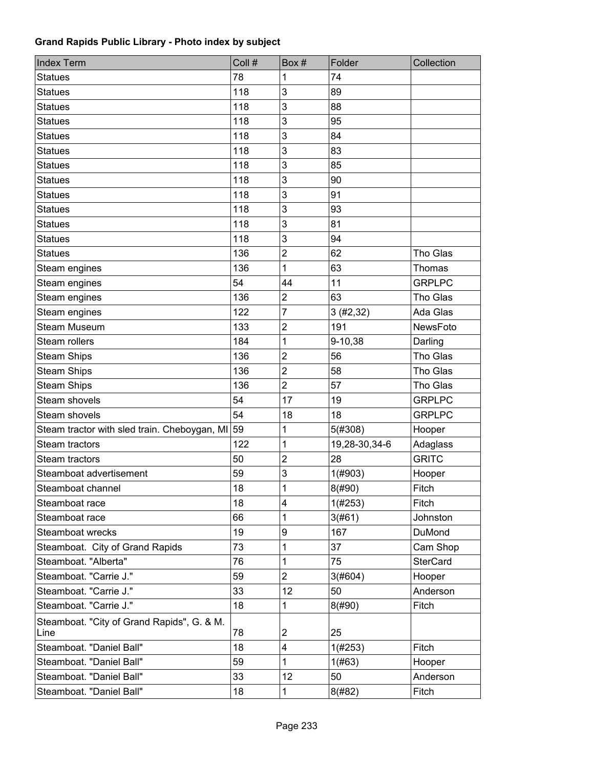| <b>Index Term</b>                                  | Coll # | Box#           | Folder        | Collection      |
|----------------------------------------------------|--------|----------------|---------------|-----------------|
| <b>Statues</b>                                     | 78     | 1              | 74            |                 |
| <b>Statues</b>                                     | 118    | 3              | 89            |                 |
| <b>Statues</b>                                     | 118    | 3              | 88            |                 |
| <b>Statues</b>                                     | 118    | 3              | 95            |                 |
| <b>Statues</b>                                     | 118    | 3              | 84            |                 |
| <b>Statues</b>                                     | 118    | 3              | 83            |                 |
| <b>Statues</b>                                     | 118    | 3              | 85            |                 |
| <b>Statues</b>                                     | 118    | 3              | 90            |                 |
| <b>Statues</b>                                     | 118    | 3              | 91            |                 |
| <b>Statues</b>                                     | 118    | 3              | 93            |                 |
| <b>Statues</b>                                     | 118    | 3              | 81            |                 |
| <b>Statues</b>                                     | 118    | 3              | 94            |                 |
| <b>Statues</b>                                     | 136    | $\mathbf 2$    | 62            | Tho Glas        |
| Steam engines                                      | 136    | 1              | 63            | Thomas          |
| Steam engines                                      | 54     | 44             | 11            | <b>GRPLPC</b>   |
| Steam engines                                      | 136    | $\overline{2}$ | 63            | Tho Glas        |
| Steam engines                                      | 122    | 7              | 3(#2, 32)     | Ada Glas        |
| <b>Steam Museum</b>                                | 133    | $\overline{2}$ | 191           | NewsFoto        |
| Steam rollers                                      | 184    | 1              | 9-10,38       | Darling         |
| <b>Steam Ships</b>                                 | 136    | $\overline{2}$ | 56            | Tho Glas        |
| <b>Steam Ships</b>                                 | 136    | $\overline{2}$ | 58            | Tho Glas        |
| <b>Steam Ships</b>                                 | 136    | $\overline{2}$ | 57            | Tho Glas        |
| Steam shovels                                      | 54     | 17             | 19            | <b>GRPLPC</b>   |
| Steam shovels                                      | 54     | 18             | 18            | <b>GRPLPC</b>   |
| Steam tractor with sled train. Cheboygan, MI       | 59     | 1              | 5(#308)       | Hooper          |
| Steam tractors                                     | 122    | 1              | 19,28-30,34-6 | Adaglass        |
| Steam tractors                                     | 50     | $\overline{2}$ | 28            | <b>GRITC</b>    |
| Steamboat advertisement                            | 59     | 3              | 1(#903)       | Hooper          |
| Steamboat channel                                  | 18     | 1              | 8(#90)        | Fitch           |
| Steamboat race                                     | 18     | 4              | 1(#253)       | Fitch           |
| Steamboat race                                     | 66     | 1              | 3(#61)        | Johnston        |
| Steamboat wrecks                                   | 19     | 9              | 167           | DuMond          |
| Steamboat. City of Grand Rapids                    | 73     | 1              | 37            | Cam Shop        |
| Steamboat. "Alberta"                               | 76     | 1              | 75            | <b>SterCard</b> |
| Steamboat. "Carrie J."                             | 59     | $\overline{2}$ | 3(#604)       | Hooper          |
| Steamboat. "Carrie J."                             | 33     | 12             | 50            | Anderson        |
| Steamboat. "Carrie J."                             | 18     | 1              | 8(#90)        | Fitch           |
| Steamboat. "City of Grand Rapids", G. & M.<br>Line | 78     | $\overline{2}$ | 25            |                 |
| Steamboat. "Daniel Ball"                           | 18     | 4              | 1(#253)       | Fitch           |
| Steamboat. "Daniel Ball"                           | 59     | 1              | 1(#63)        | Hooper          |
| Steamboat. "Daniel Ball"                           | 33     | 12             | 50            | Anderson        |
| Steamboat. "Daniel Ball"                           | 18     | 1              | 8(#82)        | Fitch           |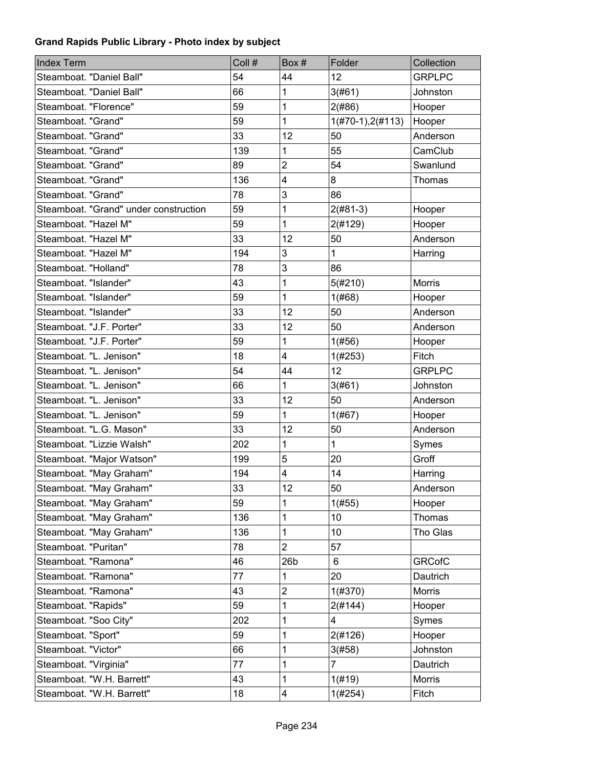| <b>Index Term</b>                     | Coll # | Box#            | Folder              | Collection    |
|---------------------------------------|--------|-----------------|---------------------|---------------|
| Steamboat. "Daniel Ball"              | 54     | 44              | 12                  | <b>GRPLPC</b> |
| Steamboat. "Daniel Ball"              | 66     | 1               | 3(#61)              | Johnston      |
| Steamboat. "Florence"                 | 59     | 1               | 2(#86)              | Hooper        |
| Steamboat. "Grand"                    | 59     | 1               | $1(H70-1), 2(H113)$ | Hooper        |
| Steamboat. "Grand"                    | 33     | 12              | 50                  | Anderson      |
| Steamboat. "Grand"                    | 139    | 1               | 55                  | CamClub       |
| Steamboat. "Grand"                    | 89     | $\overline{2}$  | 54                  | Swanlund      |
| Steamboat. "Grand"                    | 136    | 4               | 8                   | Thomas        |
| Steamboat. "Grand"                    | 78     | 3               | 86                  |               |
| Steamboat. "Grand" under construction | 59     | 1               | $2(#81-3)$          | Hooper        |
| Steamboat. "Hazel M"                  | 59     | 1               | 2(#129)             | Hooper        |
| Steamboat. "Hazel M"                  | 33     | 12              | 50                  | Anderson      |
| Steamboat. "Hazel M"                  | 194    | 3               | $\mathbf{1}$        | Harring       |
| Steamboat. "Holland"                  | 78     | 3               | 86                  |               |
| Steamboat. "Islander"                 | 43     | 1               | 5(#210)             | <b>Morris</b> |
| Steamboat. "Islander"                 | 59     | 1               | 1(#68)              | Hooper        |
| Steamboat. "Islander"                 | 33     | 12              | 50                  | Anderson      |
| Steamboat. "J.F. Porter"              | 33     | 12              | 50                  | Anderson      |
| Steamboat. "J.F. Porter"              | 59     | 1               | 1(#56)              | Hooper        |
| Steamboat. "L. Jenison"               | 18     | 4               | 1(#253)             | Fitch         |
| Steamboat. "L. Jenison"               | 54     | 44              | 12                  | <b>GRPLPC</b> |
| Steamboat. "L. Jenison"               | 66     | 1               | 3(#61)              | Johnston      |
| Steamboat. "L. Jenison"               | 33     | 12              | 50                  | Anderson      |
| Steamboat. "L. Jenison"               | 59     | 1               | 1(#67)              | Hooper        |
| Steamboat. "L.G. Mason"               | 33     | 12              | 50                  | Anderson      |
| Steamboat. "Lizzie Walsh"             | 202    | 1               | $\mathbf{1}$        | Symes         |
| Steamboat. "Major Watson"             | 199    | 5               | 20                  | Groff         |
| Steamboat. "May Graham"               | 194    | 4               | 14                  | Harring       |
| Steamboat. "May Graham"               | 33     | 12              | 50                  | Anderson      |
| Steamboat. "May Graham"               | 59     | 1               | 1(#55)              | Hooper        |
| Steamboat. "May Graham"               | 136    | 1               | 10                  | Thomas        |
| Steamboat. "May Graham"               | 136    | 1               | 10                  | Tho Glas      |
| Steamboat. "Puritan"                  | 78     | $\overline{2}$  | 57                  |               |
| Steamboat. "Ramona"                   | 46     | 26 <sub>b</sub> | 6                   | <b>GRCofC</b> |
| Steamboat. "Ramona"                   | 77     | 1               | 20                  | Dautrich      |
| Steamboat. "Ramona"                   | 43     | $\overline{c}$  | 1(#370)             | Morris        |
| Steamboat. "Rapids"                   | 59     | 1               | 2(#144)             | Hooper        |
| Steamboat. "Soo City"                 | 202    | 1               | 4                   | Symes         |
| Steamboat. "Sport"                    | 59     | 1               | 2(#126)             | Hooper        |
| Steamboat. "Victor"                   | 66     | 1               | 3(#58)              | Johnston      |
| Steamboat. "Virginia"                 | 77     | 1               | $\overline{7}$      | Dautrich      |
| Steamboat. "W.H. Barrett"             | 43     | 1               | 1(#19)              | Morris        |
| Steamboat. "W.H. Barrett"             | 18     | 4               | 1(#254)             | Fitch         |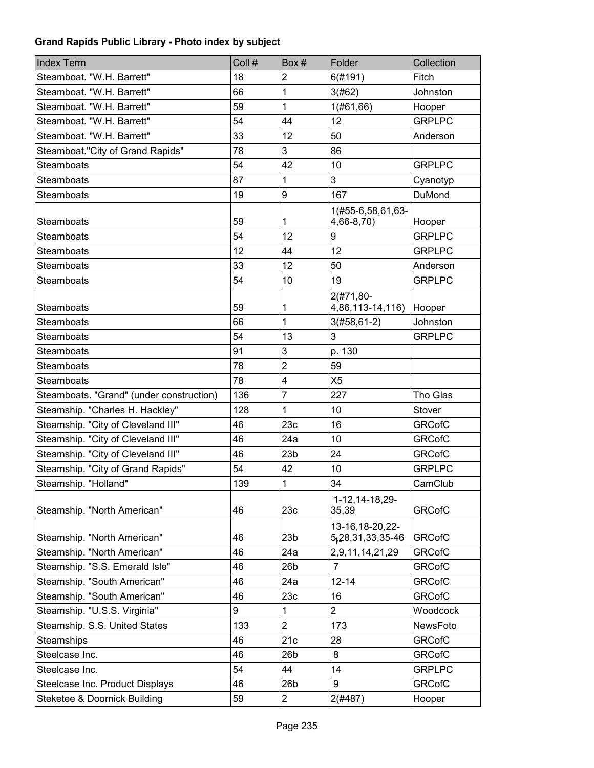| <b>Index Term</b>                        | Coll # | Box#                    | Folder                                | Collection    |
|------------------------------------------|--------|-------------------------|---------------------------------------|---------------|
| Steamboat. "W.H. Barrett"                | 18     | $\overline{c}$          | 6(#191)                               | Fitch         |
| Steamboat. "W.H. Barrett"                | 66     | 1                       | 3(#62)                                | Johnston      |
| Steamboat. "W.H. Barrett"                | 59     | 1                       | 1(#61, 66)                            | Hooper        |
| Steamboat. "W.H. Barrett"                | 54     | 44                      | 12                                    | <b>GRPLPC</b> |
| Steamboat. "W.H. Barrett"                | 33     | 12                      | 50                                    | Anderson      |
| Steamboat."City of Grand Rapids"         | 78     | 3                       | 86                                    |               |
| <b>Steamboats</b>                        | 54     | 42                      | 10                                    | <b>GRPLPC</b> |
| Steamboats                               | 87     | 1                       | 3                                     | Cyanotyp      |
| Steamboats                               | 19     | 9                       | 167                                   | DuMond        |
|                                          |        |                         | 1(#55-6,58,61,63-                     |               |
| Steamboats                               | 59     | 1                       | 4,66-8,70)                            | Hooper        |
| <b>Steamboats</b>                        | 54     | 12                      | 9                                     | <b>GRPLPC</b> |
| <b>Steamboats</b>                        | 12     | 44                      | 12                                    | <b>GRPLPC</b> |
| <b>Steamboats</b>                        | 33     | 12                      | 50                                    | Anderson      |
| Steamboats                               | 54     | 10                      | 19                                    | <b>GRPLPC</b> |
| <b>Steamboats</b>                        | 59     | 1                       | 2(#71,80-<br>4,86,113-14,116)         | Hooper        |
| <b>Steamboats</b>                        | 66     | 1                       | $3(#58, 61-2)$                        | Johnston      |
| <b>Steamboats</b>                        | 54     | 13                      | 3                                     | <b>GRPLPC</b> |
| Steamboats                               | 91     | 3                       | p. 130                                |               |
| Steamboats                               | 78     | $\overline{2}$          | 59                                    |               |
| <b>Steamboats</b>                        | 78     | 4                       | X <sub>5</sub>                        |               |
| Steamboats. "Grand" (under construction) | 136    | 7                       | 227                                   | Tho Glas      |
| Steamship. "Charles H. Hackley"          | 128    | 1                       | 10                                    | Stover        |
| Steamship. "City of Cleveland III"       | 46     | 23c                     | 16                                    | <b>GRCofC</b> |
| Steamship. "City of Cleveland III"       | 46     | 24a                     | 10                                    | <b>GRCofC</b> |
| Steamship. "City of Cleveland III"       | 46     | 23 <sub>b</sub>         | 24                                    | <b>GRCofC</b> |
| Steamship. "City of Grand Rapids"        | 54     | 42                      | 10                                    | <b>GRPLPC</b> |
| Steamship. "Holland"                     | 139    | 1                       | 34                                    | CamClub       |
| Steamship. "North American"              | 46     | 23c                     | 1-12, 14-18, 29-<br>35,39             | <b>GRCofC</b> |
| Steamship. "North American"              | 46     | 23 <sub>b</sub>         | 13-16, 18-20, 22-<br>5,28,31,33,35-46 | <b>GRCofC</b> |
| Steamship. "North American"              | 46     | 24a                     | 2,9,11,14,21,29                       | <b>GRCofC</b> |
| Steamship. "S.S. Emerald Isle"           | 46     | 26 <sub>b</sub>         | 7                                     | <b>GRCofC</b> |
| Steamship. "South American"              | 46     | 24a                     | $12 - 14$                             | <b>GRCofC</b> |
| Steamship. "South American"              | 46     | 23c                     | 16                                    | <b>GRCofC</b> |
| Steamship. "U.S.S. Virginia"             | 9      | 1                       | $\overline{2}$                        | Woodcock      |
| Steamship. S.S. United States            | 133    | $\overline{2}$          | 173                                   | NewsFoto      |
| Steamships                               | 46     | 21c                     | 28                                    | <b>GRCofC</b> |
| Steelcase Inc.                           | 46     | 26 <sub>b</sub>         | 8                                     | <b>GRCofC</b> |
| Steelcase Inc.                           | 54     | 44                      | 14                                    | <b>GRPLPC</b> |
| Steelcase Inc. Product Displays          | 46     | 26 <sub>b</sub>         | 9                                     | <b>GRCofC</b> |
| Steketee & Doornick Building             | 59     | $\overline{\mathbf{c}}$ | 2(#487)                               | Hooper        |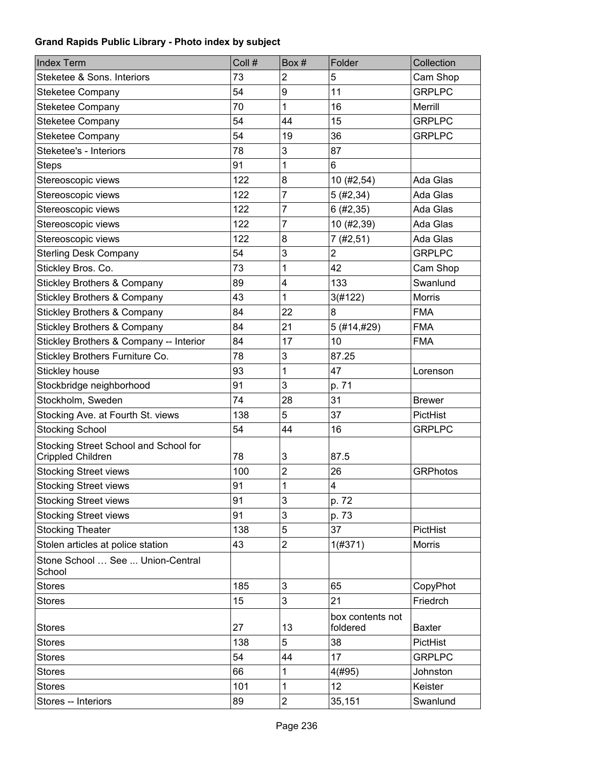| <b>Index Term</b>                                          | Coll # | Box#                    | Folder                       | Collection      |
|------------------------------------------------------------|--------|-------------------------|------------------------------|-----------------|
| Steketee & Sons. Interiors                                 | 73     | $\overline{c}$          | 5                            | Cam Shop        |
| <b>Steketee Company</b>                                    | 54     | 9                       | 11                           | <b>GRPLPC</b>   |
| <b>Steketee Company</b>                                    | 70     | 1                       | 16                           | Merrill         |
| Steketee Company                                           | 54     | 44                      | 15                           | <b>GRPLPC</b>   |
| <b>Steketee Company</b>                                    | 54     | 19                      | 36                           | <b>GRPLPC</b>   |
| Steketee's - Interiors                                     | 78     | 3                       | 87                           |                 |
| <b>Steps</b>                                               | 91     | 1                       | 6                            |                 |
| Stereoscopic views                                         | 122    | 8                       | 10 (#2,54)                   | Ada Glas        |
| Stereoscopic views                                         | 122    | 7                       | 5(#2, 34)                    | Ada Glas        |
| Stereoscopic views                                         | 122    | 7                       | 6(#2, 35)                    | Ada Glas        |
| Stereoscopic views                                         | 122    | 7                       | 10 (#2,39)                   | Ada Glas        |
| Stereoscopic views                                         | 122    | 8                       | 7 (#2,51)                    | Ada Glas        |
| <b>Sterling Desk Company</b>                               | 54     | 3                       | $\overline{2}$               | <b>GRPLPC</b>   |
| Stickley Bros. Co.                                         | 73     | 1                       | 42                           | Cam Shop        |
| <b>Stickley Brothers &amp; Company</b>                     | 89     | 4                       | 133                          | Swanlund        |
| <b>Stickley Brothers &amp; Company</b>                     | 43     | 1                       | 3(#122)                      | Morris          |
| <b>Stickley Brothers &amp; Company</b>                     | 84     | 22                      | 8                            | <b>FMA</b>      |
| <b>Stickley Brothers &amp; Company</b>                     | 84     | 21                      | 5 (#14,#29)                  | <b>FMA</b>      |
| Stickley Brothers & Company -- Interior                    | 84     | 17                      | 10                           | <b>FMA</b>      |
| Stickley Brothers Furniture Co.                            | 78     | 3                       | 87.25                        |                 |
| Stickley house                                             | 93     | 1                       | 47                           | Lorenson        |
| Stockbridge neighborhood                                   | 91     | 3                       | p. 71                        |                 |
| Stockholm, Sweden                                          | 74     | 28                      | 31                           | <b>Brewer</b>   |
| Stocking Ave. at Fourth St. views                          | 138    | 5                       | 37                           | PictHist        |
| <b>Stocking School</b>                                     | 54     | 44                      | 16                           | <b>GRPLPC</b>   |
| Stocking Street School and School for<br>Crippled Children | 78     | 3                       | 87.5                         |                 |
| <b>Stocking Street views</b>                               | 100    | $\overline{2}$          | 26                           | <b>GRPhotos</b> |
| <b>Stocking Street views</b>                               | 91     | 1                       | $\overline{\mathbf{4}}$      |                 |
| <b>Stocking Street views</b>                               | 91     | 3                       | p. 72                        |                 |
| <b>Stocking Street views</b>                               | 91     | 3                       | p. 73                        |                 |
| <b>Stocking Theater</b>                                    | 138    | 5                       | 37                           | PictHist        |
| Stolen articles at police station                          | 43     | $\overline{c}$          | 1(#371)                      | <b>Morris</b>   |
| Stone School  See  Union-Central<br>School                 |        |                         |                              |                 |
| <b>Stores</b>                                              | 185    | 3                       | 65                           | CopyPhot        |
| <b>Stores</b>                                              | 15     | 3                       | 21                           | Friedrch        |
| <b>Stores</b>                                              | 27     | 13                      | box contents not<br>foldered | <b>Baxter</b>   |
| <b>Stores</b>                                              | 138    | 5                       | 38                           | PictHist        |
| <b>Stores</b>                                              | 54     | 44                      | 17                           | <b>GRPLPC</b>   |
| <b>Stores</b>                                              | 66     | 1                       | 4(#95)                       | Johnston        |
| <b>Stores</b>                                              | 101    | 1                       | 12                           | Keister         |
| Stores -- Interiors                                        | 89     | $\overline{\mathbf{c}}$ | 35,151                       | Swanlund        |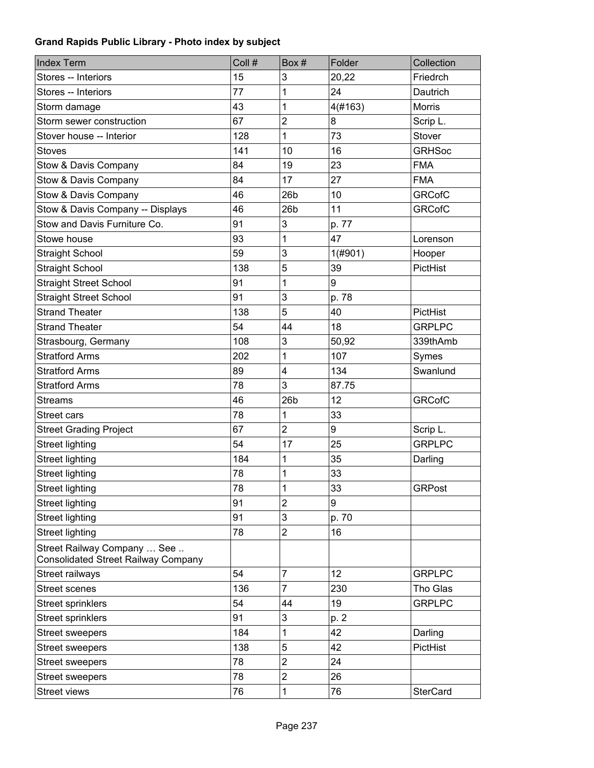| <b>Index Term</b>                                                         | Coll # | Box#            | Folder     | Collection      |
|---------------------------------------------------------------------------|--------|-----------------|------------|-----------------|
| Stores -- Interiors                                                       | 15     | 3               | 20,22      | Friedrch        |
| Stores -- Interiors                                                       | 77     | 1               | 24         | <b>Dautrich</b> |
| Storm damage                                                              | 43     | 1               | 4(#163)    | Morris          |
| Storm sewer construction                                                  | 67     | $\overline{2}$  | 8          | Scrip L.        |
| Stover house -- Interior                                                  | 128    | 1               | 73         | <b>Stover</b>   |
| <b>Stoves</b>                                                             | 141    | 10              | 16         | <b>GRHSoc</b>   |
| Stow & Davis Company                                                      | 84     | 19              | 23         | <b>FMA</b>      |
| Stow & Davis Company                                                      | 84     | 17              | 27         | <b>FMA</b>      |
| Stow & Davis Company                                                      | 46     | 26 <sub>b</sub> | 10         | <b>GRCofC</b>   |
| Stow & Davis Company -- Displays                                          | 46     | 26 <sub>b</sub> | 11         | <b>GRCofC</b>   |
| Stow and Davis Furniture Co.                                              | 91     | 3               | p. 77      |                 |
| Stowe house                                                               | 93     | 1               | 47         | Lorenson        |
| <b>Straight School</b>                                                    | 59     | 3               | $1($ #901) | Hooper          |
| <b>Straight School</b>                                                    | 138    | 5               | 39         | PictHist        |
| <b>Straight Street School</b>                                             | 91     | 1               | 9          |                 |
| <b>Straight Street School</b>                                             | 91     | 3               | p. 78      |                 |
| <b>Strand Theater</b>                                                     | 138    | 5               | 40         | PictHist        |
| <b>Strand Theater</b>                                                     | 54     | 44              | 18         | <b>GRPLPC</b>   |
| Strasbourg, Germany                                                       | 108    | 3               | 50,92      | 339thAmb        |
| <b>Stratford Arms</b>                                                     | 202    | 1               | 107        | Symes           |
| <b>Stratford Arms</b>                                                     | 89     | 4               | 134        | Swanlund        |
| <b>Stratford Arms</b>                                                     | 78     | 3               | 87.75      |                 |
| <b>Streams</b>                                                            | 46     | 26 <sub>b</sub> | 12         | <b>GRCofC</b>   |
| Street cars                                                               | 78     | 1               | 33         |                 |
| <b>Street Grading Project</b>                                             | 67     | $\overline{2}$  | 9          | Scrip L.        |
| <b>Street lighting</b>                                                    | 54     | 17              | 25         | <b>GRPLPC</b>   |
| <b>Street lighting</b>                                                    | 184    | 1               | 35         | Darling         |
| <b>Street lighting</b>                                                    | 78     | 1               | 33         |                 |
| Street lighting                                                           | 78     | $\mathbf 1$     | 33         | GRPost          |
| <b>Street lighting</b>                                                    | 91     | $\overline{2}$  | 9          |                 |
| <b>Street lighting</b>                                                    | 91     | 3               | p. 70      |                 |
| <b>Street lighting</b>                                                    | 78     | $\overline{c}$  | 16         |                 |
| Street Railway Company  See<br><b>Consolidated Street Railway Company</b> |        |                 |            |                 |
| Street railways                                                           | 54     | $\overline{7}$  | 12         | <b>GRPLPC</b>   |
| <b>Street scenes</b>                                                      | 136    | 7               | 230        | Tho Glas        |
| <b>Street sprinklers</b>                                                  | 54     | 44              | 19         | <b>GRPLPC</b>   |
| <b>Street sprinklers</b>                                                  | 91     | 3               | p. 2       |                 |
| <b>Street sweepers</b>                                                    | 184    | 1               | 42         | Darling         |
| <b>Street sweepers</b>                                                    | 138    | 5               | 42         | PictHist        |
| <b>Street sweepers</b>                                                    | 78     | $\overline{2}$  | 24         |                 |
| <b>Street sweepers</b>                                                    | 78     | $\overline{c}$  | 26         |                 |
| <b>Street views</b>                                                       | 76     | 1               | 76         | <b>SterCard</b> |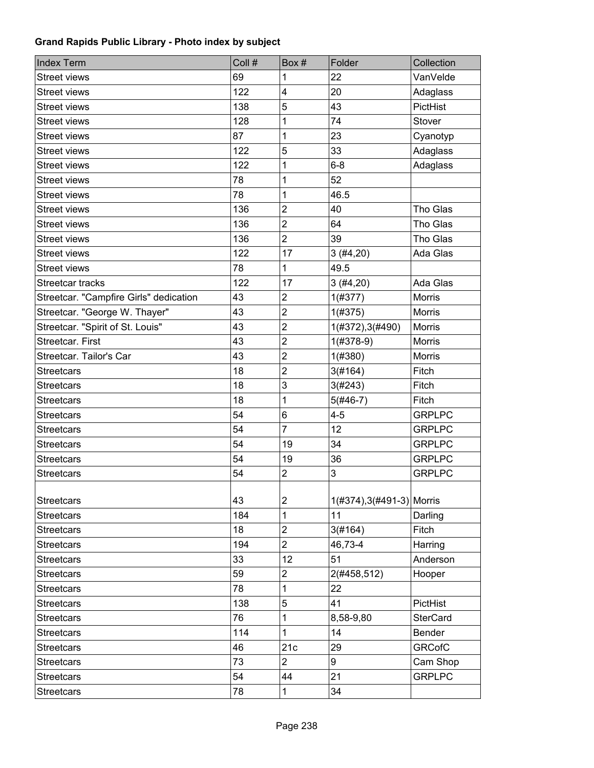| <b>Index Term</b>                      | Coll # | Box #                   | Folder                    | Collection      |
|----------------------------------------|--------|-------------------------|---------------------------|-----------------|
| <b>Street views</b>                    | 69     | 1                       | 22                        | VanVelde        |
| <b>Street views</b>                    | 122    | $\overline{\mathbf{4}}$ | 20                        | Adaglass        |
| <b>Street views</b>                    | 138    | 5                       | 43                        | PictHist        |
| <b>Street views</b>                    | 128    | 1                       | 74                        | Stover          |
| <b>Street views</b>                    | 87     | 1                       | 23                        | Cyanotyp        |
| <b>Street views</b>                    | 122    | 5                       | 33                        | Adaglass        |
| <b>Street views</b>                    | 122    | 1                       | $6 - 8$                   | Adaglass        |
| <b>Street views</b>                    | 78     | 1                       | 52                        |                 |
| <b>Street views</b>                    | 78     | 1                       | 46.5                      |                 |
| <b>Street views</b>                    | 136    | $\overline{2}$          | 40                        | Tho Glas        |
| <b>Street views</b>                    | 136    | $\overline{2}$          | 64                        | Tho Glas        |
| <b>Street views</b>                    | 136    | $\overline{2}$          | 39                        | Tho Glas        |
| <b>Street views</b>                    | 122    | 17                      | 3(#4,20)                  | Ada Glas        |
| <b>Street views</b>                    | 78     | 1                       | 49.5                      |                 |
| Streetcar tracks                       | 122    | 17                      | 3(#4,20)                  | Ada Glas        |
| Streetcar. "Campfire Girls" dedication | 43     | $\overline{2}$          | 1(#377)                   | <b>Morris</b>   |
| Streetcar. "George W. Thayer"          | 43     | $\overline{2}$          | 1(#375)                   | Morris          |
| Streetcar. "Spirit of St. Louis"       | 43     | $\overline{c}$          | 1(#372), 3(#490)          | Morris          |
| Streetcar. First                       | 43     | $\overline{2}$          | $1(#378-9)$               | Morris          |
| Streetcar. Tailor's Car                | 43     | $\overline{2}$          | 1(#380)                   | Morris          |
| <b>Streetcars</b>                      | 18     | $\overline{2}$          | 3(#164)                   | Fitch           |
| <b>Streetcars</b>                      | 18     | 3                       | 3(#243)                   | Fitch           |
| <b>Streetcars</b>                      | 18     | 1                       | $5(#46-7)$                | Fitch           |
| <b>Streetcars</b>                      | 54     | 6                       | $4 - 5$                   | <b>GRPLPC</b>   |
| <b>Streetcars</b>                      | 54     | $\overline{7}$          | 12                        | <b>GRPLPC</b>   |
| <b>Streetcars</b>                      | 54     | 19                      | 34                        | <b>GRPLPC</b>   |
| <b>Streetcars</b>                      | 54     | 19                      | 36                        | <b>GRPLPC</b>   |
| <b>Streetcars</b>                      | 54     | $\overline{2}$          | 3                         | <b>GRPLPC</b>   |
|                                        |        |                         |                           |                 |
| <b>Streetcars</b>                      | 43     | 2                       | 1(#374), 3(#491-3) Morris |                 |
| <b>Streetcars</b>                      | 184    | 1                       | 11                        | Darling         |
| <b>Streetcars</b>                      | 18     | $\overline{c}$          | 3(#164)                   | Fitch           |
| <b>Streetcars</b>                      | 194    | $\overline{2}$          | 46,73-4                   | Harring         |
| <b>Streetcars</b>                      | 33     | 12                      | 51                        | Anderson        |
| <b>Streetcars</b>                      | 59     | $\overline{2}$          | 2(#458,512)               | Hooper          |
| <b>Streetcars</b>                      | 78     | 1                       | 22                        |                 |
| <b>Streetcars</b>                      | 138    | 5                       | 41                        | PictHist        |
| <b>Streetcars</b>                      | 76     | 1                       | 8,58-9,80                 | <b>SterCard</b> |
| <b>Streetcars</b>                      | 114    | 1                       | 14                        | Bender          |
| <b>Streetcars</b>                      | 46     | 21c                     | 29                        | <b>GRCofC</b>   |
| <b>Streetcars</b>                      | 73     | $\overline{2}$          | 9                         | Cam Shop        |
| <b>Streetcars</b>                      | 54     | 44                      | 21                        | <b>GRPLPC</b>   |
| <b>Streetcars</b>                      | 78     | $\mathbf 1$             | 34                        |                 |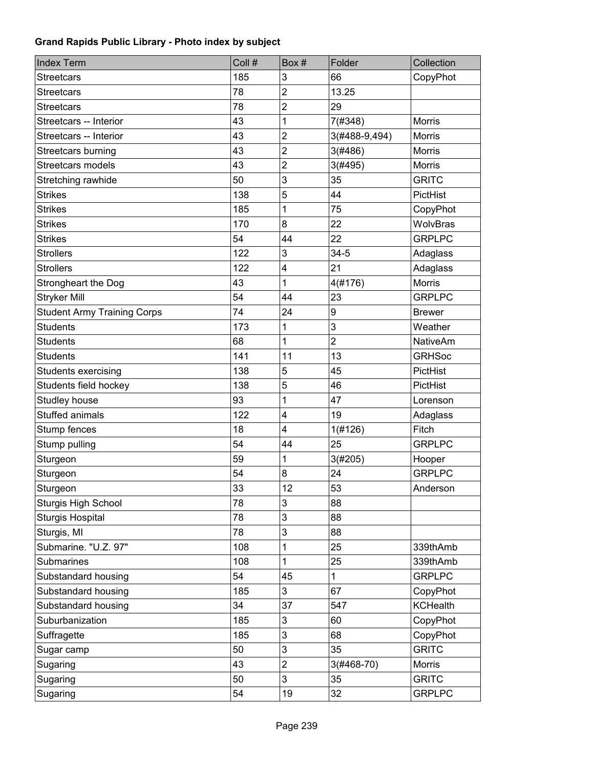| <b>Index Term</b>                  | Coll # | Box#                    | Folder         | Collection      |
|------------------------------------|--------|-------------------------|----------------|-----------------|
| <b>Streetcars</b>                  | 185    | 3                       | 66             | CopyPhot        |
| <b>Streetcars</b>                  | 78     | $\overline{2}$          | 13.25          |                 |
| <b>Streetcars</b>                  | 78     | $\overline{2}$          | 29             |                 |
| Streetcars -- Interior             | 43     | 1                       | 7(#348)        | <b>Morris</b>   |
| Streetcars -- Interior             | 43     | $\overline{\mathbf{c}}$ | 3(#488-9,494)  | Morris          |
| Streetcars burning                 | 43     | $\overline{c}$          | 3(#486)        | Morris          |
| Streetcars models                  | 43     | $\overline{c}$          | 3(#495)        | Morris          |
| Stretching rawhide                 | 50     | 3                       | 35             | <b>GRITC</b>    |
| <b>Strikes</b>                     | 138    | 5                       | 44             | PictHist        |
| <b>Strikes</b>                     | 185    | 1                       | 75             | CopyPhot        |
| <b>Strikes</b>                     | 170    | 8                       | 22             | WolvBras        |
| <b>Strikes</b>                     | 54     | 44                      | 22             | <b>GRPLPC</b>   |
| <b>Strollers</b>                   | 122    | 3                       | $34 - 5$       | Adaglass        |
| <b>Strollers</b>                   | 122    | 4                       | 21             | Adaglass        |
| <b>Strongheart the Dog</b>         | 43     | 1                       | 4(#176)        | <b>Morris</b>   |
| <b>Stryker Mill</b>                | 54     | 44                      | 23             | <b>GRPLPC</b>   |
| <b>Student Army Training Corps</b> | 74     | 24                      | 9              | <b>Brewer</b>   |
| <b>Students</b>                    | 173    | 1                       | 3              | Weather         |
| <b>Students</b>                    | 68     | 1                       | $\overline{2}$ | <b>NativeAm</b> |
| <b>Students</b>                    | 141    | 11                      | 13             | <b>GRHSoc</b>   |
| <b>Students exercising</b>         | 138    | 5                       | 45             | PictHist        |
| Students field hockey              | 138    | 5                       | 46             | PictHist        |
| Studley house                      | 93     | 1                       | 47             | Lorenson        |
| <b>Stuffed animals</b>             | 122    | 4                       | 19             | Adaglass        |
| Stump fences                       | 18     | $\overline{4}$          | 1(#126)        | Fitch           |
| Stump pulling                      | 54     | 44                      | 25             | <b>GRPLPC</b>   |
| Sturgeon                           | 59     | 1                       | 3(#205)        | Hooper          |
| Sturgeon                           | 54     | 8                       | 24             | <b>GRPLPC</b>   |
| Sturgeon                           | 33     | 12                      | 53             | Anderson        |
| <b>Sturgis High School</b>         | 78     | 3                       | 88             |                 |
| <b>Sturgis Hospital</b>            | 78     | 3                       | 88             |                 |
| Sturgis, MI                        | 78     | 3                       | 88             |                 |
| Submarine. "U.Z. 97"               | 108    | 1                       | 25             | 339thAmb        |
| Submarines                         | 108    | 1                       | 25             | 339thAmb        |
| Substandard housing                | 54     | 45                      | $\mathbf{1}$   | <b>GRPLPC</b>   |
| Substandard housing                | 185    | 3                       | 67             | CopyPhot        |
| Substandard housing                | 34     | 37                      | 547            | <b>KCHealth</b> |
| Suburbanization                    | 185    | 3                       | 60             | CopyPhot        |
| Suffragette                        | 185    | 3                       | 68             | CopyPhot        |
| Sugar camp                         | 50     | 3                       | 35             | <b>GRITC</b>    |
| Sugaring                           | 43     | $\overline{2}$          | 3(#468-70)     | Morris          |
| Sugaring                           | 50     | 3                       | 35             | <b>GRITC</b>    |
| Sugaring                           | 54     | 19                      | 32             | <b>GRPLPC</b>   |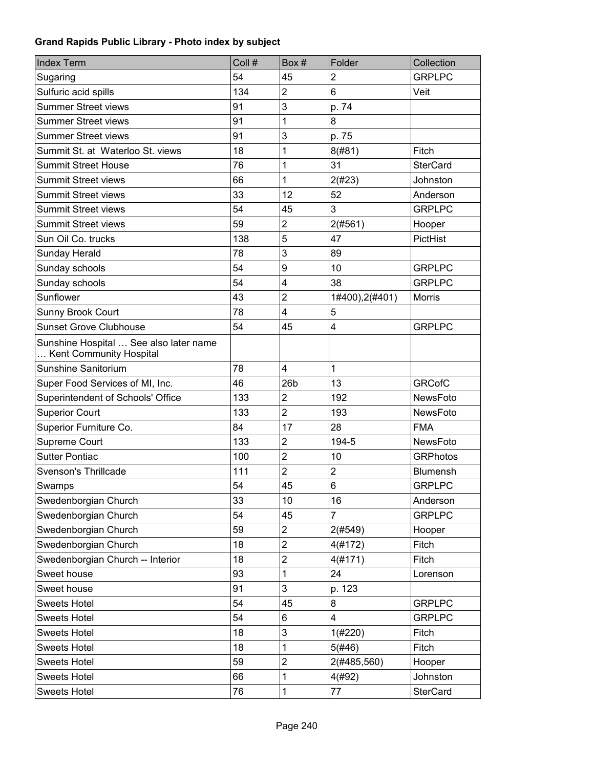| <b>Index Term</b>                                                 | Coll # | Box#                    | Folder                  | Collection      |
|-------------------------------------------------------------------|--------|-------------------------|-------------------------|-----------------|
| Sugaring                                                          | 54     | 45                      | $\overline{2}$          | <b>GRPLPC</b>   |
| Sulfuric acid spills                                              | 134    | $\overline{2}$          | 6                       | Veit            |
| <b>Summer Street views</b>                                        | 91     | 3                       | p. 74                   |                 |
| <b>Summer Street views</b>                                        | 91     | 1                       | 8                       |                 |
| <b>Summer Street views</b>                                        | 91     | 3                       | p. 75                   |                 |
| Summit St. at Waterloo St. views                                  | 18     | 1                       | 8(#81)                  | Fitch           |
| <b>Summit Street House</b>                                        | 76     | 1                       | 31                      | <b>SterCard</b> |
| <b>Summit Street views</b>                                        | 66     | 1                       | 2(#23)                  | Johnston        |
| <b>Summit Street views</b>                                        | 33     | 12                      | 52                      | Anderson        |
| <b>Summit Street views</b>                                        | 54     | 45                      | 3                       | <b>GRPLPC</b>   |
| <b>Summit Street views</b>                                        | 59     | $\overline{2}$          | 2(#561)                 | Hooper          |
| Sun Oil Co. trucks                                                | 138    | 5                       | 47                      | PictHist        |
| Sunday Herald                                                     | 78     | 3                       | 89                      |                 |
| Sunday schools                                                    | 54     | 9                       | 10                      | <b>GRPLPC</b>   |
| Sunday schools                                                    | 54     | 4                       | 38                      | <b>GRPLPC</b>   |
| Sunflower                                                         | 43     | $\overline{2}$          | 1#400), 2(#401)         | <b>Morris</b>   |
| Sunny Brook Court                                                 | 78     | 4                       | 5                       |                 |
| <b>Sunset Grove Clubhouse</b>                                     | 54     | 45                      | 4                       | <b>GRPLPC</b>   |
| Sunshine Hospital  See also later name<br>Kent Community Hospital |        |                         |                         |                 |
| Sunshine Sanitorium                                               | 78     | $\overline{\mathbf{4}}$ | 1                       |                 |
| Super Food Services of MI, Inc.                                   | 46     | 26 <sub>b</sub>         | 13                      | <b>GRCofC</b>   |
| Superintendent of Schools' Office                                 | 133    | $\overline{c}$          | 192                     | NewsFoto        |
| <b>Superior Court</b>                                             | 133    | $\overline{2}$          | 193                     | <b>NewsFoto</b> |
| Superior Furniture Co.                                            | 84     | 17                      | 28                      | <b>FMA</b>      |
| Supreme Court                                                     | 133    | $\overline{c}$          | 194-5                   | <b>NewsFoto</b> |
| <b>Sutter Pontiac</b>                                             | 100    | $\overline{2}$          | 10                      | <b>GRPhotos</b> |
| Svenson's Thrillcade                                              | 111    | $\overline{2}$          | $\overline{2}$          | <b>Blumensh</b> |
| Swamps                                                            | 54     | 45                      | $6\phantom{1}$          | <b>GRPLPC</b>   |
| Swedenborgian Church                                              | 33     | 10                      | 16                      | Anderson        |
| Swedenborgian Church                                              | 54     | 45                      | 7                       | <b>GRPLPC</b>   |
| Swedenborgian Church                                              | 59     | $\overline{\mathbf{c}}$ | 2(#549)                 | Hooper          |
| Swedenborgian Church                                              | 18     | $\overline{c}$          | 4(#172)                 | Fitch           |
| Swedenborgian Church -- Interior                                  | 18     | $\overline{\mathbf{c}}$ | 4(#171)                 | Fitch           |
| Sweet house                                                       | 93     | 1                       | 24                      | Lorenson        |
| Sweet house                                                       | 91     | 3                       | p. 123                  |                 |
| <b>Sweets Hotel</b>                                               | 54     | 45                      | 8                       | <b>GRPLPC</b>   |
| <b>Sweets Hotel</b>                                               | 54     | 6                       | $\overline{\mathbf{4}}$ | <b>GRPLPC</b>   |
| <b>Sweets Hotel</b>                                               | 18     | 3                       | 1(#220)                 | Fitch           |
| <b>Sweets Hotel</b>                                               | 18     | 1                       | 5(#46)                  | Fitch           |
| <b>Sweets Hotel</b>                                               | 59     | $\overline{c}$          | 2(#485,560)             | Hooper          |
| <b>Sweets Hotel</b>                                               | 66     | 1                       | 4(#92)                  | Johnston        |
| <b>Sweets Hotel</b>                                               | 76     | 1                       | 77                      | <b>SterCard</b> |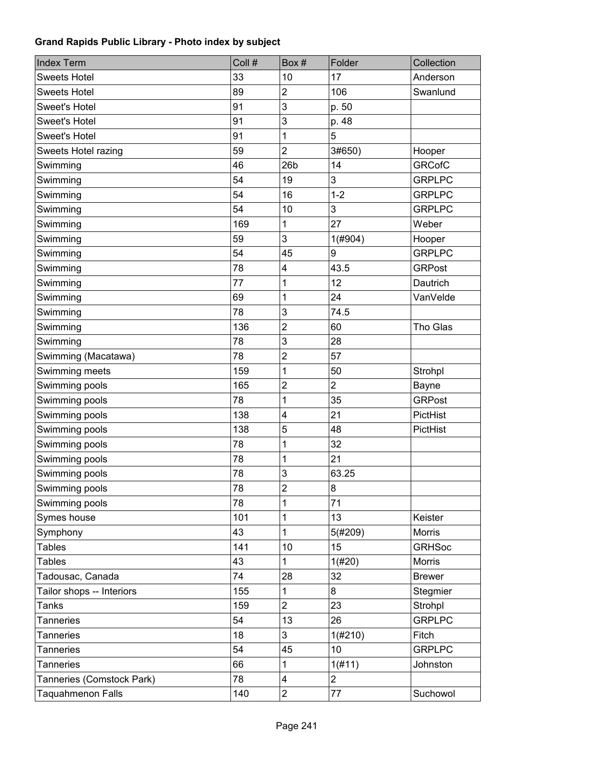| <b>Index Term</b>         | Coll # | Box#                    | Folder         | Collection    |
|---------------------------|--------|-------------------------|----------------|---------------|
| <b>Sweets Hotel</b>       | 33     | 10                      | 17             | Anderson      |
| <b>Sweets Hotel</b>       | 89     | $\overline{c}$          | 106            | Swanlund      |
| <b>Sweet's Hotel</b>      | 91     | 3                       | p. 50          |               |
| <b>Sweet's Hotel</b>      | 91     | 3                       | p. 48          |               |
| <b>Sweet's Hotel</b>      | 91     | 1                       | 5              |               |
| Sweets Hotel razing       | 59     | $\overline{2}$          | 3#650)         | Hooper        |
| Swimming                  | 46     | 26 <sub>b</sub>         | 14             | <b>GRCofC</b> |
| Swimming                  | 54     | 19                      | 3              | <b>GRPLPC</b> |
| Swimming                  | 54     | 16                      | $1 - 2$        | <b>GRPLPC</b> |
| Swimming                  | 54     | 10                      | 3              | <b>GRPLPC</b> |
| Swimming                  | 169    | 1                       | 27             | Weber         |
| Swimming                  | 59     | 3                       | 1(#904)        | Hooper        |
| Swimming                  | 54     | 45                      | 9              | <b>GRPLPC</b> |
| Swimming                  | 78     | 4                       | 43.5           | <b>GRPost</b> |
| Swimming                  | 77     | 1                       | 12             | Dautrich      |
| Swimming                  | 69     | 1                       | 24             | VanVelde      |
| Swimming                  | 78     | $\mathbf{3}$            | 74.5           |               |
| Swimming                  | 136    | $\overline{c}$          | 60             | Tho Glas      |
| Swimming                  | 78     | 3                       | 28             |               |
| Swimming (Macatawa)       | 78     | $\overline{2}$          | 57             |               |
| Swimming meets            | 159    | 1                       | 50             | Strohpl       |
| Swimming pools            | 165    | $\overline{c}$          | $\overline{2}$ | Bayne         |
| Swimming pools            | 78     | 1                       | 35             | <b>GRPost</b> |
| Swimming pools            | 138    | $\overline{\mathbf{4}}$ | 21             | PictHist      |
| Swimming pools            | 138    | 5                       | 48             | PictHist      |
| Swimming pools            | 78     | 1                       | 32             |               |
| Swimming pools            | 78     | 1                       | 21             |               |
| Swimming pools            | 78     | 3                       | 63.25          |               |
| Swimming pools            | 78     | $\overline{c}$          | 8              |               |
| Swimming pools            | 78     | 1                       | 71             |               |
| Symes house               | 101    | 1                       | 13             | Keister       |
| Symphony                  | 43     | 1                       | 5(#209)        | Morris        |
| <b>Tables</b>             | 141    | 10                      | 15             | <b>GRHSoc</b> |
| <b>Tables</b>             | 43     | 1                       | 1(#20)         | Morris        |
| Tadousac, Canada          | 74     | 28                      | 32             | <b>Brewer</b> |
| Tailor shops -- Interiors | 155    | 1                       | 8              | Stegmier      |
| <b>Tanks</b>              | 159    | $\overline{2}$          | 23             | Strohpl       |
| <b>Tanneries</b>          | 54     | 13                      | 26             | <b>GRPLPC</b> |
| <b>Tanneries</b>          | 18     | 3                       | 1(#210)        | Fitch         |
| <b>Tanneries</b>          | 54     | 45                      | 10             | <b>GRPLPC</b> |
| <b>Tanneries</b>          | 66     | 1                       | 1(#11)         | Johnston      |
| Tanneries (Comstock Park) | 78     | 4                       | $\overline{2}$ |               |
| <b>Taquahmenon Falls</b>  | 140    | $\overline{\mathbf{c}}$ | 77             | Suchowol      |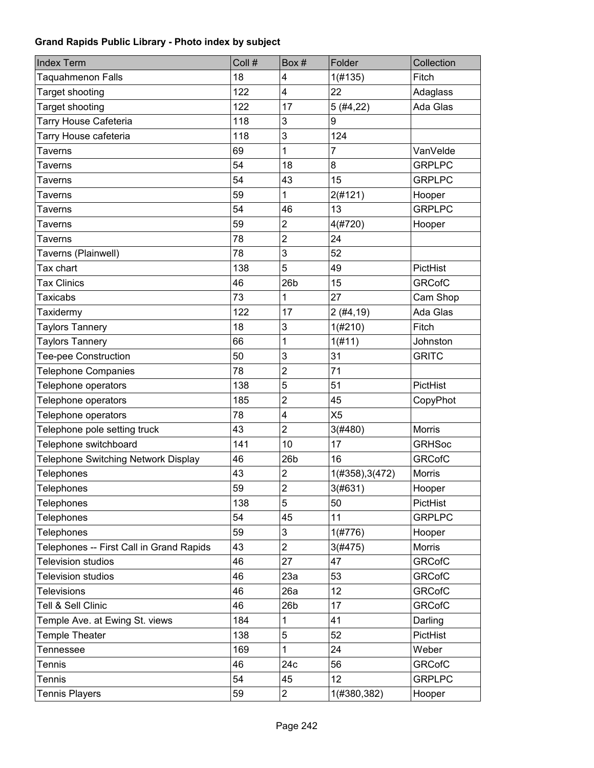| <b>Index Term</b>                        | Coll # | Box#                    | Folder          | Collection    |
|------------------------------------------|--------|-------------------------|-----------------|---------------|
| <b>Taquahmenon Falls</b>                 | 18     | 4                       | 1(#135)         | Fitch         |
| Target shooting                          | 122    | 4                       | 22              | Adaglass      |
| <b>Target shooting</b>                   | 122    | 17                      | 5(#4, 22)       | Ada Glas      |
| Tarry House Cafeteria                    | 118    | 3                       | 9               |               |
| Tarry House cafeteria                    | 118    | 3                       | 124             |               |
| <b>Taverns</b>                           | 69     | 1                       | $\overline{7}$  | VanVelde      |
| Taverns                                  | 54     | 18                      | 8               | <b>GRPLPC</b> |
| <b>Taverns</b>                           | 54     | 43                      | 15              | <b>GRPLPC</b> |
| <b>Taverns</b>                           | 59     | 1                       | 2(#121)         | Hooper        |
| <b>Taverns</b>                           | 54     | 46                      | 13              | <b>GRPLPC</b> |
| Taverns                                  | 59     | 2                       | 4(#720)         | Hooper        |
| <b>Taverns</b>                           | 78     | $\overline{2}$          | 24              |               |
| Taverns (Plainwell)                      | 78     | 3                       | 52              |               |
| Tax chart                                | 138    | 5                       | 49              | PictHist      |
| <b>Tax Clinics</b>                       | 46     | 26 <sub>b</sub>         | 15              | <b>GRCofC</b> |
| <b>Taxicabs</b>                          | 73     | 1                       | 27              | Cam Shop      |
| Taxidermy                                | 122    | 17                      | 2(#4, 19)       | Ada Glas      |
| <b>Taylors Tannery</b>                   | 18     | 3                       | 1(#210)         | Fitch         |
| <b>Taylors Tannery</b>                   | 66     | 1                       | 1(f#11)         | Johnston      |
| <b>Tee-pee Construction</b>              | 50     | 3                       | 31              | <b>GRITC</b>  |
| <b>Telephone Companies</b>               | 78     | $\overline{2}$          | 71              |               |
| Telephone operators                      | 138    | 5                       | 51              | PictHist      |
| Telephone operators                      | 185    | $\overline{2}$          | 45              | CopyPhot      |
| Telephone operators                      | 78     | 4                       | X <sub>5</sub>  |               |
| Telephone pole setting truck             | 43     | $\overline{2}$          | 3(#480)         | <b>Morris</b> |
| Telephone switchboard                    | 141    | 10                      | 17              | <b>GRHSoc</b> |
| Telephone Switching Network Display      | 46     | 26 <sub>b</sub>         | 16              | <b>GRCofC</b> |
| Telephones                               | 43     | $\overline{2}$          | 1(#358), 3(472) | Morris        |
| Telephones                               | 59     | $\overline{c}$          | 3(#631)         | Hooper        |
| <b>Telephones</b>                        | 138    | 5                       | 50              | PictHist      |
| Telephones                               | 54     | 45                      | 11              | <b>GRPLPC</b> |
| Telephones                               | 59     | 3                       | 1(#776)         | Hooper        |
| Telephones -- First Call in Grand Rapids | 43     | $\overline{2}$          | 3(#475)         | Morris        |
| <b>Television studios</b>                | 46     | 27                      | 47              | <b>GRCofC</b> |
| <b>Television studios</b>                | 46     | 23a                     | 53              | <b>GRCofC</b> |
| <b>Televisions</b>                       | 46     | 26a                     | 12              | <b>GRCofC</b> |
| Tell & Sell Clinic                       | 46     | 26 <sub>b</sub>         | 17              | <b>GRCofC</b> |
| Temple Ave. at Ewing St. views           | 184    | 1                       | 41              | Darling       |
| Temple Theater                           | 138    | 5                       | 52              | PictHist      |
| <b>Tennessee</b>                         | 169    | 1                       | 24              | Weber         |
| <b>Tennis</b>                            | 46     | 24c                     | 56              | <b>GRCofC</b> |
| <b>Tennis</b>                            | 54     | 45                      | 12              | <b>GRPLPC</b> |
| <b>Tennis Players</b>                    | 59     | $\overline{\mathbf{c}}$ | 1(#380,382)     | Hooper        |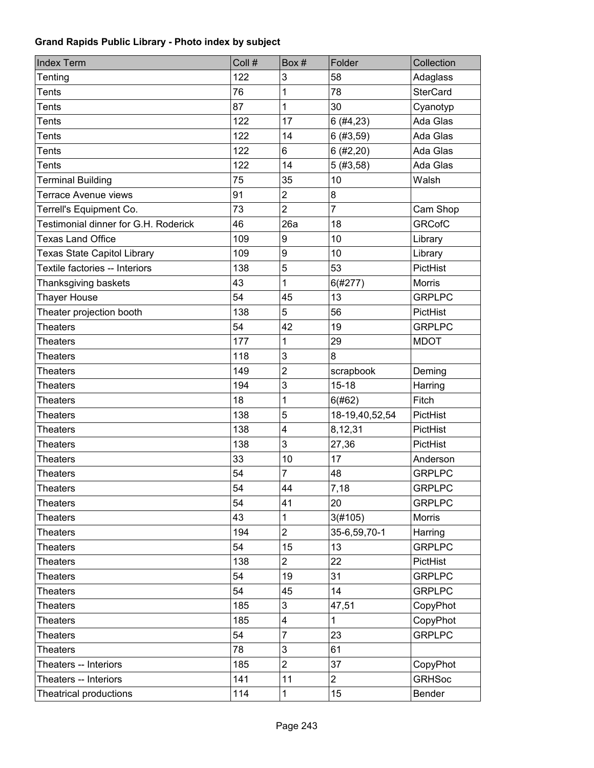| <b>Index Term</b>                    | Coll # | Box#                    | Folder         | Collection      |
|--------------------------------------|--------|-------------------------|----------------|-----------------|
| Tenting                              | 122    | 3                       | 58             | Adaglass        |
| <b>Tents</b>                         | 76     | 1                       | 78             | <b>SterCard</b> |
| <b>Tents</b>                         | 87     | $\overline{1}$          | 30             | Cyanotyp        |
| <b>Tents</b>                         | 122    | 17                      | 6(#4, 23)      | Ada Glas        |
| <b>Tents</b>                         | 122    | 14                      | 6(#3, 59)      | Ada Glas        |
| <b>Tents</b>                         | 122    | 6                       | 6(#2,20)       | Ada Glas        |
| <b>Tents</b>                         | 122    | 14                      | 5(#3, 58)      | Ada Glas        |
| <b>Terminal Building</b>             | 75     | 35                      | 10             | Walsh           |
| <b>Terrace Avenue views</b>          | 91     | $\overline{2}$          | 8              |                 |
| Terrell's Equipment Co.              | 73     | $\overline{2}$          | $\overline{7}$ | Cam Shop        |
| Testimonial dinner for G.H. Roderick | 46     | 26a                     | 18             | <b>GRCofC</b>   |
| <b>Texas Land Office</b>             | 109    | 9                       | 10             | Library         |
| <b>Texas State Capitol Library</b>   | 109    | 9                       | 10             | Library         |
| Textile factories -- Interiors       | 138    | 5                       | 53             | PictHist        |
| Thanksgiving baskets                 | 43     | $\mathbf{1}$            | 6(#277)        | Morris          |
| Thayer House                         | 54     | 45                      | 13             | <b>GRPLPC</b>   |
| Theater projection booth             | 138    | 5                       | 56             | PictHist        |
| <b>Theaters</b>                      | 54     | 42                      | 19             | <b>GRPLPC</b>   |
| <b>Theaters</b>                      | 177    | 1                       | 29             | <b>MDOT</b>     |
| <b>Theaters</b>                      | 118    | 3                       | 8              |                 |
| <b>Theaters</b>                      | 149    | $\overline{2}$          | scrapbook      | Deming          |
| <b>Theaters</b>                      | 194    | 3                       | $15 - 18$      | Harring         |
| <b>Theaters</b>                      | 18     | 1                       | 6(#62)         | Fitch           |
| <b>Theaters</b>                      | 138    | 5                       | 18-19,40,52,54 | PictHist        |
| <b>Theaters</b>                      | 138    | $\overline{\mathbf{4}}$ | 8,12,31        | PictHist        |
| <b>Theaters</b>                      | 138    | 3                       | 27,36          | PictHist        |
| <b>Theaters</b>                      | 33     | 10                      | 17             | Anderson        |
| <b>Theaters</b>                      | 54     | $\overline{7}$          | 48             | <b>GRPLPC</b>   |
| <b>Theaters</b>                      | 54     | 44                      | 7,18           | <b>GRPLPC</b>   |
| Theaters                             | 54     | 41                      | 20             | <b>GRPLPC</b>   |
| <b>Theaters</b>                      | 43     | 1                       | 3(#105)        | Morris          |
| <b>Theaters</b>                      | 194    | $\overline{2}$          | 35-6,59,70-1   | Harring         |
| <b>Theaters</b>                      | 54     | 15                      | 13             | <b>GRPLPC</b>   |
| <b>Theaters</b>                      | 138    | $\overline{2}$          | 22             | PictHist        |
| <b>Theaters</b>                      | 54     | 19                      | 31             | <b>GRPLPC</b>   |
| <b>Theaters</b>                      | 54     | 45                      | 14             | <b>GRPLPC</b>   |
| <b>Theaters</b>                      | 185    | $\mathfrak{S}$          | 47,51          | CopyPhot        |
| <b>Theaters</b>                      | 185    | $\overline{\mathbf{4}}$ | $\mathbf{1}$   | CopyPhot        |
| <b>Theaters</b>                      | 54     | $\overline{7}$          | 23             | <b>GRPLPC</b>   |
| <b>Theaters</b>                      | 78     | 3                       | 61             |                 |
| Theaters -- Interiors                | 185    | $\overline{2}$          | 37             | CopyPhot        |
| Theaters -- Interiors                | 141    | 11                      | $\overline{2}$ | <b>GRHSoc</b>   |
| Theatrical productions               | 114    | 1                       | 15             | Bender          |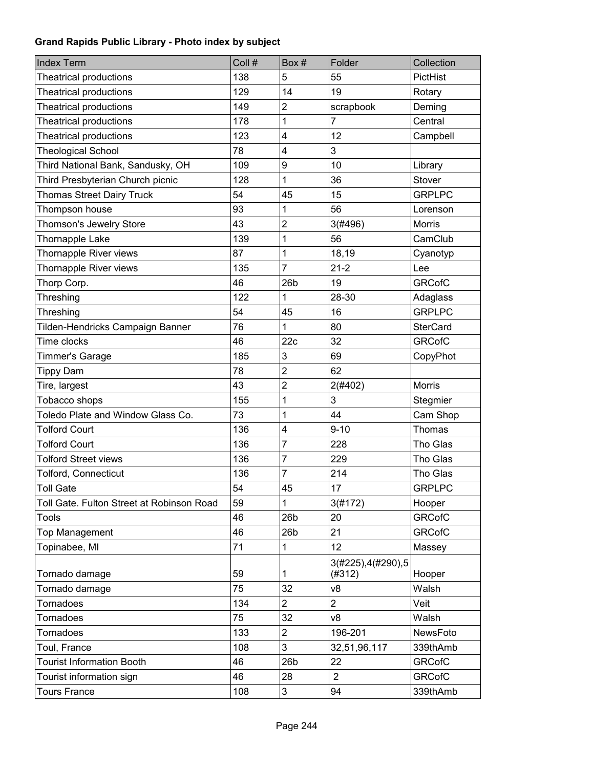| <b>Index Term</b>                         | Coll # | Box#            | Folder                        | Collection      |
|-------------------------------------------|--------|-----------------|-------------------------------|-----------------|
| <b>Theatrical productions</b>             | 138    | 5               | 55                            | PictHist        |
| <b>Theatrical productions</b>             | 129    | 14              | 19                            | Rotary          |
| <b>Theatrical productions</b>             | 149    | 2               | scrapbook                     | Deming          |
| <b>Theatrical productions</b>             | 178    | 1               | 7                             | Central         |
| <b>Theatrical productions</b>             | 123    | 4               | 12                            | Campbell        |
| <b>Theological School</b>                 | 78     | 4               | 3                             |                 |
| Third National Bank, Sandusky, OH         | 109    | 9               | 10                            | Library         |
| Third Presbyterian Church picnic          | 128    | 1               | 36                            | Stover          |
| <b>Thomas Street Dairy Truck</b>          | 54     | 45              | 15                            | <b>GRPLPC</b>   |
| Thompson house                            | 93     | 1               | 56                            | Lorenson        |
| Thomson's Jewelry Store                   | 43     | $\overline{2}$  | 3(#496)                       | <b>Morris</b>   |
| Thornapple Lake                           | 139    | 1               | 56                            | CamClub         |
| Thornapple River views                    | 87     | 1               | 18,19                         | Cyanotyp        |
| Thornapple River views                    | 135    | $\overline{7}$  | $21 - 2$                      | Lee             |
| Thorp Corp.                               | 46     | 26 <sub>b</sub> | 19                            | <b>GRCofC</b>   |
| Threshing                                 | 122    | 1               | 28-30                         | Adaglass        |
| Threshing                                 | 54     | 45              | 16                            | <b>GRPLPC</b>   |
| Tilden-Hendricks Campaign Banner          | 76     | 1               | 80                            | <b>SterCard</b> |
| Time clocks                               | 46     | 22c             | 32                            | <b>GRCofC</b>   |
| Timmer's Garage                           | 185    | 3               | 69                            | CopyPhot        |
| <b>Tippy Dam</b>                          | 78     | $\overline{2}$  | 62                            |                 |
| Tire, largest                             | 43     | $\overline{2}$  | 2(#402)                       | <b>Morris</b>   |
| Tobacco shops                             | 155    | 1               | 3                             | Stegmier        |
| Toledo Plate and Window Glass Co.         | 73     | 1               | 44                            | Cam Shop        |
| <b>Tolford Court</b>                      | 136    | 4               | $9 - 10$                      | Thomas          |
| <b>Tolford Court</b>                      | 136    | 7               | 228                           | Tho Glas        |
| <b>Tolford Street views</b>               | 136    | $\overline{7}$  | 229                           | Tho Glas        |
| <b>Tolford, Connecticut</b>               | 136    | $\overline{7}$  | 214                           | Tho Glas        |
| <b>Toll Gate</b>                          | 54     | 45              | 17                            | <b>GRPLPC</b>   |
| Toll Gate. Fulton Street at Robinson Road | 59     | 1               | 3(#172)                       | Hooper          |
| <b>Tools</b>                              | 46     | 26 <sub>b</sub> | 20                            | <b>GRCofC</b>   |
| <b>Top Management</b>                     | 46     | 26 <sub>b</sub> | 21                            | <b>GRCofC</b>   |
| Topinabee, MI                             | 71     | 1               | 12                            | Massey          |
| Tornado damage                            | 59     | 1               | 3(#225), 4(#290), 5<br>(#312) | Hooper          |
| Tornado damage                            | 75     | 32              | v8                            | Walsh           |
| Tornadoes                                 | 134    | $\overline{2}$  | $\overline{2}$                | Veit            |
| Tornadoes                                 | 75     | 32              | v8                            | Walsh           |
| <b>Tornadoes</b>                          | 133    | 2               | 196-201                       | NewsFoto        |
| Toul, France                              | 108    | 3               | 32,51,96,117                  | 339thAmb        |
| <b>Tourist Information Booth</b>          | 46     | 26 <sub>b</sub> | 22                            | <b>GRCofC</b>   |
| Tourist information sign                  | 46     | 28              | $\overline{2}$                | <b>GRCofC</b>   |
| <b>Tours France</b>                       | 108    | 3               | 94                            | 339thAmb        |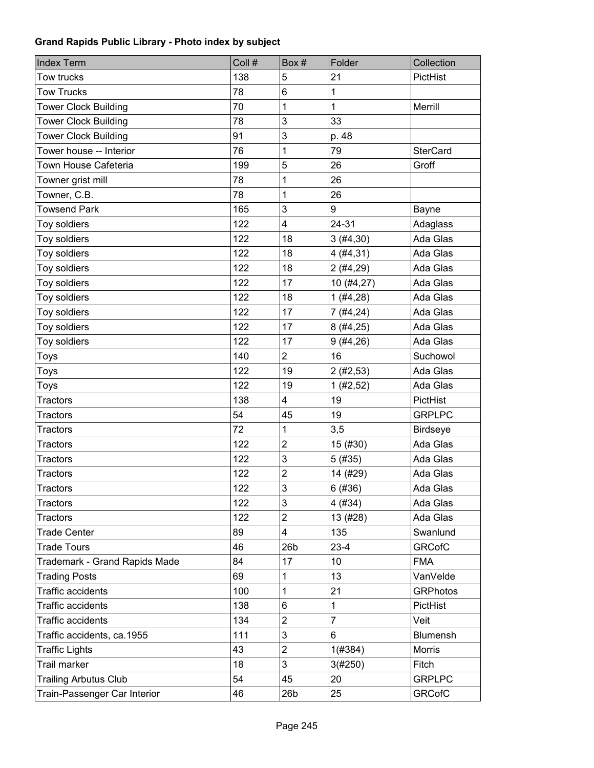| <b>Index Term</b>             | Coll # | Box#            | Folder         | Collection      |
|-------------------------------|--------|-----------------|----------------|-----------------|
| Tow trucks                    | 138    | 5               | 21             | PictHist        |
| <b>Tow Trucks</b>             | 78     | 6               | $\mathbf 1$    |                 |
| <b>Tower Clock Building</b>   | 70     | 1               | $\mathbf{1}$   | Merrill         |
| <b>Tower Clock Building</b>   | 78     | 3               | 33             |                 |
| <b>Tower Clock Building</b>   | 91     | 3               | p. 48          |                 |
| Tower house -- Interior       | 76     | 1               | 79             | <b>SterCard</b> |
| Town House Cafeteria          | 199    | 5               | 26             | Groff           |
| Towner grist mill             | 78     | 1               | 26             |                 |
| Towner, C.B.                  | 78     | 1               | 26             |                 |
| <b>Towsend Park</b>           | 165    | 3               | 9              | Bayne           |
| Toy soldiers                  | 122    | 4               | 24-31          | Adaglass        |
| Toy soldiers                  | 122    | 18              | 3(#4, 30)      | Ada Glas        |
| Toy soldiers                  | 122    | 18              | 4(#4, 31)      | Ada Glas        |
| Toy soldiers                  | 122    | 18              | 2(#4, 29)      | Ada Glas        |
| Toy soldiers                  | 122    | 17              | 10(#4, 27)     | Ada Glas        |
| Toy soldiers                  | 122    | 18              | 1(#4, 28)      | Ada Glas        |
| Toy soldiers                  | 122    | 17              | 7(#4, 24)      | Ada Glas        |
| Toy soldiers                  | 122    | 17              | 8(#4,25)       | Ada Glas        |
| Toy soldiers                  | 122    | 17              | 9(#4, 26)      | Ada Glas        |
| Toys                          | 140    | $\overline{2}$  | 16             | Suchowol        |
| Toys                          | 122    | 19              | 2(#2, 53)      | Ada Glas        |
| Toys                          | 122    | 19              | 1 (#2, 52)     | Ada Glas        |
| <b>Tractors</b>               | 138    | 4               | 19             | PictHist        |
| <b>Tractors</b>               | 54     | 45              | 19             | <b>GRPLPC</b>   |
| <b>Tractors</b>               | 72     | 1               | 3,5            | <b>Birdseye</b> |
| <b>Tractors</b>               | 122    | $\overline{2}$  | 15 (#30)       | Ada Glas        |
| <b>Tractors</b>               | 122    | 3               | 5(#35)         | Ada Glas        |
| <b>Tractors</b>               | 122    | $\overline{2}$  | 14 (#29)       | Ada Glas        |
| <b>Tractors</b>               | 122    | 3               | 6(#36)         | Ada Glas        |
| Tractors                      | 122    | 3               | 4 (#34)        | Ada Glas        |
| <b>Tractors</b>               | 122    | $\overline{c}$  | 13 (#28)       | Ada Glas        |
| <b>Trade Center</b>           | 89     | 4               | 135            | Swanlund        |
| <b>Trade Tours</b>            | 46     | 26 <sub>b</sub> | $23-4$         | <b>GRCofC</b>   |
| Trademark - Grand Rapids Made | 84     | 17              | 10             | <b>FMA</b>      |
| <b>Trading Posts</b>          | 69     | 1               | 13             | VanVelde        |
| <b>Traffic accidents</b>      | 100    | 1               | 21             | <b>GRPhotos</b> |
| <b>Traffic accidents</b>      | 138    | 6               | $\mathbf 1$    | PictHist        |
| <b>Traffic accidents</b>      | 134    | $\overline{2}$  | $\overline{7}$ | Veit            |
| Traffic accidents, ca.1955    | 111    | 3               | 6              | Blumensh        |
| <b>Traffic Lights</b>         | 43     | $\overline{2}$  | 1(#384)        | Morris          |
| Trail marker                  | 18     | 3               | 3(#250)        | Fitch           |
| <b>Trailing Arbutus Club</b>  | 54     | 45              | 20             | <b>GRPLPC</b>   |
| Train-Passenger Car Interior  | 46     | 26 <sub>b</sub> | 25             | <b>GRCofC</b>   |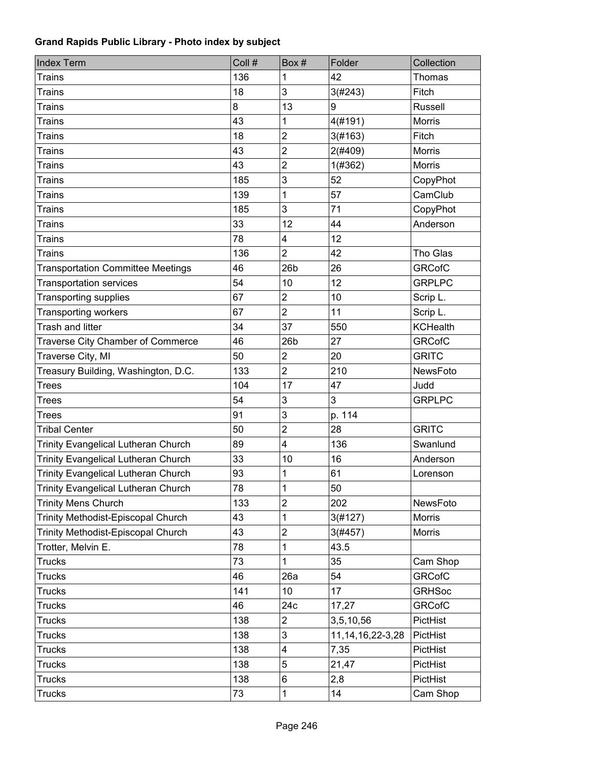| <b>Index Term</b>                          | Coll # | Box#                    | Folder               | Collection      |
|--------------------------------------------|--------|-------------------------|----------------------|-----------------|
| <b>Trains</b>                              | 136    | 1                       | 42                   | Thomas          |
| <b>Trains</b>                              | 18     | 3                       | 3(#243)              | Fitch           |
| <b>Trains</b>                              | 8      | 13                      | 9                    | <b>Russell</b>  |
| <b>Trains</b>                              | 43     | 1                       | 4(#191)              | <b>Morris</b>   |
| <b>Trains</b>                              | 18     | $\overline{2}$          | 3(#163)              | Fitch           |
| <b>Trains</b>                              | 43     | $\overline{2}$          | 2(#409)              | <b>Morris</b>   |
| <b>Trains</b>                              | 43     | $\overline{2}$          | 1(#362)              | <b>Morris</b>   |
| <b>Trains</b>                              | 185    | 3                       | 52                   | CopyPhot        |
| <b>Trains</b>                              | 139    | 1                       | 57                   | CamClub         |
| <b>Trains</b>                              | 185    | 3                       | 71                   | CopyPhot        |
| <b>Trains</b>                              | 33     | 12                      | 44                   | Anderson        |
| <b>Trains</b>                              | 78     | $\overline{\mathbf{4}}$ | 12                   |                 |
| <b>Trains</b>                              | 136    | $\overline{2}$          | 42                   | Tho Glas        |
| <b>Transportation Committee Meetings</b>   | 46     | 26 <sub>b</sub>         | 26                   | <b>GRCofC</b>   |
| <b>Transportation services</b>             | 54     | 10                      | 12                   | <b>GRPLPC</b>   |
| <b>Transporting supplies</b>               | 67     | $\overline{2}$          | 10                   | Scrip L.        |
| <b>Transporting workers</b>                | 67     | $\overline{2}$          | 11                   | Scrip L.        |
| Trash and litter                           | 34     | 37                      | 550                  | <b>KCHealth</b> |
| Traverse City Chamber of Commerce          | 46     | 26b                     | 27                   | <b>GRCofC</b>   |
| Traverse City, MI                          | 50     | $\overline{2}$          | 20                   | <b>GRITC</b>    |
| Treasury Building, Washington, D.C.        | 133    | $\overline{2}$          | 210                  | NewsFoto        |
| <b>Trees</b>                               | 104    | 17                      | 47                   | Judd            |
| <b>Trees</b>                               | 54     | 3                       | 3                    | <b>GRPLPC</b>   |
| <b>Trees</b>                               | 91     | 3                       | p. 114               |                 |
| <b>Tribal Center</b>                       | 50     | $\overline{2}$          | 28                   | <b>GRITC</b>    |
| <b>Trinity Evangelical Lutheran Church</b> | 89     | $\overline{4}$          | 136                  | Swanlund        |
| <b>Trinity Evangelical Lutheran Church</b> | 33     | 10                      | 16                   | Anderson        |
| <b>Trinity Evangelical Lutheran Church</b> | 93     | 1                       | 61                   | Lorenson        |
| <b>Trinity Evangelical Lutheran Church</b> | 78     | $\mathbf 1$             | 50                   |                 |
| <b>Trinity Mens Church</b>                 | 133    | $\overline{c}$          | 202                  | NewsFoto        |
| Trinity Methodist-Episcopal Church         | 43     | 1                       | 3(#127)              | Morris          |
| Trinity Methodist-Episcopal Church         | 43     | $\overline{c}$          | 3(#457)              | Morris          |
| Trotter, Melvin E.                         | 78     | 1                       | 43.5                 |                 |
| <b>Trucks</b>                              | 73     | 1                       | 35                   | Cam Shop        |
| <b>Trucks</b>                              | 46     | 26a                     | 54                   | <b>GRCofC</b>   |
| <b>Trucks</b>                              | 141    | 10                      | 17                   | <b>GRHSoc</b>   |
| <b>Trucks</b>                              | 46     | 24c                     | 17,27                | <b>GRCofC</b>   |
| <b>Trucks</b>                              | 138    | $\overline{2}$          | 3,5,10,56            | PictHist        |
| <b>Trucks</b>                              | 138    | 3                       | 11, 14, 16, 22-3, 28 | PictHist        |
| <b>Trucks</b>                              | 138    | 4                       | 7,35                 | PictHist        |
| <b>Trucks</b>                              | 138    | 5                       | 21,47                | PictHist        |
| <b>Trucks</b>                              | 138    | 6                       | 2,8                  | PictHist        |
| <b>Trucks</b>                              | 73     | 1                       | 14                   | Cam Shop        |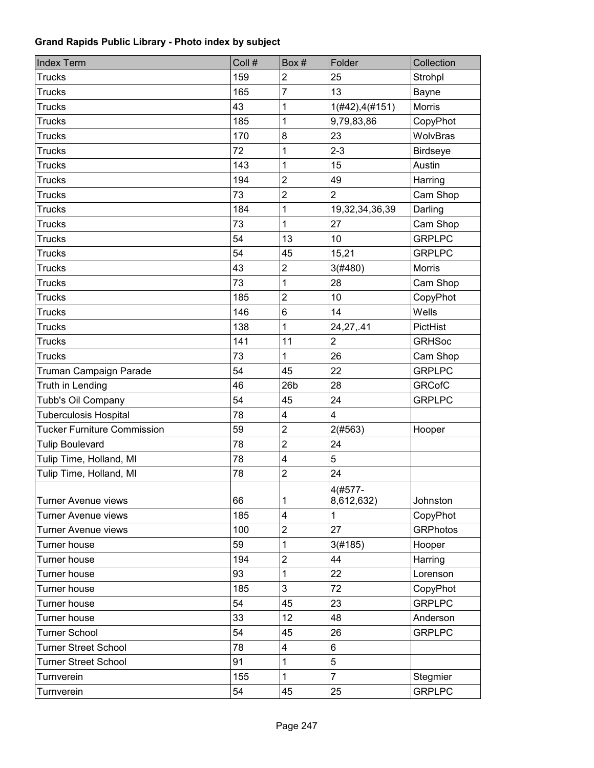| <b>Index Term</b>                  | Coll # | Box#                    | Folder                  | Collection      |
|------------------------------------|--------|-------------------------|-------------------------|-----------------|
| <b>Trucks</b>                      | 159    | $\overline{2}$          | 25                      | Strohpl         |
| <b>Trucks</b>                      | 165    | $\overline{7}$          | 13                      | Bayne           |
| <b>Trucks</b>                      | 43     | 1                       | 1(#42), 4(#151)         | <b>Morris</b>   |
| <b>Trucks</b>                      | 185    | 1                       | 9,79,83,86              | CopyPhot        |
| <b>Trucks</b>                      | 170    | 8                       | 23                      | WolvBras        |
| <b>Trucks</b>                      | 72     | 1                       | $2 - 3$                 | <b>Birdseye</b> |
| <b>Trucks</b>                      | 143    | 1                       | 15                      | Austin          |
| <b>Trucks</b>                      | 194    | $\overline{2}$          | 49                      | Harring         |
| <b>Trucks</b>                      | 73     | $\overline{2}$          | $\overline{2}$          | Cam Shop        |
| <b>Trucks</b>                      | 184    | 1                       | 19,32,34,36,39          | Darling         |
| <b>Trucks</b>                      | 73     | 1                       | 27                      | Cam Shop        |
| <b>Trucks</b>                      | 54     | 13                      | 10                      | <b>GRPLPC</b>   |
| <b>Trucks</b>                      | 54     | 45                      | 15,21                   | <b>GRPLPC</b>   |
| <b>Trucks</b>                      | 43     | $\overline{c}$          | 3(#480)                 | <b>Morris</b>   |
| <b>Trucks</b>                      | 73     | 1                       | 28                      | Cam Shop        |
| <b>Trucks</b>                      | 185    | $\overline{2}$          | 10                      | CopyPhot        |
| <b>Trucks</b>                      | 146    | 6                       | 14                      | Wells           |
| <b>Trucks</b>                      | 138    | 1                       | 24, 27, .41             | PictHist        |
| <b>Trucks</b>                      | 141    | 11                      | $\overline{2}$          | <b>GRHSoc</b>   |
| <b>Trucks</b>                      | 73     | 1                       | 26                      | Cam Shop        |
| Truman Campaign Parade             | 54     | 45                      | 22                      | <b>GRPLPC</b>   |
| Truth in Lending                   | 46     | 26 <sub>b</sub>         | 28                      | <b>GRCofC</b>   |
| Tubb's Oil Company                 | 54     | 45                      | 24                      | <b>GRPLPC</b>   |
| <b>Tuberculosis Hospital</b>       | 78     | $\overline{\mathbf{4}}$ | $\overline{\mathbf{4}}$ |                 |
| <b>Tucker Furniture Commission</b> | 59     | $\overline{2}$          | 2(#563)                 | Hooper          |
| <b>Tulip Boulevard</b>             | 78     | $\overline{2}$          | 24                      |                 |
| Tulip Time, Holland, MI            | 78     | 4                       | 5                       |                 |
| Tulip Time, Holland, MI            | 78     | $\overline{2}$          | 24                      |                 |
|                                    |        |                         | 4(#577-                 |                 |
| <b>Turner Avenue views</b>         | 66     | 1                       | 8,612,632)              | Johnston        |
| <b>Turner Avenue views</b>         | 185    | $\overline{4}$          | $\mathbf{1}$            | CopyPhot        |
| <b>Turner Avenue views</b>         | 100    | $\overline{2}$          | 27                      | <b>GRPhotos</b> |
| Turner house                       | 59     | 1                       | 3(#185)                 | Hooper          |
| Turner house                       | 194    | $\overline{2}$          | 44                      | Harring         |
| Turner house                       | 93     | 1                       | 22                      | Lorenson        |
| Turner house                       | 185    | 3                       | 72                      | CopyPhot        |
| Turner house                       | 54     | 45                      | 23                      | <b>GRPLPC</b>   |
| Turner house                       | 33     | 12                      | 48                      | Anderson        |
| <b>Turner School</b>               | 54     | 45                      | 26                      | <b>GRPLPC</b>   |
| <b>Turner Street School</b>        | 78     | 4                       | 6                       |                 |
| <b>Turner Street School</b>        | 91     | 1                       | 5                       |                 |
| Turnverein                         | 155    | 1                       | $\overline{7}$          | Stegmier        |
| Turnverein                         | 54     | 45                      | 25                      | <b>GRPLPC</b>   |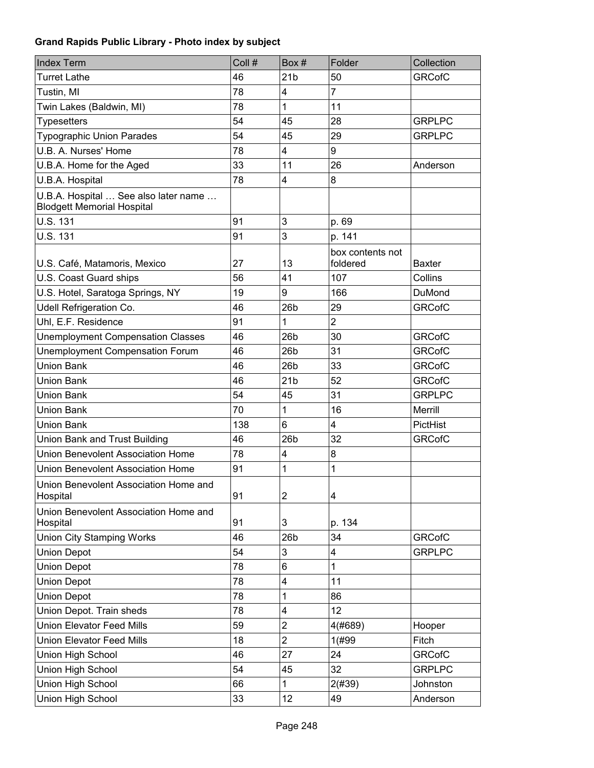| <b>Index Term</b>                                                         | Coll # | Box#                    | Folder                       | Collection    |
|---------------------------------------------------------------------------|--------|-------------------------|------------------------------|---------------|
| <b>Turret Lathe</b>                                                       | 46     | 21 <sub>b</sub>         | 50                           | <b>GRCofC</b> |
| Tustin, MI                                                                | 78     | 4                       | $\overline{7}$               |               |
| Twin Lakes (Baldwin, MI)                                                  | 78     | $\overline{1}$          | 11                           |               |
| <b>Typesetters</b>                                                        | 54     | 45                      | 28                           | <b>GRPLPC</b> |
| <b>Typographic Union Parades</b>                                          | 54     | 45                      | 29                           | <b>GRPLPC</b> |
| U.B. A. Nurses' Home                                                      | 78     | 4                       | 9                            |               |
| U.B.A. Home for the Aged                                                  | 33     | 11                      | 26                           | Anderson      |
| U.B.A. Hospital                                                           | 78     | 4                       | 8                            |               |
| U.B.A. Hospital  See also later name<br><b>Blodgett Memorial Hospital</b> |        |                         |                              |               |
| U.S. 131                                                                  | 91     | 3                       | p. 69                        |               |
| U.S. 131                                                                  | 91     | 3                       | p. 141                       |               |
| U.S. Café, Matamoris, Mexico                                              | 27     | 13                      | box contents not<br>foldered | <b>Baxter</b> |
| U.S. Coast Guard ships                                                    | 56     | 41                      | 107                          | Collins       |
| U.S. Hotel, Saratoga Springs, NY                                          | 19     | 9                       | 166                          | DuMond        |
| Udell Refrigeration Co.                                                   | 46     | 26b                     | 29                           | <b>GRCofC</b> |
| Uhl, E.F. Residence                                                       | 91     | 1                       | $\overline{2}$               |               |
| <b>Unemployment Compensation Classes</b>                                  | 46     | 26b                     | 30                           | <b>GRCofC</b> |
| <b>Unemployment Compensation Forum</b>                                    | 46     | 26 <sub>b</sub>         | 31                           | <b>GRCofC</b> |
| <b>Union Bank</b>                                                         | 46     | 26 <sub>b</sub>         | 33                           | <b>GRCofC</b> |
| Union Bank                                                                | 46     | 21 <sub>b</sub>         | 52                           | <b>GRCofC</b> |
| <b>Union Bank</b>                                                         | 54     | 45                      | 31                           | <b>GRPLPC</b> |
| <b>Union Bank</b>                                                         | 70     | 1                       | 16                           | Merrill       |
| <b>Union Bank</b>                                                         | 138    | 6                       | 4                            | PictHist      |
| Union Bank and Trust Building                                             | 46     | 26b                     | 32                           | <b>GRCofC</b> |
| <b>Union Benevolent Association Home</b>                                  | 78     | $\overline{\mathbf{4}}$ | 8                            |               |
| <b>Union Benevolent Association Home</b>                                  | 91     | 1                       | $\mathbf 1$                  |               |
| Union Benevolent Association Home and<br>Hospital                         | 91     | $\overline{2}$          | 4                            |               |
| Union Benevolent Association Home and<br>Hospital                         | 91     | 3                       | p. 134                       |               |
| <b>Union City Stamping Works</b>                                          | 46     | 26 <sub>b</sub>         | 34                           | <b>GRCofC</b> |
| <b>Union Depot</b>                                                        | 54     | 3                       | 4                            | <b>GRPLPC</b> |
| <b>Union Depot</b>                                                        | 78     | 6                       | $\mathbf{1}$                 |               |
| <b>Union Depot</b>                                                        | 78     | 4                       | 11                           |               |
| <b>Union Depot</b>                                                        | 78     | 1                       | 86                           |               |
| Union Depot. Train sheds                                                  | 78     | 4                       | 12                           |               |
| <b>Union Elevator Feed Mills</b>                                          | 59     | $\overline{c}$          | 4(#689)                      | Hooper        |
| <b>Union Elevator Feed Mills</b>                                          | 18     | $\overline{2}$          | 1(#99)                       | Fitch         |
| Union High School                                                         | 46     | 27                      | 24                           | <b>GRCofC</b> |
| Union High School                                                         | 54     | 45                      | 32                           | <b>GRPLPC</b> |
| Union High School                                                         | 66     | $\mathbf 1$             | 2(#39)                       | Johnston      |
| Union High School                                                         | 33     | 12                      | 49                           | Anderson      |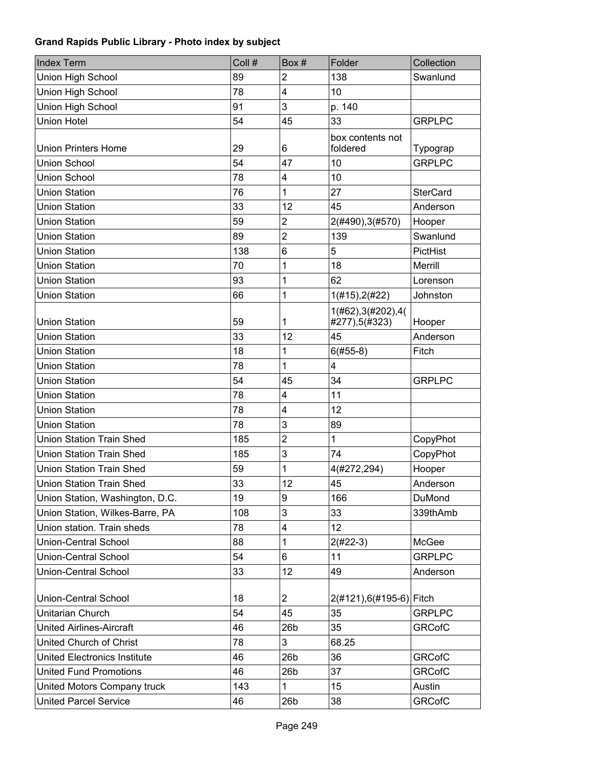| <b>Index Term</b>                   | Coll # | Box#                    | Folder                               | Collection      |
|-------------------------------------|--------|-------------------------|--------------------------------------|-----------------|
| Union High School                   | 89     | $\overline{2}$          | 138                                  | Swanlund        |
| Union High School                   | 78     | 4                       | 10                                   |                 |
| Union High School                   | 91     | 3                       | p. 140                               |                 |
| <b>Union Hotel</b>                  | 54     | 45                      | 33                                   | <b>GRPLPC</b>   |
| <b>Union Printers Home</b>          | 29     | 6                       | box contents not<br>foldered         | Typograp        |
| Union School                        | 54     | 47                      | 10                                   | <b>GRPLPC</b>   |
| Union School                        | 78     | 4                       | 10                                   |                 |
| <b>Union Station</b>                | 76     | 1                       | 27                                   | <b>SterCard</b> |
| <b>Union Station</b>                | 33     | 12                      | 45                                   | Anderson        |
| <b>Union Station</b>                | 59     | $\overline{c}$          | 2(#490), 3(#570)                     | Hooper          |
| <b>Union Station</b>                | 89     | $\overline{2}$          | 139                                  | Swanlund        |
| <b>Union Station</b>                | 138    | $6\phantom{1}6$         | 5                                    | PictHist        |
| <b>Union Station</b>                | 70     | 1                       | 18                                   | Merrill         |
| <b>Union Station</b>                | 93     | 1                       | 62                                   | Lorenson        |
| <b>Union Station</b>                | 66     | 1                       | 1(#15), 2(#22)                       | Johnston        |
| <b>Union Station</b>                | 59     | 1                       | 1(#62), 3(#202), 4(<br>#277),5(#323) | Hooper          |
| <b>Union Station</b>                | 33     | 12                      | 45                                   | Anderson        |
| <b>Union Station</b>                | 18     | 1                       | $6(#55-8)$                           | Fitch           |
| <b>Union Station</b>                | 78     | 1                       | 4                                    |                 |
| <b>Union Station</b>                | 54     | 45                      | 34                                   | <b>GRPLPC</b>   |
| <b>Union Station</b>                | 78     | 4                       | 11                                   |                 |
| <b>Union Station</b>                | 78     | 4                       | 12                                   |                 |
| <b>Union Station</b>                | 78     | 3                       | 89                                   |                 |
| <b>Union Station Train Shed</b>     | 185    | $\overline{2}$          | $\mathbf{1}$                         | CopyPhot        |
| <b>Union Station Train Shed</b>     | 185    | 3                       | 74                                   | CopyPhot        |
| <b>Union Station Train Shed</b>     | 59     | 1                       | 4(#272,294)                          | Hooper          |
| <b>Union Station Train Shed</b>     | 33     | 12                      | 45                                   | Anderson        |
| Union Station, Washington, D.C.     | 19     | 9                       | 166                                  | DuMond          |
| Union Station, Wilkes-Barre, PA     | 108    | 3                       | 33                                   | 339thAmb        |
| Union station. Train sheds          | 78     | $\overline{\mathbf{4}}$ | 12                                   |                 |
| <b>Union-Central School</b>         | 88     | 1                       | $2(#22-3)$                           | McGee           |
| <b>Union-Central School</b>         | 54     | 6                       | 11                                   | <b>GRPLPC</b>   |
| <b>Union-Central School</b>         | 33     | 12                      | 49                                   | Anderson        |
| <b>Union-Central School</b>         | 18     | $\overline{2}$          | 2(#121),6(#195-6) Fitch              |                 |
| <b>Unitarian Church</b>             | 54     | 45                      | 35                                   | <b>GRPLPC</b>   |
| <b>United Airlines-Aircraft</b>     | 46     | 26 <sub>b</sub>         | 35                                   | <b>GRCofC</b>   |
| United Church of Christ             | 78     | 3                       | 68.25                                |                 |
| <b>United Electronics Institute</b> | 46     | 26 <sub>b</sub>         | 36                                   | <b>GRCofC</b>   |
| <b>United Fund Promotions</b>       | 46     | 26 <sub>b</sub>         | 37                                   | <b>GRCofC</b>   |
| United Motors Company truck         | 143    | 1                       | 15                                   | Austin          |
| <b>United Parcel Service</b>        | 46     | 26 <sub>b</sub>         | 38                                   | <b>GRCofC</b>   |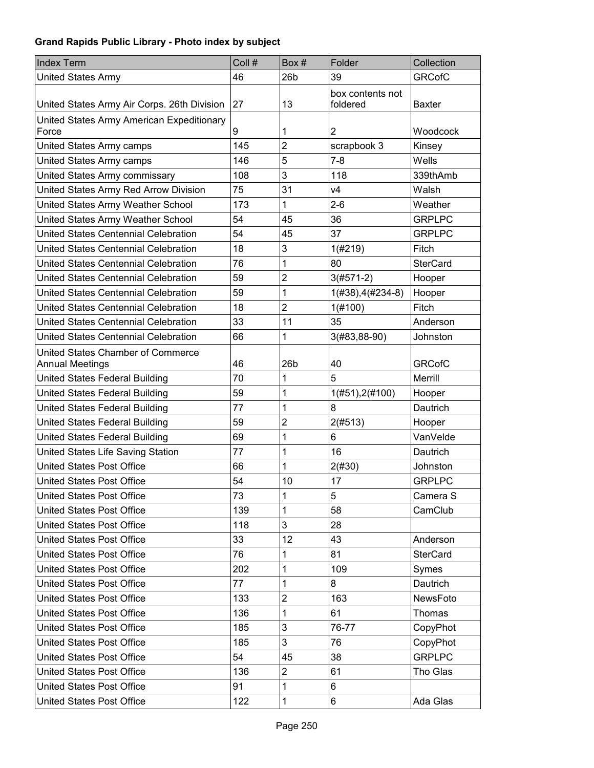| <b>Index Term</b>                                           | Coll # | Box#            | Folder                       | Collection      |
|-------------------------------------------------------------|--------|-----------------|------------------------------|-----------------|
| <b>United States Army</b>                                   | 46     | 26 <sub>b</sub> | 39                           | <b>GRCofC</b>   |
| United States Army Air Corps. 26th Division                 | 27     | 13              | box contents not<br>foldered | <b>Baxter</b>   |
| United States Army American Expeditionary<br>Force          | 9      | 1               | $\overline{2}$               | Woodcock        |
| United States Army camps                                    | 145    | $\overline{2}$  | scrapbook 3                  | Kinsey          |
| United States Army camps                                    | 146    | 5               | $7 - 8$                      | Wells           |
| United States Army commissary                               | 108    | 3               | 118                          | 339thAmb        |
| United States Army Red Arrow Division                       | 75     | 31              | V <sub>4</sub>               | Walsh           |
| United States Army Weather School                           | 173    | 1               | $2 - 6$                      | Weather         |
| United States Army Weather School                           | 54     | 45              | 36                           | <b>GRPLPC</b>   |
| United States Centennial Celebration                        | 54     | 45              | 37                           | <b>GRPLPC</b>   |
| United States Centennial Celebration                        | 18     | 3               | 1(#219)                      | Fitch           |
| United States Centennial Celebration                        | 76     | 1               | 80                           | <b>SterCard</b> |
| United States Centennial Celebration                        | 59     | $\overline{2}$  | $3(#571-2)$                  | Hooper          |
| United States Centennial Celebration                        | 59     | 1               | $1(#38), 4(#234-8)$          | Hooper          |
| United States Centennial Celebration                        | 18     | $\overline{2}$  | 1(#100)                      | Fitch           |
| United States Centennial Celebration                        | 33     | 11              | 35                           | Anderson        |
| United States Centennial Celebration                        | 66     | 1               | 3(#83,88-90)                 | Johnston        |
| United States Chamber of Commerce<br><b>Annual Meetings</b> | 46     | 26 <sub>b</sub> | 40                           | <b>GRCofC</b>   |
| <b>United States Federal Building</b>                       | 70     | 1               | 5                            | Merrill         |
| United States Federal Building                              | 59     | 1               | 1(#51), 2(#100)              | Hooper          |
| United States Federal Building                              | 77     | 1               | 8                            | Dautrich        |
| United States Federal Building                              | 59     | $\overline{2}$  | 2(#513)                      | Hooper          |
| United States Federal Building                              | 69     | 1               | 6                            | VanVelde        |
| United States Life Saving Station                           | 77     | 1               | 16                           | Dautrich        |
| <b>United States Post Office</b>                            | 66     | 1               | 2(#30)                       | Johnston        |
| <b>United States Post Office</b>                            | 54     | 10              | 17                           | <b>GRPLPC</b>   |
| <b>United States Post Office</b>                            | 73     | 1               | 5                            | Camera S        |
| <b>United States Post Office</b>                            | 139    | 1               | 58                           | CamClub         |
| <b>United States Post Office</b>                            | 118    | 3               | 28                           |                 |
| <b>United States Post Office</b>                            | 33     | 12              | 43                           | Anderson        |
| <b>United States Post Office</b>                            | 76     | 1               | 81                           | <b>SterCard</b> |
| <b>United States Post Office</b>                            | 202    | 1               | 109                          | Symes           |
| United States Post Office                                   | 77     | 1               | 8                            | Dautrich        |
| United States Post Office                                   | 133    | $\overline{2}$  | 163                          | NewsFoto        |
| United States Post Office                                   | 136    | 1               | 61                           | Thomas          |
| United States Post Office                                   | 185    | 3               | 76-77                        | CopyPhot        |
| United States Post Office                                   | 185    | 3               | 76                           | CopyPhot        |
| United States Post Office                                   | 54     | 45              | 38                           | <b>GRPLPC</b>   |
| <b>United States Post Office</b>                            | 136    | 2               | 61                           | Tho Glas        |
| <b>United States Post Office</b>                            | 91     | 1               | 6                            |                 |
| United States Post Office                                   | 122    | 1               | 6                            | Ada Glas        |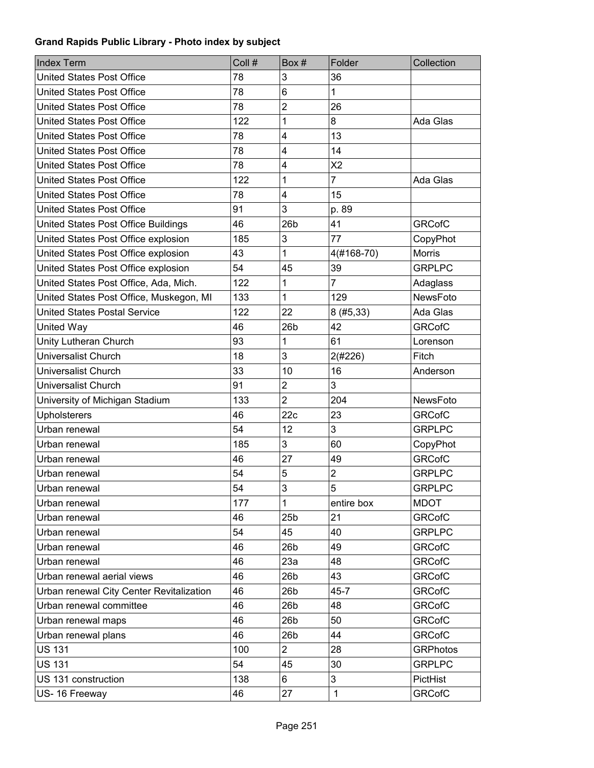| <b>Index Term</b>                        | Coll # | Box#                    | Folder                  | Collection      |
|------------------------------------------|--------|-------------------------|-------------------------|-----------------|
| <b>United States Post Office</b>         | 78     | 3                       | 36                      |                 |
| <b>United States Post Office</b>         | 78     | 6                       | 1                       |                 |
| United States Post Office                | 78     | $\overline{2}$          | 26                      |                 |
| <b>United States Post Office</b>         | 122    | 1                       | 8                       | Ada Glas        |
| <b>United States Post Office</b>         | 78     | 4                       | 13                      |                 |
| <b>United States Post Office</b>         | 78     | $\overline{\mathbf{4}}$ | 14                      |                 |
| <b>United States Post Office</b>         | 78     | 4                       | X <sub>2</sub>          |                 |
| <b>United States Post Office</b>         | 122    | 1                       | $\overline{7}$          | Ada Glas        |
| <b>United States Post Office</b>         | 78     | 4                       | 15                      |                 |
| <b>United States Post Office</b>         | 91     | 3                       | p. 89                   |                 |
| United States Post Office Buildings      | 46     | 26 <sub>b</sub>         | 41                      | <b>GRCofC</b>   |
| United States Post Office explosion      | 185    | 3                       | 77                      | CopyPhot        |
| United States Post Office explosion      | 43     | 1                       | 4(#168-70)              | Morris          |
| United States Post Office explosion      | 54     | 45                      | 39                      | <b>GRPLPC</b>   |
| United States Post Office, Ada, Mich.    | 122    | 1                       | $\overline{7}$          | Adaglass        |
| United States Post Office, Muskegon, MI  | 133    | 1                       | 129                     | NewsFoto        |
| <b>United States Postal Service</b>      | 122    | 22                      | 8(#5, 33)               | Ada Glas        |
| United Way                               | 46     | 26 <sub>b</sub>         | 42                      | <b>GRCofC</b>   |
| Unity Lutheran Church                    | 93     | 1                       | 61                      | Lorenson        |
| <b>Universalist Church</b>               | 18     | 3                       | 2(#226)                 | Fitch           |
| <b>Universalist Church</b>               | 33     | 10                      | 16                      | Anderson        |
| <b>Universalist Church</b>               | 91     | $\overline{c}$          | 3                       |                 |
| University of Michigan Stadium           | 133    | $\overline{2}$          | 204                     | NewsFoto        |
| <b>Upholsterers</b>                      | 46     | 22c                     | 23                      | <b>GRCofC</b>   |
| Urban renewal                            | 54     | 12                      | 3                       | <b>GRPLPC</b>   |
| Urban renewal                            | 185    | 3                       | 60                      | CopyPhot        |
| Urban renewal                            | 46     | 27                      | 49                      | <b>GRCofC</b>   |
| Urban renewal                            | 54     | 5                       | $\overline{\mathbf{c}}$ | <b>GRPLPC</b>   |
| Urban renewal                            | 54     | 3                       | 5                       | <b>GRPLPC</b>   |
| Urban renewal                            | 177    | 1                       | entire box              | <b>MDOT</b>     |
| Urban renewal                            | 46     | 25 <sub>b</sub>         | 21                      | <b>GRCofC</b>   |
| Urban renewal                            | 54     | 45                      | 40                      | <b>GRPLPC</b>   |
| Urban renewal                            | 46     | 26 <sub>b</sub>         | 49                      | <b>GRCofC</b>   |
| Urban renewal                            | 46     | 23a                     | 48                      | <b>GRCofC</b>   |
| Urban renewal aerial views               | 46     | 26 <sub>b</sub>         | 43                      | <b>GRCofC</b>   |
| Urban renewal City Center Revitalization | 46     | 26 <sub>b</sub>         | $45 - 7$                | <b>GRCofC</b>   |
| Urban renewal committee                  | 46     | 26 <sub>b</sub>         | 48                      | <b>GRCofC</b>   |
| Urban renewal maps                       | 46     | 26 <sub>b</sub>         | 50                      | <b>GRCofC</b>   |
| Urban renewal plans                      | 46     | 26 <sub>b</sub>         | 44                      | <b>GRCofC</b>   |
| <b>US 131</b>                            | 100    | $\overline{2}$          | 28                      | <b>GRPhotos</b> |
| <b>US 131</b>                            | 54     | 45                      | 30                      | <b>GRPLPC</b>   |
| US 131 construction                      | 138    | 6                       | 3                       | PictHist        |
| US-16 Freeway                            | 46     | 27                      | $\mathbf{1}$            | <b>GRCofC</b>   |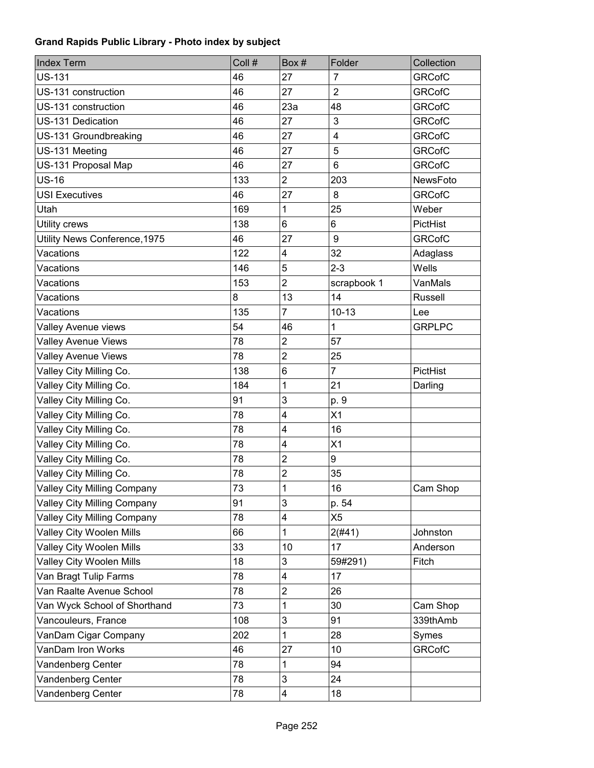| <b>Index Term</b>               | Coll # | Box#                    | Folder          | Collection    |
|---------------------------------|--------|-------------------------|-----------------|---------------|
| <b>US-131</b>                   | 46     | 27                      | $\overline{7}$  | <b>GRCofC</b> |
| US-131 construction             | 46     | 27                      | $\overline{2}$  | <b>GRCofC</b> |
| US-131 construction             | 46     | 23a                     | 48              | <b>GRCofC</b> |
| US-131 Dedication               | 46     | 27                      | 3               | <b>GRCofC</b> |
| US-131 Groundbreaking           | 46     | 27                      | $\overline{4}$  | <b>GRCofC</b> |
| US-131 Meeting                  | 46     | 27                      | 5               | <b>GRCofC</b> |
| US-131 Proposal Map             | 46     | 27                      | $6\phantom{1}6$ | <b>GRCofC</b> |
| <b>US-16</b>                    | 133    | $\overline{2}$          | 203             | NewsFoto      |
| <b>USI Executives</b>           | 46     | 27                      | 8               | <b>GRCofC</b> |
| Utah                            | 169    | 1                       | 25              | Weber         |
| Utility crews                   | 138    | 6                       | 6               | PictHist      |
| Utility News Conference, 1975   | 46     | 27                      | 9               | <b>GRCofC</b> |
| Vacations                       | 122    | 4                       | 32              | Adaglass      |
| Vacations                       | 146    | 5                       | $2 - 3$         | Wells         |
| Vacations                       | 153    | $\overline{2}$          | scrapbook 1     | VanMals       |
| Vacations                       | 8      | 13                      | 14              | Russell       |
| Vacations                       | 135    | $\overline{7}$          | $10 - 13$       | Lee           |
| Valley Avenue views             | 54     | 46                      | $\mathbf{1}$    | <b>GRPLPC</b> |
| <b>Valley Avenue Views</b>      | 78     | $\overline{2}$          | 57              |               |
| Valley Avenue Views             | 78     | $\overline{2}$          | 25              |               |
| Valley City Milling Co.         | 138    | 6                       | $\overline{7}$  | PictHist      |
| Valley City Milling Co.         | 184    | 1                       | 21              | Darling       |
| Valley City Milling Co.         | 91     | 3                       | p. 9            |               |
| Valley City Milling Co.         | 78     | $\overline{\mathbf{4}}$ | X1              |               |
| Valley City Milling Co.         | 78     | 4                       | 16              |               |
| Valley City Milling Co.         | 78     | $\overline{\mathbf{4}}$ | X1              |               |
| Valley City Milling Co.         | 78     | 2                       | 9               |               |
| Valley City Milling Co.         | 78     | $\boldsymbol{2}$        | 35              |               |
| Valley City Milling Company     | 73     | 1                       | 16              | Cam Shop      |
| Valley City Milling Company     | 91     | 3                       | p. 54           |               |
| Valley City Milling Company     | 78     | 4                       | X <sub>5</sub>  |               |
| <b>Valley City Woolen Mills</b> | 66     | 1                       | 2(#41)          | Johnston      |
| <b>Valley City Woolen Mills</b> | 33     | 10                      | 17              | Anderson      |
| Valley City Woolen Mills        | 18     | 3                       | 59#291)         | Fitch         |
| Van Bragt Tulip Farms           | 78     | 4                       | 17              |               |
| Van Raalte Avenue School        | 78     | $\overline{2}$          | 26              |               |
| Van Wyck School of Shorthand    | 73     | 1                       | 30              | Cam Shop      |
| Vancouleurs, France             | 108    | 3                       | 91              | 339thAmb      |
| VanDam Cigar Company            | 202    | 1                       | 28              | Symes         |
| VanDam Iron Works               | 46     | 27                      | 10              | <b>GRCofC</b> |
| Vandenberg Center               | 78     | 1                       | 94              |               |
| Vandenberg Center               | 78     | 3                       | 24              |               |
| Vandenberg Center               | 78     | $\overline{\mathbf{4}}$ | 18              |               |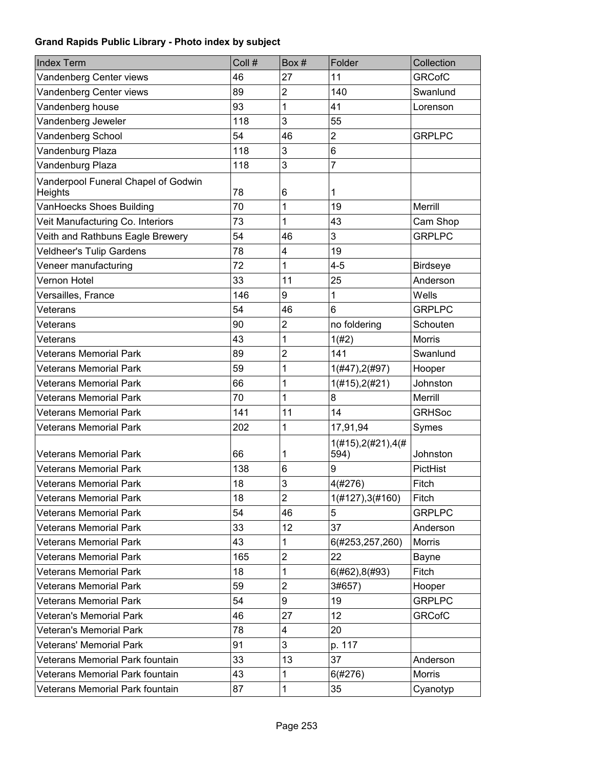| <b>Index Term</b>                              | Coll # | Box#           | Folder                      | Collection      |
|------------------------------------------------|--------|----------------|-----------------------------|-----------------|
| Vandenberg Center views                        | 46     | 27             | 11                          | <b>GRCofC</b>   |
| Vandenberg Center views                        | 89     | $\overline{c}$ | 140                         | Swanlund        |
| Vandenberg house                               | 93     | 1              | 41                          | Lorenson        |
| Vandenberg Jeweler                             | 118    | 3              | 55                          |                 |
| Vandenberg School                              | 54     | 46             | $\overline{2}$              | <b>GRPLPC</b>   |
| Vandenburg Plaza                               | 118    | 3              | 6                           |                 |
| Vandenburg Plaza                               | 118    | 3              | 7                           |                 |
| Vanderpool Funeral Chapel of Godwin<br>Heights | 78     | 6              | 1                           |                 |
| VanHoecks Shoes Building                       | 70     | 1              | 19                          | Merrill         |
| Veit Manufacturing Co. Interiors               | 73     | 1              | 43                          | Cam Shop        |
| Veith and Rathbuns Eagle Brewery               | 54     | 46             | 3                           | <b>GRPLPC</b>   |
| <b>Veldheer's Tulip Gardens</b>                | 78     | 4              | 19                          |                 |
| Veneer manufacturing                           | 72     | 1              | $4 - 5$                     | <b>Birdseye</b> |
| Vernon Hotel                                   | 33     | 11             | 25                          | Anderson        |
| Versailles, France                             | 146    | 9              | 1                           | Wells           |
| Veterans                                       | 54     | 46             | 6                           | <b>GRPLPC</b>   |
| Veterans                                       | 90     | $\overline{2}$ | no foldering                | Schouten        |
| Veterans                                       | 43     | 1              | 1(#2)                       | <b>Morris</b>   |
| <b>Veterans Memorial Park</b>                  | 89     | $\overline{2}$ | 141                         | Swanlund        |
| <b>Veterans Memorial Park</b>                  | 59     | 1              | $1($ #47), $2($ #97)        | Hooper          |
| <b>Veterans Memorial Park</b>                  | 66     | 1              | 1(#15), 2(#21)              | Johnston        |
| <b>Veterans Memorial Park</b>                  | 70     | 1              | 8                           | <b>Merrill</b>  |
| <b>Veterans Memorial Park</b>                  | 141    | 11             | 14                          | <b>GRHSoc</b>   |
| <b>Veterans Memorial Park</b>                  | 202    | 1              | 17,91,94                    | Symes           |
| <b>Veterans Memorial Park</b>                  | 66     | 1              | 1(#15), 2(#21), 4(#<br>594) | Johnston        |
| <b>Veterans Memorial Park</b>                  | 138    | 6              | 9                           | PictHist        |
| <b>Veterans Memorial Park</b>                  | 18     | 3              | 4(#276)                     | Fitch           |
| <b>Veterans Memorial Park</b>                  | 18     | $\overline{2}$ | 1(H127), 3(H160)            | Fitch           |
| <b>Veterans Memorial Park</b>                  | 54     | 46             | 5                           | <b>GRPLPC</b>   |
| <b>Veterans Memorial Park</b>                  | 33     | 12             | 37                          | Anderson        |
| <b>Veterans Memorial Park</b>                  | 43     | 1              | 6(#253,257,260)             | Morris          |
| <b>Veterans Memorial Park</b>                  | 165    | $\overline{2}$ | 22                          | Bayne           |
| <b>Veterans Memorial Park</b>                  | 18     | 1              | 6(#62), 8(#93)              | Fitch           |
| <b>Veterans Memorial Park</b>                  | 59     | $\overline{2}$ | 3#657)                      | Hooper          |
| <b>Veterans Memorial Park</b>                  | 54     | 9              | 19                          | <b>GRPLPC</b>   |
| <b>Veteran's Memorial Park</b>                 | 46     | 27             | 12                          | <b>GRCofC</b>   |
| <b>Veteran's Memorial Park</b>                 | 78     | 4              | 20                          |                 |
| <b>Veterans' Memorial Park</b>                 | 91     | 3              | p. 117                      |                 |
| Veterans Memorial Park fountain                | 33     | 13             | 37                          | Anderson        |
| Veterans Memorial Park fountain                | 43     | 1              | 6(#276)                     | <b>Morris</b>   |
| Veterans Memorial Park fountain                | 87     | 1              | 35                          | Cyanotyp        |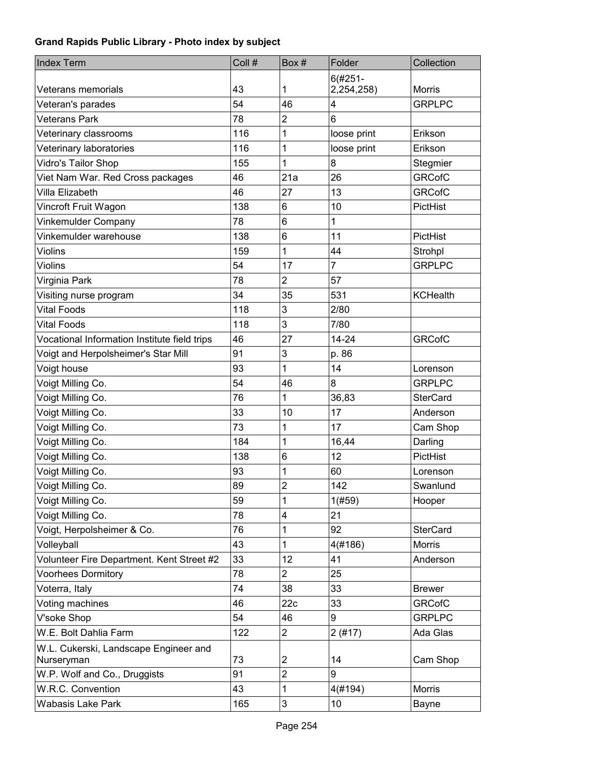| <b>Index Term</b>                                   | Coll # | Box#             | Folder         | Collection      |
|-----------------------------------------------------|--------|------------------|----------------|-----------------|
|                                                     |        |                  | $6(#251 -$     |                 |
| Veterans memorials                                  | 43     | 1                | 2,254,258)     | <b>Morris</b>   |
| Veteran's parades                                   | 54     | 46               | 4              | <b>GRPLPC</b>   |
| <b>Veterans Park</b>                                | 78     | $\overline{2}$   | 6              |                 |
| Veterinary classrooms                               | 116    | 1                | loose print    | Erikson         |
| Veterinary laboratories                             | 116    | 1                | loose print    | Erikson         |
| Vidro's Tailor Shop                                 | 155    | 1                | 8              | Stegmier        |
| Viet Nam War. Red Cross packages                    | 46     | 21a              | 26             | <b>GRCofC</b>   |
| Villa Elizabeth                                     | 46     | 27               | 13             | <b>GRCofC</b>   |
| Vincroft Fruit Wagon                                | 138    | 6                | 10             | PictHist        |
| Vinkemulder Company                                 | 78     | $6\phantom{1}$   | 1              |                 |
| Vinkemulder warehouse                               | 138    | $\,6$            | 11             | PictHist        |
| <b>Violins</b>                                      | 159    | 1                | 44             | Strohpl         |
| <b>Violins</b>                                      | 54     | 17               | $\overline{7}$ | <b>GRPLPC</b>   |
| Virginia Park                                       | 78     | $\overline{2}$   | 57             |                 |
| Visiting nurse program                              | 34     | 35               | 531            | <b>KCHealth</b> |
| <b>Vital Foods</b>                                  | 118    | 3                | 2/80           |                 |
| <b>Vital Foods</b>                                  | 118    | 3                | 7/80           |                 |
| Vocational Information Institute field trips        | 46     | 27               | $14 - 24$      | <b>GRCofC</b>   |
| Voigt and Herpolsheimer's Star Mill                 | 91     | 3                | p. 86          |                 |
| Voigt house                                         | 93     | 1                | 14             | Lorenson        |
| Voigt Milling Co.                                   | 54     | 46               | 8              | <b>GRPLPC</b>   |
| Voigt Milling Co.                                   | 76     | 1                | 36,83          | <b>SterCard</b> |
| Voigt Milling Co.                                   | 33     | 10               | 17             | Anderson        |
| Voigt Milling Co.                                   | 73     | 1                | 17             | Cam Shop        |
| Voigt Milling Co.                                   | 184    | 1                | 16,44          | Darling         |
| Voigt Milling Co.                                   | 138    | 6                | 12             | PictHist        |
| Voigt Milling Co.                                   | 93     | 1                | 60             | Lorenson        |
| Voigt Milling Co.                                   | 89     | $\overline{2}$   | 142            | Swanlund        |
| Voigt Milling Co.                                   | 59     | 1                | 1(#59)         | Hooper          |
| Voigt Milling Co.                                   | 78     | 4                | 21             |                 |
| Voigt, Herpolsheimer & Co.                          | 76     | 1                | 92             | <b>SterCard</b> |
| Volleyball                                          | 43     | 1                | 4(#186)        | Morris          |
| Volunteer Fire Department. Kent Street #2           | 33     | 12               | 41             | Anderson        |
| <b>Voorhees Dormitory</b>                           | 78     | $\overline{2}$   | 25             |                 |
| Voterra, Italy                                      | 74     | 38               | 33             | <b>Brewer</b>   |
| Voting machines                                     | 46     | 22c              | 33             | <b>GRCofC</b>   |
| V'soke Shop                                         | 54     | 46               | 9              | <b>GRPLPC</b>   |
| W.E. Bolt Dahlia Farm                               | 122    | $\overline{2}$   | 2(#17)         | Ada Glas        |
| W.L. Cukerski, Landscape Engineer and<br>Nurseryman | 73     | $\boldsymbol{2}$ | 14             | Cam Shop        |
| W.P. Wolf and Co., Druggists                        | 91     | $\overline{c}$   | 9              |                 |
| W.R.C. Convention                                   | 43     | 1                | 4(#194)        | Morris          |
| Wabasis Lake Park                                   | 165    | 3                | 10             | Bayne           |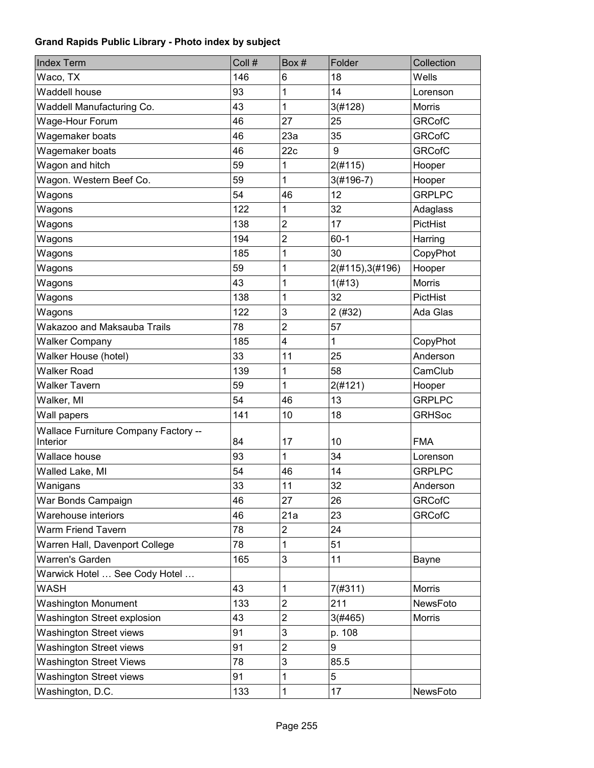| <b>Index Term</b>                                       | Coll # | Box#           | Folder           | Collection      |
|---------------------------------------------------------|--------|----------------|------------------|-----------------|
| Waco, TX                                                | 146    | 6              | 18               | Wells           |
| Waddell house                                           | 93     | 1              | 14               | Lorenson        |
| Waddell Manufacturing Co.                               | 43     | 1              | 3(#128)          | Morris          |
| Wage-Hour Forum                                         | 46     | 27             | 25               | <b>GRCofC</b>   |
| Wagemaker boats                                         | 46     | 23a            | 35               | <b>GRCofC</b>   |
| Wagemaker boats                                         | 46     | 22c            | 9                | <b>GRCofC</b>   |
| Wagon and hitch                                         | 59     | 1              | 2(#115)          | Hooper          |
| Wagon. Western Beef Co.                                 | 59     | 1              | $3(#196-7)$      | Hooper          |
| Wagons                                                  | 54     | 46             | 12               | <b>GRPLPC</b>   |
| Wagons                                                  | 122    | 1              | 32               | Adaglass        |
| Wagons                                                  | 138    | $\overline{2}$ | 17               | PictHist        |
| Wagons                                                  | 194    | $\overline{2}$ | $60 - 1$         | Harring         |
| Wagons                                                  | 185    | 1              | 30               | CopyPhot        |
| Wagons                                                  | 59     | 1              | 2(#115), 3(#196) | Hooper          |
| Wagons                                                  | 43     | 1              | 1(H13)           | Morris          |
| Wagons                                                  | 138    | 1              | 32               | <b>PictHist</b> |
| Wagons                                                  | 122    | 3              | 2(#32)           | Ada Glas        |
| Wakazoo and Maksauba Trails                             | 78     | $\overline{2}$ | 57               |                 |
| <b>Walker Company</b>                                   | 185    | 4              | 1                | CopyPhot        |
| Walker House (hotel)                                    | 33     | 11             | 25               | Anderson        |
| <b>Walker Road</b>                                      | 139    | 1              | 58               | CamClub         |
| <b>Walker Tavern</b>                                    | 59     | 1              | 2(#121)          | Hooper          |
| Walker, MI                                              | 54     | 46             | 13               | <b>GRPLPC</b>   |
| Wall papers                                             | 141    | 10             | 18               | <b>GRHSoc</b>   |
| <b>Wallace Furniture Company Factory --</b><br>Interior | 84     | 17             | 10               | <b>FMA</b>      |
| Wallace house                                           | 93     | 1              | 34               | Lorenson        |
| Walled Lake, MI                                         | 54     | 46             | 14               | <b>GRPLPC</b>   |
| Wanigans                                                | 33     | 11             | 32               | Anderson        |
| War Bonds Campaign                                      | 46     | 27             | 26               | <b>GRCofC</b>   |
| Warehouse interiors                                     | 46     | 21a            | 23               | <b>GRCofC</b>   |
| <b>Warm Friend Tavern</b>                               | 78     | $\overline{2}$ | 24               |                 |
| Warren Hall, Davenport College                          | 78     | 1              | 51               |                 |
| <b>Warren's Garden</b>                                  | 165    | 3              | 11               | <b>Bayne</b>    |
| Warwick Hotel  See Cody Hotel                           |        |                |                  |                 |
| <b>WASH</b>                                             | 43     | 1              | 7(#311)          | <b>Morris</b>   |
| <b>Washington Monument</b>                              | 133    | $\overline{c}$ | 211              | NewsFoto        |
| Washington Street explosion                             | 43     | $\overline{c}$ | 3(#465)          | Morris          |
| <b>Washington Street views</b>                          | 91     | 3              | p. 108           |                 |
| <b>Washington Street views</b>                          | 91     | $\overline{2}$ | 9                |                 |
| <b>Washington Street Views</b>                          | 78     | 3              | 85.5             |                 |
| <b>Washington Street views</b>                          | 91     | 1              | 5                |                 |
| Washington, D.C.                                        | 133    | 1              | 17               | NewsFoto        |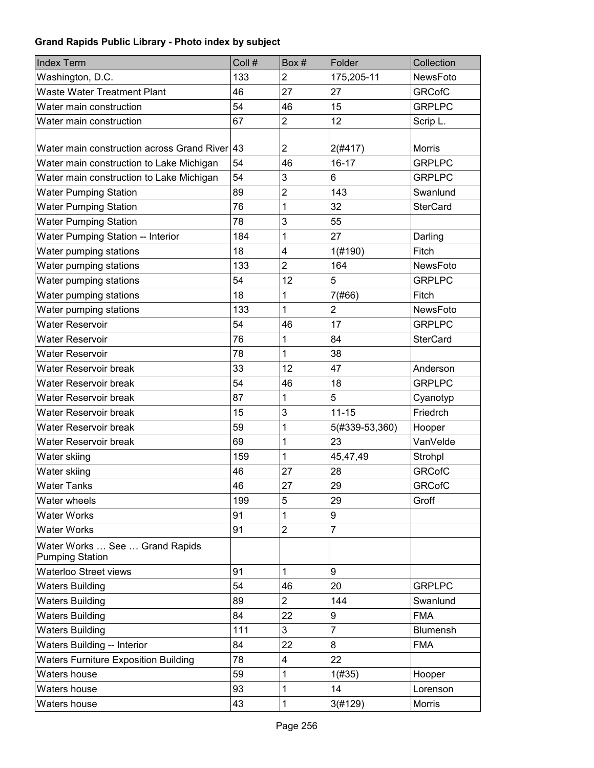| <b>Index Term</b>                                        | Coll # | Box#                    | Folder                  | Collection      |
|----------------------------------------------------------|--------|-------------------------|-------------------------|-----------------|
| Washington, D.C.                                         | 133    | $\overline{2}$          | 175,205-11              | NewsFoto        |
| Waste Water Treatment Plant                              | 46     | 27                      | 27                      | <b>GRCofC</b>   |
| Water main construction                                  | 54     | 46                      | 15                      | <b>GRPLPC</b>   |
| Water main construction                                  | 67     | $\overline{2}$          | 12                      | Scrip L.        |
| Water main construction across Grand River 43            |        | $\overline{2}$          | 2(#417)                 | <b>Morris</b>   |
| Water main construction to Lake Michigan                 | 54     | 46                      | $16 - 17$               | <b>GRPLPC</b>   |
| Water main construction to Lake Michigan                 | 54     | 3                       | 6                       | <b>GRPLPC</b>   |
| <b>Water Pumping Station</b>                             | 89     | $\overline{2}$          | 143                     | Swanlund        |
| <b>Water Pumping Station</b>                             | 76     | 1                       | 32                      | <b>SterCard</b> |
| <b>Water Pumping Station</b>                             | 78     | 3                       | 55                      |                 |
| <b>Water Pumping Station -- Interior</b>                 | 184    | 1                       | 27                      | Darling         |
| Water pumping stations                                   | 18     | $\overline{\mathbf{4}}$ | 1(#190)                 | Fitch           |
| Water pumping stations                                   | 133    | $\overline{2}$          | 164                     | NewsFoto        |
| Water pumping stations                                   | 54     | 12                      | 5                       | <b>GRPLPC</b>   |
| Water pumping stations                                   | 18     | 1                       | 7(#66)                  | Fitch           |
| Water pumping stations                                   | 133    | 1                       | $\overline{\mathbf{c}}$ | NewsFoto        |
| <b>Water Reservoir</b>                                   | 54     | 46                      | 17                      | <b>GRPLPC</b>   |
| <b>Water Reservoir</b>                                   | 76     | 1                       | 84                      | <b>SterCard</b> |
| <b>Water Reservoir</b>                                   | 78     | 1                       | 38                      |                 |
| Water Reservoir break                                    | 33     | 12                      | 47                      | Anderson        |
| Water Reservoir break                                    | 54     | 46                      | 18                      | <b>GRPLPC</b>   |
| Water Reservoir break                                    | 87     | 1                       | 5                       | Cyanotyp        |
| Water Reservoir break                                    | 15     | 3                       | $11 - 15$               | Friedrch        |
| Water Reservoir break                                    | 59     | 1                       | 5(#339-53,360)          | Hooper          |
| Water Reservoir break                                    | 69     | 1                       | 23                      | VanVelde        |
| Water skiing                                             | 159    | 1                       | 45,47,49                | Strohpl         |
| Water skiing                                             | 46     | 27                      | 28                      | <b>GRCofC</b>   |
| <b>Water Tanks</b>                                       | 46     | 27                      | 29                      | <b>GRCofC</b>   |
| Water wheels                                             | 199    | 5                       | 29                      | Groff           |
| <b>Water Works</b>                                       | 91     | 1                       | 9                       |                 |
| <b>Water Works</b>                                       | 91     | $\overline{2}$          | $\overline{7}$          |                 |
| Water Works  See  Grand Rapids<br><b>Pumping Station</b> |        |                         |                         |                 |
| <b>Waterloo Street views</b>                             | 91     | 1                       | 9                       |                 |
| <b>Waters Building</b>                                   | 54     | 46                      | 20                      | <b>GRPLPC</b>   |
| <b>Waters Building</b>                                   | 89     | $\overline{2}$          | 144                     | Swanlund        |
| <b>Waters Building</b>                                   | 84     | 22                      | 9                       | <b>FMA</b>      |
| <b>Waters Building</b>                                   | 111    | 3                       | $\overline{7}$          | Blumensh        |
| <b>Waters Building -- Interior</b>                       | 84     | 22                      | 8                       | <b>FMA</b>      |
| <b>Waters Furniture Exposition Building</b>              | 78     | $\overline{\mathbf{4}}$ | 22                      |                 |
| Waters house                                             | 59     | 1                       | 1(#35)                  | Hooper          |
| Waters house                                             | 93     | 1                       | 14                      | Lorenson        |
| Waters house                                             | 43     | 1                       | 3(#129)                 | Morris          |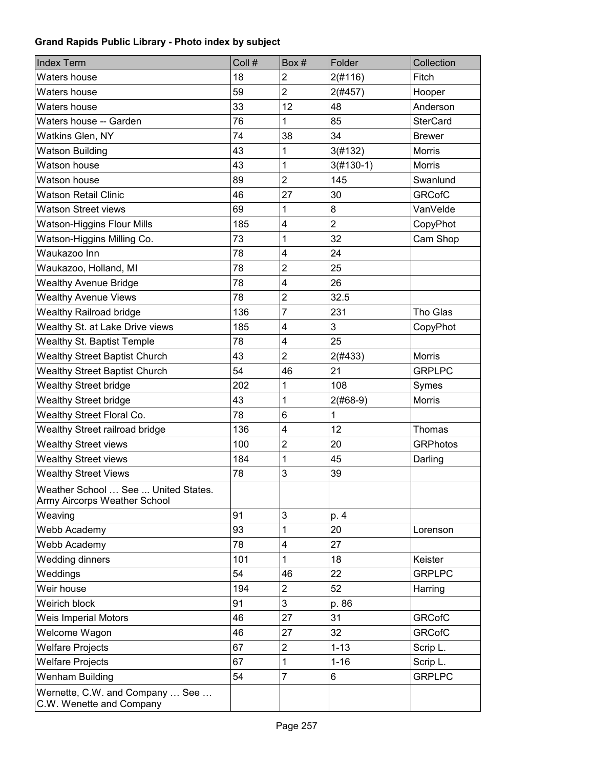| <b>Index Term</b>                                                   | Coll # | Box#                    | Folder         | Collection      |
|---------------------------------------------------------------------|--------|-------------------------|----------------|-----------------|
| Waters house                                                        | 18     | $\overline{2}$          | 2(#116)        | Fitch           |
| Waters house                                                        | 59     | $\overline{2}$          | 2(#457)        | Hooper          |
| Waters house                                                        | 33     | 12                      | 48             | Anderson        |
| Waters house -- Garden                                              | 76     | 1                       | 85             | <b>SterCard</b> |
| Watkins Glen, NY                                                    | 74     | 38                      | 34             | <b>Brewer</b>   |
| <b>Watson Building</b>                                              | 43     | 1                       | 3(#132)        | Morris          |
| Watson house                                                        | 43     | 1                       | $3(#130-1)$    | <b>Morris</b>   |
| Watson house                                                        | 89     | $\overline{2}$          | 145            | Swanlund        |
| <b>Watson Retail Clinic</b>                                         | 46     | 27                      | 30             | <b>GRCofC</b>   |
| <b>Watson Street views</b>                                          | 69     | 1                       | 8              | VanVelde        |
| Watson-Higgins Flour Mills                                          | 185    | $\overline{\mathbf{4}}$ | $\overline{2}$ | CopyPhot        |
| Watson-Higgins Milling Co.                                          | 73     | 1                       | 32             | Cam Shop        |
| Waukazoo Inn                                                        | 78     | 4                       | 24             |                 |
| Waukazoo, Holland, MI                                               | 78     | $\overline{2}$          | 25             |                 |
| <b>Wealthy Avenue Bridge</b>                                        | 78     | 4                       | 26             |                 |
| <b>Wealthy Avenue Views</b>                                         | 78     | $\overline{2}$          | 32.5           |                 |
| <b>Wealthy Railroad bridge</b>                                      | 136    | $\overline{7}$          | 231            | Tho Glas        |
| Wealthy St. at Lake Drive views                                     | 185    | 4                       | 3              | CopyPhot        |
| <b>Wealthy St. Baptist Temple</b>                                   | 78     | 4                       | 25             |                 |
| <b>Wealthy Street Baptist Church</b>                                | 43     | $\overline{2}$          | 2(#433)        | Morris          |
| <b>Wealthy Street Baptist Church</b>                                | 54     | 46                      | 21             | <b>GRPLPC</b>   |
| <b>Wealthy Street bridge</b>                                        | 202    | 1                       | 108            | Symes           |
| <b>Wealthy Street bridge</b>                                        | 43     | 1                       | $2(#68-9)$     | Morris          |
| Wealthy Street Floral Co.                                           | 78     | 6                       | $\mathbf 1$    |                 |
| Wealthy Street railroad bridge                                      | 136    | 4                       | 12             | Thomas          |
| <b>Wealthy Street views</b>                                         | 100    | $\overline{2}$          | 20             | <b>GRPhotos</b> |
| <b>Wealthy Street views</b>                                         | 184    | 1                       | 45             | Darling         |
| <b>Wealthy Street Views</b>                                         | 78     | 3                       | 39             |                 |
| Weather School  See  United States.<br>Army Aircorps Weather School |        |                         |                |                 |
| Weaving                                                             | 91     | 3                       | p. 4           |                 |
| Webb Academy                                                        | 93     | 1                       | 20             | Lorenson        |
| Webb Academy                                                        | 78     | 4                       | 27             |                 |
| <b>Wedding dinners</b>                                              | 101    | 1                       | 18             | Keister         |
| Weddings                                                            | 54     | 46                      | 22             | <b>GRPLPC</b>   |
| Weir house                                                          | 194    | $\overline{2}$          | 52             | Harring         |
| Weirich block                                                       | 91     | 3                       | p. 86          |                 |
| <b>Weis Imperial Motors</b>                                         | 46     | 27                      | 31             | <b>GRCofC</b>   |
| Welcome Wagon                                                       | 46     | 27                      | 32             | <b>GRCofC</b>   |
| <b>Welfare Projects</b>                                             | 67     | $\overline{c}$          | $1 - 13$       | Scrip L.        |
| <b>Welfare Projects</b>                                             | 67     | 1                       | $1 - 16$       | Scrip L.        |
| Wenham Building                                                     | 54     | $\overline{7}$          | 6              | <b>GRPLPC</b>   |
| Wernette, C.W. and Company  See<br>C.W. Wenette and Company         |        |                         |                |                 |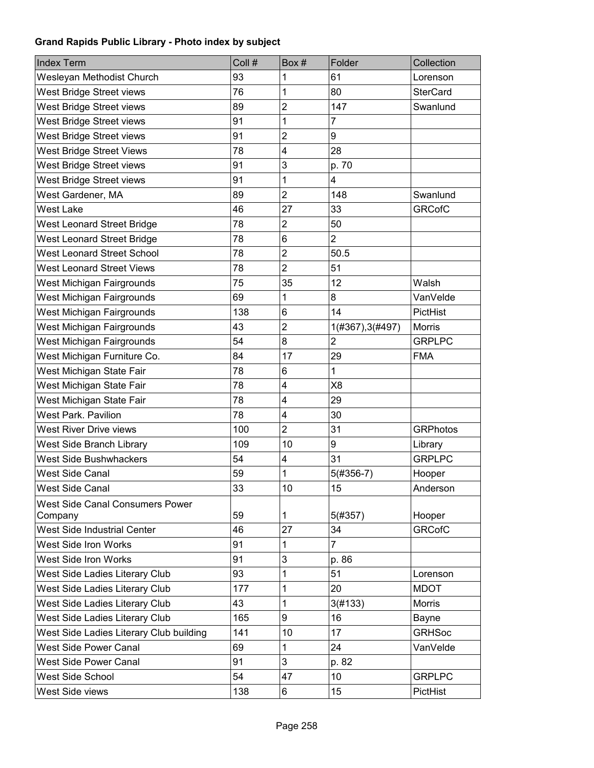| Collection<br>Lorenson<br><b>SterCard</b><br>Swanlund |
|-------------------------------------------------------|
|                                                       |
|                                                       |
|                                                       |
|                                                       |
|                                                       |
|                                                       |
|                                                       |
|                                                       |
|                                                       |
| Swanlund                                              |
| <b>GRCofC</b>                                         |
|                                                       |
|                                                       |
|                                                       |
|                                                       |
|                                                       |
| VanVelde                                              |
| PictHist                                              |
|                                                       |
| <b>GRPLPC</b>                                         |
|                                                       |
|                                                       |
|                                                       |
|                                                       |
|                                                       |
| <b>GRPhotos</b>                                       |
| Library                                               |
| <b>GRPLPC</b>                                         |
| Hooper                                                |
| Anderson                                              |
|                                                       |
| Hooper                                                |
| <b>GRCofC</b>                                         |
|                                                       |
|                                                       |
| Lorenson                                              |
|                                                       |
|                                                       |
|                                                       |
| <b>GRHSoc</b>                                         |
| VanVelde                                              |
|                                                       |
| <b>GRPLPC</b>                                         |
| PictHist                                              |
|                                                       |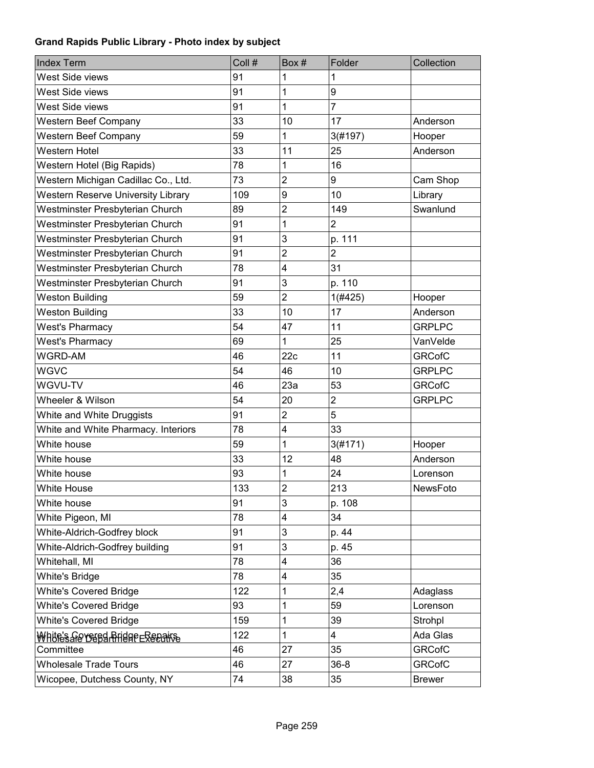| <b>Index Term</b>                        | Coll # | Box #                   | Folder         | Collection    |
|------------------------------------------|--------|-------------------------|----------------|---------------|
| West Side views                          | 91     | 1                       | 1              |               |
| West Side views                          | 91     | 1                       | 9              |               |
| West Side views                          | 91     | $\overline{1}$          | $\overline{7}$ |               |
| Western Beef Company                     | 33     | 10                      | 17             | Anderson      |
| <b>Western Beef Company</b>              | 59     | 1                       | 3(#197)        | Hooper        |
| Western Hotel                            | 33     | 11                      | 25             | Anderson      |
| Western Hotel (Big Rapids)               | 78     | 1                       | 16             |               |
| Western Michigan Cadillac Co., Ltd.      | 73     | $\overline{2}$          | 9              | Cam Shop      |
| Western Reserve University Library       | 109    | 9                       | 10             | Library       |
| Westminster Presbyterian Church          | 89     | $\overline{2}$          | 149            | Swanlund      |
| Westminster Presbyterian Church          | 91     | 1                       | $\overline{2}$ |               |
| Westminster Presbyterian Church          | 91     | 3                       | p. 111         |               |
| Westminster Presbyterian Church          | 91     | $\overline{2}$          | $\overline{2}$ |               |
| Westminster Presbyterian Church          | 78     | $\overline{\mathbf{4}}$ | 31             |               |
| Westminster Presbyterian Church          | 91     | 3                       | p. 110         |               |
| <b>Weston Building</b>                   | 59     | $\overline{2}$          | 1(#425)        | Hooper        |
| Weston Building                          | 33     | 10                      | 17             | Anderson      |
| <b>West's Pharmacy</b>                   | 54     | 47                      | 11             | <b>GRPLPC</b> |
| <b>West's Pharmacy</b>                   | 69     | 1                       | 25             | VanVelde      |
| WGRD-AM                                  | 46     | 22c                     | 11             | <b>GRCofC</b> |
| <b>WGVC</b>                              | 54     | 46                      | 10             | <b>GRPLPC</b> |
| WGVU-TV                                  | 46     | 23a                     | 53             | <b>GRCofC</b> |
| Wheeler & Wilson                         | 54     | 20                      | $\overline{2}$ | <b>GRPLPC</b> |
| White and White Druggists                | 91     | $\overline{c}$          | 5              |               |
| White and White Pharmacy. Interiors      | 78     | 4                       | 33             |               |
| White house                              | 59     | $\overline{1}$          | 3(#171)        | Hooper        |
| White house                              | 33     | 12                      | 48             | Anderson      |
| White house                              | 93     | 1                       | 24             | Lorenson      |
| <b>White House</b>                       | 133    | $\overline{c}$          | 213            | NewsFoto      |
| White house                              | 91     | 3                       | p. 108         |               |
| White Pigeon, MI                         | 78     | 4                       | 34             |               |
| White-Aldrich-Godfrey block              | 91     | 3                       | p. 44          |               |
| White-Aldrich-Godfrey building           | 91     | 3                       | p. 45          |               |
| Whitehall, MI                            | 78     | $\overline{\mathbf{4}}$ | 36             |               |
| <b>White's Bridge</b>                    | 78     | $\overline{\mathbf{4}}$ | 35             |               |
| <b>White's Covered Bridge</b>            | 122    | 1                       | 2,4            | Adaglass      |
| <b>White's Covered Bridge</b>            | 93     | 1                       | 59             | Lorenson      |
| <b>White's Covered Bridge</b>            | 159    | 1                       | 39             | Strohpl       |
| <u>Whüfe's Je veefd Friere e Redakse</u> | 122    | 1                       | 4              | Ada Glas      |
| Committee                                | 46     | 27                      | 35             | <b>GRCofC</b> |
| <b>Wholesale Trade Tours</b>             | 46     | 27                      | $36 - 8$       | <b>GRCofC</b> |
| Wicopee, Dutchess County, NY             | 74     | 38                      | 35             | <b>Brewer</b> |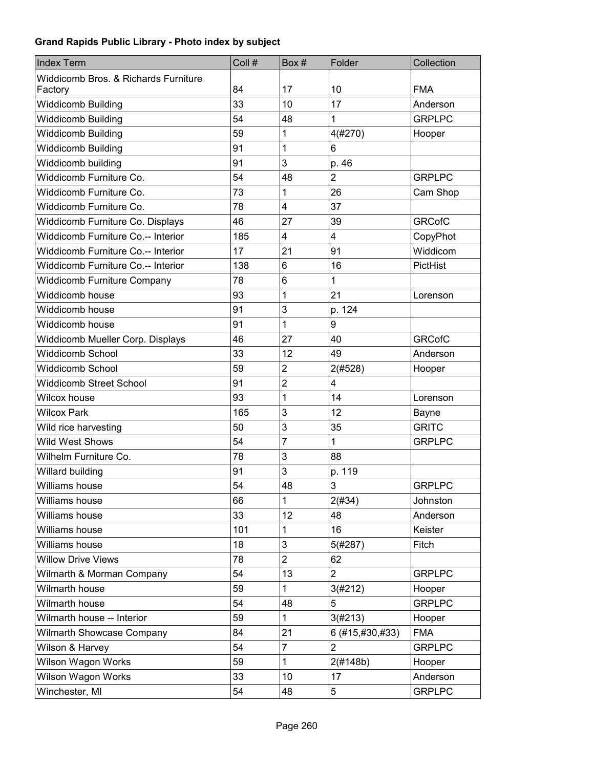| <b>Index Term</b>                         | Coll # | Box#                    | Folder          | Collection    |
|-------------------------------------------|--------|-------------------------|-----------------|---------------|
| Widdicomb Bros. & Richards Furniture      |        |                         |                 |               |
| Factory                                   | 84     | 17                      | 10              | <b>FMA</b>    |
| <b>Widdicomb Building</b>                 | 33     | 10                      | 17              | Anderson      |
| Widdicomb Building                        | 54     | 48                      | 1               | <b>GRPLPC</b> |
| <b>Widdicomb Building</b>                 | 59     | 1                       | 4(#270)         | Hooper        |
| <b>Widdicomb Building</b>                 | 91     | 1                       | 6               |               |
| Widdicomb building                        | 91     | 3                       | p. 46           |               |
| Widdicomb Furniture Co.                   | 54     | 48                      | $\overline{2}$  | <b>GRPLPC</b> |
| Widdicomb Furniture Co.                   | 73     | 1                       | 26              | Cam Shop      |
| Widdicomb Furniture Co.                   | 78     | 4                       | 37              |               |
| Widdicomb Furniture Co. Displays          | 46     | 27                      | 39              | <b>GRCofC</b> |
| Widdicomb Furniture Co.-- Interior        | 185    | 4                       | 4               | CopyPhot      |
| <b>Widdicomb Furniture Co.-- Interior</b> | 17     | 21                      | 91              | Widdicom      |
| Widdicomb Furniture Co.-- Interior        | 138    | 6                       | 16              | PictHist      |
| <b>Widdicomb Furniture Company</b>        | 78     | 6                       | 1               |               |
| Widdicomb house                           | 93     | 1                       | 21              | Lorenson      |
| Widdicomb house                           | 91     | 3                       | p. 124          |               |
| Widdicomb house                           | 91     | 1                       | 9               |               |
| Widdicomb Mueller Corp. Displays          | 46     | 27                      | 40              | <b>GRCofC</b> |
| <b>Widdicomb School</b>                   | 33     | 12                      | 49              | Anderson      |
| <b>Widdicomb School</b>                   | 59     | $\overline{\mathbf{c}}$ | 2(#528)         | Hooper        |
| <b>Widdicomb Street School</b>            | 91     | $\overline{c}$          | 4               |               |
| Wilcox house                              | 93     | 1                       | 14              | Lorenson      |
| <b>Wilcox Park</b>                        | 165    | 3                       | 12              | Bayne         |
| Wild rice harvesting                      | 50     | 3                       | 35              | <b>GRITC</b>  |
| <b>Wild West Shows</b>                    | 54     | 7                       | 1               | <b>GRPLPC</b> |
| Wilhelm Furniture Co.                     | 78     | 3                       | 88              |               |
| Willard building                          | 91     | 3                       | p. 119          |               |
| Williams house                            | 54     | 48                      | 3               | <b>GRPLPC</b> |
| Williams house                            | 66     | 1                       | 2(#34)          | Johnston      |
| Williams house                            | 33     | 12                      | 48              | Anderson      |
| Williams house                            | 101    | 1                       | 16              | Keister       |
| Williams house                            | 18     | 3                       | 5(#287)         | Fitch         |
| <b>Willow Drive Views</b>                 | 78     | $\overline{2}$          | 62              |               |
| Wilmarth & Morman Company                 | 54     | 13                      | $\overline{2}$  | <b>GRPLPC</b> |
| Wilmarth house                            | 59     | 1                       | 3(#212)         | Hooper        |
| Wilmarth house                            | 54     | 48                      | 5               | <b>GRPLPC</b> |
| Wilmarth house -- Interior                | 59     | 1                       | 3(#213)         | Hooper        |
| Wilmarth Showcase Company                 | 84     | 21                      | 6 (#15,#30,#33) | <b>FMA</b>    |
| Wilson & Harvey                           | 54     | $\overline{7}$          | $\overline{2}$  | <b>GRPLPC</b> |
| Wilson Wagon Works                        | 59     | $\mathbf{1}$            | 2(#148b)        | Hooper        |
| Wilson Wagon Works                        | 33     | 10                      | 17              | Anderson      |
| Winchester, MI                            | 54     | 48                      | 5               | <b>GRPLPC</b> |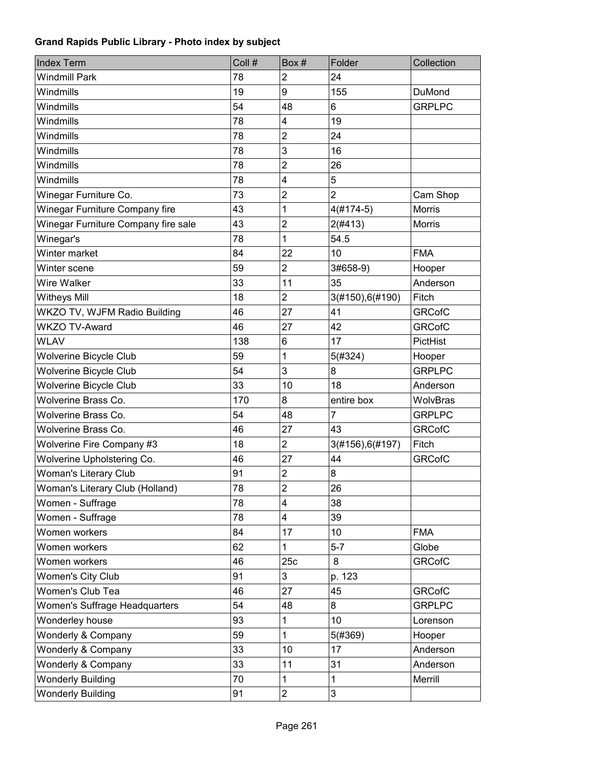| <b>Index Term</b>                   | Coll # | Box#                    | Folder           | Collection    |
|-------------------------------------|--------|-------------------------|------------------|---------------|
| <b>Windmill Park</b>                | 78     | $\overline{2}$          | 24               |               |
| Windmills                           | 19     | 9                       | 155              | <b>DuMond</b> |
| Windmills                           | 54     | 48                      | 6                | <b>GRPLPC</b> |
| Windmills                           | 78     | 4                       | 19               |               |
| Windmills                           | 78     | $\overline{2}$          | 24               |               |
| Windmills                           | 78     | 3                       | 16               |               |
| Windmills                           | 78     | $\overline{2}$          | 26               |               |
| Windmills                           | 78     | $\overline{\mathbf{4}}$ | 5                |               |
| Winegar Furniture Co.               | 73     | $\overline{2}$          | $\overline{2}$   | Cam Shop      |
| Winegar Furniture Company fire      | 43     | 1                       | $4(#174-5)$      | <b>Morris</b> |
| Winegar Furniture Company fire sale | 43     | $\overline{c}$          | 2(#413)          | Morris        |
| Winegar's                           | 78     | 1                       | 54.5             |               |
| Winter market                       | 84     | 22                      | 10               | <b>FMA</b>    |
| Winter scene                        | 59     | $\overline{2}$          | 3#658-9)         | Hooper        |
| Wire Walker                         | 33     | 11                      | 35               | Anderson      |
| <b>Witheys Mill</b>                 | 18     | $\overline{c}$          | 3(#150),6(#190)  | Fitch         |
| WKZO TV, WJFM Radio Building        | 46     | 27                      | 41               | <b>GRCofC</b> |
| <b>WKZO TV-Award</b>                | 46     | 27                      | 42               | <b>GRCofC</b> |
| <b>WLAV</b>                         | 138    | 6                       | 17               | PictHist      |
| Wolverine Bicycle Club              | 59     | 1                       | 5(#324)          | Hooper        |
| <b>Wolverine Bicycle Club</b>       | 54     | 3                       | 8                | <b>GRPLPC</b> |
| <b>Wolverine Bicycle Club</b>       | 33     | 10                      | 18               | Anderson      |
| Wolverine Brass Co.                 | 170    | 8                       | entire box       | WolvBras      |
| Wolverine Brass Co.                 | 54     | 48                      | $\overline{7}$   | <b>GRPLPC</b> |
| Wolverine Brass Co.                 | 46     | 27                      | 43               | <b>GRCofC</b> |
| Wolverine Fire Company #3           | 18     | $\overline{2}$          | 3(#156), 6(#197) | Fitch         |
| Wolverine Upholstering Co.          | 46     | 27                      | 44               | <b>GRCofC</b> |
| <b>Woman's Literary Club</b>        | 91     | $\overline{2}$          | 8                |               |
| Woman's Literary Club (Holland)     | 78     | $\overline{2}$          | 26               |               |
| Women - Suffrage                    | 78     | 4                       | 38               |               |
| Women - Suffrage                    | 78     | 4                       | 39               |               |
| Women workers                       | 84     | 17                      | 10               | <b>FMA</b>    |
| Women workers                       | 62     | 1                       | $5-7$            | Globe         |
| Women workers                       | 46     | 25c                     | 8                | <b>GRCofC</b> |
| Women's City Club                   | 91     | 3                       | p. 123           |               |
| Women's Club Tea                    | 46     | 27                      | 45               | <b>GRCofC</b> |
| Women's Suffrage Headquarters       | 54     | 48                      | 8                | <b>GRPLPC</b> |
| Wonderley house                     | 93     | 1                       | 10               | Lorenson      |
| Wonderly & Company                  | 59     | 1                       | 5(#369)          | Hooper        |
| Wonderly & Company                  | 33     | 10                      | 17               | Anderson      |
| Wonderly & Company                  | 33     | 11                      | 31               | Anderson      |
| <b>Wonderly Building</b>            | 70     | $\mathbf{1}$            | $\mathbf 1$      | Merrill       |
| <b>Wonderly Building</b>            | 91     | $\overline{2}$          | 3                |               |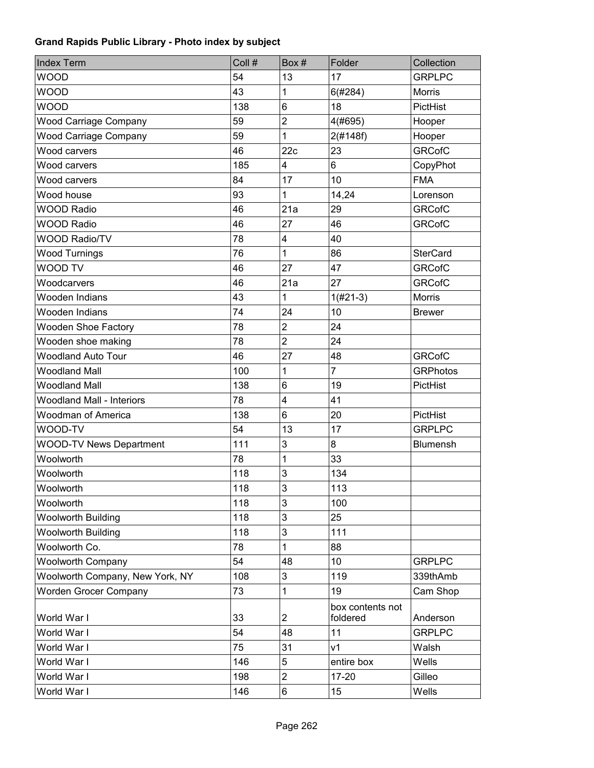| <b>Index Term</b>                | Coll # | Box#                    | Folder                       | Collection      |
|----------------------------------|--------|-------------------------|------------------------------|-----------------|
| <b>WOOD</b>                      | 54     | 13                      | 17                           | <b>GRPLPC</b>   |
| <b>WOOD</b>                      | 43     | 1                       | 6(#284)                      | <b>Morris</b>   |
| <b>WOOD</b>                      | 138    | 6                       | 18                           | PictHist        |
| <b>Wood Carriage Company</b>     | 59     | $\overline{2}$          | 4(#695)                      | Hooper          |
| <b>Wood Carriage Company</b>     | 59     | 1                       | 2(#148f)                     | Hooper          |
| Wood carvers                     | 46     | 22c                     | 23                           | <b>GRCofC</b>   |
| Wood carvers                     | 185    | 4                       | 6                            | CopyPhot        |
| Wood carvers                     | 84     | 17                      | 10                           | <b>FMA</b>      |
| Wood house                       | 93     | 1                       | 14,24                        | Lorenson        |
| <b>WOOD Radio</b>                | 46     | 21a                     | 29                           | <b>GRCofC</b>   |
| <b>WOOD Radio</b>                | 46     | 27                      | 46                           | <b>GRCofC</b>   |
| <b>WOOD Radio/TV</b>             | 78     | $\overline{\mathbf{4}}$ | 40                           |                 |
| <b>Wood Turnings</b>             | 76     | 1                       | 86                           | <b>SterCard</b> |
| <b>WOOD TV</b>                   | 46     | 27                      | 47                           | <b>GRCofC</b>   |
| Woodcarvers                      | 46     | 21a                     | 27                           | <b>GRCofC</b>   |
| Wooden Indians                   | 43     | 1                       | $1(#21-3)$                   | Morris          |
| Wooden Indians                   | 74     | 24                      | 10                           | <b>Brewer</b>   |
| <b>Wooden Shoe Factory</b>       | 78     | $\overline{2}$          | 24                           |                 |
| Wooden shoe making               | 78     | $\overline{2}$          | 24                           |                 |
| <b>Woodland Auto Tour</b>        | 46     | 27                      | 48                           | <b>GRCofC</b>   |
| <b>Woodland Mall</b>             | 100    | 1                       | $\overline{7}$               | <b>GRPhotos</b> |
| <b>Woodland Mall</b>             | 138    | 6                       | 19                           | PictHist        |
| <b>Woodland Mall - Interiors</b> | 78     | $\overline{\mathbf{4}}$ | 41                           |                 |
| <b>Woodman of America</b>        | 138    | $6\phantom{1}$          | 20                           | PictHist        |
| WOOD-TV                          | 54     | 13                      | 17                           | <b>GRPLPC</b>   |
| <b>WOOD-TV News Department</b>   | 111    | 3                       | 8                            | <b>Blumensh</b> |
| Woolworth                        | 78     | 1                       | 33                           |                 |
| Woolworth                        | 118    | 3                       | 134                          |                 |
| Woolworth                        | 118    | 3                       | 113                          |                 |
| Woolworth                        | 118    | 3                       | 100                          |                 |
| <b>Woolworth Building</b>        | 118    | 3                       | 25                           |                 |
| <b>Woolworth Building</b>        | 118    | 3                       | 111                          |                 |
| Woolworth Co.                    | 78     | 1                       | 88                           |                 |
| <b>Woolworth Company</b>         | 54     | 48                      | 10                           | <b>GRPLPC</b>   |
| Woolworth Company, New York, NY  | 108    | $\mathsf 3$             | 119                          | 339thAmb        |
| <b>Worden Grocer Company</b>     | 73     | 1                       | 19                           | Cam Shop        |
| World War I                      | 33     | $\overline{c}$          | box contents not<br>foldered | Anderson        |
| World War I                      | 54     | 48                      | 11                           | <b>GRPLPC</b>   |
| World War I                      | 75     | 31                      | v <sub>1</sub>               | Walsh           |
| World War I                      | 146    | 5                       | entire box                   | Wells           |
| World War I                      | 198    | $\overline{c}$          | $17 - 20$                    | Gilleo          |
| World War I                      | 146    | 6                       | 15                           | Wells           |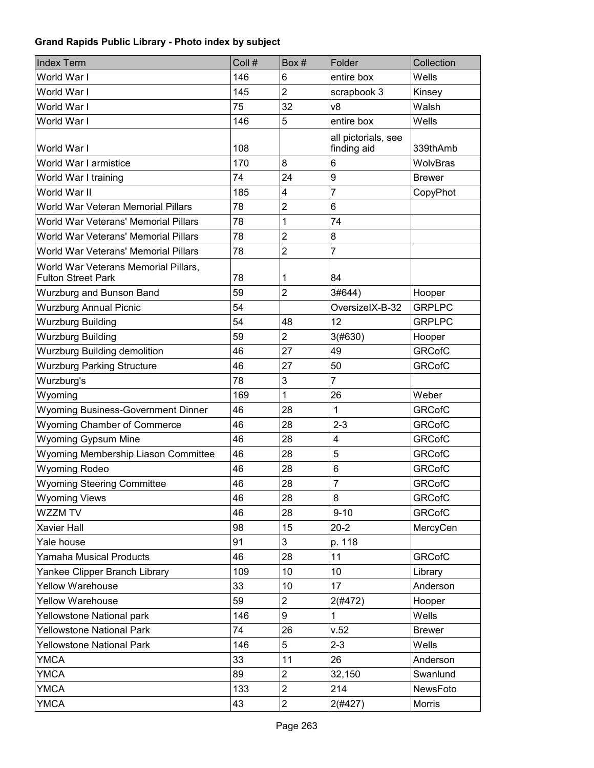| <b>Index Term</b>                                                 | Coll # | Box #          | Folder                             | Collection    |
|-------------------------------------------------------------------|--------|----------------|------------------------------------|---------------|
| World War I                                                       | 146    | 6              | entire box                         | Wells         |
| World War I                                                       | 145    | $\overline{2}$ | scrapbook 3                        | Kinsey        |
| World War I                                                       | 75     | 32             | v8                                 | Walsh         |
| World War I                                                       | 146    | 5              | entire box                         | Wells         |
| World War I                                                       | 108    |                | all pictorials, see<br>finding aid | 339thAmb      |
| World War I armistice                                             | 170    | 8              | 6                                  | WolvBras      |
| World War I training                                              | 74     | 24             | 9                                  | <b>Brewer</b> |
| World War II                                                      | 185    | 4              | 7                                  | CopyPhot      |
| World War Veteran Memorial Pillars                                | 78     | $\overline{2}$ | 6                                  |               |
| World War Veterans' Memorial Pillars                              | 78     | 1              | 74                                 |               |
| World War Veterans' Memorial Pillars                              | 78     | $\overline{2}$ | 8                                  |               |
| World War Veterans' Memorial Pillars                              | 78     | $\overline{2}$ | 7                                  |               |
| World War Veterans Memorial Pillars,<br><b>Fulton Street Park</b> | 78     | 1              | 84                                 |               |
| Wurzburg and Bunson Band                                          | 59     | $\overline{c}$ | 3#644)                             | Hooper        |
| <b>Wurzburg Annual Picnic</b>                                     | 54     |                | OversizelX-B-32                    | <b>GRPLPC</b> |
| <b>Wurzburg Building</b>                                          | 54     | 48             | 12                                 | <b>GRPLPC</b> |
| <b>Wurzburg Building</b>                                          | 59     | $\overline{2}$ | 3(#630)                            | Hooper        |
| <b>Wurzburg Building demolition</b>                               | 46     | 27             | 49                                 | <b>GRCofC</b> |
| <b>Wurzburg Parking Structure</b>                                 | 46     | 27             | 50                                 | <b>GRCofC</b> |
| Wurzburg's                                                        | 78     | 3              | $\overline{7}$                     |               |
| Wyoming                                                           | 169    | 1              | 26                                 | Weber         |
| <b>Wyoming Business-Government Dinner</b>                         | 46     | 28             | 1                                  | <b>GRCofC</b> |
| <b>Wyoming Chamber of Commerce</b>                                | 46     | 28             | $2 - 3$                            | <b>GRCofC</b> |
| <b>Wyoming Gypsum Mine</b>                                        | 46     | 28             | $\overline{\mathbf{4}}$            | <b>GRCofC</b> |
| Wyoming Membership Liason Committee                               | 46     | 28             | 5                                  | <b>GRCofC</b> |
| <b>Wyoming Rodeo</b>                                              | 46     | 28             | $6\phantom{1}$                     | <b>GRCofC</b> |
| <b>Wyoming Steering Committee</b>                                 | 46     | 28             | $\overline{7}$                     | <b>GRCofC</b> |
| <b>Wyoming Views</b>                                              | 46     | 28             | 8                                  | <b>GRCofC</b> |
| WZZM TV                                                           | 46     | 28             | $9 - 10$                           | <b>GRCofC</b> |
| Xavier Hall                                                       | 98     | 15             | $20 - 2$                           | MercyCen      |
| Yale house                                                        | 91     | 3              | p. 118                             |               |
| <b>Yamaha Musical Products</b>                                    | 46     | 28             | 11                                 | <b>GRCofC</b> |
| Yankee Clipper Branch Library                                     | 109    | 10             | 10                                 | Library       |
| <b>Yellow Warehouse</b>                                           | 33     | 10             | 17                                 | Anderson      |
| <b>Yellow Warehouse</b>                                           | 59     | $\overline{c}$ | 2(#472)                            | Hooper        |
| Yellowstone National park                                         | 146    | 9              | 1                                  | Wells         |
| <b>Yellowstone National Park</b>                                  | 74     | 26             | v.52                               | <b>Brewer</b> |
| <b>Yellowstone National Park</b>                                  | 146    | 5              | $2 - 3$                            | Wells         |
| <b>YMCA</b>                                                       | 33     | 11             | 26                                 | Anderson      |
| <b>YMCA</b>                                                       | 89     | $\overline{2}$ | 32,150                             | Swanlund      |
| <b>YMCA</b>                                                       | 133    | $\overline{c}$ | 214                                | NewsFoto      |
| <b>YMCA</b>                                                       | 43     | $\overline{c}$ | 2(#427)                            | <b>Morris</b> |